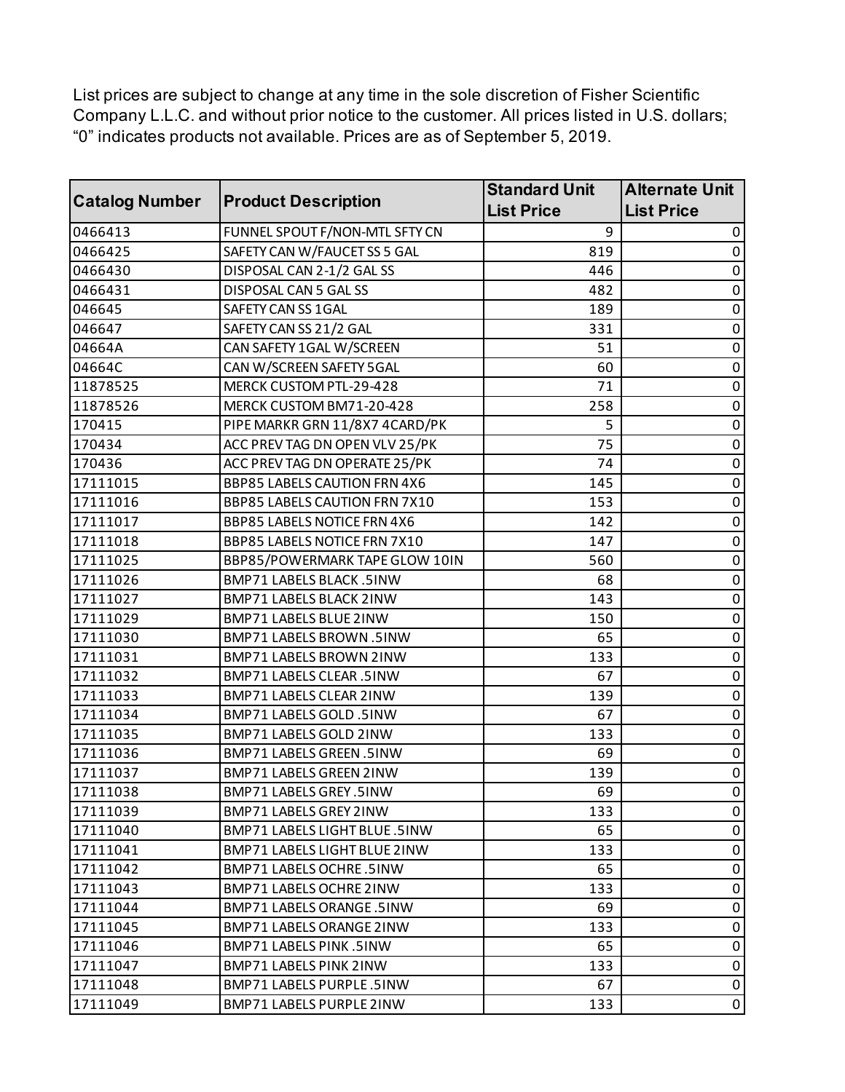List prices are subject to change at any time in the sole discretion of Fisher Scientific Company L.L.C. and without prior notice to the customer. All prices listed in U.S. dollars; "0" indicates products not available. Prices are as of September 5, 2019.

| <b>Catalog Number</b> | <b>Product Description</b>          | <b>Standard Unit</b><br><b>List Price</b> | <b>Alternate Unit</b><br><b>List Price</b> |
|-----------------------|-------------------------------------|-------------------------------------------|--------------------------------------------|
| 0466413               | FUNNEL SPOUT F/NON-MTL SFTY CN      | 9                                         | 0                                          |
| 0466425               | SAFETY CAN W/FAUCET SS 5 GAL        | 819                                       | 0                                          |
| 0466430               | DISPOSAL CAN 2-1/2 GAL SS           | 446                                       | 0                                          |
| 0466431               | DISPOSAL CAN 5 GAL SS               | 482                                       | 0                                          |
| 046645                | SAFETY CAN SS 1GAL                  | 189                                       | 0                                          |
| 046647                | SAFETY CAN SS 21/2 GAL              | 331                                       | 0                                          |
| 04664A                | CAN SAFETY 1GAL W/SCREEN            | 51                                        | 0                                          |
| 04664C                | CAN W/SCREEN SAFETY 5GAL            | 60                                        | 0                                          |
| 11878525              | MERCK CUSTOM PTL-29-428             | 71                                        | 0                                          |
| 11878526              | MERCK CUSTOM BM71-20-428            | 258                                       | $\mathbf 0$                                |
| 170415                | PIPE MARKR GRN 11/8X7 4CARD/PK      | 5                                         | 0                                          |
| 170434                | ACC PREV TAG DN OPEN VLV 25/PK      | 75                                        | 0                                          |
| 170436                | ACC PREV TAG DN OPERATE 25/PK       | 74                                        | $\pmb{0}$                                  |
| 17111015              | <b>BBP85 LABELS CAUTION FRN 4X6</b> | 145                                       | 0                                          |
| 17111016              | BBP85 LABELS CAUTION FRN 7X10       | 153                                       | 0                                          |
| 17111017              | <b>BBP85 LABELS NOTICE FRN 4X6</b>  | 142                                       | $\pmb{0}$                                  |
| 17111018              | BBP85 LABELS NOTICE FRN 7X10        | 147                                       | 0                                          |
| 17111025              | BBP85/POWERMARK TAPE GLOW 10IN      | 560                                       | 0                                          |
| 17111026              | BMP71 LABELS BLACK .5INW            | 68                                        | 0                                          |
| 17111027              | BMP71 LABELS BLACK 2INW             | 143                                       | $\pmb{0}$                                  |
| 17111029              | BMP71 LABELS BLUE 2INW              | 150                                       | 0                                          |
| 17111030              | BMP71 LABELS BROWN .5INW            | 65                                        | 0                                          |
| 17111031              | BMP71 LABELS BROWN 2INW             | 133                                       | $\pmb{0}$                                  |
| 17111032              | BMP71 LABELS CLEAR .5INW            | 67                                        | 0                                          |
| 17111033              | BMP71 LABELS CLEAR 2INW             | 139                                       | 0                                          |
| 17111034              | BMP71 LABELS GOLD .5INW             | 67                                        | $\pmb{0}$                                  |
| 17111035              | BMP71 LABELS GOLD 2INW              | 133                                       | 0                                          |
| 17111036              | BMP71 LABELS GREEN .5INW            | 69                                        | $\mathbf 0$                                |
| 17111037              | <b>BMP71 LABELS GREEN 2INW</b>      | 139                                       | $\pmb{0}$                                  |
| 17111038              | BMP71 LABELS GREY.5INW              | 69                                        | $\overline{0}$                             |
| 17111039              | BMP71 LABELS GREY 2INW              | 133                                       | $\pmb{0}$                                  |
| 17111040              | BMP71 LABELS LIGHT BLUE .5INW       | 65                                        | 0                                          |
| 17111041              | BMP71 LABELS LIGHT BLUE 2INW        | 133                                       | 0                                          |
| 17111042              | BMP71 LABELS OCHRE.5INW             | 65                                        | $\mathbf 0$                                |
| 17111043              | BMP71 LABELS OCHRE 2INW             | 133                                       | 0                                          |
| 17111044              | BMP71 LABELS ORANGE .5INW           | 69                                        | 0                                          |
| 17111045              | BMP71 LABELS ORANGE 2INW            | 133                                       | $\mathbf 0$                                |
| 17111046              | BMP71 LABELS PINK .5INW             | 65                                        | 0                                          |
| 17111047              | BMP71 LABELS PINK 2INW              | 133                                       | 0                                          |
| 17111048              | BMP71 LABELS PURPLE.5INW            | 67                                        | $\pmb{0}$                                  |
| 17111049              | BMP71 LABELS PURPLE 2INW            | 133                                       | $\pmb{0}$                                  |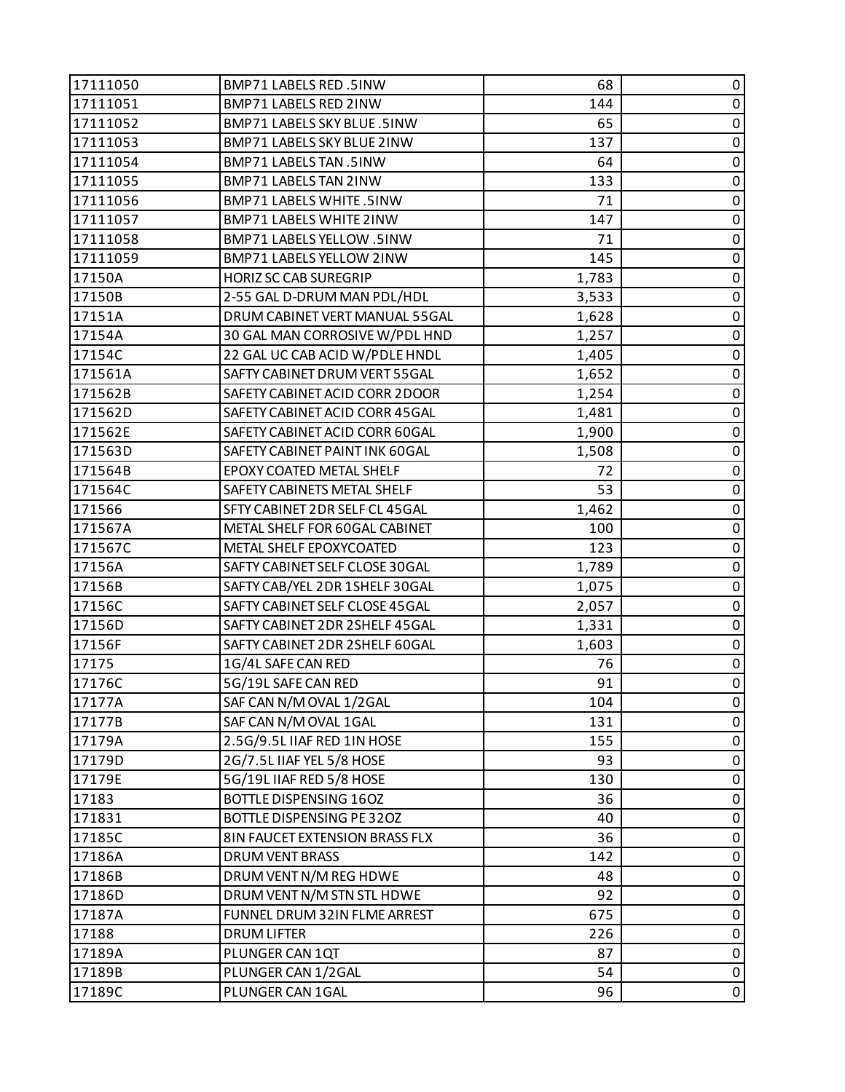| 144<br>17111051<br>BMP71 LABELS RED 2INW<br>$\pmb{0}$<br>BMP71 LABELS SKY BLUE .5INW<br>65<br>0<br>17111052<br>$\pmb{0}$<br>137<br>17111053<br>BMP71 LABELS SKY BLUE 2INW<br>$\pmb{0}$<br>17111054<br>BMP71 LABELS TAN .5INW<br>64<br>BMP71 LABELS TAN 2INW<br>133<br>0<br>17111055<br>$\pmb{0}$<br>17111056<br>BMP71 LABELS WHITE .5INW<br>71<br>$\pmb{0}$<br>17111057<br>BMP71 LABELS WHITE 2INW<br>147<br>BMP71 LABELS YELLOW .5INW<br>71<br>0<br>17111058<br>$\pmb{0}$<br>17111059<br>BMP71 LABELS YELLOW 2INW<br>145<br>1,783<br>$\pmb{0}$<br>17150A<br><b>HORIZ SC CAB SUREGRIP</b><br>2-55 GAL D-DRUM MAN PDL/HDL<br>0<br>17150B<br>3,533<br>$\pmb{0}$<br>17151A<br>DRUM CABINET VERT MANUAL 55GAL<br>1,628<br>$\pmb{0}$<br>17154A<br>30 GAL MAN CORROSIVE W/PDL HND<br>1,257<br>17154C<br>22 GAL UC CAB ACID W/PDLE HNDL<br>0<br>1,405<br>$\pmb{0}$<br>171561A<br>SAFTY CABINET DRUM VERT 55GAL<br>1,652<br>171562B<br>$\pmb{0}$<br>SAFETY CABINET ACID CORR 2DOOR<br>1,254<br>1,481<br>0<br>171562D<br>SAFETY CABINET ACID CORR 45GAL<br>$\pmb{0}$<br>171562E<br>SAFETY CABINET ACID CORR 60GAL<br>1,900<br>$\pmb{0}$<br>171563D<br>SAFETY CABINET PAINT INK 60GAL<br>1,508<br>72<br>0<br>171564B<br>EPOXY COATED METAL SHELF<br>$\pmb{0}$<br>171564C<br>SAFETY CABINETS METAL SHELF<br>53<br>$\pmb{0}$<br>171566<br>SFTY CABINET 2DR SELF CL 45GAL<br>1,462<br>0<br>171567A<br>METAL SHELF FOR 60GAL CABINET<br>100<br>$\pmb{0}$<br>171567C<br>METAL SHELF EPOXYCOATED<br>123<br>1,789<br>$\pmb{0}$<br>17156A<br>SAFTY CABINET SELF CLOSE 30GAL<br>17156B<br>SAFTY CAB/YEL 2DR 1SHELF 30GAL<br>0<br>1,075<br>$\pmb{0}$<br>17156C<br>SAFTY CABINET SELF CLOSE 45 GAL<br>2,057<br>17156D<br>SAFTY CABINET 2DR 2SHELF 45GAL<br>1,331<br>$\pmb{0}$<br>$\pmb{0}$<br>1,603<br>17156F<br>SAFTY CABINET 2DR 2SHELF 60GAL<br>$\pmb{0}$<br>17175<br>1G/4L SAFE CAN RED<br>76<br>$\pmb{0}$<br>17176C<br>91<br>5G/19L SAFE CAN RED<br>SAF CAN N/M OVAL 1/2GAL<br>17177A<br>104<br>0<br>SAF CAN N/M OVAL 1GAL<br>131<br>0<br>$\pmb{0}$<br>17179A<br>2.5G/9.5L IIAF RED 1IN HOSE<br>155<br>2G/7.5L IIAF YEL 5/8 HOSE<br>0<br>17179D<br>93<br>0<br>17179E<br>5G/19L IIAF RED 5/8 HOSE<br>130<br>17183<br><b>BOTTLE DISPENSING 16OZ</b><br>36<br>0<br>171831<br>BOTTLE DISPENSING PE 32OZ<br>40<br>0<br>0<br>17185C<br>8IN FAUCET EXTENSION BRASS FLX<br>36<br>$\mathbf 0$<br>17186A<br>DRUM VENT BRASS<br>142<br>17186B<br>DRUM VENT N/M REG HDWE<br>48<br>0<br>DRUM VENT N/M STN STL HDWE<br>0<br>17186D<br>92<br>675<br>$\mathbf 0$<br>17187A<br>FUNNEL DRUM 32IN FLME ARREST<br>17188<br><b>DRUM LIFTER</b><br>226<br>0<br>$\pmb{0}$<br>17189A<br>PLUNGER CAN 1QT<br>87<br>54<br>$\pmb{0}$<br>17189B<br>PLUNGER CAN 1/2GAL<br>0<br>17189C<br>PLUNGER CAN 1GAL<br>96 | 17111050 | BMP71 LABELS RED .5INW | 68 | 0 |
|-------------------------------------------------------------------------------------------------------------------------------------------------------------------------------------------------------------------------------------------------------------------------------------------------------------------------------------------------------------------------------------------------------------------------------------------------------------------------------------------------------------------------------------------------------------------------------------------------------------------------------------------------------------------------------------------------------------------------------------------------------------------------------------------------------------------------------------------------------------------------------------------------------------------------------------------------------------------------------------------------------------------------------------------------------------------------------------------------------------------------------------------------------------------------------------------------------------------------------------------------------------------------------------------------------------------------------------------------------------------------------------------------------------------------------------------------------------------------------------------------------------------------------------------------------------------------------------------------------------------------------------------------------------------------------------------------------------------------------------------------------------------------------------------------------------------------------------------------------------------------------------------------------------------------------------------------------------------------------------------------------------------------------------------------------------------------------------------------------------------------------------------------------------------------------------------------------------------------------------------------------------------------------------------------------------------------------------------------------------------------------------------------------------------------------------------------------------------------------------------------------------------------------------------------------------------------------------------------------------------------------------------------------------------------------------------------------------------------------------------------------------------|----------|------------------------|----|---|
|                                                                                                                                                                                                                                                                                                                                                                                                                                                                                                                                                                                                                                                                                                                                                                                                                                                                                                                                                                                                                                                                                                                                                                                                                                                                                                                                                                                                                                                                                                                                                                                                                                                                                                                                                                                                                                                                                                                                                                                                                                                                                                                                                                                                                                                                                                                                                                                                                                                                                                                                                                                                                                                                                                                                                                   |          |                        |    |   |
|                                                                                                                                                                                                                                                                                                                                                                                                                                                                                                                                                                                                                                                                                                                                                                                                                                                                                                                                                                                                                                                                                                                                                                                                                                                                                                                                                                                                                                                                                                                                                                                                                                                                                                                                                                                                                                                                                                                                                                                                                                                                                                                                                                                                                                                                                                                                                                                                                                                                                                                                                                                                                                                                                                                                                                   |          |                        |    |   |
|                                                                                                                                                                                                                                                                                                                                                                                                                                                                                                                                                                                                                                                                                                                                                                                                                                                                                                                                                                                                                                                                                                                                                                                                                                                                                                                                                                                                                                                                                                                                                                                                                                                                                                                                                                                                                                                                                                                                                                                                                                                                                                                                                                                                                                                                                                                                                                                                                                                                                                                                                                                                                                                                                                                                                                   |          |                        |    |   |
|                                                                                                                                                                                                                                                                                                                                                                                                                                                                                                                                                                                                                                                                                                                                                                                                                                                                                                                                                                                                                                                                                                                                                                                                                                                                                                                                                                                                                                                                                                                                                                                                                                                                                                                                                                                                                                                                                                                                                                                                                                                                                                                                                                                                                                                                                                                                                                                                                                                                                                                                                                                                                                                                                                                                                                   |          |                        |    |   |
|                                                                                                                                                                                                                                                                                                                                                                                                                                                                                                                                                                                                                                                                                                                                                                                                                                                                                                                                                                                                                                                                                                                                                                                                                                                                                                                                                                                                                                                                                                                                                                                                                                                                                                                                                                                                                                                                                                                                                                                                                                                                                                                                                                                                                                                                                                                                                                                                                                                                                                                                                                                                                                                                                                                                                                   |          |                        |    |   |
|                                                                                                                                                                                                                                                                                                                                                                                                                                                                                                                                                                                                                                                                                                                                                                                                                                                                                                                                                                                                                                                                                                                                                                                                                                                                                                                                                                                                                                                                                                                                                                                                                                                                                                                                                                                                                                                                                                                                                                                                                                                                                                                                                                                                                                                                                                                                                                                                                                                                                                                                                                                                                                                                                                                                                                   |          |                        |    |   |
|                                                                                                                                                                                                                                                                                                                                                                                                                                                                                                                                                                                                                                                                                                                                                                                                                                                                                                                                                                                                                                                                                                                                                                                                                                                                                                                                                                                                                                                                                                                                                                                                                                                                                                                                                                                                                                                                                                                                                                                                                                                                                                                                                                                                                                                                                                                                                                                                                                                                                                                                                                                                                                                                                                                                                                   |          |                        |    |   |
|                                                                                                                                                                                                                                                                                                                                                                                                                                                                                                                                                                                                                                                                                                                                                                                                                                                                                                                                                                                                                                                                                                                                                                                                                                                                                                                                                                                                                                                                                                                                                                                                                                                                                                                                                                                                                                                                                                                                                                                                                                                                                                                                                                                                                                                                                                                                                                                                                                                                                                                                                                                                                                                                                                                                                                   |          |                        |    |   |
|                                                                                                                                                                                                                                                                                                                                                                                                                                                                                                                                                                                                                                                                                                                                                                                                                                                                                                                                                                                                                                                                                                                                                                                                                                                                                                                                                                                                                                                                                                                                                                                                                                                                                                                                                                                                                                                                                                                                                                                                                                                                                                                                                                                                                                                                                                                                                                                                                                                                                                                                                                                                                                                                                                                                                                   |          |                        |    |   |
|                                                                                                                                                                                                                                                                                                                                                                                                                                                                                                                                                                                                                                                                                                                                                                                                                                                                                                                                                                                                                                                                                                                                                                                                                                                                                                                                                                                                                                                                                                                                                                                                                                                                                                                                                                                                                                                                                                                                                                                                                                                                                                                                                                                                                                                                                                                                                                                                                                                                                                                                                                                                                                                                                                                                                                   |          |                        |    |   |
|                                                                                                                                                                                                                                                                                                                                                                                                                                                                                                                                                                                                                                                                                                                                                                                                                                                                                                                                                                                                                                                                                                                                                                                                                                                                                                                                                                                                                                                                                                                                                                                                                                                                                                                                                                                                                                                                                                                                                                                                                                                                                                                                                                                                                                                                                                                                                                                                                                                                                                                                                                                                                                                                                                                                                                   |          |                        |    |   |
|                                                                                                                                                                                                                                                                                                                                                                                                                                                                                                                                                                                                                                                                                                                                                                                                                                                                                                                                                                                                                                                                                                                                                                                                                                                                                                                                                                                                                                                                                                                                                                                                                                                                                                                                                                                                                                                                                                                                                                                                                                                                                                                                                                                                                                                                                                                                                                                                                                                                                                                                                                                                                                                                                                                                                                   |          |                        |    |   |
|                                                                                                                                                                                                                                                                                                                                                                                                                                                                                                                                                                                                                                                                                                                                                                                                                                                                                                                                                                                                                                                                                                                                                                                                                                                                                                                                                                                                                                                                                                                                                                                                                                                                                                                                                                                                                                                                                                                                                                                                                                                                                                                                                                                                                                                                                                                                                                                                                                                                                                                                                                                                                                                                                                                                                                   |          |                        |    |   |
|                                                                                                                                                                                                                                                                                                                                                                                                                                                                                                                                                                                                                                                                                                                                                                                                                                                                                                                                                                                                                                                                                                                                                                                                                                                                                                                                                                                                                                                                                                                                                                                                                                                                                                                                                                                                                                                                                                                                                                                                                                                                                                                                                                                                                                                                                                                                                                                                                                                                                                                                                                                                                                                                                                                                                                   |          |                        |    |   |
|                                                                                                                                                                                                                                                                                                                                                                                                                                                                                                                                                                                                                                                                                                                                                                                                                                                                                                                                                                                                                                                                                                                                                                                                                                                                                                                                                                                                                                                                                                                                                                                                                                                                                                                                                                                                                                                                                                                                                                                                                                                                                                                                                                                                                                                                                                                                                                                                                                                                                                                                                                                                                                                                                                                                                                   |          |                        |    |   |
|                                                                                                                                                                                                                                                                                                                                                                                                                                                                                                                                                                                                                                                                                                                                                                                                                                                                                                                                                                                                                                                                                                                                                                                                                                                                                                                                                                                                                                                                                                                                                                                                                                                                                                                                                                                                                                                                                                                                                                                                                                                                                                                                                                                                                                                                                                                                                                                                                                                                                                                                                                                                                                                                                                                                                                   |          |                        |    |   |
|                                                                                                                                                                                                                                                                                                                                                                                                                                                                                                                                                                                                                                                                                                                                                                                                                                                                                                                                                                                                                                                                                                                                                                                                                                                                                                                                                                                                                                                                                                                                                                                                                                                                                                                                                                                                                                                                                                                                                                                                                                                                                                                                                                                                                                                                                                                                                                                                                                                                                                                                                                                                                                                                                                                                                                   |          |                        |    |   |
|                                                                                                                                                                                                                                                                                                                                                                                                                                                                                                                                                                                                                                                                                                                                                                                                                                                                                                                                                                                                                                                                                                                                                                                                                                                                                                                                                                                                                                                                                                                                                                                                                                                                                                                                                                                                                                                                                                                                                                                                                                                                                                                                                                                                                                                                                                                                                                                                                                                                                                                                                                                                                                                                                                                                                                   |          |                        |    |   |
|                                                                                                                                                                                                                                                                                                                                                                                                                                                                                                                                                                                                                                                                                                                                                                                                                                                                                                                                                                                                                                                                                                                                                                                                                                                                                                                                                                                                                                                                                                                                                                                                                                                                                                                                                                                                                                                                                                                                                                                                                                                                                                                                                                                                                                                                                                                                                                                                                                                                                                                                                                                                                                                                                                                                                                   |          |                        |    |   |
|                                                                                                                                                                                                                                                                                                                                                                                                                                                                                                                                                                                                                                                                                                                                                                                                                                                                                                                                                                                                                                                                                                                                                                                                                                                                                                                                                                                                                                                                                                                                                                                                                                                                                                                                                                                                                                                                                                                                                                                                                                                                                                                                                                                                                                                                                                                                                                                                                                                                                                                                                                                                                                                                                                                                                                   |          |                        |    |   |
|                                                                                                                                                                                                                                                                                                                                                                                                                                                                                                                                                                                                                                                                                                                                                                                                                                                                                                                                                                                                                                                                                                                                                                                                                                                                                                                                                                                                                                                                                                                                                                                                                                                                                                                                                                                                                                                                                                                                                                                                                                                                                                                                                                                                                                                                                                                                                                                                                                                                                                                                                                                                                                                                                                                                                                   |          |                        |    |   |
|                                                                                                                                                                                                                                                                                                                                                                                                                                                                                                                                                                                                                                                                                                                                                                                                                                                                                                                                                                                                                                                                                                                                                                                                                                                                                                                                                                                                                                                                                                                                                                                                                                                                                                                                                                                                                                                                                                                                                                                                                                                                                                                                                                                                                                                                                                                                                                                                                                                                                                                                                                                                                                                                                                                                                                   |          |                        |    |   |
|                                                                                                                                                                                                                                                                                                                                                                                                                                                                                                                                                                                                                                                                                                                                                                                                                                                                                                                                                                                                                                                                                                                                                                                                                                                                                                                                                                                                                                                                                                                                                                                                                                                                                                                                                                                                                                                                                                                                                                                                                                                                                                                                                                                                                                                                                                                                                                                                                                                                                                                                                                                                                                                                                                                                                                   |          |                        |    |   |
|                                                                                                                                                                                                                                                                                                                                                                                                                                                                                                                                                                                                                                                                                                                                                                                                                                                                                                                                                                                                                                                                                                                                                                                                                                                                                                                                                                                                                                                                                                                                                                                                                                                                                                                                                                                                                                                                                                                                                                                                                                                                                                                                                                                                                                                                                                                                                                                                                                                                                                                                                                                                                                                                                                                                                                   |          |                        |    |   |
|                                                                                                                                                                                                                                                                                                                                                                                                                                                                                                                                                                                                                                                                                                                                                                                                                                                                                                                                                                                                                                                                                                                                                                                                                                                                                                                                                                                                                                                                                                                                                                                                                                                                                                                                                                                                                                                                                                                                                                                                                                                                                                                                                                                                                                                                                                                                                                                                                                                                                                                                                                                                                                                                                                                                                                   |          |                        |    |   |
|                                                                                                                                                                                                                                                                                                                                                                                                                                                                                                                                                                                                                                                                                                                                                                                                                                                                                                                                                                                                                                                                                                                                                                                                                                                                                                                                                                                                                                                                                                                                                                                                                                                                                                                                                                                                                                                                                                                                                                                                                                                                                                                                                                                                                                                                                                                                                                                                                                                                                                                                                                                                                                                                                                                                                                   |          |                        |    |   |
|                                                                                                                                                                                                                                                                                                                                                                                                                                                                                                                                                                                                                                                                                                                                                                                                                                                                                                                                                                                                                                                                                                                                                                                                                                                                                                                                                                                                                                                                                                                                                                                                                                                                                                                                                                                                                                                                                                                                                                                                                                                                                                                                                                                                                                                                                                                                                                                                                                                                                                                                                                                                                                                                                                                                                                   |          |                        |    |   |
|                                                                                                                                                                                                                                                                                                                                                                                                                                                                                                                                                                                                                                                                                                                                                                                                                                                                                                                                                                                                                                                                                                                                                                                                                                                                                                                                                                                                                                                                                                                                                                                                                                                                                                                                                                                                                                                                                                                                                                                                                                                                                                                                                                                                                                                                                                                                                                                                                                                                                                                                                                                                                                                                                                                                                                   |          |                        |    |   |
|                                                                                                                                                                                                                                                                                                                                                                                                                                                                                                                                                                                                                                                                                                                                                                                                                                                                                                                                                                                                                                                                                                                                                                                                                                                                                                                                                                                                                                                                                                                                                                                                                                                                                                                                                                                                                                                                                                                                                                                                                                                                                                                                                                                                                                                                                                                                                                                                                                                                                                                                                                                                                                                                                                                                                                   |          |                        |    |   |
|                                                                                                                                                                                                                                                                                                                                                                                                                                                                                                                                                                                                                                                                                                                                                                                                                                                                                                                                                                                                                                                                                                                                                                                                                                                                                                                                                                                                                                                                                                                                                                                                                                                                                                                                                                                                                                                                                                                                                                                                                                                                                                                                                                                                                                                                                                                                                                                                                                                                                                                                                                                                                                                                                                                                                                   |          |                        |    |   |
|                                                                                                                                                                                                                                                                                                                                                                                                                                                                                                                                                                                                                                                                                                                                                                                                                                                                                                                                                                                                                                                                                                                                                                                                                                                                                                                                                                                                                                                                                                                                                                                                                                                                                                                                                                                                                                                                                                                                                                                                                                                                                                                                                                                                                                                                                                                                                                                                                                                                                                                                                                                                                                                                                                                                                                   |          |                        |    |   |
|                                                                                                                                                                                                                                                                                                                                                                                                                                                                                                                                                                                                                                                                                                                                                                                                                                                                                                                                                                                                                                                                                                                                                                                                                                                                                                                                                                                                                                                                                                                                                                                                                                                                                                                                                                                                                                                                                                                                                                                                                                                                                                                                                                                                                                                                                                                                                                                                                                                                                                                                                                                                                                                                                                                                                                   |          |                        |    |   |
|                                                                                                                                                                                                                                                                                                                                                                                                                                                                                                                                                                                                                                                                                                                                                                                                                                                                                                                                                                                                                                                                                                                                                                                                                                                                                                                                                                                                                                                                                                                                                                                                                                                                                                                                                                                                                                                                                                                                                                                                                                                                                                                                                                                                                                                                                                                                                                                                                                                                                                                                                                                                                                                                                                                                                                   | 17177B   |                        |    |   |
|                                                                                                                                                                                                                                                                                                                                                                                                                                                                                                                                                                                                                                                                                                                                                                                                                                                                                                                                                                                                                                                                                                                                                                                                                                                                                                                                                                                                                                                                                                                                                                                                                                                                                                                                                                                                                                                                                                                                                                                                                                                                                                                                                                                                                                                                                                                                                                                                                                                                                                                                                                                                                                                                                                                                                                   |          |                        |    |   |
|                                                                                                                                                                                                                                                                                                                                                                                                                                                                                                                                                                                                                                                                                                                                                                                                                                                                                                                                                                                                                                                                                                                                                                                                                                                                                                                                                                                                                                                                                                                                                                                                                                                                                                                                                                                                                                                                                                                                                                                                                                                                                                                                                                                                                                                                                                                                                                                                                                                                                                                                                                                                                                                                                                                                                                   |          |                        |    |   |
|                                                                                                                                                                                                                                                                                                                                                                                                                                                                                                                                                                                                                                                                                                                                                                                                                                                                                                                                                                                                                                                                                                                                                                                                                                                                                                                                                                                                                                                                                                                                                                                                                                                                                                                                                                                                                                                                                                                                                                                                                                                                                                                                                                                                                                                                                                                                                                                                                                                                                                                                                                                                                                                                                                                                                                   |          |                        |    |   |
|                                                                                                                                                                                                                                                                                                                                                                                                                                                                                                                                                                                                                                                                                                                                                                                                                                                                                                                                                                                                                                                                                                                                                                                                                                                                                                                                                                                                                                                                                                                                                                                                                                                                                                                                                                                                                                                                                                                                                                                                                                                                                                                                                                                                                                                                                                                                                                                                                                                                                                                                                                                                                                                                                                                                                                   |          |                        |    |   |
|                                                                                                                                                                                                                                                                                                                                                                                                                                                                                                                                                                                                                                                                                                                                                                                                                                                                                                                                                                                                                                                                                                                                                                                                                                                                                                                                                                                                                                                                                                                                                                                                                                                                                                                                                                                                                                                                                                                                                                                                                                                                                                                                                                                                                                                                                                                                                                                                                                                                                                                                                                                                                                                                                                                                                                   |          |                        |    |   |
|                                                                                                                                                                                                                                                                                                                                                                                                                                                                                                                                                                                                                                                                                                                                                                                                                                                                                                                                                                                                                                                                                                                                                                                                                                                                                                                                                                                                                                                                                                                                                                                                                                                                                                                                                                                                                                                                                                                                                                                                                                                                                                                                                                                                                                                                                                                                                                                                                                                                                                                                                                                                                                                                                                                                                                   |          |                        |    |   |
|                                                                                                                                                                                                                                                                                                                                                                                                                                                                                                                                                                                                                                                                                                                                                                                                                                                                                                                                                                                                                                                                                                                                                                                                                                                                                                                                                                                                                                                                                                                                                                                                                                                                                                                                                                                                                                                                                                                                                                                                                                                                                                                                                                                                                                                                                                                                                                                                                                                                                                                                                                                                                                                                                                                                                                   |          |                        |    |   |
|                                                                                                                                                                                                                                                                                                                                                                                                                                                                                                                                                                                                                                                                                                                                                                                                                                                                                                                                                                                                                                                                                                                                                                                                                                                                                                                                                                                                                                                                                                                                                                                                                                                                                                                                                                                                                                                                                                                                                                                                                                                                                                                                                                                                                                                                                                                                                                                                                                                                                                                                                                                                                                                                                                                                                                   |          |                        |    |   |
|                                                                                                                                                                                                                                                                                                                                                                                                                                                                                                                                                                                                                                                                                                                                                                                                                                                                                                                                                                                                                                                                                                                                                                                                                                                                                                                                                                                                                                                                                                                                                                                                                                                                                                                                                                                                                                                                                                                                                                                                                                                                                                                                                                                                                                                                                                                                                                                                                                                                                                                                                                                                                                                                                                                                                                   |          |                        |    |   |
|                                                                                                                                                                                                                                                                                                                                                                                                                                                                                                                                                                                                                                                                                                                                                                                                                                                                                                                                                                                                                                                                                                                                                                                                                                                                                                                                                                                                                                                                                                                                                                                                                                                                                                                                                                                                                                                                                                                                                                                                                                                                                                                                                                                                                                                                                                                                                                                                                                                                                                                                                                                                                                                                                                                                                                   |          |                        |    |   |
|                                                                                                                                                                                                                                                                                                                                                                                                                                                                                                                                                                                                                                                                                                                                                                                                                                                                                                                                                                                                                                                                                                                                                                                                                                                                                                                                                                                                                                                                                                                                                                                                                                                                                                                                                                                                                                                                                                                                                                                                                                                                                                                                                                                                                                                                                                                                                                                                                                                                                                                                                                                                                                                                                                                                                                   |          |                        |    |   |
|                                                                                                                                                                                                                                                                                                                                                                                                                                                                                                                                                                                                                                                                                                                                                                                                                                                                                                                                                                                                                                                                                                                                                                                                                                                                                                                                                                                                                                                                                                                                                                                                                                                                                                                                                                                                                                                                                                                                                                                                                                                                                                                                                                                                                                                                                                                                                                                                                                                                                                                                                                                                                                                                                                                                                                   |          |                        |    |   |
|                                                                                                                                                                                                                                                                                                                                                                                                                                                                                                                                                                                                                                                                                                                                                                                                                                                                                                                                                                                                                                                                                                                                                                                                                                                                                                                                                                                                                                                                                                                                                                                                                                                                                                                                                                                                                                                                                                                                                                                                                                                                                                                                                                                                                                                                                                                                                                                                                                                                                                                                                                                                                                                                                                                                                                   |          |                        |    |   |
|                                                                                                                                                                                                                                                                                                                                                                                                                                                                                                                                                                                                                                                                                                                                                                                                                                                                                                                                                                                                                                                                                                                                                                                                                                                                                                                                                                                                                                                                                                                                                                                                                                                                                                                                                                                                                                                                                                                                                                                                                                                                                                                                                                                                                                                                                                                                                                                                                                                                                                                                                                                                                                                                                                                                                                   |          |                        |    |   |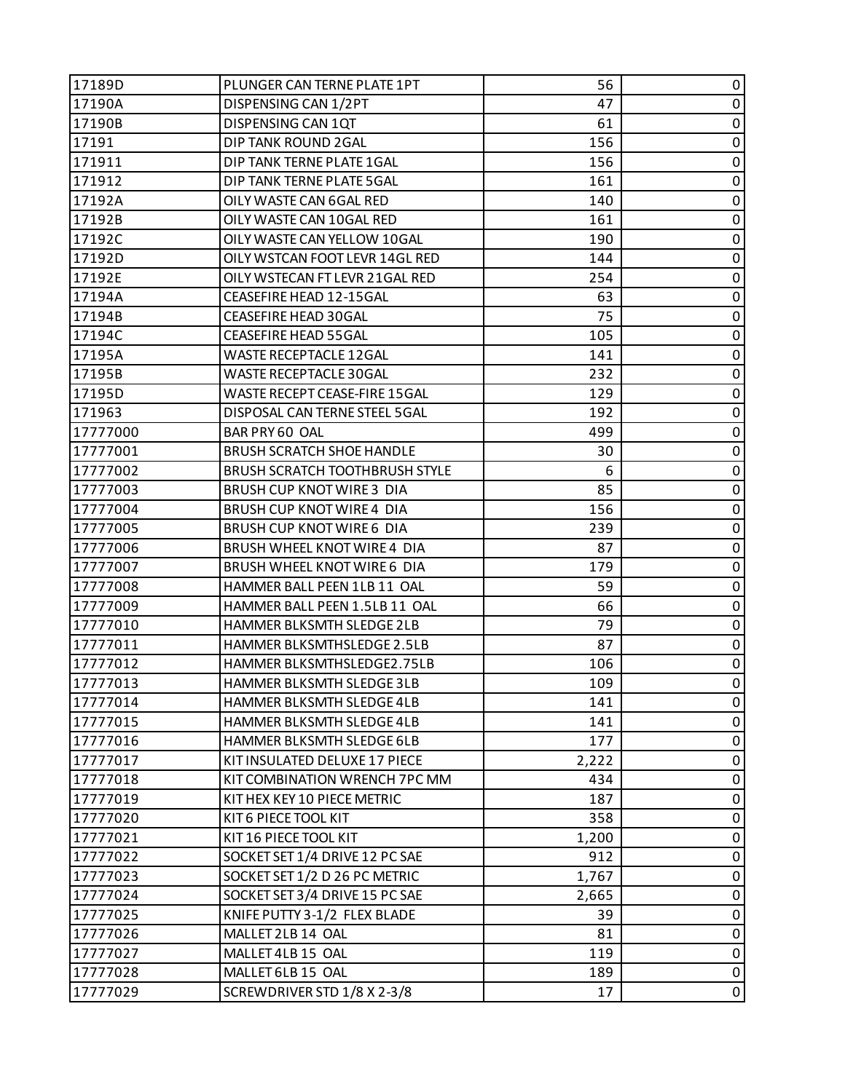| 17189D   | PLUNGER CAN TERNE PLATE 1PT           | 56    | 0           |
|----------|---------------------------------------|-------|-------------|
| 17190A   | DISPENSING CAN 1/2PT                  | 47    | 0           |
| 17190B   | DISPENSING CAN 1QT                    | 61    | 0           |
| 17191    | DIP TANK ROUND 2GAL                   | 156   | $\pmb{0}$   |
| 171911   | DIP TANK TERNE PLATE 1GAL             | 156   | 0           |
| 171912   | DIP TANK TERNE PLATE 5GAL             | 161   | 0           |
| 17192A   | OILY WASTE CAN 6GAL RED               | 140   | $\pmb{0}$   |
| 17192B   | OILY WASTE CAN 10GAL RED              | 161   | $\pmb{0}$   |
| 17192C   | OILY WASTE CAN YELLOW 10GAL           | 190   | 0           |
| 17192D   | OILY WSTCAN FOOT LEVR 14GL RED        | 144   | $\pmb{0}$   |
| 17192E   | OILY WSTECAN FT LEVR 21GAL RED        | 254   | 0           |
| 17194A   | CEASEFIRE HEAD 12-15GAL               | 63    | 0           |
| 17194B   | CEASEFIRE HEAD 30GAL                  | 75    | $\pmb{0}$   |
| 17194C   | <b>CEASEFIRE HEAD 55GAL</b>           | 105   | 0           |
| 17195A   | <b>WASTE RECEPTACLE 12GAL</b>         | 141   | 0           |
| 17195B   | WASTE RECEPTACLE 30GAL                | 232   | $\pmb{0}$   |
| 17195D   | WASTE RECEPT CEASE-FIRE 15GAL         | 129   | $\pmb{0}$   |
| 171963   | DISPOSAL CAN TERNE STEEL 5GAL         | 192   | 0           |
| 17777000 | BAR PRY 60 OAL                        | 499   | $\pmb{0}$   |
| 17777001 | <b>BRUSH SCRATCH SHOE HANDLE</b>      | 30    | $\pmb{0}$   |
| 17777002 | <b>BRUSH SCRATCH TOOTHBRUSH STYLE</b> | 6     | 0           |
| 17777003 | <b>BRUSH CUP KNOT WIRE 3 DIA</b>      | 85    | $\pmb{0}$   |
| 17777004 | <b>BRUSH CUP KNOT WIRE 4 DIA</b>      | 156   | 0           |
| 17777005 | <b>BRUSH CUP KNOT WIRE 6 DIA</b>      | 239   | 0           |
| 17777006 | BRUSH WHEEL KNOT WIRE 4 DIA           | 87    | $\pmb{0}$   |
| 17777007 | BRUSH WHEEL KNOT WIRE 6 DIA           | 179   | 0           |
| 17777008 | HAMMER BALL PEEN 1LB 11 OAL           | 59    | 0           |
| 17777009 | HAMMER BALL PEEN 1.5LB 11 OAL         | 66    | $\pmb{0}$   |
| 17777010 | HAMMER BLKSMTH SLEDGE 2LB             | 79    | 0           |
| 17777011 | HAMMER BLKSMTHSLEDGE 2.5LB            | 87    | 0           |
| 17777012 | HAMMER BLKSMTHSLEDGE2.75LB            | 106   | $\pmb{0}$   |
| 17777013 | HAMMER BLKSMTH SLEDGE 3LB             | 109   | $\pmb{0}$   |
| 17777014 | HAMMER BLKSMTH SLEDGE 4LB             | 141   | 0           |
| 17777015 | HAMMER BLKSMTH SLEDGE 4LB             | 141   | 0           |
| 17777016 | HAMMER BLKSMTH SLEDGE 6LB             | 177   | $\pmb{0}$   |
| 17777017 | KIT INSULATED DELUXE 17 PIECE         | 2,222 | $\pmb{0}$   |
| 17777018 | KIT COMBINATION WRENCH 7PC MM         | 434   | 0           |
| 17777019 | KIT HEX KEY 10 PIECE METRIC           | 187   | $\pmb{0}$   |
| 17777020 | KIT 6 PIECE TOOL KIT                  | 358   | 0           |
| 17777021 | KIT 16 PIECE TOOL KIT                 | 1,200 | 0           |
| 17777022 | SOCKET SET 1/4 DRIVE 12 PC SAE        | 912   | $\pmb{0}$   |
| 17777023 | SOCKET SET 1/2 D 26 PC METRIC         | 1,767 | $\pmb{0}$   |
| 17777024 | SOCKET SET 3/4 DRIVE 15 PC SAE        | 2,665 | $\mathbf 0$ |
| 17777025 | KNIFE PUTTY 3-1/2 FLEX BLADE          | 39    | 0           |
| 17777026 | MALLET 2LB 14 OAL                     | 81    | $\pmb{0}$   |
| 17777027 | MALLET 4LB 15 OAL                     | 119   | $\pmb{0}$   |
| 17777028 | MALLET 6LB 15 OAL                     | 189   | $\pmb{0}$   |
| 17777029 | SCREWDRIVER STD 1/8 X 2-3/8           | 17    | 0           |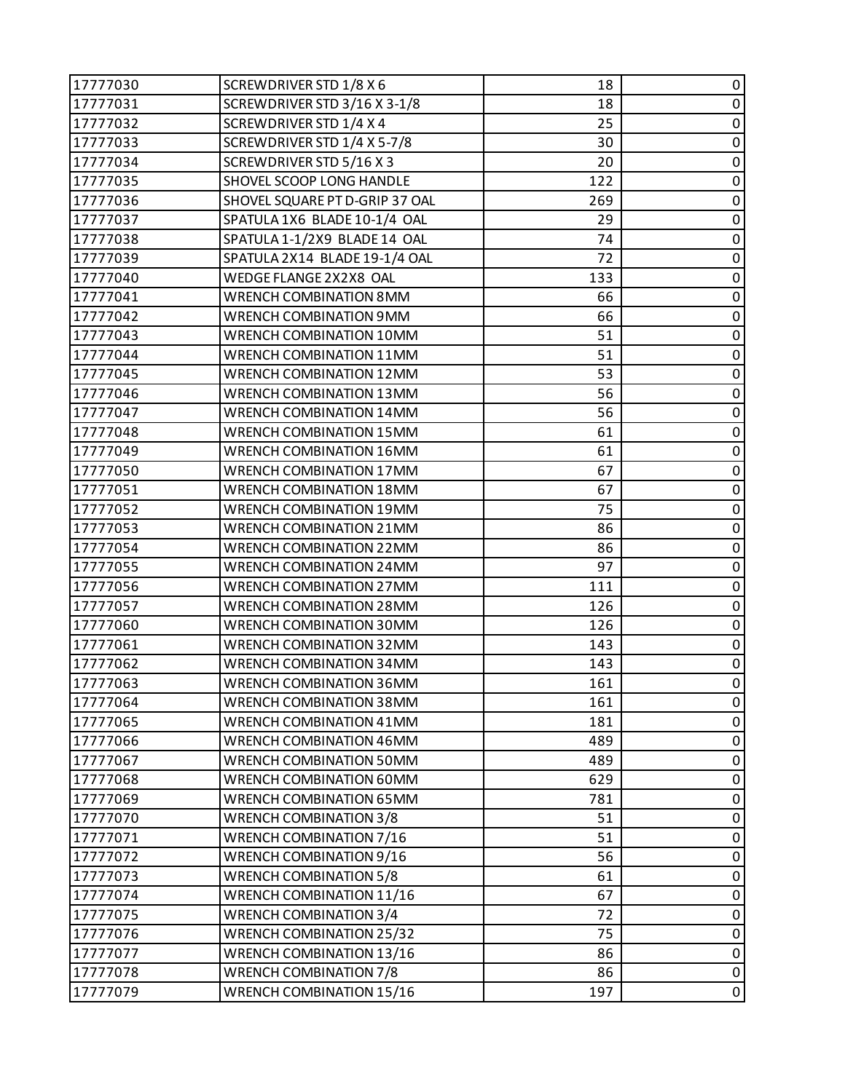| 17777030 | SCREWDRIVER STD 1/8 X 6        | 18  | 0              |
|----------|--------------------------------|-----|----------------|
| 17777031 | SCREWDRIVER STD 3/16 X 3-1/8   | 18  | $\pmb{0}$      |
| 17777032 | SCREWDRIVER STD 1/4 X 4        | 25  | 0              |
| 17777033 | SCREWDRIVER STD 1/4 X 5-7/8    | 30  | $\mathbf 0$    |
| 17777034 | SCREWDRIVER STD 5/16 X 3       | 20  | $\pmb{0}$      |
| 17777035 | SHOVEL SCOOP LONG HANDLE       | 122 | 0              |
| 17777036 | SHOVEL SQUARE PT D-GRIP 37 OAL | 269 | $\pmb{0}$      |
| 17777037 | SPATULA 1X6 BLADE 10-1/4 OAL   | 29  | $\pmb{0}$      |
| 17777038 | SPATULA 1-1/2X9 BLADE 14 OAL   | 74  | 0              |
| 17777039 | SPATULA 2X14 BLADE 19-1/4 OAL  | 72  | $\pmb{0}$      |
| 17777040 | WEDGE FLANGE 2X2X8 OAL         | 133 | $\pmb{0}$      |
| 17777041 | <b>WRENCH COMBINATION 8MM</b>  | 66  | 0              |
| 17777042 | WRENCH COMBINATION 9MM         | 66  | $\pmb{0}$      |
| 17777043 | WRENCH COMBINATION 10MM        | 51  | $\pmb{0}$      |
| 17777044 | WRENCH COMBINATION 11MM        | 51  | 0              |
| 17777045 | WRENCH COMBINATION 12MM        | 53  | $\mathbf 0$    |
| 17777046 | WRENCH COMBINATION 13MM        | 56  | $\pmb{0}$      |
| 17777047 | WRENCH COMBINATION 14MM        | 56  | 0              |
| 17777048 | WRENCH COMBINATION 15MM        | 61  | $\pmb{0}$      |
| 17777049 | WRENCH COMBINATION 16MM        | 61  | $\pmb{0}$      |
| 17777050 | <b>WRENCH COMBINATION 17MM</b> | 67  | 0              |
| 17777051 | WRENCH COMBINATION 18MM        | 67  | $\pmb{0}$      |
| 17777052 | WRENCH COMBINATION 19MM        | 75  | $\pmb{0}$      |
| 17777053 | WRENCH COMBINATION 21MM        | 86  | 0              |
| 17777054 | WRENCH COMBINATION 22MM        | 86  | $\pmb{0}$      |
| 17777055 | WRENCH COMBINATION 24MM        | 97  | $\pmb{0}$      |
| 17777056 | WRENCH COMBINATION 27MM        | 111 | 0              |
| 17777057 | WRENCH COMBINATION 28MM        | 126 | $\mathbf 0$    |
| 17777060 | WRENCH COMBINATION 30MM        | 126 | $\pmb{0}$      |
| 17777061 | WRENCH COMBINATION 32MM        | 143 | 0              |
| 17777062 | WRENCH COMBINATION 34MM        | 143 | $\pmb{0}$      |
| 17777063 | WRENCH COMBINATION 36MM        | 161 | $\pmb{0}$      |
| 17777064 | WRENCH COMBINATION 38MM        | 161 | 0              |
| 17777065 | WRENCH COMBINATION 41MM        | 181 | 0              |
| 17777066 | WRENCH COMBINATION 46MM        | 489 | $\pmb{0}$      |
| 17777067 | WRENCH COMBINATION 50MM        | 489 | 0              |
| 17777068 | WRENCH COMBINATION 60MM        | 629 | $\mathbf 0$    |
| 17777069 | WRENCH COMBINATION 65MM        | 781 | $\pmb{0}$      |
| 17777070 | <b>WRENCH COMBINATION 3/8</b>  | 51  | 0              |
| 17777071 | WRENCH COMBINATION 7/16        | 51  | $\pmb{0}$      |
| 17777072 | WRENCH COMBINATION 9/16        | 56  | $\pmb{0}$      |
| 17777073 | <b>WRENCH COMBINATION 5/8</b>  | 61  | 0              |
| 17777074 | WRENCH COMBINATION 11/16       | 67  | $\pmb{0}$      |
| 17777075 | <b>WRENCH COMBINATION 3/4</b>  | 72  | $\pmb{0}$      |
| 17777076 | WRENCH COMBINATION 25/32       | 75  | 0              |
| 17777077 | WRENCH COMBINATION 13/16       | 86  | $\pmb{0}$      |
| 17777078 | <b>WRENCH COMBINATION 7/8</b>  | 86  | $\pmb{0}$      |
| 17777079 | WRENCH COMBINATION 15/16       | 197 | $\overline{0}$ |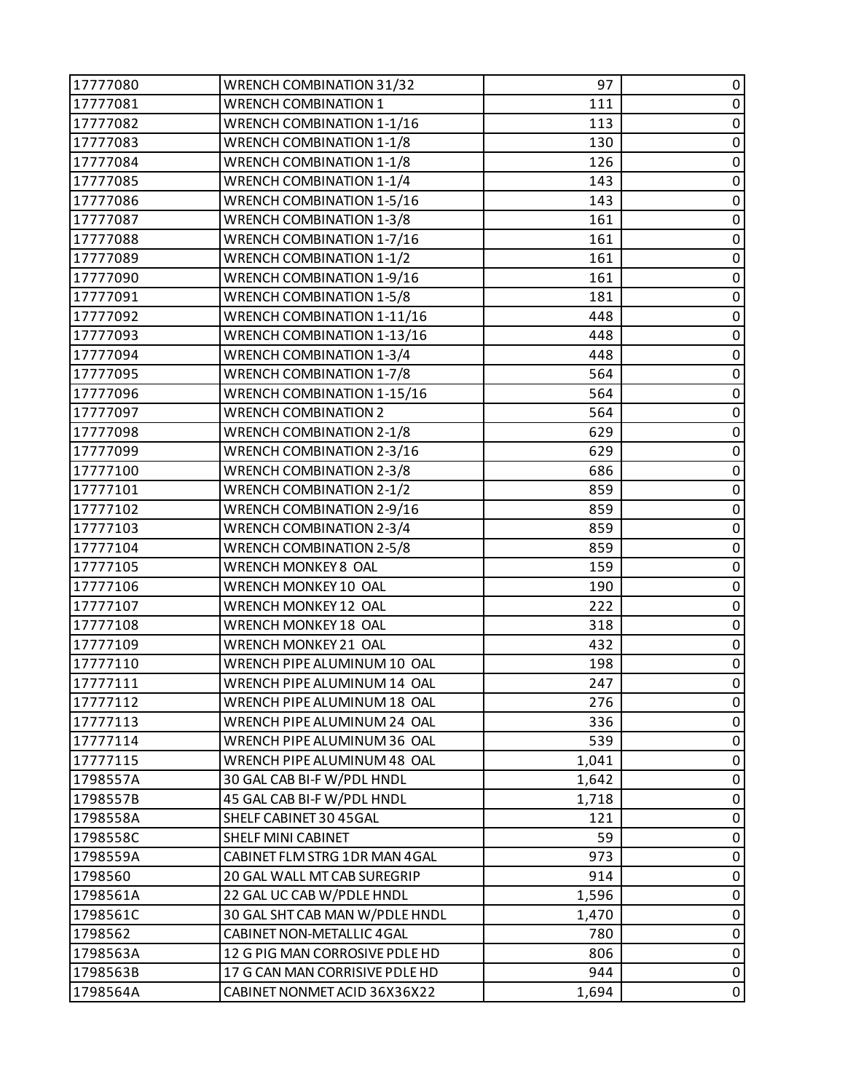| 17777080 | WRENCH COMBINATION 31/32          | 97    | 0           |
|----------|-----------------------------------|-------|-------------|
| 17777081 | <b>WRENCH COMBINATION 1</b>       | 111   | $\pmb{0}$   |
| 17777082 | <b>WRENCH COMBINATION 1-1/16</b>  | 113   | 0           |
| 17777083 | <b>WRENCH COMBINATION 1-1/8</b>   | 130   | $\pmb{0}$   |
| 17777084 | <b>WRENCH COMBINATION 1-1/8</b>   | 126   | $\pmb{0}$   |
| 17777085 | <b>WRENCH COMBINATION 1-1/4</b>   | 143   | $\pmb{0}$   |
| 17777086 | <b>WRENCH COMBINATION 1-5/16</b>  | 143   | $\pmb{0}$   |
| 17777087 | <b>WRENCH COMBINATION 1-3/8</b>   | 161   | $\pmb{0}$   |
| 17777088 | WRENCH COMBINATION 1-7/16         | 161   | 0           |
| 17777089 | <b>WRENCH COMBINATION 1-1/2</b>   | 161   | $\pmb{0}$   |
| 17777090 | <b>WRENCH COMBINATION 1-9/16</b>  | 161   | $\pmb{0}$   |
| 17777091 | <b>WRENCH COMBINATION 1-5/8</b>   | 181   | 0           |
| 17777092 | WRENCH COMBINATION 1-11/16        | 448   | $\pmb{0}$   |
| 17777093 | WRENCH COMBINATION 1-13/16        | 448   | $\pmb{0}$   |
| 17777094 | <b>WRENCH COMBINATION 1-3/4</b>   | 448   | $\pmb{0}$   |
| 17777095 | <b>WRENCH COMBINATION 1-7/8</b>   | 564   | $\pmb{0}$   |
| 17777096 | <b>WRENCH COMBINATION 1-15/16</b> | 564   | $\pmb{0}$   |
| 17777097 | <b>WRENCH COMBINATION 2</b>       | 564   | 0           |
| 17777098 | <b>WRENCH COMBINATION 2-1/8</b>   | 629   | $\pmb{0}$   |
| 17777099 | <b>WRENCH COMBINATION 2-3/16</b>  | 629   | $\pmb{0}$   |
| 17777100 | <b>WRENCH COMBINATION 2-3/8</b>   | 686   | $\pmb{0}$   |
| 17777101 | <b>WRENCH COMBINATION 2-1/2</b>   | 859   | $\pmb{0}$   |
| 17777102 | <b>WRENCH COMBINATION 2-9/16</b>  | 859   | $\pmb{0}$   |
| 17777103 | <b>WRENCH COMBINATION 2-3/4</b>   | 859   | 0           |
| 17777104 | <b>WRENCH COMBINATION 2-5/8</b>   | 859   | $\pmb{0}$   |
| 17777105 | WRENCH MONKEY 8 OAL               | 159   | $\pmb{0}$   |
| 17777106 | WRENCH MONKEY 10 OAL              | 190   | 0           |
| 17777107 | WRENCH MONKEY 12 OAL              | 222   | $\pmb{0}$   |
| 17777108 | WRENCH MONKEY 18 OAL              | 318   | $\pmb{0}$   |
| 17777109 | WRENCH MONKEY 21 OAL              | 432   | $\pmb{0}$   |
| 17777110 | WRENCH PIPE ALUMINUM 10 OAL       | 198   | $\pmb{0}$   |
| 17777111 | WRENCH PIPE ALUMINUM 14 OAL       | 247   | $\mathbf 0$ |
| 17777112 | WRENCH PIPE ALUMINUM 18 OAL       | 276   | 0           |
| 17777113 | WRENCH PIPE ALUMINUM 24 OAL       | 336   | 0           |
| 17777114 | WRENCH PIPE ALUMINUM 36 OAL       | 539   | $\pmb{0}$   |
| 17777115 | WRENCH PIPE ALUMINUM 48 OAL       | 1,041 | 0           |
| 1798557A | 30 GAL CAB BI-F W/PDL HNDL        | 1,642 | 0           |
| 1798557B | 45 GAL CAB BI-F W/PDL HNDL        | 1,718 | 0           |
| 1798558A | SHELF CABINET 30 45GAL            | 121   | 0           |
| 1798558C | SHELF MINI CABINET                | 59    | 0           |
| 1798559A | CABINET FLM STRG 1DR MAN 4GAL     | 973   | $\pmb{0}$   |
| 1798560  | 20 GAL WALL MT CAB SUREGRIP       | 914   | 0           |
| 1798561A | 22 GAL UC CAB W/PDLE HNDL         | 1,596 | 0           |
| 1798561C | 30 GAL SHT CAB MAN W/PDLE HNDL    | 1,470 | 0           |
| 1798562  | <b>CABINET NON-METALLIC 4GAL</b>  | 780   | 0           |
| 1798563A | 12 G PIG MAN CORROSIVE PDLE HD    | 806   | $\pmb{0}$   |
| 1798563B | 17 G CAN MAN CORRISIVE PDLE HD    | 944   | $\pmb{0}$   |
| 1798564A | CABINET NONMET ACID 36X36X22      | 1,694 | $\pmb{0}$   |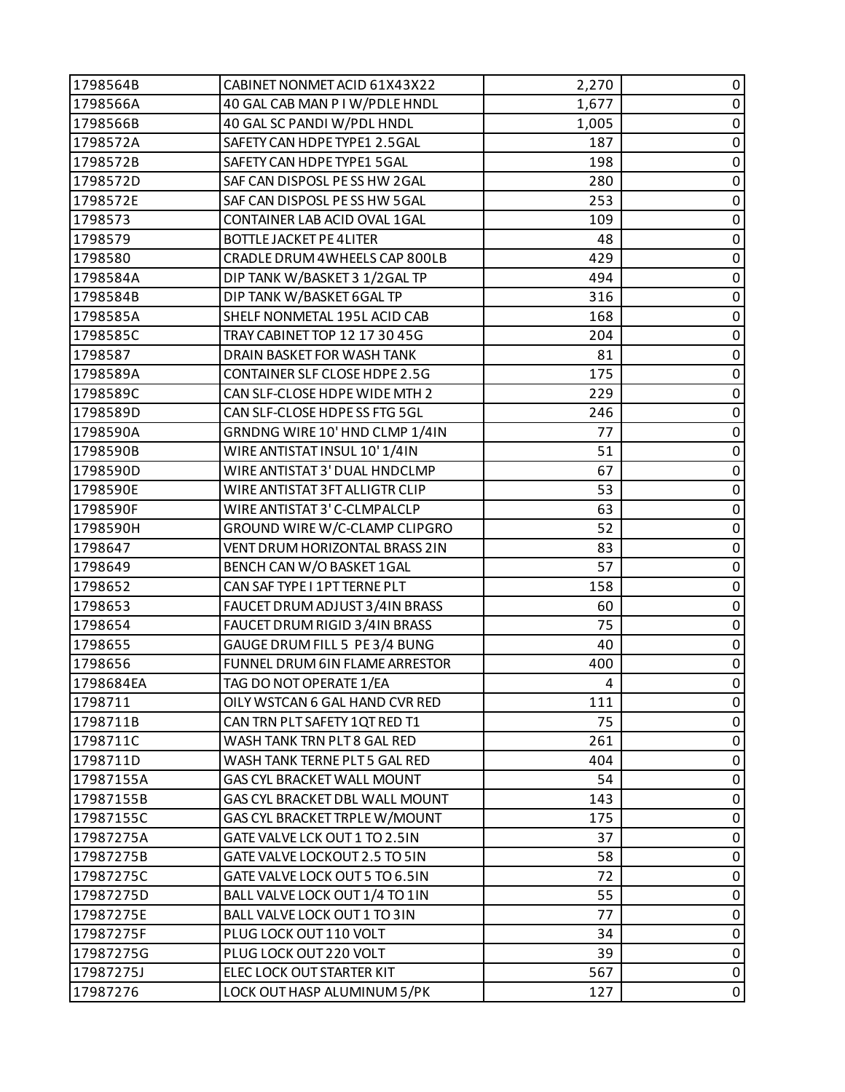| 1798564B  | CABINET NONMET ACID 61X43X22      | 2,270 | 0           |
|-----------|-----------------------------------|-------|-------------|
| 1798566A  | 40 GAL CAB MAN P I W/PDLE HNDL    | 1,677 | $\pmb{0}$   |
| 1798566B  | 40 GAL SC PANDI W/PDL HNDL        | 1,005 | 0           |
| 1798572A  | SAFETY CAN HDPE TYPE1 2.5GAL      | 187   | $\pmb{0}$   |
| 1798572B  | SAFETY CAN HDPE TYPE1 5GAL        | 198   | $\pmb{0}$   |
| 1798572D  | SAF CAN DISPOSL PESS HW 2GAL      | 280   | 0           |
| 1798572E  | SAF CAN DISPOSL PE SS HW 5GAL     | 253   | $\pmb{0}$   |
| 1798573   | CONTAINER LAB ACID OVAL 1GAL      | 109   | $\pmb{0}$   |
| 1798579   | <b>BOTTLE JACKET PE 4LITER</b>    | 48    | 0           |
| 1798580   | CRADLE DRUM 4WHEELS CAP 800LB     | 429   | $\pmb{0}$   |
| 1798584A  | DIP TANK W/BASKET 3 1/2GAL TP     | 494   | $\pmb{0}$   |
| 1798584B  | DIP TANK W/BASKET 6GAL TP         | 316   | 0           |
| 1798585A  | SHELF NONMETAL 195L ACID CAB      | 168   | $\pmb{0}$   |
| 1798585C  | TRAY CABINET TOP 12 17 30 45G     | 204   | $\pmb{0}$   |
| 1798587   | DRAIN BASKET FOR WASH TANK        | 81    | 0           |
| 1798589A  | CONTAINER SLF CLOSE HDPE 2.5G     | 175   | $\pmb{0}$   |
| 1798589C  | CAN SLF-CLOSE HDPE WIDE MTH 2     | 229   | $\pmb{0}$   |
| 1798589D  | CAN SLF-CLOSE HDPE SS FTG 5GL     | 246   | 0           |
| 1798590A  | GRNDNG WIRE 10' HND CLMP 1/4IN    | 77    | $\pmb{0}$   |
| 1798590B  | WIRE ANTISTAT INSUL 10'1/4IN      | 51    | $\pmb{0}$   |
| 1798590D  | WIRE ANTISTAT 3' DUAL HNDCLMP     | 67    | 0           |
| 1798590E  | WIRE ANTISTAT 3FT ALLIGTR CLIP    | 53    | $\pmb{0}$   |
| 1798590F  | WIRE ANTISTAT 3' C-CLMPALCLP      | 63    | $\pmb{0}$   |
| 1798590H  | GROUND WIRE W/C-CLAMP CLIPGRO     | 52    | 0           |
| 1798647   | VENT DRUM HORIZONTAL BRASS 2IN    | 83    | $\mathbf 0$ |
| 1798649   | BENCH CAN W/O BASKET 1GAL         | 57    | $\pmb{0}$   |
| 1798652   | CAN SAF TYPE I 1PT TERNE PLT      | 158   | 0           |
| 1798653   | FAUCET DRUM ADJUST 3/4IN BRASS    | 60    | $\pmb{0}$   |
| 1798654   | FAUCET DRUM RIGID 3/4IN BRASS     | 75    | $\pmb{0}$   |
| 1798655   | GAUGE DRUM FILL 5 PE 3/4 BUNG     | 40    | $\pmb{0}$   |
| 1798656   | FUNNEL DRUM 6IN FLAME ARRESTOR    | 400   | $\pmb{0}$   |
| 1798684EA | TAG DO NOT OPERATE 1/EA           | 4     | $\pmb{0}$   |
| 1798711   | OILY WSTCAN 6 GAL HAND CVR RED    | 111   | 0           |
| 1798711B  | CAN TRN PLT SAFETY 1QT RED T1     | 75    | 0           |
| 1798711C  | WASH TANK TRN PLT 8 GAL RED       | 261   | $\pmb{0}$   |
| 1798711D  | WASH TANK TERNE PLT 5 GAL RED     | 404   | 0           |
| 17987155A | <b>GAS CYL BRACKET WALL MOUNT</b> | 54    | 0           |
| 17987155B | GAS CYL BRACKET DBL WALL MOUNT    | 143   | $\pmb{0}$   |
| 17987155C | GAS CYL BRACKET TRPLE W/MOUNT     | 175   | 0           |
| 17987275A | GATE VALVE LCK OUT 1 TO 2.5IN     | 37    | 0           |
| 17987275B | GATE VALVE LOCKOUT 2.5 TO 5IN     | 58    | $\pmb{0}$   |
| 17987275C | GATE VALVE LOCK OUT 5 TO 6.5IN    | 72    | 0           |
| 17987275D | BALL VALVE LOCK OUT 1/4 TO 1IN    | 55    | 0           |
| 17987275E | BALL VALVE LOCK OUT 1 TO 3IN      | 77    | $\pmb{0}$   |
| 17987275F | PLUG LOCK OUT 110 VOLT            | 34    | 0           |
| 17987275G | PLUG LOCK OUT 220 VOLT            | 39    | $\pmb{0}$   |
| 17987275J | ELEC LOCK OUT STARTER KIT         | 567   | $\pmb{0}$   |
| 17987276  | LOCK OUT HASP ALUMINUM 5/PK       | 127   | $\pmb{0}$   |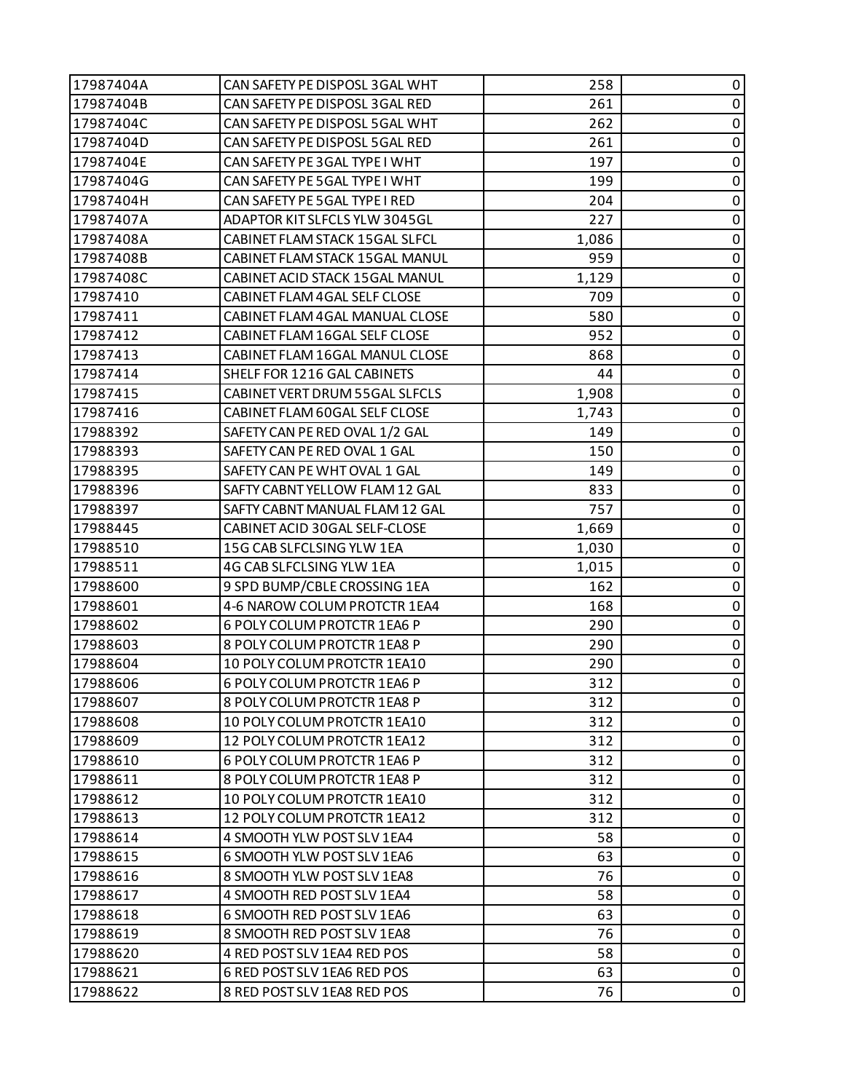| 17987404A | CAN SAFETY PE DISPOSL 3GAL WHT | 258   | 0              |
|-----------|--------------------------------|-------|----------------|
| 17987404B | CAN SAFETY PE DISPOSL 3GAL RED | 261   | $\pmb{0}$      |
| 17987404C | CAN SAFETY PE DISPOSL 5GAL WHT | 262   | 0              |
| 17987404D | CAN SAFETY PE DISPOSL 5GAL RED | 261   | $\pmb{0}$      |
| 17987404E | CAN SAFETY PE 3GAL TYPE I WHT  | 197   | 0              |
| 17987404G | CAN SAFETY PE 5GAL TYPE I WHT  | 199   | 0              |
| 17987404H | CAN SAFETY PE 5GAL TYPE I RED  | 204   | $\pmb{0}$      |
| 17987407A | ADAPTOR KIT SLFCLS YLW 3045GL  | 227   | $\pmb{0}$      |
| 17987408A | CABINET FLAM STACK 15GAL SLFCL | 1,086 | 0              |
| 17987408B | CABINET FLAM STACK 15GAL MANUL | 959   | $\pmb{0}$      |
| 17987408C | CABINET ACID STACK 15GAL MANUL | 1,129 | $\pmb{0}$      |
| 17987410  | CABINET FLAM 4GAL SELF CLOSE   | 709   | 0              |
| 17987411  | CABINET FLAM 4GAL MANUAL CLOSE | 580   | $\pmb{0}$      |
| 17987412  | CABINET FLAM 16GAL SELF CLOSE  | 952   | $\pmb{0}$      |
| 17987413  | CABINET FLAM 16GAL MANUL CLOSE | 868   | 0              |
| 17987414  | SHELF FOR 1216 GAL CABINETS    | 44    | $\pmb{0}$      |
| 17987415  | CABINET VERT DRUM 55GAL SLFCLS | 1,908 | 0              |
| 17987416  | CABINET FLAM 60GAL SELF CLOSE  | 1,743 | 0              |
| 17988392  | SAFETY CAN PE RED OVAL 1/2 GAL | 149   | $\pmb{0}$      |
| 17988393  | SAFETY CAN PE RED OVAL 1 GAL   | 150   | $\pmb{0}$      |
| 17988395  | SAFETY CAN PE WHT OVAL 1 GAL   | 149   | 0              |
| 17988396  | SAFTY CABNT YELLOW FLAM 12 GAL | 833   | $\pmb{0}$      |
| 17988397  | SAFTY CABNT MANUAL FLAM 12 GAL | 757   | 0              |
| 17988445  | CABINET ACID 30GAL SELF-CLOSE  | 1,669 | 0              |
| 17988510  | 15G CAB SLFCLSING YLW 1EA      | 1,030 | $\pmb{0}$      |
| 17988511  | 4G CAB SLFCLSING YLW 1EA       | 1,015 | $\pmb{0}$      |
| 17988600  | 9 SPD BUMP/CBLE CROSSING 1EA   | 162   | 0              |
| 17988601  | 4-6 NAROW COLUM PROTCTR 1EA4   | 168   | $\pmb{0}$      |
| 17988602  | 6 POLY COLUM PROTCTR 1EA6 P    | 290   | $\pmb{0}$      |
| 17988603  | 8 POLY COLUM PROTCTR 1EA8 P    | 290   | $\pmb{0}$      |
| 17988604  | 10 POLY COLUM PROTCTR 1EA10    | 290   | $\pmb{0}$      |
| 17988606  | 6 POLY COLUM PROTCTR 1EA6 P    | 312   | $\pmb{0}$      |
| 17988607  | 8 POLY COLUM PROTCTR 1EA8 P    | 312   | 0              |
| 17988608  | 10 POLY COLUM PROTCTR 1EA10    | 312   | 0              |
| 17988609  | 12 POLY COLUM PROTCTR 1EA12    | 312   | 0              |
| 17988610  | 6 POLY COLUM PROTCTR 1EA6 P    | 312   | 0              |
| 17988611  | 8 POLY COLUM PROTCTR 1EA8 P    | 312   | 0              |
| 17988612  | 10 POLY COLUM PROTCTR 1EA10    | 312   | 0              |
| 17988613  | 12 POLY COLUM PROTCTR 1EA12    | 312   | 0              |
| 17988614  | 4 SMOOTH YLW POST SLV 1EA4     | 58    | 0              |
| 17988615  | 6 SMOOTH YLW POST SLV 1EA6     | 63    | $\mathbf 0$    |
| 17988616  | 8 SMOOTH YLW POST SLV 1EA8     | 76    | 0              |
| 17988617  | 4 SMOOTH RED POST SLV 1EA4     | 58    | 0              |
| 17988618  | 6 SMOOTH RED POST SLV 1EA6     | 63    | 0              |
| 17988619  | 8 SMOOTH RED POST SLV 1EA8     | 76    | 0              |
| 17988620  | 4 RED POST SLV 1EA4 RED POS    | 58    | 0              |
| 17988621  | 6 RED POST SLV 1EA6 RED POS    | 63    | $\pmb{0}$      |
| 17988622  | 8 RED POST SLV 1EA8 RED POS    | 76    | $\overline{0}$ |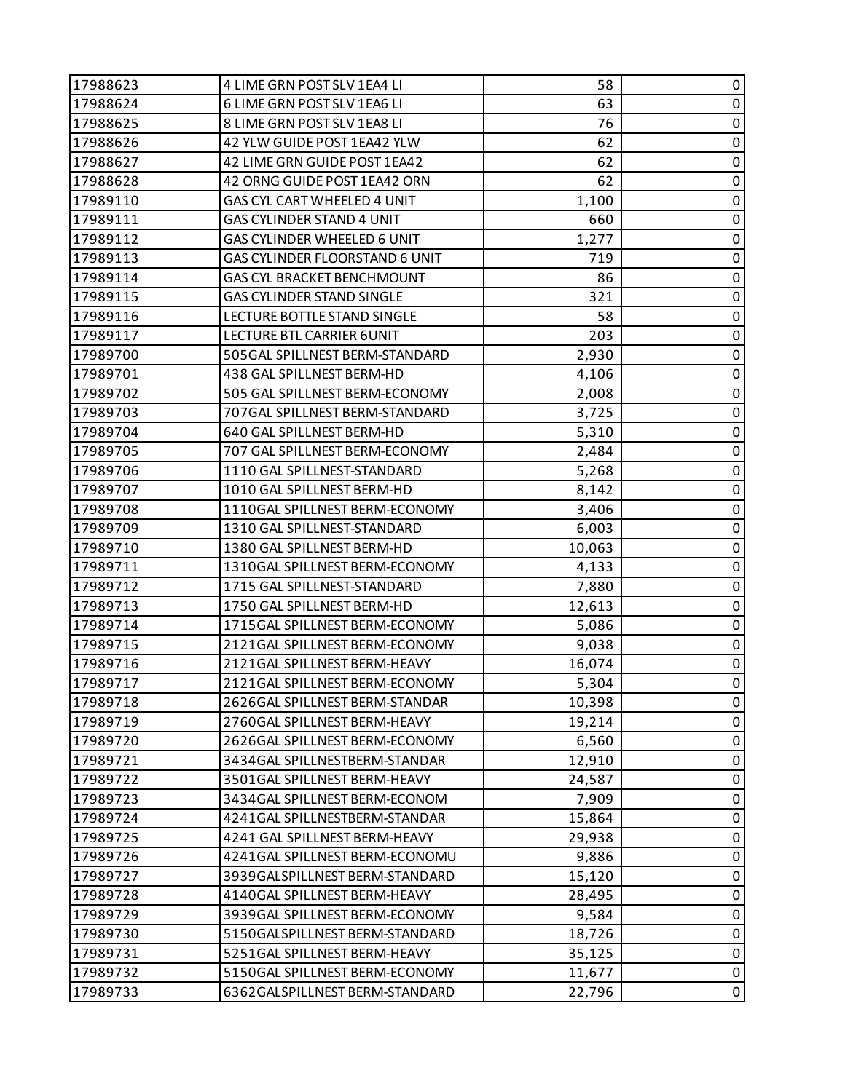| 17988623 | 4 LIME GRN POST SLV 1EA4 LI           | 58     | 0           |
|----------|---------------------------------------|--------|-------------|
| 17988624 | 6 LIME GRN POST SLV 1EA6 LI           | 63     | 0           |
| 17988625 | 8 LIME GRN POST SLV 1EA8 LI           | 76     | 0           |
| 17988626 | 42 YLW GUIDE POST 1EA42 YLW           | 62     | $\pmb{0}$   |
| 17988627 | 42 LIME GRN GUIDE POST 1EA42          | 62     | $\pmb{0}$   |
| 17988628 | 42 ORNG GUIDE POST 1EA42 ORN          | 62     | 0           |
| 17989110 | GAS CYL CART WHEELED 4 UNIT           | 1,100  | $\pmb{0}$   |
| 17989111 | GAS CYLINDER STAND 4 UNIT             | 660    | $\pmb{0}$   |
| 17989112 | GAS CYLINDER WHEELED 6 UNIT           | 1,277  | 0           |
| 17989113 | <b>GAS CYLINDER FLOORSTAND 6 UNIT</b> | 719    | $\pmb{0}$   |
| 17989114 | <b>GAS CYL BRACKET BENCHMOUNT</b>     | 86     | $\pmb{0}$   |
| 17989115 | GAS CYLINDER STAND SINGLE             | 321    | 0           |
| 17989116 | LECTURE BOTTLE STAND SINGLE           | 58     | $\pmb{0}$   |
| 17989117 | LECTURE BTL CARRIER 6UNIT             | 203    | $\pmb{0}$   |
| 17989700 | 505GAL SPILLNEST BERM-STANDARD        | 2,930  | 0           |
| 17989701 | 438 GAL SPILLNEST BERM-HD             | 4,106  | $\pmb{0}$   |
| 17989702 | 505 GAL SPILLNEST BERM-ECONOMY        | 2,008  | $\pmb{0}$   |
| 17989703 | 707GAL SPILLNEST BERM-STANDARD        | 3,725  | 0           |
| 17989704 | 640 GAL SPILLNEST BERM-HD             | 5,310  | $\pmb{0}$   |
| 17989705 | 707 GAL SPILLNEST BERM-ECONOMY        | 2,484  | 0           |
| 17989706 | 1110 GAL SPILLNEST-STANDARD           | 5,268  | 0           |
| 17989707 | 1010 GAL SPILLNEST BERM-HD            | 8,142  | $\pmb{0}$   |
| 17989708 | 1110GAL SPILLNEST BERM-ECONOMY        | 3,406  | $\pmb{0}$   |
| 17989709 | 1310 GAL SPILLNEST-STANDARD           | 6,003  | 0           |
| 17989710 | 1380 GAL SPILLNEST BERM-HD            | 10,063 | $\pmb{0}$   |
| 17989711 | 1310GAL SPILLNEST BERM-ECONOMY        | 4,133  | $\pmb{0}$   |
| 17989712 | 1715 GAL SPILLNEST-STANDARD           | 7,880  | 0           |
| 17989713 | 1750 GAL SPILLNEST BERM-HD            | 12,613 | $\pmb{0}$   |
| 17989714 | 1715GAL SPILLNEST BERM-ECONOMY        | 5,086  | 0           |
| 17989715 | 2121GAL SPILLNEST BERM-ECONOMY        | 9,038  | 0           |
| 17989716 | 2121GAL SPILLNEST BERM-HEAVY          | 16,074 | $\pmb{0}$   |
| 17989717 | 2121GAL SPILLNEST BERM-ECONOMY        | 5,304  | $\mathbf 0$ |
| 17989718 | 2626GAL SPILLNEST BERM-STANDAR        | 10,398 | 0           |
| 17989719 | 2760GAL SPILLNEST BERM-HEAVY          | 19,214 | 0           |
| 17989720 | 2626GAL SPILLNEST BERM-ECONOMY        | 6,560  | $\pmb{0}$   |
| 17989721 | 3434GAL SPILLNESTBERM-STANDAR         | 12,910 | 0           |
| 17989722 | 3501GAL SPILLNEST BERM-HEAVY          | 24,587 | 0           |
| 17989723 | 3434GAL SPILLNEST BERM-ECONOM         | 7,909  | 0           |
| 17989724 | 4241GAL SPILLNESTBERM-STANDAR         | 15,864 | 0           |
| 17989725 | 4241 GAL SPILLNEST BERM-HEAVY         | 29,938 | 0           |
| 17989726 | 4241GAL SPILLNEST BERM-ECONOMU        | 9,886  | $\mathbf 0$ |
| 17989727 | 3939GALSPILLNEST BERM-STANDARD        | 15,120 | 0           |
| 17989728 | 4140GAL SPILLNEST BERM-HEAVY          | 28,495 | 0           |
| 17989729 | 3939GAL SPILLNEST BERM-ECONOMY        | 9,584  | $\mathbf 0$ |
| 17989730 | 5150GALSPILLNEST BERM-STANDARD        | 18,726 | 0           |
| 17989731 | 5251GAL SPILLNEST BERM-HEAVY          | 35,125 | $\pmb{0}$   |
| 17989732 | 5150GAL SPILLNEST BERM-ECONOMY        | 11,677 | $\pmb{0}$   |
| 17989733 | 6362GALSPILLNEST BERM-STANDARD        | 22,796 | 0           |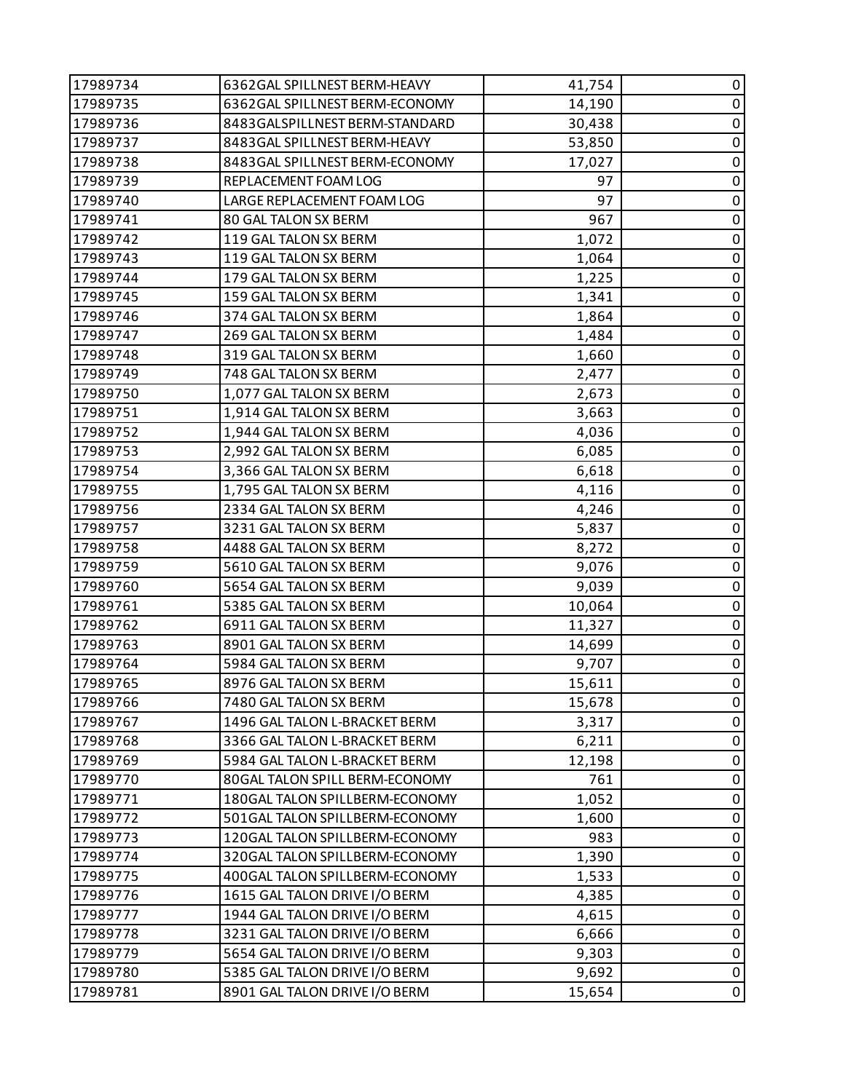| 17989734 | 6362GAL SPILLNEST BERM-HEAVY   | 41,754 | 0           |
|----------|--------------------------------|--------|-------------|
| 17989735 | 6362GAL SPILLNEST BERM-ECONOMY | 14,190 | $\pmb{0}$   |
| 17989736 | 8483GALSPILLNEST BERM-STANDARD | 30,438 | 0           |
| 17989737 | 8483GAL SPILLNEST BERM-HEAVY   | 53,850 | $\pmb{0}$   |
| 17989738 | 8483GAL SPILLNEST BERM-ECONOMY | 17,027 | $\pmb{0}$   |
| 17989739 | REPLACEMENT FOAM LOG           | 97     | 0           |
| 17989740 | LARGE REPLACEMENT FOAM LOG     | 97     | $\pmb{0}$   |
| 17989741 | 80 GAL TALON SX BERM           | 967    | $\pmb{0}$   |
| 17989742 | 119 GAL TALON SX BERM          | 1,072  | 0           |
| 17989743 | 119 GAL TALON SX BERM          | 1,064  | $\pmb{0}$   |
| 17989744 | 179 GAL TALON SX BERM          | 1,225  | $\pmb{0}$   |
| 17989745 | 159 GAL TALON SX BERM          | 1,341  | 0           |
| 17989746 | 374 GAL TALON SX BERM          | 1,864  | $\pmb{0}$   |
| 17989747 | 269 GAL TALON SX BERM          | 1,484  | $\pmb{0}$   |
| 17989748 | 319 GAL TALON SX BERM          | 1,660  | 0           |
| 17989749 | 748 GAL TALON SX BERM          | 2,477  | $\pmb{0}$   |
| 17989750 | 1,077 GAL TALON SX BERM        | 2,673  | 0           |
| 17989751 | 1,914 GAL TALON SX BERM        | 3,663  | 0           |
| 17989752 | 1,944 GAL TALON SX BERM        | 4,036  | $\pmb{0}$   |
| 17989753 | 2,992 GAL TALON SX BERM        | 6,085  | $\pmb{0}$   |
| 17989754 | 3,366 GAL TALON SX BERM        | 6,618  | 0           |
| 17989755 | 1,795 GAL TALON SX BERM        | 4,116  | $\pmb{0}$   |
| 17989756 | 2334 GAL TALON SX BERM         | 4,246  | 0           |
| 17989757 | 3231 GAL TALON SX BERM         | 5,837  | 0           |
| 17989758 | 4488 GAL TALON SX BERM         | 8,272  | $\pmb{0}$   |
| 17989759 | 5610 GAL TALON SX BERM         | 9,076  | $\pmb{0}$   |
| 17989760 | 5654 GAL TALON SX BERM         | 9,039  | 0           |
| 17989761 | 5385 GAL TALON SX BERM         | 10,064 | $\pmb{0}$   |
| 17989762 | 6911 GAL TALON SX BERM         | 11,327 | $\pmb{0}$   |
| 17989763 | 8901 GAL TALON SX BERM         | 14,699 | $\pmb{0}$   |
| 17989764 | 5984 GAL TALON SX BERM         | 9,707  | $\pmb{0}$   |
| 17989765 | 8976 GAL TALON SX BERM         | 15,611 | $\pmb{0}$   |
| 17989766 | 7480 GAL TALON SX BERM         | 15,678 | 0           |
| 17989767 | 1496 GAL TALON L-BRACKET BERM  | 3,317  | 0           |
| 17989768 | 3366 GAL TALON L-BRACKET BERM  | 6,211  | $\pmb{0}$   |
| 17989769 | 5984 GAL TALON L-BRACKET BERM  | 12,198 | 0           |
| 17989770 | 80GAL TALON SPILL BERM-ECONOMY | 761    | 0           |
| 17989771 | 180GAL TALON SPILLBERM-ECONOMY | 1,052  | 0           |
| 17989772 | 501GAL TALON SPILLBERM-ECONOMY | 1,600  | 0           |
| 17989773 | 120GAL TALON SPILLBERM-ECONOMY | 983    | 0           |
| 17989774 | 320GAL TALON SPILLBERM-ECONOMY | 1,390  | $\mathbf 0$ |
| 17989775 | 400GAL TALON SPILLBERM-ECONOMY | 1,533  | 0           |
| 17989776 | 1615 GAL TALON DRIVE I/O BERM  | 4,385  | 0           |
| 17989777 | 1944 GAL TALON DRIVE I/O BERM  | 4,615  | $\mathbf 0$ |
| 17989778 | 3231 GAL TALON DRIVE I/O BERM  | 6,666  | 0           |
| 17989779 | 5654 GAL TALON DRIVE I/O BERM  | 9,303  | $\pmb{0}$   |
| 17989780 | 5385 GAL TALON DRIVE I/O BERM  | 9,692  | $\pmb{0}$   |
| 17989781 | 8901 GAL TALON DRIVE I/O BERM  | 15,654 | 0           |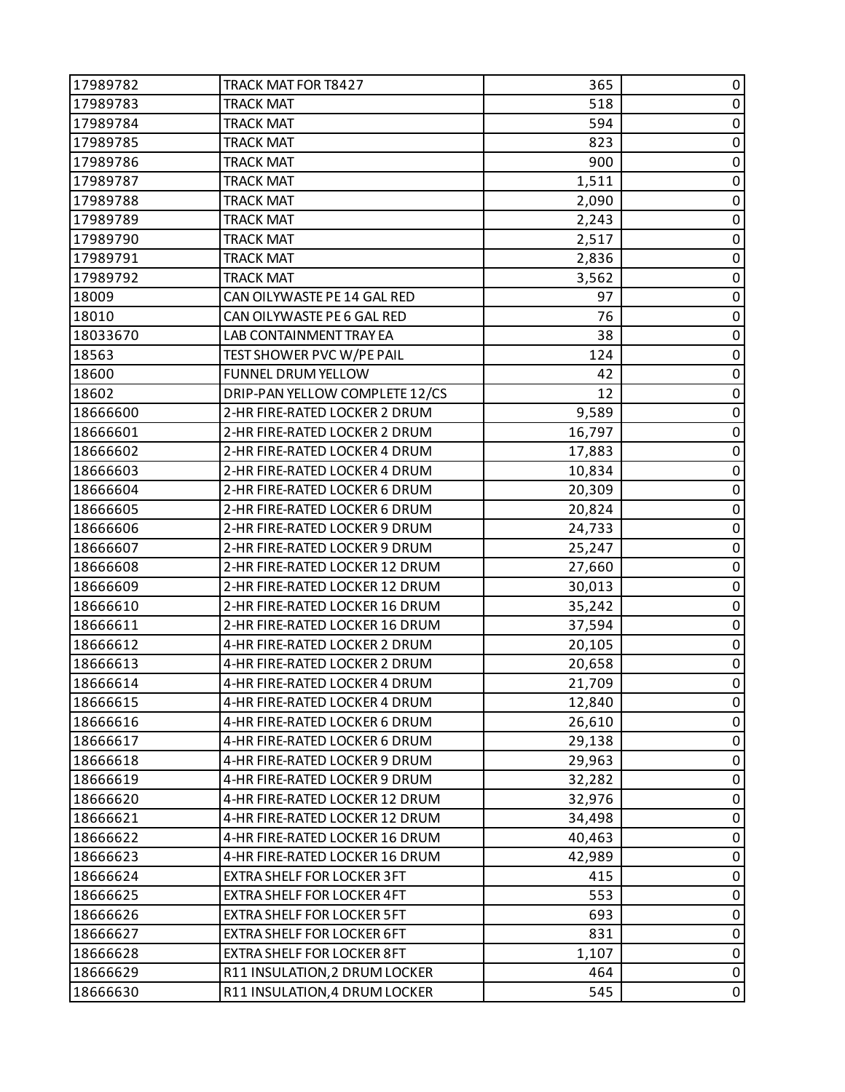| 17989782 | TRACK MAT FOR T8427               | 365    | 0                |
|----------|-----------------------------------|--------|------------------|
| 17989783 | <b>TRACK MAT</b>                  | 518    | $\pmb{0}$        |
| 17989784 | <b>TRACK MAT</b>                  | 594    | 0                |
| 17989785 | <b>TRACK MAT</b>                  | 823    | $\pmb{0}$        |
| 17989786 | <b>TRACK MAT</b>                  | 900    | 0                |
| 17989787 | <b>TRACK MAT</b>                  | 1,511  | 0                |
| 17989788 | <b>TRACK MAT</b>                  | 2,090  | $\pmb{0}$        |
| 17989789 | <b>TRACK MAT</b>                  | 2,243  | $\pmb{0}$        |
| 17989790 | <b>TRACK MAT</b>                  | 2,517  | $\pmb{0}$        |
| 17989791 | <b>TRACK MAT</b>                  | 2,836  | $\pmb{0}$        |
| 17989792 | <b>TRACK MAT</b>                  | 3,562  | $\pmb{0}$        |
| 18009    | CAN OILYWASTE PE 14 GAL RED       | 97     | 0                |
| 18010    | CAN OILYWASTE PE 6 GAL RED        | 76     | $\pmb{0}$        |
| 18033670 | LAB CONTAINMENT TRAY EA           | 38     | $\pmb{0}$        |
| 18563    | TEST SHOWER PVC W/PE PAIL         | 124    | 0                |
| 18600    | FUNNEL DRUM YELLOW                | 42     | 0                |
| 18602    | DRIP-PAN YELLOW COMPLETE 12/CS    | 12     | $\pmb{0}$        |
| 18666600 | 2-HR FIRE-RATED LOCKER 2 DRUM     | 9,589  | $\pmb{0}$        |
| 18666601 | 2-HR FIRE-RATED LOCKER 2 DRUM     | 16,797 | $\pmb{0}$        |
| 18666602 | 2-HR FIRE-RATED LOCKER 4 DRUM     | 17,883 | $\pmb{0}$        |
| 18666603 | 2-HR FIRE-RATED LOCKER 4 DRUM     | 10,834 | $\pmb{0}$        |
| 18666604 | 2-HR FIRE-RATED LOCKER 6 DRUM     | 20,309 | $\pmb{0}$        |
| 18666605 | 2-HR FIRE-RATED LOCKER 6 DRUM     | 20,824 | 0                |
| 18666606 | 2-HR FIRE-RATED LOCKER 9 DRUM     | 24,733 | 0                |
| 18666607 | 2-HR FIRE-RATED LOCKER 9 DRUM     | 25,247 | $\pmb{0}$        |
| 18666608 | 2-HR FIRE-RATED LOCKER 12 DRUM    | 27,660 | 0                |
| 18666609 | 2-HR FIRE-RATED LOCKER 12 DRUM    | 30,013 | $\pmb{0}$        |
| 18666610 | 2-HR FIRE-RATED LOCKER 16 DRUM    | 35,242 | $\pmb{0}$        |
| 18666611 | 2-HR FIRE-RATED LOCKER 16 DRUM    | 37,594 | $\boldsymbol{0}$ |
| 18666612 | 4-HR FIRE-RATED LOCKER 2 DRUM     | 20,105 | 0                |
| 18666613 | 4-HR FIRE-RATED LOCKER 2 DRUM     | 20,658 | $\pmb{0}$        |
| 18666614 | 4-HR FIRE-RATED LOCKER 4 DRUM     | 21,709 | $\pmb{0}$        |
| 18666615 | 4-HR FIRE-RATED LOCKER 4 DRUM     | 12,840 | 0                |
| 18666616 | 4-HR FIRE-RATED LOCKER 6 DRUM     | 26,610 | 0                |
| 18666617 | 4-HR FIRE-RATED LOCKER 6 DRUM     | 29,138 | $\pmb{0}$        |
| 18666618 | 4-HR FIRE-RATED LOCKER 9 DRUM     | 29,963 | 0                |
| 18666619 | 4-HR FIRE-RATED LOCKER 9 DRUM     | 32,282 | 0                |
| 18666620 | 4-HR FIRE-RATED LOCKER 12 DRUM    | 32,976 | $\pmb{0}$        |
| 18666621 | 4-HR FIRE-RATED LOCKER 12 DRUM    | 34,498 | 0                |
| 18666622 | 4-HR FIRE-RATED LOCKER 16 DRUM    | 40,463 | 0                |
| 18666623 | 4-HR FIRE-RATED LOCKER 16 DRUM    | 42,989 | $\pmb{0}$        |
| 18666624 | <b>EXTRA SHELF FOR LOCKER 3FT</b> | 415    | 0                |
| 18666625 | EXTRA SHELF FOR LOCKER 4FT        | 553    | $\mathbf 0$      |
| 18666626 | <b>EXTRA SHELF FOR LOCKER 5FT</b> | 693    | $\pmb{0}$        |
| 18666627 | <b>EXTRA SHELF FOR LOCKER 6FT</b> | 831    | 0                |
| 18666628 | EXTRA SHELF FOR LOCKER 8FT        | 1,107  | 0                |
| 18666629 | R11 INSULATION, 2 DRUM LOCKER     | 464    | $\pmb{0}$        |
| 18666630 | R11 INSULATION, 4 DRUM LOCKER     | 545    | 0                |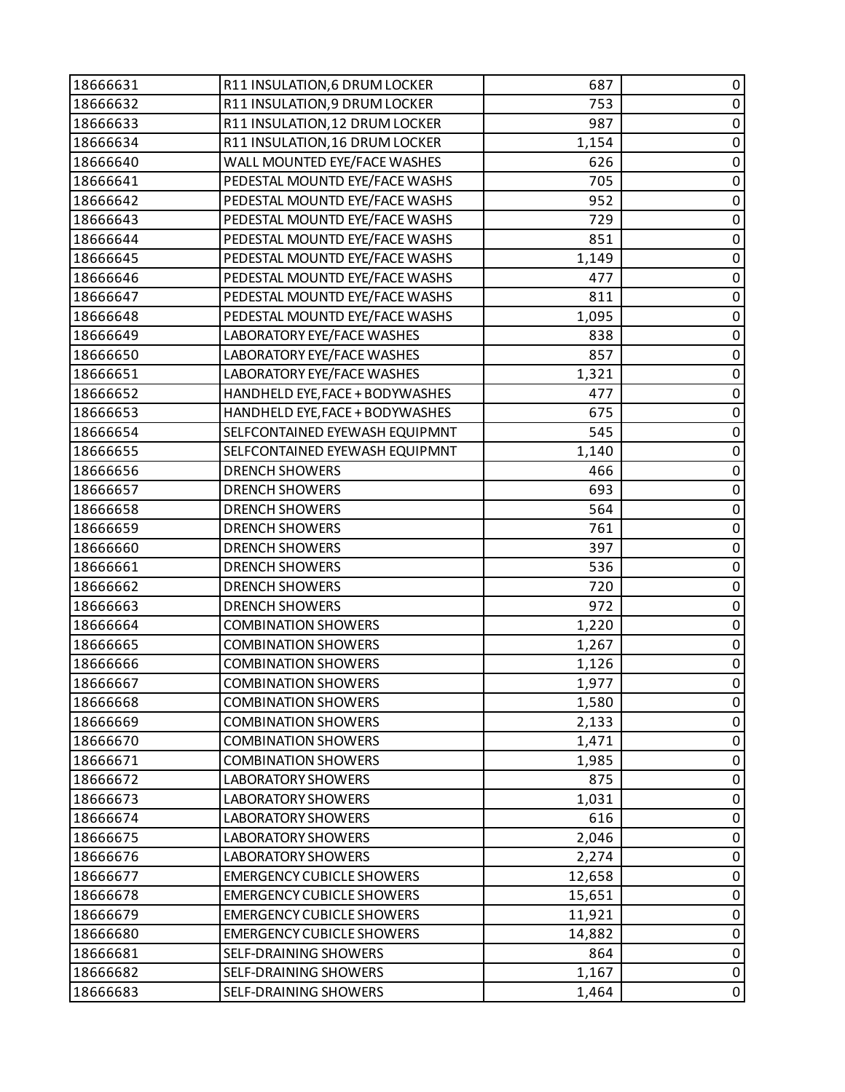| 18666631 | R11 INSULATION, 6 DRUM LOCKER     | 687    | $\pmb{0}$   |
|----------|-----------------------------------|--------|-------------|
| 18666632 | R11 INSULATION, 9 DRUM LOCKER     | 753    | $\pmb{0}$   |
| 18666633 | R11 INSULATION, 12 DRUM LOCKER    | 987    | $\pmb{0}$   |
| 18666634 | R11 INSULATION, 16 DRUM LOCKER    | 1,154  | $\pmb{0}$   |
| 18666640 | WALL MOUNTED EYE/FACE WASHES      | 626    | $\pmb{0}$   |
| 18666641 | PEDESTAL MOUNTD EYE/FACE WASHS    | 705    | $\pmb{0}$   |
| 18666642 | PEDESTAL MOUNTD EYE/FACE WASHS    | 952    | $\pmb{0}$   |
| 18666643 | PEDESTAL MOUNTD EYE/FACE WASHS    | 729    | $\pmb{0}$   |
| 18666644 | PEDESTAL MOUNTD EYE/FACE WASHS    | 851    | $\pmb{0}$   |
| 18666645 | PEDESTAL MOUNTD EYE/FACE WASHS    | 1,149  | $\pmb{0}$   |
| 18666646 | PEDESTAL MOUNTD EYE/FACE WASHS    | 477    | $\pmb{0}$   |
| 18666647 | PEDESTAL MOUNTD EYE/FACE WASHS    | 811    | $\pmb{0}$   |
| 18666648 | PEDESTAL MOUNTD EYE/FACE WASHS    | 1,095  | $\pmb{0}$   |
| 18666649 | LABORATORY EYE/FACE WASHES        | 838    | $\pmb{0}$   |
| 18666650 | <b>LABORATORY EYE/FACE WASHES</b> | 857    | $\pmb{0}$   |
| 18666651 | LABORATORY EYE/FACE WASHES        | 1,321  | $\pmb{0}$   |
| 18666652 | HANDHELD EYE, FACE + BODYWASHES   | 477    | 0           |
| 18666653 | HANDHELD EYE, FACE + BODYWASHES   | 675    | $\pmb{0}$   |
| 18666654 | SELFCONTAINED EYEWASH EQUIPMNT    | 545    | $\pmb{0}$   |
| 18666655 | SELFCONTAINED EYEWASH EQUIPMNT    | 1,140  | $\pmb{0}$   |
| 18666656 | <b>DRENCH SHOWERS</b>             | 466    | $\pmb{0}$   |
| 18666657 | <b>DRENCH SHOWERS</b>             | 693    | $\pmb{0}$   |
| 18666658 | <b>DRENCH SHOWERS</b>             | 564    | $\pmb{0}$   |
| 18666659 | <b>DRENCH SHOWERS</b>             | 761    | $\pmb{0}$   |
| 18666660 | <b>DRENCH SHOWERS</b>             | 397    | $\pmb{0}$   |
| 18666661 | <b>DRENCH SHOWERS</b>             | 536    | $\pmb{0}$   |
| 18666662 | <b>DRENCH SHOWERS</b>             | 720    | $\pmb{0}$   |
| 18666663 | <b>DRENCH SHOWERS</b>             | 972    | $\pmb{0}$   |
| 18666664 | <b>COMBINATION SHOWERS</b>        | 1,220  | $\pmb{0}$   |
| 18666665 | <b>COMBINATION SHOWERS</b>        | 1,267  | $\pmb{0}$   |
| 18666666 | <b>COMBINATION SHOWERS</b>        | 1,126  | $\mathbf 0$ |
| 18666667 | <b>COMBINATION SHOWERS</b>        | 1,977  | $\pmb{0}$   |
| 18666668 | <b>COMBINATION SHOWERS</b>        | 1,580  | 0           |
| 18666669 | <b>COMBINATION SHOWERS</b>        | 2,133  | 0           |
| 18666670 | <b>COMBINATION SHOWERS</b>        | 1,471  | 0           |
| 18666671 | <b>COMBINATION SHOWERS</b>        | 1,985  | 0           |
| 18666672 | <b>LABORATORY SHOWERS</b>         | 875    | 0           |
| 18666673 | <b>LABORATORY SHOWERS</b>         | 1,031  | 0           |
| 18666674 | <b>LABORATORY SHOWERS</b>         | 616    | 0           |
| 18666675 | LABORATORY SHOWERS                | 2,046  | $\pmb{0}$   |
| 18666676 | <b>LABORATORY SHOWERS</b>         | 2,274  | 0           |
| 18666677 | <b>EMERGENCY CUBICLE SHOWERS</b>  | 12,658 | 0           |
| 18666678 | <b>EMERGENCY CUBICLE SHOWERS</b>  | 15,651 | $\pmb{0}$   |
| 18666679 | <b>EMERGENCY CUBICLE SHOWERS</b>  | 11,921 | 0           |
| 18666680 | <b>EMERGENCY CUBICLE SHOWERS</b>  | 14,882 | 0           |
| 18666681 | SELF-DRAINING SHOWERS             | 864    | $\pmb{0}$   |
| 18666682 | SELF-DRAINING SHOWERS             | 1,167  | $\pmb{0}$   |
| 18666683 | SELF-DRAINING SHOWERS             | 1,464  | $\pmb{0}$   |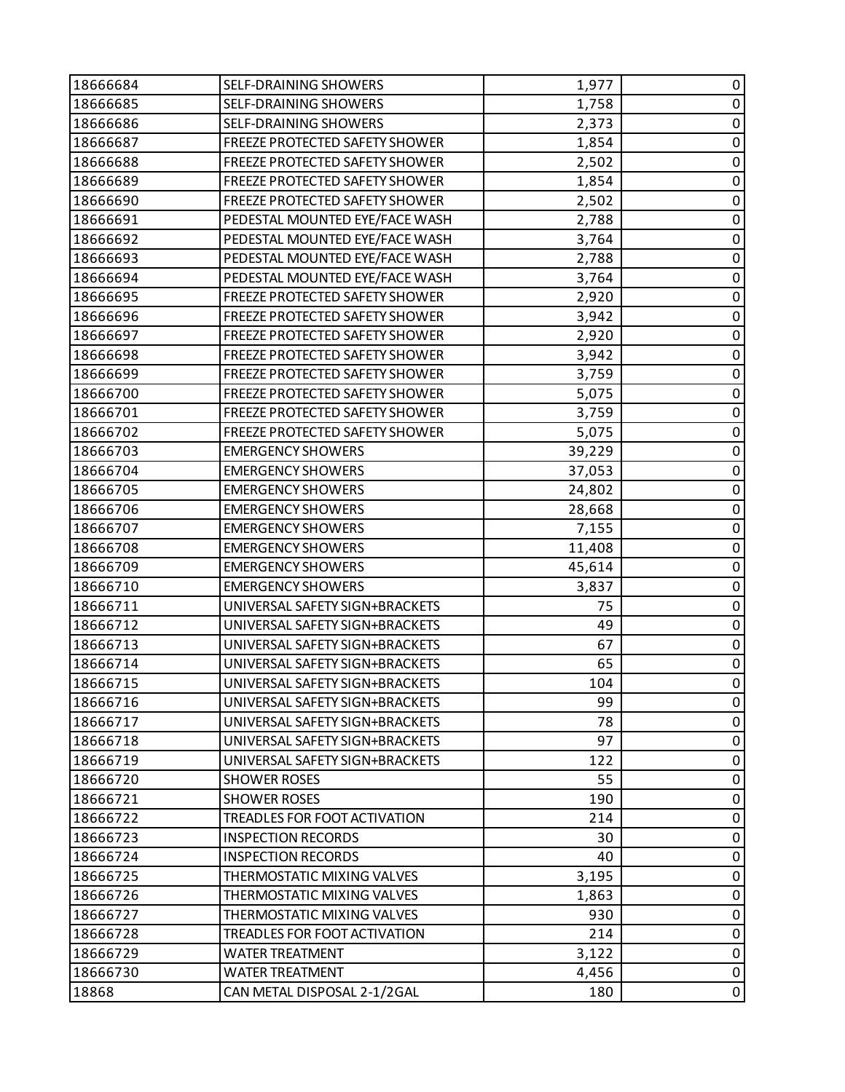| 18666684 | SELF-DRAINING SHOWERS          | 1,977  | 0         |
|----------|--------------------------------|--------|-----------|
| 18666685 | SELF-DRAINING SHOWERS          | 1,758  | 0         |
| 18666686 | SELF-DRAINING SHOWERS          | 2,373  | $\pmb{0}$ |
| 18666687 | FREEZE PROTECTED SAFETY SHOWER | 1,854  | 0         |
| 18666688 | FREEZE PROTECTED SAFETY SHOWER | 2,502  | $\pmb{0}$ |
| 18666689 | FREEZE PROTECTED SAFETY SHOWER | 1,854  | 0         |
| 18666690 | FREEZE PROTECTED SAFETY SHOWER | 2,502  | 0         |
| 18666691 | PEDESTAL MOUNTED EYE/FACE WASH | 2,788  | $\pmb{0}$ |
| 18666692 | PEDESTAL MOUNTED EYE/FACE WASH | 3,764  | 0         |
| 18666693 | PEDESTAL MOUNTED EYE/FACE WASH | 2,788  | 0         |
| 18666694 | PEDESTAL MOUNTED EYE/FACE WASH | 3,764  | 0         |
| 18666695 | FREEZE PROTECTED SAFETY SHOWER | 2,920  | 0         |
| 18666696 | FREEZE PROTECTED SAFETY SHOWER | 3,942  | 0         |
| 18666697 | FREEZE PROTECTED SAFETY SHOWER | 2,920  | $\pmb{0}$ |
| 18666698 | FREEZE PROTECTED SAFETY SHOWER | 3,942  | 0         |
| 18666699 | FREEZE PROTECTED SAFETY SHOWER | 3,759  | 0         |
| 18666700 | FREEZE PROTECTED SAFETY SHOWER | 5,075  | 0         |
| 18666701 | FREEZE PROTECTED SAFETY SHOWER | 3,759  | 0         |
| 18666702 | FREEZE PROTECTED SAFETY SHOWER | 5,075  | $\pmb{0}$ |
| 18666703 | <b>EMERGENCY SHOWERS</b>       | 39,229 | $\pmb{0}$ |
| 18666704 | <b>EMERGENCY SHOWERS</b>       | 37,053 | $\pmb{0}$ |
| 18666705 | <b>EMERGENCY SHOWERS</b>       | 24,802 | 0         |
| 18666706 | <b>EMERGENCY SHOWERS</b>       | 28,668 | 0         |
| 18666707 | <b>EMERGENCY SHOWERS</b>       | 7,155  | 0         |
| 18666708 | <b>EMERGENCY SHOWERS</b>       | 11,408 | 0         |
| 18666709 | <b>EMERGENCY SHOWERS</b>       | 45,614 | $\pmb{0}$ |
| 18666710 | <b>EMERGENCY SHOWERS</b>       | 3,837  | $\pmb{0}$ |
| 18666711 | UNIVERSAL SAFETY SIGN+BRACKETS | 75     | $\pmb{0}$ |
| 18666712 | UNIVERSAL SAFETY SIGN+BRACKETS | 49     | 0         |
| 18666713 | UNIVERSAL SAFETY SIGN+BRACKETS | 67     | 0         |
| 18666714 | UNIVERSAL SAFETY SIGN+BRACKETS | 65     | $\pmb{0}$ |
| 18666715 | UNIVERSAL SAFETY SIGN+BRACKETS | 104    | $\pmb{0}$ |
| 18666716 | UNIVERSAL SAFETY SIGN+BRACKETS | 99     | 0         |
| 18666717 | UNIVERSAL SAFETY SIGN+BRACKETS | 78     | 0         |
| 18666718 | UNIVERSAL SAFETY SIGN+BRACKETS | 97     | $\pmb{0}$ |
| 18666719 | UNIVERSAL SAFETY SIGN+BRACKETS | 122    | 0         |
| 18666720 | <b>SHOWER ROSES</b>            | 55     | 0         |
| 18666721 | <b>SHOWER ROSES</b>            | 190    | 0         |
| 18666722 | TREADLES FOR FOOT ACTIVATION   | 214    | 0         |
| 18666723 | <b>INSPECTION RECORDS</b>      | 30     | 0         |
| 18666724 | <b>INSPECTION RECORDS</b>      | 40     | $\pmb{0}$ |
| 18666725 | THERMOSTATIC MIXING VALVES     | 3,195  | 0         |
| 18666726 | THERMOSTATIC MIXING VALVES     | 1,863  | 0         |
| 18666727 | THERMOSTATIC MIXING VALVES     | 930    | 0         |
| 18666728 | TREADLES FOR FOOT ACTIVATION   | 214    | 0         |
| 18666729 | WATER TREATMENT                | 3,122  | 0         |
| 18666730 | WATER TREATMENT                | 4,456  | $\pmb{0}$ |
| 18868    | CAN METAL DISPOSAL 2-1/2GAL    | 180    | 0         |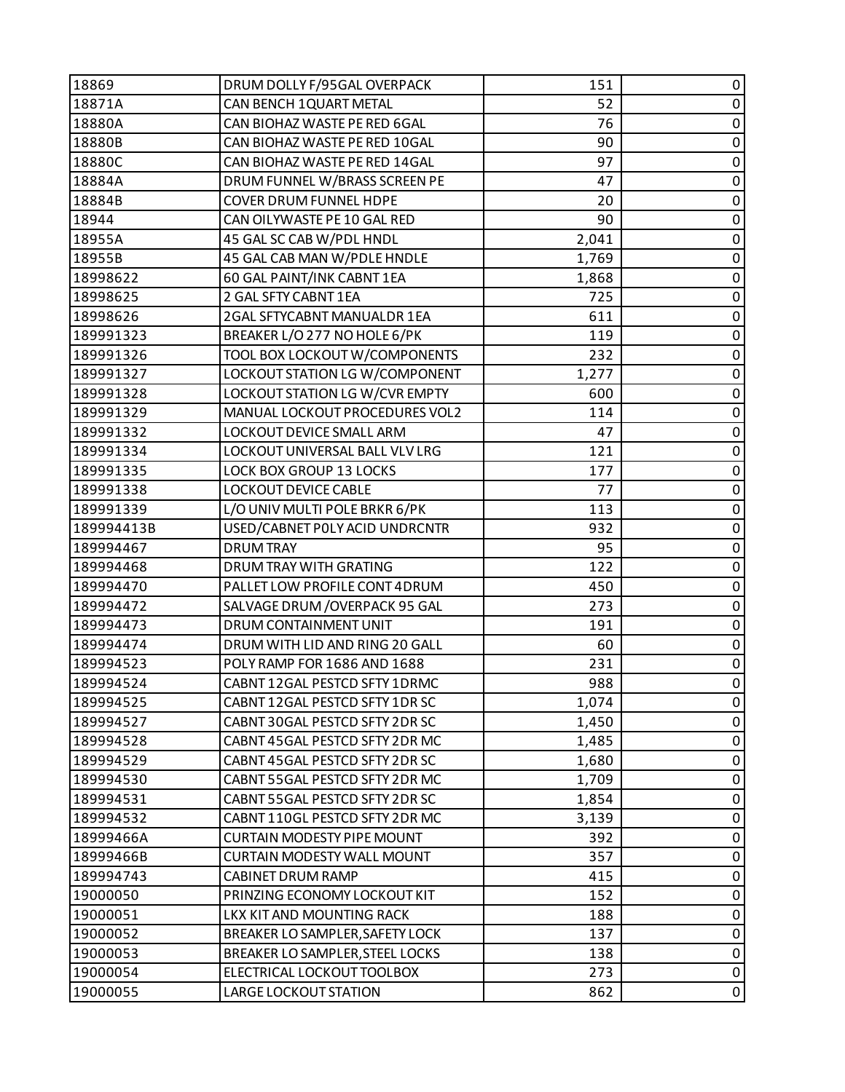| 18869      | DRUM DOLLY F/95GAL OVERPACK       | 151   | 0         |
|------------|-----------------------------------|-------|-----------|
| 18871A     | CAN BENCH 1QUART METAL            | 52    | $\pmb{0}$ |
| 18880A     | CAN BIOHAZ WASTE PE RED 6GAL      | 76    | 0         |
| 18880B     | CAN BIOHAZ WASTE PE RED 10GAL     | 90    | $\pmb{0}$ |
| 18880C     | CAN BIOHAZ WASTE PE RED 14GAL     | 97    | $\pmb{0}$ |
| 18884A     | DRUM FUNNEL W/BRASS SCREEN PE     | 47    | 0         |
| 18884B     | <b>COVER DRUM FUNNEL HDPE</b>     | 20    | $\pmb{0}$ |
| 18944      | CAN OILYWASTE PE 10 GAL RED       | 90    | $\pmb{0}$ |
| 18955A     | 45 GAL SC CAB W/PDL HNDL          | 2,041 | 0         |
| 18955B     | 45 GAL CAB MAN W/PDLE HNDLE       | 1,769 | $\pmb{0}$ |
| 18998622   | 60 GAL PAINT/INK CABNT 1EA        | 1,868 | $\pmb{0}$ |
| 18998625   | 2 GAL SFTY CABNT 1EA              | 725   | 0         |
| 18998626   | 2GAL SFTYCABNT MANUALDR 1EA       | 611   | $\pmb{0}$ |
| 189991323  | BREAKER L/O 277 NO HOLE 6/PK      | 119   | $\pmb{0}$ |
| 189991326  | TOOL BOX LOCKOUT W/COMPONENTS     | 232   | $\pmb{0}$ |
| 189991327  | LOCKOUT STATION LG W/COMPONENT    | 1,277 | $\pmb{0}$ |
| 189991328  | LOCKOUT STATION LG W/CVR EMPTY    | 600   | $\pmb{0}$ |
| 189991329  | MANUAL LOCKOUT PROCEDURES VOL2    | 114   | 0         |
| 189991332  | LOCKOUT DEVICE SMALL ARM          | 47    | $\pmb{0}$ |
| 189991334  | LOCKOUT UNIVERSAL BALL VLV LRG    | 121   | $\pmb{0}$ |
| 189991335  | LOCK BOX GROUP 13 LOCKS           | 177   | 0         |
| 189991338  | <b>LOCKOUT DEVICE CABLE</b>       | 77    | $\pmb{0}$ |
| 189991339  | L/O UNIV MULTI POLE BRKR 6/PK     | 113   | $\pmb{0}$ |
| 189994413B | USED/CABNET POLY ACID UNDRCNTR    | 932   | 0         |
| 189994467  | <b>DRUM TRAY</b>                  | 95    | $\pmb{0}$ |
| 189994468  | DRUM TRAY WITH GRATING            | 122   | $\pmb{0}$ |
| 189994470  | PALLET LOW PROFILE CONT 4DRUM     | 450   | $\pmb{0}$ |
| 189994472  | SALVAGE DRUM / OVERPACK 95 GAL    | 273   | $\pmb{0}$ |
| 189994473  | DRUM CONTAINMENT UNIT             | 191   | $\pmb{0}$ |
| 189994474  | DRUM WITH LID AND RING 20 GALL    | 60    | $\pmb{0}$ |
| 189994523  | POLY RAMP FOR 1686 AND 1688       | 231   | $\pmb{0}$ |
| 189994524  | CABNT 12GAL PESTCD SFTY 1DRMC     | 988   | $\pmb{0}$ |
| 189994525  | CABNT 12GAL PESTCD SFTY 1DR SC    | 1,074 | 0         |
| 189994527  | CABNT 30GAL PESTCD SFTY 2DR SC    | 1,450 | 0         |
| 189994528  | CABNT 45 GAL PESTCD SFTY 2DR MC   | 1,485 | $\pmb{0}$ |
| 189994529  | CABNT 45GAL PESTCD SFTY 2DR SC    | 1,680 | 0         |
| 189994530  | CABNT 55GAL PESTCD SFTY 2DR MC    | 1,709 | 0         |
| 189994531  | CABNT 55GAL PESTCD SFTY 2DR SC    | 1,854 | $\pmb{0}$ |
| 189994532  | CABNT 110GL PESTCD SFTY 2DR MC    | 3,139 | 0         |
| 18999466A  | <b>CURTAIN MODESTY PIPE MOUNT</b> | 392   | 0         |
| 18999466B  | <b>CURTAIN MODESTY WALL MOUNT</b> | 357   | $\pmb{0}$ |
| 189994743  | CABINET DRUM RAMP                 | 415   | $\pmb{0}$ |
| 19000050   | PRINZING ECONOMY LOCKOUT KIT      | 152   | $\pmb{0}$ |
| 19000051   | LKX KIT AND MOUNTING RACK         | 188   | 0         |
| 19000052   | BREAKER LO SAMPLER, SAFETY LOCK   | 137   | 0         |
| 19000053   | BREAKER LO SAMPLER, STEEL LOCKS   | 138   | 0         |
| 19000054   | ELECTRICAL LOCKOUT TOOLBOX        | 273   | 0         |
| 19000055   | LARGE LOCKOUT STATION             | 862   | 0         |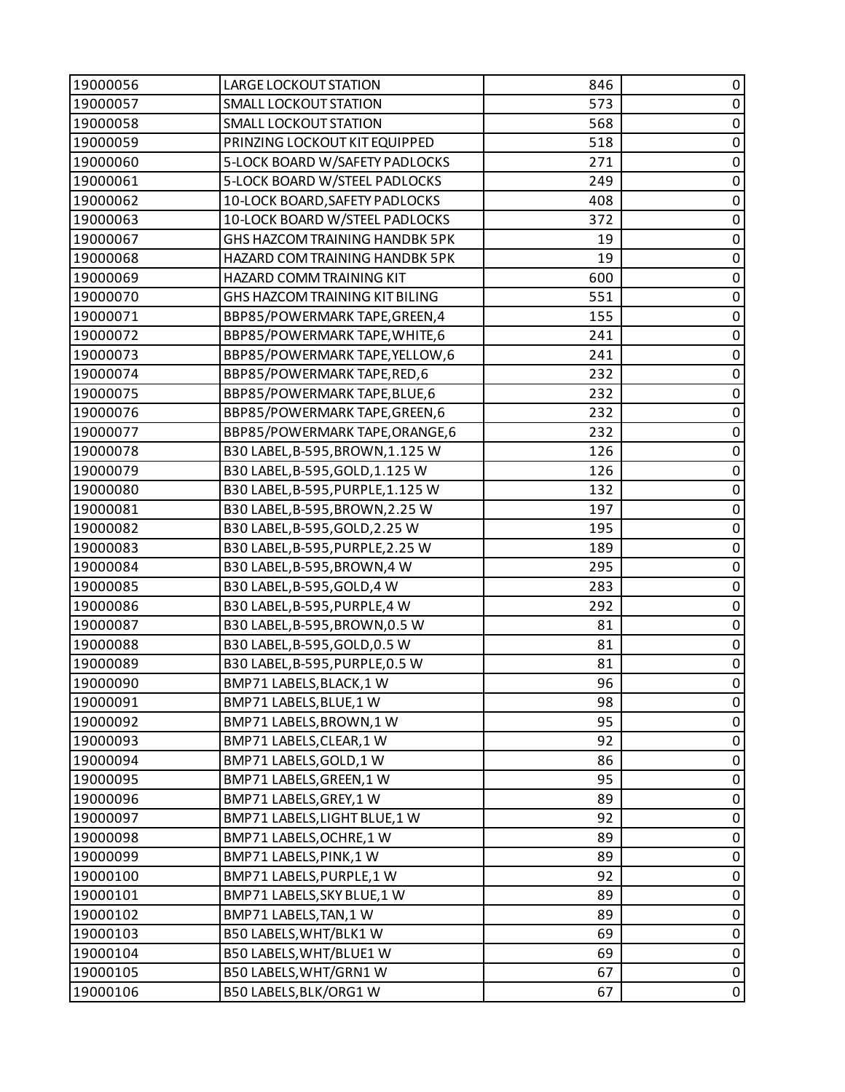| 19000056 | <b>LARGE LOCKOUT STATION</b>      | 846 | 0           |
|----------|-----------------------------------|-----|-------------|
| 19000057 | <b>SMALL LOCKOUT STATION</b>      | 573 | $\pmb{0}$   |
| 19000058 | <b>SMALL LOCKOUT STATION</b>      | 568 | 0           |
| 19000059 | PRINZING LOCKOUT KIT EQUIPPED     | 518 | $\mathbf 0$ |
| 19000060 | 5-LOCK BOARD W/SAFETY PADLOCKS    | 271 | $\pmb{0}$   |
| 19000061 | 5-LOCK BOARD W/STEEL PADLOCKS     | 249 | $\pmb{0}$   |
| 19000062 | 10-LOCK BOARD, SAFETY PADLOCKS    | 408 | $\mathbf 0$ |
| 19000063 | 10-LOCK BOARD W/STEEL PADLOCKS    | 372 | $\pmb{0}$   |
| 19000067 | GHS HAZCOM TRAINING HANDBK 5PK    | 19  | 0           |
| 19000068 | HAZARD COM TRAINING HANDBK 5PK    | 19  | $\mathbf 0$ |
| 19000069 | HAZARD COMM TRAINING KIT          | 600 | $\pmb{0}$   |
| 19000070 | GHS HAZCOM TRAINING KIT BILING    | 551 | 0           |
| 19000071 | BBP85/POWERMARK TAPE, GREEN, 4    | 155 | $\pmb{0}$   |
| 19000072 | BBP85/POWERMARK TAPE, WHITE, 6    | 241 | $\pmb{0}$   |
| 19000073 | BBP85/POWERMARK TAPE, YELLOW, 6   | 241 | 0           |
| 19000074 | BBP85/POWERMARK TAPE, RED, 6      | 232 | $\mathbf 0$ |
| 19000075 | BBP85/POWERMARK TAPE, BLUE, 6     | 232 | $\pmb{0}$   |
| 19000076 | BBP85/POWERMARK TAPE, GREEN, 6    | 232 | $\pmb{0}$   |
| 19000077 | BBP85/POWERMARK TAPE, ORANGE, 6   | 232 | $\pmb{0}$   |
| 19000078 | B30 LABEL, B-595, BROWN, 1.125 W  | 126 | $\pmb{0}$   |
| 19000079 | B30 LABEL, B-595, GOLD, 1.125 W   | 126 | 0           |
| 19000080 | B30 LABEL, B-595, PURPLE, 1.125 W | 132 | $\mathbf 0$ |
| 19000081 | B30 LABEL, B-595, BROWN, 2.25 W   | 197 | $\pmb{0}$   |
| 19000082 | B30 LABEL, B-595, GOLD, 2.25 W    | 195 | 0           |
| 19000083 | B30 LABEL, B-595, PURPLE, 2.25 W  | 189 | $\mathbf 0$ |
| 19000084 | B30 LABEL, B-595, BROWN, 4 W      | 295 | $\pmb{0}$   |
| 19000085 | B30 LABEL, B-595, GOLD, 4 W       | 283 | $\pmb{0}$   |
| 19000086 | B30 LABEL, B-595, PURPLE, 4 W     | 292 | $\mathbf 0$ |
| 19000087 | B30 LABEL, B-595, BROWN, 0.5 W    | 81  | $\pmb{0}$   |
| 19000088 | B30 LABEL, B-595, GOLD, 0.5 W     | 81  | $\pmb{0}$   |
| 19000089 | B30 LABEL, B-595, PURPLE, 0.5 W   | 81  | $\pmb{0}$   |
| 19000090 | BMP71 LABELS, BLACK, 1 W          | 96  | $\mathbf 0$ |
| 19000091 | BMP71 LABELS, BLUE, 1 W           | 98  | 0           |
| 19000092 | BMP71 LABELS, BROWN, 1 W          | 95  | $\pmb{0}$   |
| 19000093 | BMP71 LABELS, CLEAR, 1 W          | 92  | $\pmb{0}$   |
| 19000094 | BMP71 LABELS, GOLD, 1 W           | 86  | $\pmb{0}$   |
| 19000095 | BMP71 LABELS, GREEN, 1 W          | 95  | $\mathbf 0$ |
| 19000096 | BMP71 LABELS, GREY, 1 W           | 89  | $\pmb{0}$   |
| 19000097 | BMP71 LABELS, LIGHT BLUE, 1 W     | 92  | 0           |
| 19000098 | BMP71 LABELS, OCHRE, 1 W          | 89  | $\pmb{0}$   |
| 19000099 | BMP71 LABELS, PINK, 1 W           | 89  | $\pmb{0}$   |
| 19000100 | BMP71 LABELS, PURPLE, 1 W         | 92  | 0           |
| 19000101 | BMP71 LABELS, SKY BLUE, 1 W       | 89  | $\pmb{0}$   |
| 19000102 | BMP71 LABELS, TAN, 1 W            | 89  | $\pmb{0}$   |
| 19000103 | B50 LABELS, WHT/BLK1 W            | 69  | 0           |
| 19000104 | B50 LABELS, WHT/BLUE1 W           | 69  | $\pmb{0}$   |
| 19000105 | B50 LABELS, WHT/GRN1 W            | 67  | $\pmb{0}$   |
| 19000106 | B50 LABELS, BLK/ORG1 W            | 67  | $\pmb{0}$   |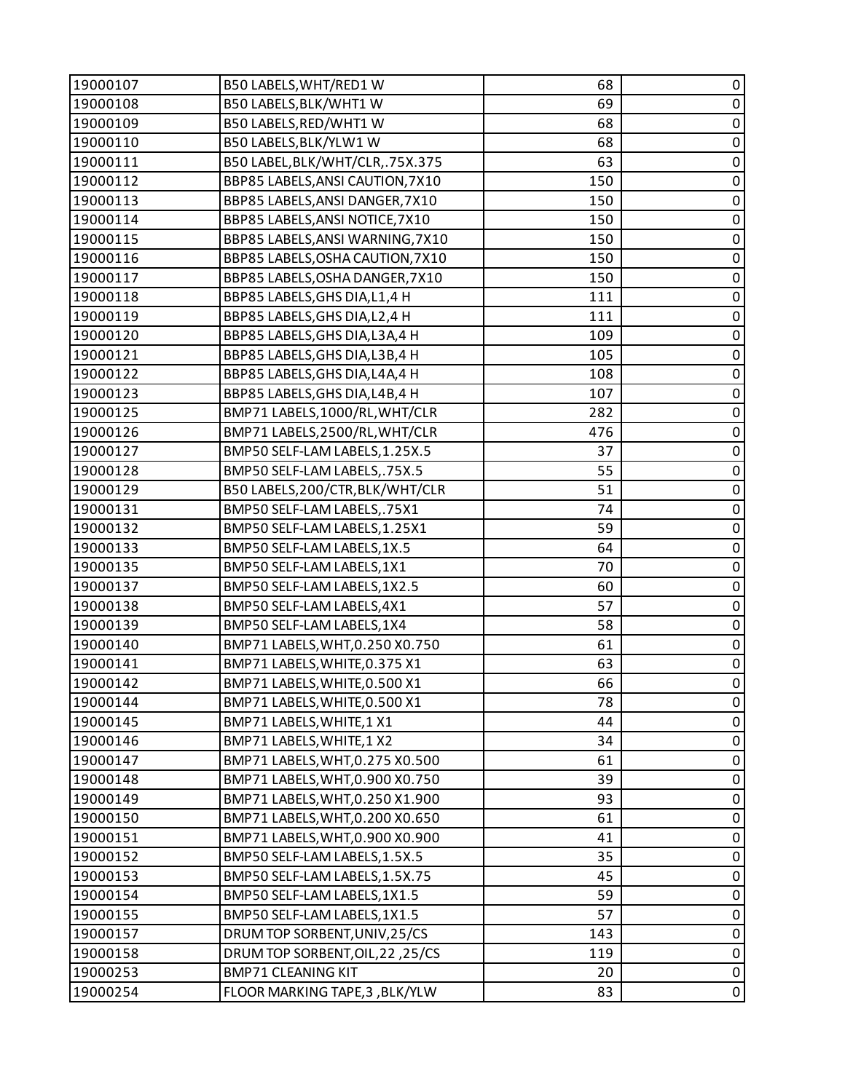| 19000107 | B50 LABELS, WHT/RED1 W           | 68  | 0           |
|----------|----------------------------------|-----|-------------|
| 19000108 | B50 LABELS, BLK/WHT1 W           | 69  | $\pmb{0}$   |
| 19000109 | B50 LABELS, RED/WHT1 W           | 68  | $\pmb{0}$   |
| 19000110 | B50 LABELS, BLK/YLW1 W           | 68  | $\pmb{0}$   |
| 19000111 | B50 LABEL, BLK/WHT/CLR, .75X.375 | 63  | $\pmb{0}$   |
| 19000112 | BBP85 LABELS, ANSI CAUTION, 7X10 | 150 | $\pmb{0}$   |
| 19000113 | BBP85 LABELS, ANSI DANGER, 7X10  | 150 | $\pmb{0}$   |
| 19000114 | BBP85 LABELS, ANSI NOTICE, 7X10  | 150 | $\pmb{0}$   |
| 19000115 | BBP85 LABELS, ANSI WARNING, 7X10 | 150 | $\pmb{0}$   |
| 19000116 | BBP85 LABELS, OSHA CAUTION, 7X10 | 150 | $\pmb{0}$   |
| 19000117 | BBP85 LABELS, OSHA DANGER, 7X10  | 150 | $\pmb{0}$   |
| 19000118 | BBP85 LABELS, GHS DIA, L1, 4 H   | 111 | $\pmb{0}$   |
| 19000119 | BBP85 LABELS, GHS DIA, L2, 4 H   | 111 | $\pmb{0}$   |
| 19000120 | BBP85 LABELS, GHS DIA, L3A, 4 H  | 109 | $\pmb{0}$   |
| 19000121 | BBP85 LABELS, GHS DIA, L3B, 4 H  | 105 | $\pmb{0}$   |
| 19000122 | BBP85 LABELS, GHS DIA, L4A, 4 H  | 108 | $\pmb{0}$   |
| 19000123 | BBP85 LABELS, GHS DIA, L4B, 4 H  | 107 | $\pmb{0}$   |
| 19000125 | BMP71 LABELS,1000/RL, WHT/CLR    | 282 | $\pmb{0}$   |
| 19000126 | BMP71 LABELS, 2500/RL, WHT/CLR   | 476 | $\pmb{0}$   |
| 19000127 | BMP50 SELF-LAM LABELS, 1.25X.5   | 37  | $\pmb{0}$   |
| 19000128 | BMP50 SELF-LAM LABELS,.75X.5     | 55  | $\pmb{0}$   |
| 19000129 | B50 LABELS, 200/CTR, BLK/WHT/CLR | 51  | $\pmb{0}$   |
| 19000131 | BMP50 SELF-LAM LABELS,.75X1      | 74  | $\pmb{0}$   |
| 19000132 | BMP50 SELF-LAM LABELS, 1.25X1    | 59  | $\pmb{0}$   |
| 19000133 | BMP50 SELF-LAM LABELS, 1X.5      | 64  | $\pmb{0}$   |
| 19000135 | BMP50 SELF-LAM LABELS, 1X1       | 70  | $\pmb{0}$   |
| 19000137 | BMP50 SELF-LAM LABELS, 1X2.5     | 60  | $\pmb{0}$   |
| 19000138 | BMP50 SELF-LAM LABELS, 4X1       | 57  | $\pmb{0}$   |
| 19000139 | BMP50 SELF-LAM LABELS, 1X4       | 58  | $\pmb{0}$   |
| 19000140 | BMP71 LABELS, WHT, 0.250 X0.750  | 61  | $\pmb{0}$   |
| 19000141 | BMP71 LABELS, WHITE, 0.375 X1    | 63  | $\pmb{0}$   |
| 19000142 | BMP71 LABELS, WHITE, 0.500 X1    | 66  | $\pmb{0}$   |
| 19000144 | BMP71 LABELS, WHITE, 0.500 X1    | 78  | 0           |
| 19000145 | BMP71 LABELS, WHITE, 1 X1        | 44  | $\mathbf 0$ |
| 19000146 | BMP71 LABELS, WHITE, 1 X2        | 34  | $\pmb{0}$   |
| 19000147 | BMP71 LABELS, WHT, 0.275 X0.500  | 61  | $\pmb{0}$   |
| 19000148 | BMP71 LABELS, WHT, 0.900 X0.750  | 39  | $\mathbf 0$ |
| 19000149 | BMP71 LABELS, WHT, 0.250 X1.900  | 93  | $\pmb{0}$   |
| 19000150 | BMP71 LABELS, WHT, 0.200 X0.650  | 61  | 0           |
| 19000151 | BMP71 LABELS, WHT, 0.900 X0.900  | 41  | $\pmb{0}$   |
| 19000152 | BMP50 SELF-LAM LABELS, 1.5X.5    | 35  | $\pmb{0}$   |
| 19000153 | BMP50 SELF-LAM LABELS, 1.5X.75   | 45  | $\pmb{0}$   |
| 19000154 | BMP50 SELF-LAM LABELS, 1X1.5     | 59  | $\pmb{0}$   |
| 19000155 | BMP50 SELF-LAM LABELS, 1X1.5     | 57  | $\pmb{0}$   |
| 19000157 | DRUM TOP SORBENT, UNIV, 25/CS    | 143 | $\pmb{0}$   |
| 19000158 | DRUM TOP SORBENT, OIL, 22, 25/CS | 119 | $\pmb{0}$   |
| 19000253 | <b>BMP71 CLEANING KIT</b>        | 20  | $\pmb{0}$   |
| 19000254 | FLOOR MARKING TAPE, 3, BLK/YLW   | 83  | $\pmb{0}$   |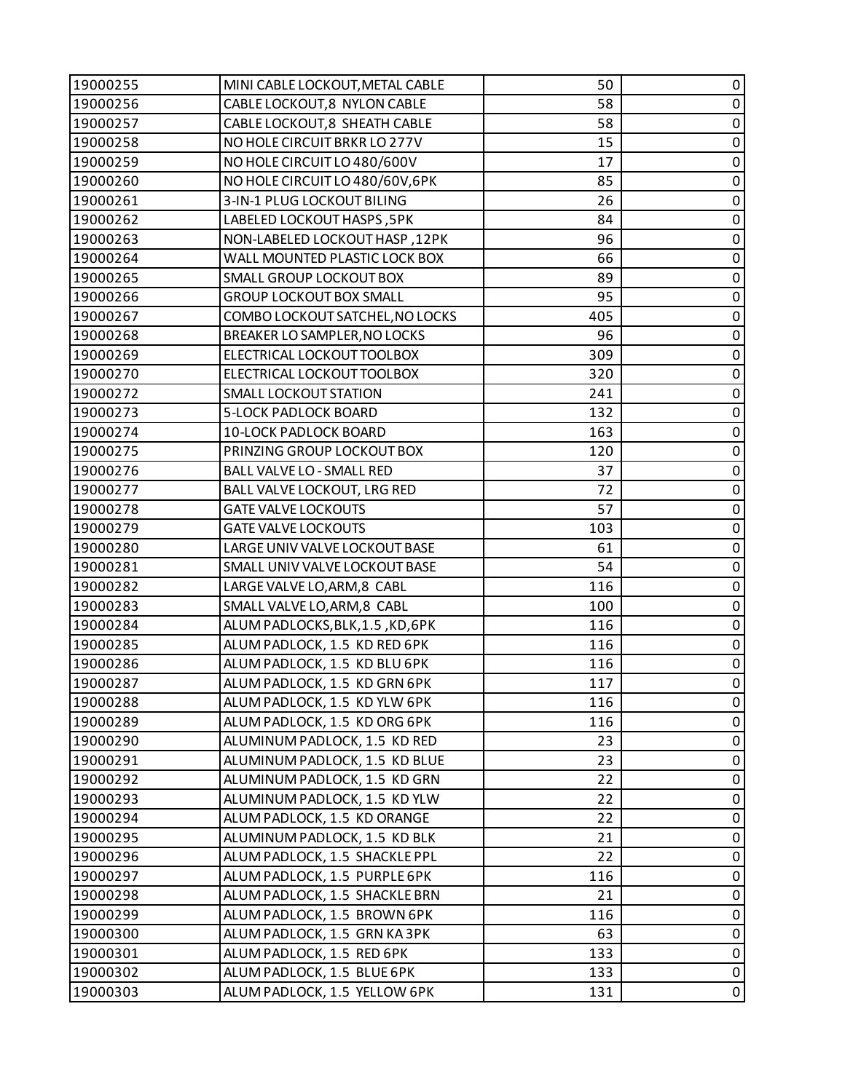| 58<br>19000256<br>CABLE LOCKOUT, 8 NYLON CABLE<br>$\pmb{0}$<br>58<br>19000257<br>CABLE LOCKOUT, 8 SHEATH CABLE<br>0<br>NO HOLE CIRCUIT BRKR LO 277V<br>15<br>$\mathbf 0$<br>19000258<br>17<br>$\pmb{0}$<br>19000259<br>NO HOLE CIRCUIT LO 480/600V<br>NO HOLE CIRCUIT LO 480/60V, 6PK<br>85<br>19000260<br>0<br>$\pmb{0}$<br>3-IN-1 PLUG LOCKOUT BILING<br>26<br>19000261<br>$\pmb{0}$<br>84<br>19000262<br>LABELED LOCKOUT HASPS, 5PK<br>NON-LABELED LOCKOUT HASP, 12PK<br>96<br>19000263<br>0<br>66<br>$\mathbf 0$<br>19000264<br>WALL MOUNTED PLASTIC LOCK BOX<br>19000265<br>89<br>$\pmb{0}$<br><b>SMALL GROUP LOCKOUT BOX</b><br><b>GROUP LOCKOUT BOX SMALL</b><br>95<br>19000266<br>0<br>405<br>$\pmb{0}$<br>19000267<br>COMBO LOCKOUT SATCHEL, NO LOCKS<br>19000268<br>BREAKER LO SAMPLER, NO LOCKS<br>96<br>$\pmb{0}$<br>309<br>19000269<br>ELECTRICAL LOCKOUT TOOLBOX<br>0<br>19000270<br>ELECTRICAL LOCKOUT TOOLBOX<br>320<br>$\mathbf 0$<br>19000272<br><b>SMALL LOCKOUT STATION</b><br>$\pmb{0}$<br>241<br>19000273<br>5-LOCK PADLOCK BOARD<br>132<br>0<br>$\pmb{0}$<br>19000274<br>10-LOCK PADLOCK BOARD<br>163<br>$\pmb{0}$<br>PRINZING GROUP LOCKOUT BOX<br>120<br>19000275<br>BALL VALVE LO - SMALL RED<br>19000276<br>37<br>0<br>72<br>$\mathbf 0$<br>19000277<br>BALL VALVE LOCKOUT, LRG RED<br>57<br>19000278<br><b>GATE VALVE LOCKOUTS</b><br>$\pmb{0}$<br>19000279<br><b>GATE VALVE LOCKOUTS</b><br>103<br>0<br>LARGE UNIV VALVE LOCKOUT BASE<br>61<br>$\pmb{0}$<br>19000280<br>54<br>$\pmb{0}$<br>19000281<br>SMALL UNIV VALVE LOCKOUT BASE<br>116<br>19000282<br>LARGE VALVE LO, ARM, 8 CABL<br>0<br>SMALL VALVE LO, ARM, 8 CABL<br>$\mathbf 0$<br>19000283<br>100<br>116<br>$\pmb{0}$<br>19000284<br>ALUM PADLOCKS, BLK, 1.5, KD, 6PK<br>ALUM PADLOCK, 1.5 KD RED 6PK<br>$\pmb{0}$<br>19000285<br>116<br>$\pmb{0}$<br>ALUM PADLOCK, 1.5 KD BLU 6PK<br>19000286<br>116<br>$\pmb{0}$<br>19000287<br>ALUM PADLOCK, 1.5 KD GRN 6PK<br>117<br>19000288<br>ALUM PADLOCK, 1.5 KD YLW 6PK<br>116<br>$\mathbf 0$<br>19000289<br>116<br>0<br>ALUM PADLOCK, 1.5 KD ORG 6PK<br>$\pmb{0}$<br>23<br>ALUMINUM PADLOCK, 1.5 KD RED<br>19000290<br>19000291<br>ALUMINUM PADLOCK, 1.5 KD BLUE<br>23<br>0<br>$\mathbf 0$<br>19000292<br>22<br>ALUMINUM PADLOCK, 1.5 KD GRN<br>$\pmb{0}$<br>19000293<br>ALUMINUM PADLOCK, 1.5 KD YLW<br>22<br>19000294<br>ALUM PADLOCK, 1.5 KD ORANGE<br>22<br>0<br>$\pmb{0}$<br>21<br>19000295<br>ALUMINUM PADLOCK, 1.5 KD BLK<br>$\pmb{0}$<br>22<br>19000296<br>ALUM PADLOCK, 1.5 SHACKLE PPL<br>19000297<br>ALUM PADLOCK, 1.5 PURPLE 6PK<br>116<br>0<br>$\pmb{0}$<br>19000298<br>21<br>ALUM PADLOCK, 1.5 SHACKLE BRN<br>$\pmb{0}$<br>19000299<br>ALUM PADLOCK, 1.5 BROWN 6PK<br>116<br>19000300<br>ALUM PADLOCK, 1.5 GRN KA 3PK<br>0<br>63<br>$\pmb{0}$<br>19000301<br>133<br>ALUM PADLOCK, 1.5 RED 6PK<br>$\pmb{0}$<br>19000302<br>ALUM PADLOCK, 1.5 BLUE 6PK<br>133<br>19000303<br>ALUM PADLOCK, 1.5 YELLOW 6PK<br>131 | 19000255 | MINI CABLE LOCKOUT, METAL CABLE | 50 | 0              |
|-----------------------------------------------------------------------------------------------------------------------------------------------------------------------------------------------------------------------------------------------------------------------------------------------------------------------------------------------------------------------------------------------------------------------------------------------------------------------------------------------------------------------------------------------------------------------------------------------------------------------------------------------------------------------------------------------------------------------------------------------------------------------------------------------------------------------------------------------------------------------------------------------------------------------------------------------------------------------------------------------------------------------------------------------------------------------------------------------------------------------------------------------------------------------------------------------------------------------------------------------------------------------------------------------------------------------------------------------------------------------------------------------------------------------------------------------------------------------------------------------------------------------------------------------------------------------------------------------------------------------------------------------------------------------------------------------------------------------------------------------------------------------------------------------------------------------------------------------------------------------------------------------------------------------------------------------------------------------------------------------------------------------------------------------------------------------------------------------------------------------------------------------------------------------------------------------------------------------------------------------------------------------------------------------------------------------------------------------------------------------------------------------------------------------------------------------------------------------------------------------------------------------------------------------------------------------------------------------------------------------------------------------------------------------------------------------------------------------------------------------------------------------------------------------------------------------------------------------------------------------------------------------------------------------------------------------------------------|----------|---------------------------------|----|----------------|
|                                                                                                                                                                                                                                                                                                                                                                                                                                                                                                                                                                                                                                                                                                                                                                                                                                                                                                                                                                                                                                                                                                                                                                                                                                                                                                                                                                                                                                                                                                                                                                                                                                                                                                                                                                                                                                                                                                                                                                                                                                                                                                                                                                                                                                                                                                                                                                                                                                                                                                                                                                                                                                                                                                                                                                                                                                                                                                                                                                 |          |                                 |    |                |
|                                                                                                                                                                                                                                                                                                                                                                                                                                                                                                                                                                                                                                                                                                                                                                                                                                                                                                                                                                                                                                                                                                                                                                                                                                                                                                                                                                                                                                                                                                                                                                                                                                                                                                                                                                                                                                                                                                                                                                                                                                                                                                                                                                                                                                                                                                                                                                                                                                                                                                                                                                                                                                                                                                                                                                                                                                                                                                                                                                 |          |                                 |    |                |
|                                                                                                                                                                                                                                                                                                                                                                                                                                                                                                                                                                                                                                                                                                                                                                                                                                                                                                                                                                                                                                                                                                                                                                                                                                                                                                                                                                                                                                                                                                                                                                                                                                                                                                                                                                                                                                                                                                                                                                                                                                                                                                                                                                                                                                                                                                                                                                                                                                                                                                                                                                                                                                                                                                                                                                                                                                                                                                                                                                 |          |                                 |    |                |
|                                                                                                                                                                                                                                                                                                                                                                                                                                                                                                                                                                                                                                                                                                                                                                                                                                                                                                                                                                                                                                                                                                                                                                                                                                                                                                                                                                                                                                                                                                                                                                                                                                                                                                                                                                                                                                                                                                                                                                                                                                                                                                                                                                                                                                                                                                                                                                                                                                                                                                                                                                                                                                                                                                                                                                                                                                                                                                                                                                 |          |                                 |    |                |
|                                                                                                                                                                                                                                                                                                                                                                                                                                                                                                                                                                                                                                                                                                                                                                                                                                                                                                                                                                                                                                                                                                                                                                                                                                                                                                                                                                                                                                                                                                                                                                                                                                                                                                                                                                                                                                                                                                                                                                                                                                                                                                                                                                                                                                                                                                                                                                                                                                                                                                                                                                                                                                                                                                                                                                                                                                                                                                                                                                 |          |                                 |    |                |
|                                                                                                                                                                                                                                                                                                                                                                                                                                                                                                                                                                                                                                                                                                                                                                                                                                                                                                                                                                                                                                                                                                                                                                                                                                                                                                                                                                                                                                                                                                                                                                                                                                                                                                                                                                                                                                                                                                                                                                                                                                                                                                                                                                                                                                                                                                                                                                                                                                                                                                                                                                                                                                                                                                                                                                                                                                                                                                                                                                 |          |                                 |    |                |
|                                                                                                                                                                                                                                                                                                                                                                                                                                                                                                                                                                                                                                                                                                                                                                                                                                                                                                                                                                                                                                                                                                                                                                                                                                                                                                                                                                                                                                                                                                                                                                                                                                                                                                                                                                                                                                                                                                                                                                                                                                                                                                                                                                                                                                                                                                                                                                                                                                                                                                                                                                                                                                                                                                                                                                                                                                                                                                                                                                 |          |                                 |    |                |
|                                                                                                                                                                                                                                                                                                                                                                                                                                                                                                                                                                                                                                                                                                                                                                                                                                                                                                                                                                                                                                                                                                                                                                                                                                                                                                                                                                                                                                                                                                                                                                                                                                                                                                                                                                                                                                                                                                                                                                                                                                                                                                                                                                                                                                                                                                                                                                                                                                                                                                                                                                                                                                                                                                                                                                                                                                                                                                                                                                 |          |                                 |    |                |
|                                                                                                                                                                                                                                                                                                                                                                                                                                                                                                                                                                                                                                                                                                                                                                                                                                                                                                                                                                                                                                                                                                                                                                                                                                                                                                                                                                                                                                                                                                                                                                                                                                                                                                                                                                                                                                                                                                                                                                                                                                                                                                                                                                                                                                                                                                                                                                                                                                                                                                                                                                                                                                                                                                                                                                                                                                                                                                                                                                 |          |                                 |    |                |
|                                                                                                                                                                                                                                                                                                                                                                                                                                                                                                                                                                                                                                                                                                                                                                                                                                                                                                                                                                                                                                                                                                                                                                                                                                                                                                                                                                                                                                                                                                                                                                                                                                                                                                                                                                                                                                                                                                                                                                                                                                                                                                                                                                                                                                                                                                                                                                                                                                                                                                                                                                                                                                                                                                                                                                                                                                                                                                                                                                 |          |                                 |    |                |
|                                                                                                                                                                                                                                                                                                                                                                                                                                                                                                                                                                                                                                                                                                                                                                                                                                                                                                                                                                                                                                                                                                                                                                                                                                                                                                                                                                                                                                                                                                                                                                                                                                                                                                                                                                                                                                                                                                                                                                                                                                                                                                                                                                                                                                                                                                                                                                                                                                                                                                                                                                                                                                                                                                                                                                                                                                                                                                                                                                 |          |                                 |    |                |
|                                                                                                                                                                                                                                                                                                                                                                                                                                                                                                                                                                                                                                                                                                                                                                                                                                                                                                                                                                                                                                                                                                                                                                                                                                                                                                                                                                                                                                                                                                                                                                                                                                                                                                                                                                                                                                                                                                                                                                                                                                                                                                                                                                                                                                                                                                                                                                                                                                                                                                                                                                                                                                                                                                                                                                                                                                                                                                                                                                 |          |                                 |    |                |
|                                                                                                                                                                                                                                                                                                                                                                                                                                                                                                                                                                                                                                                                                                                                                                                                                                                                                                                                                                                                                                                                                                                                                                                                                                                                                                                                                                                                                                                                                                                                                                                                                                                                                                                                                                                                                                                                                                                                                                                                                                                                                                                                                                                                                                                                                                                                                                                                                                                                                                                                                                                                                                                                                                                                                                                                                                                                                                                                                                 |          |                                 |    |                |
|                                                                                                                                                                                                                                                                                                                                                                                                                                                                                                                                                                                                                                                                                                                                                                                                                                                                                                                                                                                                                                                                                                                                                                                                                                                                                                                                                                                                                                                                                                                                                                                                                                                                                                                                                                                                                                                                                                                                                                                                                                                                                                                                                                                                                                                                                                                                                                                                                                                                                                                                                                                                                                                                                                                                                                                                                                                                                                                                                                 |          |                                 |    |                |
|                                                                                                                                                                                                                                                                                                                                                                                                                                                                                                                                                                                                                                                                                                                                                                                                                                                                                                                                                                                                                                                                                                                                                                                                                                                                                                                                                                                                                                                                                                                                                                                                                                                                                                                                                                                                                                                                                                                                                                                                                                                                                                                                                                                                                                                                                                                                                                                                                                                                                                                                                                                                                                                                                                                                                                                                                                                                                                                                                                 |          |                                 |    |                |
|                                                                                                                                                                                                                                                                                                                                                                                                                                                                                                                                                                                                                                                                                                                                                                                                                                                                                                                                                                                                                                                                                                                                                                                                                                                                                                                                                                                                                                                                                                                                                                                                                                                                                                                                                                                                                                                                                                                                                                                                                                                                                                                                                                                                                                                                                                                                                                                                                                                                                                                                                                                                                                                                                                                                                                                                                                                                                                                                                                 |          |                                 |    |                |
|                                                                                                                                                                                                                                                                                                                                                                                                                                                                                                                                                                                                                                                                                                                                                                                                                                                                                                                                                                                                                                                                                                                                                                                                                                                                                                                                                                                                                                                                                                                                                                                                                                                                                                                                                                                                                                                                                                                                                                                                                                                                                                                                                                                                                                                                                                                                                                                                                                                                                                                                                                                                                                                                                                                                                                                                                                                                                                                                                                 |          |                                 |    |                |
|                                                                                                                                                                                                                                                                                                                                                                                                                                                                                                                                                                                                                                                                                                                                                                                                                                                                                                                                                                                                                                                                                                                                                                                                                                                                                                                                                                                                                                                                                                                                                                                                                                                                                                                                                                                                                                                                                                                                                                                                                                                                                                                                                                                                                                                                                                                                                                                                                                                                                                                                                                                                                                                                                                                                                                                                                                                                                                                                                                 |          |                                 |    |                |
|                                                                                                                                                                                                                                                                                                                                                                                                                                                                                                                                                                                                                                                                                                                                                                                                                                                                                                                                                                                                                                                                                                                                                                                                                                                                                                                                                                                                                                                                                                                                                                                                                                                                                                                                                                                                                                                                                                                                                                                                                                                                                                                                                                                                                                                                                                                                                                                                                                                                                                                                                                                                                                                                                                                                                                                                                                                                                                                                                                 |          |                                 |    |                |
|                                                                                                                                                                                                                                                                                                                                                                                                                                                                                                                                                                                                                                                                                                                                                                                                                                                                                                                                                                                                                                                                                                                                                                                                                                                                                                                                                                                                                                                                                                                                                                                                                                                                                                                                                                                                                                                                                                                                                                                                                                                                                                                                                                                                                                                                                                                                                                                                                                                                                                                                                                                                                                                                                                                                                                                                                                                                                                                                                                 |          |                                 |    |                |
|                                                                                                                                                                                                                                                                                                                                                                                                                                                                                                                                                                                                                                                                                                                                                                                                                                                                                                                                                                                                                                                                                                                                                                                                                                                                                                                                                                                                                                                                                                                                                                                                                                                                                                                                                                                                                                                                                                                                                                                                                                                                                                                                                                                                                                                                                                                                                                                                                                                                                                                                                                                                                                                                                                                                                                                                                                                                                                                                                                 |          |                                 |    |                |
|                                                                                                                                                                                                                                                                                                                                                                                                                                                                                                                                                                                                                                                                                                                                                                                                                                                                                                                                                                                                                                                                                                                                                                                                                                                                                                                                                                                                                                                                                                                                                                                                                                                                                                                                                                                                                                                                                                                                                                                                                                                                                                                                                                                                                                                                                                                                                                                                                                                                                                                                                                                                                                                                                                                                                                                                                                                                                                                                                                 |          |                                 |    |                |
|                                                                                                                                                                                                                                                                                                                                                                                                                                                                                                                                                                                                                                                                                                                                                                                                                                                                                                                                                                                                                                                                                                                                                                                                                                                                                                                                                                                                                                                                                                                                                                                                                                                                                                                                                                                                                                                                                                                                                                                                                                                                                                                                                                                                                                                                                                                                                                                                                                                                                                                                                                                                                                                                                                                                                                                                                                                                                                                                                                 |          |                                 |    |                |
|                                                                                                                                                                                                                                                                                                                                                                                                                                                                                                                                                                                                                                                                                                                                                                                                                                                                                                                                                                                                                                                                                                                                                                                                                                                                                                                                                                                                                                                                                                                                                                                                                                                                                                                                                                                                                                                                                                                                                                                                                                                                                                                                                                                                                                                                                                                                                                                                                                                                                                                                                                                                                                                                                                                                                                                                                                                                                                                                                                 |          |                                 |    |                |
|                                                                                                                                                                                                                                                                                                                                                                                                                                                                                                                                                                                                                                                                                                                                                                                                                                                                                                                                                                                                                                                                                                                                                                                                                                                                                                                                                                                                                                                                                                                                                                                                                                                                                                                                                                                                                                                                                                                                                                                                                                                                                                                                                                                                                                                                                                                                                                                                                                                                                                                                                                                                                                                                                                                                                                                                                                                                                                                                                                 |          |                                 |    |                |
|                                                                                                                                                                                                                                                                                                                                                                                                                                                                                                                                                                                                                                                                                                                                                                                                                                                                                                                                                                                                                                                                                                                                                                                                                                                                                                                                                                                                                                                                                                                                                                                                                                                                                                                                                                                                                                                                                                                                                                                                                                                                                                                                                                                                                                                                                                                                                                                                                                                                                                                                                                                                                                                                                                                                                                                                                                                                                                                                                                 |          |                                 |    |                |
|                                                                                                                                                                                                                                                                                                                                                                                                                                                                                                                                                                                                                                                                                                                                                                                                                                                                                                                                                                                                                                                                                                                                                                                                                                                                                                                                                                                                                                                                                                                                                                                                                                                                                                                                                                                                                                                                                                                                                                                                                                                                                                                                                                                                                                                                                                                                                                                                                                                                                                                                                                                                                                                                                                                                                                                                                                                                                                                                                                 |          |                                 |    |                |
|                                                                                                                                                                                                                                                                                                                                                                                                                                                                                                                                                                                                                                                                                                                                                                                                                                                                                                                                                                                                                                                                                                                                                                                                                                                                                                                                                                                                                                                                                                                                                                                                                                                                                                                                                                                                                                                                                                                                                                                                                                                                                                                                                                                                                                                                                                                                                                                                                                                                                                                                                                                                                                                                                                                                                                                                                                                                                                                                                                 |          |                                 |    |                |
|                                                                                                                                                                                                                                                                                                                                                                                                                                                                                                                                                                                                                                                                                                                                                                                                                                                                                                                                                                                                                                                                                                                                                                                                                                                                                                                                                                                                                                                                                                                                                                                                                                                                                                                                                                                                                                                                                                                                                                                                                                                                                                                                                                                                                                                                                                                                                                                                                                                                                                                                                                                                                                                                                                                                                                                                                                                                                                                                                                 |          |                                 |    |                |
|                                                                                                                                                                                                                                                                                                                                                                                                                                                                                                                                                                                                                                                                                                                                                                                                                                                                                                                                                                                                                                                                                                                                                                                                                                                                                                                                                                                                                                                                                                                                                                                                                                                                                                                                                                                                                                                                                                                                                                                                                                                                                                                                                                                                                                                                                                                                                                                                                                                                                                                                                                                                                                                                                                                                                                                                                                                                                                                                                                 |          |                                 |    |                |
|                                                                                                                                                                                                                                                                                                                                                                                                                                                                                                                                                                                                                                                                                                                                                                                                                                                                                                                                                                                                                                                                                                                                                                                                                                                                                                                                                                                                                                                                                                                                                                                                                                                                                                                                                                                                                                                                                                                                                                                                                                                                                                                                                                                                                                                                                                                                                                                                                                                                                                                                                                                                                                                                                                                                                                                                                                                                                                                                                                 |          |                                 |    |                |
|                                                                                                                                                                                                                                                                                                                                                                                                                                                                                                                                                                                                                                                                                                                                                                                                                                                                                                                                                                                                                                                                                                                                                                                                                                                                                                                                                                                                                                                                                                                                                                                                                                                                                                                                                                                                                                                                                                                                                                                                                                                                                                                                                                                                                                                                                                                                                                                                                                                                                                                                                                                                                                                                                                                                                                                                                                                                                                                                                                 |          |                                 |    |                |
|                                                                                                                                                                                                                                                                                                                                                                                                                                                                                                                                                                                                                                                                                                                                                                                                                                                                                                                                                                                                                                                                                                                                                                                                                                                                                                                                                                                                                                                                                                                                                                                                                                                                                                                                                                                                                                                                                                                                                                                                                                                                                                                                                                                                                                                                                                                                                                                                                                                                                                                                                                                                                                                                                                                                                                                                                                                                                                                                                                 |          |                                 |    |                |
|                                                                                                                                                                                                                                                                                                                                                                                                                                                                                                                                                                                                                                                                                                                                                                                                                                                                                                                                                                                                                                                                                                                                                                                                                                                                                                                                                                                                                                                                                                                                                                                                                                                                                                                                                                                                                                                                                                                                                                                                                                                                                                                                                                                                                                                                                                                                                                                                                                                                                                                                                                                                                                                                                                                                                                                                                                                                                                                                                                 |          |                                 |    |                |
|                                                                                                                                                                                                                                                                                                                                                                                                                                                                                                                                                                                                                                                                                                                                                                                                                                                                                                                                                                                                                                                                                                                                                                                                                                                                                                                                                                                                                                                                                                                                                                                                                                                                                                                                                                                                                                                                                                                                                                                                                                                                                                                                                                                                                                                                                                                                                                                                                                                                                                                                                                                                                                                                                                                                                                                                                                                                                                                                                                 |          |                                 |    |                |
|                                                                                                                                                                                                                                                                                                                                                                                                                                                                                                                                                                                                                                                                                                                                                                                                                                                                                                                                                                                                                                                                                                                                                                                                                                                                                                                                                                                                                                                                                                                                                                                                                                                                                                                                                                                                                                                                                                                                                                                                                                                                                                                                                                                                                                                                                                                                                                                                                                                                                                                                                                                                                                                                                                                                                                                                                                                                                                                                                                 |          |                                 |    |                |
|                                                                                                                                                                                                                                                                                                                                                                                                                                                                                                                                                                                                                                                                                                                                                                                                                                                                                                                                                                                                                                                                                                                                                                                                                                                                                                                                                                                                                                                                                                                                                                                                                                                                                                                                                                                                                                                                                                                                                                                                                                                                                                                                                                                                                                                                                                                                                                                                                                                                                                                                                                                                                                                                                                                                                                                                                                                                                                                                                                 |          |                                 |    |                |
|                                                                                                                                                                                                                                                                                                                                                                                                                                                                                                                                                                                                                                                                                                                                                                                                                                                                                                                                                                                                                                                                                                                                                                                                                                                                                                                                                                                                                                                                                                                                                                                                                                                                                                                                                                                                                                                                                                                                                                                                                                                                                                                                                                                                                                                                                                                                                                                                                                                                                                                                                                                                                                                                                                                                                                                                                                                                                                                                                                 |          |                                 |    |                |
|                                                                                                                                                                                                                                                                                                                                                                                                                                                                                                                                                                                                                                                                                                                                                                                                                                                                                                                                                                                                                                                                                                                                                                                                                                                                                                                                                                                                                                                                                                                                                                                                                                                                                                                                                                                                                                                                                                                                                                                                                                                                                                                                                                                                                                                                                                                                                                                                                                                                                                                                                                                                                                                                                                                                                                                                                                                                                                                                                                 |          |                                 |    |                |
|                                                                                                                                                                                                                                                                                                                                                                                                                                                                                                                                                                                                                                                                                                                                                                                                                                                                                                                                                                                                                                                                                                                                                                                                                                                                                                                                                                                                                                                                                                                                                                                                                                                                                                                                                                                                                                                                                                                                                                                                                                                                                                                                                                                                                                                                                                                                                                                                                                                                                                                                                                                                                                                                                                                                                                                                                                                                                                                                                                 |          |                                 |    |                |
|                                                                                                                                                                                                                                                                                                                                                                                                                                                                                                                                                                                                                                                                                                                                                                                                                                                                                                                                                                                                                                                                                                                                                                                                                                                                                                                                                                                                                                                                                                                                                                                                                                                                                                                                                                                                                                                                                                                                                                                                                                                                                                                                                                                                                                                                                                                                                                                                                                                                                                                                                                                                                                                                                                                                                                                                                                                                                                                                                                 |          |                                 |    |                |
|                                                                                                                                                                                                                                                                                                                                                                                                                                                                                                                                                                                                                                                                                                                                                                                                                                                                                                                                                                                                                                                                                                                                                                                                                                                                                                                                                                                                                                                                                                                                                                                                                                                                                                                                                                                                                                                                                                                                                                                                                                                                                                                                                                                                                                                                                                                                                                                                                                                                                                                                                                                                                                                                                                                                                                                                                                                                                                                                                                 |          |                                 |    |                |
|                                                                                                                                                                                                                                                                                                                                                                                                                                                                                                                                                                                                                                                                                                                                                                                                                                                                                                                                                                                                                                                                                                                                                                                                                                                                                                                                                                                                                                                                                                                                                                                                                                                                                                                                                                                                                                                                                                                                                                                                                                                                                                                                                                                                                                                                                                                                                                                                                                                                                                                                                                                                                                                                                                                                                                                                                                                                                                                                                                 |          |                                 |    |                |
|                                                                                                                                                                                                                                                                                                                                                                                                                                                                                                                                                                                                                                                                                                                                                                                                                                                                                                                                                                                                                                                                                                                                                                                                                                                                                                                                                                                                                                                                                                                                                                                                                                                                                                                                                                                                                                                                                                                                                                                                                                                                                                                                                                                                                                                                                                                                                                                                                                                                                                                                                                                                                                                                                                                                                                                                                                                                                                                                                                 |          |                                 |    |                |
|                                                                                                                                                                                                                                                                                                                                                                                                                                                                                                                                                                                                                                                                                                                                                                                                                                                                                                                                                                                                                                                                                                                                                                                                                                                                                                                                                                                                                                                                                                                                                                                                                                                                                                                                                                                                                                                                                                                                                                                                                                                                                                                                                                                                                                                                                                                                                                                                                                                                                                                                                                                                                                                                                                                                                                                                                                                                                                                                                                 |          |                                 |    |                |
|                                                                                                                                                                                                                                                                                                                                                                                                                                                                                                                                                                                                                                                                                                                                                                                                                                                                                                                                                                                                                                                                                                                                                                                                                                                                                                                                                                                                                                                                                                                                                                                                                                                                                                                                                                                                                                                                                                                                                                                                                                                                                                                                                                                                                                                                                                                                                                                                                                                                                                                                                                                                                                                                                                                                                                                                                                                                                                                                                                 |          |                                 |    |                |
|                                                                                                                                                                                                                                                                                                                                                                                                                                                                                                                                                                                                                                                                                                                                                                                                                                                                                                                                                                                                                                                                                                                                                                                                                                                                                                                                                                                                                                                                                                                                                                                                                                                                                                                                                                                                                                                                                                                                                                                                                                                                                                                                                                                                                                                                                                                                                                                                                                                                                                                                                                                                                                                                                                                                                                                                                                                                                                                                                                 |          |                                 |    | $\overline{0}$ |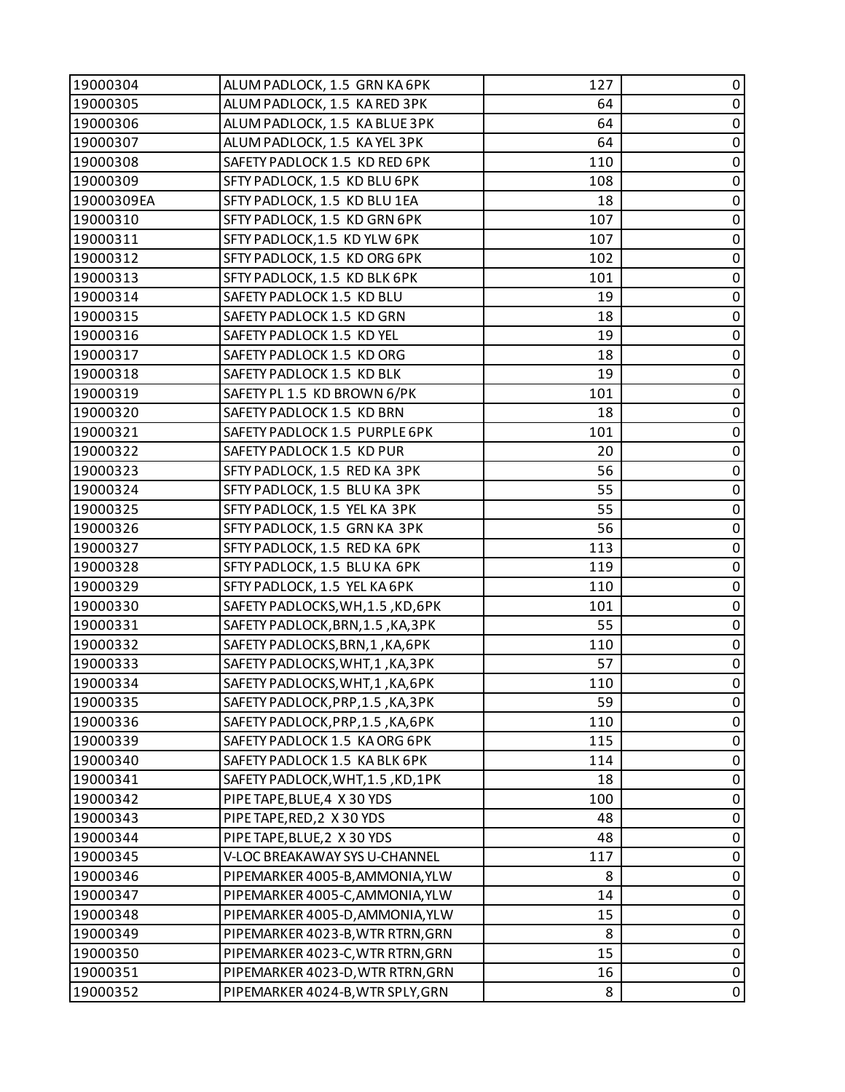| 19000304   | ALUM PADLOCK, 1.5 GRN KA 6PK      | 127 | 0                   |
|------------|-----------------------------------|-----|---------------------|
| 19000305   | ALUM PADLOCK, 1.5 KA RED 3PK      | 64  | $\pmb{0}$           |
| 19000306   | ALUM PADLOCK, 1.5 KA BLUE 3PK     | 64  | $\pmb{0}$           |
| 19000307   | ALUM PADLOCK, 1.5 KAYEL 3PK       | 64  | $\pmb{0}$           |
| 19000308   | SAFETY PADLOCK 1.5 KD RED 6PK     | 110 | $\pmb{0}$           |
| 19000309   | SFTY PADLOCK, 1.5 KD BLU 6PK      | 108 | 0                   |
| 19000309EA | SFTY PADLOCK, 1.5 KD BLU 1EA      | 18  | $\pmb{0}$           |
| 19000310   | SFTY PADLOCK, 1.5 KD GRN 6PK      | 107 | $\pmb{0}$           |
| 19000311   | SFTY PADLOCK, 1.5 KD YLW 6PK      | 107 | $\pmb{0}$           |
| 19000312   | SFTY PADLOCK, 1.5 KD ORG 6PK      | 102 | 0                   |
| 19000313   | SFTY PADLOCK, 1.5 KD BLK 6PK      | 101 | $\pmb{0}$           |
| 19000314   | SAFETY PADLOCK 1.5 KD BLU         | 19  | $\pmb{0}$           |
| 19000315   | SAFETY PADLOCK 1.5 KD GRN         | 18  | $\pmb{0}$           |
| 19000316   | SAFETY PADLOCK 1.5 KD YEL         | 19  | $\pmb{0}$           |
| 19000317   | SAFETY PADLOCK 1.5 KD ORG         | 18  | $\pmb{0}$           |
| 19000318   | SAFETY PADLOCK 1.5 KD BLK         | 19  | $\pmb{0}$           |
| 19000319   | SAFETY PL 1.5 KD BROWN 6/PK       | 101 | $\pmb{0}$           |
| 19000320   | SAFETY PADLOCK 1.5 KD BRN         | 18  | $\pmb{0}$           |
| 19000321   | SAFETY PADLOCK 1.5 PURPLE 6PK     | 101 | $\pmb{0}$           |
| 19000322   | SAFETY PADLOCK 1.5 KD PUR         | 20  | $\pmb{0}$           |
| 19000323   | SFTY PADLOCK, 1.5 RED KA 3PK      | 56  | $\pmb{0}$           |
| 19000324   | SFTY PADLOCK, 1.5 BLU KA 3PK      | 55  | $\pmb{0}$           |
| 19000325   | SFTY PADLOCK, 1.5 YEL KA 3PK      | 55  | $\pmb{0}$           |
| 19000326   | SFTY PADLOCK, 1.5 GRN KA 3PK      | 56  | $\pmb{0}$           |
| 19000327   | SFTY PADLOCK, 1.5 RED KA 6PK      | 113 | $\pmb{0}$           |
| 19000328   | SFTY PADLOCK, 1.5 BLU KA 6PK      | 119 | $\pmb{0}$           |
| 19000329   | SFTY PADLOCK, 1.5 YEL KA 6PK      | 110 | $\pmb{0}$           |
| 19000330   | SAFETY PADLOCKS, WH, 1.5, KD, 6PK | 101 | $\pmb{0}$           |
| 19000331   | SAFETY PADLOCK, BRN, 1.5, KA, 3PK | 55  | $\pmb{0}$           |
| 19000332   | SAFETY PADLOCKS, BRN, 1, KA, 6PK  | 110 | $\pmb{0}$           |
| 19000333   | SAFETY PADLOCKS, WHT, 1, KA, 3PK  | 57  | $\pmb{0}$           |
| 19000334   | SAFETY PADLOCKS, WHT, 1, KA, 6PK  | 110 | $\pmb{0}$           |
| 19000335   | SAFETY PADLOCK, PRP, 1.5, KA, 3PK | 59  | 0                   |
| 19000336   | SAFETY PADLOCK, PRP, 1.5, KA, 6PK | 110 | 0                   |
| 19000339   | SAFETY PADLOCK 1.5 KA ORG 6PK     | 115 | $\pmb{0}$           |
| 19000340   | SAFETY PADLOCK 1.5 KA BLK 6PK     | 114 | $\pmb{0}$           |
| 19000341   | SAFETY PADLOCK, WHT, 1.5, KD, 1PK | 18  | 0                   |
| 19000342   | PIPE TAPE, BLUE, 4 X 30 YDS       | 100 | $\pmb{0}$           |
| 19000343   | PIPE TAPE, RED, 2 X 30 YDS        | 48  | $\pmb{0}$           |
| 19000344   | PIPE TAPE, BLUE, 2 X 30 YDS       | 48  | 0                   |
| 19000345   | V-LOC BREAKAWAY SYS U-CHANNEL     | 117 | $\pmb{0}$           |
| 19000346   | PIPEMARKER 4005-B, AMMONIA, YLW   | 8   | $\pmb{0}$           |
| 19000347   | PIPEMARKER 4005-C, AMMONIA, YLW   | 14  | $\mathbf 0$         |
| 19000348   | PIPEMARKER 4005-D, AMMONIA, YLW   | 15  | $\pmb{0}$           |
| 19000349   | PIPEMARKER 4023-B, WTR RTRN, GRN  | 8   | $\pmb{0}$           |
| 19000350   | PIPEMARKER 4023-C, WTR RTRN, GRN  | 15  | $\pmb{0}$           |
| 19000351   | PIPEMARKER 4023-D, WTR RTRN, GRN  | 16  | $\pmb{0}$           |
| 19000352   | PIPEMARKER 4024-B, WTR SPLY, GRN  | 8   | $\mathsf{O}\xspace$ |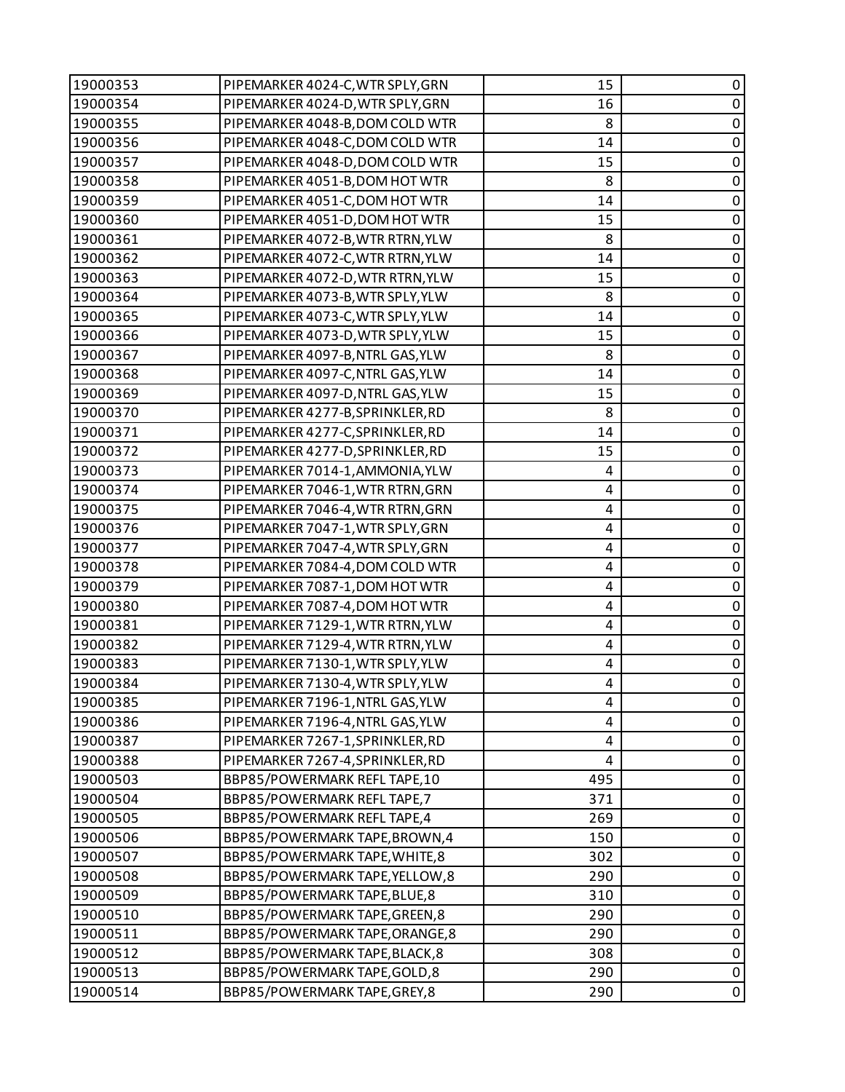| 19000353 | PIPEMARKER 4024-C, WTR SPLY, GRN | 15                      | 0              |
|----------|----------------------------------|-------------------------|----------------|
| 19000354 | PIPEMARKER 4024-D, WTR SPLY, GRN | 16                      | $\mathsf 0$    |
| 19000355 | PIPEMARKER 4048-B, DOM COLD WTR  | 8                       | 0              |
| 19000356 | PIPEMARKER 4048-C, DOM COLD WTR  | 14                      | $\pmb{0}$      |
| 19000357 | PIPEMARKER 4048-D, DOM COLD WTR  | 15                      | $\mathbf 0$    |
| 19000358 | PIPEMARKER 4051-B, DOM HOT WTR   | 8                       | 0              |
| 19000359 | PIPEMARKER 4051-C, DOM HOT WTR   | 14                      | $\pmb{0}$      |
| 19000360 | PIPEMARKER 4051-D, DOM HOT WTR   | 15                      | $\mathbf 0$    |
| 19000361 | PIPEMARKER 4072-B, WTR RTRN, YLW | 8                       | 0              |
| 19000362 | PIPEMARKER 4072-C, WTR RTRN, YLW | 14                      | $\pmb{0}$      |
| 19000363 | PIPEMARKER 4072-D, WTR RTRN, YLW | 15                      | $\mathbf 0$    |
| 19000364 | PIPEMARKER 4073-B, WTR SPLY, YLW | 8                       | 0              |
| 19000365 | PIPEMARKER 4073-C, WTR SPLY, YLW | 14                      | $\mathbf 0$    |
| 19000366 | PIPEMARKER 4073-D, WTR SPLY, YLW | 15                      | $\mathbf 0$    |
| 19000367 | PIPEMARKER 4097-B, NTRL GAS, YLW | 8                       | 0              |
| 19000368 | PIPEMARKER 4097-C, NTRL GAS, YLW | 14                      | $\mathbf 0$    |
| 19000369 | PIPEMARKER 4097-D, NTRL GAS, YLW | 15                      | $\mathbf 0$    |
| 19000370 | PIPEMARKER 4277-B, SPRINKLER, RD | 8                       | 0              |
| 19000371 | PIPEMARKER 4277-C, SPRINKLER, RD | 14                      | $\pmb{0}$      |
| 19000372 | PIPEMARKER 4277-D, SPRINKLER, RD | 15                      | $\mathbf 0$    |
| 19000373 | PIPEMARKER 7014-1, AMMONIA, YLW  | 4                       | 0              |
| 19000374 | PIPEMARKER 7046-1, WTR RTRN, GRN | 4                       | $\pmb{0}$      |
| 19000375 | PIPEMARKER 7046-4, WTR RTRN, GRN | 4                       | $\mathbf 0$    |
| 19000376 | PIPEMARKER 7047-1, WTR SPLY, GRN | 4                       | 0              |
| 19000377 | PIPEMARKER 7047-4, WTR SPLY, GRN | 4                       | $\pmb{0}$      |
| 19000378 | PIPEMARKER 7084-4, DOM COLD WTR  | 4                       | $\mathbf 0$    |
| 19000379 | PIPEMARKER 7087-1, DOM HOT WTR   | 4                       | 0              |
| 19000380 | PIPEMARKER 7087-4, DOM HOT WTR   | 4                       | $\pmb{0}$      |
| 19000381 | PIPEMARKER 7129-1, WTR RTRN, YLW | $\overline{\mathbf{4}}$ | $\pmb{0}$      |
| 19000382 | PIPEMARKER 7129-4, WTR RTRN, YLW | 4                       | 0              |
| 19000383 | PIPEMARKER 7130-1, WTR SPLY, YLW | 4                       | $\pmb{0}$      |
| 19000384 | PIPEMARKER 7130-4, WTR SPLY, YLW | 4                       | $\overline{0}$ |
| 19000385 | PIPEMARKER 7196-1, NTRL GAS, YLW | 4                       | 0              |
| 19000386 | PIPEMARKER 7196-4, NTRL GAS, YLW | 4                       | 0              |
| 19000387 | PIPEMARKER 7267-1, SPRINKLER, RD | 4                       | $\pmb{0}$      |
| 19000388 | PIPEMARKER 7267-4, SPRINKLER, RD | 4                       | 0              |
| 19000503 | BBP85/POWERMARK REFL TAPE,10     | 495                     | $\pmb{0}$      |
| 19000504 | BBP85/POWERMARK REFL TAPE, 7     | 371                     | $\pmb{0}$      |
| 19000505 | BBP85/POWERMARK REFL TAPE,4      | 269                     | 0              |
| 19000506 | BBP85/POWERMARK TAPE, BROWN, 4   | 150                     | $\pmb{0}$      |
| 19000507 | BBP85/POWERMARK TAPE, WHITE, 8   | 302                     | $\pmb{0}$      |
| 19000508 | BBP85/POWERMARK TAPE, YELLOW, 8  | 290                     | 0              |
| 19000509 | BBP85/POWERMARK TAPE, BLUE, 8    | 310                     | $\mathbf 0$    |
| 19000510 | BBP85/POWERMARK TAPE, GREEN, 8   | 290                     | $\pmb{0}$      |
| 19000511 | BBP85/POWERMARK TAPE, ORANGE, 8  | 290                     | $\pmb{0}$      |
| 19000512 | BBP85/POWERMARK TAPE, BLACK, 8   | 308                     | $\pmb{0}$      |
| 19000513 | BBP85/POWERMARK TAPE, GOLD, 8    | 290                     | $\pmb{0}$      |
| 19000514 | BBP85/POWERMARK TAPE, GREY, 8    | 290                     | $\pmb{0}$      |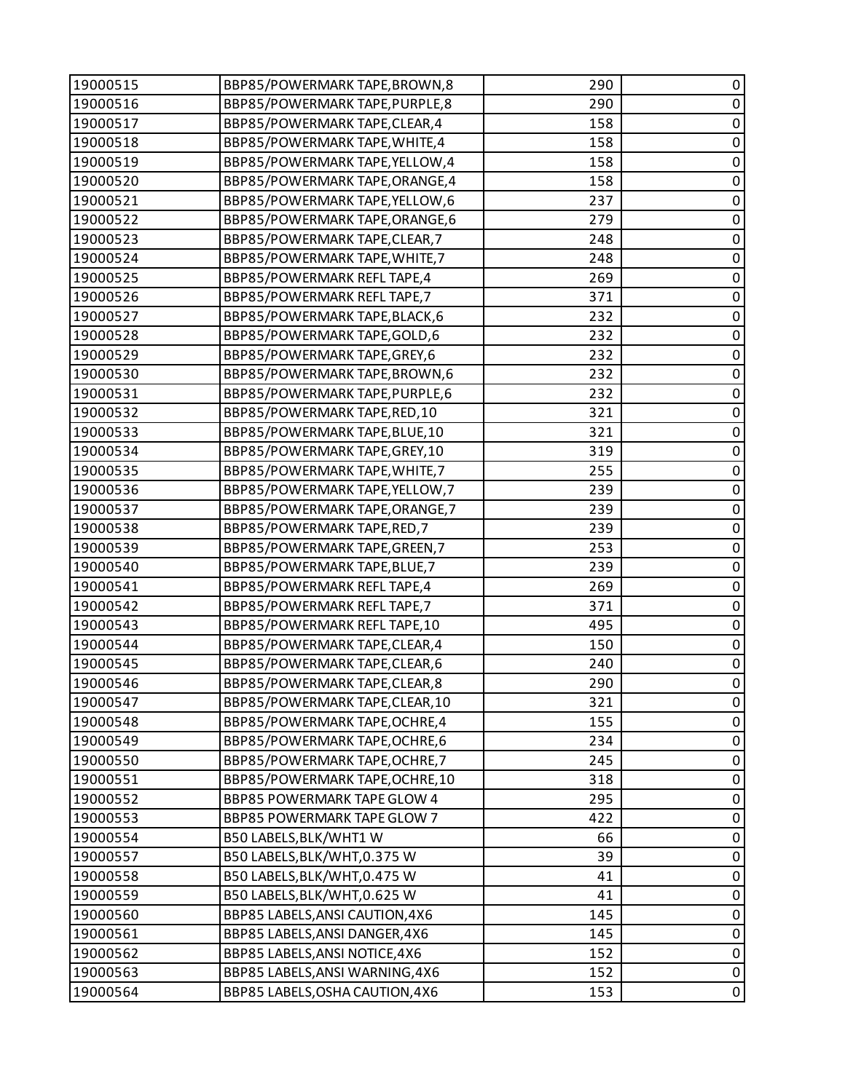| 19000515 | BBP85/POWERMARK TAPE, BROWN, 8     | 290 | 0           |
|----------|------------------------------------|-----|-------------|
| 19000516 | BBP85/POWERMARK TAPE, PURPLE, 8    | 290 | $\mathbf 0$ |
| 19000517 | BBP85/POWERMARK TAPE, CLEAR, 4     | 158 | 0           |
| 19000518 | BBP85/POWERMARK TAPE, WHITE, 4     | 158 | $\pmb{0}$   |
| 19000519 | BBP85/POWERMARK TAPE, YELLOW, 4    | 158 | $\pmb{0}$   |
| 19000520 | BBP85/POWERMARK TAPE, ORANGE, 4    | 158 | $\pmb{0}$   |
| 19000521 | BBP85/POWERMARK TAPE, YELLOW, 6    | 237 | $\pmb{0}$   |
| 19000522 | BBP85/POWERMARK TAPE, ORANGE, 6    | 279 | $\pmb{0}$   |
| 19000523 | BBP85/POWERMARK TAPE, CLEAR, 7     | 248 | $\pmb{0}$   |
| 19000524 | BBP85/POWERMARK TAPE, WHITE, 7     | 248 | $\pmb{0}$   |
| 19000525 | BBP85/POWERMARK REFL TAPE,4        | 269 | $\pmb{0}$   |
| 19000526 | BBP85/POWERMARK REFL TAPE, 7       | 371 | 0           |
| 19000527 | BBP85/POWERMARK TAPE, BLACK, 6     | 232 | $\pmb{0}$   |
| 19000528 | BBP85/POWERMARK TAPE, GOLD, 6      | 232 | $\pmb{0}$   |
| 19000529 | BBP85/POWERMARK TAPE, GREY, 6      | 232 | $\pmb{0}$   |
| 19000530 | BBP85/POWERMARK TAPE, BROWN, 6     | 232 | $\pmb{0}$   |
| 19000531 | BBP85/POWERMARK TAPE, PURPLE, 6    | 232 | $\pmb{0}$   |
| 19000532 | BBP85/POWERMARK TAPE, RED, 10      | 321 | 0           |
| 19000533 | BBP85/POWERMARK TAPE, BLUE, 10     | 321 | $\pmb{0}$   |
| 19000534 | BBP85/POWERMARK TAPE, GREY, 10     | 319 | $\pmb{0}$   |
| 19000535 | BBP85/POWERMARK TAPE, WHITE, 7     | 255 | $\pmb{0}$   |
| 19000536 | BBP85/POWERMARK TAPE, YELLOW, 7    | 239 | $\pmb{0}$   |
| 19000537 | BBP85/POWERMARK TAPE, ORANGE, 7    | 239 | $\pmb{0}$   |
| 19000538 | BBP85/POWERMARK TAPE, RED, 7       | 239 | 0           |
| 19000539 | BBP85/POWERMARK TAPE, GREEN, 7     | 253 | $\pmb{0}$   |
| 19000540 | BBP85/POWERMARK TAPE, BLUE, 7      | 239 | $\mathbf 0$ |
| 19000541 | BBP85/POWERMARK REFL TAPE,4        | 269 | $\pmb{0}$   |
| 19000542 | BBP85/POWERMARK REFL TAPE, 7       | 371 | $\pmb{0}$   |
| 19000543 | BBP85/POWERMARK REFL TAPE,10       | 495 | $\pmb{0}$   |
| 19000544 | BBP85/POWERMARK TAPE, CLEAR, 4     | 150 | $\pmb{0}$   |
| 19000545 | BBP85/POWERMARK TAPE, CLEAR, 6     | 240 | $\pmb{0}$   |
| 19000546 | BBP85/POWERMARK TAPE, CLEAR, 8     | 290 | $\mathbf 0$ |
| 19000547 | BBP85/POWERMARK TAPE, CLEAR, 10    | 321 | 0           |
| 19000548 | BBP85/POWERMARK TAPE, OCHRE, 4     | 155 | 0           |
| 19000549 | BBP85/POWERMARK TAPE, OCHRE, 6     | 234 | $\pmb{0}$   |
| 19000550 | BBP85/POWERMARK TAPE, OCHRE, 7     | 245 | $\pmb{0}$   |
| 19000551 | BBP85/POWERMARK TAPE, OCHRE, 10    | 318 | 0           |
| 19000552 | <b>BBP85 POWERMARK TAPE GLOW 4</b> | 295 | 0           |
| 19000553 | <b>BBP85 POWERMARK TAPE GLOW 7</b> | 422 | 0           |
| 19000554 | B50 LABELS, BLK/WHT1 W             | 66  | 0           |
| 19000557 | B50 LABELS, BLK/WHT, 0.375 W       | 39  | $\mathbf 0$ |
| 19000558 | B50 LABELS, BLK/WHT, 0.475 W       | 41  | 0           |
| 19000559 | B50 LABELS, BLK/WHT, 0.625 W       | 41  | $\mathbf 0$ |
| 19000560 | BBP85 LABELS, ANSI CAUTION, 4X6    | 145 | 0           |
| 19000561 | BBP85 LABELS, ANSI DANGER, 4X6     | 145 | 0           |
| 19000562 | BBP85 LABELS, ANSI NOTICE, 4X6     | 152 | $\pmb{0}$   |
| 19000563 | BBP85 LABELS, ANSI WARNING, 4X6    | 152 | $\pmb{0}$   |
| 19000564 | BBP85 LABELS, OSHA CAUTION, 4X6    | 153 | 0           |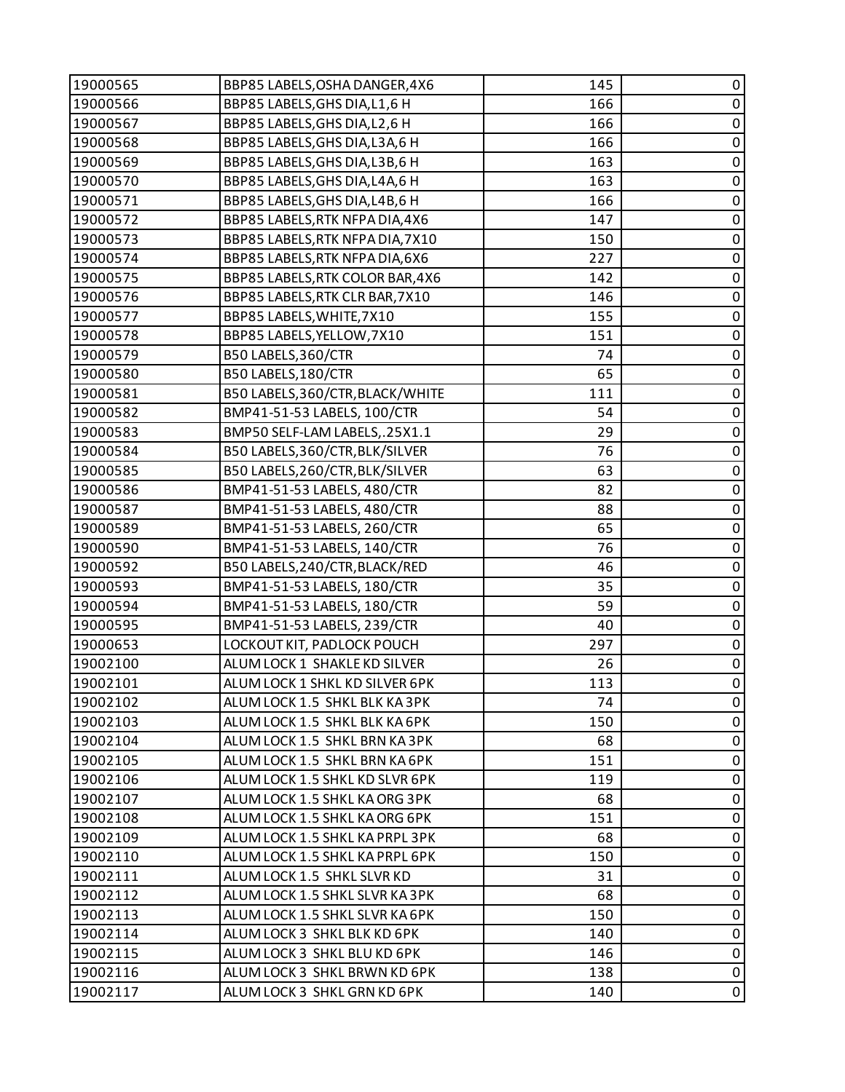| 19000565 | BBP85 LABELS, OSHA DANGER, 4X6   | 145 | 0           |
|----------|----------------------------------|-----|-------------|
| 19000566 | BBP85 LABELS, GHS DIA, L1, 6 H   | 166 | $\pmb{0}$   |
| 19000567 | BBP85 LABELS, GHS DIA, L2, 6 H   | 166 | $\pmb{0}$   |
| 19000568 | BBP85 LABELS, GHS DIA, L3A, 6 H  | 166 | $\pmb{0}$   |
| 19000569 | BBP85 LABELS, GHS DIA, L3B, 6 H  | 163 | $\pmb{0}$   |
| 19000570 | BBP85 LABELS, GHS DIA, L4A, 6 H  | 163 | $\pmb{0}$   |
| 19000571 | BBP85 LABELS, GHS DIA, L4B, 6 H  | 166 | $\pmb{0}$   |
| 19000572 | BBP85 LABELS, RTK NFPA DIA, 4X6  | 147 | $\mathbf 0$ |
| 19000573 | BBP85 LABELS, RTK NFPA DIA, 7X10 | 150 | $\pmb{0}$   |
| 19000574 | BBP85 LABELS, RTK NFPA DIA, 6X6  | 227 | $\pmb{0}$   |
| 19000575 | BBP85 LABELS, RTK COLOR BAR, 4X6 | 142 | $\pmb{0}$   |
| 19000576 | BBP85 LABELS, RTK CLR BAR, 7X10  | 146 | $\pmb{0}$   |
| 19000577 | BBP85 LABELS, WHITE, 7X10        | 155 | $\pmb{0}$   |
| 19000578 | BBP85 LABELS, YELLOW, 7X10       | 151 | $\mathbf 0$ |
| 19000579 | B50 LABELS, 360/CTR              | 74  | 0           |
| 19000580 | B50 LABELS, 180/CTR              | 65  | $\pmb{0}$   |
| 19000581 | B50 LABELS, 360/CTR, BLACK/WHITE | 111 | $\pmb{0}$   |
| 19000582 | BMP41-51-53 LABELS, 100/CTR      | 54  | $\pmb{0}$   |
| 19000583 | BMP50 SELF-LAM LABELS,.25X1.1    | 29  | $\pmb{0}$   |
| 19000584 | B50 LABELS, 360/CTR, BLK/SILVER  | 76  | $\pmb{0}$   |
| 19000585 | B50 LABELS, 260/CTR, BLK/SILVER  | 63  | $\pmb{0}$   |
| 19000586 | BMP41-51-53 LABELS, 480/CTR      | 82  | $\pmb{0}$   |
| 19000587 | BMP41-51-53 LABELS, 480/CTR      | 88  | $\pmb{0}$   |
| 19000589 | BMP41-51-53 LABELS, 260/CTR      | 65  | $\pmb{0}$   |
| 19000590 | BMP41-51-53 LABELS, 140/CTR      | 76  | $\pmb{0}$   |
| 19000592 | B50 LABELS, 240/CTR, BLACK/RED   | 46  | $\pmb{0}$   |
| 19000593 | BMP41-51-53 LABELS, 180/CTR      | 35  | $\pmb{0}$   |
| 19000594 | BMP41-51-53 LABELS, 180/CTR      | 59  | $\pmb{0}$   |
| 19000595 | BMP41-51-53 LABELS, 239/CTR      | 40  | $\pmb{0}$   |
| 19000653 | LOCKOUT KIT, PADLOCK POUCH       | 297 | $\pmb{0}$   |
| 19002100 | ALUM LOCK 1 SHAKLE KD SILVER     | 26  | $\pmb{0}$   |
| 19002101 | ALUM LOCK 1 SHKL KD SILVER 6PK   | 113 | $\mathbf 0$ |
| 19002102 | ALUM LOCK 1.5 SHKL BLK KA 3PK    | 74  | 0           |
| 19002103 | ALUM LOCK 1.5 SHKL BLK KA 6PK    | 150 | 0           |
| 19002104 | ALUM LOCK 1.5 SHKL BRN KA 3PK    | 68  | $\pmb{0}$   |
| 19002105 | ALUM LOCK 1.5 SHKL BRN KA 6PK    | 151 | 0           |
| 19002106 | ALUM LOCK 1.5 SHKL KD SLVR 6PK   | 119 | $\mathbf 0$ |
| 19002107 | ALUM LOCK 1.5 SHKL KA ORG 3PK    | 68  | $\pmb{0}$   |
| 19002108 | ALUM LOCK 1.5 SHKL KA ORG 6PK    | 151 | 0           |
| 19002109 | ALUM LOCK 1.5 SHKL KA PRPL 3PK   | 68  | 0           |
| 19002110 | ALUM LOCK 1.5 SHKL KA PRPL 6PK   | 150 | $\pmb{0}$   |
| 19002111 | ALUM LOCK 1.5 SHKL SLVR KD       | 31  | 0           |
| 19002112 | ALUM LOCK 1.5 SHKL SLVR KA 3PK   | 68  | $\pmb{0}$   |
| 19002113 | ALUM LOCK 1.5 SHKL SLVR KA 6PK   | 150 | $\mathbf 0$ |
| 19002114 | ALUM LOCK 3 SHKL BLK KD 6PK      | 140 | 0           |
| 19002115 | ALUM LOCK 3 SHKL BLU KD 6PK      | 146 | $\pmb{0}$   |
| 19002116 | ALUM LOCK 3 SHKL BRWN KD 6PK     | 138 | $\pmb{0}$   |
| 19002117 | ALUM LOCK 3 SHKL GRN KD 6PK      | 140 | 0           |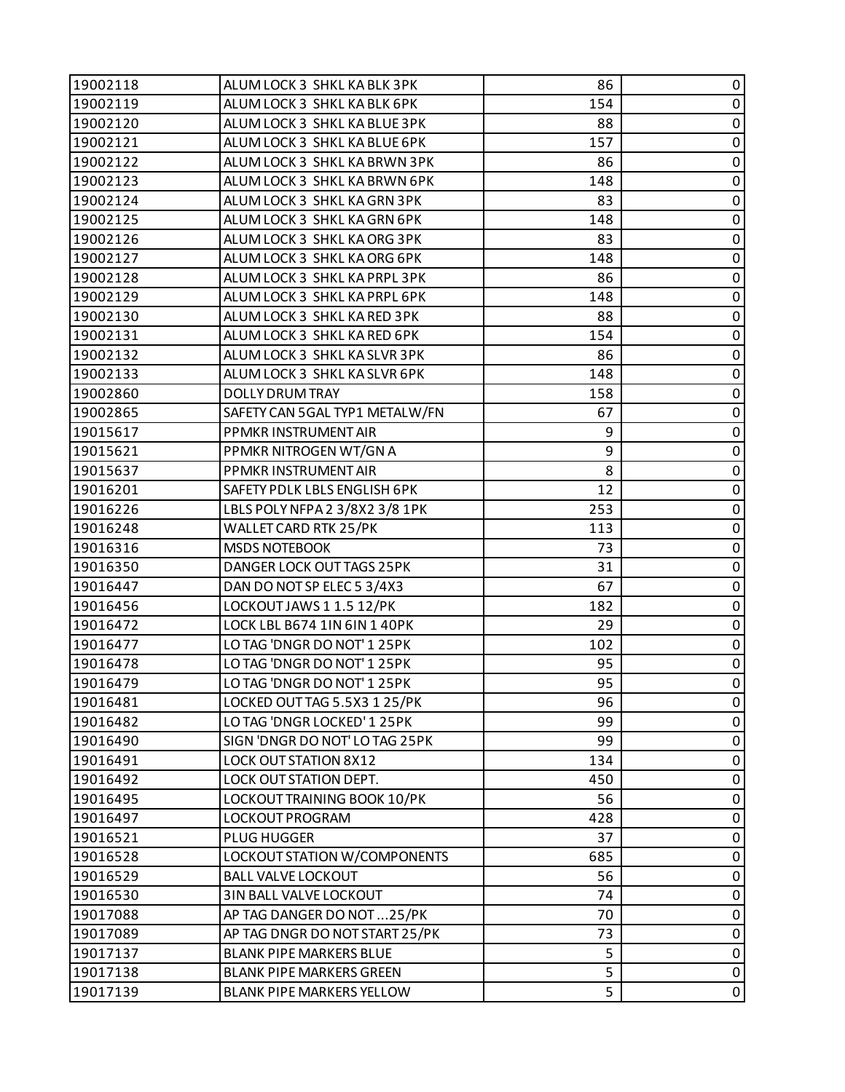| 19002118 | ALUM LOCK 3 SHKL KA BLK 3PK    | 86  | 0              |
|----------|--------------------------------|-----|----------------|
| 19002119 | ALUM LOCK 3 SHKL KA BLK 6PK    | 154 | $\pmb{0}$      |
| 19002120 | ALUM LOCK 3 SHKL KA BLUE 3PK   | 88  | $\pmb{0}$      |
| 19002121 | ALUM LOCK 3 SHKL KA BLUE 6PK   | 157 | $\pmb{0}$      |
| 19002122 | ALUM LOCK 3 SHKL KA BRWN 3PK   | 86  | $\pmb{0}$      |
| 19002123 | ALUM LOCK 3 SHKL KA BRWN 6PK   | 148 | $\pmb{0}$      |
| 19002124 | ALUM LOCK 3 SHKL KA GRN 3PK    | 83  | $\pmb{0}$      |
| 19002125 | ALUM LOCK 3 SHKL KA GRN 6PK    | 148 | $\pmb{0}$      |
| 19002126 | ALUM LOCK 3 SHKL KA ORG 3PK    | 83  | $\pmb{0}$      |
| 19002127 | ALUM LOCK 3 SHKL KA ORG 6PK    | 148 | 0              |
| 19002128 | ALUM LOCK 3 SHKL KA PRPL 3PK   | 86  | $\pmb{0}$      |
| 19002129 | ALUM LOCK 3 SHKL KA PRPL 6PK   | 148 | $\pmb{0}$      |
| 19002130 | ALUM LOCK 3 SHKL KA RED 3PK    | 88  | $\pmb{0}$      |
| 19002131 | ALUM LOCK 3 SHKL KA RED 6PK    | 154 | $\pmb{0}$      |
| 19002132 | ALUM LOCK 3 SHKL KA SLVR 3PK   | 86  | $\pmb{0}$      |
| 19002133 | ALUM LOCK 3 SHKL KA SLVR 6PK   | 148 | $\pmb{0}$      |
| 19002860 | <b>DOLLY DRUM TRAY</b>         | 158 | $\pmb{0}$      |
| 19002865 | SAFETY CAN 5GAL TYP1 METALW/FN | 67  | $\pmb{0}$      |
| 19015617 | PPMKR INSTRUMENT AIR           | 9   | $\pmb{0}$      |
| 19015621 | PPMKR NITROGEN WT/GN A         | 9   | $\pmb{0}$      |
| 19015637 | PPMKR INSTRUMENT AIR           | 8   | $\pmb{0}$      |
| 19016201 | SAFETY PDLK LBLS ENGLISH 6PK   | 12  | $\pmb{0}$      |
| 19016226 | LBLS POLY NFPA 2 3/8X2 3/8 1PK | 253 | $\pmb{0}$      |
| 19016248 | WALLET CARD RTK 25/PK          | 113 | $\pmb{0}$      |
| 19016316 | <b>MSDS NOTEBOOK</b>           | 73  | $\pmb{0}$      |
| 19016350 | DANGER LOCK OUT TAGS 25PK      | 31  | $\pmb{0}$      |
| 19016447 | DAN DO NOT SP ELEC 5 3/4X3     | 67  | $\pmb{0}$      |
| 19016456 | LOCKOUT JAWS 1 1.5 12/PK       | 182 | $\pmb{0}$      |
| 19016472 | LOCK LBL B674 1IN 6IN 1 40PK   | 29  | $\pmb{0}$      |
| 19016477 | LOTAG 'DNGR DO NOT' 1 25PK     | 102 | $\pmb{0}$      |
| 19016478 | LOTAG 'DNGR DO NOT' 1 25PK     | 95  | $\pmb{0}$      |
| 19016479 | LO TAG 'DNGR DO NOT' 1 25PK    | 95  | $\pmb{0}$      |
| 19016481 | LOCKED OUT TAG 5.5X3 1 25/PK   | 96  | 0              |
| 19016482 | LO TAG 'DNGR LOCKED' 1 25PK    | 99  | 0              |
| 19016490 | SIGN 'DNGR DO NOT' LO TAG 25PK | 99  | $\pmb{0}$      |
| 19016491 | <b>LOCK OUT STATION 8X12</b>   | 134 | $\pmb{0}$      |
| 19016492 | LOCK OUT STATION DEPT.         | 450 | 0              |
| 19016495 | LOCKOUT TRAINING BOOK 10/PK    | 56  | $\pmb{0}$      |
| 19016497 | LOCKOUT PROGRAM                | 428 | $\pmb{0}$      |
| 19016521 | <b>PLUG HUGGER</b>             | 37  | 0              |
| 19016528 | LOCKOUT STATION W/COMPONENTS   | 685 | $\pmb{0}$      |
| 19016529 | <b>BALL VALVE LOCKOUT</b>      | 56  | $\pmb{0}$      |
| 19016530 | 3IN BALL VALVE LOCKOUT         | 74  | $\pmb{0}$      |
| 19017088 | AP TAG DANGER DO NOT 25/PK     | 70  | $\pmb{0}$      |
| 19017089 | AP TAG DNGR DO NOT START 25/PK | 73  | $\pmb{0}$      |
| 19017137 | BLANK PIPE MARKERS BLUE        | 5   | $\pmb{0}$      |
| 19017138 | BLANK PIPE MARKERS GREEN       | 5   | $\mathsf 0$    |
| 19017139 | BLANK PIPE MARKERS YELLOW      | 5   | $\overline{0}$ |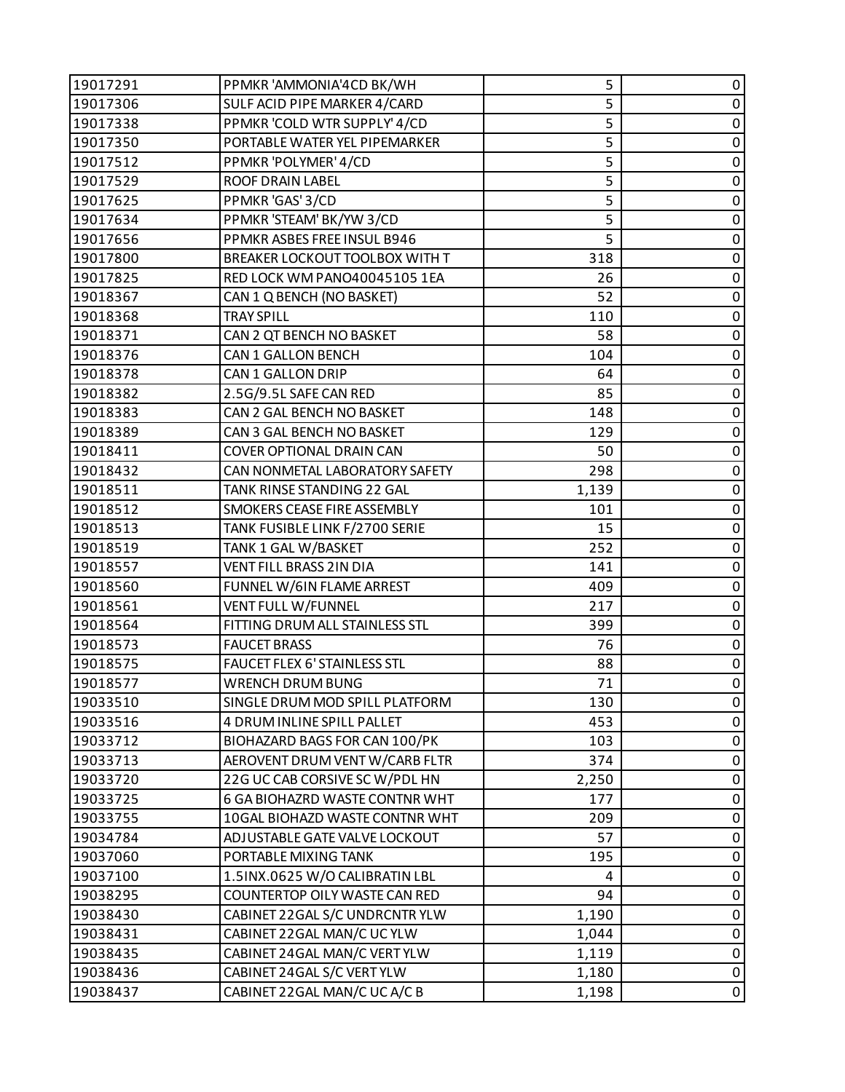| 19017291 | PPMKR 'AMMONIA'4CD BK/WH        | 5     | 0           |
|----------|---------------------------------|-------|-------------|
| 19017306 | SULF ACID PIPE MARKER 4/CARD    | 5     | 0           |
| 19017338 | PPMKR 'COLD WTR SUPPLY' 4/CD    | 5     | 0           |
| 19017350 | PORTABLE WATER YEL PIPEMARKER   | 5     | $\pmb{0}$   |
| 19017512 | PPMKR 'POLYMER' 4/CD            | 5     | $\mathbf 0$ |
| 19017529 | <b>ROOF DRAIN LABEL</b>         | 5     | 0           |
| 19017625 | PPMKR 'GAS' 3/CD                | 5     | $\pmb{0}$   |
| 19017634 | PPMKR 'STEAM' BK/YW 3/CD        | 5     | $\mathsf 0$ |
| 19017656 | PPMKR ASBES FREE INSUL B946     | 5     | 0           |
| 19017800 | BREAKER LOCKOUT TOOLBOX WITH T  | 318   | $\pmb{0}$   |
| 19017825 | RED LOCK WM PANO40045105 1EA    | 26    | $\pmb{0}$   |
| 19018367 | CAN 1 Q BENCH (NO BASKET)       | 52    | 0           |
| 19018368 | <b>TRAY SPILL</b>               | 110   | $\pmb{0}$   |
| 19018371 | CAN 2 QT BENCH NO BASKET        | 58    | $\mathsf 0$ |
| 19018376 | <b>CAN 1 GALLON BENCH</b>       | 104   | 0           |
| 19018378 | CAN 1 GALLON DRIP               | 64    | $\pmb{0}$   |
| 19018382 | 2.5G/9.5L SAFE CAN RED          | 85    | $\pmb{0}$   |
| 19018383 | CAN 2 GAL BENCH NO BASKET       | 148   | 0           |
| 19018389 | CAN 3 GAL BENCH NO BASKET       | 129   | $\pmb{0}$   |
| 19018411 | <b>COVER OPTIONAL DRAIN CAN</b> | 50    | $\pmb{0}$   |
| 19018432 | CAN NONMETAL LABORATORY SAFETY  | 298   | 0           |
| 19018511 | TANK RINSE STANDING 22 GAL      | 1,139 | $\pmb{0}$   |
| 19018512 | SMOKERS CEASE FIRE ASSEMBLY     | 101   | $\pmb{0}$   |
| 19018513 | TANK FUSIBLE LINK F/2700 SERIE  | 15    | 0           |
| 19018519 | TANK 1 GAL W/BASKET             | 252   | $\pmb{0}$   |
| 19018557 | VENT FILL BRASS 2IN DIA         | 141   | $\mathsf 0$ |
| 19018560 | FUNNEL W/6IN FLAME ARREST       | 409   | 0           |
| 19018561 | VENT FULL W/FUNNEL              | 217   | 0           |
| 19018564 | FITTING DRUM ALL STAINLESS STL  | 399   | $\pmb{0}$   |
| 19018573 | <b>FAUCET BRASS</b>             | 76    | 0           |
| 19018575 | FAUCET FLEX 6' STAINLESS STL    | 88    | $\pmb{0}$   |
| 19018577 | <b>WRENCH DRUM BUNG</b>         | 71    | $\mathbf 0$ |
| 19033510 | SINGLE DRUM MOD SPILL PLATFORM  | 130   | 0           |
| 19033516 | 4 DRUM INLINE SPILL PALLET      | 453   | 0           |
| 19033712 | BIOHAZARD BAGS FOR CAN 100/PK   | 103   | $\pmb{0}$   |
| 19033713 | AEROVENT DRUM VENT W/CARB FLTR  | 374   | 0           |
| 19033720 | 22G UC CAB CORSIVE SC W/PDL HN  | 2,250 | 0           |
| 19033725 | 6 GA BIOHAZRD WASTE CONTNR WHT  | 177   | 0           |
| 19033755 | 10GAL BIOHAZD WASTE CONTNR WHT  | 209   | 0           |
| 19034784 | ADJUSTABLE GATE VALVE LOCKOUT   | 57    | 0           |
| 19037060 | PORTABLE MIXING TANK            | 195   | $\pmb{0}$   |
| 19037100 | 1.5INX.0625 W/O CALIBRATIN LBL  | 4     | 0           |
| 19038295 | COUNTERTOP OILY WASTE CAN RED   | 94    | $\pmb{0}$   |
| 19038430 | CABINET 22GAL S/C UNDRCNTR YLW  | 1,190 | $\pmb{0}$   |
| 19038431 | CABINET 22GAL MAN/C UC YLW      | 1,044 | 0           |
| 19038435 | CABINET 24GAL MAN/C VERT YLW    | 1,119 | $\pmb{0}$   |
| 19038436 | CABINET 24GAL S/C VERT YLW      | 1,180 | $\pmb{0}$   |
| 19038437 | CABINET 22GAL MAN/C UC A/C B    | 1,198 | $\mathbf 0$ |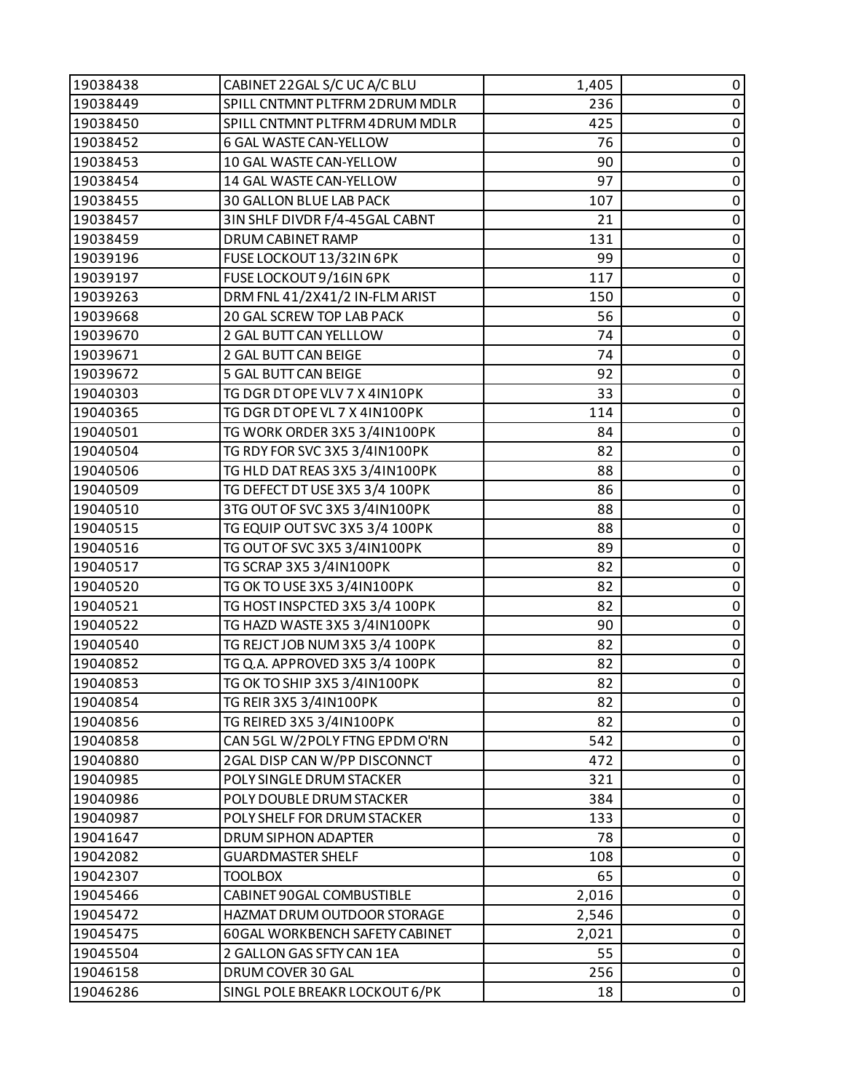| 19038438 | CABINET 22GAL S/C UC A/C BLU          | 1,405 | 0           |
|----------|---------------------------------------|-------|-------------|
| 19038449 | SPILL CNTMNT PLTFRM 2DRUM MDLR        | 236   | $\pmb{0}$   |
| 19038450 | SPILL CNTMNT PLTFRM 4DRUM MDLR        | 425   | 0           |
| 19038452 | 6 GAL WASTE CAN-YELLOW                | 76    | $\pmb{0}$   |
| 19038453 | 10 GAL WASTE CAN-YELLOW               | 90    | $\pmb{0}$   |
| 19038454 | 14 GAL WASTE CAN-YELLOW               | 97    | $\pmb{0}$   |
| 19038455 | 30 GALLON BLUE LAB PACK               | 107   | $\pmb{0}$   |
| 19038457 | 3IN SHLF DIVDR F/4-45GAL CABNT        | 21    | $\pmb{0}$   |
| 19038459 | DRUM CABINET RAMP                     | 131   | 0           |
| 19039196 | FUSE LOCKOUT 13/32IN 6PK              | 99    | $\pmb{0}$   |
| 19039197 | FUSE LOCKOUT 9/16IN 6PK               | 117   | $\pmb{0}$   |
| 19039263 | DRM FNL 41/2X41/2 IN-FLM ARIST        | 150   | 0           |
| 19039668 | 20 GAL SCREW TOP LAB PACK             | 56    | $\pmb{0}$   |
| 19039670 | 2 GAL BUTT CAN YELLLOW                | 74    | $\pmb{0}$   |
| 19039671 | 2 GAL BUTT CAN BEIGE                  | 74    | 0           |
| 19039672 | 5 GAL BUTT CAN BEIGE                  | 92    | $\pmb{0}$   |
| 19040303 | TG DGR DT OPE VLV 7 X 4IN10PK         | 33    | $\pmb{0}$   |
| 19040365 | TG DGR DT OPE VL 7 X 4IN100PK         | 114   | $\pmb{0}$   |
| 19040501 | TG WORK ORDER 3X5 3/4IN100PK          | 84    | $\pmb{0}$   |
| 19040504 | TG RDY FOR SVC 3X5 3/4IN100PK         | 82    | $\pmb{0}$   |
| 19040506 | TG HLD DAT REAS 3X5 3/4IN100PK        | 88    | 0           |
| 19040509 | TG DEFECT DT USE 3X5 3/4 100PK        | 86    | $\pmb{0}$   |
| 19040510 | 3TG OUT OF SVC 3X5 3/4IN100PK         | 88    | $\pmb{0}$   |
| 19040515 | TG EQUIP OUT SVC 3X5 3/4 100PK        | 88    | 0           |
| 19040516 | TG OUT OF SVC 3X5 3/4IN100PK          | 89    | $\pmb{0}$   |
| 19040517 | TG SCRAP 3X5 3/4IN100PK               | 82    | $\pmb{0}$   |
| 19040520 | TG OK TO USE 3X5 3/4IN100PK           | 82    | 0           |
| 19040521 | TG HOST INSPCTED 3X5 3/4 100PK        | 82    | $\pmb{0}$   |
| 19040522 | TG HAZD WASTE 3X5 3/4IN100PK          | 90    | $\pmb{0}$   |
| 19040540 | TG REJCT JOB NUM 3X5 3/4 100PK        | 82    | $\pmb{0}$   |
| 19040852 | TG Q.A. APPROVED 3X5 3/4 100PK        | 82    | $\pmb{0}$   |
| 19040853 | TG OK TO SHIP 3X5 3/4IN100PK          | 82    | $\mathbf 0$ |
| 19040854 | TG REIR 3X5 3/4IN100PK                | 82    | 0           |
| 19040856 | TG REIRED 3X5 3/4IN100PK              | 82    | 0           |
| 19040858 | CAN 5GL W/2POLY FTNG EPDM O'RN        | 542   | $\pmb{0}$   |
| 19040880 | 2GAL DISP CAN W/PP DISCONNCT          | 472   | 0           |
| 19040985 | POLY SINGLE DRUM STACKER              | 321   | $\pmb{0}$   |
| 19040986 | POLY DOUBLE DRUM STACKER              | 384   | $\pmb{0}$   |
| 19040987 | POLY SHELF FOR DRUM STACKER           | 133   | 0           |
| 19041647 | DRUM SIPHON ADAPTER                   | 78    | 0           |
| 19042082 | <b>GUARDMASTER SHELF</b>              | 108   | $\pmb{0}$   |
| 19042307 | <b>TOOLBOX</b>                        | 65    | 0           |
| 19045466 | CABINET 90GAL COMBUSTIBLE             | 2,016 | $\pmb{0}$   |
| 19045472 | HAZMAT DRUM OUTDOOR STORAGE           | 2,546 | $\pmb{0}$   |
| 19045475 | <b>60GAL WORKBENCH SAFETY CABINET</b> | 2,021 | 0           |
| 19045504 | 2 GALLON GAS SFTY CAN 1EA             | 55    | $\pmb{0}$   |
| 19046158 | DRUM COVER 30 GAL                     | 256   | $\pmb{0}$   |
| 19046286 | SINGL POLE BREAKR LOCKOUT 6/PK        | 18    | $\mathbf 0$ |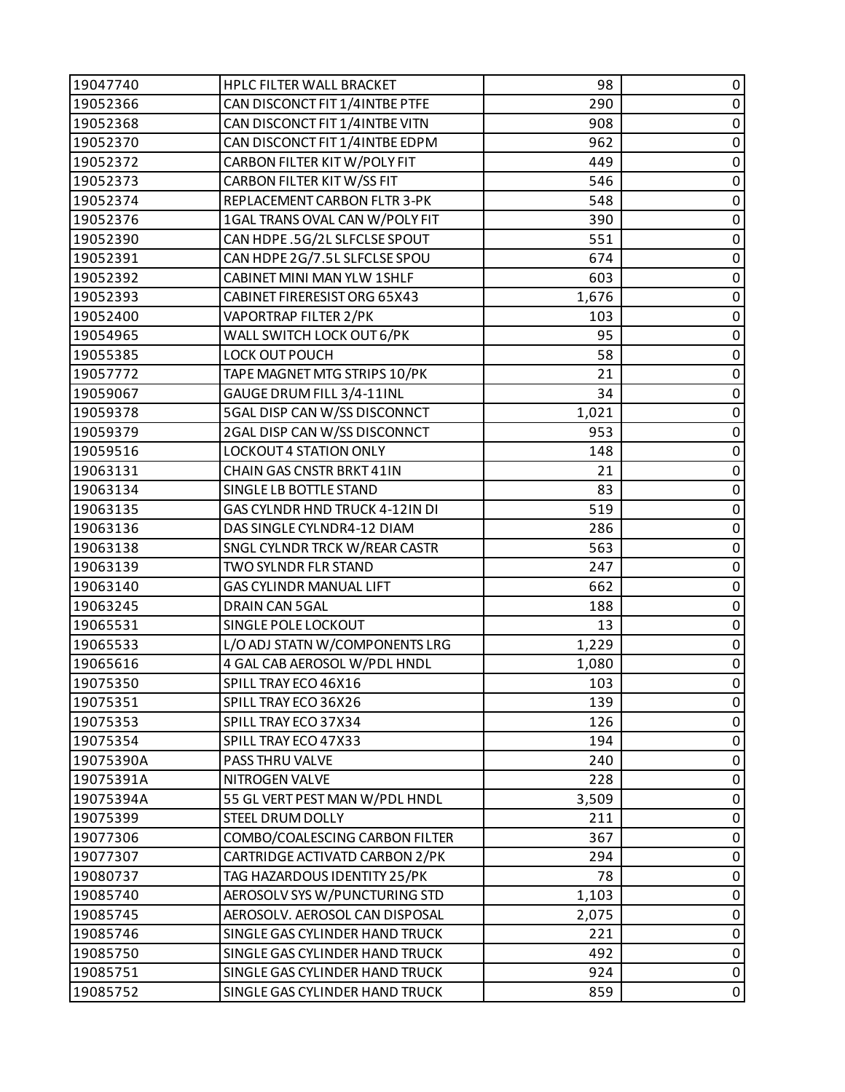| 19047740  | HPLC FILTER WALL BRACKET       | 98    | 0           |
|-----------|--------------------------------|-------|-------------|
| 19052366  | CAN DISCONCT FIT 1/4INTBE PTFE | 290   | $\pmb{0}$   |
| 19052368  | CAN DISCONCT FIT 1/4INTBE VITN | 908   | 0           |
| 19052370  | CAN DISCONCT FIT 1/4INTBE EDPM | 962   | $\pmb{0}$   |
| 19052372  | CARBON FILTER KIT W/POLY FIT   | 449   | $\pmb{0}$   |
| 19052373  | CARBON FILTER KITW/SS FIT      | 546   | $\pmb{0}$   |
| 19052374  | REPLACEMENT CARBON FLTR 3-PK   | 548   | $\pmb{0}$   |
| 19052376  | 1GAL TRANS OVAL CAN W/POLY FIT | 390   | $\pmb{0}$   |
| 19052390  | CAN HDPE .5G/2L SLFCLSE SPOUT  | 551   | 0           |
| 19052391  | CAN HDPE 2G/7.5L SLFCLSE SPOU  | 674   | $\pmb{0}$   |
| 19052392  | CABINET MINI MAN YLW 1SHLF     | 603   | $\pmb{0}$   |
| 19052393  | CABINET FIRERESIST ORG 65X43   | 1,676 | 0           |
| 19052400  | VAPORTRAP FILTER 2/PK          | 103   | $\pmb{0}$   |
| 19054965  | WALL SWITCH LOCK OUT 6/PK      | 95    | $\pmb{0}$   |
| 19055385  | LOCK OUT POUCH                 | 58    | 0           |
| 19057772  | TAPE MAGNET MTG STRIPS 10/PK   | 21    | $\pmb{0}$   |
| 19059067  | GAUGE DRUM FILL 3/4-11INL      | 34    | $\pmb{0}$   |
| 19059378  | 5GAL DISP CAN W/SS DISCONNCT   | 1,021 | $\pmb{0}$   |
| 19059379  | 2GAL DISP CAN W/SS DISCONNCT   | 953   | $\pmb{0}$   |
| 19059516  | <b>LOCKOUT 4 STATION ONLY</b>  | 148   | $\pmb{0}$   |
| 19063131  | CHAIN GAS CNSTR BRKT 41IN      | 21    | 0           |
| 19063134  | SINGLE LB BOTTLE STAND         | 83    | $\pmb{0}$   |
| 19063135  | GAS CYLNDR HND TRUCK 4-12IN DI | 519   | $\pmb{0}$   |
| 19063136  | DAS SINGLE CYLNDR4-12 DIAM     | 286   | 0           |
| 19063138  | SNGL CYLNDR TRCK W/REAR CASTR  | 563   | $\pmb{0}$   |
| 19063139  | TWO SYLNDR FLR STAND           | 247   | $\pmb{0}$   |
| 19063140  | <b>GAS CYLINDR MANUAL LIFT</b> | 662   | 0           |
| 19063245  | DRAIN CAN 5GAL                 | 188   | $\pmb{0}$   |
| 19065531  | SINGLE POLE LOCKOUT            | 13    | $\pmb{0}$   |
| 19065533  | L/O ADJ STATN W/COMPONENTS LRG | 1,229 | $\pmb{0}$   |
| 19065616  | 4 GAL CAB AEROSOL W/PDL HNDL   | 1,080 | $\pmb{0}$   |
| 19075350  | SPILL TRAY ECO 46X16           | 103   | $\mathbf 0$ |
| 19075351  | SPILL TRAY ECO 36X26           | 139   | 0           |
| 19075353  | SPILL TRAY ECO 37X34           | 126   | 0           |
| 19075354  | SPILL TRAY ECO 47X33           | 194   | $\pmb{0}$   |
| 19075390A | PASS THRU VALVE                | 240   | 0           |
| 19075391A | NITROGEN VALVE                 | 228   | 0           |
| 19075394A | 55 GL VERT PEST MAN W/PDL HNDL | 3,509 | $\pmb{0}$   |
| 19075399  | <b>STEEL DRUM DOLLY</b>        | 211   | 0           |
| 19077306  | COMBO/COALESCING CARBON FILTER | 367   | 0           |
| 19077307  | CARTRIDGE ACTIVATD CARBON 2/PK | 294   | $\pmb{0}$   |
| 19080737  | TAG HAZARDOUS IDENTITY 25/PK   | 78    | 0           |
| 19085740  | AEROSOLV SYS W/PUNCTURING STD  | 1,103 | 0           |
| 19085745  | AEROSOLV. AEROSOL CAN DISPOSAL | 2,075 | $\mathbf 0$ |
| 19085746  | SINGLE GAS CYLINDER HAND TRUCK | 221   | 0           |
| 19085750  | SINGLE GAS CYLINDER HAND TRUCK | 492   | $\pmb{0}$   |
| 19085751  | SINGLE GAS CYLINDER HAND TRUCK | 924   | $\pmb{0}$   |
| 19085752  | SINGLE GAS CYLINDER HAND TRUCK | 859   | $\pmb{0}$   |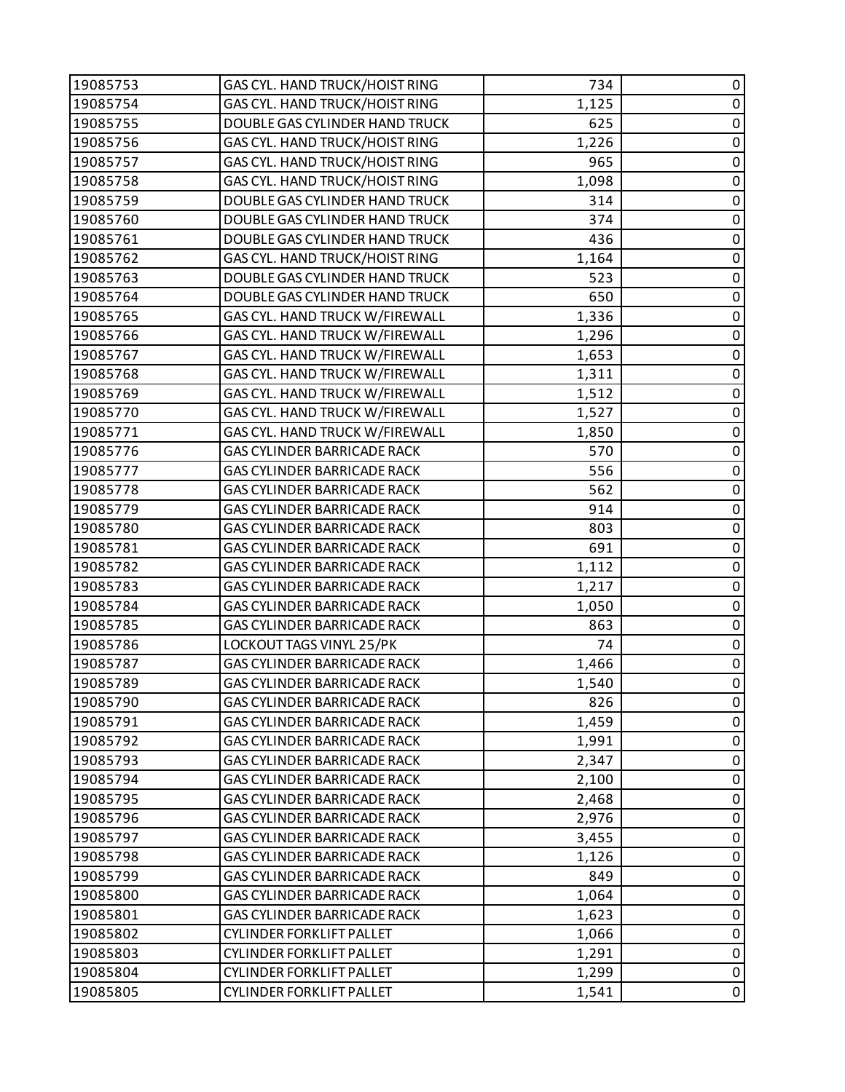| 19085753 | GAS CYL. HAND TRUCK/HOIST RING     | 734   | 0           |
|----------|------------------------------------|-------|-------------|
| 19085754 | GAS CYL. HAND TRUCK/HOIST RING     | 1,125 | $\pmb{0}$   |
| 19085755 | DOUBLE GAS CYLINDER HAND TRUCK     | 625   | 0           |
| 19085756 | GAS CYL. HAND TRUCK/HOIST RING     | 1,226 | $\pmb{0}$   |
| 19085757 | GAS CYL. HAND TRUCK/HOIST RING     | 965   | $\pmb{0}$   |
| 19085758 | GAS CYL. HAND TRUCK/HOIST RING     | 1,098 | 0           |
| 19085759 | DOUBLE GAS CYLINDER HAND TRUCK     | 314   | $\pmb{0}$   |
| 19085760 | DOUBLE GAS CYLINDER HAND TRUCK     | 374   | $\pmb{0}$   |
| 19085761 | DOUBLE GAS CYLINDER HAND TRUCK     | 436   | 0           |
| 19085762 | GAS CYL. HAND TRUCK/HOIST RING     | 1,164 | $\pmb{0}$   |
| 19085763 | DOUBLE GAS CYLINDER HAND TRUCK     | 523   | $\pmb{0}$   |
| 19085764 | DOUBLE GAS CYLINDER HAND TRUCK     | 650   | 0           |
| 19085765 | GAS CYL. HAND TRUCK W/FIREWALL     | 1,336 | $\pmb{0}$   |
| 19085766 | GAS CYL. HAND TRUCK W/FIREWALL     | 1,296 | $\mathbf 0$ |
| 19085767 | GAS CYL. HAND TRUCK W/FIREWALL     | 1,653 | 0           |
| 19085768 | GAS CYL. HAND TRUCK W/FIREWALL     | 1,311 | $\pmb{0}$   |
| 19085769 | GAS CYL. HAND TRUCK W/FIREWALL     | 1,512 | $\pmb{0}$   |
| 19085770 | GAS CYL. HAND TRUCK W/FIREWALL     | 1,527 | 0           |
| 19085771 | GAS CYL. HAND TRUCK W/FIREWALL     | 1,850 | $\pmb{0}$   |
| 19085776 | GAS CYLINDER BARRICADE RACK        | 570   | $\pmb{0}$   |
| 19085777 | GAS CYLINDER BARRICADE RACK        | 556   | 0           |
| 19085778 | <b>GAS CYLINDER BARRICADE RACK</b> | 562   | $\pmb{0}$   |
| 19085779 | GAS CYLINDER BARRICADE RACK        | 914   | $\pmb{0}$   |
| 19085780 | GAS CYLINDER BARRICADE RACK        | 803   | 0           |
| 19085781 | GAS CYLINDER BARRICADE RACK        | 691   | $\pmb{0}$   |
| 19085782 | GAS CYLINDER BARRICADE RACK        | 1,112 | $\pmb{0}$   |
| 19085783 | GAS CYLINDER BARRICADE RACK        | 1,217 | 0           |
| 19085784 | <b>GAS CYLINDER BARRICADE RACK</b> | 1,050 | $\pmb{0}$   |
| 19085785 | GAS CYLINDER BARRICADE RACK        | 863   | $\pmb{0}$   |
| 19085786 | LOCKOUT TAGS VINYL 25/PK           | 74    | $\pmb{0}$   |
| 19085787 | GAS CYLINDER BARRICADE RACK        | 1,466 | $\pmb{0}$   |
| 19085789 | GAS CYLINDER BARRICADE RACK        | 1,540 | $\mathbf 0$ |
| 19085790 | <b>GAS CYLINDER BARRICADE RACK</b> | 826   | 0           |
| 19085791 | GAS CYLINDER BARRICADE RACK        | 1,459 | 0           |
| 19085792 | GAS CYLINDER BARRICADE RACK        | 1,991 | 0           |
| 19085793 | GAS CYLINDER BARRICADE RACK        | 2,347 | 0           |
| 19085794 | <b>GAS CYLINDER BARRICADE RACK</b> | 2,100 | 0           |
| 19085795 | GAS CYLINDER BARRICADE RACK        | 2,468 | 0           |
| 19085796 | GAS CYLINDER BARRICADE RACK        | 2,976 | 0           |
| 19085797 | GAS CYLINDER BARRICADE RACK        | 3,455 | 0           |
| 19085798 | <b>GAS CYLINDER BARRICADE RACK</b> | 1,126 | $\mathbf 0$ |
| 19085799 | GAS CYLINDER BARRICADE RACK        | 849   | 0           |
| 19085800 | GAS CYLINDER BARRICADE RACK        | 1,064 | 0           |
| 19085801 | GAS CYLINDER BARRICADE RACK        | 1,623 | 0           |
| 19085802 | <b>CYLINDER FORKLIFT PALLET</b>    | 1,066 | 0           |
| 19085803 | CYLINDER FORKLIFT PALLET           | 1,291 | 0           |
| 19085804 | <b>CYLINDER FORKLIFT PALLET</b>    | 1,299 | $\pmb{0}$   |
| 19085805 | <b>CYLINDER FORKLIFT PALLET</b>    | 1,541 | 0           |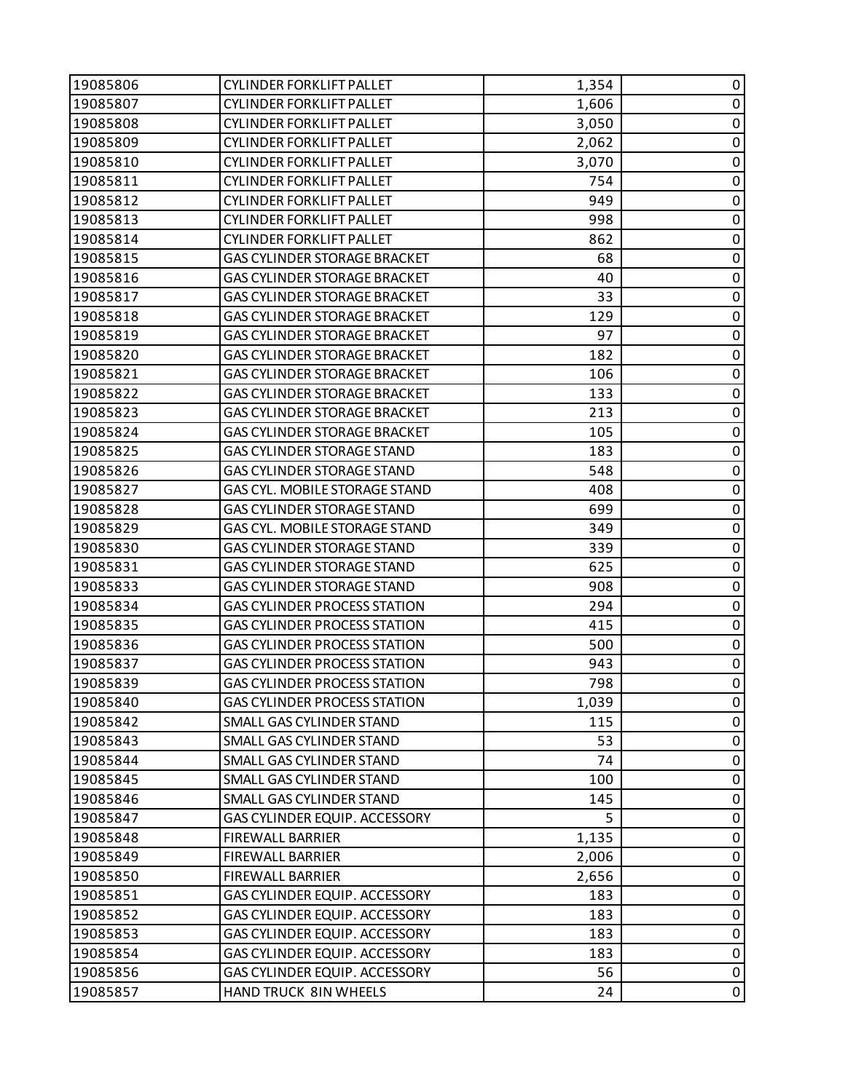| 19085806 | CYLINDER FORKLIFT PALLET            | 1,354 | 0           |
|----------|-------------------------------------|-------|-------------|
| 19085807 | <b>CYLINDER FORKLIFT PALLET</b>     | 1,606 | 0           |
| 19085808 | <b>CYLINDER FORKLIFT PALLET</b>     | 3,050 | 0           |
| 19085809 | <b>CYLINDER FORKLIFT PALLET</b>     | 2,062 | $\pmb{0}$   |
| 19085810 | <b>CYLINDER FORKLIFT PALLET</b>     | 3,070 | $\pmb{0}$   |
| 19085811 | <b>CYLINDER FORKLIFT PALLET</b>     | 754   | 0           |
| 19085812 | CYLINDER FORKLIFT PALLET            | 949   | $\pmb{0}$   |
| 19085813 | <b>CYLINDER FORKLIFT PALLET</b>     | 998   | $\pmb{0}$   |
| 19085814 | <b>CYLINDER FORKLIFT PALLET</b>     | 862   | 0           |
| 19085815 | <b>GAS CYLINDER STORAGE BRACKET</b> | 68    | $\pmb{0}$   |
| 19085816 | <b>GAS CYLINDER STORAGE BRACKET</b> | 40    | $\pmb{0}$   |
| 19085817 | <b>GAS CYLINDER STORAGE BRACKET</b> | 33    | 0           |
| 19085818 | <b>GAS CYLINDER STORAGE BRACKET</b> | 129   | $\pmb{0}$   |
| 19085819 | GAS CYLINDER STORAGE BRACKET        | 97    | $\pmb{0}$   |
| 19085820 | <b>GAS CYLINDER STORAGE BRACKET</b> | 182   | 0           |
| 19085821 | GAS CYLINDER STORAGE BRACKET        | 106   | 0           |
| 19085822 | <b>GAS CYLINDER STORAGE BRACKET</b> | 133   | $\pmb{0}$   |
| 19085823 | <b>GAS CYLINDER STORAGE BRACKET</b> | 213   | 0           |
| 19085824 | GAS CYLINDER STORAGE BRACKET        | 105   | $\pmb{0}$   |
| 19085825 | <b>GAS CYLINDER STORAGE STAND</b>   | 183   | $\pmb{0}$   |
| 19085826 | <b>GAS CYLINDER STORAGE STAND</b>   | 548   | 0           |
| 19085827 | GAS CYL. MOBILE STORAGE STAND       | 408   | $\pmb{0}$   |
| 19085828 | <b>GAS CYLINDER STORAGE STAND</b>   | 699   | $\pmb{0}$   |
| 19085829 | GAS CYL. MOBILE STORAGE STAND       | 349   | 0           |
| 19085830 | <b>GAS CYLINDER STORAGE STAND</b>   | 339   | $\pmb{0}$   |
| 19085831 | <b>GAS CYLINDER STORAGE STAND</b>   | 625   | $\pmb{0}$   |
| 19085833 | <b>GAS CYLINDER STORAGE STAND</b>   | 908   | 0           |
| 19085834 | GAS CYLINDER PROCESS STATION        | 294   | 0           |
| 19085835 | <b>GAS CYLINDER PROCESS STATION</b> | 415   | 0           |
| 19085836 | <b>GAS CYLINDER PROCESS STATION</b> | 500   | 0           |
| 19085837 | <b>GAS CYLINDER PROCESS STATION</b> | 943   | $\pmb{0}$   |
| 19085839 | <b>GAS CYLINDER PROCESS STATION</b> | 798   | $\mathbf 0$ |
| 19085840 | <b>GAS CYLINDER PROCESS STATION</b> | 1,039 | 0           |
| 19085842 | SMALL GAS CYLINDER STAND            | 115   | 0           |
| 19085843 | SMALL GAS CYLINDER STAND            | 53    | $\pmb{0}$   |
| 19085844 | SMALL GAS CYLINDER STAND            | 74    | 0           |
| 19085845 | SMALL GAS CYLINDER STAND            | 100   | 0           |
| 19085846 | SMALL GAS CYLINDER STAND            | 145   | 0           |
| 19085847 | GAS CYLINDER EQUIP. ACCESSORY       | 5.    | 0           |
| 19085848 | <b>FIREWALL BARRIER</b>             | 1,135 | 0           |
| 19085849 | FIREWALL BARRIER                    | 2,006 | $\pmb{0}$   |
| 19085850 | <b>FIREWALL BARRIER</b>             | 2,656 | 0           |
| 19085851 | GAS CYLINDER EQUIP. ACCESSORY       | 183   | 0           |
| 19085852 | GAS CYLINDER EQUIP. ACCESSORY       | 183   | 0           |
| 19085853 | GAS CYLINDER EQUIP. ACCESSORY       | 183   | 0           |
| 19085854 | GAS CYLINDER EQUIP. ACCESSORY       | 183   | 0           |
| 19085856 | GAS CYLINDER EQUIP. ACCESSORY       | 56    | $\pmb{0}$   |
| 19085857 | HAND TRUCK 8IN WHEELS               | 24    | 0           |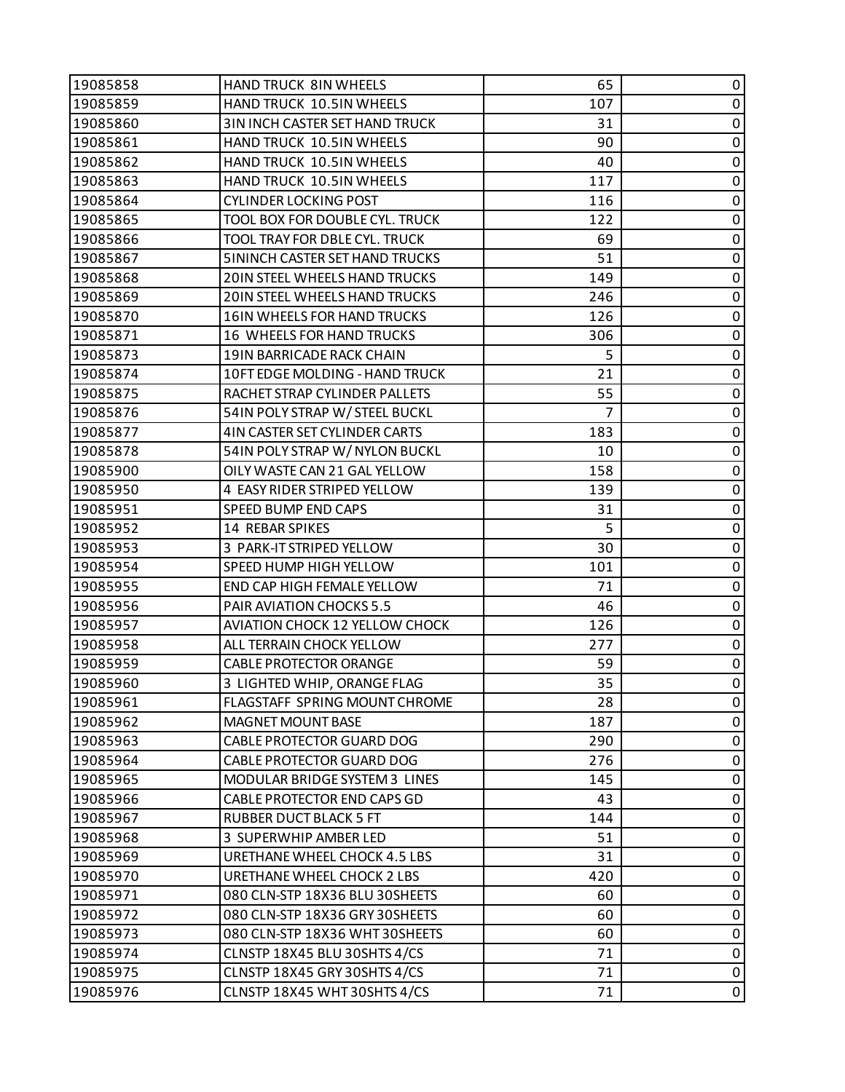| 19085858 | <b>HAND TRUCK 8IN WHEELS</b>          | 65  | 0           |
|----------|---------------------------------------|-----|-------------|
| 19085859 | HAND TRUCK 10.5IN WHEELS              | 107 | $\pmb{0}$   |
| 19085860 | 3IN INCH CASTER SET HAND TRUCK        | 31  | 0           |
| 19085861 | <b>HAND TRUCK 10.5IN WHEELS</b>       | 90  | $\pmb{0}$   |
| 19085862 | HAND TRUCK 10.5IN WHEELS              | 40  | $\pmb{0}$   |
| 19085863 | HAND TRUCK 10.5IN WHEELS              | 117 | 0           |
| 19085864 | <b>CYLINDER LOCKING POST</b>          | 116 | $\pmb{0}$   |
| 19085865 | TOOL BOX FOR DOUBLE CYL. TRUCK        | 122 | $\pmb{0}$   |
| 19085866 | TOOL TRAY FOR DBLE CYL. TRUCK         | 69  | 0           |
| 19085867 | <b>5ININCH CASTER SET HAND TRUCKS</b> | 51  | $\pmb{0}$   |
| 19085868 | 20IN STEEL WHEELS HAND TRUCKS         | 149 | $\pmb{0}$   |
| 19085869 | 20IN STEEL WHEELS HAND TRUCKS         | 246 | 0           |
| 19085870 | 16IN WHEELS FOR HAND TRUCKS           | 126 | $\pmb{0}$   |
| 19085871 | 16 WHEELS FOR HAND TRUCKS             | 306 | $\pmb{0}$   |
| 19085873 | 19IN BARRICADE RACK CHAIN             | 5   | 0           |
| 19085874 | 10FT EDGE MOLDING - HAND TRUCK        | 21  | $\pmb{0}$   |
| 19085875 | RACHET STRAP CYLINDER PALLETS         | 55  | $\pmb{0}$   |
| 19085876 | 54IN POLY STRAP W/STEEL BUCKL         | 7   | 0           |
| 19085877 | 4IN CASTER SET CYLINDER CARTS         | 183 | $\pmb{0}$   |
| 19085878 | 54IN POLY STRAP W/ NYLON BUCKL        | 10  | $\pmb{0}$   |
| 19085900 | OILY WASTE CAN 21 GAL YELLOW          | 158 | 0           |
| 19085950 | 4 EASY RIDER STRIPED YELLOW           | 139 | $\pmb{0}$   |
| 19085951 | SPEED BUMP END CAPS                   | 31  | 0           |
| 19085952 | 14 REBAR SPIKES                       | 5   | 0           |
| 19085953 | 3 PARK-IT STRIPED YELLOW              | 30  | $\pmb{0}$   |
| 19085954 | SPEED HUMP HIGH YELLOW                | 101 | $\pmb{0}$   |
| 19085955 | END CAP HIGH FEMALE YELLOW            | 71  | 0           |
| 19085956 | PAIR AVIATION CHOCKS 5.5              | 46  | $\pmb{0}$   |
| 19085957 | <b>AVIATION CHOCK 12 YELLOW CHOCK</b> | 126 | $\pmb{0}$   |
| 19085958 | ALL TERRAIN CHOCK YELLOW              | 277 | 0           |
| 19085959 | <b>CABLE PROTECTOR ORANGE</b>         | 59  | 0           |
| 19085960 | 3 LIGHTED WHIP, ORANGE FLAG           | 35  | $\pmb{0}$   |
| 19085961 | FLAGSTAFF SPRING MOUNT CHROME         | 28  | 0           |
| 19085962 | MAGNET MOUNT BASE                     | 187 | 0           |
| 19085963 | CABLE PROTECTOR GUARD DOG             | 290 | 0           |
| 19085964 | CABLE PROTECTOR GUARD DOG             | 276 | 0           |
| 19085965 | MODULAR BRIDGE SYSTEM 3 LINES         | 145 | 0           |
| 19085966 | CABLE PROTECTOR END CAPS GD           | 43  | 0           |
| 19085967 | <b>RUBBER DUCT BLACK 5 FT</b>         | 144 | 0           |
| 19085968 | 3 SUPERWHIP AMBER LED                 | 51  | 0           |
| 19085969 | <b>URETHANE WHEEL CHOCK 4.5 LBS</b>   | 31  | $\mathbf 0$ |
| 19085970 | URETHANE WHEEL CHOCK 2 LBS            | 420 | 0           |
| 19085971 | 080 CLN-STP 18X36 BLU 30SHEETS        | 60  | 0           |
| 19085972 | 080 CLN-STP 18X36 GRY 30SHEETS        | 60  | 0           |
| 19085973 | 080 CLN-STP 18X36 WHT 30SHEETS        | 60  | 0           |
| 19085974 | CLNSTP 18X45 BLU 30SHTS 4/CS          | 71  | $\pmb{0}$   |
| 19085975 | CLNSTP 18X45 GRY 30SHTS 4/CS          | 71  | $\pmb{0}$   |
| 19085976 | CLNSTP 18X45 WHT 30SHTS 4/CS          | 71  | $\pmb{0}$   |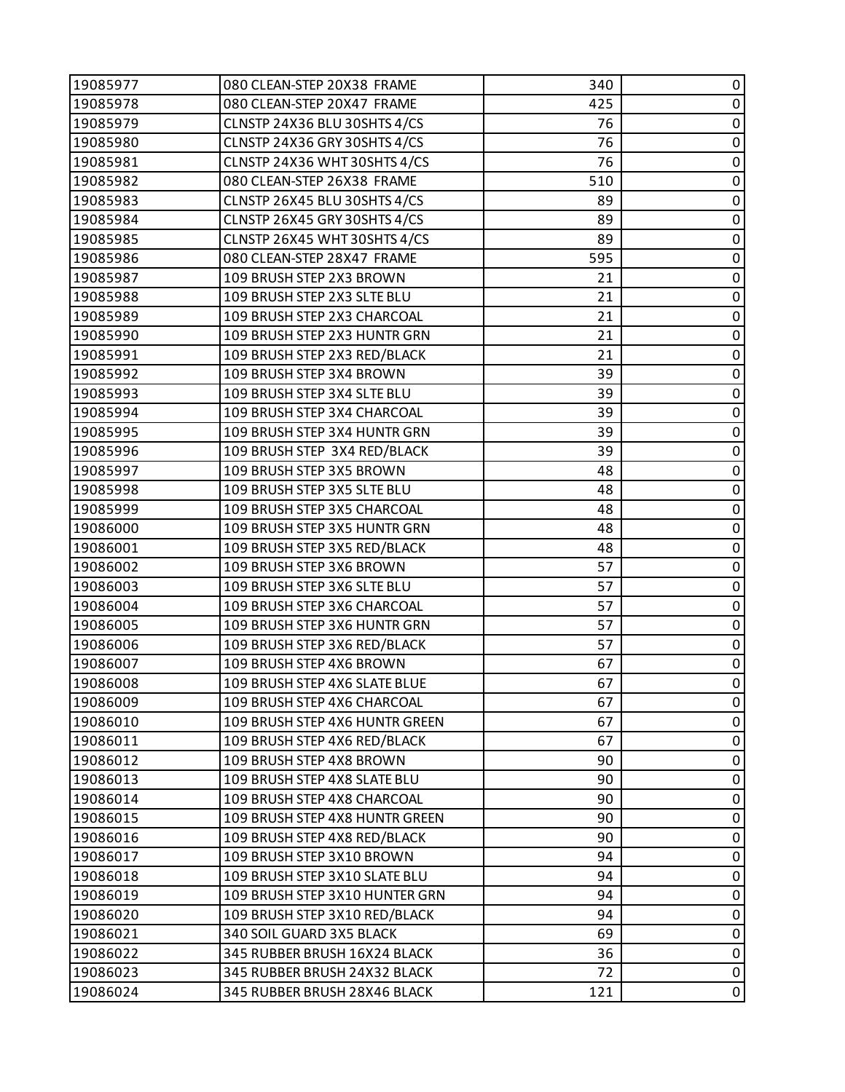| 19085977 | 080 CLEAN-STEP 20X38 FRAME     | 340 | 0         |
|----------|--------------------------------|-----|-----------|
| 19085978 | 080 CLEAN-STEP 20X47 FRAME     | 425 | 0         |
| 19085979 | CLNSTP 24X36 BLU 30SHTS 4/CS   | 76  | 0         |
| 19085980 | CLNSTP 24X36 GRY 30SHTS 4/CS   | 76  | $\pmb{0}$ |
| 19085981 | CLNSTP 24X36 WHT 30SHTS 4/CS   | 76  | $\pmb{0}$ |
| 19085982 | 080 CLEAN-STEP 26X38 FRAME     | 510 | 0         |
| 19085983 | CLNSTP 26X45 BLU 30SHTS 4/CS   | 89  | $\pmb{0}$ |
| 19085984 | CLNSTP 26X45 GRY 30SHTS 4/CS   | 89  | $\pmb{0}$ |
| 19085985 | CLNSTP 26X45 WHT 30SHTS 4/CS   | 89  | 0         |
| 19085986 | 080 CLEAN-STEP 28X47 FRAME     | 595 | $\pmb{0}$ |
| 19085987 | 109 BRUSH STEP 2X3 BROWN       | 21  | 0         |
| 19085988 | 109 BRUSH STEP 2X3 SLTE BLU    | 21  | 0         |
| 19085989 | 109 BRUSH STEP 2X3 CHARCOAL    | 21  | $\pmb{0}$ |
| 19085990 | 109 BRUSH STEP 2X3 HUNTR GRN   | 21  | $\pmb{0}$ |
| 19085991 | 109 BRUSH STEP 2X3 RED/BLACK   | 21  | 0         |
| 19085992 | 109 BRUSH STEP 3X4 BROWN       | 39  | $\pmb{0}$ |
| 19085993 | 109 BRUSH STEP 3X4 SLTE BLU    | 39  | 0         |
| 19085994 | 109 BRUSH STEP 3X4 CHARCOAL    | 39  | 0         |
| 19085995 | 109 BRUSH STEP 3X4 HUNTR GRN   | 39  | $\pmb{0}$ |
| 19085996 | 109 BRUSH STEP 3X4 RED/BLACK   | 39  | 0         |
| 19085997 | 109 BRUSH STEP 3X5 BROWN       | 48  | 0         |
| 19085998 | 109 BRUSH STEP 3X5 SLTE BLU    | 48  | $\pmb{0}$ |
| 19085999 | 109 BRUSH STEP 3X5 CHARCOAL    | 48  | 0         |
| 19086000 | 109 BRUSH STEP 3X5 HUNTR GRN   | 48  | 0         |
| 19086001 | 109 BRUSH STEP 3X5 RED/BLACK   | 48  | $\pmb{0}$ |
| 19086002 | 109 BRUSH STEP 3X6 BROWN       | 57  | 0         |
| 19086003 | 109 BRUSH STEP 3X6 SLTE BLU    | 57  | 0         |
| 19086004 | 109 BRUSH STEP 3X6 CHARCOAL    | 57  | $\pmb{0}$ |
| 19086005 | 109 BRUSH STEP 3X6 HUNTR GRN   | 57  | $\pmb{0}$ |
| 19086006 | 109 BRUSH STEP 3X6 RED/BLACK   | 57  | 0         |
| 19086007 | 109 BRUSH STEP 4X6 BROWN       | 67  | $\pmb{0}$ |
| 19086008 | 109 BRUSH STEP 4X6 SLATE BLUE  | 67  | 0         |
| 19086009 | 109 BRUSH STEP 4X6 CHARCOAL    | 67  | 0         |
| 19086010 | 109 BRUSH STEP 4X6 HUNTR GREEN | 67  | 0         |
| 19086011 | 109 BRUSH STEP 4X6 RED/BLACK   | 67  | 0         |
| 19086012 | 109 BRUSH STEP 4X8 BROWN       | 90  | 0         |
| 19086013 | 109 BRUSH STEP 4X8 SLATE BLU   | 90  | 0         |
| 19086014 | 109 BRUSH STEP 4X8 CHARCOAL    | 90  | 0         |
| 19086015 | 109 BRUSH STEP 4X8 HUNTR GREEN | 90  | 0         |
| 19086016 | 109 BRUSH STEP 4X8 RED/BLACK   | 90  | 0         |
| 19086017 | 109 BRUSH STEP 3X10 BROWN      | 94  | 0         |
| 19086018 | 109 BRUSH STEP 3X10 SLATE BLU  | 94  | 0         |
| 19086019 | 109 BRUSH STEP 3X10 HUNTER GRN | 94  | 0         |
| 19086020 | 109 BRUSH STEP 3X10 RED/BLACK  | 94  | 0         |
| 19086021 | 340 SOIL GUARD 3X5 BLACK       | 69  | 0         |
| 19086022 | 345 RUBBER BRUSH 16X24 BLACK   | 36  | 0         |
| 19086023 | 345 RUBBER BRUSH 24X32 BLACK   | 72  | $\pmb{0}$ |
| 19086024 | 345 RUBBER BRUSH 28X46 BLACK   | 121 | 0         |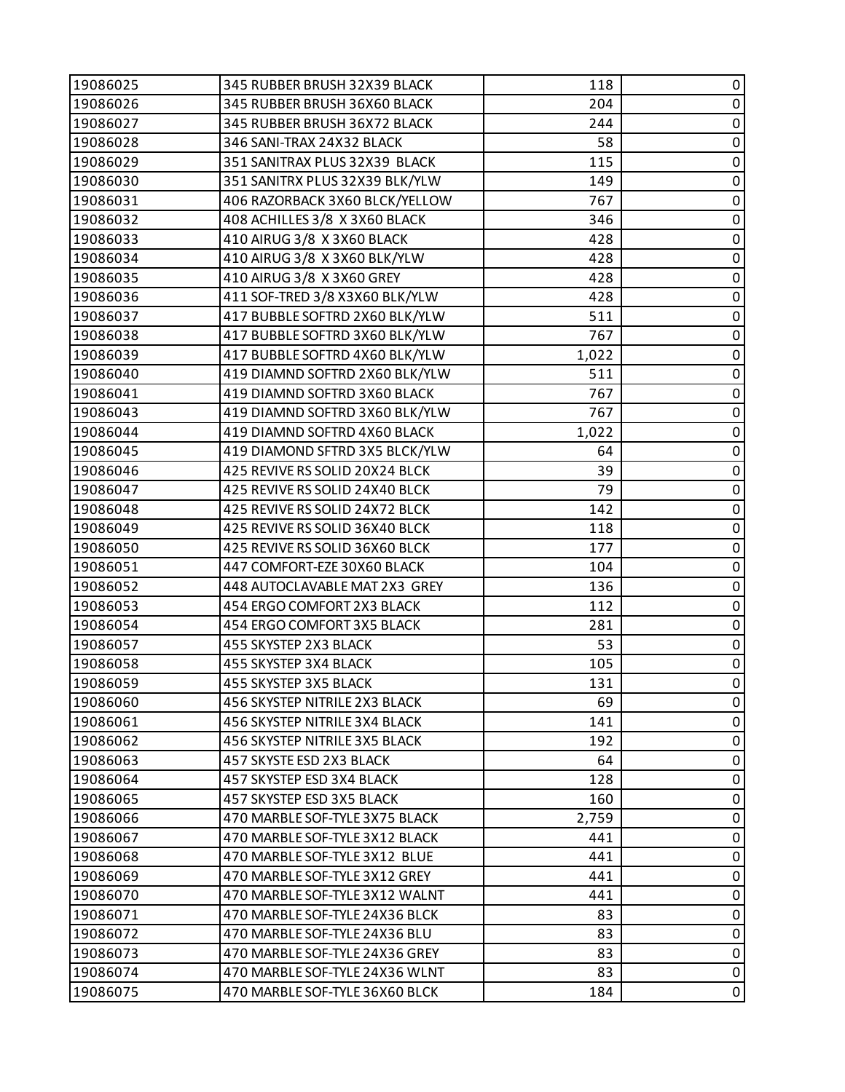| 19086025 | 345 RUBBER BRUSH 32X39 BLACK   | 118   | 0           |
|----------|--------------------------------|-------|-------------|
| 19086026 | 345 RUBBER BRUSH 36X60 BLACK   | 204   | $\pmb{0}$   |
| 19086027 | 345 RUBBER BRUSH 36X72 BLACK   | 244   | 0           |
| 19086028 | 346 SANI-TRAX 24X32 BLACK      | 58    | $\pmb{0}$   |
| 19086029 | 351 SANITRAX PLUS 32X39 BLACK  | 115   | $\pmb{0}$   |
| 19086030 | 351 SANITRX PLUS 32X39 BLK/YLW | 149   | 0           |
| 19086031 | 406 RAZORBACK 3X60 BLCK/YELLOW | 767   | $\pmb{0}$   |
| 19086032 | 408 ACHILLES 3/8 X 3X60 BLACK  | 346   | $\pmb{0}$   |
| 19086033 | 410 AIRUG 3/8 X 3X60 BLACK     | 428   | 0           |
| 19086034 | 410 AIRUG 3/8 X 3X60 BLK/YLW   | 428   | $\pmb{0}$   |
| 19086035 | 410 AIRUG 3/8 X 3X60 GREY      | 428   | $\pmb{0}$   |
| 19086036 | 411 SOF-TRED 3/8 X3X60 BLK/YLW | 428   | 0           |
| 19086037 | 417 BUBBLE SOFTRD 2X60 BLK/YLW | 511   | $\pmb{0}$   |
| 19086038 | 417 BUBBLE SOFTRD 3X60 BLK/YLW | 767   | $\mathbf 0$ |
| 19086039 | 417 BUBBLE SOFTRD 4X60 BLK/YLW | 1,022 | 0           |
| 19086040 | 419 DIAMND SOFTRD 2X60 BLK/YLW | 511   | $\pmb{0}$   |
| 19086041 | 419 DIAMND SOFTRD 3X60 BLACK   | 767   | $\pmb{0}$   |
| 19086043 | 419 DIAMND SOFTRD 3X60 BLK/YLW | 767   | 0           |
| 19086044 | 419 DIAMND SOFTRD 4X60 BLACK   | 1,022 | $\pmb{0}$   |
| 19086045 | 419 DIAMOND SFTRD 3X5 BLCK/YLW | 64    | $\pmb{0}$   |
| 19086046 | 425 REVIVE RS SOLID 20X24 BLCK | 39    | 0           |
| 19086047 | 425 REVIVE RS SOLID 24X40 BLCK | 79    | $\pmb{0}$   |
| 19086048 | 425 REVIVE RS SOLID 24X72 BLCK | 142   | $\pmb{0}$   |
| 19086049 | 425 REVIVE RS SOLID 36X40 BLCK | 118   | 0           |
| 19086050 | 425 REVIVE RS SOLID 36X60 BLCK | 177   | $\mathbf 0$ |
| 19086051 | 447 COMFORT-EZE 30X60 BLACK    | 104   | $\pmb{0}$   |
| 19086052 | 448 AUTOCLAVABLE MAT 2X3 GREY  | 136   | 0           |
| 19086053 | 454 ERGO COMFORT 2X3 BLACK     | 112   | $\pmb{0}$   |
| 19086054 | 454 ERGO COMFORT 3X5 BLACK     | 281   | $\pmb{0}$   |
| 19086057 | 455 SKYSTEP 2X3 BLACK          | 53    | $\pmb{0}$   |
| 19086058 | 455 SKYSTEP 3X4 BLACK          | 105   | $\pmb{0}$   |
| 19086059 | 455 SKYSTEP 3X5 BLACK          | 131   | $\pmb{0}$   |
| 19086060 | 456 SKYSTEP NITRILE 2X3 BLACK  | 69    | 0           |
| 19086061 | 456 SKYSTEP NITRILE 3X4 BLACK  | 141   | 0           |
| 19086062 | 456 SKYSTEP NITRILE 3X5 BLACK  | 192   | 0           |
| 19086063 | 457 SKYSTE ESD 2X3 BLACK       | 64    | 0           |
| 19086064 | 457 SKYSTEP ESD 3X4 BLACK      | 128   | 0           |
| 19086065 | 457 SKYSTEP ESD 3X5 BLACK      | 160   | 0           |
| 19086066 | 470 MARBLE SOF-TYLE 3X75 BLACK | 2,759 | 0           |
| 19086067 | 470 MARBLE SOF-TYLE 3X12 BLACK | 441   | 0           |
| 19086068 | 470 MARBLE SOF-TYLE 3X12 BLUE  | 441   | 0           |
| 19086069 | 470 MARBLE SOF-TYLE 3X12 GREY  | 441   | 0           |
| 19086070 | 470 MARBLE SOF-TYLE 3X12 WALNT | 441   | 0           |
| 19086071 | 470 MARBLE SOF-TYLE 24X36 BLCK | 83    | 0           |
| 19086072 | 470 MARBLE SOF-TYLE 24X36 BLU  | 83    | 0           |
| 19086073 | 470 MARBLE SOF-TYLE 24X36 GREY | 83    | 0           |
| 19086074 | 470 MARBLE SOF-TYLE 24X36 WLNT | 83    | $\pmb{0}$   |
| 19086075 | 470 MARBLE SOF-TYLE 36X60 BLCK | 184   | 0           |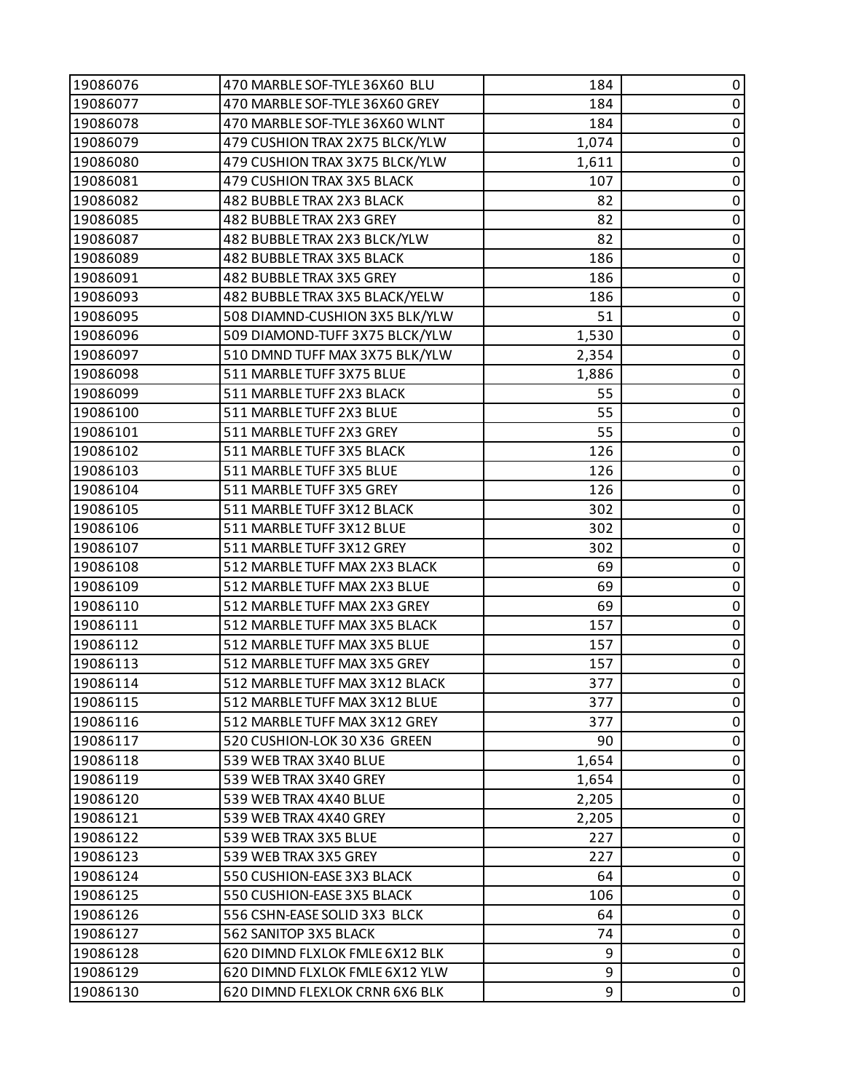| 19086076 | 470 MARBLE SOF-TYLE 36X60 BLU  | 184   | 0         |
|----------|--------------------------------|-------|-----------|
| 19086077 | 470 MARBLE SOF-TYLE 36X60 GREY | 184   | 0         |
| 19086078 | 470 MARBLE SOF-TYLE 36X60 WLNT | 184   | 0         |
| 19086079 | 479 CUSHION TRAX 2X75 BLCK/YLW | 1,074 | $\pmb{0}$ |
| 19086080 | 479 CUSHION TRAX 3X75 BLCK/YLW | 1,611 | $\pmb{0}$ |
| 19086081 | 479 CUSHION TRAX 3X5 BLACK     | 107   | 0         |
| 19086082 | 482 BUBBLE TRAX 2X3 BLACK      | 82    | $\pmb{0}$ |
| 19086085 | 482 BUBBLE TRAX 2X3 GREY       | 82    | $\pmb{0}$ |
| 19086087 | 482 BUBBLETRAX 2X3 BLCK/YLW    | 82    | 0         |
| 19086089 | 482 BUBBLE TRAX 3X5 BLACK      | 186   | $\pmb{0}$ |
| 19086091 | 482 BUBBLE TRAX 3X5 GREY       | 186   | $\pmb{0}$ |
| 19086093 | 482 BUBBLE TRAX 3X5 BLACK/YELW | 186   | 0         |
| 19086095 | 508 DIAMND-CUSHION 3X5 BLK/YLW | 51    | $\pmb{0}$ |
| 19086096 | 509 DIAMOND-TUFF 3X75 BLCK/YLW | 1,530 | $\pmb{0}$ |
| 19086097 | 510 DMND TUFF MAX 3X75 BLK/YLW | 2,354 | 0         |
| 19086098 | 511 MARBLE TUFF 3X75 BLUE      | 1,886 | 0         |
| 19086099 | 511 MARBLE TUFF 2X3 BLACK      | 55    | $\pmb{0}$ |
| 19086100 | 511 MARBLE TUFF 2X3 BLUE       | 55    | 0         |
| 19086101 | 511 MARBLE TUFF 2X3 GREY       | 55    | 0         |
| 19086102 | 511 MARBLE TUFF 3X5 BLACK      | 126   | $\pmb{0}$ |
| 19086103 | 511 MARBLE TUFF 3X5 BLUE       | 126   | 0         |
| 19086104 | 511 MARBLE TUFF 3X5 GREY       | 126   | $\pmb{0}$ |
| 19086105 | 511 MARBLE TUFF 3X12 BLACK     | 302   | $\pmb{0}$ |
| 19086106 | 511 MARBLE TUFF 3X12 BLUE      | 302   | 0         |
| 19086107 | 511 MARBLE TUFF 3X12 GREY      | 302   | $\pmb{0}$ |
| 19086108 | 512 MARBLE TUFF MAX 2X3 BLACK  | 69    | $\pmb{0}$ |
| 19086109 | 512 MARBLE TUFF MAX 2X3 BLUE   | 69    | 0         |
| 19086110 | 512 MARBLE TUFF MAX 2X3 GREY   | 69    | 0         |
| 19086111 | 512 MARBLE TUFF MAX 3X5 BLACK  | 157   | $\pmb{0}$ |
| 19086112 | 512 MARBLE TUFF MAX 3X5 BLUE   | 157   | 0         |
| 19086113 | 512 MARBLE TUFF MAX 3X5 GREY   | 157   | $\pmb{0}$ |
| 19086114 | 512 MARBLE TUFF MAX 3X12 BLACK | 377   | $\pmb{0}$ |
| 19086115 | 512 MARBLE TUFF MAX 3X12 BLUE  | 377   | 0         |
| 19086116 | 512 MARBLE TUFF MAX 3X12 GREY  | 377   | 0         |
| 19086117 | 520 CUSHION-LOK 30 X36 GREEN   | 90    | 0         |
| 19086118 | 539 WEB TRAX 3X40 BLUE         | 1,654 | 0         |
| 19086119 | 539 WEB TRAX 3X40 GREY         | 1,654 | 0         |
| 19086120 | 539 WEB TRAX 4X40 BLUE         | 2,205 | 0         |
| 19086121 | 539 WEB TRAX 4X40 GREY         | 2,205 | 0         |
| 19086122 | 539 WEB TRAX 3X5 BLUE          | 227   | 0         |
| 19086123 | 539 WEB TRAX 3X5 GREY          | 227   | 0         |
| 19086124 | 550 CUSHION-EASE 3X3 BLACK     | 64    | 0         |
| 19086125 | 550 CUSHION-EASE 3X5 BLACK     | 106   | 0         |
| 19086126 | 556 CSHN-EASE SOLID 3X3 BLCK   | 64    | 0         |
| 19086127 | 562 SANITOP 3X5 BLACK          | 74    | 0         |
| 19086128 | 620 DIMND FLXLOK FMLE 6X12 BLK | 9     | 0         |
| 19086129 | 620 DIMND FLXLOK FMLE 6X12 YLW | 9     | $\pmb{0}$ |
| 19086130 | 620 DIMND FLEXLOK CRNR 6X6 BLK | 9     | 0         |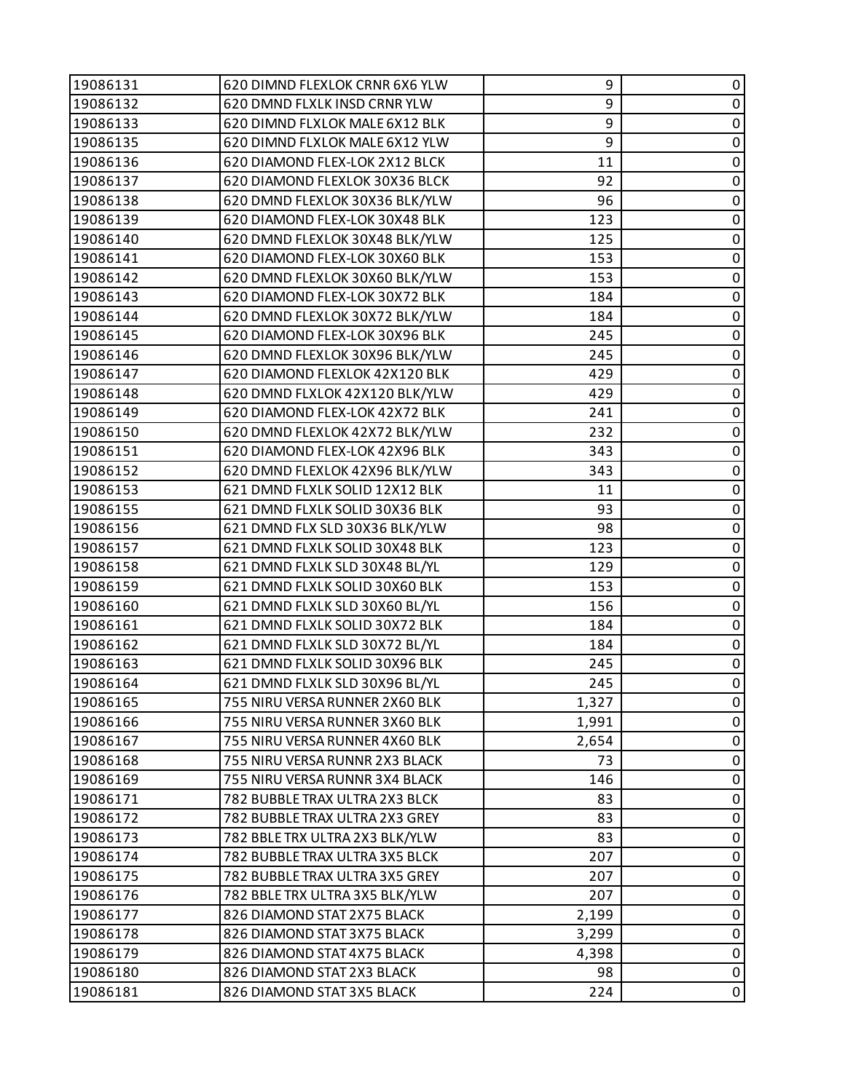| 19086131 | 620 DIMND FLEXLOK CRNR 6X6 YLW | 9     | 0         |
|----------|--------------------------------|-------|-----------|
| 19086132 | 620 DMND FLXLK INSD CRNR YLW   | 9     | 0         |
| 19086133 | 620 DIMND FLXLOK MALE 6X12 BLK | 9     | 0         |
| 19086135 | 620 DIMND FLXLOK MALE 6X12 YLW | 9     | $\pmb{0}$ |
| 19086136 | 620 DIAMOND FLEX-LOK 2X12 BLCK | 11    | $\pmb{0}$ |
| 19086137 | 620 DIAMOND FLEXLOK 30X36 BLCK | 92    | 0         |
| 19086138 | 620 DMND FLEXLOK 30X36 BLK/YLW | 96    | $\pmb{0}$ |
| 19086139 | 620 DIAMOND FLEX-LOK 30X48 BLK | 123   | $\pmb{0}$ |
| 19086140 | 620 DMND FLEXLOK 30X48 BLK/YLW | 125   | 0         |
| 19086141 | 620 DIAMOND FLEX-LOK 30X60 BLK | 153   | $\pmb{0}$ |
| 19086142 | 620 DMND FLEXLOK 30X60 BLK/YLW | 153   | $\pmb{0}$ |
| 19086143 | 620 DIAMOND FLEX-LOK 30X72 BLK | 184   | 0         |
| 19086144 | 620 DMND FLEXLOK 30X72 BLK/YLW | 184   | $\pmb{0}$ |
| 19086145 | 620 DIAMOND FLEX-LOK 30X96 BLK | 245   | $\pmb{0}$ |
| 19086146 | 620 DMND FLEXLOK 30X96 BLK/YLW | 245   | 0         |
| 19086147 | 620 DIAMOND FLEXLOK 42X120 BLK | 429   | $\pmb{0}$ |
| 19086148 | 620 DMND FLXLOK 42X120 BLK/YLW | 429   | $\pmb{0}$ |
| 19086149 | 620 DIAMOND FLEX-LOK 42X72 BLK | 241   | 0         |
| 19086150 | 620 DMND FLEXLOK 42X72 BLK/YLW | 232   | $\pmb{0}$ |
| 19086151 | 620 DIAMOND FLEX-LOK 42X96 BLK | 343   | $\pmb{0}$ |
| 19086152 | 620 DMND FLEXLOK 42X96 BLK/YLW | 343   | 0         |
| 19086153 | 621 DMND FLXLK SOLID 12X12 BLK | 11    | $\pmb{0}$ |
| 19086155 | 621 DMND FLXLK SOLID 30X36 BLK | 93    | 0         |
| 19086156 | 621 DMND FLX SLD 30X36 BLK/YLW | 98    | 0         |
| 19086157 | 621 DMND FLXLK SOLID 30X48 BLK | 123   | $\pmb{0}$ |
| 19086158 | 621 DMND FLXLK SLD 30X48 BL/YL | 129   | $\pmb{0}$ |
| 19086159 | 621 DMND FLXLK SOLID 30X60 BLK | 153   | 0         |
| 19086160 | 621 DMND FLXLK SLD 30X60 BL/YL | 156   | $\pmb{0}$ |
| 19086161 | 621 DMND FLXLK SOLID 30X72 BLK | 184   | 0         |
| 19086162 | 621 DMND FLXLK SLD 30X72 BL/YL | 184   | $\pmb{0}$ |
| 19086163 | 621 DMND FLXLK SOLID 30X96 BLK | 245   | $\pmb{0}$ |
| 19086164 | 621 DMND FLXLK SLD 30X96 BL/YL | 245   | $\pmb{0}$ |
| 19086165 | 755 NIRU VERSA RUNNER 2X60 BLK | 1,327 | 0         |
| 19086166 | 755 NIRU VERSA RUNNER 3X60 BLK | 1,991 | 0         |
| 19086167 | 755 NIRU VERSA RUNNER 4X60 BLK | 2,654 | 0         |
| 19086168 | 755 NIRU VERSA RUNNR 2X3 BLACK | 73    | $\pmb{0}$ |
| 19086169 | 755 NIRU VERSA RUNNR 3X4 BLACK | 146   | 0         |
| 19086171 | 782 BUBBLE TRAX ULTRA 2X3 BLCK | 83    | 0         |
| 19086172 | 782 BUBBLE TRAX ULTRA 2X3 GREY | 83    | 0         |
| 19086173 | 782 BBLE TRX ULTRA 2X3 BLK/YLW | 83    | 0         |
| 19086174 | 782 BUBBLE TRAX ULTRA 3X5 BLCK | 207   | 0         |
| 19086175 | 782 BUBBLE TRAX ULTRA 3X5 GREY | 207   | 0         |
| 19086176 | 782 BBLE TRX ULTRA 3X5 BLK/YLW | 207   | 0         |
| 19086177 | 826 DIAMOND STAT 2X75 BLACK    | 2,199 | 0         |
| 19086178 | 826 DIAMOND STAT 3X75 BLACK    | 3,299 | 0         |
| 19086179 | 826 DIAMOND STAT 4X75 BLACK    | 4,398 | $\pmb{0}$ |
| 19086180 | 826 DIAMOND STAT 2X3 BLACK     | 98    | $\pmb{0}$ |
| 19086181 | 826 DIAMOND STAT 3X5 BLACK     | 224   | 0         |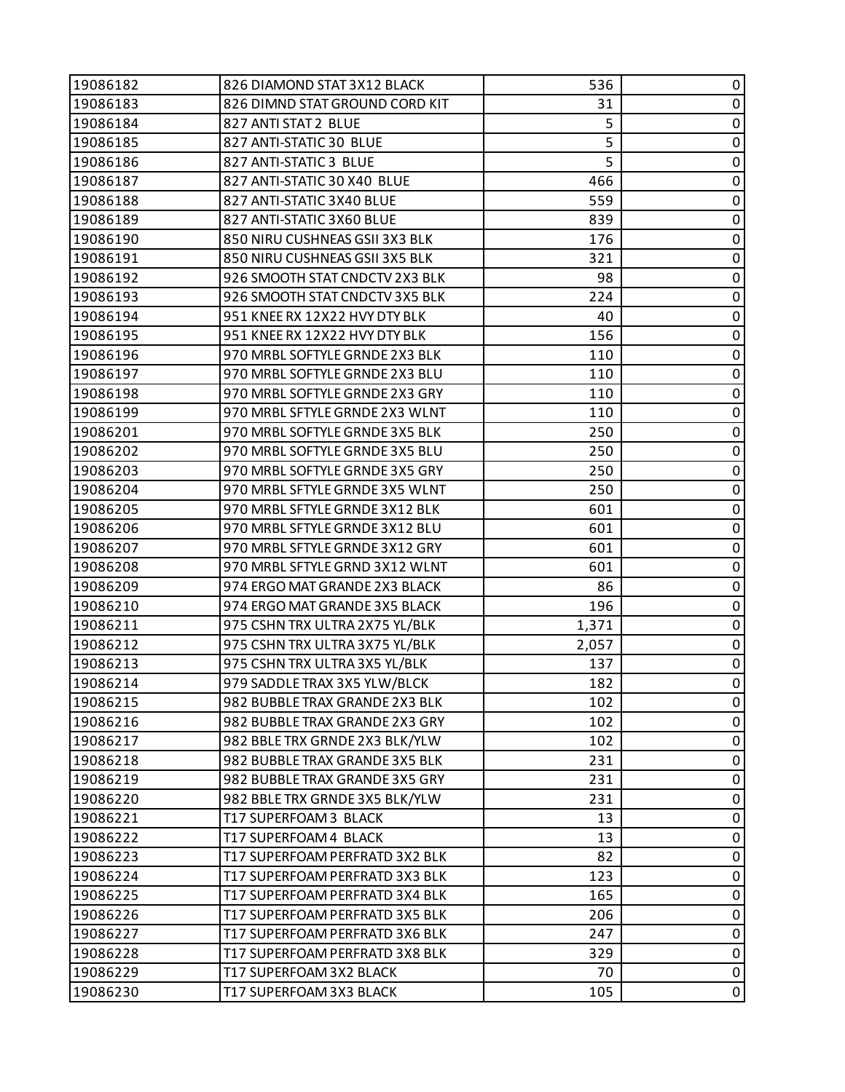| 19086182 | 826 DIAMOND STAT 3X12 BLACK    | 536   | 0         |
|----------|--------------------------------|-------|-----------|
| 19086183 | 826 DIMND STAT GROUND CORD KIT | 31    | $\pmb{0}$ |
| 19086184 | 827 ANTI STAT 2 BLUE           | 5     | 0         |
| 19086185 | 827 ANTI-STATIC 30 BLUE        | 5     | $\pmb{0}$ |
| 19086186 | 827 ANTI-STATIC 3 BLUE         | 5     | $\pmb{0}$ |
| 19086187 | 827 ANTI-STATIC 30 X40 BLUE    | 466   | 0         |
| 19086188 | 827 ANTI-STATIC 3X40 BLUE      | 559   | $\pmb{0}$ |
| 19086189 | 827 ANTI-STATIC 3X60 BLUE      | 839   | $\pmb{0}$ |
| 19086190 | 850 NIRU CUSHNEAS GSII 3X3 BLK | 176   | 0         |
| 19086191 | 850 NIRU CUSHNEAS GSII 3X5 BLK | 321   | $\pmb{0}$ |
| 19086192 | 926 SMOOTH STAT CNDCTV 2X3 BLK | 98    | $\pmb{0}$ |
| 19086193 | 926 SMOOTH STAT CNDCTV 3X5 BLK | 224   | 0         |
| 19086194 | 951 KNEE RX 12X22 HVY DTY BLK  | 40    | $\pmb{0}$ |
| 19086195 | 951 KNEE RX 12X22 HVY DTY BLK  | 156   | $\pmb{0}$ |
| 19086196 | 970 MRBL SOFTYLE GRNDE 2X3 BLK | 110   | 0         |
| 19086197 | 970 MRBL SOFTYLE GRNDE 2X3 BLU | 110   | $\pmb{0}$ |
| 19086198 | 970 MRBL SOFTYLE GRNDE 2X3 GRY | 110   | $\pmb{0}$ |
| 19086199 | 970 MRBL SFTYLE GRNDE 2X3 WLNT | 110   | 0         |
| 19086201 | 970 MRBL SOFTYLE GRNDE 3X5 BLK | 250   | $\pmb{0}$ |
| 19086202 | 970 MRBL SOFTYLE GRNDE 3X5 BLU | 250   | $\pmb{0}$ |
| 19086203 | 970 MRBL SOFTYLE GRNDE 3X5 GRY | 250   | 0         |
| 19086204 | 970 MRBL SFTYLE GRNDE 3X5 WLNT | 250   | $\pmb{0}$ |
| 19086205 | 970 MRBL SFTYLE GRNDE 3X12 BLK | 601   | $\pmb{0}$ |
| 19086206 | 970 MRBL SFTYLE GRNDE 3X12 BLU | 601   | 0         |
| 19086207 | 970 MRBL SFTYLE GRNDE 3X12 GRY | 601   | $\pmb{0}$ |
| 19086208 | 970 MRBL SFTYLE GRND 3X12 WLNT | 601   | $\pmb{0}$ |
| 19086209 | 974 ERGO MAT GRANDE 2X3 BLACK  | 86    | 0         |
| 19086210 | 974 ERGO MAT GRANDE 3X5 BLACK  | 196   | $\pmb{0}$ |
| 19086211 | 975 CSHN TRX ULTRA 2X75 YL/BLK | 1,371 | $\pmb{0}$ |
| 19086212 | 975 CSHN TRX ULTRA 3X75 YL/BLK | 2,057 | 0         |
| 19086213 | 975 CSHN TRX ULTRA 3X5 YL/BLK  | 137   | $\pmb{0}$ |
| 19086214 | 979 SADDLETRAX 3X5 YLW/BLCK    | 182   | $\pmb{0}$ |
| 19086215 | 982 BUBBLE TRAX GRANDE 2X3 BLK | 102   | 0         |
| 19086216 | 982 BUBBLE TRAX GRANDE 2X3 GRY | 102   | 0         |
| 19086217 | 982 BBLE TRX GRNDE 2X3 BLK/YLW | 102   | 0         |
| 19086218 | 982 BUBBLE TRAX GRANDE 3X5 BLK | 231   | 0         |
| 19086219 | 982 BUBBLE TRAX GRANDE 3X5 GRY | 231   | 0         |
| 19086220 | 982 BBLE TRX GRNDE 3X5 BLK/YLW | 231   | 0         |
| 19086221 | T17 SUPERFOAM 3 BLACK          | 13    | 0         |
| 19086222 | T17 SUPERFOAM 4 BLACK          | 13    | 0         |
| 19086223 | T17 SUPERFOAM PERFRATD 3X2 BLK | 82    | $\pmb{0}$ |
| 19086224 | T17 SUPERFOAM PERFRATD 3X3 BLK | 123   | 0         |
| 19086225 | T17 SUPERFOAM PERFRATD 3X4 BLK | 165   | 0         |
| 19086226 | T17 SUPERFOAM PERFRATD 3X5 BLK | 206   | 0         |
| 19086227 | T17 SUPERFOAM PERFRATD 3X6 BLK | 247   | 0         |
| 19086228 | T17 SUPERFOAM PERFRATD 3X8 BLK | 329   | 0         |
| 19086229 | T17 SUPERFOAM 3X2 BLACK        | 70    | $\pmb{0}$ |
| 19086230 | T17 SUPERFOAM 3X3 BLACK        | 105   | $\pmb{0}$ |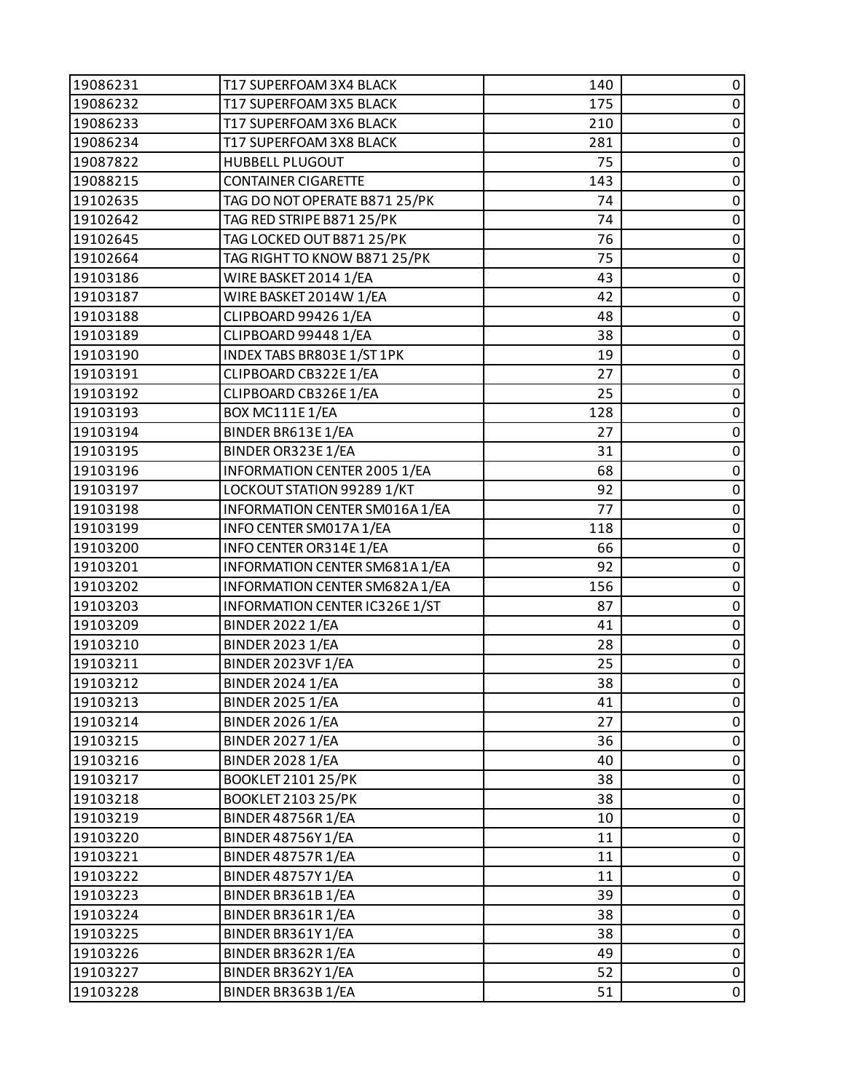| 19086231 | T17 SUPERFOAM 3X4 BLACK             | 140 | 0           |
|----------|-------------------------------------|-----|-------------|
| 19086232 | T17 SUPERFOAM 3X5 BLACK             | 175 | $\pmb{0}$   |
| 19086233 | T17 SUPERFOAM 3X6 BLACK             | 210 | 0           |
| 19086234 | T17 SUPERFOAM 3X8 BLACK             | 281 | $\pmb{0}$   |
| 19087822 | <b>HUBBELL PLUGOUT</b>              | 75  | $\pmb{0}$   |
| 19088215 | <b>CONTAINER CIGARETTE</b>          | 143 | $\pmb{0}$   |
| 19102635 | TAG DO NOT OPERATE B871 25/PK       | 74  | $\pmb{0}$   |
| 19102642 | TAG RED STRIPE B871 25/PK           | 74  | $\pmb{0}$   |
| 19102645 | TAG LOCKED OUT B871 25/PK           | 76  | 0           |
| 19102664 | TAG RIGHT TO KNOW B871 25/PK        | 75  | $\pmb{0}$   |
| 19103186 | WIRE BASKET 2014 1/EA               | 43  | $\pmb{0}$   |
| 19103187 | WIRE BASKET 2014W 1/EA              | 42  | 0           |
| 19103188 | CLIPBOARD 99426 1/EA                | 48  | $\pmb{0}$   |
| 19103189 | CLIPBOARD 99448 1/EA                | 38  | $\pmb{0}$   |
| 19103190 | INDEX TABS BR803E 1/ST 1PK          | 19  | 0           |
| 19103191 | CLIPBOARD CB322E1/EA                | 27  | $\pmb{0}$   |
| 19103192 | CLIPBOARD CB326E1/EA                | 25  | $\pmb{0}$   |
| 19103193 | BOX MC111E1/EA                      | 128 | 0           |
| 19103194 | BINDER BR613E1/EA                   | 27  | $\pmb{0}$   |
| 19103195 | BINDER OR323E1/EA                   | 31  | $\pmb{0}$   |
| 19103196 | <b>INFORMATION CENTER 2005 1/EA</b> | 68  | 0           |
| 19103197 | LOCKOUT STATION 99289 1/KT          | 92  | $\pmb{0}$   |
| 19103198 | INFORMATION CENTER SM016A1/EA       | 77  | $\pmb{0}$   |
| 19103199 | INFO CENTER SM017A1/EA              | 118 | 0           |
| 19103200 | INFO CENTER OR314E 1/EA             | 66  | $\pmb{0}$   |
| 19103201 | INFORMATION CENTER SM681A1/EA       | 92  | $\pmb{0}$   |
| 19103202 | INFORMATION CENTER SM682A 1/EA      | 156 | 0           |
| 19103203 | INFORMATION CENTER IC326E 1/ST      | 87  | $\pmb{0}$   |
| 19103209 | <b>BINDER 2022 1/EA</b>             | 41  | $\pmb{0}$   |
| 19103210 | <b>BINDER 2023 1/EA</b>             | 28  | $\pmb{0}$   |
| 19103211 | BINDER 2023VF 1/EA                  | 25  | $\pmb{0}$   |
| 19103212 | <b>BINDER 2024 1/EA</b>             | 38  | $\mathbf 0$ |
| 19103213 | <b>BINDER 2025 1/EA</b>             | 41  | 0           |
| 19103214 | <b>BINDER 2026 1/EA</b>             | 27  | 0           |
| 19103215 | <b>BINDER 2027 1/EA</b>             | 36  | $\pmb{0}$   |
| 19103216 | <b>BINDER 2028 1/EA</b>             | 40  | 0           |
| 19103217 | <b>BOOKLET 2101 25/PK</b>           | 38  | 0           |
| 19103218 | <b>BOOKLET 2103 25/PK</b>           | 38  | $\mathbf 0$ |
| 19103219 | <b>BINDER 48756R 1/EA</b>           | 10  | 0           |
| 19103220 | <b>BINDER 48756Y1/EA</b>            | 11  | 0           |
| 19103221 | <b>BINDER 48757R 1/EA</b>           | 11  | $\pmb{0}$   |
| 19103222 | <b>BINDER 48757Y1/EA</b>            | 11  | 0           |
| 19103223 | BINDER BR361B1/EA                   | 39  | 0           |
| 19103224 | BINDER BR361R 1/EA                  | 38  | $\pmb{0}$   |
| 19103225 | BINDER BR361Y1/EA                   | 38  | $\pmb{0}$   |
| 19103226 | BINDER BR362R 1/EA                  | 49  | $\pmb{0}$   |
| 19103227 | BINDER BR362Y1/EA                   | 52  | $\pmb{0}$   |
| 19103228 | BINDER BR363B1/EA                   | 51  | $\pmb{0}$   |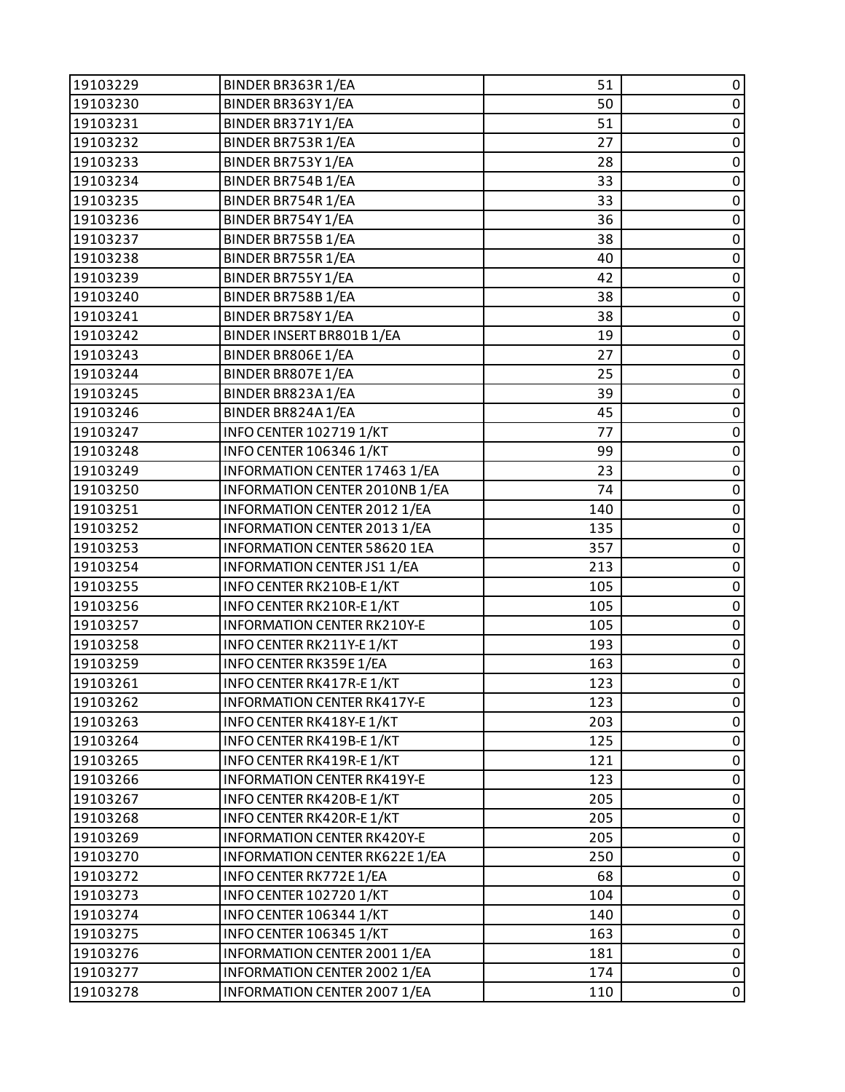| 19103229 | BINDER BR363R 1/EA                  | 51  | 0              |
|----------|-------------------------------------|-----|----------------|
| 19103230 | BINDER BR363Y1/EA                   | 50  | $\pmb{0}$      |
| 19103231 | BINDER BR371Y1/EA                   | 51  | 0              |
| 19103232 | BINDER BR753R 1/EA                  | 27  | $\pmb{0}$      |
| 19103233 | BINDER BR753Y1/EA                   | 28  | $\pmb{0}$      |
| 19103234 | BINDER BR754B1/EA                   | 33  | 0              |
| 19103235 | BINDER BR754R 1/EA                  | 33  | $\pmb{0}$      |
| 19103236 | BINDER BR754Y1/EA                   | 36  | $\pmb{0}$      |
| 19103237 | BINDER BR755B1/EA                   | 38  | 0              |
| 19103238 | BINDER BR755R 1/EA                  | 40  | $\mathbf 0$    |
| 19103239 | BINDER BR755Y1/EA                   | 42  | $\pmb{0}$      |
| 19103240 | BINDER BR758B1/EA                   | 38  | 0              |
| 19103241 | BINDER BR758Y1/EA                   | 38  | $\pmb{0}$      |
| 19103242 | BINDER INSERT BR801B 1/EA           | 19  | $\pmb{0}$      |
| 19103243 | BINDER BR806E1/EA                   | 27  | 0              |
| 19103244 | BINDER BR807E1/EA                   | 25  | $\pmb{0}$      |
| 19103245 | BINDER BR823A1/EA                   | 39  | $\pmb{0}$      |
| 19103246 | BINDER BR824A1/EA                   | 45  | 0              |
| 19103247 | INFO CENTER 102719 1/KT             | 77  | $\pmb{0}$      |
| 19103248 | INFO CENTER 106346 1/KT             | 99  | $\pmb{0}$      |
| 19103249 | INFORMATION CENTER 17463 1/EA       | 23  | 0              |
| 19103250 | INFORMATION CENTER 2010NB 1/EA      | 74  | $\mathbf 0$    |
| 19103251 | INFORMATION CENTER 2012 1/EA        | 140 | $\pmb{0}$      |
| 19103252 | INFORMATION CENTER 2013 1/EA        | 135 | 0              |
| 19103253 | <b>INFORMATION CENTER 58620 1EA</b> | 357 | $\pmb{0}$      |
| 19103254 | INFORMATION CENTER JS1 1/EA         | 213 | $\pmb{0}$      |
| 19103255 | INFO CENTER RK210B-E1/KT            | 105 | 0              |
| 19103256 | INFO CENTER RK210R-E1/KT            | 105 | $\pmb{0}$      |
| 19103257 | <b>INFORMATION CENTER RK210Y-E</b>  | 105 | $\pmb{0}$      |
| 19103258 | INFO CENTER RK211Y-E 1/KT           | 193 | 0              |
| 19103259 | INFO CENTER RK359E 1/EA             | 163 | $\pmb{0}$      |
| 19103261 | INFO CENTER RK417R-E1/KT            | 123 | $\pmb{0}$      |
| 19103262 | <b>INFORMATION CENTER RK417Y-E</b>  | 123 | $\mathbf 0$    |
| 19103263 | INFO CENTER RK418Y-E 1/KT           | 203 | 0              |
| 19103264 | INFO CENTER RK419B-E1/KT            | 125 | $\pmb{0}$      |
| 19103265 | INFO CENTER RK419R-E1/KT            | 121 | $\pmb{0}$      |
| 19103266 | <b>INFORMATION CENTER RK419Y-E</b>  | 123 | $\pmb{0}$      |
| 19103267 | INFO CENTER RK420B-E 1/KT           | 205 | $\pmb{0}$      |
| 19103268 | INFO CENTER RK420R-E 1/KT           | 205 | 0              |
| 19103269 | <b>INFORMATION CENTER RK420Y-E</b>  | 205 | $\pmb{0}$      |
| 19103270 | INFORMATION CENTER RK622E 1/EA      | 250 | $\pmb{0}$      |
| 19103272 | INFO CENTER RK772E 1/EA             | 68  | $\pmb{0}$      |
| 19103273 | <b>INFO CENTER 102720 1/KT</b>      | 104 | $\pmb{0}$      |
| 19103274 | INFO CENTER 106344 1/KT             | 140 | $\pmb{0}$      |
| 19103275 | <b>INFO CENTER 106345 1/KT</b>      | 163 | 0              |
| 19103276 | INFORMATION CENTER 2001 1/EA        | 181 | $\pmb{0}$      |
| 19103277 | INFORMATION CENTER 2002 1/EA        | 174 | $\pmb{0}$      |
| 19103278 | INFORMATION CENTER 2007 1/EA        | 110 | $\overline{0}$ |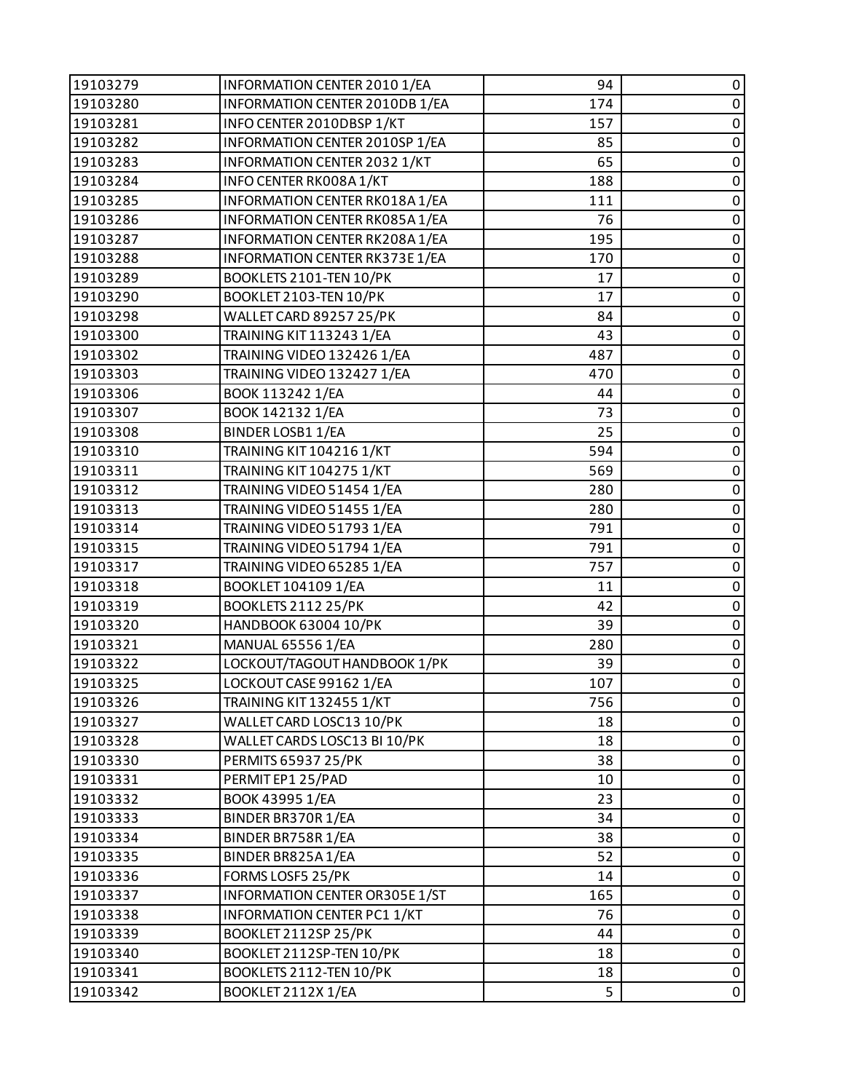| 19103279 | INFORMATION CENTER 2010 1/EA        | 94  | 0           |
|----------|-------------------------------------|-----|-------------|
| 19103280 | INFORMATION CENTER 2010DB 1/EA      | 174 | $\pmb{0}$   |
| 19103281 | INFO CENTER 2010DBSP 1/KT           | 157 | 0           |
| 19103282 | INFORMATION CENTER 2010SP 1/EA      | 85  | $\pmb{0}$   |
| 19103283 | <b>INFORMATION CENTER 2032 1/KT</b> | 65  | $\pmb{0}$   |
| 19103284 | INFO CENTER RK008A1/KT              | 188 | $\pmb{0}$   |
| 19103285 | INFORMATION CENTER RK018A1/EA       | 111 | $\pmb{0}$   |
| 19103286 | INFORMATION CENTER RK085A1/EA       | 76  | $\pmb{0}$   |
| 19103287 | INFORMATION CENTER RK208A1/EA       | 195 | 0           |
| 19103288 | INFORMATION CENTER RK373E 1/EA      | 170 | $\pmb{0}$   |
| 19103289 | BOOKLETS 2101-TEN 10/PK             | 17  | $\pmb{0}$   |
| 19103290 | BOOKLET 2103-TEN 10/PK              | 17  | 0           |
| 19103298 | WALLET CARD 89257 25/PK             | 84  | $\pmb{0}$   |
| 19103300 | TRAINING KIT 113243 1/EA            | 43  | $\pmb{0}$   |
| 19103302 | TRAINING VIDEO 132426 1/EA          | 487 | 0           |
| 19103303 | TRAINING VIDEO 132427 1/EA          | 470 | $\pmb{0}$   |
| 19103306 | BOOK 113242 1/EA                    | 44  | $\pmb{0}$   |
| 19103307 | BOOK 142132 1/EA                    | 73  | 0           |
| 19103308 | <b>BINDER LOSB1 1/EA</b>            | 25  | $\pmb{0}$   |
| 19103310 | <b>TRAINING KIT 104216 1/KT</b>     | 594 | $\pmb{0}$   |
| 19103311 | <b>TRAINING KIT 104275 1/KT</b>     | 569 | 0           |
| 19103312 | TRAINING VIDEO 51454 1/EA           | 280 | $\pmb{0}$   |
| 19103313 | TRAINING VIDEO 51455 1/EA           | 280 | $\pmb{0}$   |
| 19103314 | TRAINING VIDEO 51793 1/EA           | 791 | 0           |
| 19103315 | TRAINING VIDEO 51794 1/EA           | 791 | $\pmb{0}$   |
| 19103317 | TRAINING VIDEO 65285 1/EA           | 757 | $\pmb{0}$   |
| 19103318 | BOOKLET 104109 1/EA                 | 11  | 0           |
| 19103319 | <b>BOOKLETS 2112 25/PK</b>          | 42  | $\pmb{0}$   |
| 19103320 | HANDBOOK 63004 10/PK                | 39  | $\pmb{0}$   |
| 19103321 | <b>MANUAL 65556 1/EA</b>            | 280 | $\pmb{0}$   |
| 19103322 | LOCKOUT/TAGOUT HANDBOOK 1/PK        | 39  | $\pmb{0}$   |
| 19103325 | LOCKOUT CASE 99162 1/EA             | 107 | $\mathbf 0$ |
| 19103326 | <b>TRAINING KIT 132455 1/KT</b>     | 756 | 0           |
| 19103327 | WALLET CARD LOSC13 10/PK            | 18  | 0           |
| 19103328 | WALLET CARDS LOSC13 BI 10/PK        | 18  | $\pmb{0}$   |
| 19103330 | <b>PERMITS 65937 25/PK</b>          | 38  | 0           |
| 19103331 | PERMITEP1 25/PAD                    | 10  | 0           |
| 19103332 | BOOK 43995 1/EA                     | 23  | $\mathbf 0$ |
| 19103333 | BINDER BR370R 1/EA                  | 34  | 0           |
| 19103334 | BINDER BR758R 1/EA                  | 38  | 0           |
| 19103335 | BINDER BR825A1/EA                   | 52  | $\pmb{0}$   |
| 19103336 | FORMS LOSF5 25/PK                   | 14  | 0           |
| 19103337 | INFORMATION CENTER OR305E 1/ST      | 165 | 0           |
| 19103338 | INFORMATION CENTER PC1 1/KT         | 76  | 0           |
| 19103339 | BOOKLET 2112SP 25/PK                | 44  | $\pmb{0}$   |
| 19103340 | BOOKLET 2112SP-TEN 10/PK            | 18  | $\pmb{0}$   |
| 19103341 | BOOKLETS 2112-TEN 10/PK             | 18  | $\pmb{0}$   |
| 19103342 | BOOKLET 2112X 1/EA                  | 5   | $\pmb{0}$   |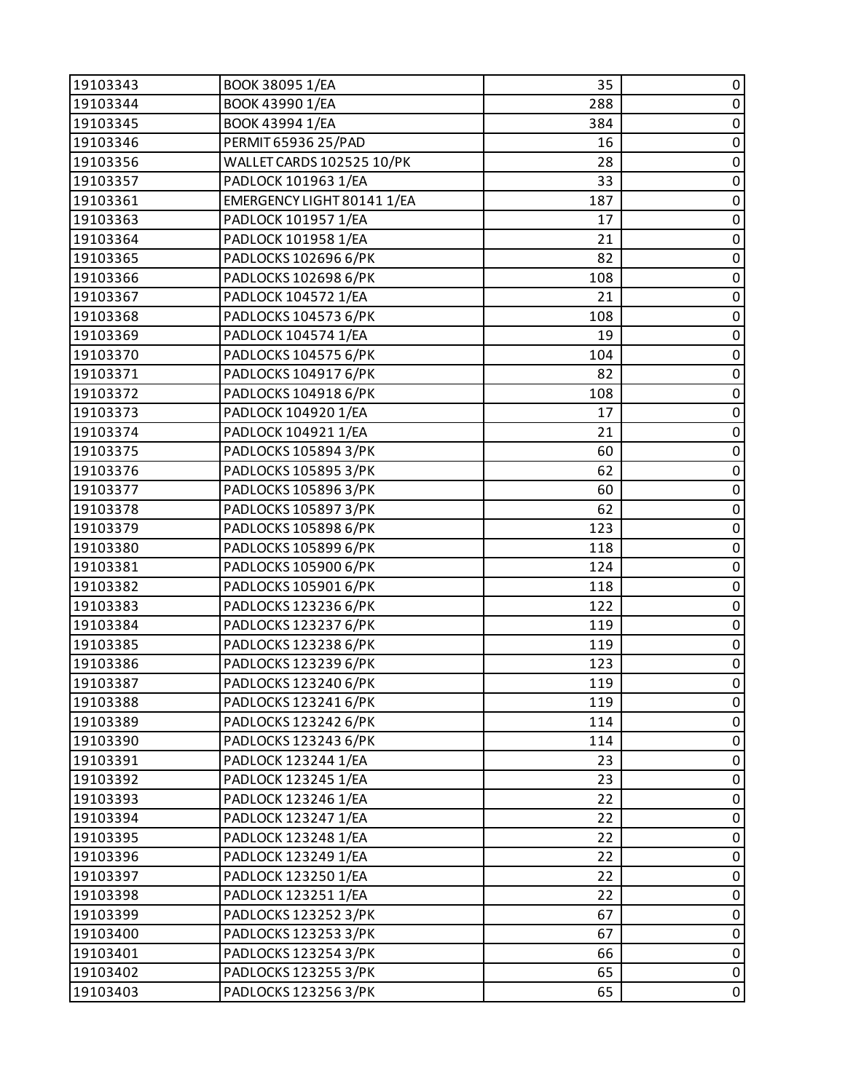| 19103343 | BOOK 38095 1/EA            | 35  | 0         |
|----------|----------------------------|-----|-----------|
| 19103344 | BOOK 43990 1/EA            | 288 | $\pmb{0}$ |
| 19103345 | BOOK 43994 1/EA            | 384 | $\pmb{0}$ |
| 19103346 | PERMIT 65936 25/PAD        | 16  | $\pmb{0}$ |
| 19103356 | WALLET CARDS 102525 10/PK  | 28  | $\pmb{0}$ |
| 19103357 | PADLOCK 101963 1/EA        | 33  | 0         |
| 19103361 | EMERGENCY LIGHT 80141 1/EA | 187 | $\pmb{0}$ |
| 19103363 | PADLOCK 101957 1/EA        | 17  | $\pmb{0}$ |
| 19103364 | PADLOCK 101958 1/EA        | 21  | $\pmb{0}$ |
| 19103365 | PADLOCKS 102696 6/PK       | 82  | $\pmb{0}$ |
| 19103366 | PADLOCKS 102698 6/PK       | 108 | $\pmb{0}$ |
| 19103367 | PADLOCK 104572 1/EA        | 21  | 0         |
| 19103368 | PADLOCKS 104573 6/PK       | 108 | $\pmb{0}$ |
| 19103369 | PADLOCK 104574 1/EA        | 19  | $\pmb{0}$ |
| 19103370 | PADLOCKS 104575 6/PK       | 104 | $\pmb{0}$ |
| 19103371 | PADLOCKS 104917 6/PK       | 82  | $\pmb{0}$ |
| 19103372 | PADLOCKS 104918 6/PK       | 108 | $\pmb{0}$ |
| 19103373 | PADLOCK 104920 1/EA        | 17  | $\pmb{0}$ |
| 19103374 | PADLOCK 104921 1/EA        | 21  | $\pmb{0}$ |
| 19103375 | PADLOCKS 105894 3/PK       | 60  | $\pmb{0}$ |
| 19103376 | PADLOCKS 105895 3/PK       | 62  | 0         |
| 19103377 | PADLOCKS 105896 3/PK       | 60  | $\pmb{0}$ |
| 19103378 | PADLOCKS 105897 3/PK       | 62  | $\pmb{0}$ |
| 19103379 | PADLOCKS 105898 6/PK       | 123 | $\pmb{0}$ |
| 19103380 | PADLOCKS 105899 6/PK       | 118 | $\pmb{0}$ |
| 19103381 | PADLOCKS 105900 6/PK       | 124 | $\pmb{0}$ |
| 19103382 | PADLOCKS 105901 6/PK       | 118 | 0         |
| 19103383 | PADLOCKS 123236 6/PK       | 122 | $\pmb{0}$ |
| 19103384 | PADLOCKS 123237 6/PK       | 119 | $\pmb{0}$ |
| 19103385 | PADLOCKS 123238 6/PK       | 119 | $\pmb{0}$ |
| 19103386 | PADLOCKS 123239 6/PK       | 123 | $\pmb{0}$ |
| 19103387 | PADLOCKS 123240 6/PK       | 119 | $\pmb{0}$ |
| 19103388 | PADLOCKS 123241 6/PK       | 119 | 0         |
| 19103389 | PADLOCKS 123242 6/PK       | 114 | 0         |
| 19103390 | PADLOCKS 123243 6/PK       | 114 | $\pmb{0}$ |
| 19103391 | PADLOCK 123244 1/EA        | 23  | 0         |
| 19103392 | PADLOCK 123245 1/EA        | 23  | 0         |
| 19103393 | PADLOCK 123246 1/EA        | 22  | $\pmb{0}$ |
| 19103394 | PADLOCK 123247 1/EA        | 22  | $\pmb{0}$ |
| 19103395 | PADLOCK 123248 1/EA        | 22  | $\pmb{0}$ |
| 19103396 | PADLOCK 123249 1/EA        | 22  | $\pmb{0}$ |
| 19103397 | PADLOCK 123250 1/EA        | 22  | 0         |
| 19103398 | PADLOCK 123251 1/EA        | 22  | 0         |
| 19103399 | PADLOCKS 123252 3/PK       | 67  | $\pmb{0}$ |
| 19103400 | PADLOCKS 123253 3/PK       | 67  | $\pmb{0}$ |
| 19103401 | PADLOCKS 123254 3/PK       | 66  | $\pmb{0}$ |
| 19103402 | PADLOCKS 123255 3/PK       | 65  | $\pmb{0}$ |
| 19103403 | PADLOCKS 123256 3/PK       | 65  | 0         |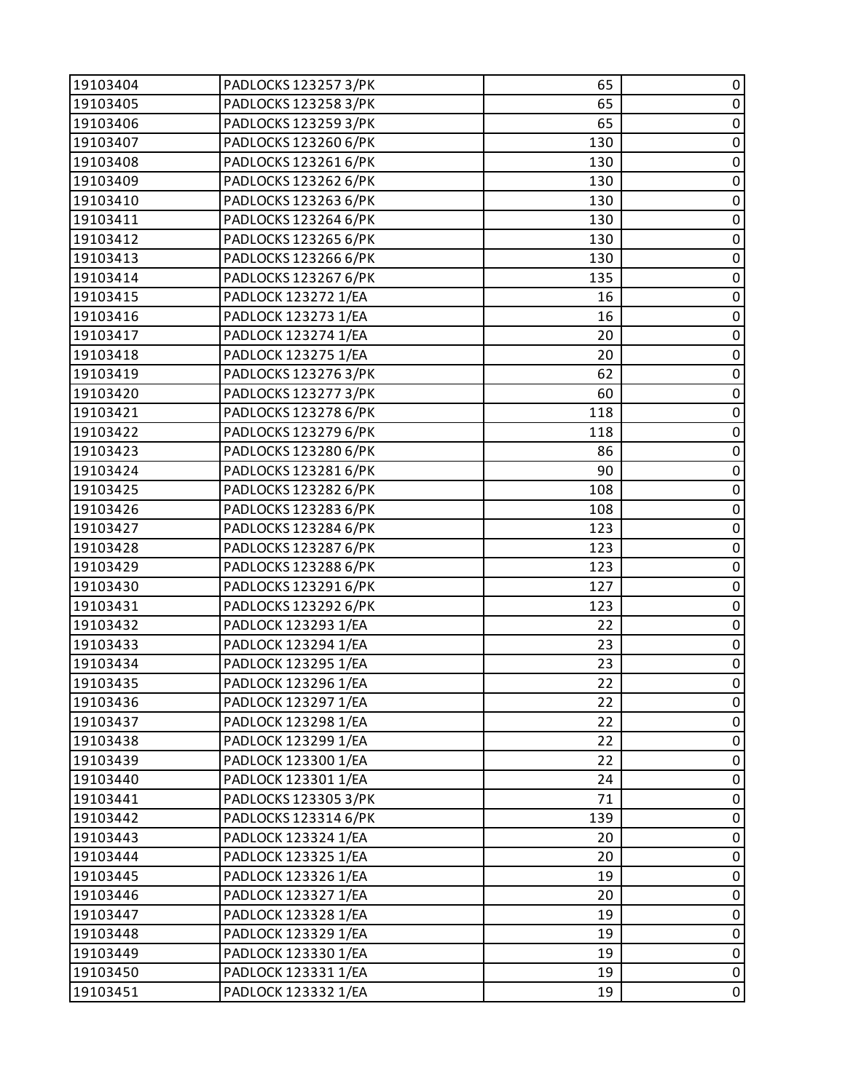| 19103404 | PADLOCKS 123257 3/PK | 65  | 0           |
|----------|----------------------|-----|-------------|
| 19103405 | PADLOCKS 123258 3/PK | 65  | $\pmb{0}$   |
| 19103406 | PADLOCKS 123259 3/PK | 65  | $\pmb{0}$   |
| 19103407 | PADLOCKS 123260 6/PK | 130 | $\pmb{0}$   |
| 19103408 | PADLOCKS 123261 6/PK | 130 | $\pmb{0}$   |
| 19103409 | PADLOCKS 123262 6/PK | 130 | $\pmb{0}$   |
| 19103410 | PADLOCKS 123263 6/PK | 130 | $\pmb{0}$   |
| 19103411 | PADLOCKS 123264 6/PK | 130 | $\pmb{0}$   |
| 19103412 | PADLOCKS 123265 6/PK | 130 | 0           |
| 19103413 | PADLOCKS 123266 6/PK | 130 | $\pmb{0}$   |
| 19103414 | PADLOCKS 123267 6/PK | 135 | $\pmb{0}$   |
| 19103415 | PADLOCK 123272 1/EA  | 16  | $\pmb{0}$   |
| 19103416 | PADLOCK 123273 1/EA  | 16  | $\pmb{0}$   |
| 19103417 | PADLOCK 123274 1/EA  | 20  | $\pmb{0}$   |
| 19103418 | PADLOCK 123275 1/EA  | 20  | $\pmb{0}$   |
| 19103419 | PADLOCKS 1232763/PK  | 62  | $\pmb{0}$   |
| 19103420 | PADLOCKS 123277 3/PK | 60  | $\pmb{0}$   |
| 19103421 | PADLOCKS 123278 6/PK | 118 | $\pmb{0}$   |
| 19103422 | PADLOCKS 123279 6/PK | 118 | $\pmb{0}$   |
| 19103423 | PADLOCKS 123280 6/PK | 86  | $\pmb{0}$   |
| 19103424 | PADLOCKS 123281 6/PK | 90  | $\pmb{0}$   |
| 19103425 | PADLOCKS 123282 6/PK | 108 | $\pmb{0}$   |
| 19103426 | PADLOCKS 123283 6/PK | 108 | $\pmb{0}$   |
| 19103427 | PADLOCKS 123284 6/PK | 123 | $\pmb{0}$   |
| 19103428 | PADLOCKS 123287 6/PK | 123 | $\pmb{0}$   |
| 19103429 | PADLOCKS 123288 6/PK | 123 | $\pmb{0}$   |
| 19103430 | PADLOCKS 123291 6/PK | 127 | $\pmb{0}$   |
| 19103431 | PADLOCKS 123292 6/PK | 123 | $\pmb{0}$   |
| 19103432 | PADLOCK 123293 1/EA  | 22  | $\pmb{0}$   |
| 19103433 | PADLOCK 123294 1/EA  | 23  | $\pmb{0}$   |
| 19103434 | PADLOCK 123295 1/EA  | 23  | $\pmb{0}$   |
| 19103435 | PADLOCK 123296 1/EA  | 22  | $\mathbf 0$ |
| 19103436 | PADLOCK 123297 1/EA  | 22  | 0           |
| 19103437 | PADLOCK 123298 1/EA  | 22  | 0           |
| 19103438 | PADLOCK 123299 1/EA  | 22  | $\pmb{0}$   |
| 19103439 | PADLOCK 123300 1/EA  | 22  | 0           |
| 19103440 | PADLOCK 123301 1/EA  | 24  | 0           |
| 19103441 | PADLOCKS 123305 3/PK | 71  | 0           |
| 19103442 | PADLOCKS 123314 6/PK | 139 | 0           |
| 19103443 | PADLOCK 123324 1/EA  | 20  | 0           |
| 19103444 | PADLOCK 123325 1/EA  | 20  | $\pmb{0}$   |
| 19103445 | PADLOCK 123326 1/EA  | 19  | 0           |
| 19103446 | PADLOCK 123327 1/EA  | 20  | 0           |
| 19103447 | PADLOCK 123328 1/EA  | 19  | 0           |
| 19103448 | PADLOCK 123329 1/EA  | 19  | $\pmb{0}$   |
| 19103449 | PADLOCK 123330 1/EA  | 19  | $\pmb{0}$   |
| 19103450 | PADLOCK 123331 1/EA  | 19  | $\pmb{0}$   |
| 19103451 | PADLOCK 123332 1/EA  | 19  | $\pmb{0}$   |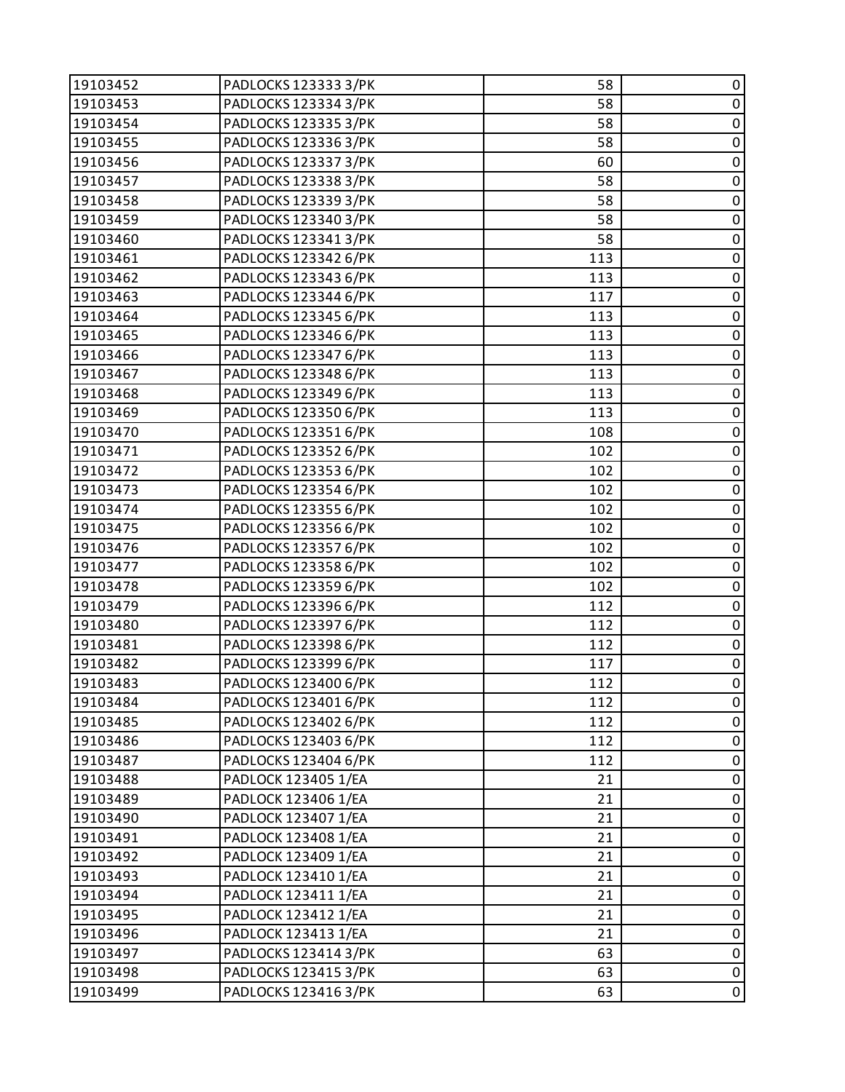| 19103452 | PADLOCKS 1233333/PK  | 58  | 0           |
|----------|----------------------|-----|-------------|
| 19103453 | PADLOCKS 123334 3/PK | 58  | $\pmb{0}$   |
| 19103454 | PADLOCKS 123335 3/PK | 58  | $\pmb{0}$   |
| 19103455 | PADLOCKS 123336 3/PK | 58  | $\pmb{0}$   |
| 19103456 | PADLOCKS 123337 3/PK | 60  | $\pmb{0}$   |
| 19103457 | PADLOCKS 123338 3/PK | 58  | $\pmb{0}$   |
| 19103458 | PADLOCKS 123339 3/PK | 58  | $\pmb{0}$   |
| 19103459 | PADLOCKS 123340 3/PK | 58  | $\pmb{0}$   |
| 19103460 | PADLOCKS 123341 3/PK | 58  | 0           |
| 19103461 | PADLOCKS 123342 6/PK | 113 | $\pmb{0}$   |
| 19103462 | PADLOCKS 123343 6/PK | 113 | $\pmb{0}$   |
| 19103463 | PADLOCKS 123344 6/PK | 117 | $\pmb{0}$   |
| 19103464 | PADLOCKS 123345 6/PK | 113 | $\pmb{0}$   |
| 19103465 | PADLOCKS 123346 6/PK | 113 | $\pmb{0}$   |
| 19103466 | PADLOCKS 123347 6/PK | 113 | $\pmb{0}$   |
| 19103467 | PADLOCKS 123348 6/PK | 113 | $\pmb{0}$   |
| 19103468 | PADLOCKS 123349 6/PK | 113 | $\pmb{0}$   |
| 19103469 | PADLOCKS 123350 6/PK | 113 | $\pmb{0}$   |
| 19103470 | PADLOCKS 123351 6/PK | 108 | $\pmb{0}$   |
| 19103471 | PADLOCKS 123352 6/PK | 102 | $\pmb{0}$   |
| 19103472 | PADLOCKS 123353 6/PK | 102 | $\pmb{0}$   |
| 19103473 | PADLOCKS 123354 6/PK | 102 | $\pmb{0}$   |
| 19103474 | PADLOCKS 123355 6/PK | 102 | $\pmb{0}$   |
| 19103475 | PADLOCKS 123356 6/PK | 102 | $\pmb{0}$   |
| 19103476 | PADLOCKS 123357 6/PK | 102 | $\pmb{0}$   |
| 19103477 | PADLOCKS 123358 6/PK | 102 | $\pmb{0}$   |
| 19103478 | PADLOCKS 123359 6/PK | 102 | $\pmb{0}$   |
| 19103479 | PADLOCKS 123396 6/PK | 112 | $\pmb{0}$   |
| 19103480 | PADLOCKS 123397 6/PK | 112 | $\pmb{0}$   |
| 19103481 | PADLOCKS 123398 6/PK | 112 | $\pmb{0}$   |
| 19103482 | PADLOCKS 123399 6/PK | 117 | $\pmb{0}$   |
| 19103483 | PADLOCKS 123400 6/PK | 112 | $\mathbf 0$ |
| 19103484 | PADLOCKS 123401 6/PK | 112 | 0           |
| 19103485 | PADLOCKS 123402 6/PK | 112 | 0           |
| 19103486 | PADLOCKS 123403 6/PK | 112 | $\pmb{0}$   |
| 19103487 | PADLOCKS 123404 6/PK | 112 | 0           |
| 19103488 | PADLOCK 123405 1/EA  | 21  | 0           |
| 19103489 | PADLOCK 123406 1/EA  | 21  | 0           |
| 19103490 | PADLOCK 123407 1/EA  | 21  | 0           |
| 19103491 | PADLOCK 123408 1/EA  | 21  | 0           |
| 19103492 | PADLOCK 123409 1/EA  | 21  | $\mathbf 0$ |
| 19103493 | PADLOCK 123410 1/EA  | 21  | 0           |
| 19103494 | PADLOCK 123411 1/EA  | 21  | 0           |
| 19103495 | PADLOCK 123412 1/EA  | 21  | 0           |
| 19103496 | PADLOCK 123413 1/EA  | 21  | $\pmb{0}$   |
| 19103497 | PADLOCKS 123414 3/PK | 63  | $\pmb{0}$   |
| 19103498 | PADLOCKS 123415 3/PK | 63  | $\pmb{0}$   |
| 19103499 | PADLOCKS 123416 3/PK | 63  | $\pmb{0}$   |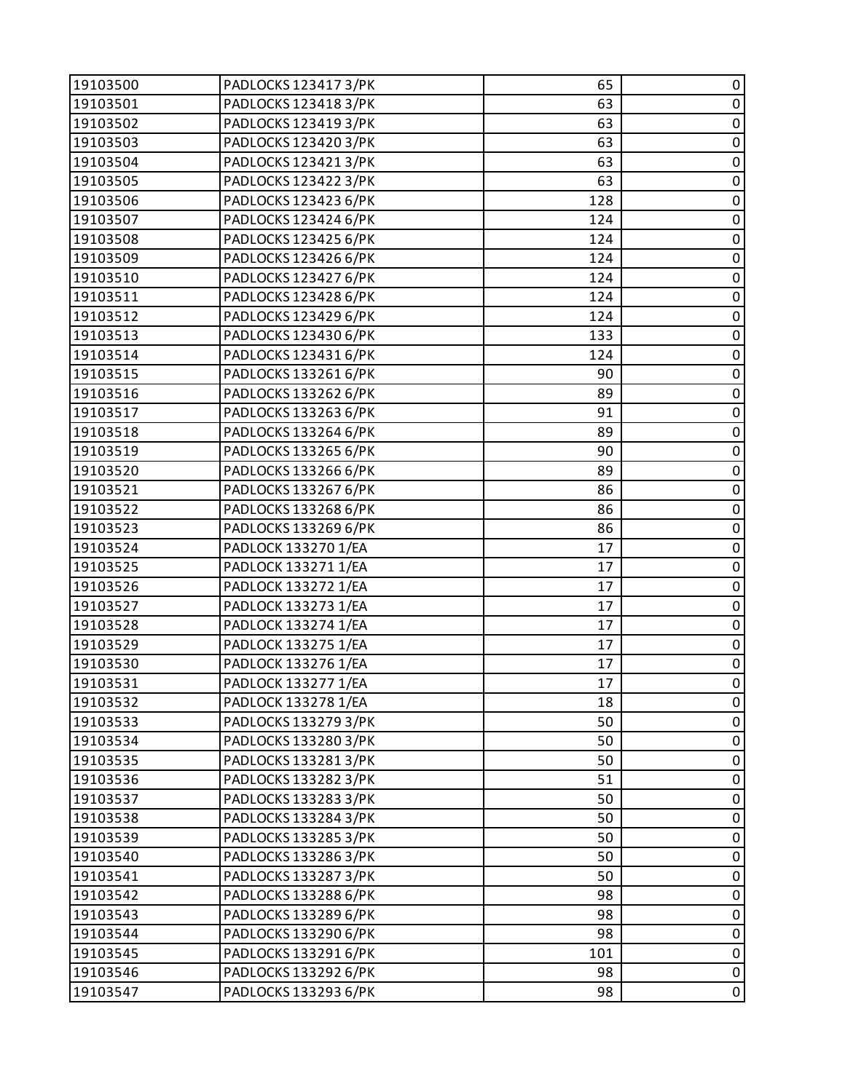| 19103500 | PADLOCKS 123417 3/PK | 65  | 0           |
|----------|----------------------|-----|-------------|
| 19103501 | PADLOCKS 123418 3/PK | 63  | $\pmb{0}$   |
| 19103502 | PADLOCKS 123419 3/PK | 63  | 0           |
| 19103503 | PADLOCKS 123420 3/PK | 63  | $\pmb{0}$   |
| 19103504 | PADLOCKS 123421 3/PK | 63  | $\pmb{0}$   |
| 19103505 | PADLOCKS 123422 3/PK | 63  | 0           |
| 19103506 | PADLOCKS 123423 6/PK | 128 | $\pmb{0}$   |
| 19103507 | PADLOCKS 123424 6/PK | 124 | $\pmb{0}$   |
| 19103508 | PADLOCKS 123425 6/PK | 124 | 0           |
| 19103509 | PADLOCKS 123426 6/PK | 124 | $\pmb{0}$   |
| 19103510 | PADLOCKS 123427 6/PK | 124 | $\pmb{0}$   |
| 19103511 | PADLOCKS 123428 6/PK | 124 | 0           |
| 19103512 | PADLOCKS 123429 6/PK | 124 | $\pmb{0}$   |
| 19103513 | PADLOCKS 123430 6/PK | 133 | $\pmb{0}$   |
| 19103514 | PADLOCKS 123431 6/PK | 124 | 0           |
| 19103515 | PADLOCKS 133261 6/PK | 90  | $\pmb{0}$   |
| 19103516 | PADLOCKS 133262 6/PK | 89  | $\pmb{0}$   |
| 19103517 | PADLOCKS 133263 6/PK | 91  | 0           |
| 19103518 | PADLOCKS 133264 6/PK | 89  | $\pmb{0}$   |
| 19103519 | PADLOCKS 133265 6/PK | 90  | $\pmb{0}$   |
| 19103520 | PADLOCKS 133266 6/PK | 89  | 0           |
| 19103521 | PADLOCKS 133267 6/PK | 86  | $\pmb{0}$   |
| 19103522 | PADLOCKS 133268 6/PK | 86  | $\pmb{0}$   |
| 19103523 | PADLOCKS 133269 6/PK | 86  | 0           |
| 19103524 | PADLOCK 133270 1/EA  | 17  | $\pmb{0}$   |
| 19103525 | PADLOCK 133271 1/EA  | 17  | $\pmb{0}$   |
| 19103526 | PADLOCK 133272 1/EA  | 17  | 0           |
| 19103527 | PADLOCK 133273 1/EA  | 17  | $\pmb{0}$   |
| 19103528 | PADLOCK 133274 1/EA  | 17  | $\pmb{0}$   |
| 19103529 | PADLOCK 133275 1/EA  | 17  | 0           |
| 19103530 | PADLOCK 133276 1/EA  | 17  | $\pmb{0}$   |
| 19103531 | PADLOCK 133277 1/EA  | 17  | $\mathsf 0$ |
| 19103532 | PADLOCK 133278 1/EA  | 18  | 0           |
| 19103533 | PADLOCKS 133279 3/PK | 50  | 0           |
| 19103534 | PADLOCKS 133280 3/PK | 50  | $\pmb{0}$   |
| 19103535 | PADLOCKS 1332813/PK  | 50  | 0           |
| 19103536 | PADLOCKS 133282 3/PK | 51  | 0           |
| 19103537 | PADLOCKS 133283 3/PK | 50  | 0           |
| 19103538 | PADLOCKS 133284 3/PK | 50  | 0           |
| 19103539 | PADLOCKS 133285 3/PK | 50  | 0           |
| 19103540 | PADLOCKS 133286 3/PK | 50  | $\pmb{0}$   |
| 19103541 | PADLOCKS 133287 3/PK | 50  | 0           |
| 19103542 | PADLOCKS 133288 6/PK | 98  | 0           |
| 19103543 | PADLOCKS 133289 6/PK | 98  | $\pmb{0}$   |
| 19103544 | PADLOCKS 133290 6/PK | 98  | 0           |
| 19103545 | PADLOCKS 133291 6/PK | 101 | $\pmb{0}$   |
| 19103546 | PADLOCKS 133292 6/PK | 98  | $\pmb{0}$   |
| 19103547 | PADLOCKS 133293 6/PK | 98  | $\mathbf 0$ |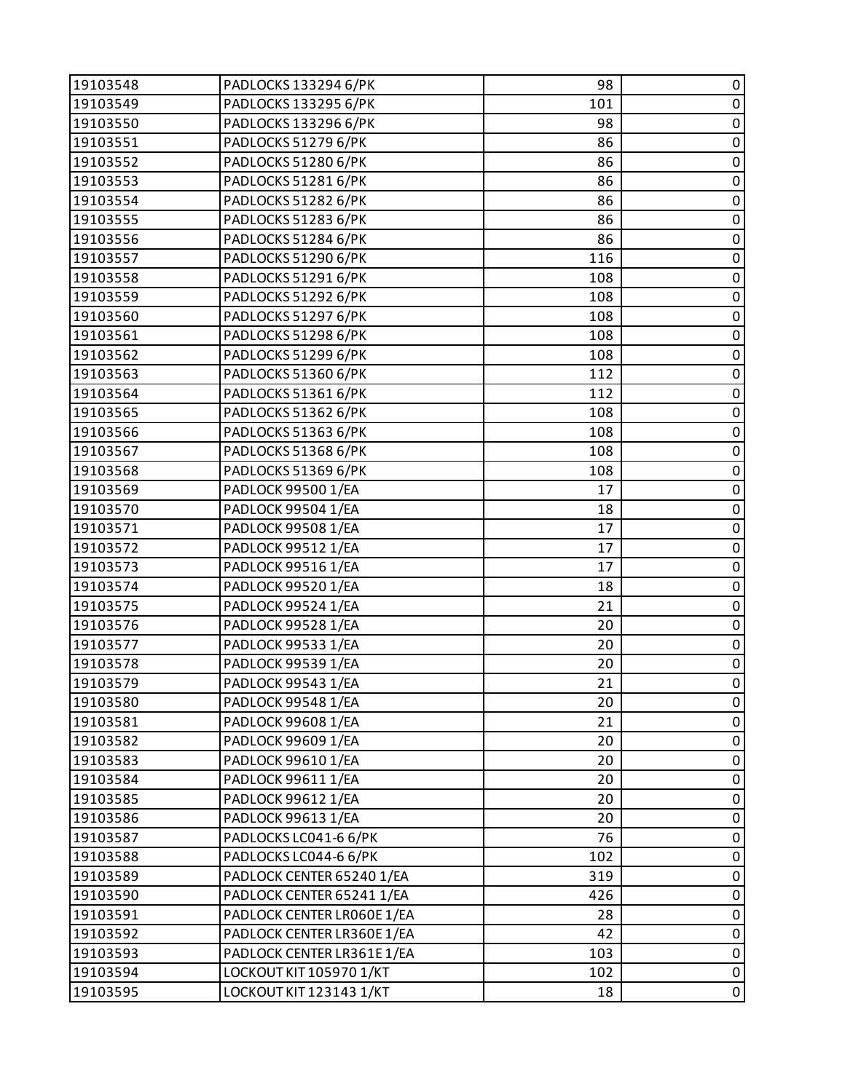| 19103548 | PADLOCKS 133294 6/PK       | 98  | 0           |
|----------|----------------------------|-----|-------------|
| 19103549 | PADLOCKS 133295 6/PK       | 101 | $\pmb{0}$   |
| 19103550 | PADLOCKS 133296 6/PK       | 98  | $\pmb{0}$   |
| 19103551 | PADLOCKS 51279 6/PK        | 86  | $\pmb{0}$   |
| 19103552 | PADLOCKS 51280 6/PK        | 86  | $\pmb{0}$   |
| 19103553 | PADLOCKS 51281 6/PK        | 86  | $\pmb{0}$   |
| 19103554 | PADLOCKS 51282 6/PK        | 86  | $\pmb{0}$   |
| 19103555 | PADLOCKS 51283 6/PK        | 86  | $\mathbf 0$ |
| 19103556 | PADLOCKS 51284 6/PK        | 86  | 0           |
| 19103557 | PADLOCKS 51290 6/PK        | 116 | $\pmb{0}$   |
| 19103558 | PADLOCKS 51291 6/PK        | 108 | $\pmb{0}$   |
| 19103559 | PADLOCKS 51292 6/PK        | 108 | $\pmb{0}$   |
| 19103560 | PADLOCKS 51297 6/PK        | 108 | $\pmb{0}$   |
| 19103561 | PADLOCKS 51298 6/PK        | 108 | $\pmb{0}$   |
| 19103562 | PADLOCKS 51299 6/PK        | 108 | $\pmb{0}$   |
| 19103563 | PADLOCKS 51360 6/PK        | 112 | $\pmb{0}$   |
| 19103564 | PADLOCKS 51361 6/PK        | 112 | $\pmb{0}$   |
| 19103565 | PADLOCKS 51362 6/PK        | 108 | $\pmb{0}$   |
| 19103566 | PADLOCKS 51363 6/PK        | 108 | $\pmb{0}$   |
| 19103567 | PADLOCKS 51368 6/PK        | 108 | $\pmb{0}$   |
| 19103568 | PADLOCKS 51369 6/PK        | 108 | $\pmb{0}$   |
| 19103569 | PADLOCK 99500 1/EA         | 17  | $\pmb{0}$   |
| 19103570 | PADLOCK 99504 1/EA         | 18  | $\pmb{0}$   |
| 19103571 | PADLOCK 99508 1/EA         | 17  | $\pmb{0}$   |
| 19103572 | PADLOCK 99512 1/EA         | 17  | $\pmb{0}$   |
| 19103573 | PADLOCK 99516 1/EA         | 17  | $\mathbf 0$ |
| 19103574 | PADLOCK 99520 1/EA         | 18  | $\pmb{0}$   |
| 19103575 | PADLOCK 99524 1/EA         | 21  | $\pmb{0}$   |
| 19103576 | PADLOCK 99528 1/EA         | 20  | $\pmb{0}$   |
| 19103577 | PADLOCK 99533 1/EA         | 20  | $\pmb{0}$   |
| 19103578 | PADLOCK 99539 1/EA         | 20  | $\pmb{0}$   |
| 19103579 | PADLOCK 99543 1/EA         | 21  | $\mathbf 0$ |
| 19103580 | PADLOCK 99548 1/EA         | 20  | 0           |
| 19103581 | PADLOCK 99608 1/EA         | 21  | 0           |
| 19103582 | PADLOCK 99609 1/EA         | 20  | $\pmb{0}$   |
| 19103583 | PADLOCK 99610 1/EA         | 20  | 0           |
| 19103584 | PADLOCK 99611 1/EA         | 20  | 0           |
| 19103585 | PADLOCK 99612 1/EA         | 20  | $\mathbf 0$ |
| 19103586 | PADLOCK 99613 1/EA         | 20  | 0           |
| 19103587 | PADLOCKS LC041-6 6/PK      | 76  | 0           |
| 19103588 | PADLOCKS LC044-6 6/PK      | 102 | $\mathbf 0$ |
| 19103589 | PADLOCK CENTER 65240 1/EA  | 319 | 0           |
| 19103590 | PADLOCK CENTER 65241 1/EA  | 426 | $\mathbf 0$ |
| 19103591 | PADLOCK CENTER LR060E 1/EA | 28  | $\mathbf 0$ |
| 19103592 | PADLOCK CENTER LR360E 1/EA | 42  | $\pmb{0}$   |
| 19103593 | PADLOCK CENTER LR361E1/EA  | 103 | $\pmb{0}$   |
| 19103594 | LOCKOUT KIT 105970 1/KT    | 102 | $\pmb{0}$   |
| 19103595 | LOCKOUT KIT 123143 1/KT    | 18  | $\pmb{0}$   |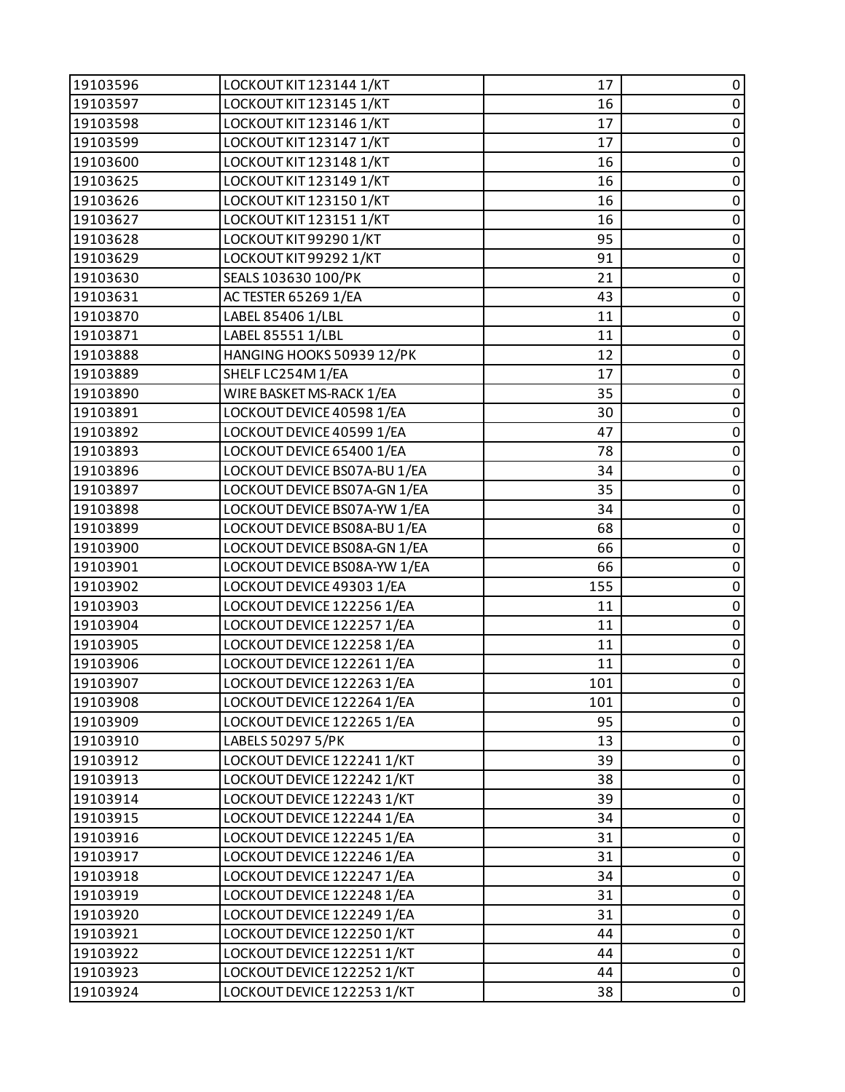| 19103596 | LOCKOUT KIT 123144 1/KT      | 17  | 0           |
|----------|------------------------------|-----|-------------|
| 19103597 | LOCKOUT KIT 123145 1/KT      | 16  | $\pmb{0}$   |
| 19103598 | LOCKOUT KIT 123146 1/KT      | 17  | 0           |
| 19103599 | LOCKOUT KIT 123147 1/KT      | 17  | $\pmb{0}$   |
| 19103600 | LOCKOUT KIT 123148 1/KT      | 16  | $\mathsf 0$ |
| 19103625 | LOCKOUT KIT 123149 1/KT      | 16  | 0           |
| 19103626 | LOCKOUT KIT 123150 1/KT      | 16  | $\mathbf 0$ |
| 19103627 | LOCKOUT KIT 123151 1/KT      | 16  | $\pmb{0}$   |
| 19103628 | LOCKOUT KIT 99290 1/KT       | 95  | 0           |
| 19103629 | LOCKOUT KIT 99292 1/KT       | 91  | $\pmb{0}$   |
| 19103630 | SEALS 103630 100/PK          | 21  | $\mathsf 0$ |
| 19103631 | AC TESTER 65269 1/EA         | 43  | 0           |
| 19103870 | LABEL 85406 1/LBL            | 11  | $\pmb{0}$   |
| 19103871 | LABEL 85551 1/LBL            | 11  | $\pmb{0}$   |
| 19103888 | HANGING HOOKS 50939 12/PK    | 12  | 0           |
| 19103889 | SHELF LC254M1/EA             | 17  | $\pmb{0}$   |
| 19103890 | WIRE BASKET MS-RACK 1/EA     | 35  | $\mathsf 0$ |
| 19103891 | LOCKOUT DEVICE 40598 1/EA    | 30  | 0           |
| 19103892 | LOCKOUT DEVICE 40599 1/EA    | 47  | $\pmb{0}$   |
| 19103893 | LOCKOUT DEVICE 65400 1/EA    | 78  | $\pmb{0}$   |
| 19103896 | LOCKOUT DEVICE BS07A-BU 1/EA | 34  | 0           |
| 19103897 | LOCKOUT DEVICE BS07A-GN 1/EA | 35  | $\mathbf 0$ |
| 19103898 | LOCKOUT DEVICE BS07A-YW 1/EA | 34  | $\pmb{0}$   |
| 19103899 | LOCKOUT DEVICE BS08A-BU 1/EA | 68  | 0           |
| 19103900 | LOCKOUT DEVICE BS08A-GN 1/EA | 66  | $\pmb{0}$   |
| 19103901 | LOCKOUT DEVICE BS08A-YW 1/EA | 66  | $\mathsf 0$ |
| 19103902 | LOCKOUT DEVICE 49303 1/EA    | 155 | 0           |
| 19103903 | LOCKOUT DEVICE 122256 1/EA   | 11  | $\pmb{0}$   |
| 19103904 | LOCKOUT DEVICE 122257 1/EA   | 11  | $\mathsf 0$ |
| 19103905 | LOCKOUT DEVICE 122258 1/EA   | 11  | 0           |
| 19103906 | LOCKOUT DEVICE 122261 1/EA   | 11  | $\pmb{0}$   |
| 19103907 | LOCKOUT DEVICE 122263 1/EA   | 101 | $\mathbf 0$ |
| 19103908 | LOCKOUT DEVICE 122264 1/EA   | 101 | 0           |
| 19103909 | LOCKOUT DEVICE 122265 1/EA   | 95  | 0           |
| 19103910 | LABELS 50297 5/PK            | 13  | $\pmb{0}$   |
| 19103912 | LOCKOUT DEVICE 122241 1/KT   | 39  | 0           |
| 19103913 | LOCKOUT DEVICE 122242 1/KT   | 38  | $\pmb{0}$   |
| 19103914 | LOCKOUT DEVICE 122243 1/KT   | 39  | $\pmb{0}$   |
| 19103915 | LOCKOUT DEVICE 122244 1/EA   | 34  | 0           |
| 19103916 | LOCKOUT DEVICE 122245 1/EA   | 31  | $\pmb{0}$   |
| 19103917 | LOCKOUT DEVICE 122246 1/EA   | 31  | $\pmb{0}$   |
| 19103918 | LOCKOUT DEVICE 122247 1/EA   | 34  | 0           |
| 19103919 | LOCKOUT DEVICE 122248 1/EA   | 31  | $\pmb{0}$   |
| 19103920 | LOCKOUT DEVICE 122249 1/EA   | 31  | $\pmb{0}$   |
| 19103921 | LOCKOUT DEVICE 122250 1/KT   | 44  | $\pmb{0}$   |
| 19103922 | LOCKOUT DEVICE 122251 1/KT   | 44  | $\pmb{0}$   |
| 19103923 | LOCKOUT DEVICE 122252 1/KT   | 44  | $\pmb{0}$   |
| 19103924 | LOCKOUT DEVICE 122253 1/KT   | 38  | 0           |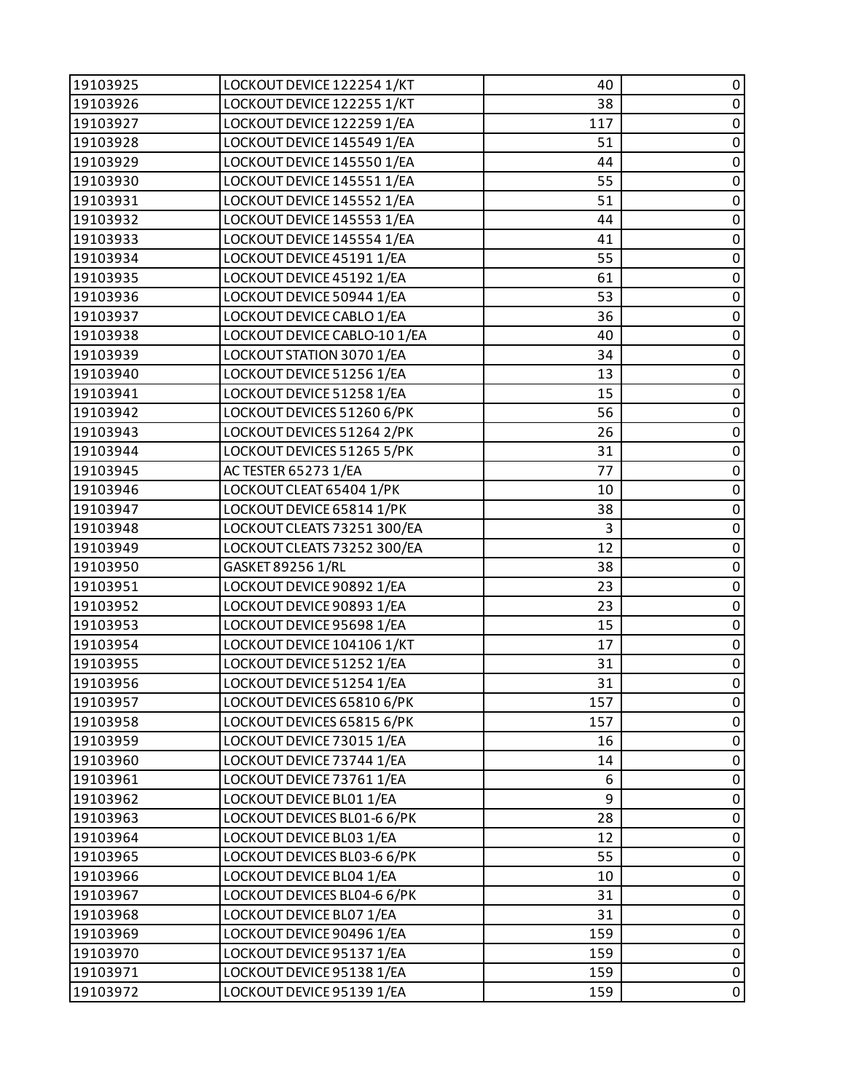| 19103925 | LOCKOUT DEVICE 122254 1/KT   | 40  | 0           |
|----------|------------------------------|-----|-------------|
| 19103926 | LOCKOUT DEVICE 122255 1/KT   | 38  | $\pmb{0}$   |
| 19103927 | LOCKOUT DEVICE 122259 1/EA   | 117 | $\pmb{0}$   |
| 19103928 | LOCKOUT DEVICE 145549 1/EA   | 51  | $\pmb{0}$   |
| 19103929 | LOCKOUT DEVICE 145550 1/EA   | 44  | $\pmb{0}$   |
| 19103930 | LOCKOUT DEVICE 145551 1/EA   | 55  | $\pmb{0}$   |
| 19103931 | LOCKOUT DEVICE 145552 1/EA   | 51  | $\pmb{0}$   |
| 19103932 | LOCKOUT DEVICE 145553 1/EA   | 44  | $\pmb{0}$   |
| 19103933 | LOCKOUT DEVICE 145554 1/EA   | 41  | $\pmb{0}$   |
| 19103934 | LOCKOUT DEVICE 45191 1/EA    | 55  | $\pmb{0}$   |
| 19103935 | LOCKOUT DEVICE 45192 1/EA    | 61  | $\pmb{0}$   |
| 19103936 | LOCKOUT DEVICE 50944 1/EA    | 53  | $\pmb{0}$   |
| 19103937 | LOCKOUT DEVICE CABLO 1/EA    | 36  | $\pmb{0}$   |
| 19103938 | LOCKOUT DEVICE CABLO-10 1/EA | 40  | $\pmb{0}$   |
| 19103939 | LOCKOUT STATION 3070 1/EA    | 34  | $\pmb{0}$   |
| 19103940 | LOCKOUT DEVICE 51256 1/EA    | 13  | $\pmb{0}$   |
| 19103941 | LOCKOUT DEVICE 51258 1/EA    | 15  | $\pmb{0}$   |
| 19103942 | LOCKOUT DEVICES 51260 6/PK   | 56  | $\pmb{0}$   |
| 19103943 | LOCKOUT DEVICES 51264 2/PK   | 26  | $\pmb{0}$   |
| 19103944 | LOCKOUT DEVICES 51265 5/PK   | 31  | $\pmb{0}$   |
| 19103945 | AC TESTER 65273 1/EA         | 77  | $\pmb{0}$   |
| 19103946 | LOCKOUT CLEAT 65404 1/PK     | 10  | $\pmb{0}$   |
| 19103947 | LOCKOUT DEVICE 65814 1/PK    | 38  | $\pmb{0}$   |
| 19103948 | LOCKOUT CLEATS 73251 300/EA  | 3   | $\pmb{0}$   |
| 19103949 | LOCKOUT CLEATS 73252 300/EA  | 12  | $\pmb{0}$   |
| 19103950 | GASKET 89256 1/RL            | 38  | $\pmb{0}$   |
| 19103951 | LOCKOUT DEVICE 90892 1/EA    | 23  | $\pmb{0}$   |
| 19103952 | LOCKOUT DEVICE 90893 1/EA    | 23  | $\pmb{0}$   |
| 19103953 | LOCKOUT DEVICE 95698 1/EA    | 15  | $\pmb{0}$   |
| 19103954 | LOCKOUT DEVICE 104106 1/KT   | 17  | $\pmb{0}$   |
| 19103955 | LOCKOUT DEVICE 51252 1/EA    | 31  | $\pmb{0}$   |
| 19103956 | LOCKOUT DEVICE 51254 1/EA    | 31  | $\pmb{0}$   |
| 19103957 | LOCKOUT DEVICES 65810 6/PK   | 157 | 0           |
| 19103958 | LOCKOUT DEVICES 65815 6/PK   | 157 | 0           |
| 19103959 | LOCKOUT DEVICE 73015 1/EA    | 16  | $\pmb{0}$   |
| 19103960 | LOCKOUT DEVICE 73744 1/EA    | 14  | $\pmb{0}$   |
| 19103961 | LOCKOUT DEVICE 73761 1/EA    | 6   | 0           |
| 19103962 | LOCKOUT DEVICE BL01 1/EA     | 9   | $\pmb{0}$   |
| 19103963 | LOCKOUT DEVICES BL01-6 6/PK  | 28  | $\pmb{0}$   |
| 19103964 | LOCKOUT DEVICE BL03 1/EA     | 12  | $\pmb{0}$   |
| 19103965 | LOCKOUT DEVICES BL03-6 6/PK  | 55  | $\pmb{0}$   |
| 19103966 | LOCKOUT DEVICE BL04 1/EA     | 10  | $\pmb{0}$   |
| 19103967 | LOCKOUT DEVICES BL04-6 6/PK  | 31  | $\pmb{0}$   |
| 19103968 | LOCKOUT DEVICE BL07 1/EA     | 31  | $\pmb{0}$   |
| 19103969 | LOCKOUT DEVICE 90496 1/EA    | 159 | $\pmb{0}$   |
| 19103970 | LOCKOUT DEVICE 95137 1/EA    | 159 | $\pmb{0}$   |
| 19103971 | LOCKOUT DEVICE 95138 1/EA    | 159 | $\mathsf 0$ |
| 19103972 | LOCKOUT DEVICE 95139 1/EA    | 159 | $\pmb{0}$   |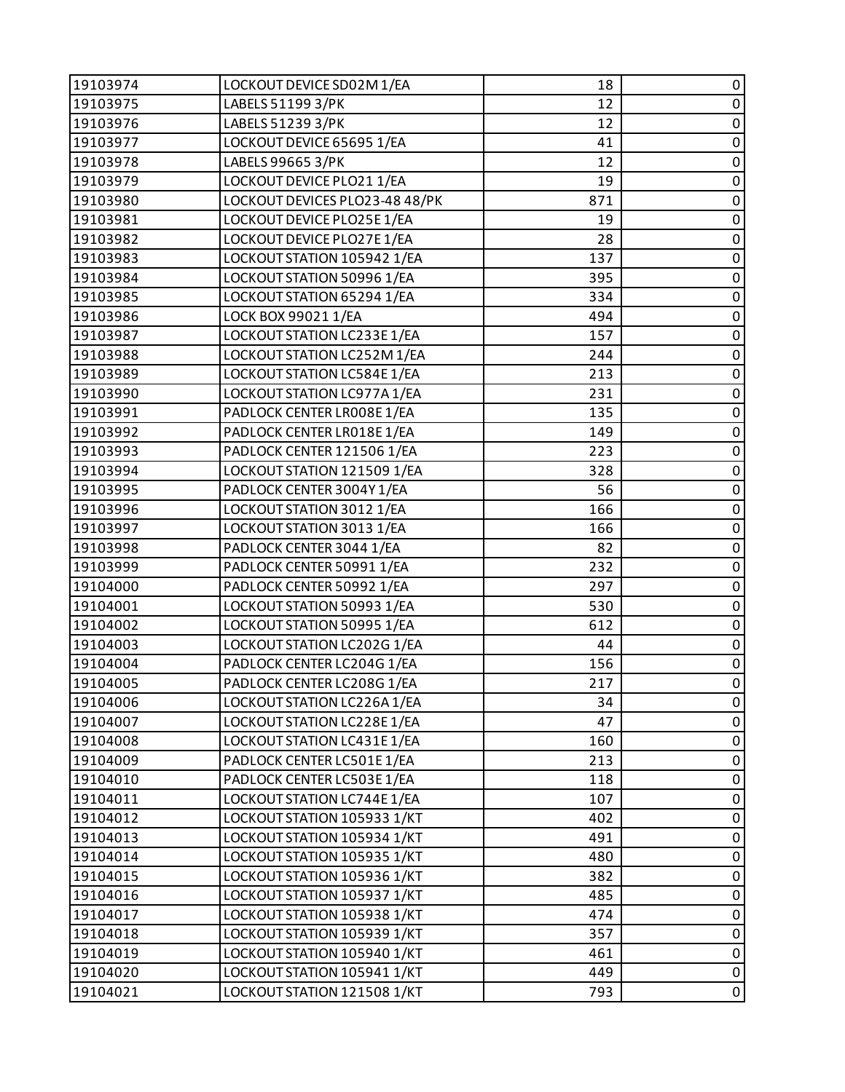| 19103974 | LOCKOUT DEVICE SD02M 1/EA      | 18  | 0           |
|----------|--------------------------------|-----|-------------|
| 19103975 | LABELS 51199 3/PK              | 12  | $\pmb{0}$   |
| 19103976 | LABELS 51239 3/PK              | 12  | 0           |
| 19103977 | LOCKOUT DEVICE 65695 1/EA      | 41  | $\pmb{0}$   |
| 19103978 | LABELS 99665 3/PK              | 12  | $\pmb{0}$   |
| 19103979 | LOCKOUT DEVICE PLO21 1/EA      | 19  | $\pmb{0}$   |
| 19103980 | LOCKOUT DEVICES PLO23-48 48/PK | 871 | $\pmb{0}$   |
| 19103981 | LOCKOUT DEVICE PLO25E 1/EA     | 19  | $\pmb{0}$   |
| 19103982 | LOCKOUT DEVICE PLO27E 1/EA     | 28  | 0           |
| 19103983 | LOCKOUT STATION 105942 1/EA    | 137 | $\pmb{0}$   |
| 19103984 | LOCKOUT STATION 50996 1/EA     | 395 | $\pmb{0}$   |
| 19103985 | LOCKOUT STATION 65294 1/EA     | 334 | 0           |
| 19103986 | LOCK BOX 99021 1/EA            | 494 | $\pmb{0}$   |
| 19103987 | LOCKOUT STATION LC233E 1/EA    | 157 | $\pmb{0}$   |
| 19103988 | LOCKOUT STATION LC252M 1/EA    | 244 | 0           |
| 19103989 | LOCKOUT STATION LC584E 1/EA    | 213 | $\pmb{0}$   |
| 19103990 | LOCKOUT STATION LC977A 1/EA    | 231 | $\pmb{0}$   |
| 19103991 | PADLOCK CENTER LR008E 1/EA     | 135 | 0           |
| 19103992 | PADLOCK CENTER LR018E1/EA      | 149 | $\pmb{0}$   |
| 19103993 | PADLOCK CENTER 121506 1/EA     | 223 | $\pmb{0}$   |
| 19103994 | LOCKOUT STATION 121509 1/EA    | 328 | $\pmb{0}$   |
| 19103995 | PADLOCK CENTER 3004Y 1/EA      | 56  | $\pmb{0}$   |
| 19103996 | LOCKOUT STATION 3012 1/EA      | 166 | $\pmb{0}$   |
| 19103997 | LOCKOUT STATION 3013 1/EA      | 166 | 0           |
| 19103998 | PADLOCK CENTER 3044 1/EA       | 82  | $\pmb{0}$   |
| 19103999 | PADLOCK CENTER 50991 1/EA      | 232 | $\mathbf 0$ |
| 19104000 | PADLOCK CENTER 50992 1/EA      | 297 | 0           |
| 19104001 | LOCKOUT STATION 50993 1/EA     | 530 | $\pmb{0}$   |
| 19104002 | LOCKOUT STATION 50995 1/EA     | 612 | $\pmb{0}$   |
| 19104003 | LOCKOUT STATION LC202G 1/EA    | 44  | $\pmb{0}$   |
| 19104004 | PADLOCK CENTER LC204G 1/EA     | 156 | $\pmb{0}$   |
| 19104005 | PADLOCK CENTER LC208G 1/EA     | 217 | $\mathbf 0$ |
| 19104006 | LOCKOUT STATION LC226A 1/EA    | 34  | 0           |
| 19104007 | LOCKOUT STATION LC228E 1/EA    | 47  | 0           |
| 19104008 | LOCKOUT STATION LC431E1/EA     | 160 | $\pmb{0}$   |
| 19104009 | PADLOCK CENTER LC501E1/EA      | 213 | 0           |
| 19104010 | PADLOCK CENTER LC503E 1/EA     | 118 | 0           |
| 19104011 | LOCKOUT STATION LC744E 1/EA    | 107 | $\mathbf 0$ |
| 19104012 | LOCKOUT STATION 105933 1/KT    | 402 | 0           |
| 19104013 | LOCKOUT STATION 105934 1/KT    | 491 | 0           |
| 19104014 | LOCKOUT STATION 105935 1/KT    | 480 | $\mathbf 0$ |
| 19104015 | LOCKOUT STATION 105936 1/KT    | 382 | 0           |
| 19104016 | LOCKOUT STATION 105937 1/KT    | 485 | $\mathbf 0$ |
| 19104017 | LOCKOUT STATION 105938 1/KT    | 474 | $\pmb{0}$   |
| 19104018 | LOCKOUT STATION 105939 1/KT    | 357 | $\pmb{0}$   |
| 19104019 | LOCKOUT STATION 105940 1/KT    | 461 | $\pmb{0}$   |
| 19104020 | LOCKOUT STATION 105941 1/KT    | 449 | $\pmb{0}$   |
| 19104021 | LOCKOUT STATION 121508 1/KT    | 793 | 0           |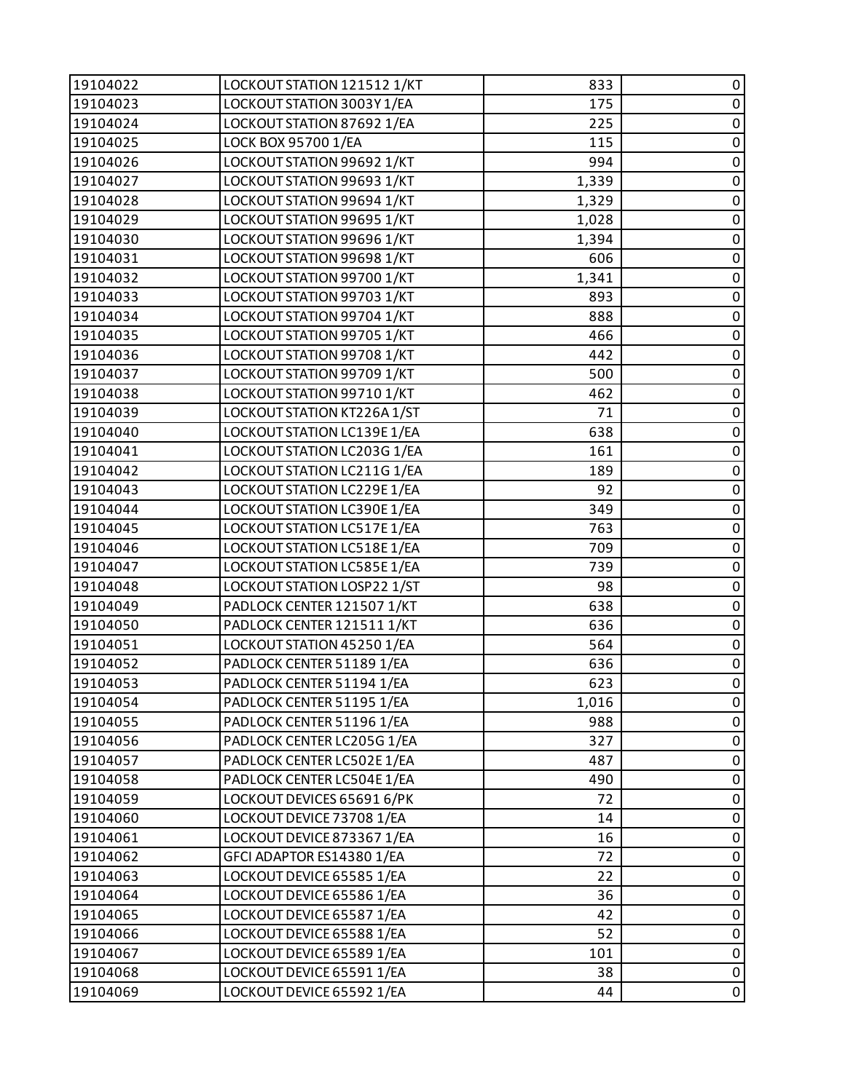| 19104022 | LOCKOUT STATION 121512 1/KT | 833   | 0              |
|----------|-----------------------------|-------|----------------|
| 19104023 | LOCKOUT STATION 3003Y 1/EA  | 175   | $\pmb{0}$      |
| 19104024 | LOCKOUT STATION 87692 1/EA  | 225   | $\pmb{0}$      |
| 19104025 | LOCK BOX 95700 1/EA         | 115   | $\pmb{0}$      |
| 19104026 | LOCKOUT STATION 99692 1/KT  | 994   | $\pmb{0}$      |
| 19104027 | LOCKOUT STATION 99693 1/KT  | 1,339 | $\pmb{0}$      |
| 19104028 | LOCKOUT STATION 99694 1/KT  | 1,329 | $\pmb{0}$      |
| 19104029 | LOCKOUT STATION 99695 1/KT  | 1,028 | $\pmb{0}$      |
| 19104030 | LOCKOUT STATION 99696 1/KT  | 1,394 | $\pmb{0}$      |
| 19104031 | LOCKOUT STATION 99698 1/KT  | 606   | $\pmb{0}$      |
| 19104032 | LOCKOUT STATION 99700 1/KT  | 1,341 | $\pmb{0}$      |
| 19104033 | LOCKOUT STATION 99703 1/KT  | 893   | $\pmb{0}$      |
| 19104034 | LOCKOUT STATION 99704 1/KT  | 888   | $\pmb{0}$      |
| 19104035 | LOCKOUT STATION 99705 1/KT  | 466   | $\pmb{0}$      |
| 19104036 | LOCKOUT STATION 99708 1/KT  | 442   | $\pmb{0}$      |
| 19104037 | LOCKOUT STATION 99709 1/KT  | 500   | $\pmb{0}$      |
| 19104038 | LOCKOUT STATION 99710 1/KT  | 462   | $\pmb{0}$      |
| 19104039 | LOCKOUT STATION KT226A1/ST  | 71    | $\pmb{0}$      |
| 19104040 | LOCKOUT STATION LC139E 1/EA | 638   | $\pmb{0}$      |
| 19104041 | LOCKOUT STATION LC203G 1/EA | 161   | $\pmb{0}$      |
| 19104042 | LOCKOUT STATION LC211G 1/EA | 189   | $\pmb{0}$      |
| 19104043 | LOCKOUT STATION LC229E 1/EA | 92    | $\pmb{0}$      |
| 19104044 | LOCKOUT STATION LC390E 1/EA | 349   | $\pmb{0}$      |
| 19104045 | LOCKOUT STATION LC517E 1/EA | 763   | $\pmb{0}$      |
| 19104046 | LOCKOUT STATION LC518E 1/EA | 709   | $\pmb{0}$      |
| 19104047 | LOCKOUT STATION LC585E 1/EA | 739   | $\pmb{0}$      |
| 19104048 | LOCKOUT STATION LOSP22 1/ST | 98    | $\pmb{0}$      |
| 19104049 | PADLOCK CENTER 121507 1/KT  | 638   | $\pmb{0}$      |
| 19104050 | PADLOCK CENTER 121511 1/KT  | 636   | $\pmb{0}$      |
| 19104051 | LOCKOUT STATION 45250 1/EA  | 564   | $\pmb{0}$      |
| 19104052 | PADLOCK CENTER 51189 1/EA   | 636   | $\overline{0}$ |
| 19104053 | PADLOCK CENTER 51194 1/EA   | 623   | $\pmb{0}$      |
| 19104054 | PADLOCK CENTER 51195 1/EA   | 1,016 | 0              |
| 19104055 | PADLOCK CENTER 51196 1/EA   | 988   | 0              |
| 19104056 | PADLOCK CENTER LC205G 1/EA  | 327   | 0              |
| 19104057 | PADLOCK CENTER LC502E 1/EA  | 487   | 0              |
| 19104058 | PADLOCK CENTER LC504E 1/EA  | 490   | $\pmb{0}$      |
| 19104059 | LOCKOUT DEVICES 65691 6/PK  | 72    | 0              |
| 19104060 | LOCKOUT DEVICE 73708 1/EA   | 14    | 0              |
| 19104061 | LOCKOUT DEVICE 873367 1/EA  | 16    | $\pmb{0}$      |
| 19104062 | GFCI ADAPTOR ES14380 1/EA   | 72    | 0              |
| 19104063 | LOCKOUT DEVICE 65585 1/EA   | 22    | 0              |
| 19104064 | LOCKOUT DEVICE 65586 1/EA   | 36    | $\pmb{0}$      |
| 19104065 | LOCKOUT DEVICE 65587 1/EA   | 42    | 0              |
| 19104066 | LOCKOUT DEVICE 65588 1/EA   | 52    | 0              |
| 19104067 | LOCKOUT DEVICE 65589 1/EA   | 101   | $\pmb{0}$      |
| 19104068 | LOCKOUT DEVICE 65591 1/EA   | 38    | $\pmb{0}$      |
| 19104069 | LOCKOUT DEVICE 65592 1/EA   | 44    | $\pmb{0}$      |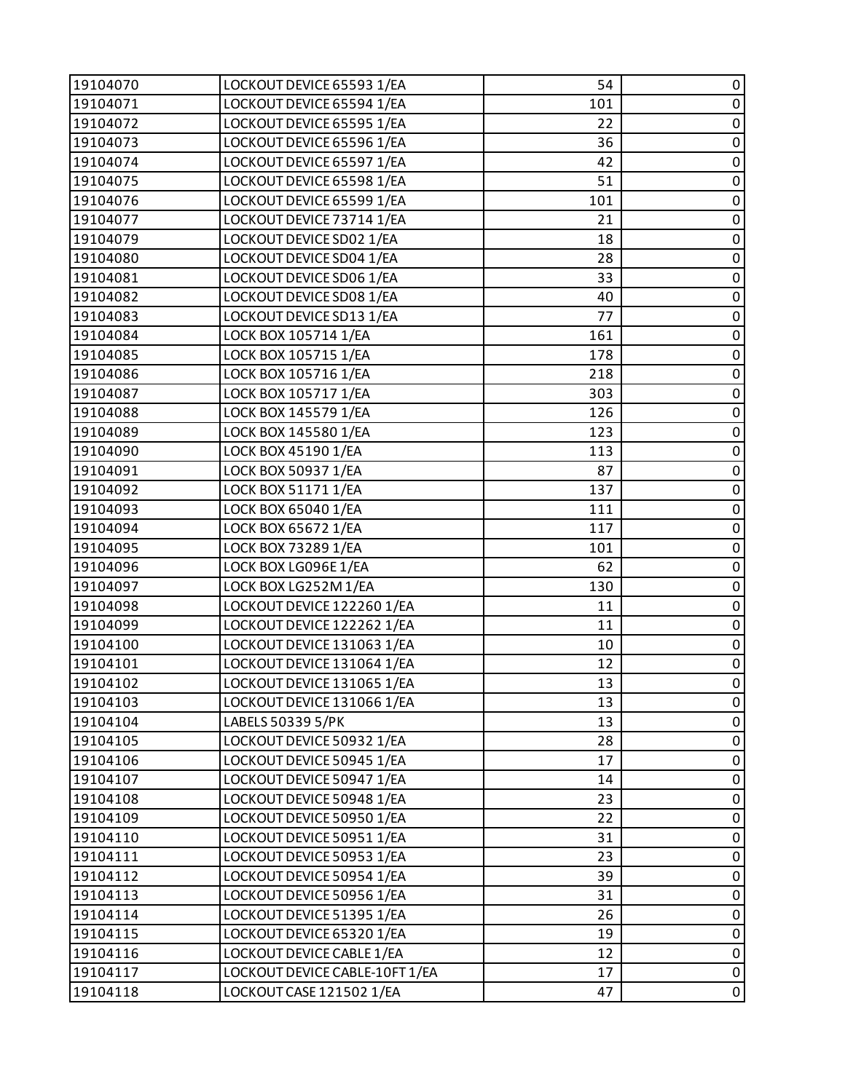| 19104070 | LOCKOUT DEVICE 65593 1/EA      | 54  | $\pmb{0}$      |
|----------|--------------------------------|-----|----------------|
| 19104071 | LOCKOUT DEVICE 65594 1/EA      | 101 | $\pmb{0}$      |
| 19104072 | LOCKOUT DEVICE 65595 1/EA      | 22  | $\pmb{0}$      |
| 19104073 | LOCKOUT DEVICE 65596 1/EA      | 36  | $\pmb{0}$      |
| 19104074 | LOCKOUT DEVICE 65597 1/EA      | 42  | $\pmb{0}$      |
| 19104075 | LOCKOUT DEVICE 65598 1/EA      | 51  | $\pmb{0}$      |
| 19104076 | LOCKOUT DEVICE 65599 1/EA      | 101 | $\pmb{0}$      |
| 19104077 | LOCKOUT DEVICE 73714 1/EA      | 21  | $\pmb{0}$      |
| 19104079 | LOCKOUT DEVICE SD02 1/EA       | 18  | $\pmb{0}$      |
| 19104080 | LOCKOUT DEVICE SD04 1/EA       | 28  | $\pmb{0}$      |
| 19104081 | LOCKOUT DEVICE SD06 1/EA       | 33  | $\pmb{0}$      |
| 19104082 | LOCKOUT DEVICE SD08 1/EA       | 40  | $\pmb{0}$      |
| 19104083 | LOCKOUT DEVICE SD13 1/EA       | 77  | $\pmb{0}$      |
| 19104084 | LOCK BOX 105714 1/EA           | 161 | $\pmb{0}$      |
| 19104085 | LOCK BOX 105715 1/EA           | 178 | $\pmb{0}$      |
| 19104086 | LOCK BOX 105716 1/EA           | 218 | $\pmb{0}$      |
| 19104087 | LOCK BOX 105717 1/EA           | 303 | $\pmb{0}$      |
| 19104088 | LOCK BOX 145579 1/EA           | 126 | $\pmb{0}$      |
| 19104089 | LOCK BOX 145580 1/EA           | 123 | $\pmb{0}$      |
| 19104090 | LOCK BOX 45190 1/EA            | 113 | $\pmb{0}$      |
| 19104091 | LOCK BOX 50937 1/EA            | 87  | $\pmb{0}$      |
| 19104092 | LOCK BOX 51171 1/EA            | 137 | $\pmb{0}$      |
| 19104093 | LOCK BOX 65040 1/EA            | 111 | $\pmb{0}$      |
| 19104094 | LOCK BOX 65672 1/EA            | 117 | $\pmb{0}$      |
| 19104095 | LOCK BOX 73289 1/EA            | 101 | $\pmb{0}$      |
| 19104096 | LOCK BOX LG096E 1/EA           | 62  | $\pmb{0}$      |
| 19104097 | LOCK BOX LG252M 1/EA           | 130 | $\pmb{0}$      |
| 19104098 | LOCKOUT DEVICE 122260 1/EA     | 11  | $\pmb{0}$      |
| 19104099 | LOCKOUT DEVICE 122262 1/EA     | 11  | $\pmb{0}$      |
| 19104100 | LOCKOUT DEVICE 131063 1/EA     | 10  | $\pmb{0}$      |
| 19104101 | LOCKOUT DEVICE 131064 1/EA     | 12  | $\overline{0}$ |
| 19104102 | LOCKOUT DEVICE 131065 1/EA     | 13  | $\pmb{0}$      |
| 19104103 | LOCKOUT DEVICE 131066 1/EA     | 13  | 0              |
| 19104104 | LABELS 50339 5/PK              | 13  | 0              |
| 19104105 | LOCKOUT DEVICE 50932 1/EA      | 28  | 0              |
| 19104106 | LOCKOUT DEVICE 50945 1/EA      | 17  | 0              |
| 19104107 | LOCKOUT DEVICE 50947 1/EA      | 14  | $\pmb{0}$      |
| 19104108 | LOCKOUT DEVICE 50948 1/EA      | 23  | 0              |
| 19104109 | LOCKOUT DEVICE 50950 1/EA      | 22  | $\pmb{0}$      |
| 19104110 | LOCKOUT DEVICE 50951 1/EA      | 31  | $\pmb{0}$      |
| 19104111 | LOCKOUT DEVICE 50953 1/EA      | 23  | 0              |
| 19104112 | LOCKOUT DEVICE 50954 1/EA      | 39  | 0              |
| 19104113 | LOCKOUT DEVICE 50956 1/EA      | 31  | $\pmb{0}$      |
| 19104114 | LOCKOUT DEVICE 51395 1/EA      | 26  | 0              |
| 19104115 | LOCKOUT DEVICE 65320 1/EA      | 19  | $\pmb{0}$      |
| 19104116 | LOCKOUT DEVICE CABLE 1/EA      | 12  | $\pmb{0}$      |
| 19104117 | LOCKOUT DEVICE CABLE-10FT 1/EA | 17  | 0              |
| 19104118 | LOCKOUT CASE 121502 1/EA       | 47  | $\pmb{0}$      |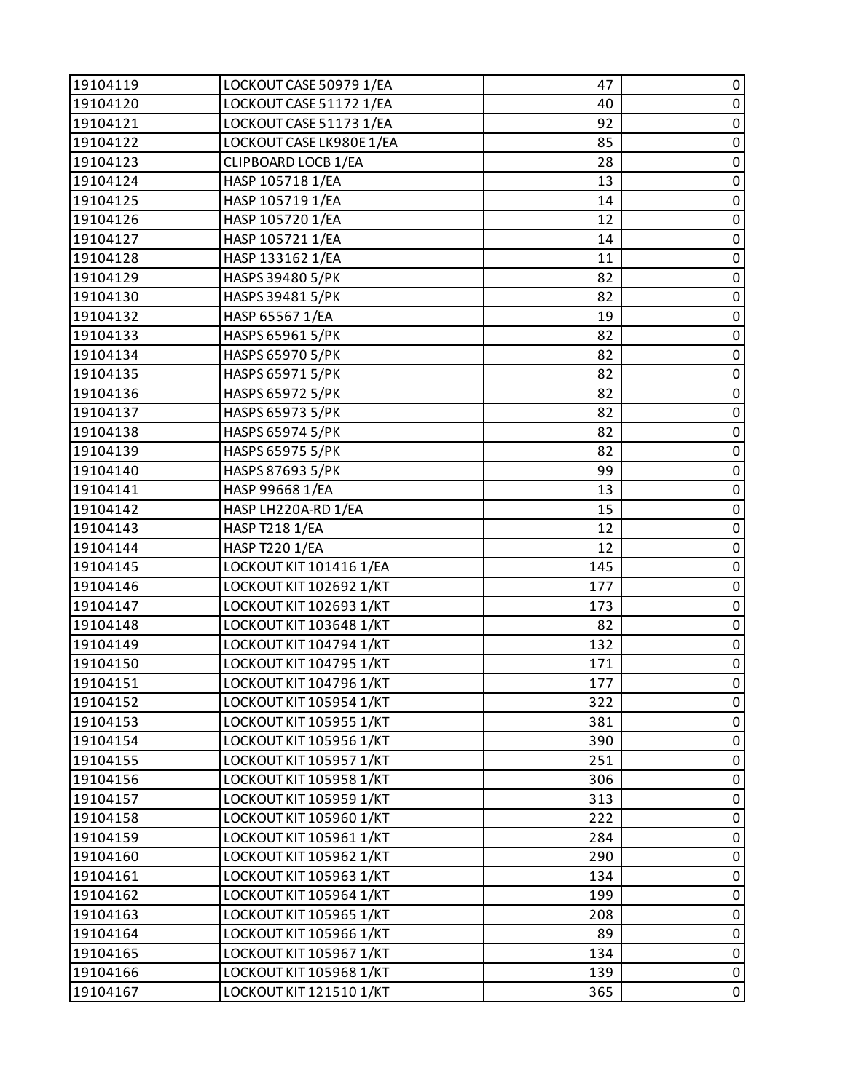| 19104119 | LOCKOUT CASE 50979 1/EA  | 47  | 0           |
|----------|--------------------------|-----|-------------|
| 19104120 | LOCKOUT CASE 51172 1/EA  | 40  | $\pmb{0}$   |
| 19104121 | LOCKOUT CASE 51173 1/EA  | 92  | $\pmb{0}$   |
| 19104122 | LOCKOUT CASE LK980E 1/EA | 85  | $\pmb{0}$   |
| 19104123 | CLIPBOARD LOCB 1/EA      | 28  | $\pmb{0}$   |
| 19104124 | HASP 105718 1/EA         | 13  | $\pmb{0}$   |
| 19104125 | HASP 105719 1/EA         | 14  | $\pmb{0}$   |
| 19104126 | HASP 105720 1/EA         | 12  | $\pmb{0}$   |
| 19104127 | HASP 105721 1/EA         | 14  | $\pmb{0}$   |
| 19104128 | HASP 133162 1/EA         | 11  | $\pmb{0}$   |
| 19104129 | HASPS 39480 5/PK         | 82  | $\pmb{0}$   |
| 19104130 | HASPS 39481 5/PK         | 82  | $\pmb{0}$   |
| 19104132 | HASP 65567 1/EA          | 19  | $\pmb{0}$   |
| 19104133 | HASPS 65961 5/PK         | 82  | $\pmb{0}$   |
| 19104134 | HASPS 65970 5/PK         | 82  | $\pmb{0}$   |
| 19104135 | HASPS 65971 5/PK         | 82  | $\pmb{0}$   |
| 19104136 | HASPS 65972 5/PK         | 82  | $\pmb{0}$   |
| 19104137 | HASPS 65973 5/PK         | 82  | $\pmb{0}$   |
| 19104138 | HASPS 65974 5/PK         | 82  | $\pmb{0}$   |
| 19104139 | HASPS 65975 5/PK         | 82  | $\pmb{0}$   |
| 19104140 | HASPS 87693 5/PK         | 99  | $\pmb{0}$   |
| 19104141 | HASP 99668 1/EA          | 13  | $\pmb{0}$   |
| 19104142 | HASP LH220A-RD 1/EA      | 15  | $\pmb{0}$   |
| 19104143 | <b>HASP T218 1/EA</b>    | 12  | $\pmb{0}$   |
| 19104144 | <b>HASP T220 1/EA</b>    | 12  | $\pmb{0}$   |
| 19104145 | LOCKOUT KIT 101416 1/EA  | 145 | $\pmb{0}$   |
| 19104146 | LOCKOUT KIT 102692 1/KT  | 177 | $\pmb{0}$   |
| 19104147 | LOCKOUT KIT 102693 1/KT  | 173 | $\pmb{0}$   |
| 19104148 | LOCKOUT KIT 103648 1/KT  | 82  | $\pmb{0}$   |
| 19104149 | LOCKOUT KIT 104794 1/KT  | 132 | $\pmb{0}$   |
| 19104150 | LOCKOUT KIT 104795 1/KT  | 171 | $\pmb{0}$   |
| 19104151 | LOCKOUT KIT 104796 1/KT  | 177 | $\pmb{0}$   |
| 19104152 | LOCKOUT KIT 105954 1/KT  | 322 | 0           |
| 19104153 | LOCKOUT KIT 105955 1/KT  | 381 | 0           |
| 19104154 | LOCKOUT KIT 105956 1/KT  | 390 | $\pmb{0}$   |
| 19104155 | LOCKOUT KIT 105957 1/KT  | 251 | $\pmb{0}$   |
| 19104156 | LOCKOUT KIT 105958 1/KT  | 306 | $\mathbf 0$ |
| 19104157 | LOCKOUT KIT 105959 1/KT  | 313 | $\pmb{0}$   |
| 19104158 | LOCKOUT KIT 105960 1/KT  | 222 | $\pmb{0}$   |
| 19104159 | LOCKOUT KIT 105961 1/KT  | 284 | $\pmb{0}$   |
| 19104160 | LOCKOUT KIT 105962 1/KT  | 290 | $\pmb{0}$   |
| 19104161 | LOCKOUT KIT 105963 1/KT  | 134 | $\pmb{0}$   |
| 19104162 | LOCKOUT KIT 105964 1/KT  | 199 | $\mathbf 0$ |
| 19104163 | LOCKOUT KIT 105965 1/KT  | 208 | $\pmb{0}$   |
| 19104164 | LOCKOUT KIT 105966 1/KT  | 89  | $\pmb{0}$   |
| 19104165 | LOCKOUT KIT 105967 1/KT  | 134 | $\pmb{0}$   |
| 19104166 | LOCKOUT KIT 105968 1/KT  | 139 | $\pmb{0}$   |
| 19104167 | LOCKOUT KIT 121510 1/KT  | 365 | 0           |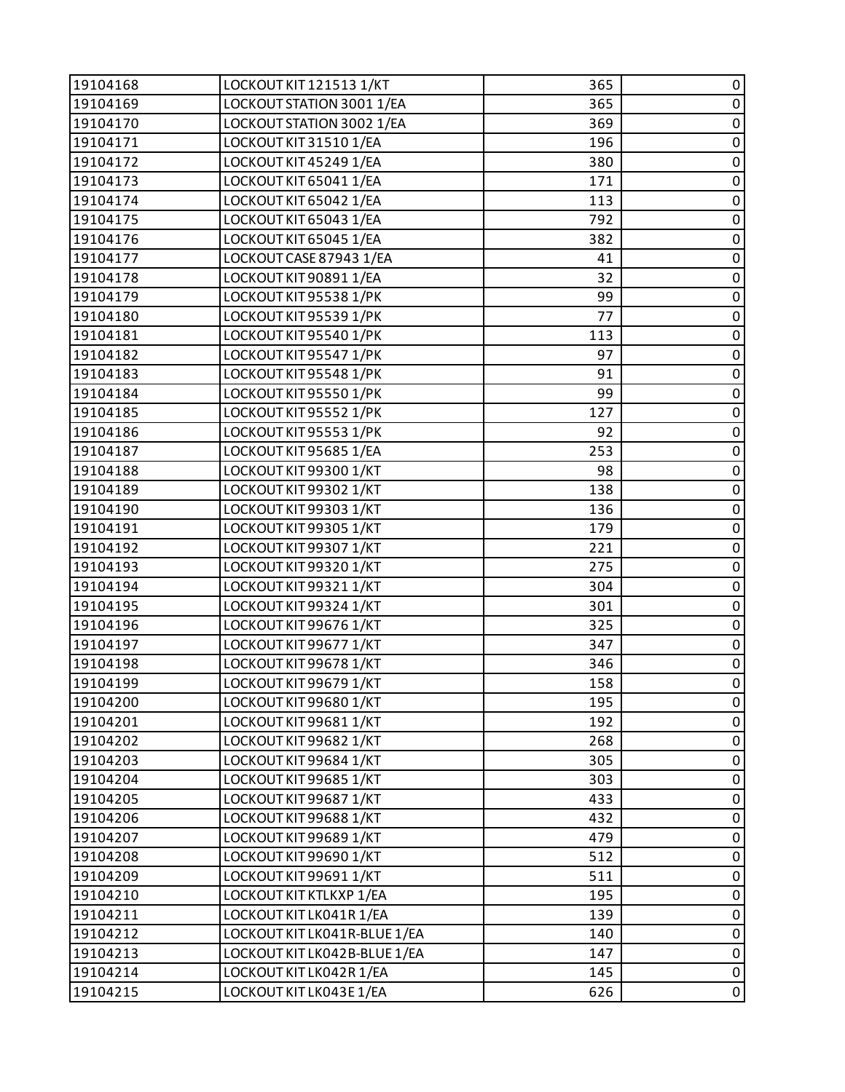| 19104168 | LOCKOUT KIT 121513 1/KT      | 365 | 0           |
|----------|------------------------------|-----|-------------|
| 19104169 | LOCKOUT STATION 3001 1/EA    | 365 | $\pmb{0}$   |
| 19104170 | LOCKOUT STATION 3002 1/EA    | 369 | $\pmb{0}$   |
| 19104171 | LOCKOUT KIT 31510 1/EA       | 196 | $\pmb{0}$   |
| 19104172 | LOCKOUT KIT 45249 1/EA       | 380 | $\pmb{0}$   |
| 19104173 | LOCKOUT KIT 65041 1/EA       | 171 | $\pmb{0}$   |
| 19104174 | LOCKOUT KIT 65042 1/EA       | 113 | $\pmb{0}$   |
| 19104175 | LOCKOUT KIT 65043 1/EA       | 792 | $\mathbf 0$ |
| 19104176 | LOCKOUT KIT 65045 1/EA       | 382 | $\pmb{0}$   |
| 19104177 | LOCKOUT CASE 87943 1/EA      | 41  | $\pmb{0}$   |
| 19104178 | LOCKOUT KIT 90891 1/EA       | 32  | $\pmb{0}$   |
| 19104179 | LOCKOUT KIT 95538 1/PK       | 99  | $\pmb{0}$   |
| 19104180 | LOCKOUT KIT 95539 1/PK       | 77  | $\pmb{0}$   |
| 19104181 | LOCKOUT KIT 95540 1/PK       | 113 | $\mathbf 0$ |
| 19104182 | LOCKOUT KIT 95547 1/PK       | 97  | $\pmb{0}$   |
| 19104183 | LOCKOUT KIT 95548 1/PK       | 91  | $\pmb{0}$   |
| 19104184 | LOCKOUT KIT 95550 1/PK       | 99  | $\pmb{0}$   |
| 19104185 | LOCKOUT KIT 95552 1/PK       | 127 | $\pmb{0}$   |
| 19104186 | LOCKOUT KIT 95553 1/PK       | 92  | $\pmb{0}$   |
| 19104187 | LOCKOUT KIT 95685 1/EA       | 253 | $\mathbf 0$ |
| 19104188 | LOCKOUT KIT 99300 1/KT       | 98  | $\pmb{0}$   |
| 19104189 | LOCKOUT KIT 99302 1/KT       | 138 | $\pmb{0}$   |
| 19104190 | LOCKOUT KIT 99303 1/KT       | 136 | $\pmb{0}$   |
| 19104191 | LOCKOUT KIT 99305 1/KT       | 179 | $\pmb{0}$   |
| 19104192 | LOCKOUT KIT 99307 1/KT       | 221 | $\pmb{0}$   |
| 19104193 | LOCKOUT KIT 99320 1/KT       | 275 | $\mathbf 0$ |
| 19104194 | LOCKOUT KIT 99321 1/KT       | 304 | $\pmb{0}$   |
| 19104195 | LOCKOUT KIT 99324 1/KT       | 301 | $\pmb{0}$   |
| 19104196 | LOCKOUT KIT 99676 1/KT       | 325 | $\pmb{0}$   |
| 19104197 | LOCKOUT KIT 99677 1/KT       | 347 | $\pmb{0}$   |
| 19104198 | LOCKOUT KIT 99678 1/KT       | 346 | $\pmb{0}$   |
| 19104199 | LOCKOUT KIT 99679 1/KT       | 158 | $\mathbf 0$ |
| 19104200 | LOCKOUT KIT 99680 1/KT       | 195 | 0           |
| 19104201 | LOCKOUT KIT 99681 1/KT       | 192 | 0           |
| 19104202 | LOCKOUT KIT 99682 1/KT       | 268 | $\pmb{0}$   |
| 19104203 | LOCKOUT KIT 99684 1/KT       | 305 | $\pmb{0}$   |
| 19104204 | LOCKOUT KIT 99685 1/KT       | 303 | $\mathbf 0$ |
| 19104205 | LOCKOUT KIT 99687 1/KT       | 433 | $\pmb{0}$   |
| 19104206 | LOCKOUT KIT 99688 1/KT       | 432 | $\pmb{0}$   |
| 19104207 | LOCKOUT KIT 99689 1/KT       | 479 | $\pmb{0}$   |
| 19104208 | LOCKOUT KIT 99690 1/KT       | 512 | $\pmb{0}$   |
| 19104209 | LOCKOUT KIT 99691 1/KT       | 511 | 0           |
| 19104210 | LOCKOUT KIT KTLKXP 1/EA      | 195 | $\mathbf 0$ |
| 19104211 | LOCKOUT KIT LK041R 1/EA      | 139 | $\pmb{0}$   |
| 19104212 | LOCKOUT KIT LK041R-BLUE 1/EA | 140 | $\pmb{0}$   |
| 19104213 | LOCKOUT KIT LK042B-BLUE 1/EA | 147 | $\pmb{0}$   |
| 19104214 | LOCKOUT KIT LK042R 1/EA      | 145 | $\pmb{0}$   |
| 19104215 | LOCKOUT KIT LK043E 1/EA      | 626 | $\pmb{0}$   |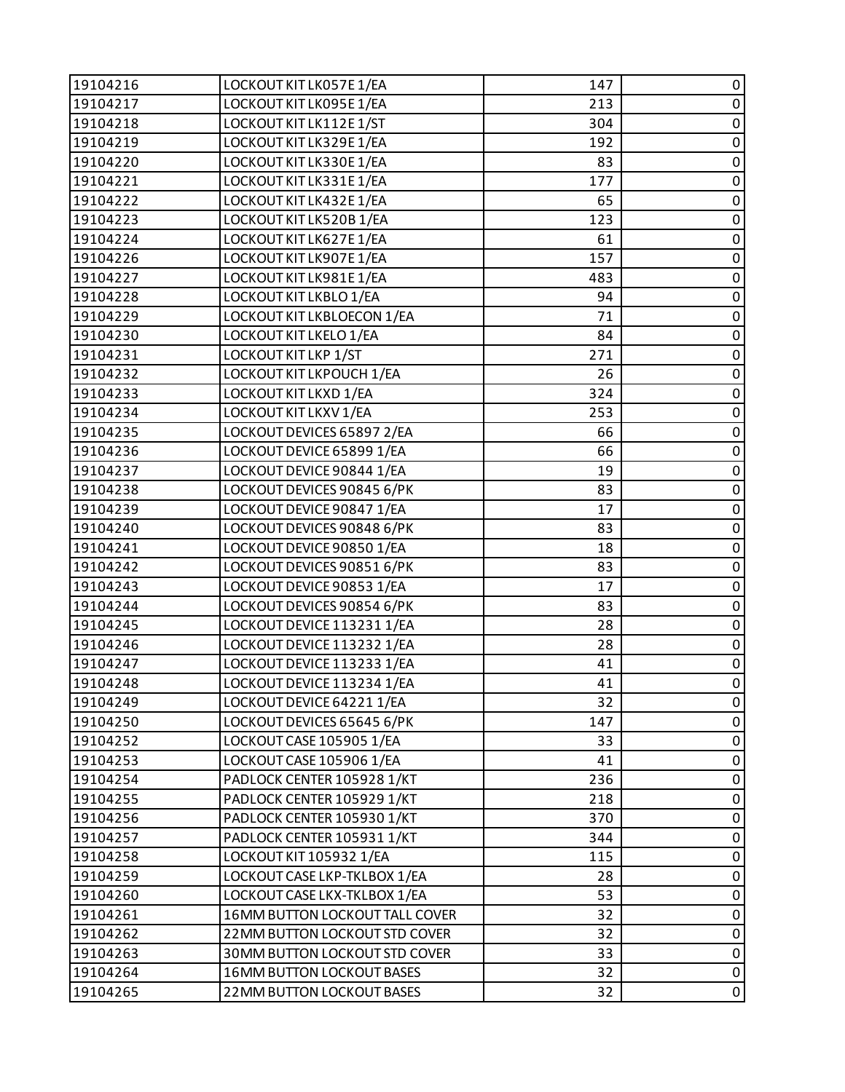| 19104216 | LOCKOUT KIT LK057E 1/EA        | 147 | 0           |
|----------|--------------------------------|-----|-------------|
| 19104217 | LOCKOUT KIT LK095E 1/EA        | 213 | $\pmb{0}$   |
| 19104218 | LOCKOUT KIT LK112E 1/ST        | 304 | $\pmb{0}$   |
| 19104219 | LOCKOUT KIT LK329E 1/EA        | 192 | $\pmb{0}$   |
| 19104220 | LOCKOUT KIT LK330E 1/EA        | 83  | $\pmb{0}$   |
| 19104221 | LOCKOUT KIT LK331E 1/EA        | 177 | $\pmb{0}$   |
| 19104222 | LOCKOUT KIT LK432E 1/EA        | 65  | $\pmb{0}$   |
| 19104223 | LOCKOUT KIT LK520B 1/EA        | 123 | $\mathbf 0$ |
| 19104224 | LOCKOUT KIT LK627E 1/EA        | 61  | $\pmb{0}$   |
| 19104226 | LOCKOUT KIT LK907E 1/EA        | 157 | $\pmb{0}$   |
| 19104227 | LOCKOUT KIT LK981E 1/EA        | 483 | $\pmb{0}$   |
| 19104228 | LOCKOUT KIT LKBLO 1/EA         | 94  | $\pmb{0}$   |
| 19104229 | LOCKOUT KIT LKBLOECON 1/EA     | 71  | $\pmb{0}$   |
| 19104230 | LOCKOUT KIT LKELO 1/EA         | 84  | $\pmb{0}$   |
| 19104231 | LOCKOUT KIT LKP 1/ST           | 271 | $\pmb{0}$   |
| 19104232 | LOCKOUT KIT LKPOUCH 1/EA       | 26  | $\pmb{0}$   |
| 19104233 | LOCKOUT KIT LKXD 1/EA          | 324 | $\pmb{0}$   |
| 19104234 | LOCKOUT KIT LKXV 1/EA          | 253 | $\pmb{0}$   |
| 19104235 | LOCKOUT DEVICES 65897 2/EA     | 66  | $\pmb{0}$   |
| 19104236 | LOCKOUT DEVICE 65899 1/EA      | 66  | $\mathbf 0$ |
| 19104237 | LOCKOUT DEVICE 90844 1/EA      | 19  | $\pmb{0}$   |
| 19104238 | LOCKOUT DEVICES 90845 6/PK     | 83  | $\pmb{0}$   |
| 19104239 | LOCKOUT DEVICE 90847 1/EA      | 17  | $\pmb{0}$   |
| 19104240 | LOCKOUT DEVICES 90848 6/PK     | 83  | $\pmb{0}$   |
| 19104241 | LOCKOUT DEVICE 90850 1/EA      | 18  | $\pmb{0}$   |
| 19104242 | LOCKOUT DEVICES 90851 6/PK     | 83  | $\mathbf 0$ |
| 19104243 | LOCKOUT DEVICE 90853 1/EA      | 17  | $\pmb{0}$   |
| 19104244 | LOCKOUT DEVICES 90854 6/PK     | 83  | $\mathbf 0$ |
| 19104245 | LOCKOUT DEVICE 113231 1/EA     | 28  | $\pmb{0}$   |
| 19104246 | LOCKOUT DEVICE 113232 1/EA     | 28  | $\pmb{0}$   |
| 19104247 | LOCKOUT DEVICE 113233 1/EA     | 41  | $\pmb{0}$   |
| 19104248 | LOCKOUT DEVICE 113234 1/EA     | 41  | $\mathbf 0$ |
| 19104249 | LOCKOUT DEVICE 64221 1/EA      | 32  | 0           |
| 19104250 | LOCKOUT DEVICES 65645 6/PK     | 147 | 0           |
| 19104252 | LOCKOUT CASE 105905 1/EA       | 33  | $\pmb{0}$   |
| 19104253 | LOCKOUT CASE 105906 1/EA       | 41  | $\pmb{0}$   |
| 19104254 | PADLOCK CENTER 105928 1/KT     | 236 | $\mathbf 0$ |
| 19104255 | PADLOCK CENTER 105929 1/KT     | 218 | $\mathbf 0$ |
| 19104256 | PADLOCK CENTER 105930 1/KT     | 370 | 0           |
| 19104257 | PADLOCK CENTER 105931 1/KT     | 344 | $\pmb{0}$   |
| 19104258 | LOCKOUT KIT 105932 1/EA        | 115 | $\pmb{0}$   |
| 19104259 | LOCKOUT CASE LKP-TKLBOX 1/EA   | 28  | 0           |
| 19104260 | LOCKOUT CASE LKX-TKLBOX 1/EA   | 53  | $\mathbf 0$ |
| 19104261 | 16MM BUTTON LOCKOUT TALL COVER | 32  | $\pmb{0}$   |
| 19104262 | 22MM BUTTON LOCKOUT STD COVER  | 32  | $\pmb{0}$   |
| 19104263 | 30MM BUTTON LOCKOUT STD COVER  | 33  | $\pmb{0}$   |
| 19104264 | 16MM BUTTON LOCKOUT BASES      | 32  | $\pmb{0}$   |
| 19104265 | 22 MM BUTTON LOCKOUT BASES     | 32  | 0           |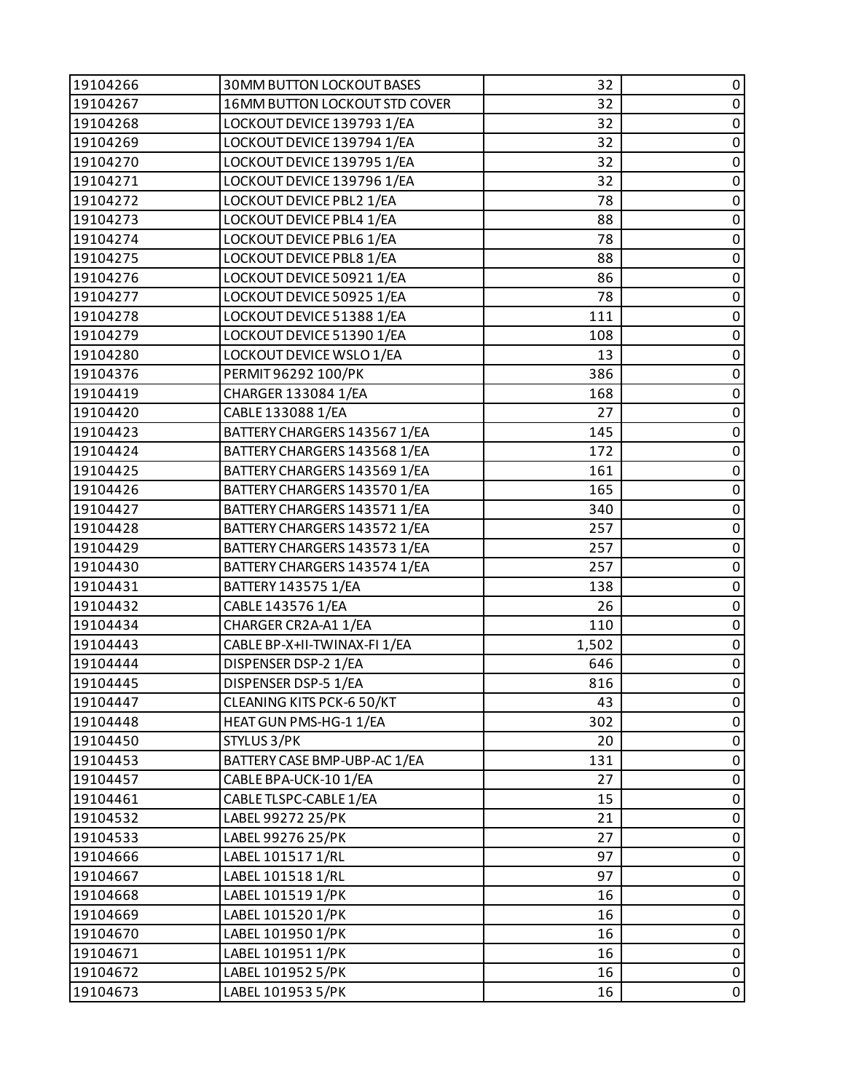| 19104266 | <b>30MM BUTTON LOCKOUT BASES</b> | 32    | 0           |
|----------|----------------------------------|-------|-------------|
| 19104267 | 16MM BUTTON LOCKOUT STD COVER    | 32    | $\pmb{0}$   |
| 19104268 | LOCKOUT DEVICE 139793 1/EA       | 32    | 0           |
| 19104269 | LOCKOUT DEVICE 139794 1/EA       | 32    | $\mathbf 0$ |
| 19104270 | LOCKOUT DEVICE 139795 1/EA       | 32    | $\mathsf 0$ |
| 19104271 | LOCKOUT DEVICE 139796 1/EA       | 32    | 0           |
| 19104272 | LOCKOUT DEVICE PBL2 1/EA         | 78    | $\mathbf 0$ |
| 19104273 | LOCKOUT DEVICE PBL4 1/EA         | 88    | $\pmb{0}$   |
| 19104274 | LOCKOUT DEVICE PBL6 1/EA         | 78    | 0           |
| 19104275 | LOCKOUT DEVICE PBL8 1/EA         | 88    | $\pmb{0}$   |
| 19104276 | LOCKOUT DEVICE 50921 1/EA        | 86    | $\mathsf 0$ |
| 19104277 | LOCKOUT DEVICE 50925 1/EA        | 78    | 0           |
| 19104278 | LOCKOUT DEVICE 51388 1/EA        | 111   | $\pmb{0}$   |
| 19104279 | LOCKOUT DEVICE 51390 1/EA        | 108   | $\pmb{0}$   |
| 19104280 | LOCKOUT DEVICE WSLO 1/EA         | 13    | 0           |
| 19104376 | PERMIT96292 100/PK               | 386   | $\pmb{0}$   |
| 19104419 | CHARGER 133084 1/EA              | 168   | $\mathsf 0$ |
| 19104420 | CABLE 133088 1/EA                | 27    | 0           |
| 19104423 | BATTERY CHARGERS 143567 1/EA     | 145   | $\pmb{0}$   |
| 19104424 | BATTERY CHARGERS 143568 1/EA     | 172   | $\pmb{0}$   |
| 19104425 | BATTERY CHARGERS 143569 1/EA     | 161   | 0           |
| 19104426 | BATTERY CHARGERS 143570 1/EA     | 165   | $\mathbf 0$ |
| 19104427 | BATTERY CHARGERS 143571 1/EA     | 340   | $\pmb{0}$   |
| 19104428 | BATTERY CHARGERS 143572 1/EA     | 257   | 0           |
| 19104429 | BATTERY CHARGERS 143573 1/EA     | 257   | $\pmb{0}$   |
| 19104430 | BATTERY CHARGERS 143574 1/EA     | 257   | $\mathsf 0$ |
| 19104431 | BATTERY 143575 1/EA              | 138   | 0           |
| 19104432 | CABLE 143576 1/EA                | 26    | $\pmb{0}$   |
| 19104434 | CHARGER CR2A-A1 1/EA             | 110   | $\mathsf 0$ |
| 19104443 | CABLE BP-X+II-TWINAX-FI 1/EA     | 1,502 | 0           |
| 19104444 | DISPENSER DSP-2 1/EA             | 646   | $\pmb{0}$   |
| 19104445 | DISPENSER DSP-5 1/EA             | 816   | $\mathbf 0$ |
| 19104447 | CLEANING KITS PCK-6 50/KT        | 43    | 0           |
| 19104448 | HEAT GUN PMS-HG-1 1/EA           | 302   | 0           |
| 19104450 | STYLUS 3/PK                      | 20    | $\pmb{0}$   |
| 19104453 | BATTERY CASE BMP-UBP-AC 1/EA     | 131   | 0           |
| 19104457 | CABLE BPA-UCK-10 1/EA            | 27    | $\pmb{0}$   |
| 19104461 | CABLE TLSPC-CABLE 1/EA           | 15    | 0           |
| 19104532 | LABEL 99272 25/PK                | 21    | $\pmb{0}$   |
| 19104533 | LABEL 99276 25/PK                | 27    | $\pmb{0}$   |
| 19104666 | LABEL 101517 1/RL                | 97    | $\pmb{0}$   |
| 19104667 | LABEL 101518 1/RL                | 97    | 0           |
| 19104668 | LABEL 101519 1/PK                | 16    | $\pmb{0}$   |
| 19104669 | LABEL 101520 1/PK                | 16    | $\pmb{0}$   |
| 19104670 | LABEL 101950 1/PK                | 16    | 0           |
| 19104671 | LABEL 101951 1/PK                | 16    | $\pmb{0}$   |
| 19104672 | LABEL 101952 5/PK                | 16    | $\pmb{0}$   |
| 19104673 | LABEL 101953 5/PK                | 16    | $\pmb{0}$   |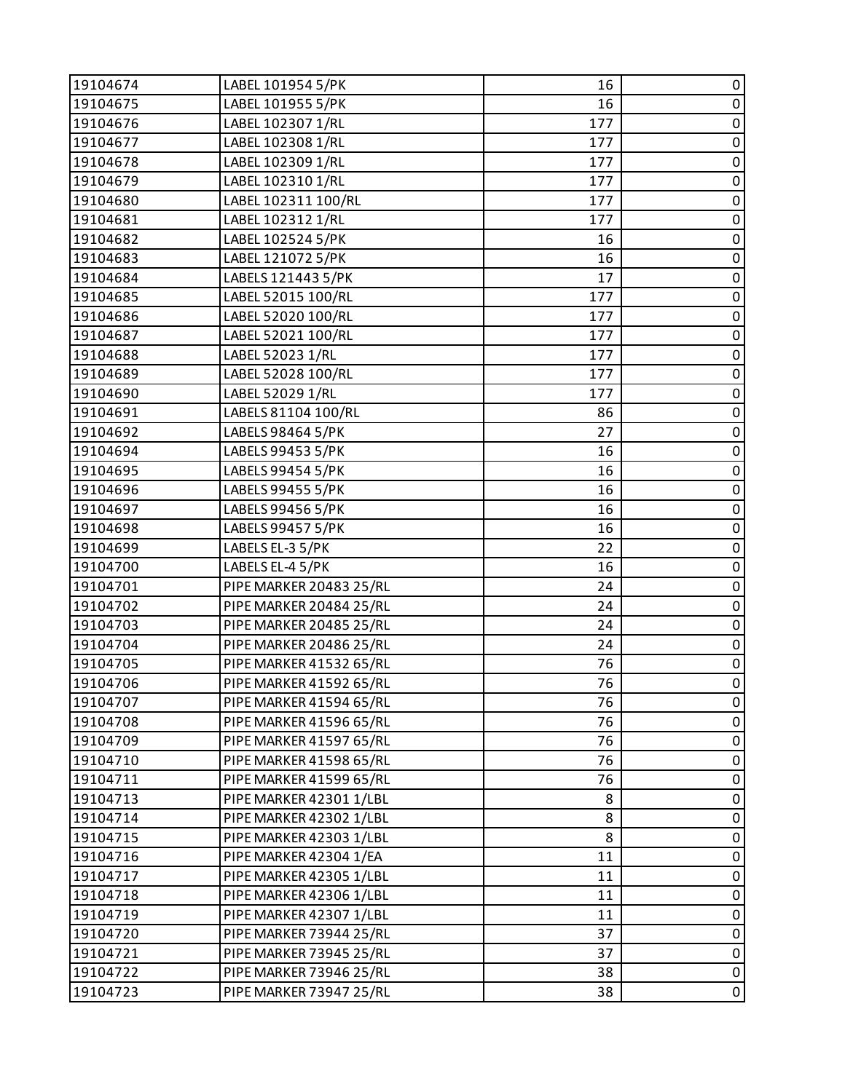| LABEL 101955 5/PK<br>19104675<br>16<br>$\pmb{0}$<br>LABEL 102307 1/RL<br>$\pmb{0}$<br>19104676<br>177<br>$\pmb{0}$<br>19104677<br>LABEL 102308 1/RL<br>177<br>LABEL 102309 1/RL<br>$\pmb{0}$<br>19104678<br>177<br>LABEL 102310 1/RL<br>$\pmb{0}$<br>19104679<br>177<br>$\pmb{0}$<br>LABEL 102311 100/RL<br>19104680<br>177<br>$\pmb{0}$<br>LABEL 102312 1/RL<br>19104681<br>177<br>$\pmb{0}$<br>LABEL 102524 5/PK<br>19104682<br>16<br>$\pmb{0}$<br>LABEL 121072 5/PK<br>19104683<br>16<br>LABELS 121443 5/PK<br>$\pmb{0}$<br>19104684<br>17<br>$\pmb{0}$<br>19104685<br>LABEL 52015 100/RL<br>177<br>$\pmb{0}$<br>LABEL 52020 100/RL<br>19104686<br>177<br>LABEL 52021 100/RL<br>$\pmb{0}$<br>19104687<br>177<br>LABEL 52023 1/RL<br>$\pmb{0}$<br>19104688<br>177<br>$\pmb{0}$<br>LABEL 52028 100/RL<br>19104689<br>177<br>LABEL 52029 1/RL<br>$\pmb{0}$<br>19104690<br>177<br>$\pmb{0}$<br>LABELS 81104 100/RL<br>19104691<br>86<br>$\pmb{0}$<br>27<br>19104692<br>LABELS 98464 5/PK<br>$\pmb{0}$<br>LABELS 99453 5/PK<br>19104694<br>16<br>LABELS 99454 5/PK<br>$\pmb{0}$<br>19104695<br>16<br>$\pmb{0}$<br>LABELS 99455 5/PK<br>19104696<br>16<br>LABELS 99456 5/PK<br>$\pmb{0}$<br>19104697<br>16<br>$\pmb{0}$<br>19104698<br>LABELS 99457 5/PK<br>16<br>$\pmb{0}$<br>22<br>19104699<br>LABELS EL-3 5/PK<br>$\pmb{0}$<br>19104700<br>LABELS EL-4 5/PK<br>16<br>$\pmb{0}$<br>19104701<br>PIPE MARKER 20483 25/RL<br>24<br>$\pmb{0}$<br>PIPE MARKER 20484 25/RL<br>19104702<br>24<br>$\pmb{0}$<br>19104703<br>PIPE MARKER 20485 25/RL<br>24<br>$\pmb{0}$<br>19104704<br>PIPE MARKER 20486 25/RL<br>24<br>$\overline{0}$<br>PIPE MARKER 41532 65/RL<br>19104705<br>76<br>0<br>19104706<br>PIPE MARKER 41592 65/RL<br>76<br>19104707<br>PIPE MARKER 41594 65/RL<br>76<br>0<br>19104708<br>PIPE MARKER 41596 65/RL<br>76<br>0<br>76<br>0<br>19104709<br>PIPE MARKER 41597 65/RL<br>0<br>19104710<br>PIPE MARKER 41598 65/RL<br>76<br>19104711<br>PIPE MARKER 41599 65/RL<br>0<br>76<br>0<br>19104713<br>PIPE MARKER 42301 1/LBL<br>8<br>PIPE MARKER 42302 1/LBL<br>0<br>19104714<br>8<br>$\pmb{0}$<br>19104715<br>PIPE MARKER 42303 1/LBL<br>8<br>0<br>19104716<br>PIPE MARKER 42304 1/EA<br>11<br>19104717<br>PIPE MARKER 42305 1/LBL<br>0<br>11<br>$\pmb{0}$<br>19104718<br>PIPE MARKER 42306 1/LBL<br>11<br>PIPE MARKER 42307 1/LBL<br>11<br>0<br>19104719<br>PIPE MARKER 73944 25/RL<br>37<br>0<br>19104720<br>$\pmb{0}$<br>19104721<br>37<br>PIPE MARKER 73945 25/RL<br>38<br>0<br>19104722<br>PIPE MARKER 73946 25/RL<br>0<br>19104723<br>PIPE MARKER 73947 25/RL<br>38 | 19104674 | LABEL 101954 5/PK | 16 | 0 |
|--------------------------------------------------------------------------------------------------------------------------------------------------------------------------------------------------------------------------------------------------------------------------------------------------------------------------------------------------------------------------------------------------------------------------------------------------------------------------------------------------------------------------------------------------------------------------------------------------------------------------------------------------------------------------------------------------------------------------------------------------------------------------------------------------------------------------------------------------------------------------------------------------------------------------------------------------------------------------------------------------------------------------------------------------------------------------------------------------------------------------------------------------------------------------------------------------------------------------------------------------------------------------------------------------------------------------------------------------------------------------------------------------------------------------------------------------------------------------------------------------------------------------------------------------------------------------------------------------------------------------------------------------------------------------------------------------------------------------------------------------------------------------------------------------------------------------------------------------------------------------------------------------------------------------------------------------------------------------------------------------------------------------------------------------------------------------------------------------------------------------------------------------------------------------------------------------------------------------------------------------------------------------------------------------------------------------------------------------------------------------------------------------------------------------------------------------------------------------------------------------------------------------------------------------------------------------------|----------|-------------------|----|---|
|                                                                                                                                                                                                                                                                                                                                                                                                                                                                                                                                                                                                                                                                                                                                                                                                                                                                                                                                                                                                                                                                                                                                                                                                                                                                                                                                                                                                                                                                                                                                                                                                                                                                                                                                                                                                                                                                                                                                                                                                                                                                                                                                                                                                                                                                                                                                                                                                                                                                                                                                                                                |          |                   |    |   |
|                                                                                                                                                                                                                                                                                                                                                                                                                                                                                                                                                                                                                                                                                                                                                                                                                                                                                                                                                                                                                                                                                                                                                                                                                                                                                                                                                                                                                                                                                                                                                                                                                                                                                                                                                                                                                                                                                                                                                                                                                                                                                                                                                                                                                                                                                                                                                                                                                                                                                                                                                                                |          |                   |    |   |
|                                                                                                                                                                                                                                                                                                                                                                                                                                                                                                                                                                                                                                                                                                                                                                                                                                                                                                                                                                                                                                                                                                                                                                                                                                                                                                                                                                                                                                                                                                                                                                                                                                                                                                                                                                                                                                                                                                                                                                                                                                                                                                                                                                                                                                                                                                                                                                                                                                                                                                                                                                                |          |                   |    |   |
|                                                                                                                                                                                                                                                                                                                                                                                                                                                                                                                                                                                                                                                                                                                                                                                                                                                                                                                                                                                                                                                                                                                                                                                                                                                                                                                                                                                                                                                                                                                                                                                                                                                                                                                                                                                                                                                                                                                                                                                                                                                                                                                                                                                                                                                                                                                                                                                                                                                                                                                                                                                |          |                   |    |   |
|                                                                                                                                                                                                                                                                                                                                                                                                                                                                                                                                                                                                                                                                                                                                                                                                                                                                                                                                                                                                                                                                                                                                                                                                                                                                                                                                                                                                                                                                                                                                                                                                                                                                                                                                                                                                                                                                                                                                                                                                                                                                                                                                                                                                                                                                                                                                                                                                                                                                                                                                                                                |          |                   |    |   |
|                                                                                                                                                                                                                                                                                                                                                                                                                                                                                                                                                                                                                                                                                                                                                                                                                                                                                                                                                                                                                                                                                                                                                                                                                                                                                                                                                                                                                                                                                                                                                                                                                                                                                                                                                                                                                                                                                                                                                                                                                                                                                                                                                                                                                                                                                                                                                                                                                                                                                                                                                                                |          |                   |    |   |
|                                                                                                                                                                                                                                                                                                                                                                                                                                                                                                                                                                                                                                                                                                                                                                                                                                                                                                                                                                                                                                                                                                                                                                                                                                                                                                                                                                                                                                                                                                                                                                                                                                                                                                                                                                                                                                                                                                                                                                                                                                                                                                                                                                                                                                                                                                                                                                                                                                                                                                                                                                                |          |                   |    |   |
|                                                                                                                                                                                                                                                                                                                                                                                                                                                                                                                                                                                                                                                                                                                                                                                                                                                                                                                                                                                                                                                                                                                                                                                                                                                                                                                                                                                                                                                                                                                                                                                                                                                                                                                                                                                                                                                                                                                                                                                                                                                                                                                                                                                                                                                                                                                                                                                                                                                                                                                                                                                |          |                   |    |   |
|                                                                                                                                                                                                                                                                                                                                                                                                                                                                                                                                                                                                                                                                                                                                                                                                                                                                                                                                                                                                                                                                                                                                                                                                                                                                                                                                                                                                                                                                                                                                                                                                                                                                                                                                                                                                                                                                                                                                                                                                                                                                                                                                                                                                                                                                                                                                                                                                                                                                                                                                                                                |          |                   |    |   |
|                                                                                                                                                                                                                                                                                                                                                                                                                                                                                                                                                                                                                                                                                                                                                                                                                                                                                                                                                                                                                                                                                                                                                                                                                                                                                                                                                                                                                                                                                                                                                                                                                                                                                                                                                                                                                                                                                                                                                                                                                                                                                                                                                                                                                                                                                                                                                                                                                                                                                                                                                                                |          |                   |    |   |
|                                                                                                                                                                                                                                                                                                                                                                                                                                                                                                                                                                                                                                                                                                                                                                                                                                                                                                                                                                                                                                                                                                                                                                                                                                                                                                                                                                                                                                                                                                                                                                                                                                                                                                                                                                                                                                                                                                                                                                                                                                                                                                                                                                                                                                                                                                                                                                                                                                                                                                                                                                                |          |                   |    |   |
|                                                                                                                                                                                                                                                                                                                                                                                                                                                                                                                                                                                                                                                                                                                                                                                                                                                                                                                                                                                                                                                                                                                                                                                                                                                                                                                                                                                                                                                                                                                                                                                                                                                                                                                                                                                                                                                                                                                                                                                                                                                                                                                                                                                                                                                                                                                                                                                                                                                                                                                                                                                |          |                   |    |   |
|                                                                                                                                                                                                                                                                                                                                                                                                                                                                                                                                                                                                                                                                                                                                                                                                                                                                                                                                                                                                                                                                                                                                                                                                                                                                                                                                                                                                                                                                                                                                                                                                                                                                                                                                                                                                                                                                                                                                                                                                                                                                                                                                                                                                                                                                                                                                                                                                                                                                                                                                                                                |          |                   |    |   |
|                                                                                                                                                                                                                                                                                                                                                                                                                                                                                                                                                                                                                                                                                                                                                                                                                                                                                                                                                                                                                                                                                                                                                                                                                                                                                                                                                                                                                                                                                                                                                                                                                                                                                                                                                                                                                                                                                                                                                                                                                                                                                                                                                                                                                                                                                                                                                                                                                                                                                                                                                                                |          |                   |    |   |
|                                                                                                                                                                                                                                                                                                                                                                                                                                                                                                                                                                                                                                                                                                                                                                                                                                                                                                                                                                                                                                                                                                                                                                                                                                                                                                                                                                                                                                                                                                                                                                                                                                                                                                                                                                                                                                                                                                                                                                                                                                                                                                                                                                                                                                                                                                                                                                                                                                                                                                                                                                                |          |                   |    |   |
|                                                                                                                                                                                                                                                                                                                                                                                                                                                                                                                                                                                                                                                                                                                                                                                                                                                                                                                                                                                                                                                                                                                                                                                                                                                                                                                                                                                                                                                                                                                                                                                                                                                                                                                                                                                                                                                                                                                                                                                                                                                                                                                                                                                                                                                                                                                                                                                                                                                                                                                                                                                |          |                   |    |   |
|                                                                                                                                                                                                                                                                                                                                                                                                                                                                                                                                                                                                                                                                                                                                                                                                                                                                                                                                                                                                                                                                                                                                                                                                                                                                                                                                                                                                                                                                                                                                                                                                                                                                                                                                                                                                                                                                                                                                                                                                                                                                                                                                                                                                                                                                                                                                                                                                                                                                                                                                                                                |          |                   |    |   |
|                                                                                                                                                                                                                                                                                                                                                                                                                                                                                                                                                                                                                                                                                                                                                                                                                                                                                                                                                                                                                                                                                                                                                                                                                                                                                                                                                                                                                                                                                                                                                                                                                                                                                                                                                                                                                                                                                                                                                                                                                                                                                                                                                                                                                                                                                                                                                                                                                                                                                                                                                                                |          |                   |    |   |
|                                                                                                                                                                                                                                                                                                                                                                                                                                                                                                                                                                                                                                                                                                                                                                                                                                                                                                                                                                                                                                                                                                                                                                                                                                                                                                                                                                                                                                                                                                                                                                                                                                                                                                                                                                                                                                                                                                                                                                                                                                                                                                                                                                                                                                                                                                                                                                                                                                                                                                                                                                                |          |                   |    |   |
|                                                                                                                                                                                                                                                                                                                                                                                                                                                                                                                                                                                                                                                                                                                                                                                                                                                                                                                                                                                                                                                                                                                                                                                                                                                                                                                                                                                                                                                                                                                                                                                                                                                                                                                                                                                                                                                                                                                                                                                                                                                                                                                                                                                                                                                                                                                                                                                                                                                                                                                                                                                |          |                   |    |   |
|                                                                                                                                                                                                                                                                                                                                                                                                                                                                                                                                                                                                                                                                                                                                                                                                                                                                                                                                                                                                                                                                                                                                                                                                                                                                                                                                                                                                                                                                                                                                                                                                                                                                                                                                                                                                                                                                                                                                                                                                                                                                                                                                                                                                                                                                                                                                                                                                                                                                                                                                                                                |          |                   |    |   |
|                                                                                                                                                                                                                                                                                                                                                                                                                                                                                                                                                                                                                                                                                                                                                                                                                                                                                                                                                                                                                                                                                                                                                                                                                                                                                                                                                                                                                                                                                                                                                                                                                                                                                                                                                                                                                                                                                                                                                                                                                                                                                                                                                                                                                                                                                                                                                                                                                                                                                                                                                                                |          |                   |    |   |
|                                                                                                                                                                                                                                                                                                                                                                                                                                                                                                                                                                                                                                                                                                                                                                                                                                                                                                                                                                                                                                                                                                                                                                                                                                                                                                                                                                                                                                                                                                                                                                                                                                                                                                                                                                                                                                                                                                                                                                                                                                                                                                                                                                                                                                                                                                                                                                                                                                                                                                                                                                                |          |                   |    |   |
|                                                                                                                                                                                                                                                                                                                                                                                                                                                                                                                                                                                                                                                                                                                                                                                                                                                                                                                                                                                                                                                                                                                                                                                                                                                                                                                                                                                                                                                                                                                                                                                                                                                                                                                                                                                                                                                                                                                                                                                                                                                                                                                                                                                                                                                                                                                                                                                                                                                                                                                                                                                |          |                   |    |   |
|                                                                                                                                                                                                                                                                                                                                                                                                                                                                                                                                                                                                                                                                                                                                                                                                                                                                                                                                                                                                                                                                                                                                                                                                                                                                                                                                                                                                                                                                                                                                                                                                                                                                                                                                                                                                                                                                                                                                                                                                                                                                                                                                                                                                                                                                                                                                                                                                                                                                                                                                                                                |          |                   |    |   |
|                                                                                                                                                                                                                                                                                                                                                                                                                                                                                                                                                                                                                                                                                                                                                                                                                                                                                                                                                                                                                                                                                                                                                                                                                                                                                                                                                                                                                                                                                                                                                                                                                                                                                                                                                                                                                                                                                                                                                                                                                                                                                                                                                                                                                                                                                                                                                                                                                                                                                                                                                                                |          |                   |    |   |
|                                                                                                                                                                                                                                                                                                                                                                                                                                                                                                                                                                                                                                                                                                                                                                                                                                                                                                                                                                                                                                                                                                                                                                                                                                                                                                                                                                                                                                                                                                                                                                                                                                                                                                                                                                                                                                                                                                                                                                                                                                                                                                                                                                                                                                                                                                                                                                                                                                                                                                                                                                                |          |                   |    |   |
|                                                                                                                                                                                                                                                                                                                                                                                                                                                                                                                                                                                                                                                                                                                                                                                                                                                                                                                                                                                                                                                                                                                                                                                                                                                                                                                                                                                                                                                                                                                                                                                                                                                                                                                                                                                                                                                                                                                                                                                                                                                                                                                                                                                                                                                                                                                                                                                                                                                                                                                                                                                |          |                   |    |   |
|                                                                                                                                                                                                                                                                                                                                                                                                                                                                                                                                                                                                                                                                                                                                                                                                                                                                                                                                                                                                                                                                                                                                                                                                                                                                                                                                                                                                                                                                                                                                                                                                                                                                                                                                                                                                                                                                                                                                                                                                                                                                                                                                                                                                                                                                                                                                                                                                                                                                                                                                                                                |          |                   |    |   |
|                                                                                                                                                                                                                                                                                                                                                                                                                                                                                                                                                                                                                                                                                                                                                                                                                                                                                                                                                                                                                                                                                                                                                                                                                                                                                                                                                                                                                                                                                                                                                                                                                                                                                                                                                                                                                                                                                                                                                                                                                                                                                                                                                                                                                                                                                                                                                                                                                                                                                                                                                                                |          |                   |    |   |
|                                                                                                                                                                                                                                                                                                                                                                                                                                                                                                                                                                                                                                                                                                                                                                                                                                                                                                                                                                                                                                                                                                                                                                                                                                                                                                                                                                                                                                                                                                                                                                                                                                                                                                                                                                                                                                                                                                                                                                                                                                                                                                                                                                                                                                                                                                                                                                                                                                                                                                                                                                                |          |                   |    |   |
|                                                                                                                                                                                                                                                                                                                                                                                                                                                                                                                                                                                                                                                                                                                                                                                                                                                                                                                                                                                                                                                                                                                                                                                                                                                                                                                                                                                                                                                                                                                                                                                                                                                                                                                                                                                                                                                                                                                                                                                                                                                                                                                                                                                                                                                                                                                                                                                                                                                                                                                                                                                |          |                   |    |   |
|                                                                                                                                                                                                                                                                                                                                                                                                                                                                                                                                                                                                                                                                                                                                                                                                                                                                                                                                                                                                                                                                                                                                                                                                                                                                                                                                                                                                                                                                                                                                                                                                                                                                                                                                                                                                                                                                                                                                                                                                                                                                                                                                                                                                                                                                                                                                                                                                                                                                                                                                                                                |          |                   |    |   |
|                                                                                                                                                                                                                                                                                                                                                                                                                                                                                                                                                                                                                                                                                                                                                                                                                                                                                                                                                                                                                                                                                                                                                                                                                                                                                                                                                                                                                                                                                                                                                                                                                                                                                                                                                                                                                                                                                                                                                                                                                                                                                                                                                                                                                                                                                                                                                                                                                                                                                                                                                                                |          |                   |    |   |
|                                                                                                                                                                                                                                                                                                                                                                                                                                                                                                                                                                                                                                                                                                                                                                                                                                                                                                                                                                                                                                                                                                                                                                                                                                                                                                                                                                                                                                                                                                                                                                                                                                                                                                                                                                                                                                                                                                                                                                                                                                                                                                                                                                                                                                                                                                                                                                                                                                                                                                                                                                                |          |                   |    |   |
|                                                                                                                                                                                                                                                                                                                                                                                                                                                                                                                                                                                                                                                                                                                                                                                                                                                                                                                                                                                                                                                                                                                                                                                                                                                                                                                                                                                                                                                                                                                                                                                                                                                                                                                                                                                                                                                                                                                                                                                                                                                                                                                                                                                                                                                                                                                                                                                                                                                                                                                                                                                |          |                   |    |   |
|                                                                                                                                                                                                                                                                                                                                                                                                                                                                                                                                                                                                                                                                                                                                                                                                                                                                                                                                                                                                                                                                                                                                                                                                                                                                                                                                                                                                                                                                                                                                                                                                                                                                                                                                                                                                                                                                                                                                                                                                                                                                                                                                                                                                                                                                                                                                                                                                                                                                                                                                                                                |          |                   |    |   |
|                                                                                                                                                                                                                                                                                                                                                                                                                                                                                                                                                                                                                                                                                                                                                                                                                                                                                                                                                                                                                                                                                                                                                                                                                                                                                                                                                                                                                                                                                                                                                                                                                                                                                                                                                                                                                                                                                                                                                                                                                                                                                                                                                                                                                                                                                                                                                                                                                                                                                                                                                                                |          |                   |    |   |
|                                                                                                                                                                                                                                                                                                                                                                                                                                                                                                                                                                                                                                                                                                                                                                                                                                                                                                                                                                                                                                                                                                                                                                                                                                                                                                                                                                                                                                                                                                                                                                                                                                                                                                                                                                                                                                                                                                                                                                                                                                                                                                                                                                                                                                                                                                                                                                                                                                                                                                                                                                                |          |                   |    |   |
|                                                                                                                                                                                                                                                                                                                                                                                                                                                                                                                                                                                                                                                                                                                                                                                                                                                                                                                                                                                                                                                                                                                                                                                                                                                                                                                                                                                                                                                                                                                                                                                                                                                                                                                                                                                                                                                                                                                                                                                                                                                                                                                                                                                                                                                                                                                                                                                                                                                                                                                                                                                |          |                   |    |   |
|                                                                                                                                                                                                                                                                                                                                                                                                                                                                                                                                                                                                                                                                                                                                                                                                                                                                                                                                                                                                                                                                                                                                                                                                                                                                                                                                                                                                                                                                                                                                                                                                                                                                                                                                                                                                                                                                                                                                                                                                                                                                                                                                                                                                                                                                                                                                                                                                                                                                                                                                                                                |          |                   |    |   |
|                                                                                                                                                                                                                                                                                                                                                                                                                                                                                                                                                                                                                                                                                                                                                                                                                                                                                                                                                                                                                                                                                                                                                                                                                                                                                                                                                                                                                                                                                                                                                                                                                                                                                                                                                                                                                                                                                                                                                                                                                                                                                                                                                                                                                                                                                                                                                                                                                                                                                                                                                                                |          |                   |    |   |
|                                                                                                                                                                                                                                                                                                                                                                                                                                                                                                                                                                                                                                                                                                                                                                                                                                                                                                                                                                                                                                                                                                                                                                                                                                                                                                                                                                                                                                                                                                                                                                                                                                                                                                                                                                                                                                                                                                                                                                                                                                                                                                                                                                                                                                                                                                                                                                                                                                                                                                                                                                                |          |                   |    |   |
|                                                                                                                                                                                                                                                                                                                                                                                                                                                                                                                                                                                                                                                                                                                                                                                                                                                                                                                                                                                                                                                                                                                                                                                                                                                                                                                                                                                                                                                                                                                                                                                                                                                                                                                                                                                                                                                                                                                                                                                                                                                                                                                                                                                                                                                                                                                                                                                                                                                                                                                                                                                |          |                   |    |   |
|                                                                                                                                                                                                                                                                                                                                                                                                                                                                                                                                                                                                                                                                                                                                                                                                                                                                                                                                                                                                                                                                                                                                                                                                                                                                                                                                                                                                                                                                                                                                                                                                                                                                                                                                                                                                                                                                                                                                                                                                                                                                                                                                                                                                                                                                                                                                                                                                                                                                                                                                                                                |          |                   |    |   |
|                                                                                                                                                                                                                                                                                                                                                                                                                                                                                                                                                                                                                                                                                                                                                                                                                                                                                                                                                                                                                                                                                                                                                                                                                                                                                                                                                                                                                                                                                                                                                                                                                                                                                                                                                                                                                                                                                                                                                                                                                                                                                                                                                                                                                                                                                                                                                                                                                                                                                                                                                                                |          |                   |    |   |
|                                                                                                                                                                                                                                                                                                                                                                                                                                                                                                                                                                                                                                                                                                                                                                                                                                                                                                                                                                                                                                                                                                                                                                                                                                                                                                                                                                                                                                                                                                                                                                                                                                                                                                                                                                                                                                                                                                                                                                                                                                                                                                                                                                                                                                                                                                                                                                                                                                                                                                                                                                                |          |                   |    |   |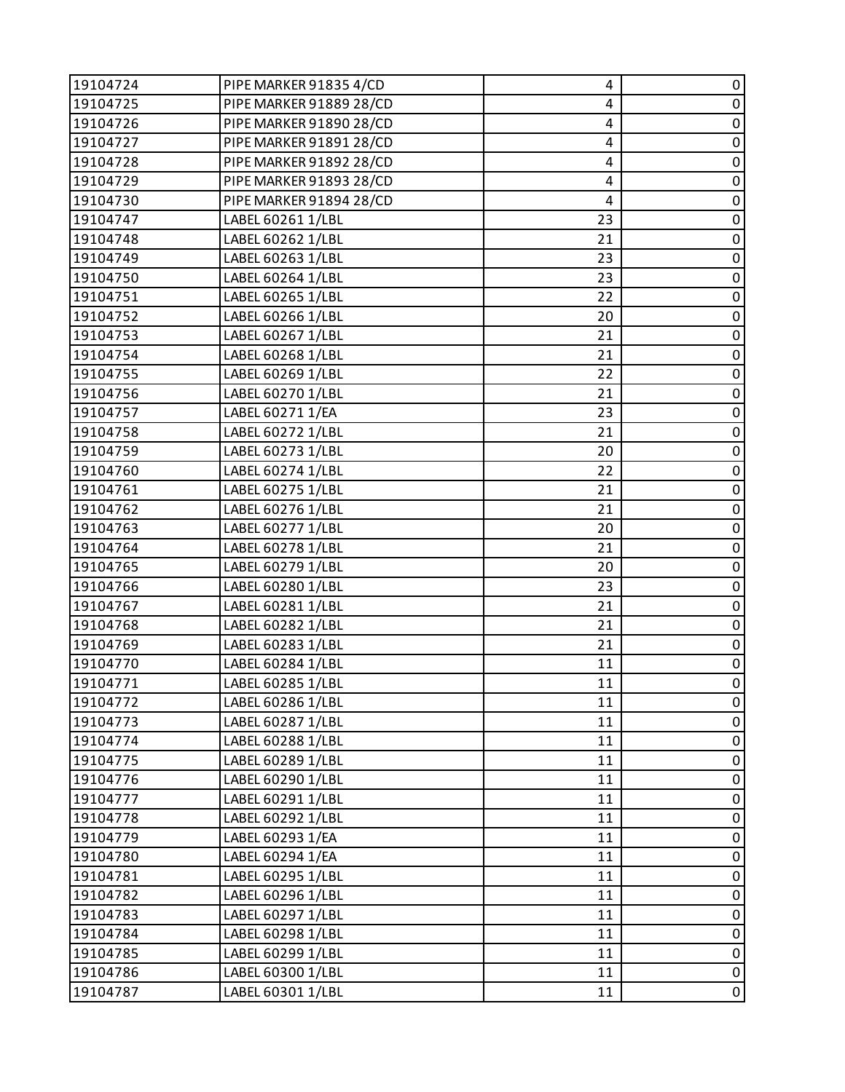| 19104724 | PIPE MARKER 91835 4/CD  | 4  | 0                   |
|----------|-------------------------|----|---------------------|
| 19104725 | PIPE MARKER 91889 28/CD | 4  | $\pmb{0}$           |
| 19104726 | PIPE MARKER 91890 28/CD | 4  | 0                   |
| 19104727 | PIPE MARKER 91891 28/CD | 4  | $\pmb{0}$           |
| 19104728 | PIPE MARKER 91892 28/CD | 4  | $\mathsf{O}\xspace$ |
| 19104729 | PIPE MARKER 91893 28/CD | 4  | 0                   |
| 19104730 | PIPE MARKER 91894 28/CD | 4  | $\pmb{0}$           |
| 19104747 | LABEL 60261 1/LBL       | 23 | $\pmb{0}$           |
| 19104748 | LABEL 60262 1/LBL       | 21 | 0                   |
| 19104749 | LABEL 60263 1/LBL       | 23 | $\pmb{0}$           |
| 19104750 | LABEL 60264 1/LBL       | 23 | $\mathsf 0$         |
| 19104751 | LABEL 60265 1/LBL       | 22 | 0                   |
| 19104752 | LABEL 60266 1/LBL       | 20 | $\pmb{0}$           |
| 19104753 | LABEL 60267 1/LBL       | 21 | $\pmb{0}$           |
| 19104754 | LABEL 60268 1/LBL       | 21 | 0                   |
| 19104755 | LABEL 60269 1/LBL       | 22 | $\pmb{0}$           |
| 19104756 | LABEL 60270 1/LBL       | 21 | $\pmb{0}$           |
| 19104757 | LABEL 60271 1/EA        | 23 | $\pmb{0}$           |
| 19104758 | LABEL 60272 1/LBL       | 21 | $\pmb{0}$           |
| 19104759 | LABEL 60273 1/LBL       | 20 | $\pmb{0}$           |
| 19104760 | LABEL 60274 1/LBL       | 22 | $\pmb{0}$           |
| 19104761 | LABEL 60275 1/LBL       | 21 | $\pmb{0}$           |
| 19104762 | LABEL 60276 1/LBL       | 21 | $\pmb{0}$           |
| 19104763 | LABEL 60277 1/LBL       | 20 | $\pmb{0}$           |
| 19104764 | LABEL 60278 1/LBL       | 21 | $\pmb{0}$           |
| 19104765 | LABEL 60279 1/LBL       | 20 | $\pmb{0}$           |
| 19104766 | LABEL 60280 1/LBL       | 23 | 0                   |
| 19104767 | LABEL 60281 1/LBL       | 21 | $\pmb{0}$           |
| 19104768 | LABEL 60282 1/LBL       | 21 | $\pmb{0}$           |
| 19104769 | LABEL 60283 1/LBL       | 21 | $\pmb{0}$           |
| 19104770 | LABEL 60284 1/LBL       | 11 | $\pmb{0}$           |
| 19104771 | LABEL 60285 1/LBL       | 11 | $\mathbf 0$         |
| 19104772 | LABEL 60286 1/LBL       | 11 | 0                   |
| 19104773 | LABEL 60287 1/LBL       | 11 | 0                   |
| 19104774 | LABEL 60288 1/LBL       | 11 | $\pmb{0}$           |
| 19104775 | LABEL 60289 1/LBL       | 11 | 0                   |
| 19104776 | LABEL 60290 1/LBL       | 11 | $\pmb{0}$           |
| 19104777 | LABEL 60291 1/LBL       | 11 | $\pmb{0}$           |
| 19104778 | LABEL 60292 1/LBL       | 11 | $\pmb{0}$           |
| 19104779 | LABEL 60293 1/EA        | 11 | $\pmb{0}$           |
| 19104780 | LABEL 60294 1/EA        | 11 | $\pmb{0}$           |
| 19104781 | LABEL 60295 1/LBL       | 11 | 0                   |
| 19104782 | LABEL 60296 1/LBL       | 11 | $\pmb{0}$           |
| 19104783 | LABEL 60297 1/LBL       | 11 | $\pmb{0}$           |
| 19104784 | LABEL 60298 1/LBL       | 11 | 0                   |
| 19104785 | LABEL 60299 1/LBL       | 11 | $\pmb{0}$           |
| 19104786 | LABEL 60300 1/LBL       | 11 | $\pmb{0}$           |
| 19104787 | LABEL 60301 1/LBL       | 11 | $\pmb{0}$           |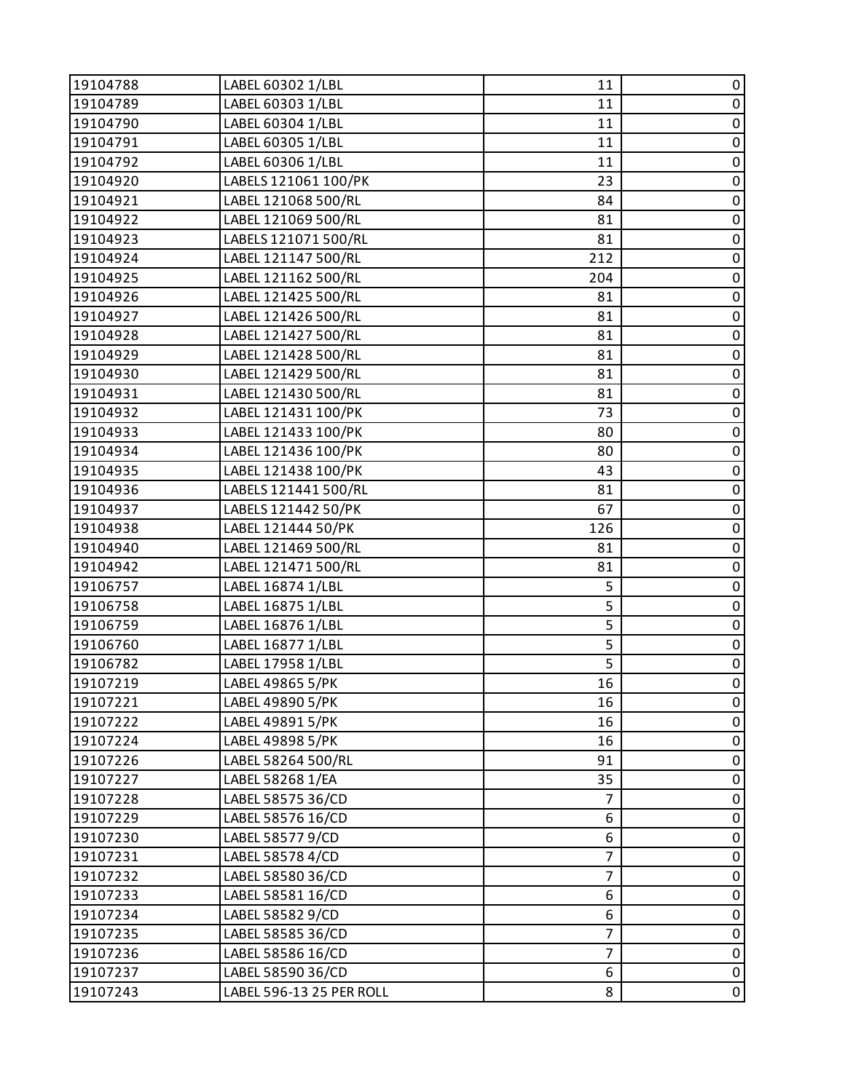| 19104788 | LABEL 60302 1/LBL        | 11             | 0                   |
|----------|--------------------------|----------------|---------------------|
| 19104789 | LABEL 60303 1/LBL        | 11             | $\pmb{0}$           |
| 19104790 | LABEL 60304 1/LBL        | 11             | 0                   |
| 19104791 | LABEL 60305 1/LBL        | 11             | $\pmb{0}$           |
| 19104792 | LABEL 60306 1/LBL        | 11             | $\pmb{0}$           |
| 19104920 | LABELS 121061 100/PK     | 23             | 0                   |
| 19104921 | LABEL 121068 500/RL      | 84             | $\pmb{0}$           |
| 19104922 | LABEL 121069 500/RL      | 81             | $\overline{0}$      |
| 19104923 | LABELS 121071 500/RL     | 81             | 0                   |
| 19104924 | LABEL 121147 500/RL      | 212            | $\pmb{0}$           |
| 19104925 | LABEL 121162 500/RL      | 204            | $\mathbf 0$         |
| 19104926 | LABEL 121425 500/RL      | 81             | 0                   |
| 19104927 | LABEL 121426 500/RL      | 81             | $\overline{0}$      |
| 19104928 | LABEL 121427 500/RL      | 81             | $\pmb{0}$           |
| 19104929 | LABEL 121428 500/RL      | 81             | 0                   |
| 19104930 | LABEL 121429 500/RL      | 81             | $\pmb{0}$           |
| 19104931 | LABEL 121430 500/RL      | 81             | $\mathsf{O}\xspace$ |
| 19104932 | LABEL 121431 100/PK      | 73             | $\pmb{0}$           |
| 19104933 | LABEL 121433 100/PK      | 80             | $\pmb{0}$           |
| 19104934 | LABEL 121436 100/PK      | 80             | $\pmb{0}$           |
| 19104935 | LABEL 121438 100/PK      | 43             | $\pmb{0}$           |
| 19104936 | LABELS 121441 500/RL     | 81             | $\pmb{0}$           |
| 19104937 | LABELS 121442 50/PK      | 67             | $\mathbf 0$         |
| 19104938 | LABEL 121444 50/PK       | 126            | $\pmb{0}$           |
| 19104940 | LABEL 121469 500/RL      | 81             | $\pmb{0}$           |
| 19104942 | LABEL 121471 500/RL      | 81             | $\pmb{0}$           |
| 19106757 | LABEL 16874 1/LBL        | 5              | $\pmb{0}$           |
| 19106758 | LABEL 16875 1/LBL        | 5              | $\pmb{0}$           |
| 19106759 | LABEL 16876 1/LBL        | 5              | $\mathbf 0$         |
| 19106760 | LABEL 16877 1/LBL        | 5              | $\pmb{0}$           |
| 19106782 | LABEL 17958 1/LBL        | 5              | $\pmb{0}$           |
| 19107219 | LABEL 49865 5/PK         | 16             | $\overline{0}$      |
| 19107221 | LABEL 49890 5/PK         | 16             | 0                   |
| 19107222 | LABEL 49891 5/PK         | 16             | 0                   |
| 19107224 | LABEL 49898 5/PK         | 16             | $\pmb{0}$           |
| 19107226 | LABEL 58264 500/RL       | 91             | 0                   |
| 19107227 | LABEL 58268 1/EA         | 35             | $\pmb{0}$           |
| 19107228 | LABEL 58575 36/CD        | $\overline{7}$ | $\pmb{0}$           |
| 19107229 | LABEL 58576 16/CD        | 6              | 0                   |
| 19107230 | LABEL 585779/CD          | 6              | $\pmb{0}$           |
| 19107231 | LABEL 58578 4/CD         | $\overline{7}$ | $\pmb{0}$           |
| 19107232 | LABEL 58580 36/CD        | $\overline{7}$ | 0                   |
| 19107233 | LABEL 58581 16/CD        | 6              | $\pmb{0}$           |
| 19107234 | LABEL 58582 9/CD         | 6              | $\pmb{0}$           |
| 19107235 | LABEL 58585 36/CD        | $\overline{7}$ | 0                   |
| 19107236 | LABEL 58586 16/CD        | 7              | $\pmb{0}$           |
| 19107237 | LABEL 58590 36/CD        | 6              | $\pmb{0}$           |
| 19107243 | LABEL 596-13 25 PER ROLL | 8              | $\pmb{0}$           |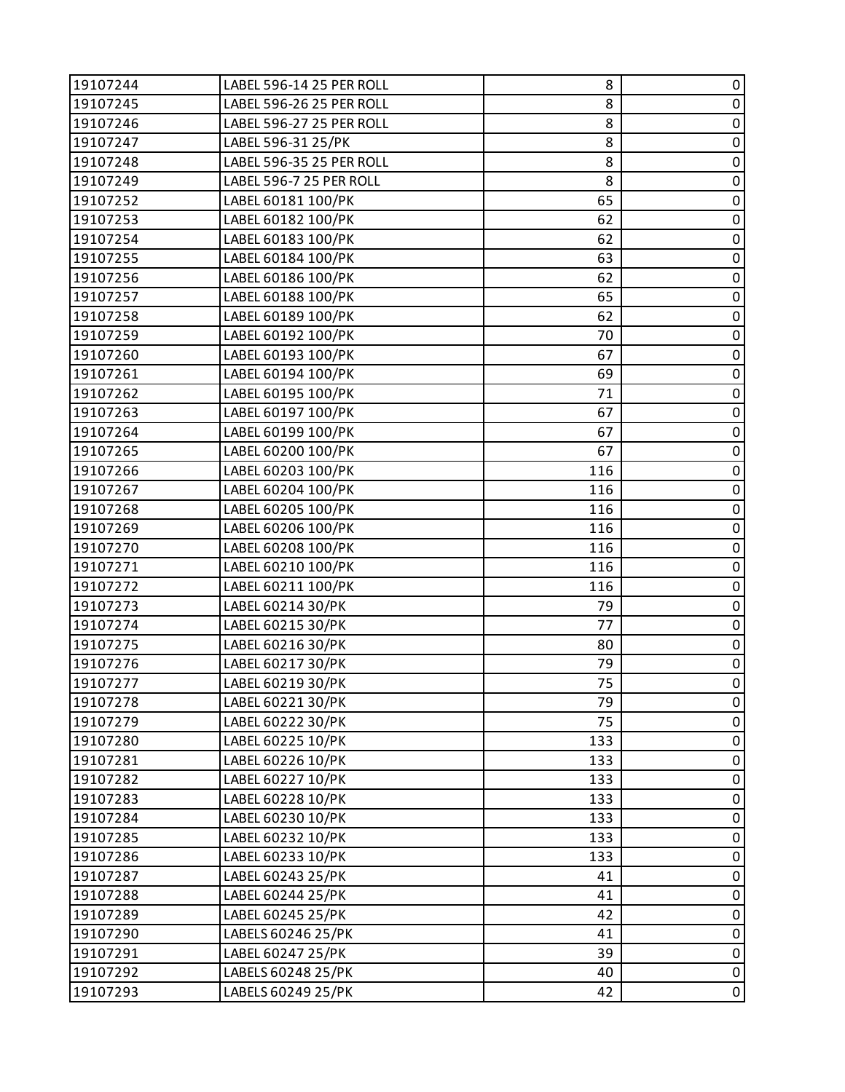| 19107245<br>LABEL 596-26 25 PER ROLL<br>8 | $\pmb{0}$      |
|-------------------------------------------|----------------|
| 8<br>19107246<br>LABEL 596-27 25 PER ROLL | $\pmb{0}$      |
| 8<br>19107247<br>LABEL 596-31 25/PK       | $\pmb{0}$      |
| LABEL 596-35 25 PER ROLL<br>8<br>19107248 | $\mathbf 0$    |
| LABEL 596-7 25 PER ROLL<br>8<br>19107249  | $\pmb{0}$      |
| 65<br>19107252<br>LABEL 60181 100/PK      | $\overline{0}$ |
| LABEL 60182 100/PK<br>62<br>19107253      | $\mathbf 0$    |
| LABEL 60183 100/PK<br>19107254<br>62      | $\pmb{0}$      |
| LABEL 60184 100/PK<br>63<br>19107255      | $\pmb{0}$      |
| 19107256<br>LABEL 60186 100/PK<br>62      | $\pmb{0}$      |
| LABEL 60188 100/PK<br>19107257<br>65      | $\pmb{0}$      |
| LABEL 60189 100/PK<br>62<br>19107258      | $\pmb{0}$      |
| LABEL 60192 100/PK<br>19107259<br>70      | $\mathbf 0$    |
| LABEL 60193 100/PK<br>19107260<br>67      | $\pmb{0}$      |
| 19107261<br>LABEL 60194 100/PK<br>69      | $\pmb{0}$      |
| 71<br>19107262<br>LABEL 60195 100/PK      | $\mathbf 0$    |
| LABEL 60197 100/PK<br>19107263<br>67      | $\pmb{0}$      |
| LABEL 60199 100/PK<br>19107264<br>67      | $\pmb{0}$      |
| LABEL 60200 100/PK<br>67<br>19107265      | $\pmb{0}$      |
| LABEL 60203 100/PK<br>116<br>19107266     | $\pmb{0}$      |
| LABEL 60204 100/PK<br>19107267<br>116     | $\mathbf 0$    |
| LABEL 60205 100/PK<br>19107268<br>116     | $\pmb{0}$      |
| LABEL 60206 100/PK<br>116<br>19107269     | $\pmb{0}$      |
| LABEL 60208 100/PK<br>19107270<br>116     | $\pmb{0}$      |
| 19107271<br>LABEL 60210 100/PK<br>116     | $\mathbf 0$    |
| LABEL 60211 100/PK<br>116<br>19107272     | $\pmb{0}$      |
| 19107273<br>LABEL 60214 30/PK<br>79       | $\pmb{0}$      |
| 77<br>LABEL 60215 30/PK<br>19107274       | $\mathbf 0$    |
| LABEL 60216 30/PK<br>19107275<br>80       | $\pmb{0}$      |
| 19107276<br>LABEL 60217 30/PK<br>79       | $\pmb{0}$      |
| 75<br>LABEL 60219 30/PK<br>19107277       | $\mathbf 0$    |
| LABEL 60221 30/PK<br>79<br>19107278       | 0              |
| 19107279<br>LABEL 60222 30/PK<br>75       | $\pmb{0}$      |
| 19107280<br>LABEL 60225 10/PK<br>133      | $\pmb{0}$      |
| 19107281<br>LABEL 60226 10/PK<br>133      | $\pmb{0}$      |
| LABEL 60227 10/PK<br>19107282<br>133      | $\mathbf 0$    |
| 19107283<br>LABEL 60228 10/PK<br>133      | $\pmb{0}$      |
| 19107284<br>LABEL 60230 10/PK<br>133      | $\pmb{0}$      |
| 19107285<br>LABEL 60232 10/PK<br>133      | $\pmb{0}$      |
| LABEL 60233 10/PK<br>19107286<br>133      | $\pmb{0}$      |
| 19107287<br>LABEL 60243 25/PK<br>41       | $\pmb{0}$      |
| 19107288<br>LABEL 60244 25/PK<br>41       | $\pmb{0}$      |
| 19107289<br>LABEL 60245 25/PK<br>42       | $\pmb{0}$      |
| 19107290<br>LABELS 60246 25/PK<br>41      | 0              |
| 19107291<br>LABEL 60247 25/PK<br>39       | $\pmb{0}$      |
| 19107292<br>LABELS 60248 25/PK<br>40      | $\pmb{0}$      |
| 19107293<br>LABELS 60249 25/PK<br>42      | 0              |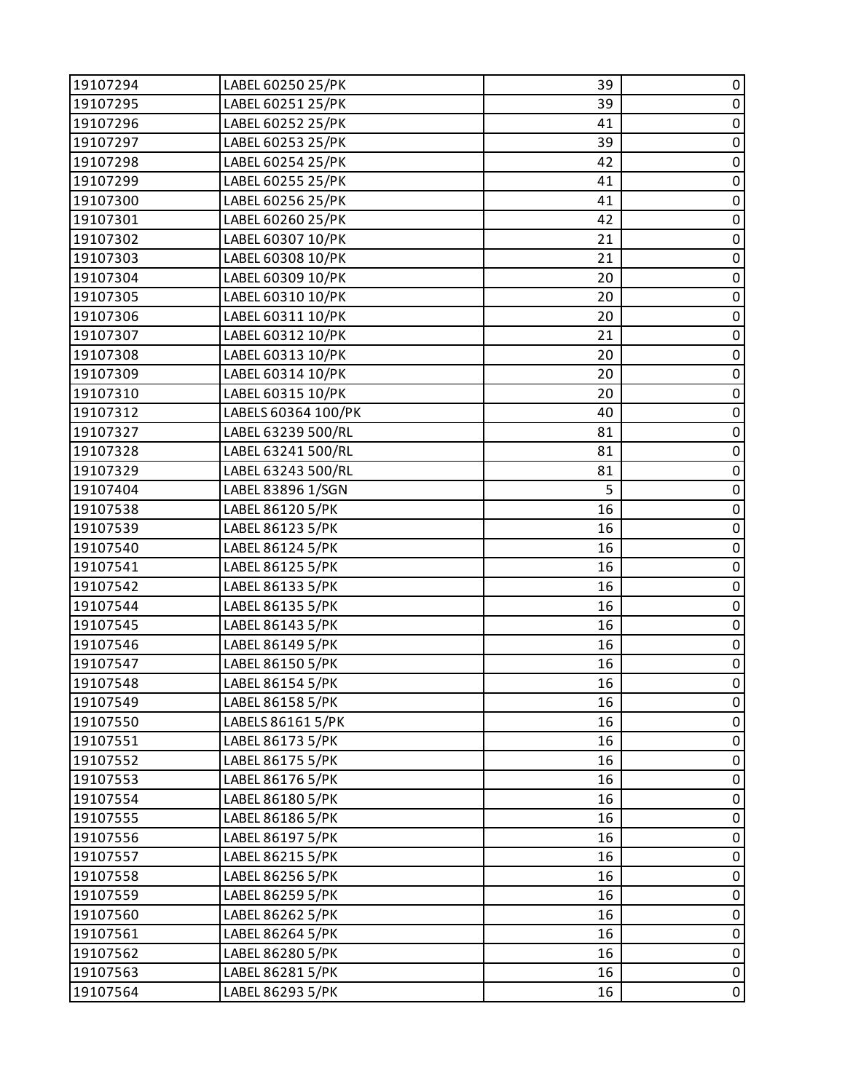| 19107294 | LABEL 60250 25/PK   | 39 | 0           |
|----------|---------------------|----|-------------|
| 19107295 | LABEL 60251 25/PK   | 39 | $\pmb{0}$   |
| 19107296 | LABEL 60252 25/PK   | 41 | $\pmb{0}$   |
| 19107297 | LABEL 60253 25/PK   | 39 | $\pmb{0}$   |
| 19107298 | LABEL 60254 25/PK   | 42 | $\pmb{0}$   |
| 19107299 | LABEL 60255 25/PK   | 41 | $\pmb{0}$   |
| 19107300 | LABEL 60256 25/PK   | 41 | $\mathbf 0$ |
| 19107301 | LABEL 60260 25/PK   | 42 | $\pmb{0}$   |
| 19107302 | LABEL 60307 10/PK   | 21 | $\pmb{0}$   |
| 19107303 | LABEL 60308 10/PK   | 21 | $\pmb{0}$   |
| 19107304 | LABEL 60309 10/PK   | 20 | $\pmb{0}$   |
| 19107305 | LABEL 60310 10/PK   | 20 | $\pmb{0}$   |
| 19107306 | LABEL 60311 10/PK   | 20 | $\pmb{0}$   |
| 19107307 | LABEL 60312 10/PK   | 21 | $\pmb{0}$   |
| 19107308 | LABEL 60313 10/PK   | 20 | $\pmb{0}$   |
| 19107309 | LABEL 60314 10/PK   | 20 | $\pmb{0}$   |
| 19107310 | LABEL 60315 10/PK   | 20 | $\pmb{0}$   |
| 19107312 | LABELS 60364 100/PK | 40 | $\pmb{0}$   |
| 19107327 | LABEL 63239 500/RL  | 81 | $\pmb{0}$   |
| 19107328 | LABEL 63241 500/RL  | 81 | $\pmb{0}$   |
| 19107329 | LABEL 63243 500/RL  | 81 | $\pmb{0}$   |
| 19107404 | LABEL 83896 1/SGN   | 5  | $\pmb{0}$   |
| 19107538 | LABEL 86120 5/PK    | 16 | $\pmb{0}$   |
| 19107539 | LABEL 86123 5/PK    | 16 | $\pmb{0}$   |
| 19107540 | LABEL 86124 5/PK    | 16 | $\pmb{0}$   |
| 19107541 | LABEL 86125 5/PK    | 16 | $\mathbf 0$ |
| 19107542 | LABEL 86133 5/PK    | 16 | $\pmb{0}$   |
| 19107544 | LABEL 86135 5/PK    | 16 | $\pmb{0}$   |
| 19107545 | LABEL 86143 5/PK    | 16 | $\pmb{0}$   |
| 19107546 | LABEL 86149 5/PK    | 16 | $\pmb{0}$   |
| 19107547 | LABEL 86150 5/PK    | 16 | $\pmb{0}$   |
| 19107548 | LABEL 86154 5/PK    | 16 | $\mathsf 0$ |
| 19107549 | LABEL 86158 5/PK    | 16 | 0           |
| 19107550 | LABELS 86161 5/PK   | 16 | 0           |
| 19107551 | LABEL 86173 5/PK    | 16 | $\pmb{0}$   |
| 19107552 | LABEL 86175 5/PK    | 16 | $\pmb{0}$   |
| 19107553 | LABEL 86176 5/PK    | 16 | $\pmb{0}$   |
| 19107554 | LABEL 86180 5/PK    | 16 | $\pmb{0}$   |
| 19107555 | LABEL 86186 5/PK    | 16 | $\pmb{0}$   |
| 19107556 | LABEL 86197 5/PK    | 16 | $\pmb{0}$   |
| 19107557 | LABEL 86215 5/PK    | 16 | $\pmb{0}$   |
| 19107558 | LABEL 86256 5/PK    | 16 | $\pmb{0}$   |
| 19107559 | LABEL 86259 5/PK    | 16 | $\pmb{0}$   |
| 19107560 | LABEL 86262 5/PK    | 16 | $\pmb{0}$   |
| 19107561 | LABEL 86264 5/PK    | 16 | 0           |
| 19107562 | LABEL 86280 5/PK    | 16 | $\pmb{0}$   |
| 19107563 | LABEL 86281 5/PK    | 16 | $\pmb{0}$   |
| 19107564 | LABEL 86293 5/PK    | 16 | 0           |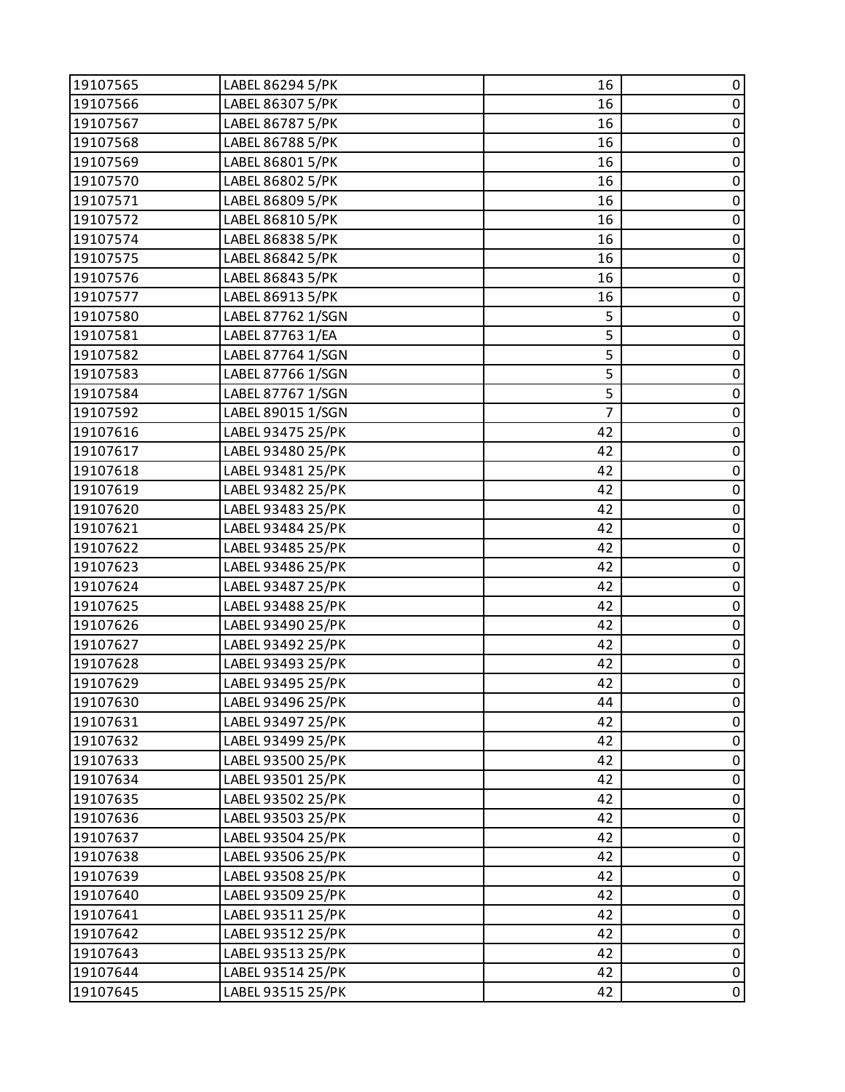| 19107565 | LABEL 86294 5/PK  | 16             | 0           |
|----------|-------------------|----------------|-------------|
| 19107566 | LABEL 86307 5/PK  | 16             | $\pmb{0}$   |
| 19107567 | LABEL 86787 5/PK  | 16             | 0           |
| 19107568 | LABEL 86788 5/PK  | 16             | $\pmb{0}$   |
| 19107569 | LABEL 86801 5/PK  | 16             | $\pmb{0}$   |
| 19107570 | LABEL 86802 5/PK  | 16             | 0           |
| 19107571 | LABEL 86809 5/PK  | 16             | $\pmb{0}$   |
| 19107572 | LABEL 86810 5/PK  | 16             | $\pmb{0}$   |
| 19107574 | LABEL 86838 5/PK  | 16             | $\pmb{0}$   |
| 19107575 | LABEL 86842 5/PK  | 16             | $\pmb{0}$   |
| 19107576 | LABEL 86843 5/PK  | 16             | $\pmb{0}$   |
| 19107577 | LABEL 86913 5/PK  | 16             | $\pmb{0}$   |
| 19107580 | LABEL 87762 1/SGN | 5              | $\pmb{0}$   |
| 19107581 | LABEL 87763 1/EA  | 5              | $\pmb{0}$   |
| 19107582 | LABEL 87764 1/SGN | 5              | $\pmb{0}$   |
| 19107583 | LABEL 87766 1/SGN | 5              | $\pmb{0}$   |
| 19107584 | LABEL 87767 1/SGN | 5              | $\pmb{0}$   |
| 19107592 | LABEL 89015 1/SGN | $\overline{7}$ | 0           |
| 19107616 | LABEL 93475 25/PK | 42             | $\pmb{0}$   |
| 19107617 | LABEL 93480 25/PK | 42             | $\pmb{0}$   |
| 19107618 | LABEL 93481 25/PK | 42             | $\pmb{0}$   |
| 19107619 | LABEL 93482 25/PK | 42             | $\pmb{0}$   |
| 19107620 | LABEL 93483 25/PK | 42             | $\pmb{0}$   |
| 19107621 | LABEL 93484 25/PK | 42             | $\pmb{0}$   |
| 19107622 | LABEL 93485 25/PK | 42             | $\pmb{0}$   |
| 19107623 | LABEL 93486 25/PK | 42             | $\pmb{0}$   |
| 19107624 | LABEL 93487 25/PK | 42             | $\pmb{0}$   |
| 19107625 | LABEL 93488 25/PK | 42             | $\pmb{0}$   |
| 19107626 | LABEL 93490 25/PK | 42             | $\pmb{0}$   |
| 19107627 | LABEL 93492 25/PK | 42             | $\pmb{0}$   |
| 19107628 | LABEL 93493 25/PK | 42             | $\pmb{0}$   |
| 19107629 | LABEL 93495 25/PK | 42             | $\mathsf 0$ |
| 19107630 | LABEL 93496 25/PK | 44             | 0           |
| 19107631 | LABEL 93497 25/PK | 42             | 0           |
| 19107632 | LABEL 93499 25/PK | 42             | $\pmb{0}$   |
| 19107633 | LABEL 93500 25/PK | 42             | $\pmb{0}$   |
| 19107634 | LABEL 93501 25/PK | 42             | $\mathbf 0$ |
| 19107635 | LABEL 93502 25/PK | 42             | $\pmb{0}$   |
| 19107636 | LABEL 93503 25/PK | 42             | 0           |
| 19107637 | LABEL 93504 25/PK | 42             | $\pmb{0}$   |
| 19107638 | LABEL 93506 25/PK | 42             | $\pmb{0}$   |
| 19107639 | LABEL 93508 25/PK | 42             | 0           |
| 19107640 | LABEL 93509 25/PK | 42             | $\pmb{0}$   |
| 19107641 | LABEL 93511 25/PK | 42             | $\pmb{0}$   |
| 19107642 | LABEL 93512 25/PK | 42             | 0           |
| 19107643 | LABEL 93513 25/PK | 42             | $\pmb{0}$   |
| 19107644 | LABEL 93514 25/PK | 42             | $\pmb{0}$   |
| 19107645 | LABEL 93515 25/PK | 42             | $\pmb{0}$   |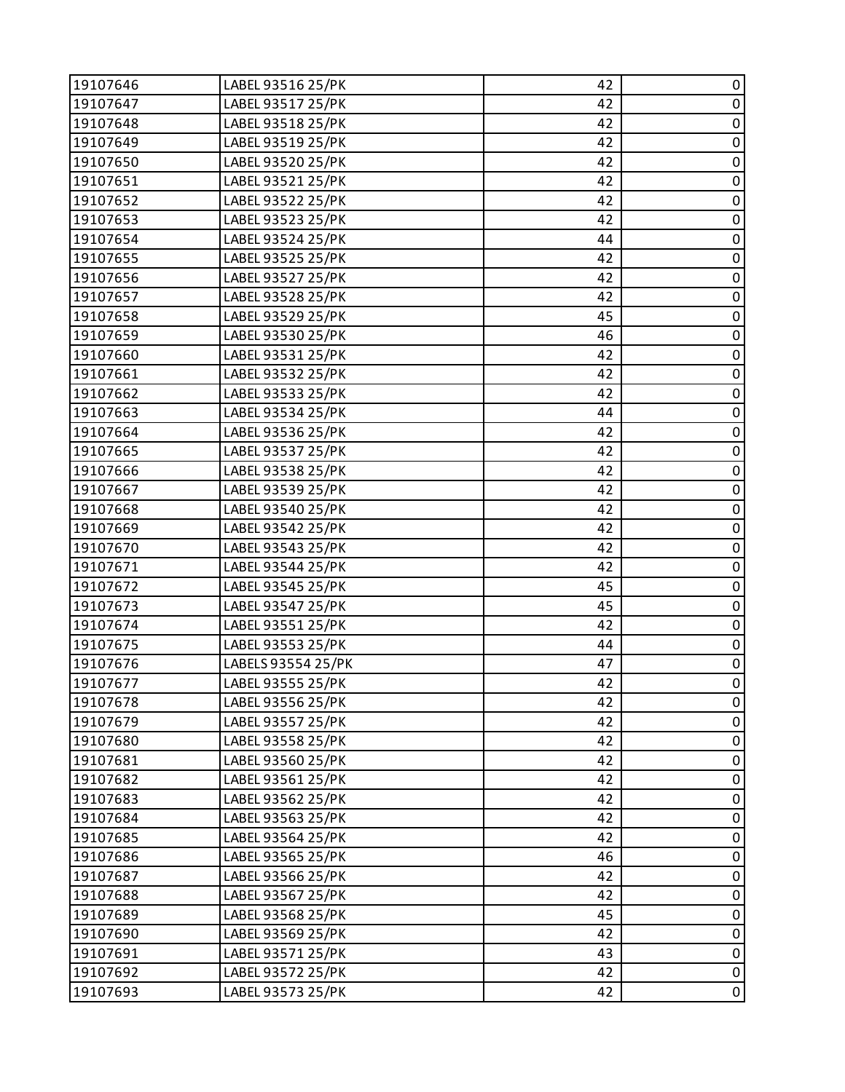| 19107646 | LABEL 93516 25/PK  | 42 | 0           |
|----------|--------------------|----|-------------|
| 19107647 | LABEL 93517 25/PK  | 42 | $\pmb{0}$   |
| 19107648 | LABEL 93518 25/PK  | 42 | 0           |
| 19107649 | LABEL 93519 25/PK  | 42 | $\pmb{0}$   |
| 19107650 | LABEL 93520 25/PK  | 42 | $\pmb{0}$   |
| 19107651 | LABEL 93521 25/PK  | 42 | 0           |
| 19107652 | LABEL 93522 25/PK  | 42 | $\pmb{0}$   |
| 19107653 | LABEL 93523 25/PK  | 42 | $\pmb{0}$   |
| 19107654 | LABEL 93524 25/PK  | 44 | $\pmb{0}$   |
| 19107655 | LABEL 93525 25/PK  | 42 | $\pmb{0}$   |
| 19107656 | LABEL 93527 25/PK  | 42 | $\pmb{0}$   |
| 19107657 | LABEL 93528 25/PK  | 42 | $\pmb{0}$   |
| 19107658 | LABEL 93529 25/PK  | 45 | $\pmb{0}$   |
| 19107659 | LABEL 93530 25/PK  | 46 | $\pmb{0}$   |
| 19107660 | LABEL 93531 25/PK  | 42 | 0           |
| 19107661 | LABEL 93532 25/PK  | 42 | $\pmb{0}$   |
| 19107662 | LABEL 93533 25/PK  | 42 | $\pmb{0}$   |
| 19107663 | LABEL 93534 25/PK  | 44 | 0           |
| 19107664 | LABEL 93536 25/PK  | 42 | $\pmb{0}$   |
| 19107665 | LABEL 93537 25/PK  | 42 | $\pmb{0}$   |
| 19107666 | LABEL 93538 25/PK  | 42 | $\pmb{0}$   |
| 19107667 | LABEL 93539 25/PK  | 42 | $\pmb{0}$   |
| 19107668 | LABEL 93540 25/PK  | 42 | $\pmb{0}$   |
| 19107669 | LABEL 93542 25/PK  | 42 | $\pmb{0}$   |
| 19107670 | LABEL 93543 25/PK  | 42 | $\pmb{0}$   |
| 19107671 | LABEL 93544 25/PK  | 42 | $\pmb{0}$   |
| 19107672 | LABEL 93545 25/PK  | 45 | $\pmb{0}$   |
| 19107673 | LABEL 93547 25/PK  | 45 | $\pmb{0}$   |
| 19107674 | LABEL 93551 25/PK  | 42 | $\pmb{0}$   |
| 19107675 | LABEL 93553 25/PK  | 44 | $\pmb{0}$   |
| 19107676 | LABELS 93554 25/PK | 47 | $\pmb{0}$   |
| 19107677 | LABEL 93555 25/PK  | 42 | $\mathbf 0$ |
| 19107678 | LABEL 93556 25/PK  | 42 | 0           |
| 19107679 | LABEL 93557 25/PK  | 42 | 0           |
| 19107680 | LABEL 93558 25/PK  | 42 | $\pmb{0}$   |
| 19107681 | LABEL 93560 25/PK  | 42 | $\pmb{0}$   |
| 19107682 | LABEL 93561 25/PK  | 42 | $\mathbf 0$ |
| 19107683 | LABEL 93562 25/PK  | 42 | $\pmb{0}$   |
| 19107684 | LABEL 93563 25/PK  | 42 | 0           |
| 19107685 | LABEL 93564 25/PK  | 42 | $\pmb{0}$   |
| 19107686 | LABEL 93565 25/PK  | 46 | $\pmb{0}$   |
| 19107687 | LABEL 93566 25/PK  | 42 | 0           |
| 19107688 | LABEL 93567 25/PK  | 42 | $\pmb{0}$   |
| 19107689 | LABEL 93568 25/PK  | 45 | $\pmb{0}$   |
| 19107690 | LABEL 93569 25/PK  | 42 | 0           |
| 19107691 | LABEL 93571 25/PK  | 43 | $\pmb{0}$   |
| 19107692 | LABEL 93572 25/PK  | 42 | $\pmb{0}$   |
| 19107693 | LABEL 93573 25/PK  | 42 | $\pmb{0}$   |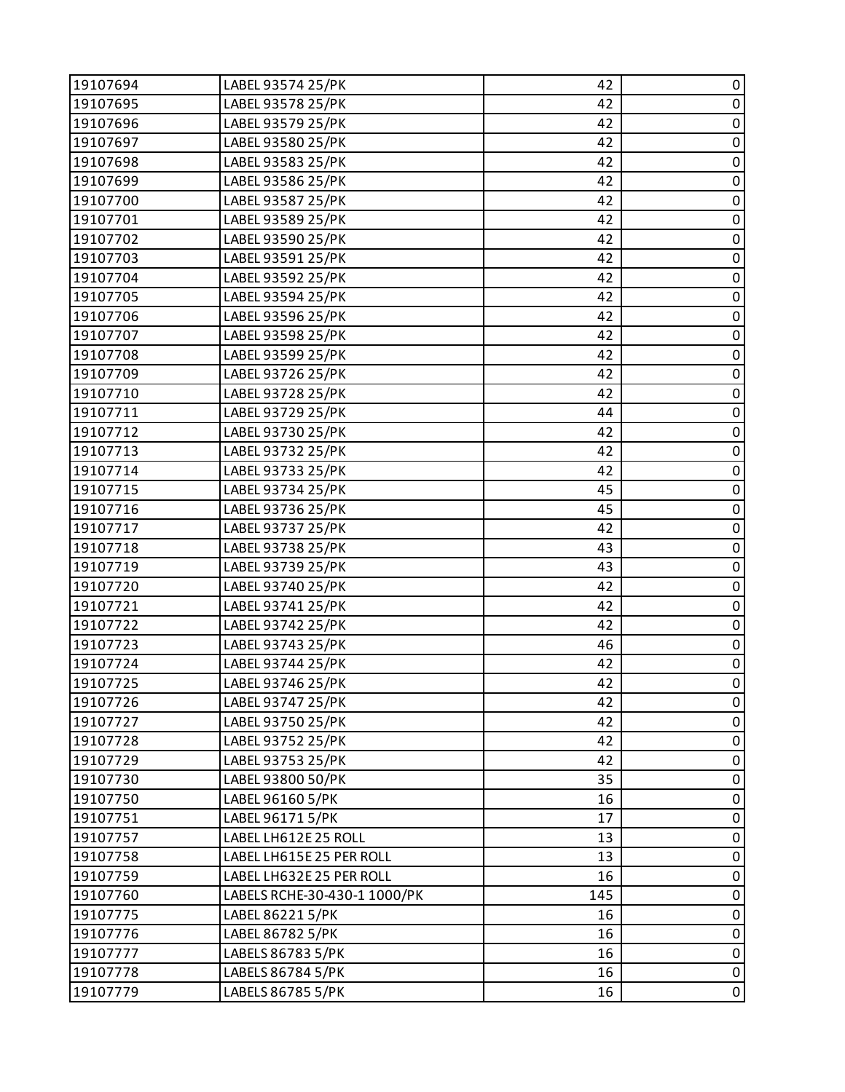| 19107694 | LABEL 93574 25/PK            | 42  | 0           |
|----------|------------------------------|-----|-------------|
| 19107695 | LABEL 93578 25/PK            | 42  | $\pmb{0}$   |
| 19107696 | LABEL 93579 25/PK            | 42  | $\pmb{0}$   |
| 19107697 | LABEL 93580 25/PK            | 42  | $\pmb{0}$   |
| 19107698 | LABEL 93583 25/PK            | 42  | $\pmb{0}$   |
| 19107699 | LABEL 93586 25/PK            | 42  | $\pmb{0}$   |
| 19107700 | LABEL 93587 25/PK            | 42  | $\pmb{0}$   |
| 19107701 | LABEL 93589 25/PK            | 42  | $\pmb{0}$   |
| 19107702 | LABEL 93590 25/PK            | 42  | $\pmb{0}$   |
| 19107703 | LABEL 93591 25/PK            | 42  | $\pmb{0}$   |
| 19107704 | LABEL 93592 25/PK            | 42  | $\pmb{0}$   |
| 19107705 | LABEL 93594 25/PK            | 42  | $\pmb{0}$   |
| 19107706 | LABEL 93596 25/PK            | 42  | $\pmb{0}$   |
| 19107707 | LABEL 93598 25/PK            | 42  | $\pmb{0}$   |
| 19107708 | LABEL 93599 25/PK            | 42  | $\pmb{0}$   |
| 19107709 | LABEL 93726 25/PK            | 42  | $\pmb{0}$   |
| 19107710 | LABEL 93728 25/PK            | 42  | $\pmb{0}$   |
| 19107711 | LABEL 93729 25/PK            | 44  | $\pmb{0}$   |
| 19107712 | LABEL 93730 25/PK            | 42  | $\mathbf 0$ |
| 19107713 | LABEL 93732 25/PK            | 42  | $\pmb{0}$   |
| 19107714 | LABEL 93733 25/PK            | 42  | $\pmb{0}$   |
| 19107715 | LABEL 93734 25/PK            | 45  | $\pmb{0}$   |
| 19107716 | LABEL 93736 25/PK            | 45  | $\pmb{0}$   |
| 19107717 | LABEL 93737 25/PK            | 42  | $\pmb{0}$   |
| 19107718 | LABEL 93738 25/PK            | 43  | $\pmb{0}$   |
| 19107719 | LABEL 93739 25/PK            | 43  | $\pmb{0}$   |
| 19107720 | LABEL 93740 25/PK            | 42  | $\pmb{0}$   |
| 19107721 | LABEL 93741 25/PK            | 42  | $\pmb{0}$   |
| 19107722 | LABEL 93742 25/PK            | 42  | $\pmb{0}$   |
| 19107723 | LABEL 93743 25/PK            | 46  | $\pmb{0}$   |
| 19107724 | LABEL 93744 25/PK            | 42  | $\mathbf 0$ |
| 19107725 | LABEL 93746 25/PK            | 42  | $\pmb{0}$   |
| 19107726 | LABEL 93747 25/PK            | 42  | 0           |
| 19107727 | LABEL 93750 25/PK            | 42  | 0           |
| 19107728 | LABEL 93752 25/PK            | 42  | $\pmb{0}$   |
| 19107729 | LABEL 93753 25/PK            | 42  | $\pmb{0}$   |
| 19107730 | LABEL 93800 50/PK            | 35  | $\pmb{0}$   |
| 19107750 | LABEL 96160 5/PK             | 16  | 0           |
| 19107751 | LABEL 96171 5/PK             | 17  | $\pmb{0}$   |
| 19107757 | LABEL LH612E 25 ROLL         | 13  | $\pmb{0}$   |
| 19107758 | LABEL LH615E 25 PER ROLL     | 13  | $\pmb{0}$   |
| 19107759 | LABEL LH632E 25 PER ROLL     | 16  | $\pmb{0}$   |
| 19107760 | LABELS RCHE-30-430-1 1000/PK | 145 | $\pmb{0}$   |
| 19107775 | LABEL 86221 5/PK             | 16  | 0           |
| 19107776 | LABEL 86782 5/PK             | 16  | $\pmb{0}$   |
| 19107777 | LABELS 86783 5/PK            | 16  | $\pmb{0}$   |
| 19107778 | LABELS 86784 5/PK            | 16  | 0           |
| 19107779 | LABELS 86785 5/PK            | 16  | $\pmb{0}$   |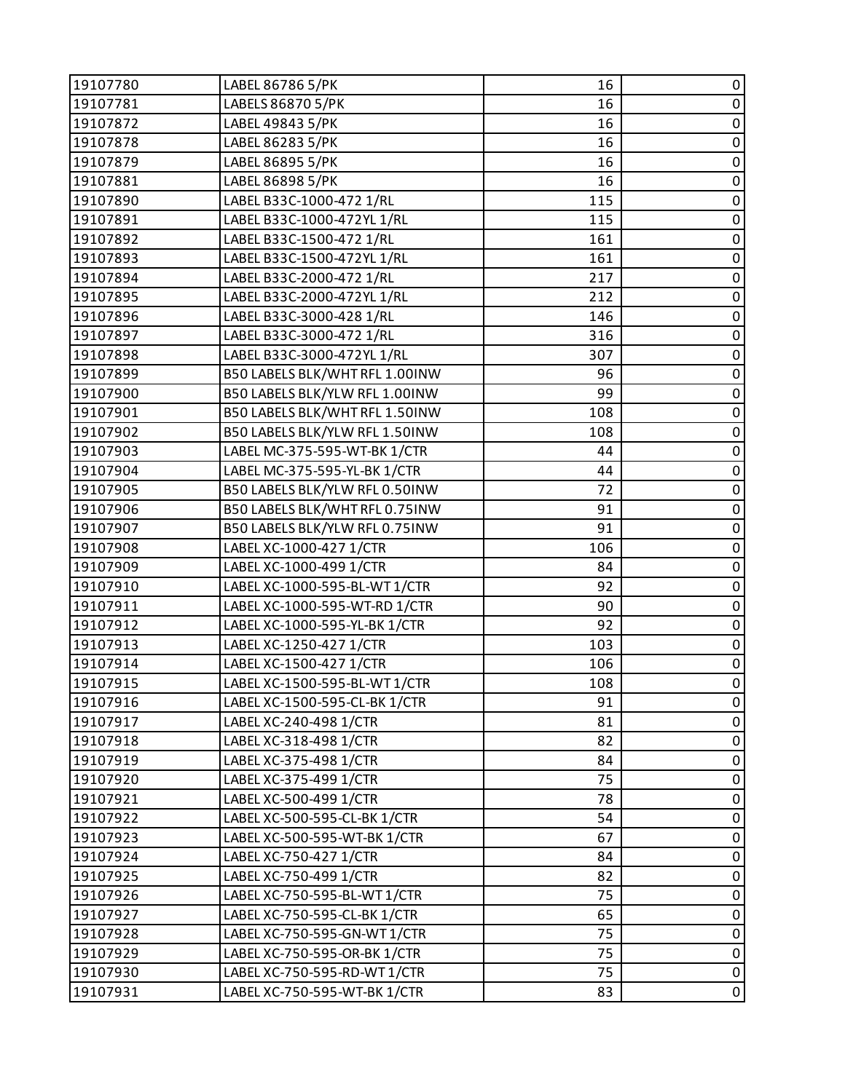| 19107781<br>LABELS 86870 5/PK<br>16<br>$\pmb{0}$<br>$\pmb{0}$<br>19107872<br>LABEL 49843 5/PK<br>16<br>$\pmb{0}$<br>LABEL 86283 5/PK<br>16<br>19107878<br>$\pmb{0}$<br>16<br>19107879<br>LABEL 86895 5/PK<br>$\pmb{0}$<br>19107881<br>LABEL 86898 5/PK<br>16<br>$\pmb{0}$<br>LABEL B33C-1000-472 1/RL<br>115<br>19107890<br>$\pmb{0}$<br>LABEL B33C-1000-472YL 1/RL<br>115<br>19107891<br>LABEL B33C-1500-472 1/RL<br>$\pmb{0}$<br>19107892<br>161<br>$\pmb{0}$<br>LABEL B33C-1500-472YL 1/RL<br>19107893<br>161<br>$\pmb{0}$<br>LABEL B33C-2000-472 1/RL<br>217<br>19107894<br>LABEL B33C-2000-472YL 1/RL<br>$\pmb{0}$<br>19107895<br>212<br>$\pmb{0}$<br>19107896<br>LABEL B33C-3000-428 1/RL<br>146<br>$\pmb{0}$<br>19107897<br>LABEL B33C-3000-472 1/RL<br>316<br>LABEL B33C-3000-472YL 1/RL<br>$\pmb{0}$<br>19107898<br>307<br>$\pmb{0}$<br>B50 LABELS BLK/WHT RFL 1.00INW<br>19107899<br>96<br>$\pmb{0}$<br>B50 LABELS BLK/YLW RFL 1.00INW<br>99<br>19107900<br>B50 LABELS BLK/WHT RFL 1.50INW<br>$\pmb{0}$<br>19107901<br>108<br>$\pmb{0}$<br>19107902<br>B50 LABELS BLK/YLW RFL 1.50INW<br>108<br>$\pmb{0}$<br>LABEL MC-375-595-WT-BK 1/CTR<br>19107903<br>44<br>LABEL MC-375-595-YL-BK 1/CTR<br>$\pmb{0}$<br>19107904<br>44<br>$\pmb{0}$<br>72<br>19107905<br>B50 LABELS BLK/YLW RFL 0.50INW<br>B50 LABELS BLK/WHT RFL 0.75INW<br>$\pmb{0}$<br>19107906<br>91<br>B50 LABELS BLK/YLW RFL 0.75INW<br>91<br>$\pmb{0}$<br>19107907<br>$\pmb{0}$<br>19107908<br>LABEL XC-1000-427 1/CTR<br>106<br>$\pmb{0}$<br>LABEL XC-1000-499 1/CTR<br>19107909<br>84<br>LABEL XC-1000-595-BL-WT 1/CTR<br>92<br>$\pmb{0}$<br>19107910<br>$\pmb{0}$<br>19107911<br>LABEL XC-1000-595-WT-RD 1/CTR<br>90<br>$\pmb{0}$<br>19107912<br>LABEL XC-1000-595-YL-BK 1/CTR<br>92<br>LABEL XC-1250-427 1/CTR<br>$\pmb{0}$<br>19107913<br>103<br>$\pmb{0}$<br>LABEL XC-1500-427 1/CTR<br>19107914<br>106<br>$\pmb{0}$<br>19107915<br>108<br>LABEL XC-1500-595-BL-WT 1/CTR<br>19107916<br>LABEL XC-1500-595-CL-BK 1/CTR<br>91<br>$\mathbf 0$<br>19107917<br>LABEL XC-240-498 1/CTR<br>81<br>0<br>$\pmb{0}$<br>82<br>19107918<br>LABEL XC-318-498 1/CTR<br>$\pmb{0}$<br>19107919<br>LABEL XC-375-498 1/CTR<br>84<br>$\pmb{0}$<br>19107920<br>LABEL XC-375-499 1/CTR<br>75<br>$\pmb{0}$<br>19107921<br>LABEL XC-500-499 1/CTR<br>78<br>54<br>19107922<br>LABEL XC-500-595-CL-BK 1/CTR<br>0<br>$\pmb{0}$<br>67<br>19107923<br>LABEL XC-500-595-WT-BK 1/CTR<br>$\pmb{0}$<br>19107924<br>LABEL XC-750-427 1/CTR<br>84<br>$\pmb{0}$<br>19107925<br>LABEL XC-750-499 1/CTR<br>82<br>$\pmb{0}$<br>19107926<br>LABEL XC-750-595-BL-WT 1/CTR<br>75<br>$\pmb{0}$<br>19107927<br>LABEL XC-750-595-CL-BK 1/CTR<br>65<br>19107928<br>0<br>LABEL XC-750-595-GN-WT 1/CTR<br>75<br>$\pmb{0}$<br>19107929<br>75<br>LABEL XC-750-595-OR-BK 1/CTR<br>$\pmb{0}$<br>75<br>19107930<br>LABEL XC-750-595-RD-WT1/CTR<br>19107931<br>LABEL XC-750-595-WT-BK 1/CTR<br>83 | 19107780 | LABEL 86786 5/PK | 16 | 0              |
|------------------------------------------------------------------------------------------------------------------------------------------------------------------------------------------------------------------------------------------------------------------------------------------------------------------------------------------------------------------------------------------------------------------------------------------------------------------------------------------------------------------------------------------------------------------------------------------------------------------------------------------------------------------------------------------------------------------------------------------------------------------------------------------------------------------------------------------------------------------------------------------------------------------------------------------------------------------------------------------------------------------------------------------------------------------------------------------------------------------------------------------------------------------------------------------------------------------------------------------------------------------------------------------------------------------------------------------------------------------------------------------------------------------------------------------------------------------------------------------------------------------------------------------------------------------------------------------------------------------------------------------------------------------------------------------------------------------------------------------------------------------------------------------------------------------------------------------------------------------------------------------------------------------------------------------------------------------------------------------------------------------------------------------------------------------------------------------------------------------------------------------------------------------------------------------------------------------------------------------------------------------------------------------------------------------------------------------------------------------------------------------------------------------------------------------------------------------------------------------------------------------------------------------------------------------------------------------------------------------------------------------------------------------------------------------------------------------------------------------------------------------------------------------------------------------------------------------------------------------------------------------------------------------------|----------|------------------|----|----------------|
|                                                                                                                                                                                                                                                                                                                                                                                                                                                                                                                                                                                                                                                                                                                                                                                                                                                                                                                                                                                                                                                                                                                                                                                                                                                                                                                                                                                                                                                                                                                                                                                                                                                                                                                                                                                                                                                                                                                                                                                                                                                                                                                                                                                                                                                                                                                                                                                                                                                                                                                                                                                                                                                                                                                                                                                                                                                                                                                        |          |                  |    |                |
|                                                                                                                                                                                                                                                                                                                                                                                                                                                                                                                                                                                                                                                                                                                                                                                                                                                                                                                                                                                                                                                                                                                                                                                                                                                                                                                                                                                                                                                                                                                                                                                                                                                                                                                                                                                                                                                                                                                                                                                                                                                                                                                                                                                                                                                                                                                                                                                                                                                                                                                                                                                                                                                                                                                                                                                                                                                                                                                        |          |                  |    |                |
|                                                                                                                                                                                                                                                                                                                                                                                                                                                                                                                                                                                                                                                                                                                                                                                                                                                                                                                                                                                                                                                                                                                                                                                                                                                                                                                                                                                                                                                                                                                                                                                                                                                                                                                                                                                                                                                                                                                                                                                                                                                                                                                                                                                                                                                                                                                                                                                                                                                                                                                                                                                                                                                                                                                                                                                                                                                                                                                        |          |                  |    |                |
|                                                                                                                                                                                                                                                                                                                                                                                                                                                                                                                                                                                                                                                                                                                                                                                                                                                                                                                                                                                                                                                                                                                                                                                                                                                                                                                                                                                                                                                                                                                                                                                                                                                                                                                                                                                                                                                                                                                                                                                                                                                                                                                                                                                                                                                                                                                                                                                                                                                                                                                                                                                                                                                                                                                                                                                                                                                                                                                        |          |                  |    |                |
|                                                                                                                                                                                                                                                                                                                                                                                                                                                                                                                                                                                                                                                                                                                                                                                                                                                                                                                                                                                                                                                                                                                                                                                                                                                                                                                                                                                                                                                                                                                                                                                                                                                                                                                                                                                                                                                                                                                                                                                                                                                                                                                                                                                                                                                                                                                                                                                                                                                                                                                                                                                                                                                                                                                                                                                                                                                                                                                        |          |                  |    |                |
|                                                                                                                                                                                                                                                                                                                                                                                                                                                                                                                                                                                                                                                                                                                                                                                                                                                                                                                                                                                                                                                                                                                                                                                                                                                                                                                                                                                                                                                                                                                                                                                                                                                                                                                                                                                                                                                                                                                                                                                                                                                                                                                                                                                                                                                                                                                                                                                                                                                                                                                                                                                                                                                                                                                                                                                                                                                                                                                        |          |                  |    |                |
|                                                                                                                                                                                                                                                                                                                                                                                                                                                                                                                                                                                                                                                                                                                                                                                                                                                                                                                                                                                                                                                                                                                                                                                                                                                                                                                                                                                                                                                                                                                                                                                                                                                                                                                                                                                                                                                                                                                                                                                                                                                                                                                                                                                                                                                                                                                                                                                                                                                                                                                                                                                                                                                                                                                                                                                                                                                                                                                        |          |                  |    |                |
|                                                                                                                                                                                                                                                                                                                                                                                                                                                                                                                                                                                                                                                                                                                                                                                                                                                                                                                                                                                                                                                                                                                                                                                                                                                                                                                                                                                                                                                                                                                                                                                                                                                                                                                                                                                                                                                                                                                                                                                                                                                                                                                                                                                                                                                                                                                                                                                                                                                                                                                                                                                                                                                                                                                                                                                                                                                                                                                        |          |                  |    |                |
|                                                                                                                                                                                                                                                                                                                                                                                                                                                                                                                                                                                                                                                                                                                                                                                                                                                                                                                                                                                                                                                                                                                                                                                                                                                                                                                                                                                                                                                                                                                                                                                                                                                                                                                                                                                                                                                                                                                                                                                                                                                                                                                                                                                                                                                                                                                                                                                                                                                                                                                                                                                                                                                                                                                                                                                                                                                                                                                        |          |                  |    |                |
|                                                                                                                                                                                                                                                                                                                                                                                                                                                                                                                                                                                                                                                                                                                                                                                                                                                                                                                                                                                                                                                                                                                                                                                                                                                                                                                                                                                                                                                                                                                                                                                                                                                                                                                                                                                                                                                                                                                                                                                                                                                                                                                                                                                                                                                                                                                                                                                                                                                                                                                                                                                                                                                                                                                                                                                                                                                                                                                        |          |                  |    |                |
|                                                                                                                                                                                                                                                                                                                                                                                                                                                                                                                                                                                                                                                                                                                                                                                                                                                                                                                                                                                                                                                                                                                                                                                                                                                                                                                                                                                                                                                                                                                                                                                                                                                                                                                                                                                                                                                                                                                                                                                                                                                                                                                                                                                                                                                                                                                                                                                                                                                                                                                                                                                                                                                                                                                                                                                                                                                                                                                        |          |                  |    |                |
|                                                                                                                                                                                                                                                                                                                                                                                                                                                                                                                                                                                                                                                                                                                                                                                                                                                                                                                                                                                                                                                                                                                                                                                                                                                                                                                                                                                                                                                                                                                                                                                                                                                                                                                                                                                                                                                                                                                                                                                                                                                                                                                                                                                                                                                                                                                                                                                                                                                                                                                                                                                                                                                                                                                                                                                                                                                                                                                        |          |                  |    |                |
|                                                                                                                                                                                                                                                                                                                                                                                                                                                                                                                                                                                                                                                                                                                                                                                                                                                                                                                                                                                                                                                                                                                                                                                                                                                                                                                                                                                                                                                                                                                                                                                                                                                                                                                                                                                                                                                                                                                                                                                                                                                                                                                                                                                                                                                                                                                                                                                                                                                                                                                                                                                                                                                                                                                                                                                                                                                                                                                        |          |                  |    |                |
|                                                                                                                                                                                                                                                                                                                                                                                                                                                                                                                                                                                                                                                                                                                                                                                                                                                                                                                                                                                                                                                                                                                                                                                                                                                                                                                                                                                                                                                                                                                                                                                                                                                                                                                                                                                                                                                                                                                                                                                                                                                                                                                                                                                                                                                                                                                                                                                                                                                                                                                                                                                                                                                                                                                                                                                                                                                                                                                        |          |                  |    |                |
|                                                                                                                                                                                                                                                                                                                                                                                                                                                                                                                                                                                                                                                                                                                                                                                                                                                                                                                                                                                                                                                                                                                                                                                                                                                                                                                                                                                                                                                                                                                                                                                                                                                                                                                                                                                                                                                                                                                                                                                                                                                                                                                                                                                                                                                                                                                                                                                                                                                                                                                                                                                                                                                                                                                                                                                                                                                                                                                        |          |                  |    |                |
|                                                                                                                                                                                                                                                                                                                                                                                                                                                                                                                                                                                                                                                                                                                                                                                                                                                                                                                                                                                                                                                                                                                                                                                                                                                                                                                                                                                                                                                                                                                                                                                                                                                                                                                                                                                                                                                                                                                                                                                                                                                                                                                                                                                                                                                                                                                                                                                                                                                                                                                                                                                                                                                                                                                                                                                                                                                                                                                        |          |                  |    |                |
|                                                                                                                                                                                                                                                                                                                                                                                                                                                                                                                                                                                                                                                                                                                                                                                                                                                                                                                                                                                                                                                                                                                                                                                                                                                                                                                                                                                                                                                                                                                                                                                                                                                                                                                                                                                                                                                                                                                                                                                                                                                                                                                                                                                                                                                                                                                                                                                                                                                                                                                                                                                                                                                                                                                                                                                                                                                                                                                        |          |                  |    |                |
|                                                                                                                                                                                                                                                                                                                                                                                                                                                                                                                                                                                                                                                                                                                                                                                                                                                                                                                                                                                                                                                                                                                                                                                                                                                                                                                                                                                                                                                                                                                                                                                                                                                                                                                                                                                                                                                                                                                                                                                                                                                                                                                                                                                                                                                                                                                                                                                                                                                                                                                                                                                                                                                                                                                                                                                                                                                                                                                        |          |                  |    |                |
|                                                                                                                                                                                                                                                                                                                                                                                                                                                                                                                                                                                                                                                                                                                                                                                                                                                                                                                                                                                                                                                                                                                                                                                                                                                                                                                                                                                                                                                                                                                                                                                                                                                                                                                                                                                                                                                                                                                                                                                                                                                                                                                                                                                                                                                                                                                                                                                                                                                                                                                                                                                                                                                                                                                                                                                                                                                                                                                        |          |                  |    |                |
|                                                                                                                                                                                                                                                                                                                                                                                                                                                                                                                                                                                                                                                                                                                                                                                                                                                                                                                                                                                                                                                                                                                                                                                                                                                                                                                                                                                                                                                                                                                                                                                                                                                                                                                                                                                                                                                                                                                                                                                                                                                                                                                                                                                                                                                                                                                                                                                                                                                                                                                                                                                                                                                                                                                                                                                                                                                                                                                        |          |                  |    |                |
|                                                                                                                                                                                                                                                                                                                                                                                                                                                                                                                                                                                                                                                                                                                                                                                                                                                                                                                                                                                                                                                                                                                                                                                                                                                                                                                                                                                                                                                                                                                                                                                                                                                                                                                                                                                                                                                                                                                                                                                                                                                                                                                                                                                                                                                                                                                                                                                                                                                                                                                                                                                                                                                                                                                                                                                                                                                                                                                        |          |                  |    |                |
|                                                                                                                                                                                                                                                                                                                                                                                                                                                                                                                                                                                                                                                                                                                                                                                                                                                                                                                                                                                                                                                                                                                                                                                                                                                                                                                                                                                                                                                                                                                                                                                                                                                                                                                                                                                                                                                                                                                                                                                                                                                                                                                                                                                                                                                                                                                                                                                                                                                                                                                                                                                                                                                                                                                                                                                                                                                                                                                        |          |                  |    |                |
|                                                                                                                                                                                                                                                                                                                                                                                                                                                                                                                                                                                                                                                                                                                                                                                                                                                                                                                                                                                                                                                                                                                                                                                                                                                                                                                                                                                                                                                                                                                                                                                                                                                                                                                                                                                                                                                                                                                                                                                                                                                                                                                                                                                                                                                                                                                                                                                                                                                                                                                                                                                                                                                                                                                                                                                                                                                                                                                        |          |                  |    |                |
|                                                                                                                                                                                                                                                                                                                                                                                                                                                                                                                                                                                                                                                                                                                                                                                                                                                                                                                                                                                                                                                                                                                                                                                                                                                                                                                                                                                                                                                                                                                                                                                                                                                                                                                                                                                                                                                                                                                                                                                                                                                                                                                                                                                                                                                                                                                                                                                                                                                                                                                                                                                                                                                                                                                                                                                                                                                                                                                        |          |                  |    |                |
|                                                                                                                                                                                                                                                                                                                                                                                                                                                                                                                                                                                                                                                                                                                                                                                                                                                                                                                                                                                                                                                                                                                                                                                                                                                                                                                                                                                                                                                                                                                                                                                                                                                                                                                                                                                                                                                                                                                                                                                                                                                                                                                                                                                                                                                                                                                                                                                                                                                                                                                                                                                                                                                                                                                                                                                                                                                                                                                        |          |                  |    |                |
|                                                                                                                                                                                                                                                                                                                                                                                                                                                                                                                                                                                                                                                                                                                                                                                                                                                                                                                                                                                                                                                                                                                                                                                                                                                                                                                                                                                                                                                                                                                                                                                                                                                                                                                                                                                                                                                                                                                                                                                                                                                                                                                                                                                                                                                                                                                                                                                                                                                                                                                                                                                                                                                                                                                                                                                                                                                                                                                        |          |                  |    |                |
|                                                                                                                                                                                                                                                                                                                                                                                                                                                                                                                                                                                                                                                                                                                                                                                                                                                                                                                                                                                                                                                                                                                                                                                                                                                                                                                                                                                                                                                                                                                                                                                                                                                                                                                                                                                                                                                                                                                                                                                                                                                                                                                                                                                                                                                                                                                                                                                                                                                                                                                                                                                                                                                                                                                                                                                                                                                                                                                        |          |                  |    |                |
|                                                                                                                                                                                                                                                                                                                                                                                                                                                                                                                                                                                                                                                                                                                                                                                                                                                                                                                                                                                                                                                                                                                                                                                                                                                                                                                                                                                                                                                                                                                                                                                                                                                                                                                                                                                                                                                                                                                                                                                                                                                                                                                                                                                                                                                                                                                                                                                                                                                                                                                                                                                                                                                                                                                                                                                                                                                                                                                        |          |                  |    |                |
|                                                                                                                                                                                                                                                                                                                                                                                                                                                                                                                                                                                                                                                                                                                                                                                                                                                                                                                                                                                                                                                                                                                                                                                                                                                                                                                                                                                                                                                                                                                                                                                                                                                                                                                                                                                                                                                                                                                                                                                                                                                                                                                                                                                                                                                                                                                                                                                                                                                                                                                                                                                                                                                                                                                                                                                                                                                                                                                        |          |                  |    |                |
|                                                                                                                                                                                                                                                                                                                                                                                                                                                                                                                                                                                                                                                                                                                                                                                                                                                                                                                                                                                                                                                                                                                                                                                                                                                                                                                                                                                                                                                                                                                                                                                                                                                                                                                                                                                                                                                                                                                                                                                                                                                                                                                                                                                                                                                                                                                                                                                                                                                                                                                                                                                                                                                                                                                                                                                                                                                                                                                        |          |                  |    |                |
|                                                                                                                                                                                                                                                                                                                                                                                                                                                                                                                                                                                                                                                                                                                                                                                                                                                                                                                                                                                                                                                                                                                                                                                                                                                                                                                                                                                                                                                                                                                                                                                                                                                                                                                                                                                                                                                                                                                                                                                                                                                                                                                                                                                                                                                                                                                                                                                                                                                                                                                                                                                                                                                                                                                                                                                                                                                                                                                        |          |                  |    |                |
|                                                                                                                                                                                                                                                                                                                                                                                                                                                                                                                                                                                                                                                                                                                                                                                                                                                                                                                                                                                                                                                                                                                                                                                                                                                                                                                                                                                                                                                                                                                                                                                                                                                                                                                                                                                                                                                                                                                                                                                                                                                                                                                                                                                                                                                                                                                                                                                                                                                                                                                                                                                                                                                                                                                                                                                                                                                                                                                        |          |                  |    |                |
|                                                                                                                                                                                                                                                                                                                                                                                                                                                                                                                                                                                                                                                                                                                                                                                                                                                                                                                                                                                                                                                                                                                                                                                                                                                                                                                                                                                                                                                                                                                                                                                                                                                                                                                                                                                                                                                                                                                                                                                                                                                                                                                                                                                                                                                                                                                                                                                                                                                                                                                                                                                                                                                                                                                                                                                                                                                                                                                        |          |                  |    |                |
|                                                                                                                                                                                                                                                                                                                                                                                                                                                                                                                                                                                                                                                                                                                                                                                                                                                                                                                                                                                                                                                                                                                                                                                                                                                                                                                                                                                                                                                                                                                                                                                                                                                                                                                                                                                                                                                                                                                                                                                                                                                                                                                                                                                                                                                                                                                                                                                                                                                                                                                                                                                                                                                                                                                                                                                                                                                                                                                        |          |                  |    |                |
|                                                                                                                                                                                                                                                                                                                                                                                                                                                                                                                                                                                                                                                                                                                                                                                                                                                                                                                                                                                                                                                                                                                                                                                                                                                                                                                                                                                                                                                                                                                                                                                                                                                                                                                                                                                                                                                                                                                                                                                                                                                                                                                                                                                                                                                                                                                                                                                                                                                                                                                                                                                                                                                                                                                                                                                                                                                                                                                        |          |                  |    |                |
|                                                                                                                                                                                                                                                                                                                                                                                                                                                                                                                                                                                                                                                                                                                                                                                                                                                                                                                                                                                                                                                                                                                                                                                                                                                                                                                                                                                                                                                                                                                                                                                                                                                                                                                                                                                                                                                                                                                                                                                                                                                                                                                                                                                                                                                                                                                                                                                                                                                                                                                                                                                                                                                                                                                                                                                                                                                                                                                        |          |                  |    |                |
|                                                                                                                                                                                                                                                                                                                                                                                                                                                                                                                                                                                                                                                                                                                                                                                                                                                                                                                                                                                                                                                                                                                                                                                                                                                                                                                                                                                                                                                                                                                                                                                                                                                                                                                                                                                                                                                                                                                                                                                                                                                                                                                                                                                                                                                                                                                                                                                                                                                                                                                                                                                                                                                                                                                                                                                                                                                                                                                        |          |                  |    |                |
|                                                                                                                                                                                                                                                                                                                                                                                                                                                                                                                                                                                                                                                                                                                                                                                                                                                                                                                                                                                                                                                                                                                                                                                                                                                                                                                                                                                                                                                                                                                                                                                                                                                                                                                                                                                                                                                                                                                                                                                                                                                                                                                                                                                                                                                                                                                                                                                                                                                                                                                                                                                                                                                                                                                                                                                                                                                                                                                        |          |                  |    |                |
|                                                                                                                                                                                                                                                                                                                                                                                                                                                                                                                                                                                                                                                                                                                                                                                                                                                                                                                                                                                                                                                                                                                                                                                                                                                                                                                                                                                                                                                                                                                                                                                                                                                                                                                                                                                                                                                                                                                                                                                                                                                                                                                                                                                                                                                                                                                                                                                                                                                                                                                                                                                                                                                                                                                                                                                                                                                                                                                        |          |                  |    |                |
|                                                                                                                                                                                                                                                                                                                                                                                                                                                                                                                                                                                                                                                                                                                                                                                                                                                                                                                                                                                                                                                                                                                                                                                                                                                                                                                                                                                                                                                                                                                                                                                                                                                                                                                                                                                                                                                                                                                                                                                                                                                                                                                                                                                                                                                                                                                                                                                                                                                                                                                                                                                                                                                                                                                                                                                                                                                                                                                        |          |                  |    |                |
|                                                                                                                                                                                                                                                                                                                                                                                                                                                                                                                                                                                                                                                                                                                                                                                                                                                                                                                                                                                                                                                                                                                                                                                                                                                                                                                                                                                                                                                                                                                                                                                                                                                                                                                                                                                                                                                                                                                                                                                                                                                                                                                                                                                                                                                                                                                                                                                                                                                                                                                                                                                                                                                                                                                                                                                                                                                                                                                        |          |                  |    |                |
|                                                                                                                                                                                                                                                                                                                                                                                                                                                                                                                                                                                                                                                                                                                                                                                                                                                                                                                                                                                                                                                                                                                                                                                                                                                                                                                                                                                                                                                                                                                                                                                                                                                                                                                                                                                                                                                                                                                                                                                                                                                                                                                                                                                                                                                                                                                                                                                                                                                                                                                                                                                                                                                                                                                                                                                                                                                                                                                        |          |                  |    |                |
|                                                                                                                                                                                                                                                                                                                                                                                                                                                                                                                                                                                                                                                                                                                                                                                                                                                                                                                                                                                                                                                                                                                                                                                                                                                                                                                                                                                                                                                                                                                                                                                                                                                                                                                                                                                                                                                                                                                                                                                                                                                                                                                                                                                                                                                                                                                                                                                                                                                                                                                                                                                                                                                                                                                                                                                                                                                                                                                        |          |                  |    |                |
|                                                                                                                                                                                                                                                                                                                                                                                                                                                                                                                                                                                                                                                                                                                                                                                                                                                                                                                                                                                                                                                                                                                                                                                                                                                                                                                                                                                                                                                                                                                                                                                                                                                                                                                                                                                                                                                                                                                                                                                                                                                                                                                                                                                                                                                                                                                                                                                                                                                                                                                                                                                                                                                                                                                                                                                                                                                                                                                        |          |                  |    |                |
|                                                                                                                                                                                                                                                                                                                                                                                                                                                                                                                                                                                                                                                                                                                                                                                                                                                                                                                                                                                                                                                                                                                                                                                                                                                                                                                                                                                                                                                                                                                                                                                                                                                                                                                                                                                                                                                                                                                                                                                                                                                                                                                                                                                                                                                                                                                                                                                                                                                                                                                                                                                                                                                                                                                                                                                                                                                                                                                        |          |                  |    |                |
|                                                                                                                                                                                                                                                                                                                                                                                                                                                                                                                                                                                                                                                                                                                                                                                                                                                                                                                                                                                                                                                                                                                                                                                                                                                                                                                                                                                                                                                                                                                                                                                                                                                                                                                                                                                                                                                                                                                                                                                                                                                                                                                                                                                                                                                                                                                                                                                                                                                                                                                                                                                                                                                                                                                                                                                                                                                                                                                        |          |                  |    |                |
|                                                                                                                                                                                                                                                                                                                                                                                                                                                                                                                                                                                                                                                                                                                                                                                                                                                                                                                                                                                                                                                                                                                                                                                                                                                                                                                                                                                                                                                                                                                                                                                                                                                                                                                                                                                                                                                                                                                                                                                                                                                                                                                                                                                                                                                                                                                                                                                                                                                                                                                                                                                                                                                                                                                                                                                                                                                                                                                        |          |                  |    | $\overline{0}$ |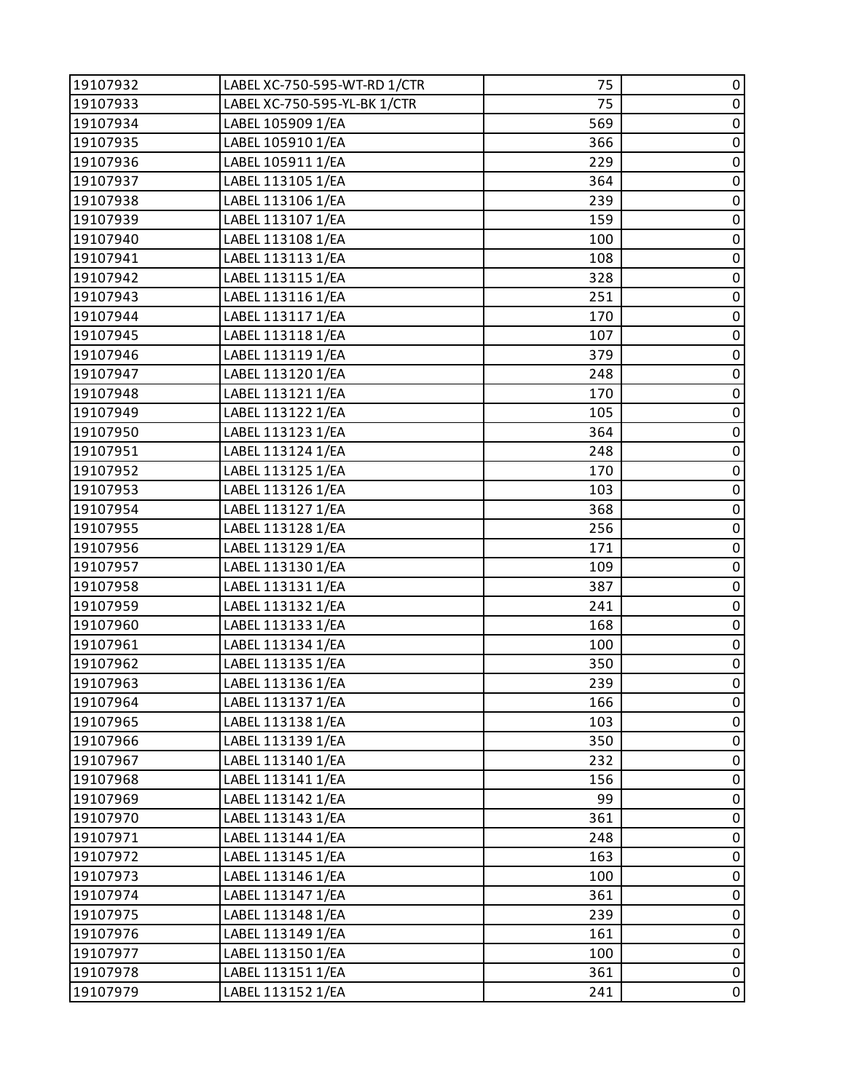| 19107932 | LABEL XC-750-595-WT-RD 1/CTR | 75  | 0           |
|----------|------------------------------|-----|-------------|
| 19107933 | LABEL XC-750-595-YL-BK 1/CTR | 75  | $\pmb{0}$   |
| 19107934 | LABEL 105909 1/EA            | 569 | $\pmb{0}$   |
| 19107935 | LABEL 105910 1/EA            | 366 | $\pmb{0}$   |
| 19107936 | LABEL 105911 1/EA            | 229 | $\pmb{0}$   |
| 19107937 | LABEL 113105 1/EA            | 364 | $\pmb{0}$   |
| 19107938 | LABEL 113106 1/EA            | 239 | $\pmb{0}$   |
| 19107939 | LABEL 113107 1/EA            | 159 | $\pmb{0}$   |
| 19107940 | LABEL 113108 1/EA            | 100 | $\pmb{0}$   |
| 19107941 | LABEL 113113 1/EA            | 108 | $\pmb{0}$   |
| 19107942 | LABEL 113115 1/EA            | 328 | $\pmb{0}$   |
| 19107943 | LABEL 113116 1/EA            | 251 | $\pmb{0}$   |
| 19107944 | LABEL 113117 1/EA            | 170 | $\pmb{0}$   |
| 19107945 | LABEL 113118 1/EA            | 107 | $\pmb{0}$   |
| 19107946 | LABEL 113119 1/EA            | 379 | $\pmb{0}$   |
| 19107947 | LABEL 113120 1/EA            | 248 | $\pmb{0}$   |
| 19107948 | LABEL 113121 1/EA            | 170 | $\pmb{0}$   |
| 19107949 | LABEL 113122 1/EA            | 105 | $\pmb{0}$   |
| 19107950 | LABEL 113123 1/EA            | 364 | $\pmb{0}$   |
| 19107951 | LABEL 113124 1/EA            | 248 | $\pmb{0}$   |
| 19107952 | LABEL 113125 1/EA            | 170 | $\pmb{0}$   |
| 19107953 | LABEL 113126 1/EA            | 103 | $\pmb{0}$   |
| 19107954 | LABEL 113127 1/EA            | 368 | $\pmb{0}$   |
| 19107955 | LABEL 113128 1/EA            | 256 | $\pmb{0}$   |
| 19107956 | LABEL 113129 1/EA            | 171 | $\pmb{0}$   |
| 19107957 | LABEL 113130 1/EA            | 109 | $\pmb{0}$   |
| 19107958 | LABEL 113131 1/EA            | 387 | $\pmb{0}$   |
| 19107959 | LABEL 113132 1/EA            | 241 | $\pmb{0}$   |
| 19107960 | LABEL 113133 1/EA            | 168 | $\pmb{0}$   |
| 19107961 | LABEL 113134 1/EA            | 100 | $\pmb{0}$   |
| 19107962 | LABEL 113135 1/EA            | 350 | $\pmb{0}$   |
| 19107963 | LABEL 113136 1/EA            | 239 | $\pmb{0}$   |
| 19107964 | LABEL 113137 1/EA            | 166 | 0           |
| 19107965 | LABEL 113138 1/EA            | 103 | 0           |
| 19107966 | LABEL 113139 1/EA            | 350 | $\pmb{0}$   |
| 19107967 | LABEL 113140 1/EA            | 232 | $\pmb{0}$   |
| 19107968 | LABEL 113141 1/EA            | 156 | $\pmb{0}$   |
| 19107969 | LABEL 113142 1/EA            | 99  | $\pmb{0}$   |
| 19107970 | LABEL 113143 1/EA            | 361 | $\pmb{0}$   |
| 19107971 | LABEL 113144 1/EA            | 248 | $\pmb{0}$   |
| 19107972 | LABEL 113145 1/EA            | 163 | $\pmb{0}$   |
| 19107973 | LABEL 113146 1/EA            | 100 | 0           |
| 19107974 | LABEL 113147 1/EA            | 361 | $\mathbf 0$ |
| 19107975 | LABEL 113148 1/EA            | 239 | $\pmb{0}$   |
| 19107976 | LABEL 113149 1/EA            | 161 | $\pmb{0}$   |
| 19107977 | LABEL 113150 1/EA            | 100 | $\pmb{0}$   |
| 19107978 | LABEL 113151 1/EA            | 361 | $\pmb{0}$   |
| 19107979 | LABEL 113152 1/EA            | 241 | $\pmb{0}$   |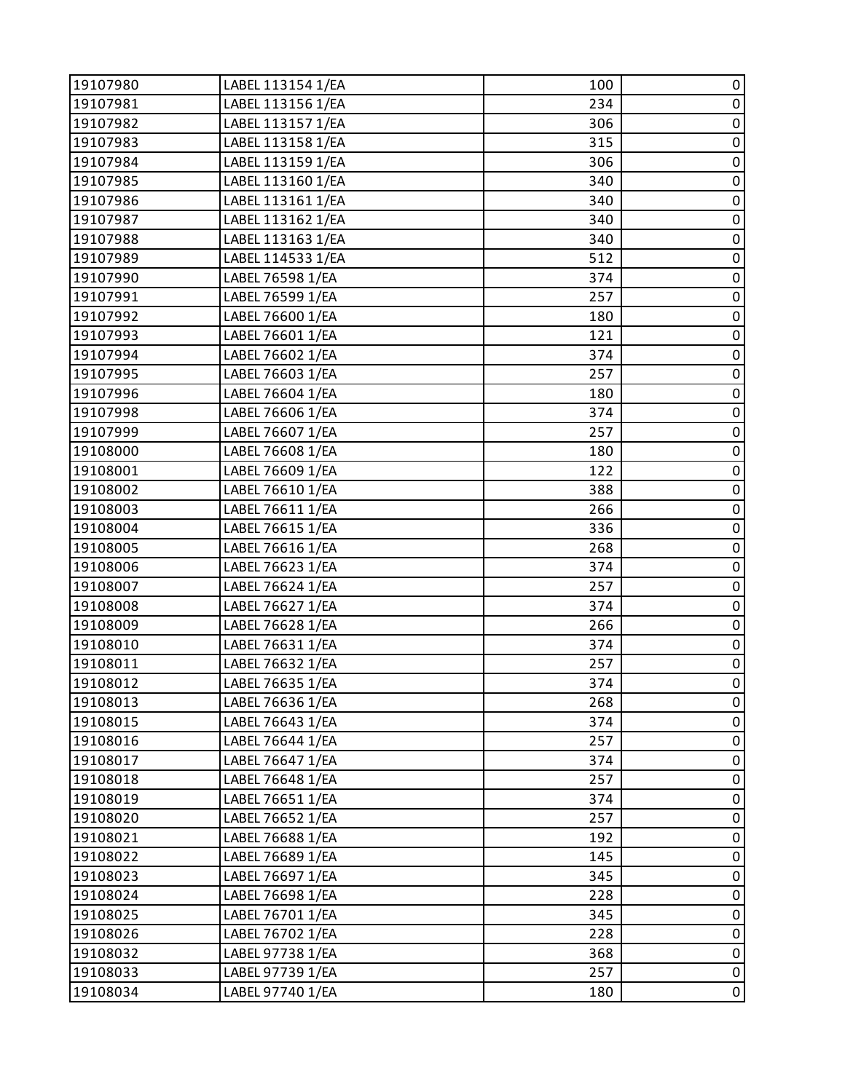| 19107980 | LABEL 113154 1/EA | 100 | 0           |
|----------|-------------------|-----|-------------|
| 19107981 | LABEL 113156 1/EA | 234 | $\pmb{0}$   |
| 19107982 | LABEL 113157 1/EA | 306 | $\pmb{0}$   |
| 19107983 | LABEL 113158 1/EA | 315 | $\pmb{0}$   |
| 19107984 | LABEL 113159 1/EA | 306 | $\pmb{0}$   |
| 19107985 | LABEL 113160 1/EA | 340 | $\pmb{0}$   |
| 19107986 | LABEL 113161 1/EA | 340 | $\pmb{0}$   |
| 19107987 | LABEL 113162 1/EA | 340 | $\pmb{0}$   |
| 19107988 | LABEL 113163 1/EA | 340 | $\pmb{0}$   |
| 19107989 | LABEL 114533 1/EA | 512 | $\pmb{0}$   |
| 19107990 | LABEL 76598 1/EA  | 374 | $\pmb{0}$   |
| 19107991 | LABEL 76599 1/EA  | 257 | $\pmb{0}$   |
| 19107992 | LABEL 76600 1/EA  | 180 | $\pmb{0}$   |
| 19107993 | LABEL 76601 1/EA  | 121 | $\pmb{0}$   |
| 19107994 | LABEL 76602 1/EA  | 374 | $\pmb{0}$   |
| 19107995 | LABEL 76603 1/EA  | 257 | $\pmb{0}$   |
| 19107996 | LABEL 76604 1/EA  | 180 | $\pmb{0}$   |
| 19107998 | LABEL 76606 1/EA  | 374 | $\pmb{0}$   |
| 19107999 | LABEL 76607 1/EA  | 257 | $\pmb{0}$   |
| 19108000 | LABEL 76608 1/EA  | 180 | $\pmb{0}$   |
| 19108001 | LABEL 76609 1/EA  | 122 | $\pmb{0}$   |
| 19108002 | LABEL 76610 1/EA  | 388 | $\pmb{0}$   |
| 19108003 | LABEL 76611 1/EA  | 266 | $\pmb{0}$   |
| 19108004 | LABEL 76615 1/EA  | 336 | $\pmb{0}$   |
| 19108005 | LABEL 76616 1/EA  | 268 | $\pmb{0}$   |
| 19108006 | LABEL 76623 1/EA  | 374 | $\mathbf 0$ |
| 19108007 | LABEL 76624 1/EA  | 257 | $\pmb{0}$   |
| 19108008 | LABEL 76627 1/EA  | 374 | $\pmb{0}$   |
| 19108009 | LABEL 76628 1/EA  | 266 | $\pmb{0}$   |
| 19108010 | LABEL 76631 1/EA  | 374 | $\pmb{0}$   |
| 19108011 | LABEL 76632 1/EA  | 257 | $\pmb{0}$   |
| 19108012 | LABEL 76635 1/EA  | 374 | $\pmb{0}$   |
| 19108013 | LABEL 76636 1/EA  | 268 | 0           |
| 19108015 | LABEL 76643 1/EA  | 374 | 0           |
| 19108016 | LABEL 76644 1/EA  | 257 | $\pmb{0}$   |
| 19108017 | LABEL 76647 1/EA  | 374 | $\pmb{0}$   |
| 19108018 | LABEL 76648 1/EA  | 257 | $\mathbf 0$ |
| 19108019 | LABEL 76651 1/EA  | 374 | $\pmb{0}$   |
| 19108020 | LABEL 76652 1/EA  | 257 | $\pmb{0}$   |
| 19108021 | LABEL 76688 1/EA  | 192 | $\pmb{0}$   |
| 19108022 | LABEL 76689 1/EA  | 145 | $\pmb{0}$   |
| 19108023 | LABEL 76697 1/EA  | 345 | $\pmb{0}$   |
| 19108024 | LABEL 76698 1/EA  | 228 | $\mathbf 0$ |
| 19108025 | LABEL 76701 1/EA  | 345 | $\pmb{0}$   |
| 19108026 | LABEL 76702 1/EA  | 228 | $\pmb{0}$   |
| 19108032 | LABEL 97738 1/EA  | 368 | $\pmb{0}$   |
| 19108033 | LABEL 97739 1/EA  | 257 | $\pmb{0}$   |
| 19108034 | LABEL 97740 1/EA  | 180 | $\pmb{0}$   |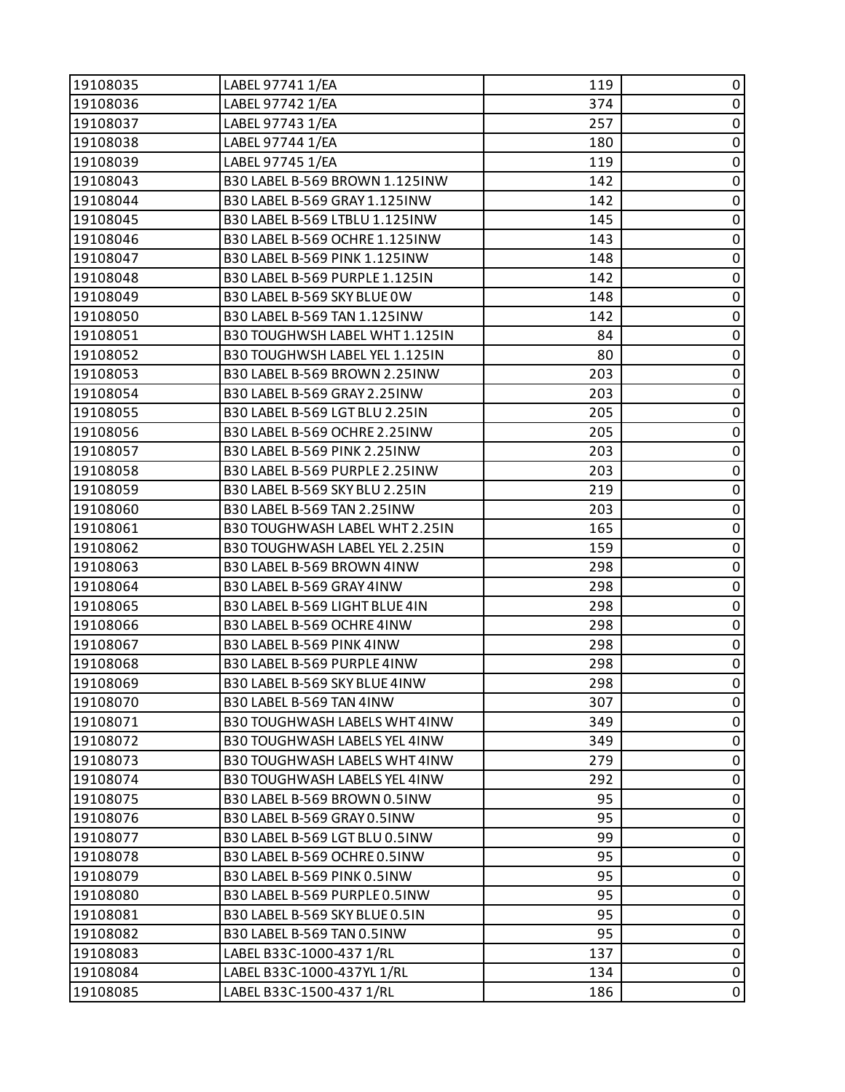| 19108035 | LABEL 97741 1/EA                      | 119 | 0              |
|----------|---------------------------------------|-----|----------------|
| 19108036 | LABEL 97742 1/EA                      | 374 | $\pmb{0}$      |
| 19108037 | LABEL 97743 1/EA                      | 257 | 0              |
| 19108038 | LABEL 97744 1/EA                      | 180 | $\pmb{0}$      |
| 19108039 | LABEL 97745 1/EA                      | 119 | 0              |
| 19108043 | B30 LABEL B-569 BROWN 1.125INW        | 142 | 0              |
| 19108044 | B30 LABEL B-569 GRAY 1.125INW         | 142 | 0              |
| 19108045 | B30 LABEL B-569 LTBLU 1.125INW        | 145 | $\pmb{0}$      |
| 19108046 | B30 LABEL B-569 OCHRE 1.125INW        | 143 | 0              |
| 19108047 | B30 LABEL B-569 PINK 1.125INW         | 148 | 0              |
| 19108048 | B30 LABEL B-569 PURPLE 1.125IN        | 142 | $\pmb{0}$      |
| 19108049 | B30 LABEL B-569 SKY BLUE OW           | 148 | 0              |
| 19108050 | B30 LABEL B-569 TAN 1.125INW          | 142 | $\pmb{0}$      |
| 19108051 | B30 TOUGHWSH LABEL WHT 1.125IN        | 84  | $\pmb{0}$      |
| 19108052 | B30 TOUGHWSH LABEL YEL 1.125IN        | 80  | 0              |
| 19108053 | B30 LABEL B-569 BROWN 2.25INW         | 203 | 0              |
| 19108054 | B30 LABEL B-569 GRAY 2.25INW          | 203 | 0              |
| 19108055 | <b>B30 LABEL B-569 LGT BLU 2.25IN</b> | 205 | 0              |
| 19108056 | B30 LABEL B-569 OCHRE 2.25INW         | 205 | 0              |
| 19108057 | B30 LABEL B-569 PINK 2.25INW          | 203 | $\pmb{0}$      |
| 19108058 | B30 LABEL B-569 PURPLE 2.25INW        | 203 | 0              |
| 19108059 | B30 LABEL B-569 SKY BLU 2.25IN        | 219 | 0              |
| 19108060 | B30 LABEL B-569 TAN 2.25INW           | 203 | 0              |
| 19108061 | <b>B30 TOUGHWASH LABEL WHT 2.25IN</b> | 165 | 0              |
| 19108062 | B30 TOUGHWASH LABEL YEL 2.25IN        | 159 | $\pmb{0}$      |
| 19108063 | B30 LABEL B-569 BROWN 4INW            | 298 | $\pmb{0}$      |
| 19108064 | B30 LABEL B-569 GRAY 4INW             | 298 | 0              |
| 19108065 | B30 LABEL B-569 LIGHT BLUE 4IN        | 298 | 0              |
| 19108066 | B30 LABEL B-569 OCHRE 4INW            | 298 | $\pmb{0}$      |
| 19108067 | B30 LABEL B-569 PINK 4INW             | 298 | 0              |
| 19108068 | B30 LABEL B-569 PURPLE 4INW           | 298 | 0              |
| 19108069 | B30 LABEL B-569 SKY BLUE 4INW         | 298 | $\pmb{0}$      |
| 19108070 | B30 LABEL B-569 TAN 4INW              | 307 | 0              |
| 19108071 | <b>B30 TOUGHWASH LABELS WHT 4INW</b>  | 349 | 0              |
| 19108072 | B30 TOUGHWASH LABELS YEL 4INW         | 349 | 0              |
| 19108073 | B30 TOUGHWASH LABELS WHT 4INW         | 279 | 0              |
| 19108074 | <b>B30 TOUGHWASH LABELS YEL 4INW</b>  | 292 | 0              |
| 19108075 | B30 LABEL B-569 BROWN 0.5INW          | 95  | 0              |
| 19108076 | B30 LABEL B-569 GRAY 0.5INW           | 95  | 0              |
| 19108077 | B30 LABEL B-569 LGT BLU 0.5INW        | 99  | 0              |
| 19108078 | B30 LABEL B-569 OCHRE 0.5INW          | 95  | 0              |
| 19108079 | B30 LABEL B-569 PINK 0.5INW           | 95  | 0              |
| 19108080 | B30 LABEL B-569 PURPLE 0.5INW         | 95  | 0              |
| 19108081 | B30 LABEL B-569 SKY BLUE 0.5IN        | 95  | 0              |
| 19108082 | B30 LABEL B-569 TAN 0.5INW            | 95  | 0              |
| 19108083 | LABEL B33C-1000-437 1/RL              | 137 | 0              |
| 19108084 | LABEL B33C-1000-437YL 1/RL            | 134 | $\pmb{0}$      |
| 19108085 | LABEL B33C-1500-437 1/RL              | 186 | $\overline{0}$ |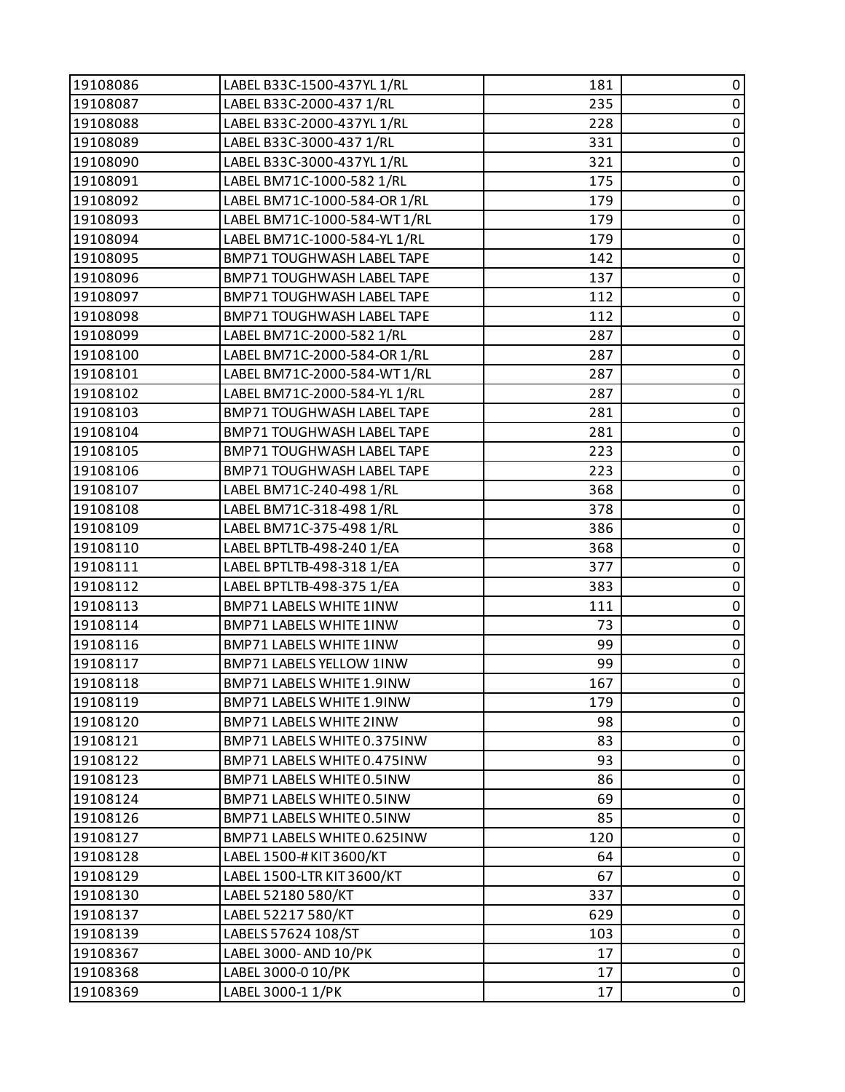| 19108086 | LABEL B33C-1500-437YL 1/RL        | 181 | 0         |
|----------|-----------------------------------|-----|-----------|
| 19108087 | LABEL B33C-2000-437 1/RL          | 235 | 0         |
| 19108088 | LABEL B33C-2000-437YL 1/RL        | 228 | $\pmb{0}$ |
| 19108089 | LABEL B33C-3000-437 1/RL          | 331 | $\pmb{0}$ |
| 19108090 | LABEL B33C-3000-437YL 1/RL        | 321 | $\pmb{0}$ |
| 19108091 | LABEL BM71C-1000-582 1/RL         | 175 | 0         |
| 19108092 | LABEL BM71C-1000-584-OR 1/RL      | 179 | $\pmb{0}$ |
| 19108093 | LABEL BM71C-1000-584-WT1/RL       | 179 | $\pmb{0}$ |
| 19108094 | LABEL BM71C-1000-584-YL 1/RL      | 179 | $\pmb{0}$ |
| 19108095 | <b>BMP71 TOUGHWASH LABEL TAPE</b> | 142 | $\pmb{0}$ |
| 19108096 | BMP71 TOUGHWASH LABEL TAPE        | 137 | $\pmb{0}$ |
| 19108097 | BMP71 TOUGHWASH LABEL TAPE        | 112 | 0         |
| 19108098 | BMP71 TOUGHWASH LABEL TAPE        | 112 | $\pmb{0}$ |
| 19108099 | LABEL BM71C-2000-582 1/RL         | 287 | $\pmb{0}$ |
| 19108100 | LABEL BM71C-2000-584-OR 1/RL      | 287 | $\pmb{0}$ |
| 19108101 | LABEL BM71C-2000-584-WT1/RL       | 287 | $\pmb{0}$ |
| 19108102 | LABEL BM71C-2000-584-YL 1/RL      | 287 | $\pmb{0}$ |
| 19108103 | BMP71 TOUGHWASH LABEL TAPE        | 281 | $\pmb{0}$ |
| 19108104 | BMP71 TOUGHWASH LABEL TAPE        | 281 | $\pmb{0}$ |
| 19108105 | BMP71 TOUGHWASH LABEL TAPE        | 223 | $\pmb{0}$ |
| 19108106 | BMP71 TOUGHWASH LABEL TAPE        | 223 | $\pmb{0}$ |
| 19108107 | LABEL BM71C-240-498 1/RL          | 368 | $\pmb{0}$ |
| 19108108 | LABEL BM71C-318-498 1/RL          | 378 | 0         |
| 19108109 | LABEL BM71C-375-498 1/RL          | 386 | $\pmb{0}$ |
| 19108110 | LABEL BPTLTB-498-240 1/EA         | 368 | $\pmb{0}$ |
| 19108111 | LABEL BPTLTB-498-318 1/EA         | 377 | $\pmb{0}$ |
| 19108112 | LABEL BPTLTB-498-375 1/EA         | 383 | 0         |
| 19108113 | BMP71 LABELS WHITE 1INW           | 111 | $\pmb{0}$ |
| 19108114 | <b>BMP71 LABELS WHITE 1INW</b>    | 73  | 0         |
| 19108116 | BMP71 LABELS WHITE 1INW           | 99  | $\pmb{0}$ |
| 19108117 | BMP71 LABELS YELLOW 1INW          | 99  | $\pmb{0}$ |
| 19108118 | BMP71 LABELS WHITE 1.9INW         | 167 | $\pmb{0}$ |
| 19108119 | BMP71 LABELS WHITE 1.9INW         | 179 | 0         |
| 19108120 | <b>BMP71 LABELS WHITE 2INW</b>    | 98  | 0         |
| 19108121 | BMP71 LABELS WHITE 0.375INW       | 83  | 0         |
| 19108122 | BMP71 LABELS WHITE 0.475INW       | 93  | 0         |
| 19108123 | BMP71 LABELS WHITE 0.5INW         | 86  | $\pmb{0}$ |
| 19108124 | BMP71 LABELS WHITE 0.5INW         | 69  | 0         |
| 19108126 | BMP71 LABELS WHITE 0.5INW         | 85  | 0         |
| 19108127 | BMP71 LABELS WHITE 0.625INW       | 120 | $\pmb{0}$ |
| 19108128 | LABEL 1500-#KIT 3600/KT           | 64  | 0         |
| 19108129 | LABEL 1500-LTR KIT 3600/KT        | 67  | 0         |
| 19108130 | LABEL 52180 580/KT                | 337 | $\pmb{0}$ |
| 19108137 | LABEL 52217 580/KT                | 629 | 0         |
| 19108139 | LABELS 57624 108/ST               | 103 | 0         |
| 19108367 | LABEL 3000- AND 10/PK             | 17  | $\pmb{0}$ |
| 19108368 | LABEL 3000-0 10/PK                | 17  | 0         |
| 19108369 | LABEL 3000-1 1/PK                 | 17  | $\pmb{0}$ |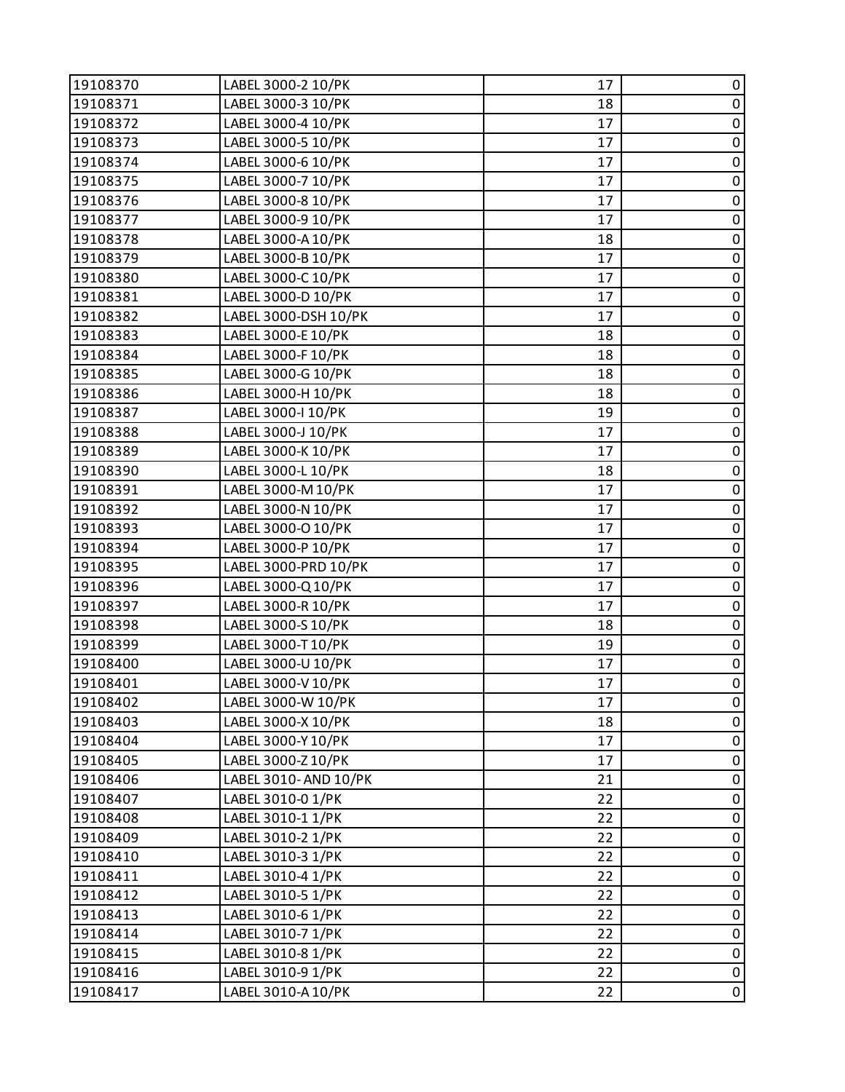| 19108370 | LABEL 3000-2 10/PK   | 17 | 0           |
|----------|----------------------|----|-------------|
| 19108371 | LABEL 3000-3 10/PK   | 18 | $\pmb{0}$   |
| 19108372 | LABEL 3000-4 10/PK   | 17 | $\pmb{0}$   |
| 19108373 | LABEL 3000-5 10/PK   | 17 | $\pmb{0}$   |
| 19108374 | LABEL 3000-6 10/PK   | 17 | $\pmb{0}$   |
| 19108375 | LABEL 3000-7 10/PK   | 17 | $\pmb{0}$   |
| 19108376 | LABEL 3000-8 10/PK   | 17 | $\pmb{0}$   |
| 19108377 | LABEL 3000-9 10/PK   | 17 | $\mathbf 0$ |
| 19108378 | LABEL 3000-A 10/PK   | 18 | $\pmb{0}$   |
| 19108379 | LABEL 3000-B 10/PK   | 17 | $\pmb{0}$   |
| 19108380 | LABEL 3000-C 10/PK   | 17 | $\pmb{0}$   |
| 19108381 | LABEL 3000-D 10/PK   | 17 | $\pmb{0}$   |
| 19108382 | LABEL 3000-DSH 10/PK | 17 | $\pmb{0}$   |
| 19108383 | LABEL 3000-E 10/PK   | 18 | $\mathbf 0$ |
| 19108384 | LABEL 3000-F 10/PK   | 18 | $\pmb{0}$   |
| 19108385 | LABEL 3000-G 10/PK   | 18 | $\pmb{0}$   |
| 19108386 | LABEL 3000-H 10/PK   | 18 | $\pmb{0}$   |
| 19108387 | LABEL 3000-I 10/PK   | 19 | $\pmb{0}$   |
| 19108388 | LABEL 3000-J 10/PK   | 17 | $\pmb{0}$   |
| 19108389 | LABEL 3000-K 10/PK   | 17 | $\mathbf 0$ |
| 19108390 | LABEL 3000-L 10/PK   | 18 | $\pmb{0}$   |
| 19108391 | LABEL 3000-M 10/PK   | 17 | $\mathbf 0$ |
| 19108392 | LABEL 3000-N 10/PK   | 17 | $\pmb{0}$   |
| 19108393 | LABEL 3000-O 10/PK   | 17 | $\pmb{0}$   |
| 19108394 | LABEL 3000-P 10/PK   | 17 | $\pmb{0}$   |
| 19108395 | LABEL 3000-PRD 10/PK | 17 | $\pmb{0}$   |
| 19108396 | LABEL 3000-Q 10/PK   | 17 | $\pmb{0}$   |
| 19108397 | LABEL 3000-R 10/PK   | 17 | $\pmb{0}$   |
| 19108398 | LABEL 3000-S 10/PK   | 18 | $\pmb{0}$   |
| 19108399 | LABEL 3000-T10/PK    | 19 | $\pmb{0}$   |
| 19108400 | LABEL 3000-U 10/PK   | 17 | $\pmb{0}$   |
| 19108401 | LABEL 3000-V 10/PK   | 17 | $\mathbf 0$ |
| 19108402 | LABEL 3000-W 10/PK   | 17 | 0           |
| 19108403 | LABEL 3000-X 10/PK   | 18 | 0           |
| 19108404 | LABEL 3000-Y 10/PK   | 17 | $\pmb{0}$   |
| 19108405 | LABEL 3000-Z 10/PK   | 17 | 0           |
| 19108406 | LABEL 3010-AND 10/PK | 21 | $\mathbf 0$ |
| 19108407 | LABEL 3010-0 1/PK    | 22 | $\pmb{0}$   |
| 19108408 | LABEL 3010-1 1/PK    | 22 | $\pmb{0}$   |
| 19108409 | LABEL 3010-2 1/PK    | 22 | $\pmb{0}$   |
| 19108410 | LABEL 3010-3 1/PK    | 22 | $\pmb{0}$   |
| 19108411 | LABEL 3010-4 1/PK    | 22 | $\pmb{0}$   |
| 19108412 | LABEL 3010-5 1/PK    | 22 | $\pmb{0}$   |
| 19108413 | LABEL 3010-6 1/PK    | 22 | $\pmb{0}$   |
| 19108414 | LABEL 3010-7 1/PK    | 22 | 0           |
| 19108415 | LABEL 3010-8 1/PK    | 22 | $\pmb{0}$   |
| 19108416 | LABEL 3010-9 1/PK    | 22 | $\pmb{0}$   |
| 19108417 | LABEL 3010-A 10/PK   | 22 | 0           |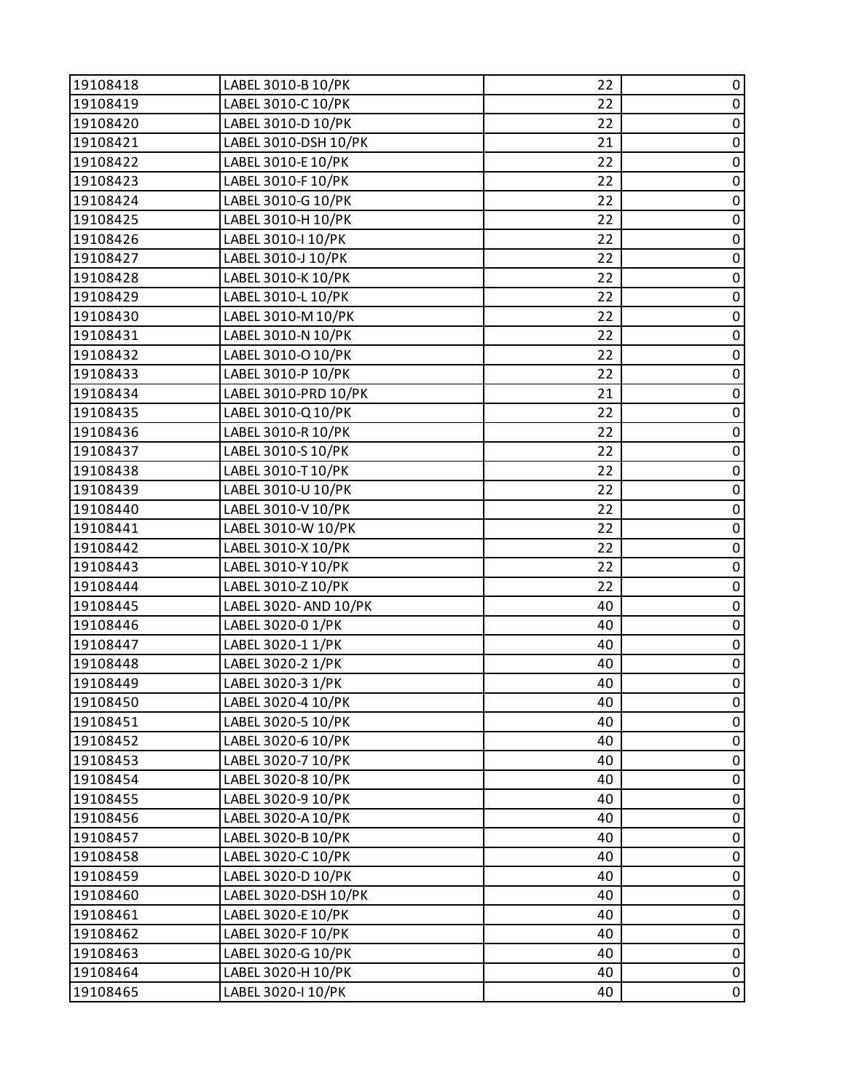| 19108418 | LABEL 3010-B 10/PK    | 22 | 0         |
|----------|-----------------------|----|-----------|
| 19108419 | LABEL 3010-C 10/PK    | 22 | $\pmb{0}$ |
| 19108420 | LABEL 3010-D 10/PK    | 22 | $\pmb{0}$ |
| 19108421 | LABEL 3010-DSH 10/PK  | 21 | $\pmb{0}$ |
| 19108422 | LABEL 3010-E 10/PK    | 22 | $\pmb{0}$ |
| 19108423 | LABEL 3010-F 10/PK    | 22 | $\pmb{0}$ |
| 19108424 | LABEL 3010-G 10/PK    | 22 | $\pmb{0}$ |
| 19108425 | LABEL 3010-H 10/PK    | 22 | $\pmb{0}$ |
| 19108426 | LABEL 3010-I 10/PK    | 22 | $\pmb{0}$ |
| 19108427 | LABEL 3010-J 10/PK    | 22 | $\pmb{0}$ |
| 19108428 | LABEL 3010-K 10/PK    | 22 | $\pmb{0}$ |
| 19108429 | LABEL 3010-L 10/PK    | 22 | $\pmb{0}$ |
| 19108430 | LABEL 3010-M 10/PK    | 22 | $\pmb{0}$ |
| 19108431 | LABEL 3010-N 10/PK    | 22 | $\pmb{0}$ |
| 19108432 | LABEL 3010-O 10/PK    | 22 | $\pmb{0}$ |
| 19108433 | LABEL 3010-P 10/PK    | 22 | $\pmb{0}$ |
| 19108434 | LABEL 3010-PRD 10/PK  | 21 | $\pmb{0}$ |
| 19108435 | LABEL 3010-Q10/PK     | 22 | $\pmb{0}$ |
| 19108436 | LABEL 3010-R 10/PK    | 22 | $\pmb{0}$ |
| 19108437 | LABEL 3010-S 10/PK    | 22 | $\pmb{0}$ |
| 19108438 | LABEL 3010-T10/PK     | 22 | $\pmb{0}$ |
| 19108439 | LABEL 3010-U 10/PK    | 22 | $\pmb{0}$ |
| 19108440 | LABEL 3010-V 10/PK    | 22 | $\pmb{0}$ |
| 19108441 | LABEL 3010-W 10/PK    | 22 | $\pmb{0}$ |
| 19108442 | LABEL 3010-X 10/PK    | 22 | $\pmb{0}$ |
| 19108443 | LABEL 3010-Y 10/PK    | 22 | $\pmb{0}$ |
| 19108444 | LABEL 3010-Z 10/PK    | 22 | $\pmb{0}$ |
| 19108445 | LABEL 3020- AND 10/PK | 40 | $\pmb{0}$ |
| 19108446 | LABEL 3020-0 1/PK     | 40 | $\pmb{0}$ |
| 19108447 | LABEL 3020-1 1/PK     | 40 | $\pmb{0}$ |
| 19108448 | LABEL 3020-2 1/PK     | 40 | $\pmb{0}$ |
| 19108449 | LABEL 3020-3 1/PK     | 40 | $\pmb{0}$ |
| 19108450 | LABEL 3020-4 10/PK    | 40 | 0         |
| 19108451 | LABEL 3020-5 10/PK    | 40 | 0         |
| 19108452 | LABEL 3020-6 10/PK    | 40 | $\pmb{0}$ |
| 19108453 | LABEL 3020-7 10/PK    | 40 | 0         |
| 19108454 | LABEL 3020-8 10/PK    | 40 | 0         |
| 19108455 | LABEL 3020-9 10/PK    | 40 | $\pmb{0}$ |
| 19108456 | LABEL 3020-A 10/PK    | 40 | $\pmb{0}$ |
| 19108457 | LABEL 3020-B 10/PK    | 40 | $\pmb{0}$ |
| 19108458 | LABEL 3020-C 10/PK    | 40 | $\pmb{0}$ |
| 19108459 | LABEL 3020-D 10/PK    | 40 | 0         |
| 19108460 | LABEL 3020-DSH 10/PK  | 40 | 0         |
| 19108461 | LABEL 3020-E 10/PK    | 40 | $\pmb{0}$ |
| 19108462 | LABEL 3020-F 10/PK    | 40 | 0         |
| 19108463 | LABEL 3020-G 10/PK    | 40 | $\pmb{0}$ |
| 19108464 | LABEL 3020-H 10/PK    | 40 | $\pmb{0}$ |
| 19108465 | LABEL 3020-I 10/PK    | 40 | 0         |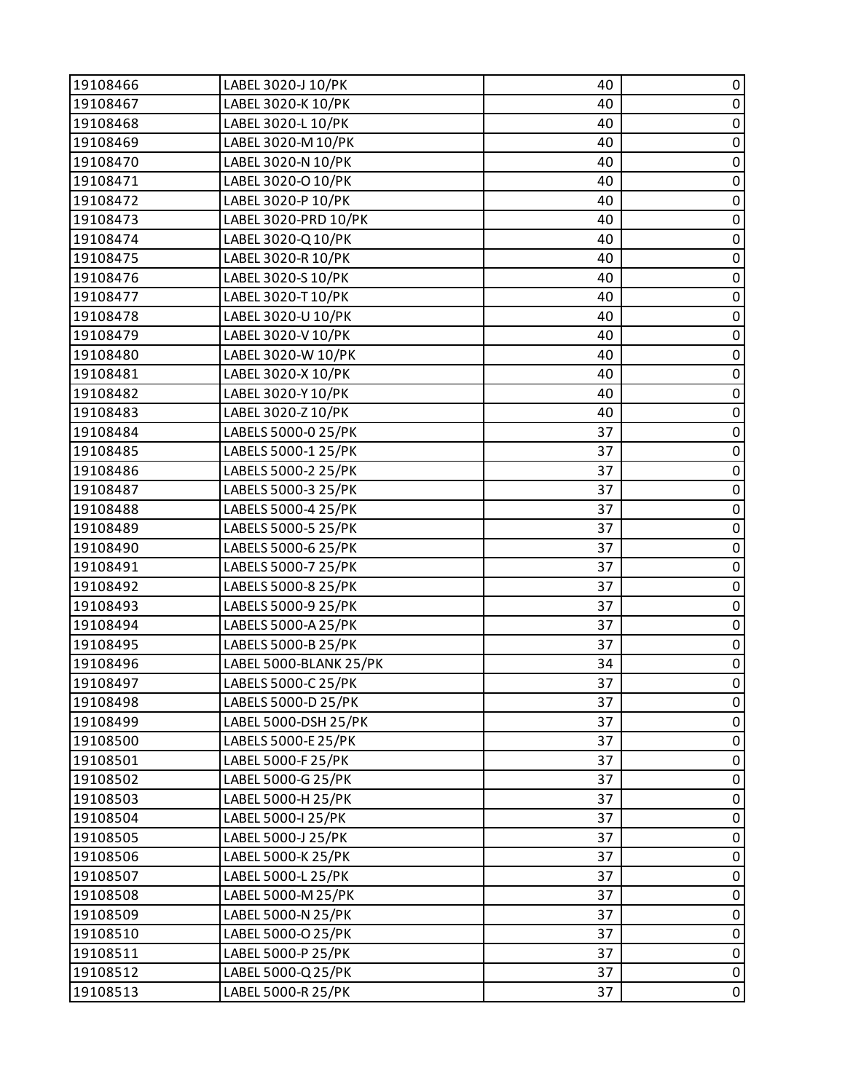| 19108466 | LABEL 3020-J 10/PK     | 40 | 0           |
|----------|------------------------|----|-------------|
| 19108467 | LABEL 3020-K 10/PK     | 40 | $\pmb{0}$   |
| 19108468 | LABEL 3020-L 10/PK     | 40 | $\pmb{0}$   |
| 19108469 | LABEL 3020-M 10/PK     | 40 | $\pmb{0}$   |
| 19108470 | LABEL 3020-N 10/PK     | 40 | $\pmb{0}$   |
| 19108471 | LABEL 3020-O 10/PK     | 40 | $\pmb{0}$   |
| 19108472 | LABEL 3020-P 10/PK     | 40 | $\pmb{0}$   |
| 19108473 | LABEL 3020-PRD 10/PK   | 40 | $\pmb{0}$   |
| 19108474 | LABEL 3020-Q10/PK      | 40 | $\pmb{0}$   |
| 19108475 | LABEL 3020-R 10/PK     | 40 | $\pmb{0}$   |
| 19108476 | LABEL 3020-S 10/PK     | 40 | $\pmb{0}$   |
| 19108477 | LABEL 3020-T10/PK      | 40 | 0           |
| 19108478 | LABEL 3020-U 10/PK     | 40 | $\pmb{0}$   |
| 19108479 | LABEL 3020-V 10/PK     | 40 | $\pmb{0}$   |
| 19108480 | LABEL 3020-W 10/PK     | 40 | $\pmb{0}$   |
| 19108481 | LABEL 3020-X 10/PK     | 40 | $\pmb{0}$   |
| 19108482 | LABEL 3020-Y 10/PK     | 40 | $\pmb{0}$   |
| 19108483 | LABEL 3020-Z 10/PK     | 40 | $\pmb{0}$   |
| 19108484 | LABELS 5000-0 25/PK    | 37 | $\pmb{0}$   |
| 19108485 | LABELS 5000-1 25/PK    | 37 | $\pmb{0}$   |
| 19108486 | LABELS 5000-2 25/PK    | 37 | $\pmb{0}$   |
| 19108487 | LABELS 5000-3 25/PK    | 37 | $\pmb{0}$   |
| 19108488 | LABELS 5000-4 25/PK    | 37 | $\pmb{0}$   |
| 19108489 | LABELS 5000-5 25/PK    | 37 | $\pmb{0}$   |
| 19108490 | LABELS 5000-6 25/PK    | 37 | $\pmb{0}$   |
| 19108491 | LABELS 5000-7 25/PK    | 37 | $\pmb{0}$   |
| 19108492 | LABELS 5000-8 25/PK    | 37 | $\pmb{0}$   |
| 19108493 | LABELS 5000-9 25/PK    | 37 | $\pmb{0}$   |
| 19108494 | LABELS 5000-A 25/PK    | 37 | $\pmb{0}$   |
| 19108495 | LABELS 5000-B 25/PK    | 37 | $\pmb{0}$   |
| 19108496 | LABEL 5000-BLANK 25/PK | 34 | $\pmb{0}$   |
| 19108497 | LABELS 5000-C 25/PK    | 37 | $\pmb{0}$   |
| 19108498 | LABELS 5000-D 25/PK    | 37 | 0           |
| 19108499 | LABEL 5000-DSH 25/PK   | 37 | 0           |
| 19108500 | LABELS 5000-E 25/PK    | 37 | $\pmb{0}$   |
| 19108501 | LABEL 5000-F 25/PK     | 37 | $\pmb{0}$   |
| 19108502 | LABEL 5000-G 25/PK     | 37 | $\mathbf 0$ |
| 19108503 | LABEL 5000-H 25/PK     | 37 | $\pmb{0}$   |
| 19108504 | LABEL 5000-I 25/PK     | 37 | $\pmb{0}$   |
| 19108505 | LABEL 5000-J 25/PK     | 37 | $\pmb{0}$   |
| 19108506 | LABEL 5000-K 25/PK     | 37 | $\pmb{0}$   |
| 19108507 | LABEL 5000-L 25/PK     | 37 | $\pmb{0}$   |
| 19108508 | LABEL 5000-M 25/PK     | 37 | $\mathbf 0$ |
| 19108509 | LABEL 5000-N 25/PK     | 37 | $\pmb{0}$   |
| 19108510 | LABEL 5000-O 25/PK     | 37 | $\pmb{0}$   |
| 19108511 | LABEL 5000-P 25/PK     | 37 | $\pmb{0}$   |
| 19108512 | LABEL 5000-Q 25/PK     | 37 | $\pmb{0}$   |
| 19108513 | LABEL 5000-R 25/PK     | 37 | 0           |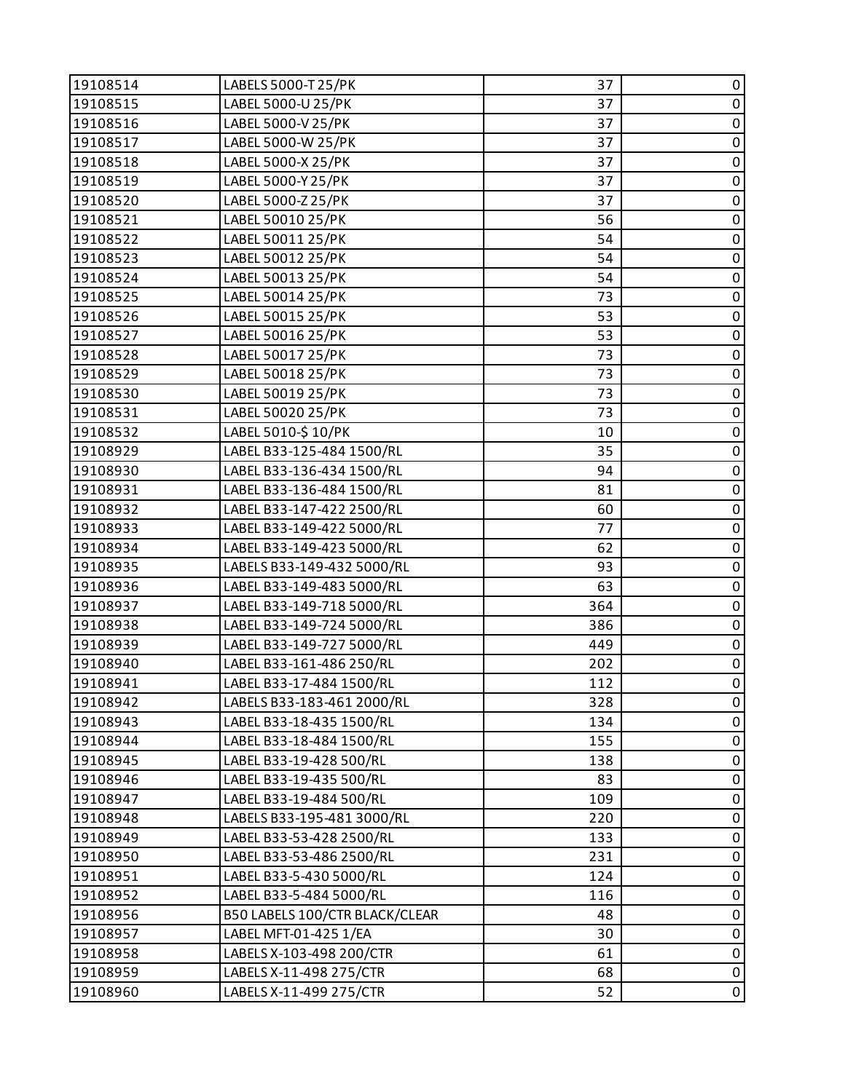| 19108514 | LABELS 5000-T 25/PK            | 37  | 0              |
|----------|--------------------------------|-----|----------------|
| 19108515 | LABEL 5000-U 25/PK             | 37  | $\pmb{0}$      |
| 19108516 | LABEL 5000-V 25/PK             | 37  | $\pmb{0}$      |
| 19108517 | LABEL 5000-W 25/PK             | 37  | $\pmb{0}$      |
| 19108518 | LABEL 5000-X 25/PK             | 37  | $\pmb{0}$      |
| 19108519 | LABEL 5000-Y 25/PK             | 37  | $\pmb{0}$      |
| 19108520 | LABEL 5000-Z 25/PK             | 37  | $\pmb{0}$      |
| 19108521 | LABEL 50010 25/PK              | 56  | $\pmb{0}$      |
| 19108522 | LABEL 50011 25/PK              | 54  | 0              |
| 19108523 | LABEL 50012 25/PK              | 54  | $\pmb{0}$      |
| 19108524 | LABEL 50013 25/PK              | 54  | $\pmb{0}$      |
| 19108525 | LABEL 50014 25/PK              | 73  | $\pmb{0}$      |
| 19108526 | LABEL 50015 25/PK              | 53  | $\overline{0}$ |
| 19108527 | LABEL 50016 25/PK              | 53  | $\pmb{0}$      |
| 19108528 | LABEL 50017 25/PK              | 73  | $\pmb{0}$      |
| 19108529 | LABEL 50018 25/PK              | 73  | $\pmb{0}$      |
| 19108530 | LABEL 50019 25/PK              | 73  | $\pmb{0}$      |
| 19108531 | LABEL 50020 25/PK              | 73  | $\pmb{0}$      |
| 19108532 | LABEL 5010-\$10/PK             | 10  | $\overline{0}$ |
| 19108929 | LABEL B33-125-484 1500/RL      | 35  | $\pmb{0}$      |
| 19108930 | LABEL B33-136-434 1500/RL      | 94  | $\pmb{0}$      |
| 19108931 | LABEL B33-136-484 1500/RL      | 81  | $\pmb{0}$      |
| 19108932 | LABEL B33-147-422 2500/RL      | 60  | $\pmb{0}$      |
| 19108933 | LABEL B33-149-422 5000/RL      | 77  | $\pmb{0}$      |
| 19108934 | LABEL B33-149-423 5000/RL      | 62  | $\pmb{0}$      |
| 19108935 | LABELS B33-149-432 5000/RL     | 93  | $\pmb{0}$      |
| 19108936 | LABEL B33-149-483 5000/RL      | 63  | $\pmb{0}$      |
| 19108937 | LABEL B33-149-718 5000/RL      | 364 | $\mathbf 0$    |
| 19108938 | LABEL B33-149-724 5000/RL      | 386 | $\pmb{0}$      |
| 19108939 | LABEL B33-149-727 5000/RL      | 449 | $\pmb{0}$      |
| 19108940 | LABEL B33-161-486 250/RL       | 202 | $\pmb{0}$      |
| 19108941 | LABEL B33-17-484 1500/RL       | 112 | $\mathbf 0$    |
| 19108942 | LABELS B33-183-461 2000/RL     | 328 | 0              |
| 19108943 | LABEL B33-18-435 1500/RL       | 134 | 0              |
| 19108944 | LABEL B33-18-484 1500/RL       | 155 | $\pmb{0}$      |
| 19108945 | LABEL B33-19-428 500/RL        | 138 | 0              |
| 19108946 | LABEL B33-19-435 500/RL        | 83  | $\pmb{0}$      |
| 19108947 | LABEL B33-19-484 500/RL        | 109 | $\pmb{0}$      |
| 19108948 | LABELS B33-195-481 3000/RL     | 220 | 0              |
| 19108949 | LABEL B33-53-428 2500/RL       | 133 | $\pmb{0}$      |
| 19108950 | LABEL B33-53-486 2500/RL       | 231 | $\mathbf 0$    |
| 19108951 | LABEL B33-5-430 5000/RL        | 124 | 0              |
| 19108952 | LABEL B33-5-484 5000/RL        | 116 | 0              |
| 19108956 | B50 LABELS 100/CTR BLACK/CLEAR | 48  | $\pmb{0}$      |
| 19108957 | LABEL MFT-01-425 1/EA          | 30  | 0              |
| 19108958 | LABELS X-103-498 200/CTR       | 61  | $\pmb{0}$      |
| 19108959 | LABELS X-11-498 275/CTR        | 68  | $\pmb{0}$      |
| 19108960 | LABELS X-11-499 275/CTR        | 52  | $\pmb{0}$      |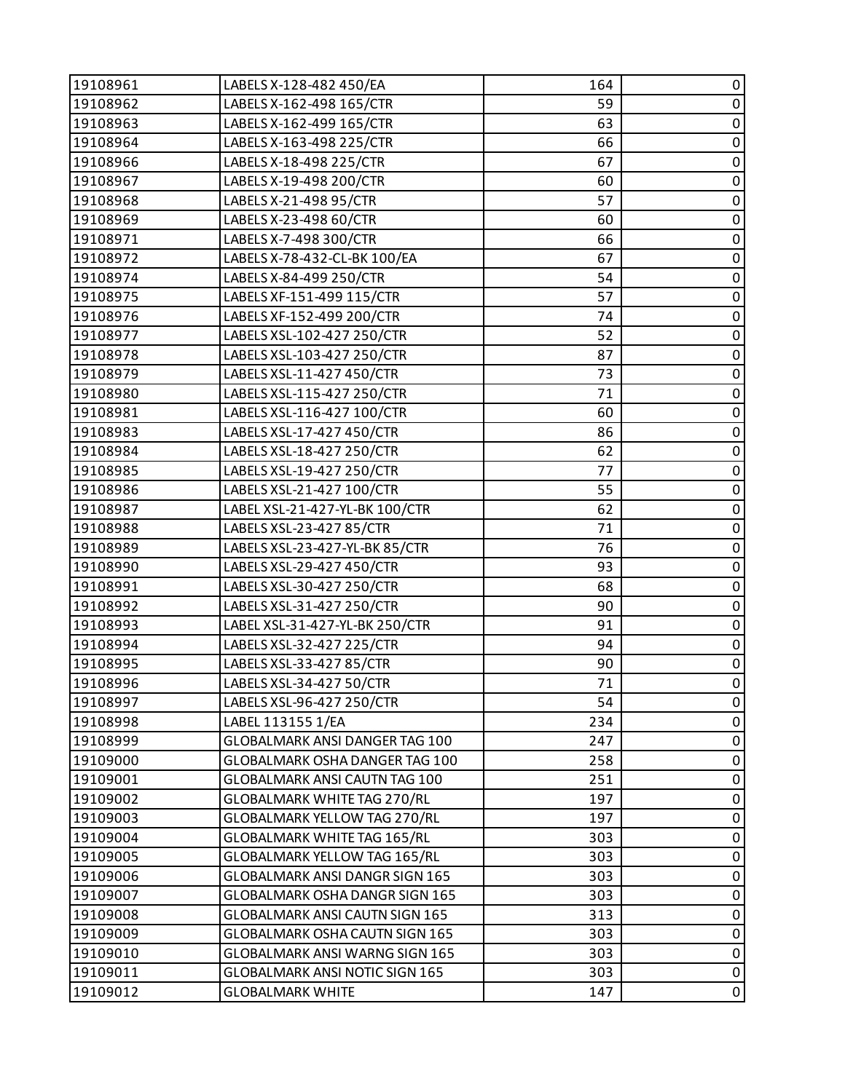| LABELS X-162-498 165/CTR<br>19108962<br>59<br>$\pmb{0}$<br>LABELS X-162-499 165/CTR<br>$\pmb{0}$<br>19108963<br>63<br>$\pmb{0}$<br>19108964<br>LABELS X-163-498 225/CTR<br>66<br>$\pmb{0}$<br>LABELS X-18-498 225/CTR<br>67<br>19108966<br>LABELS X-19-498 200/CTR<br>19108967<br>60<br>0<br>$\pmb{0}$<br>57<br>19108968<br>LABELS X-21-498 95/CTR<br>$\pmb{0}$<br>LABELS X-23-498 60/CTR<br>19108969<br>60<br>LABELS X-7-498 300/CTR<br>19108971<br>66<br>0<br>67<br>$\pmb{0}$<br>19108972<br>LABELS X-78-432-CL-BK 100/EA<br>LABELS X-84-499 250/CTR<br>54<br>$\pmb{0}$<br>19108974<br>LABELS XF-151-499 115/CTR<br>57<br>$\pmb{0}$<br>19108975<br>$\pmb{0}$<br>19108976<br>LABELS XF-152-499 200/CTR<br>74<br>52<br>$\pmb{0}$<br>LABELS XSL-102-427 250/CTR<br>19108977<br>LABELS XSL-103-427 250/CTR<br>19108978<br>87<br>0<br>19108979<br>LABELS XSL-11-427 450/CTR<br>73<br>$\pmb{0}$<br>71<br>$\pmb{0}$<br>LABELS XSL-115-427 250/CTR<br>19108980<br>LABELS XSL-116-427 100/CTR<br>19108981<br>60<br>0<br>$\pmb{0}$<br>86<br>19108983<br>LABELS XSL-17-427 450/CTR<br>$\pmb{0}$<br>LABELS XSL-18-427 250/CTR<br>62<br>19108984<br>LABELS XSL-19-427 250/CTR<br>$\pmb{0}$<br>19108985<br>77<br>$\pmb{0}$<br>55<br>19108986<br>LABELS XSL-21-427 100/CTR<br>LABEL XSL-21-427-YL-BK 100/CTR<br>62<br>$\pmb{0}$<br>19108987<br>LABELS XSL-23-427 85/CTR<br>71<br>$\pmb{0}$<br>19108988<br>$\pmb{0}$<br>76<br>19108989<br>LABELS XSL-23-427-YL-BK 85/CTR<br>$\pmb{0}$<br>LABELS XSL-29-427 450/CTR<br>93<br>19108990<br>LABELS XSL-30-427 250/CTR<br>$\pmb{0}$<br>19108991<br>68<br>LABELS XSL-31-427 250/CTR<br>$\pmb{0}$<br>19108992<br>90<br>$\pmb{0}$<br>LABEL XSL-31-427-YL-BK 250/CTR<br>91<br>19108993<br>LABELS XSL-32-427 225/CTR<br>94<br>$\pmb{0}$<br>19108994<br>$\pmb{0}$<br>LABELS XSL-33-427 85/CTR<br>19108995<br>90<br>$\pmb{0}$<br>71<br>19108996<br>LABELS XSL-34-427 50/CTR<br>19108997<br>LABELS XSL-96-427 250/CTR<br>54<br>$\mathbf 0$<br>234<br>0<br>19108998<br>LABEL 113155 1/EA<br>$\pmb{0}$<br>GLOBALMARK ANSI DANGER TAG 100<br>247<br>19108999<br>GLOBALMARK OSHA DANGER TAG 100<br>0<br>19109000<br>258<br>$\pmb{0}$<br>19109001<br>GLOBALMARK ANSI CAUTN TAG 100<br>251<br>$\pmb{0}$<br>19109002<br><b>GLOBALMARK WHITE TAG 270/RL</b><br>197<br>19109003<br>GLOBALMARK YELLOW TAG 270/RL<br>0<br>197<br>0<br>19109004<br>GLOBALMARK WHITE TAG 165/RL<br>303<br>$\pmb{0}$<br>19109005<br>GLOBALMARK YELLOW TAG 165/RL<br>303<br>19109006<br>0<br>GLOBALMARK ANSI DANGR SIGN 165<br>303<br>$\pmb{0}$<br>19109007<br>GLOBALMARK OSHA DANGR SIGN 165<br>303<br>19109008<br>GLOBALMARK ANSI CAUTN SIGN 165<br>313<br>$\pmb{0}$<br>GLOBALMARK OSHA CAUTN SIGN 165<br>0<br>19109009<br>303<br>$\pmb{0}$<br>GLOBALMARK ANSI WARNG SIGN 165<br>19109010<br>303<br>$\pmb{0}$<br>19109011<br>GLOBALMARK ANSI NOTIC SIGN 165<br>303<br>$\overline{0}$<br>19109012<br><b>GLOBALMARK WHITE</b><br>147 | 19108961 | LABELS X-128-482 450/EA | 164 | 0 |
|----------------------------------------------------------------------------------------------------------------------------------------------------------------------------------------------------------------------------------------------------------------------------------------------------------------------------------------------------------------------------------------------------------------------------------------------------------------------------------------------------------------------------------------------------------------------------------------------------------------------------------------------------------------------------------------------------------------------------------------------------------------------------------------------------------------------------------------------------------------------------------------------------------------------------------------------------------------------------------------------------------------------------------------------------------------------------------------------------------------------------------------------------------------------------------------------------------------------------------------------------------------------------------------------------------------------------------------------------------------------------------------------------------------------------------------------------------------------------------------------------------------------------------------------------------------------------------------------------------------------------------------------------------------------------------------------------------------------------------------------------------------------------------------------------------------------------------------------------------------------------------------------------------------------------------------------------------------------------------------------------------------------------------------------------------------------------------------------------------------------------------------------------------------------------------------------------------------------------------------------------------------------------------------------------------------------------------------------------------------------------------------------------------------------------------------------------------------------------------------------------------------------------------------------------------------------------------------------------------------------------------------------------------------------------------------------------------------------------------------------------------------------------------------------------------------------------------------------------------------------------------------------------------------------------|----------|-------------------------|-----|---|
|                                                                                                                                                                                                                                                                                                                                                                                                                                                                                                                                                                                                                                                                                                                                                                                                                                                                                                                                                                                                                                                                                                                                                                                                                                                                                                                                                                                                                                                                                                                                                                                                                                                                                                                                                                                                                                                                                                                                                                                                                                                                                                                                                                                                                                                                                                                                                                                                                                                                                                                                                                                                                                                                                                                                                                                                                                                                                                                            |          |                         |     |   |
|                                                                                                                                                                                                                                                                                                                                                                                                                                                                                                                                                                                                                                                                                                                                                                                                                                                                                                                                                                                                                                                                                                                                                                                                                                                                                                                                                                                                                                                                                                                                                                                                                                                                                                                                                                                                                                                                                                                                                                                                                                                                                                                                                                                                                                                                                                                                                                                                                                                                                                                                                                                                                                                                                                                                                                                                                                                                                                                            |          |                         |     |   |
|                                                                                                                                                                                                                                                                                                                                                                                                                                                                                                                                                                                                                                                                                                                                                                                                                                                                                                                                                                                                                                                                                                                                                                                                                                                                                                                                                                                                                                                                                                                                                                                                                                                                                                                                                                                                                                                                                                                                                                                                                                                                                                                                                                                                                                                                                                                                                                                                                                                                                                                                                                                                                                                                                                                                                                                                                                                                                                                            |          |                         |     |   |
|                                                                                                                                                                                                                                                                                                                                                                                                                                                                                                                                                                                                                                                                                                                                                                                                                                                                                                                                                                                                                                                                                                                                                                                                                                                                                                                                                                                                                                                                                                                                                                                                                                                                                                                                                                                                                                                                                                                                                                                                                                                                                                                                                                                                                                                                                                                                                                                                                                                                                                                                                                                                                                                                                                                                                                                                                                                                                                                            |          |                         |     |   |
|                                                                                                                                                                                                                                                                                                                                                                                                                                                                                                                                                                                                                                                                                                                                                                                                                                                                                                                                                                                                                                                                                                                                                                                                                                                                                                                                                                                                                                                                                                                                                                                                                                                                                                                                                                                                                                                                                                                                                                                                                                                                                                                                                                                                                                                                                                                                                                                                                                                                                                                                                                                                                                                                                                                                                                                                                                                                                                                            |          |                         |     |   |
|                                                                                                                                                                                                                                                                                                                                                                                                                                                                                                                                                                                                                                                                                                                                                                                                                                                                                                                                                                                                                                                                                                                                                                                                                                                                                                                                                                                                                                                                                                                                                                                                                                                                                                                                                                                                                                                                                                                                                                                                                                                                                                                                                                                                                                                                                                                                                                                                                                                                                                                                                                                                                                                                                                                                                                                                                                                                                                                            |          |                         |     |   |
|                                                                                                                                                                                                                                                                                                                                                                                                                                                                                                                                                                                                                                                                                                                                                                                                                                                                                                                                                                                                                                                                                                                                                                                                                                                                                                                                                                                                                                                                                                                                                                                                                                                                                                                                                                                                                                                                                                                                                                                                                                                                                                                                                                                                                                                                                                                                                                                                                                                                                                                                                                                                                                                                                                                                                                                                                                                                                                                            |          |                         |     |   |
|                                                                                                                                                                                                                                                                                                                                                                                                                                                                                                                                                                                                                                                                                                                                                                                                                                                                                                                                                                                                                                                                                                                                                                                                                                                                                                                                                                                                                                                                                                                                                                                                                                                                                                                                                                                                                                                                                                                                                                                                                                                                                                                                                                                                                                                                                                                                                                                                                                                                                                                                                                                                                                                                                                                                                                                                                                                                                                                            |          |                         |     |   |
|                                                                                                                                                                                                                                                                                                                                                                                                                                                                                                                                                                                                                                                                                                                                                                                                                                                                                                                                                                                                                                                                                                                                                                                                                                                                                                                                                                                                                                                                                                                                                                                                                                                                                                                                                                                                                                                                                                                                                                                                                                                                                                                                                                                                                                                                                                                                                                                                                                                                                                                                                                                                                                                                                                                                                                                                                                                                                                                            |          |                         |     |   |
|                                                                                                                                                                                                                                                                                                                                                                                                                                                                                                                                                                                                                                                                                                                                                                                                                                                                                                                                                                                                                                                                                                                                                                                                                                                                                                                                                                                                                                                                                                                                                                                                                                                                                                                                                                                                                                                                                                                                                                                                                                                                                                                                                                                                                                                                                                                                                                                                                                                                                                                                                                                                                                                                                                                                                                                                                                                                                                                            |          |                         |     |   |
|                                                                                                                                                                                                                                                                                                                                                                                                                                                                                                                                                                                                                                                                                                                                                                                                                                                                                                                                                                                                                                                                                                                                                                                                                                                                                                                                                                                                                                                                                                                                                                                                                                                                                                                                                                                                                                                                                                                                                                                                                                                                                                                                                                                                                                                                                                                                                                                                                                                                                                                                                                                                                                                                                                                                                                                                                                                                                                                            |          |                         |     |   |
|                                                                                                                                                                                                                                                                                                                                                                                                                                                                                                                                                                                                                                                                                                                                                                                                                                                                                                                                                                                                                                                                                                                                                                                                                                                                                                                                                                                                                                                                                                                                                                                                                                                                                                                                                                                                                                                                                                                                                                                                                                                                                                                                                                                                                                                                                                                                                                                                                                                                                                                                                                                                                                                                                                                                                                                                                                                                                                                            |          |                         |     |   |
|                                                                                                                                                                                                                                                                                                                                                                                                                                                                                                                                                                                                                                                                                                                                                                                                                                                                                                                                                                                                                                                                                                                                                                                                                                                                                                                                                                                                                                                                                                                                                                                                                                                                                                                                                                                                                                                                                                                                                                                                                                                                                                                                                                                                                                                                                                                                                                                                                                                                                                                                                                                                                                                                                                                                                                                                                                                                                                                            |          |                         |     |   |
|                                                                                                                                                                                                                                                                                                                                                                                                                                                                                                                                                                                                                                                                                                                                                                                                                                                                                                                                                                                                                                                                                                                                                                                                                                                                                                                                                                                                                                                                                                                                                                                                                                                                                                                                                                                                                                                                                                                                                                                                                                                                                                                                                                                                                                                                                                                                                                                                                                                                                                                                                                                                                                                                                                                                                                                                                                                                                                                            |          |                         |     |   |
|                                                                                                                                                                                                                                                                                                                                                                                                                                                                                                                                                                                                                                                                                                                                                                                                                                                                                                                                                                                                                                                                                                                                                                                                                                                                                                                                                                                                                                                                                                                                                                                                                                                                                                                                                                                                                                                                                                                                                                                                                                                                                                                                                                                                                                                                                                                                                                                                                                                                                                                                                                                                                                                                                                                                                                                                                                                                                                                            |          |                         |     |   |
|                                                                                                                                                                                                                                                                                                                                                                                                                                                                                                                                                                                                                                                                                                                                                                                                                                                                                                                                                                                                                                                                                                                                                                                                                                                                                                                                                                                                                                                                                                                                                                                                                                                                                                                                                                                                                                                                                                                                                                                                                                                                                                                                                                                                                                                                                                                                                                                                                                                                                                                                                                                                                                                                                                                                                                                                                                                                                                                            |          |                         |     |   |
|                                                                                                                                                                                                                                                                                                                                                                                                                                                                                                                                                                                                                                                                                                                                                                                                                                                                                                                                                                                                                                                                                                                                                                                                                                                                                                                                                                                                                                                                                                                                                                                                                                                                                                                                                                                                                                                                                                                                                                                                                                                                                                                                                                                                                                                                                                                                                                                                                                                                                                                                                                                                                                                                                                                                                                                                                                                                                                                            |          |                         |     |   |
|                                                                                                                                                                                                                                                                                                                                                                                                                                                                                                                                                                                                                                                                                                                                                                                                                                                                                                                                                                                                                                                                                                                                                                                                                                                                                                                                                                                                                                                                                                                                                                                                                                                                                                                                                                                                                                                                                                                                                                                                                                                                                                                                                                                                                                                                                                                                                                                                                                                                                                                                                                                                                                                                                                                                                                                                                                                                                                                            |          |                         |     |   |
|                                                                                                                                                                                                                                                                                                                                                                                                                                                                                                                                                                                                                                                                                                                                                                                                                                                                                                                                                                                                                                                                                                                                                                                                                                                                                                                                                                                                                                                                                                                                                                                                                                                                                                                                                                                                                                                                                                                                                                                                                                                                                                                                                                                                                                                                                                                                                                                                                                                                                                                                                                                                                                                                                                                                                                                                                                                                                                                            |          |                         |     |   |
|                                                                                                                                                                                                                                                                                                                                                                                                                                                                                                                                                                                                                                                                                                                                                                                                                                                                                                                                                                                                                                                                                                                                                                                                                                                                                                                                                                                                                                                                                                                                                                                                                                                                                                                                                                                                                                                                                                                                                                                                                                                                                                                                                                                                                                                                                                                                                                                                                                                                                                                                                                                                                                                                                                                                                                                                                                                                                                                            |          |                         |     |   |
|                                                                                                                                                                                                                                                                                                                                                                                                                                                                                                                                                                                                                                                                                                                                                                                                                                                                                                                                                                                                                                                                                                                                                                                                                                                                                                                                                                                                                                                                                                                                                                                                                                                                                                                                                                                                                                                                                                                                                                                                                                                                                                                                                                                                                                                                                                                                                                                                                                                                                                                                                                                                                                                                                                                                                                                                                                                                                                                            |          |                         |     |   |
|                                                                                                                                                                                                                                                                                                                                                                                                                                                                                                                                                                                                                                                                                                                                                                                                                                                                                                                                                                                                                                                                                                                                                                                                                                                                                                                                                                                                                                                                                                                                                                                                                                                                                                                                                                                                                                                                                                                                                                                                                                                                                                                                                                                                                                                                                                                                                                                                                                                                                                                                                                                                                                                                                                                                                                                                                                                                                                                            |          |                         |     |   |
|                                                                                                                                                                                                                                                                                                                                                                                                                                                                                                                                                                                                                                                                                                                                                                                                                                                                                                                                                                                                                                                                                                                                                                                                                                                                                                                                                                                                                                                                                                                                                                                                                                                                                                                                                                                                                                                                                                                                                                                                                                                                                                                                                                                                                                                                                                                                                                                                                                                                                                                                                                                                                                                                                                                                                                                                                                                                                                                            |          |                         |     |   |
|                                                                                                                                                                                                                                                                                                                                                                                                                                                                                                                                                                                                                                                                                                                                                                                                                                                                                                                                                                                                                                                                                                                                                                                                                                                                                                                                                                                                                                                                                                                                                                                                                                                                                                                                                                                                                                                                                                                                                                                                                                                                                                                                                                                                                                                                                                                                                                                                                                                                                                                                                                                                                                                                                                                                                                                                                                                                                                                            |          |                         |     |   |
|                                                                                                                                                                                                                                                                                                                                                                                                                                                                                                                                                                                                                                                                                                                                                                                                                                                                                                                                                                                                                                                                                                                                                                                                                                                                                                                                                                                                                                                                                                                                                                                                                                                                                                                                                                                                                                                                                                                                                                                                                                                                                                                                                                                                                                                                                                                                                                                                                                                                                                                                                                                                                                                                                                                                                                                                                                                                                                                            |          |                         |     |   |
|                                                                                                                                                                                                                                                                                                                                                                                                                                                                                                                                                                                                                                                                                                                                                                                                                                                                                                                                                                                                                                                                                                                                                                                                                                                                                                                                                                                                                                                                                                                                                                                                                                                                                                                                                                                                                                                                                                                                                                                                                                                                                                                                                                                                                                                                                                                                                                                                                                                                                                                                                                                                                                                                                                                                                                                                                                                                                                                            |          |                         |     |   |
|                                                                                                                                                                                                                                                                                                                                                                                                                                                                                                                                                                                                                                                                                                                                                                                                                                                                                                                                                                                                                                                                                                                                                                                                                                                                                                                                                                                                                                                                                                                                                                                                                                                                                                                                                                                                                                                                                                                                                                                                                                                                                                                                                                                                                                                                                                                                                                                                                                                                                                                                                                                                                                                                                                                                                                                                                                                                                                                            |          |                         |     |   |
|                                                                                                                                                                                                                                                                                                                                                                                                                                                                                                                                                                                                                                                                                                                                                                                                                                                                                                                                                                                                                                                                                                                                                                                                                                                                                                                                                                                                                                                                                                                                                                                                                                                                                                                                                                                                                                                                                                                                                                                                                                                                                                                                                                                                                                                                                                                                                                                                                                                                                                                                                                                                                                                                                                                                                                                                                                                                                                                            |          |                         |     |   |
|                                                                                                                                                                                                                                                                                                                                                                                                                                                                                                                                                                                                                                                                                                                                                                                                                                                                                                                                                                                                                                                                                                                                                                                                                                                                                                                                                                                                                                                                                                                                                                                                                                                                                                                                                                                                                                                                                                                                                                                                                                                                                                                                                                                                                                                                                                                                                                                                                                                                                                                                                                                                                                                                                                                                                                                                                                                                                                                            |          |                         |     |   |
|                                                                                                                                                                                                                                                                                                                                                                                                                                                                                                                                                                                                                                                                                                                                                                                                                                                                                                                                                                                                                                                                                                                                                                                                                                                                                                                                                                                                                                                                                                                                                                                                                                                                                                                                                                                                                                                                                                                                                                                                                                                                                                                                                                                                                                                                                                                                                                                                                                                                                                                                                                                                                                                                                                                                                                                                                                                                                                                            |          |                         |     |   |
|                                                                                                                                                                                                                                                                                                                                                                                                                                                                                                                                                                                                                                                                                                                                                                                                                                                                                                                                                                                                                                                                                                                                                                                                                                                                                                                                                                                                                                                                                                                                                                                                                                                                                                                                                                                                                                                                                                                                                                                                                                                                                                                                                                                                                                                                                                                                                                                                                                                                                                                                                                                                                                                                                                                                                                                                                                                                                                                            |          |                         |     |   |
|                                                                                                                                                                                                                                                                                                                                                                                                                                                                                                                                                                                                                                                                                                                                                                                                                                                                                                                                                                                                                                                                                                                                                                                                                                                                                                                                                                                                                                                                                                                                                                                                                                                                                                                                                                                                                                                                                                                                                                                                                                                                                                                                                                                                                                                                                                                                                                                                                                                                                                                                                                                                                                                                                                                                                                                                                                                                                                                            |          |                         |     |   |
|                                                                                                                                                                                                                                                                                                                                                                                                                                                                                                                                                                                                                                                                                                                                                                                                                                                                                                                                                                                                                                                                                                                                                                                                                                                                                                                                                                                                                                                                                                                                                                                                                                                                                                                                                                                                                                                                                                                                                                                                                                                                                                                                                                                                                                                                                                                                                                                                                                                                                                                                                                                                                                                                                                                                                                                                                                                                                                                            |          |                         |     |   |
|                                                                                                                                                                                                                                                                                                                                                                                                                                                                                                                                                                                                                                                                                                                                                                                                                                                                                                                                                                                                                                                                                                                                                                                                                                                                                                                                                                                                                                                                                                                                                                                                                                                                                                                                                                                                                                                                                                                                                                                                                                                                                                                                                                                                                                                                                                                                                                                                                                                                                                                                                                                                                                                                                                                                                                                                                                                                                                                            |          |                         |     |   |
|                                                                                                                                                                                                                                                                                                                                                                                                                                                                                                                                                                                                                                                                                                                                                                                                                                                                                                                                                                                                                                                                                                                                                                                                                                                                                                                                                                                                                                                                                                                                                                                                                                                                                                                                                                                                                                                                                                                                                                                                                                                                                                                                                                                                                                                                                                                                                                                                                                                                                                                                                                                                                                                                                                                                                                                                                                                                                                                            |          |                         |     |   |
|                                                                                                                                                                                                                                                                                                                                                                                                                                                                                                                                                                                                                                                                                                                                                                                                                                                                                                                                                                                                                                                                                                                                                                                                                                                                                                                                                                                                                                                                                                                                                                                                                                                                                                                                                                                                                                                                                                                                                                                                                                                                                                                                                                                                                                                                                                                                                                                                                                                                                                                                                                                                                                                                                                                                                                                                                                                                                                                            |          |                         |     |   |
|                                                                                                                                                                                                                                                                                                                                                                                                                                                                                                                                                                                                                                                                                                                                                                                                                                                                                                                                                                                                                                                                                                                                                                                                                                                                                                                                                                                                                                                                                                                                                                                                                                                                                                                                                                                                                                                                                                                                                                                                                                                                                                                                                                                                                                                                                                                                                                                                                                                                                                                                                                                                                                                                                                                                                                                                                                                                                                                            |          |                         |     |   |
|                                                                                                                                                                                                                                                                                                                                                                                                                                                                                                                                                                                                                                                                                                                                                                                                                                                                                                                                                                                                                                                                                                                                                                                                                                                                                                                                                                                                                                                                                                                                                                                                                                                                                                                                                                                                                                                                                                                                                                                                                                                                                                                                                                                                                                                                                                                                                                                                                                                                                                                                                                                                                                                                                                                                                                                                                                                                                                                            |          |                         |     |   |
|                                                                                                                                                                                                                                                                                                                                                                                                                                                                                                                                                                                                                                                                                                                                                                                                                                                                                                                                                                                                                                                                                                                                                                                                                                                                                                                                                                                                                                                                                                                                                                                                                                                                                                                                                                                                                                                                                                                                                                                                                                                                                                                                                                                                                                                                                                                                                                                                                                                                                                                                                                                                                                                                                                                                                                                                                                                                                                                            |          |                         |     |   |
|                                                                                                                                                                                                                                                                                                                                                                                                                                                                                                                                                                                                                                                                                                                                                                                                                                                                                                                                                                                                                                                                                                                                                                                                                                                                                                                                                                                                                                                                                                                                                                                                                                                                                                                                                                                                                                                                                                                                                                                                                                                                                                                                                                                                                                                                                                                                                                                                                                                                                                                                                                                                                                                                                                                                                                                                                                                                                                                            |          |                         |     |   |
|                                                                                                                                                                                                                                                                                                                                                                                                                                                                                                                                                                                                                                                                                                                                                                                                                                                                                                                                                                                                                                                                                                                                                                                                                                                                                                                                                                                                                                                                                                                                                                                                                                                                                                                                                                                                                                                                                                                                                                                                                                                                                                                                                                                                                                                                                                                                                                                                                                                                                                                                                                                                                                                                                                                                                                                                                                                                                                                            |          |                         |     |   |
|                                                                                                                                                                                                                                                                                                                                                                                                                                                                                                                                                                                                                                                                                                                                                                                                                                                                                                                                                                                                                                                                                                                                                                                                                                                                                                                                                                                                                                                                                                                                                                                                                                                                                                                                                                                                                                                                                                                                                                                                                                                                                                                                                                                                                                                                                                                                                                                                                                                                                                                                                                                                                                                                                                                                                                                                                                                                                                                            |          |                         |     |   |
|                                                                                                                                                                                                                                                                                                                                                                                                                                                                                                                                                                                                                                                                                                                                                                                                                                                                                                                                                                                                                                                                                                                                                                                                                                                                                                                                                                                                                                                                                                                                                                                                                                                                                                                                                                                                                                                                                                                                                                                                                                                                                                                                                                                                                                                                                                                                                                                                                                                                                                                                                                                                                                                                                                                                                                                                                                                                                                                            |          |                         |     |   |
|                                                                                                                                                                                                                                                                                                                                                                                                                                                                                                                                                                                                                                                                                                                                                                                                                                                                                                                                                                                                                                                                                                                                                                                                                                                                                                                                                                                                                                                                                                                                                                                                                                                                                                                                                                                                                                                                                                                                                                                                                                                                                                                                                                                                                                                                                                                                                                                                                                                                                                                                                                                                                                                                                                                                                                                                                                                                                                                            |          |                         |     |   |
|                                                                                                                                                                                                                                                                                                                                                                                                                                                                                                                                                                                                                                                                                                                                                                                                                                                                                                                                                                                                                                                                                                                                                                                                                                                                                                                                                                                                                                                                                                                                                                                                                                                                                                                                                                                                                                                                                                                                                                                                                                                                                                                                                                                                                                                                                                                                                                                                                                                                                                                                                                                                                                                                                                                                                                                                                                                                                                                            |          |                         |     |   |
|                                                                                                                                                                                                                                                                                                                                                                                                                                                                                                                                                                                                                                                                                                                                                                                                                                                                                                                                                                                                                                                                                                                                                                                                                                                                                                                                                                                                                                                                                                                                                                                                                                                                                                                                                                                                                                                                                                                                                                                                                                                                                                                                                                                                                                                                                                                                                                                                                                                                                                                                                                                                                                                                                                                                                                                                                                                                                                                            |          |                         |     |   |
|                                                                                                                                                                                                                                                                                                                                                                                                                                                                                                                                                                                                                                                                                                                                                                                                                                                                                                                                                                                                                                                                                                                                                                                                                                                                                                                                                                                                                                                                                                                                                                                                                                                                                                                                                                                                                                                                                                                                                                                                                                                                                                                                                                                                                                                                                                                                                                                                                                                                                                                                                                                                                                                                                                                                                                                                                                                                                                                            |          |                         |     |   |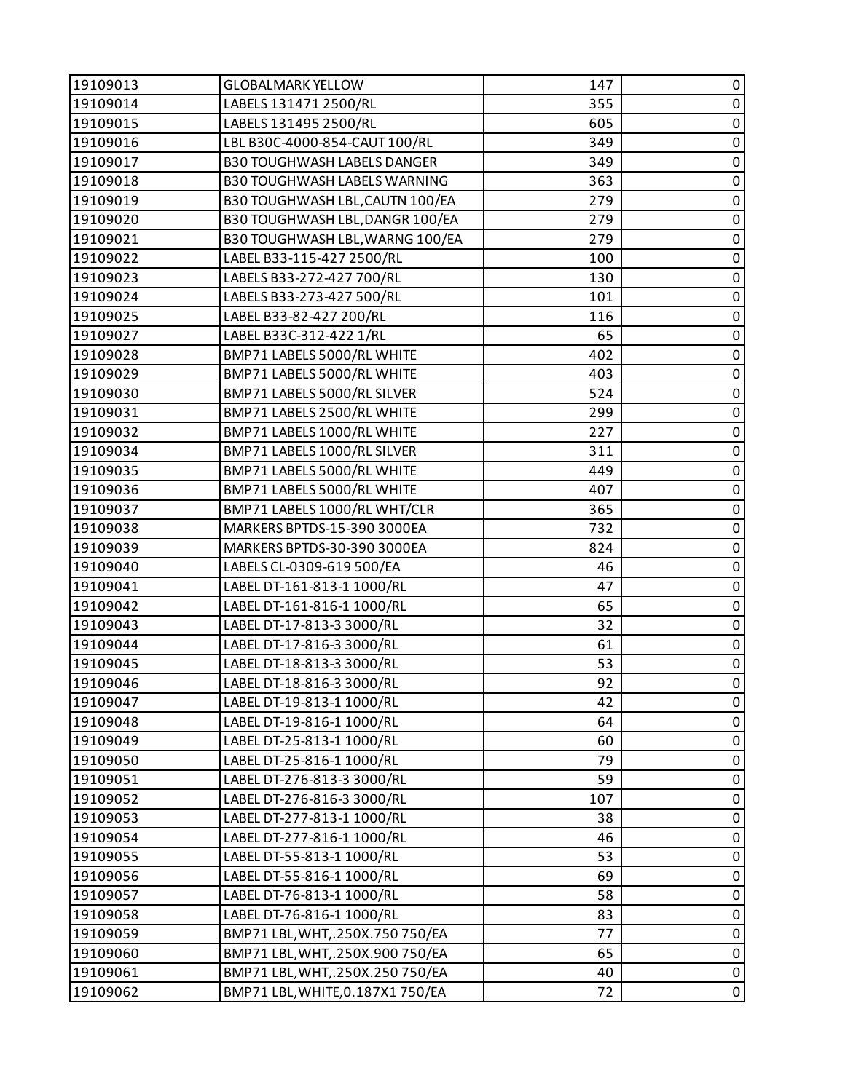| 19109013 | <b>GLOBALMARK YELLOW</b>           | 147 | 0           |
|----------|------------------------------------|-----|-------------|
| 19109014 | LABELS 131471 2500/RL              | 355 | $\pmb{0}$   |
| 19109015 | LABELS 131495 2500/RL              | 605 | 0           |
| 19109016 | LBL B30C-4000-854-CAUT 100/RL      | 349 | $\pmb{0}$   |
| 19109017 | <b>B30 TOUGHWASH LABELS DANGER</b> | 349 | $\pmb{0}$   |
| 19109018 | B30 TOUGHWASH LABELS WARNING       | 363 | 0           |
| 19109019 | B30 TOUGHWASH LBL, CAUTN 100/EA    | 279 | $\pmb{0}$   |
| 19109020 | B30 TOUGHWASH LBL, DANGR 100/EA    | 279 | $\pmb{0}$   |
| 19109021 | B30 TOUGHWASH LBL, WARNG 100/EA    | 279 | 0           |
| 19109022 | LABEL B33-115-427 2500/RL          | 100 | $\pmb{0}$   |
| 19109023 | LABELS B33-272-427 700/RL          | 130 | $\pmb{0}$   |
| 19109024 | LABELS B33-273-427 500/RL          | 101 | 0           |
| 19109025 | LABEL B33-82-427 200/RL            | 116 | $\pmb{0}$   |
| 19109027 | LABEL B33C-312-422 1/RL            | 65  | $\pmb{0}$   |
| 19109028 | BMP71 LABELS 5000/RL WHITE         | 402 | 0           |
| 19109029 | BMP71 LABELS 5000/RL WHITE         | 403 | $\pmb{0}$   |
| 19109030 | BMP71 LABELS 5000/RL SILVER        | 524 | $\pmb{0}$   |
| 19109031 | BMP71 LABELS 2500/RL WHITE         | 299 | 0           |
| 19109032 | BMP71 LABELS 1000/RL WHITE         | 227 | $\pmb{0}$   |
| 19109034 | BMP71 LABELS 1000/RL SILVER        | 311 | $\pmb{0}$   |
| 19109035 | BMP71 LABELS 5000/RL WHITE         | 449 | 0           |
| 19109036 | BMP71 LABELS 5000/RL WHITE         | 407 | $\pmb{0}$   |
| 19109037 | BMP71 LABELS 1000/RL WHT/CLR       | 365 | $\pmb{0}$   |
| 19109038 | MARKERS BPTDS-15-390 3000EA        | 732 | $\pmb{0}$   |
| 19109039 | MARKERS BPTDS-30-390 3000EA        | 824 | $\pmb{0}$   |
| 19109040 | LABELS CL-0309-619 500/EA          | 46  | $\pmb{0}$   |
| 19109041 | LABEL DT-161-813-1 1000/RL         | 47  | 0           |
| 19109042 | LABEL DT-161-816-1 1000/RL         | 65  | $\pmb{0}$   |
| 19109043 | LABEL DT-17-813-3 3000/RL          | 32  | $\pmb{0}$   |
| 19109044 | LABEL DT-17-816-3 3000/RL          | 61  | $\pmb{0}$   |
| 19109045 | LABEL DT-18-813-3 3000/RL          | 53  | $\pmb{0}$   |
| 19109046 | LABEL DT-18-816-3 3000/RL          | 92  | $\pmb{0}$   |
| 19109047 | LABEL DT-19-813-1 1000/RL          | 42  | 0           |
| 19109048 | LABEL DT-19-816-1 1000/RL          | 64  | 0           |
| 19109049 | LABEL DT-25-813-1 1000/RL          | 60  | $\pmb{0}$   |
| 19109050 | LABEL DT-25-816-1 1000/RL          | 79  | 0           |
| 19109051 | LABEL DT-276-813-3 3000/RL         | 59  | 0           |
| 19109052 | LABEL DT-276-816-3 3000/RL         | 107 | $\pmb{0}$   |
| 19109053 | LABEL DT-277-813-1 1000/RL         | 38  | $\pmb{0}$   |
| 19109054 | LABEL DT-277-816-1 1000/RL         | 46  | $\mathbf 0$ |
| 19109055 | LABEL DT-55-813-1 1000/RL          | 53  | $\pmb{0}$   |
| 19109056 | LABEL DT-55-816-1 1000/RL          | 69  | 0           |
| 19109057 | LABEL DT-76-813-1 1000/RL          | 58  | 0           |
| 19109058 | LABEL DT-76-816-1 1000/RL          | 83  | $\pmb{0}$   |
| 19109059 | BMP71 LBL, WHT, .250X.750 750/EA   | 77  | $\pmb{0}$   |
| 19109060 | BMP71 LBL, WHT, .250X.900 750/EA   | 65  | $\pmb{0}$   |
| 19109061 | BMP71 LBL, WHT, .250X.250 750/EA   | 40  | $\pmb{0}$   |
| 19109062 | BMP71 LBL, WHITE, 0.187X1 750/EA   | 72  | 0           |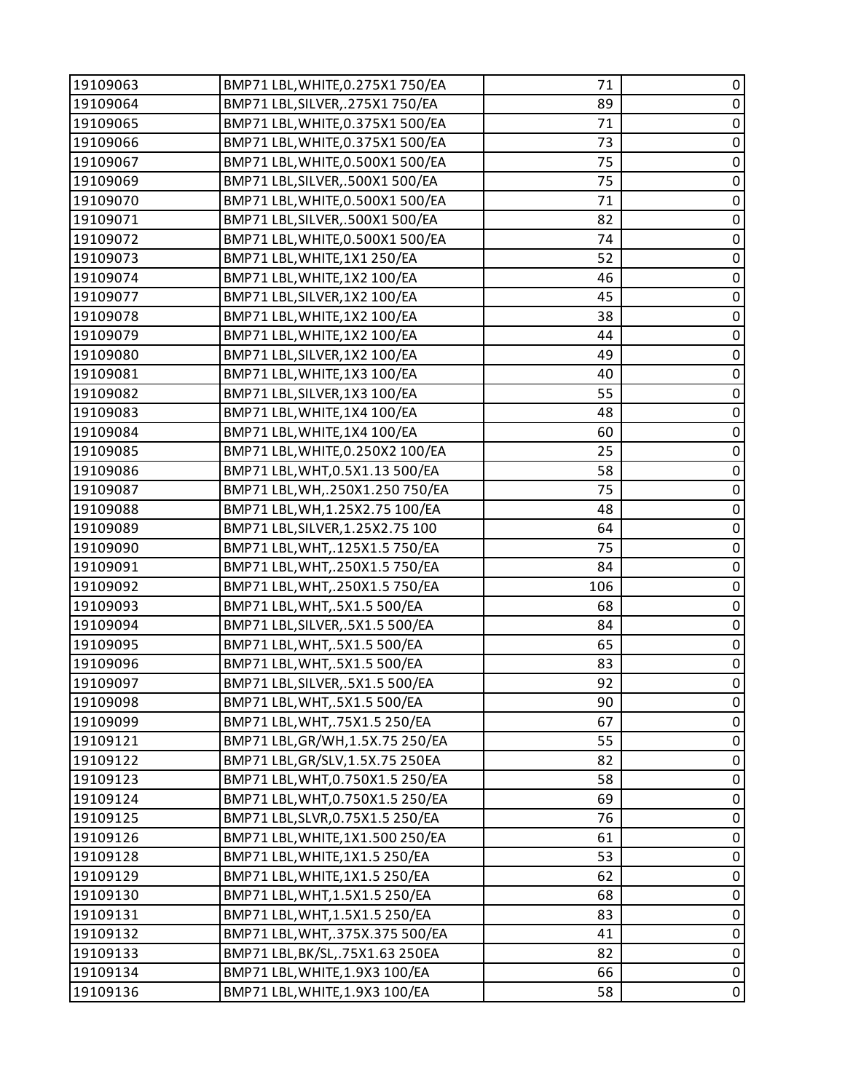| 19109063 | BMP71 LBL, WHITE, 0.275X1 750/EA  | 71  | 0           |
|----------|-----------------------------------|-----|-------------|
| 19109064 | BMP71 LBL, SILVER, . 275X1 750/EA | 89  | $\pmb{0}$   |
| 19109065 | BMP71 LBL, WHITE, 0.375X1 500/EA  | 71  | $\pmb{0}$   |
| 19109066 | BMP71 LBL, WHITE, 0.375X1 500/EA  | 73  | $\pmb{0}$   |
| 19109067 | BMP71 LBL, WHITE, 0.500X1 500/EA  | 75  | $\pmb{0}$   |
| 19109069 | BMP71 LBL, SILVER, . 500X1 500/EA | 75  | $\pmb{0}$   |
| 19109070 | BMP71 LBL, WHITE, 0.500X1 500/EA  | 71  | $\pmb{0}$   |
| 19109071 | BMP71 LBL, SILVER, .500X1 500/EA  | 82  | $\mathbf 0$ |
| 19109072 | BMP71 LBL, WHITE, 0.500X1 500/EA  | 74  | $\pmb{0}$   |
| 19109073 | BMP71 LBL, WHITE, 1X1 250/EA      | 52  | $\pmb{0}$   |
| 19109074 | BMP71 LBL, WHITE, 1X2 100/EA      | 46  | $\pmb{0}$   |
| 19109077 | BMP71 LBL, SILVER, 1X2 100/EA     | 45  | $\pmb{0}$   |
| 19109078 | BMP71 LBL, WHITE, 1X2 100/EA      | 38  | $\pmb{0}$   |
| 19109079 | BMP71 LBL, WHITE, 1X2 100/EA      | 44  | $\mathbf 0$ |
| 19109080 | BMP71 LBL, SILVER, 1X2 100/EA     | 49  | $\pmb{0}$   |
| 19109081 | BMP71 LBL, WHITE, 1X3 100/EA      | 40  | $\pmb{0}$   |
| 19109082 | BMP71 LBL, SILVER, 1X3 100/EA     | 55  | $\pmb{0}$   |
| 19109083 | BMP71 LBL, WHITE, 1X4 100/EA      | 48  | $\pmb{0}$   |
| 19109084 | BMP71 LBL, WHITE, 1X4 100/EA      | 60  | $\pmb{0}$   |
| 19109085 | BMP71 LBL, WHITE, 0.250X2 100/EA  | 25  | $\pmb{0}$   |
| 19109086 | BMP71 LBL, WHT, 0.5X1.13 500/EA   | 58  | $\pmb{0}$   |
| 19109087 | BMP71 LBL, WH, . 250X1.250 750/EA | 75  | $\pmb{0}$   |
| 19109088 | BMP71 LBL, WH, 1.25X2.75 100/EA   | 48  | $\pmb{0}$   |
| 19109089 | BMP71 LBL, SILVER, 1.25X2.75 100  | 64  | $\pmb{0}$   |
| 19109090 | BMP71 LBL, WHT, .125X1.5 750/EA   | 75  | $\pmb{0}$   |
| 19109091 | BMP71 LBL, WHT, .250X1.5 750/EA   | 84  | $\mathbf 0$ |
| 19109092 | BMP71 LBL, WHT, .250X1.5 750/EA   | 106 | $\pmb{0}$   |
| 19109093 | BMP71 LBL, WHT, .5X1.5 500/EA     | 68  | $\pmb{0}$   |
| 19109094 | BMP71 LBL, SILVER, .5X1.5 500/EA  | 84  | $\pmb{0}$   |
| 19109095 | BMP71 LBL, WHT, .5X1.5 500/EA     | 65  | $\pmb{0}$   |
| 19109096 | BMP71 LBL, WHT, .5X1.5 500/EA     | 83  | $\pmb{0}$   |
| 19109097 | BMP71 LBL, SILVER, .5X1.5 500/EA  | 92  | $\mathbf 0$ |
| 19109098 | BMP71 LBL, WHT, .5X1.5 500/EA     | 90  | 0           |
| 19109099 | BMP71 LBL, WHT, .75X1.5 250/EA    | 67  | 0           |
| 19109121 | BMP71 LBL, GR/WH, 1.5X. 75 250/EA | 55  | $\pmb{0}$   |
| 19109122 | BMP71 LBL, GR/SLV, 1.5X. 75 250EA | 82  | $\pmb{0}$   |
| 19109123 | BMP71 LBL, WHT, 0.750X1.5 250/EA  | 58  | $\mathbf 0$ |
| 19109124 | BMP71 LBL, WHT, 0.750X1.5 250/EA  | 69  | $\mathbf 0$ |
| 19109125 | BMP71 LBL, SLVR, 0.75X1.5 250/EA  | 76  | $\pmb{0}$   |
| 19109126 | BMP71 LBL, WHITE, 1X1.500 250/EA  | 61  | $\pmb{0}$   |
| 19109128 | BMP71 LBL, WHITE, 1X1.5 250/EA    | 53  | $\mathbf 0$ |
| 19109129 | BMP71 LBL, WHITE, 1X1.5 250/EA    | 62  | $\pmb{0}$   |
| 19109130 | BMP71 LBL, WHT, 1.5X1.5 250/EA    | 68  | $\mathbf 0$ |
| 19109131 | BMP71 LBL, WHT, 1.5X1.5 250/EA    | 83  | $\pmb{0}$   |
| 19109132 | BMP71 LBL, WHT, 375X.375 500/EA   | 41  | $\pmb{0}$   |
| 19109133 | BMP71 LBL, BK/SL, .75X1.63 250EA  | 82  | $\pmb{0}$   |
| 19109134 | BMP71 LBL, WHITE, 1.9X3 100/EA    | 66  | $\pmb{0}$   |
| 19109136 | BMP71 LBL, WHITE, 1.9X3 100/EA    | 58  | $\pmb{0}$   |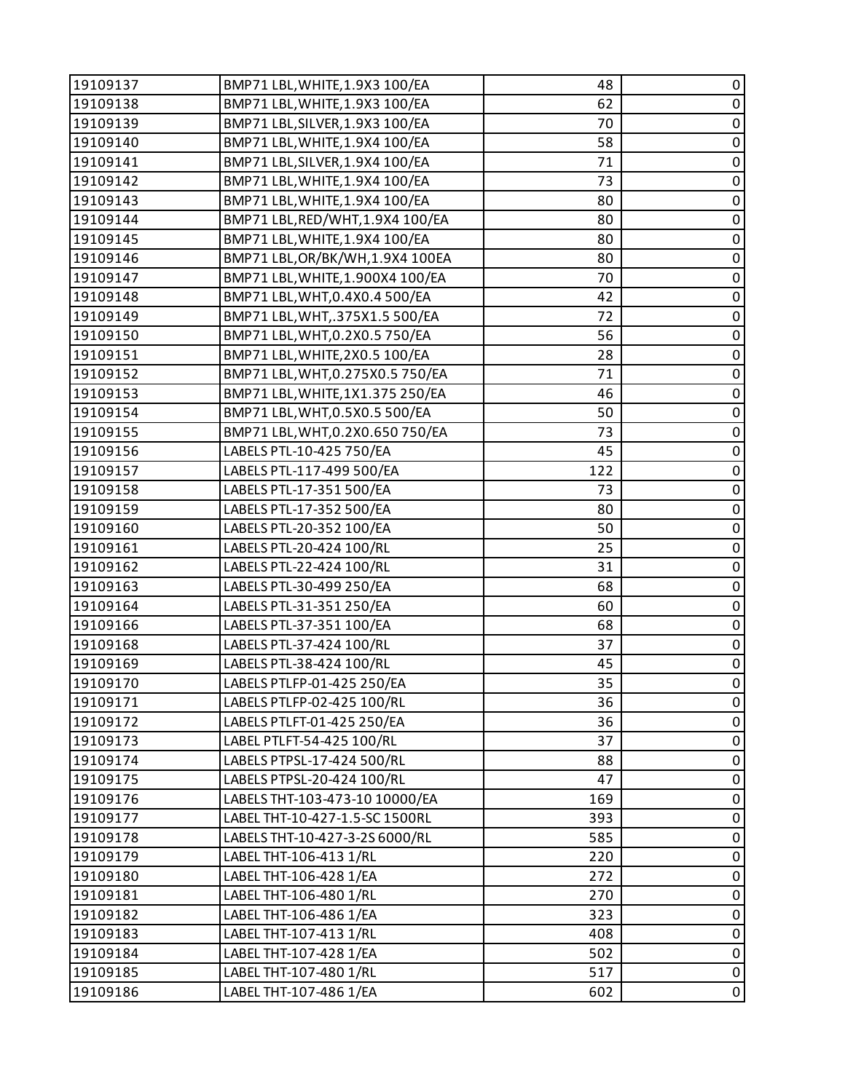| 19109137 | BMP71 LBL, WHITE, 1.9X3 100/EA   | 48  | 0           |
|----------|----------------------------------|-----|-------------|
| 19109138 | BMP71 LBL, WHITE, 1.9X3 100/EA   | 62  | $\pmb{0}$   |
| 19109139 | BMP71 LBL, SILVER, 1.9X3 100/EA  | 70  | $\pmb{0}$   |
| 19109140 | BMP71 LBL, WHITE, 1.9X4 100/EA   | 58  | $\pmb{0}$   |
| 19109141 | BMP71 LBL, SILVER, 1.9X4 100/EA  | 71  | $\pmb{0}$   |
| 19109142 | BMP71 LBL, WHITE, 1.9X4 100/EA   | 73  | $\pmb{0}$   |
| 19109143 | BMP71 LBL, WHITE, 1.9X4 100/EA   | 80  | $\pmb{0}$   |
| 19109144 | BMP71 LBL, RED/WHT, 1.9X4 100/EA | 80  | $\pmb{0}$   |
| 19109145 | BMP71 LBL, WHITE, 1.9X4 100/EA   | 80  | $\pmb{0}$   |
| 19109146 | BMP71 LBL, OR/BK/WH, 1.9X4 100EA | 80  | $\pmb{0}$   |
| 19109147 | BMP71 LBL, WHITE, 1.900X4 100/EA | 70  | $\pmb{0}$   |
| 19109148 | BMP71 LBL, WHT, 0.4X0.4 500/EA   | 42  | $\pmb{0}$   |
| 19109149 | BMP71 LBL, WHT, .375X1.5 500/EA  | 72  | $\pmb{0}$   |
| 19109150 | BMP71 LBL, WHT, 0.2X0.5 750/EA   | 56  | $\pmb{0}$   |
| 19109151 | BMP71 LBL, WHITE, 2X0.5 100/EA   | 28  | $\pmb{0}$   |
| 19109152 | BMP71 LBL, WHT, 0.275X0.5 750/EA | 71  | $\pmb{0}$   |
| 19109153 | BMP71 LBL, WHITE, 1X1.375 250/EA | 46  | $\pmb{0}$   |
| 19109154 | BMP71 LBL, WHT, 0.5X0.5 500/EA   | 50  | $\pmb{0}$   |
| 19109155 | BMP71 LBL, WHT, 0.2X0.650 750/EA | 73  | $\pmb{0}$   |
| 19109156 | LABELS PTL-10-425 750/EA         | 45  | $\pmb{0}$   |
| 19109157 | LABELS PTL-117-499 500/EA        | 122 | $\pmb{0}$   |
| 19109158 | LABELS PTL-17-351 500/EA         | 73  | $\pmb{0}$   |
| 19109159 | LABELS PTL-17-352 500/EA         | 80  | $\pmb{0}$   |
| 19109160 | LABELS PTL-20-352 100/EA         | 50  | $\pmb{0}$   |
| 19109161 | LABELS PTL-20-424 100/RL         | 25  | $\pmb{0}$   |
| 19109162 | LABELS PTL-22-424 100/RL         | 31  | $\pmb{0}$   |
| 19109163 | LABELS PTL-30-499 250/EA         | 68  | $\pmb{0}$   |
| 19109164 | LABELS PTL-31-351 250/EA         | 60  | $\pmb{0}$   |
| 19109166 | LABELS PTL-37-351 100/EA         | 68  | $\pmb{0}$   |
| 19109168 | LABELS PTL-37-424 100/RL         | 37  | $\pmb{0}$   |
| 19109169 | LABELS PTL-38-424 100/RL         | 45  | $\pmb{0}$   |
| 19109170 | LABELS PTLFP-01-425 250/EA       | 35  | $\pmb{0}$   |
| 19109171 | LABELS PTLFP-02-425 100/RL       | 36  | 0           |
| 19109172 | LABELS PTLFT-01-425 250/EA       | 36  | 0           |
| 19109173 | LABEL PTLFT-54-425 100/RL        | 37  | $\pmb{0}$   |
| 19109174 | LABELS PTPSL-17-424 500/RL       | 88  | $\pmb{0}$   |
| 19109175 | LABELS PTPSL-20-424 100/RL       | 47  | 0           |
| 19109176 | LABELS THT-103-473-10 10000/EA   | 169 | $\pmb{0}$   |
| 19109177 | LABEL THT-10-427-1.5-SC 1500RL   | 393 | $\pmb{0}$   |
| 19109178 | LABELS THT-10-427-3-2S 6000/RL   | 585 | 0           |
| 19109179 | LABEL THT-106-413 1/RL           | 220 | $\pmb{0}$   |
| 19109180 | LABEL THT-106-428 1/EA           | 272 | $\pmb{0}$   |
| 19109181 | LABEL THT-106-480 1/RL           | 270 | 0           |
| 19109182 | LABEL THT-106-486 1/EA           | 323 | $\pmb{0}$   |
| 19109183 | LABEL THT-107-413 1/RL           | 408 | $\pmb{0}$   |
| 19109184 | LABEL THT-107-428 1/EA           | 502 | $\pmb{0}$   |
| 19109185 | LABEL THT-107-480 1/RL           | 517 | $\mathbf 0$ |
| 19109186 | LABEL THT-107-486 1/EA           | 602 | $\pmb{0}$   |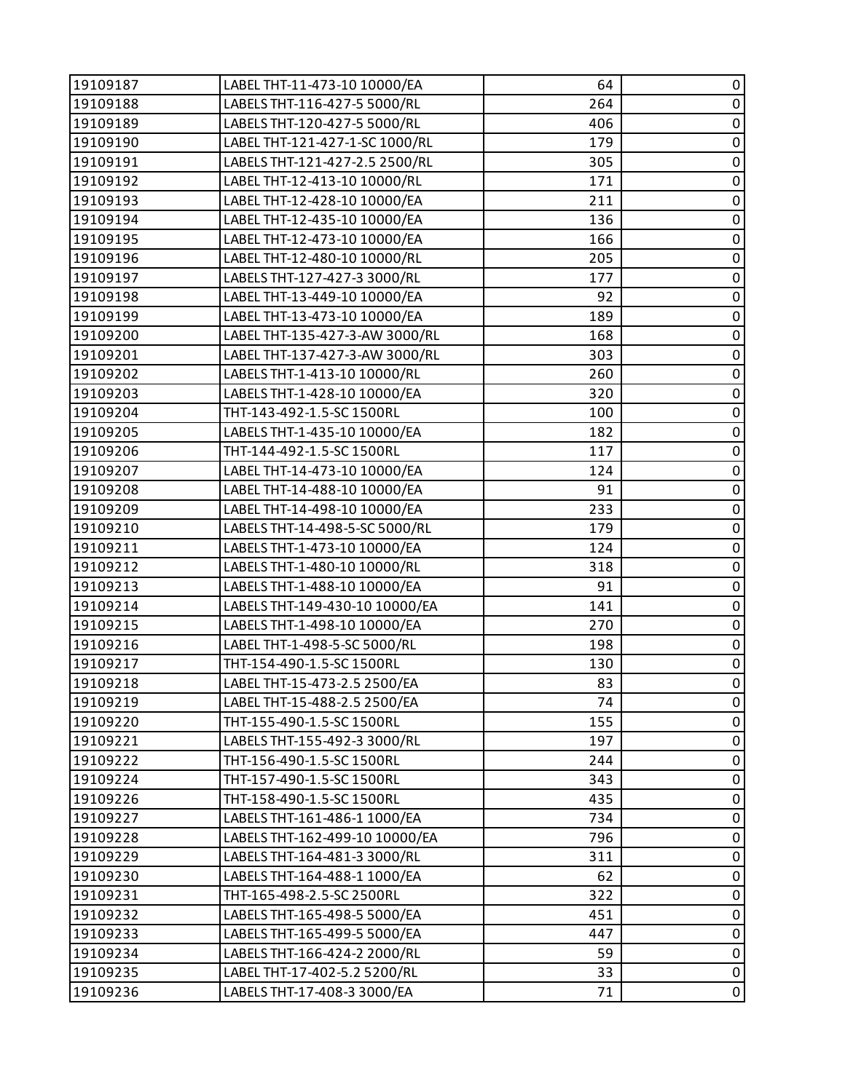| 19109187 | LABEL THT-11-473-10 10000/EA   | 64  | 0              |
|----------|--------------------------------|-----|----------------|
| 19109188 | LABELS THT-116-427-5 5000/RL   | 264 | $\pmb{0}$      |
| 19109189 | LABELS THT-120-427-5 5000/RL   | 406 | 0              |
| 19109190 | LABEL THT-121-427-1-SC 1000/RL | 179 | $\mathbf 0$    |
| 19109191 | LABELS THT-121-427-2.5 2500/RL | 305 | $\pmb{0}$      |
| 19109192 | LABEL THT-12-413-10 10000/RL   | 171 | $\pmb{0}$      |
| 19109193 | LABEL THT-12-428-10 10000/EA   | 211 | $\pmb{0}$      |
| 19109194 | LABEL THT-12-435-10 10000/EA   | 136 | $\pmb{0}$      |
| 19109195 | LABEL THT-12-473-10 10000/EA   | 166 | 0              |
| 19109196 | LABEL THT-12-480-10 10000/RL   | 205 | $\pmb{0}$      |
| 19109197 | LABELS THT-127-427-3 3000/RL   | 177 | $\pmb{0}$      |
| 19109198 | LABEL THT-13-449-10 10000/EA   | 92  | $\pmb{0}$      |
| 19109199 | LABEL THT-13-473-10 10000/EA   | 189 | $\overline{0}$ |
| 19109200 | LABEL THT-135-427-3-AW 3000/RL | 168 | $\pmb{0}$      |
| 19109201 | LABEL THT-137-427-3-AW 3000/RL | 303 | 0              |
| 19109202 | LABELS THT-1-413-10 10000/RL   | 260 | $\pmb{0}$      |
| 19109203 | LABELS THT-1-428-10 10000/EA   | 320 | $\pmb{0}$      |
| 19109204 | THT-143-492-1.5-SC 1500RL      | 100 | 0              |
| 19109205 | LABELS THT-1-435-10 10000/EA   | 182 | $\overline{0}$ |
| 19109206 | THT-144-492-1.5-SC 1500RL      | 117 | $\pmb{0}$      |
| 19109207 | LABEL THT-14-473-10 10000/EA   | 124 | $\pmb{0}$      |
| 19109208 | LABEL THT-14-488-10 10000/EA   | 91  | $\pmb{0}$      |
| 19109209 | LABEL THT-14-498-10 10000/EA   | 233 | $\pmb{0}$      |
| 19109210 | LABELS THT-14-498-5-SC 5000/RL | 179 | 0              |
| 19109211 | LABELS THT-1-473-10 10000/EA   | 124 | $\pmb{0}$      |
| 19109212 | LABELS THT-1-480-10 10000/RL   | 318 | $\pmb{0}$      |
| 19109213 | LABELS THT-1-488-10 10000/EA   | 91  | 0              |
| 19109214 | LABELS THT-149-430-10 10000/EA | 141 | $\mathbf 0$    |
| 19109215 | LABELS THT-1-498-10 10000/EA   | 270 | $\pmb{0}$      |
| 19109216 | LABEL THT-1-498-5-SC 5000/RL   | 198 | $\pmb{0}$      |
| 19109217 | THT-154-490-1.5-SC 1500RL      | 130 | $\pmb{0}$      |
| 19109218 | LABEL THT-15-473-2.5 2500/EA   | 83  | $\mathbf 0$    |
| 19109219 | LABEL THT-15-488-2.5 2500/EA   | 74  | 0              |
| 19109220 | THT-155-490-1.5-SC 1500RL      | 155 | 0              |
| 19109221 | LABELS THT-155-492-3 3000/RL   | 197 | $\pmb{0}$      |
| 19109222 | THT-156-490-1.5-SC 1500RL      | 244 | 0              |
| 19109224 | THT-157-490-1.5-SC 1500RL      | 343 | 0              |
| 19109226 | THT-158-490-1.5-SC 1500RL      | 435 | $\mathbf 0$    |
| 19109227 | LABELS THT-161-486-1 1000/EA   | 734 | 0              |
| 19109228 | LABELS THT-162-499-10 10000/EA | 796 | 0              |
| 19109229 | LABELS THT-164-481-3 3000/RL   | 311 | $\pmb{0}$      |
| 19109230 | LABELS THT-164-488-1 1000/EA   | 62  | 0              |
| 19109231 | THT-165-498-2.5-SC 2500RL      | 322 | $\mathbf 0$    |
| 19109232 | LABELS THT-165-498-5 5000/EA   | 451 | $\pmb{0}$      |
| 19109233 | LABELS THT-165-499-5 5000/EA   | 447 | $\pmb{0}$      |
| 19109234 | LABELS THT-166-424-2 2000/RL   | 59  | $\pmb{0}$      |
| 19109235 | LABEL THT-17-402-5.2 5200/RL   | 33  | $\pmb{0}$      |
| 19109236 | LABELS THT-17-408-3 3000/EA    | 71  | $\pmb{0}$      |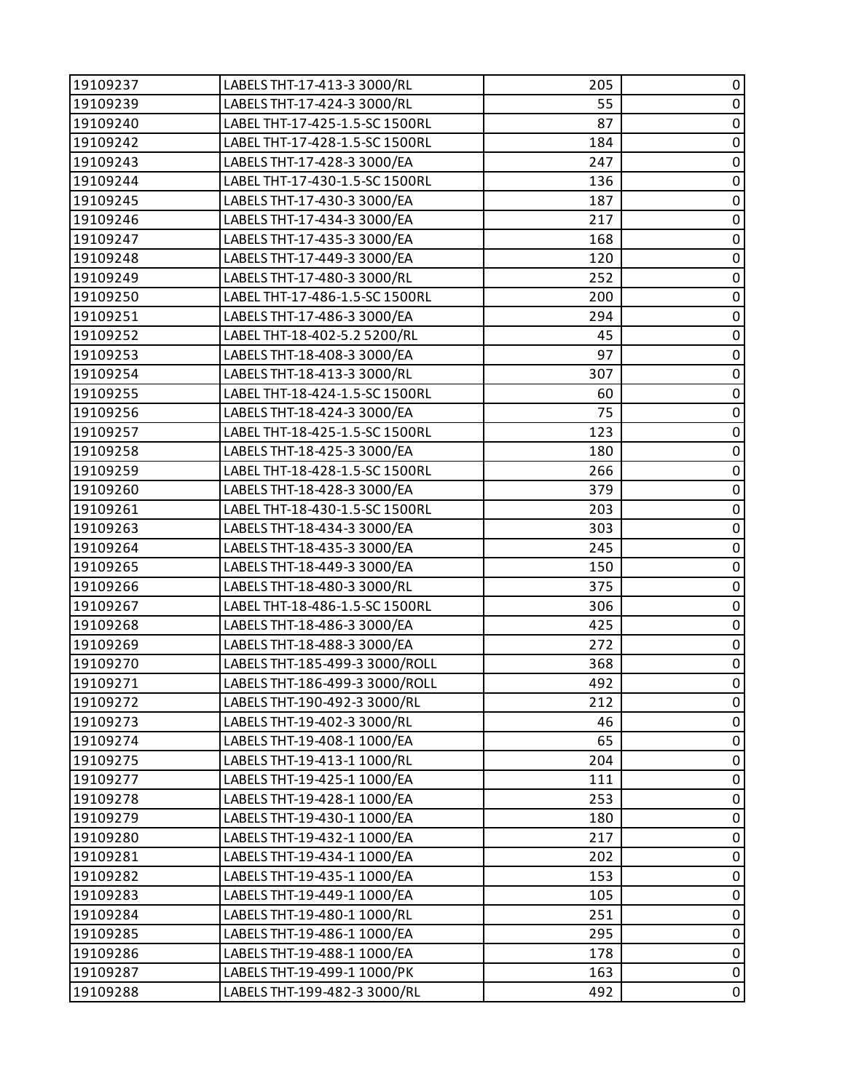| 19109237 | LABELS THT-17-413-3 3000/RL    | 205 | 0              |
|----------|--------------------------------|-----|----------------|
| 19109239 | LABELS THT-17-424-3 3000/RL    | 55  | $\pmb{0}$      |
| 19109240 | LABEL THT-17-425-1.5-SC 1500RL | 87  | $\pmb{0}$      |
| 19109242 | LABEL THT-17-428-1.5-SC 1500RL | 184 | $\pmb{0}$      |
| 19109243 | LABELS THT-17-428-3 3000/EA    | 247 | $\pmb{0}$      |
| 19109244 | LABEL THT-17-430-1.5-SC 1500RL | 136 | $\pmb{0}$      |
| 19109245 | LABELS THT-17-430-3 3000/EA    | 187 | $\pmb{0}$      |
| 19109246 | LABELS THT-17-434-3 3000/EA    | 217 | $\pmb{0}$      |
| 19109247 | LABELS THT-17-435-3 3000/EA    | 168 | 0              |
| 19109248 | LABELS THT-17-449-3 3000/EA    | 120 | $\pmb{0}$      |
| 19109249 | LABELS THT-17-480-3 3000/RL    | 252 | $\pmb{0}$      |
| 19109250 | LABEL THT-17-486-1.5-SC 1500RL | 200 | $\pmb{0}$      |
| 19109251 | LABELS THT-17-486-3 3000/EA    | 294 | $\overline{0}$ |
| 19109252 | LABEL THT-18-402-5.2 5200/RL   | 45  | $\pmb{0}$      |
| 19109253 | LABELS THT-18-408-3 3000/EA    | 97  | $\pmb{0}$      |
| 19109254 | LABELS THT-18-413-3 3000/RL    | 307 | $\pmb{0}$      |
| 19109255 | LABEL THT-18-424-1.5-SC 1500RL | 60  | $\pmb{0}$      |
| 19109256 | LABELS THT-18-424-3 3000/EA    | 75  | $\pmb{0}$      |
| 19109257 | LABEL THT-18-425-1.5-SC 1500RL | 123 | $\overline{0}$ |
| 19109258 | LABELS THT-18-425-3 3000/EA    | 180 | $\pmb{0}$      |
| 19109259 | LABEL THT-18-428-1.5-SC 1500RL | 266 | $\pmb{0}$      |
| 19109260 | LABELS THT-18-428-3 3000/EA    | 379 | $\pmb{0}$      |
| 19109261 | LABEL THT-18-430-1.5-SC 1500RL | 203 | $\pmb{0}$      |
| 19109263 | LABELS THT-18-434-3 3000/EA    | 303 | $\pmb{0}$      |
| 19109264 | LABELS THT-18-435-3 3000/EA    | 245 | $\pmb{0}$      |
| 19109265 | LABELS THT-18-449-3 3000/EA    | 150 | $\pmb{0}$      |
| 19109266 | LABELS THT-18-480-3 3000/RL    | 375 | 0              |
| 19109267 | LABEL THT-18-486-1.5-SC 1500RL | 306 | $\mathbf 0$    |
| 19109268 | LABELS THT-18-486-3 3000/EA    | 425 | $\pmb{0}$      |
| 19109269 | LABELS THT-18-488-3 3000/EA    | 272 | $\pmb{0}$      |
| 19109270 | LABELS THT-185-499-3 3000/ROLL | 368 | $\pmb{0}$      |
| 19109271 | LABELS THT-186-499-3 3000/ROLL | 492 | $\mathbf 0$    |
| 19109272 | LABELS THT-190-492-3 3000/RL   | 212 | 0              |
| 19109273 | LABELS THT-19-402-3 3000/RL    | 46  | 0              |
| 19109274 | LABELS THT-19-408-1 1000/EA    | 65  | $\pmb{0}$      |
| 19109275 | LABELS THT-19-413-1 1000/RL    | 204 | 0              |
| 19109277 | LABELS THT-19-425-1 1000/EA    | 111 | $\pmb{0}$      |
| 19109278 | LABELS THT-19-428-1 1000/EA    | 253 | $\pmb{0}$      |
| 19109279 | LABELS THT-19-430-1 1000/EA    | 180 | 0              |
| 19109280 | LABELS THT-19-432-1 1000/EA    | 217 | $\pmb{0}$      |
| 19109281 | LABELS THT-19-434-1 1000/EA    | 202 | $\mathbf 0$    |
| 19109282 | LABELS THT-19-435-1 1000/EA    | 153 | 0              |
| 19109283 | LABELS THT-19-449-1 1000/EA    | 105 | $\pmb{0}$      |
| 19109284 | LABELS THT-19-480-1 1000/RL    | 251 | $\pmb{0}$      |
| 19109285 | LABELS THT-19-486-1 1000/EA    | 295 | $\pmb{0}$      |
| 19109286 | LABELS THT-19-488-1 1000/EA    | 178 | $\pmb{0}$      |
| 19109287 | LABELS THT-19-499-1 1000/PK    | 163 | $\pmb{0}$      |
| 19109288 | LABELS THT-199-482-3 3000/RL   | 492 | $\pmb{0}$      |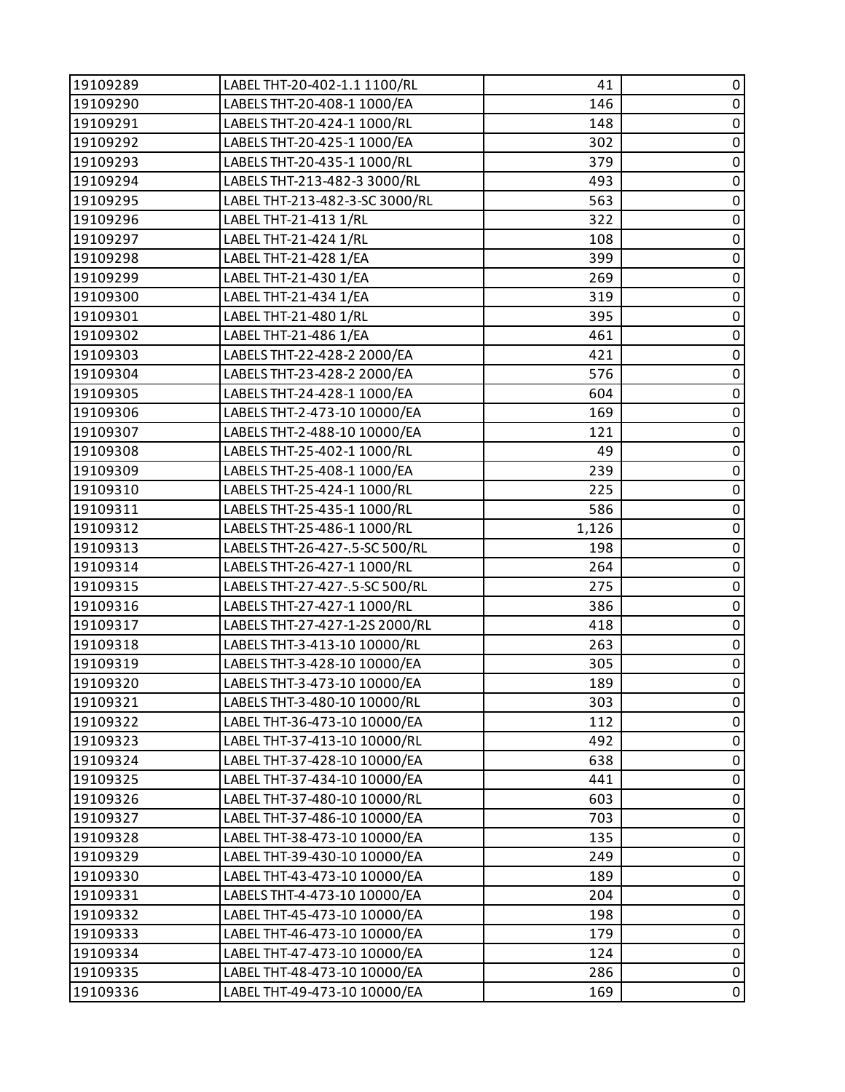| 19109289 | LABEL THT-20-402-1.1 1100/RL   | 41    | 0           |
|----------|--------------------------------|-------|-------------|
| 19109290 | LABELS THT-20-408-1 1000/EA    | 146   | $\pmb{0}$   |
| 19109291 | LABELS THT-20-424-1 1000/RL    | 148   | 0           |
| 19109292 | LABELS THT-20-425-1 1000/EA    | 302   | $\mathbf 0$ |
| 19109293 | LABELS THT-20-435-1 1000/RL    | 379   | $\pmb{0}$   |
| 19109294 | LABELS THT-213-482-3 3000/RL   | 493   | $\pmb{0}$   |
| 19109295 | LABEL THT-213-482-3-SC 3000/RL | 563   | $\pmb{0}$   |
| 19109296 | LABEL THT-21-413 1/RL          | 322   | $\pmb{0}$   |
| 19109297 | LABEL THT-21-424 1/RL          | 108   | 0           |
| 19109298 | LABEL THT-21-428 1/EA          | 399   | $\pmb{0}$   |
| 19109299 | LABEL THT-21-430 1/EA          | 269   | $\pmb{0}$   |
| 19109300 | LABEL THT-21-434 1/EA          | 319   | $\pmb{0}$   |
| 19109301 | LABEL THT-21-480 1/RL          | 395   | $\pmb{0}$   |
| 19109302 | LABEL THT-21-486 1/EA          | 461   | $\pmb{0}$   |
| 19109303 | LABELS THT-22-428-2 2000/EA    | 421   | 0           |
| 19109304 | LABELS THT-23-428-2 2000/EA    | 576   | $\pmb{0}$   |
| 19109305 | LABELS THT-24-428-1 1000/EA    | 604   | $\pmb{0}$   |
| 19109306 | LABELS THT-2-473-10 10000/EA   | 169   | 0           |
| 19109307 | LABELS THT-2-488-10 10000/EA   | 121   | $\pmb{0}$   |
| 19109308 | LABELS THT-25-402-1 1000/RL    | 49    | $\pmb{0}$   |
| 19109309 | LABELS THT-25-408-1 1000/EA    | 239   | $\pmb{0}$   |
| 19109310 | LABELS THT-25-424-1 1000/RL    | 225   | $\pmb{0}$   |
| 19109311 | LABELS THT-25-435-1 1000/RL    | 586   | $\pmb{0}$   |
| 19109312 | LABELS THT-25-486-1 1000/RL    | 1,126 | 0           |
| 19109313 | LABELS THT-26-427-.5-SC 500/RL | 198   | $\pmb{0}$   |
| 19109314 | LABELS THT-26-427-1 1000/RL    | 264   | $\pmb{0}$   |
| 19109315 | LABELS THT-27-427-.5-SC 500/RL | 275   | 0           |
| 19109316 | LABELS THT-27-427-1 1000/RL    | 386   | $\mathbf 0$ |
| 19109317 | LABELS THT-27-427-1-2S 2000/RL | 418   | $\pmb{0}$   |
| 19109318 | LABELS THT-3-413-10 10000/RL   | 263   | $\pmb{0}$   |
| 19109319 | LABELS THT-3-428-10 10000/EA   | 305   | $\pmb{0}$   |
| 19109320 | LABELS THT-3-473-10 10000/EA   | 189   | $\mathbf 0$ |
| 19109321 | LABELS THT-3-480-10 10000/RL   | 303   | 0           |
| 19109322 | LABEL THT-36-473-10 10000/EA   | 112   | 0           |
| 19109323 | LABEL THT-37-413-10 10000/RL   | 492   | $\pmb{0}$   |
| 19109324 | LABEL THT-37-428-10 10000/EA   | 638   | 0           |
| 19109325 | LABEL THT-37-434-10 10000/EA   | 441   | $\pmb{0}$   |
| 19109326 | LABEL THT-37-480-10 10000/RL   | 603   | $\pmb{0}$   |
| 19109327 | LABEL THT-37-486-10 10000/EA   | 703   | 0           |
| 19109328 | LABEL THT-38-473-10 10000/EA   | 135   | 0           |
| 19109329 | LABEL THT-39-430-10 10000/EA   | 249   | $\mathbf 0$ |
| 19109330 | LABEL THT-43-473-10 10000/EA   | 189   | 0           |
| 19109331 | LABELS THT-4-473-10 10000/EA   | 204   | $\mathbf 0$ |
| 19109332 | LABEL THT-45-473-10 10000/EA   | 198   | $\pmb{0}$   |
| 19109333 | LABEL THT-46-473-10 10000/EA   | 179   | $\pmb{0}$   |
| 19109334 | LABEL THT-47-473-10 10000/EA   | 124   | $\pmb{0}$   |
| 19109335 | LABEL THT-48-473-10 10000/EA   | 286   | $\pmb{0}$   |
| 19109336 | LABEL THT-49-473-10 10000/EA   | 169   | 0           |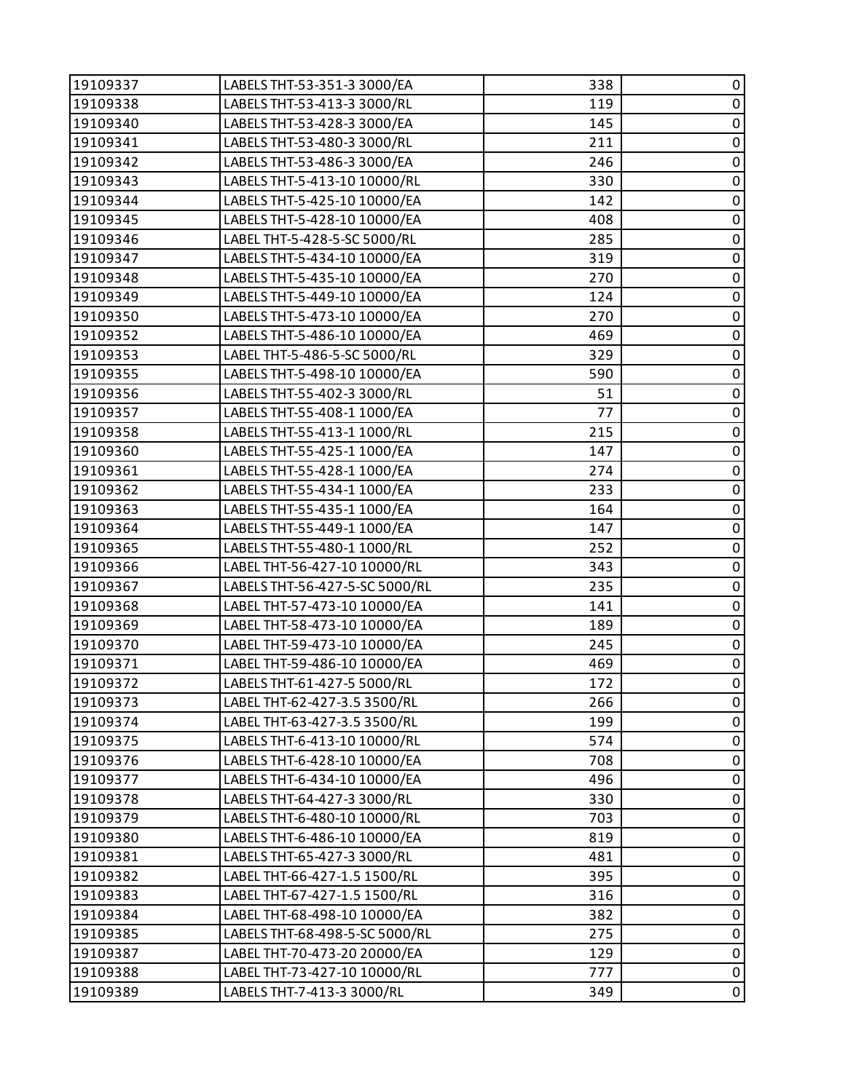| 19109337 | LABELS THT-53-351-3 3000/EA    | 338 | $\pmb{0}$      |
|----------|--------------------------------|-----|----------------|
| 19109338 | LABELS THT-53-413-3 3000/RL    | 119 | $\pmb{0}$      |
| 19109340 | LABELS THT-53-428-3 3000/EA    | 145 | $\pmb{0}$      |
| 19109341 | LABELS THT-53-480-3 3000/RL    | 211 | $\mathbf 0$    |
| 19109342 | LABELS THT-53-486-3 3000/EA    | 246 | $\pmb{0}$      |
| 19109343 | LABELS THT-5-413-10 10000/RL   | 330 | $\pmb{0}$      |
| 19109344 | LABELS THT-5-425-10 10000/EA   | 142 | $\pmb{0}$      |
| 19109345 | LABELS THT-5-428-10 10000/EA   | 408 | $\pmb{0}$      |
| 19109346 | LABEL THT-5-428-5-SC 5000/RL   | 285 | $\pmb{0}$      |
| 19109347 | LABELS THT-5-434-10 10000/EA   | 319 | $\overline{0}$ |
| 19109348 | LABELS THT-5-435-10 10000/EA   | 270 | $\pmb{0}$      |
| 19109349 | LABELS THT-5-449-10 10000/EA   | 124 | $\pmb{0}$      |
| 19109350 | LABELS THT-5-473-10 10000/EA   | 270 | $\overline{0}$ |
| 19109352 | LABELS THT-5-486-10 10000/EA   | 469 | $\mathbf 0$    |
| 19109353 | LABEL THT-5-486-5-SC 5000/RL   | 329 | $\pmb{0}$      |
| 19109355 | LABELS THT-5-498-10 10000/EA   | 590 | $\pmb{0}$      |
| 19109356 | LABELS THT-55-402-3 3000/RL    | 51  | $\pmb{0}$      |
| 19109357 | LABELS THT-55-408-1 1000/EA    | 77  | $\bf{0}$       |
| 19109358 | LABELS THT-55-413-1 1000/RL    | 215 | $\overline{0}$ |
| 19109360 | LABELS THT-55-425-1 1000/EA    | 147 | $\pmb{0}$      |
| 19109361 | LABELS THT-55-428-1 1000/EA    | 274 | $\pmb{0}$      |
| 19109362 | LABELS THT-55-434-1 1000/EA    | 233 | $\overline{0}$ |
| 19109363 | LABELS THT-55-435-1 1000/EA    | 164 | $\pmb{0}$      |
| 19109364 | LABELS THT-55-449-1 1000/EA    | 147 | $\pmb{0}$      |
| 19109365 | LABELS THT-55-480-1 1000/RL    | 252 | $\overline{0}$ |
| 19109366 | LABEL THT-56-427-10 10000/RL   | 343 | $\pmb{0}$      |
| 19109367 | LABELS THT-56-427-5-SC 5000/RL | 235 | $\pmb{0}$      |
| 19109368 | LABEL THT-57-473-10 10000/EA   | 141 | $\pmb{0}$      |
| 19109369 | LABEL THT-58-473-10 10000/EA   | 189 | $\pmb{0}$      |
| 19109370 | LABEL THT-59-473-10 10000/EA   | 245 | $\pmb{0}$      |
| 19109371 | LABEL THT-59-486-10 10000/EA   | 469 | $\overline{0}$ |
| 19109372 | LABELS THT-61-427-5 5000/RL    | 172 | $\pmb{0}$      |
| 19109373 | LABEL THT-62-427-3.5 3500/RL   | 266 | 0              |
| 19109374 | LABEL THT-63-427-3.5 3500/RL   | 199 | 0              |
| 19109375 | LABELS THT-6-413-10 10000/RL   | 574 | 0              |
| 19109376 | LABELS THT-6-428-10 10000/EA   | 708 | 0              |
| 19109377 | LABELS THT-6-434-10 10000/EA   | 496 | $\pmb{0}$      |
| 19109378 | LABELS THT-64-427-3 3000/RL    | 330 | 0              |
| 19109379 | LABELS THT-6-480-10 10000/RL   | 703 | 0              |
| 19109380 | LABELS THT-6-486-10 10000/EA   | 819 | $\pmb{0}$      |
| 19109381 | LABELS THT-65-427-3 3000/RL    | 481 | 0              |
| 19109382 | LABEL THT-66-427-1.5 1500/RL   | 395 | 0              |
| 19109383 | LABEL THT-67-427-1.5 1500/RL   | 316 | $\pmb{0}$      |
| 19109384 | LABEL THT-68-498-10 10000/EA   | 382 | 0              |
| 19109385 | LABELS THT-68-498-5-SC 5000/RL | 275 | 0              |
| 19109387 | LABEL THT-70-473-20 20000/EA   | 129 | $\pmb{0}$      |
| 19109388 | LABEL THT-73-427-10 10000/RL   | 777 | 0              |
| 19109389 | LABELS THT-7-413-3 3000/RL     | 349 | 0              |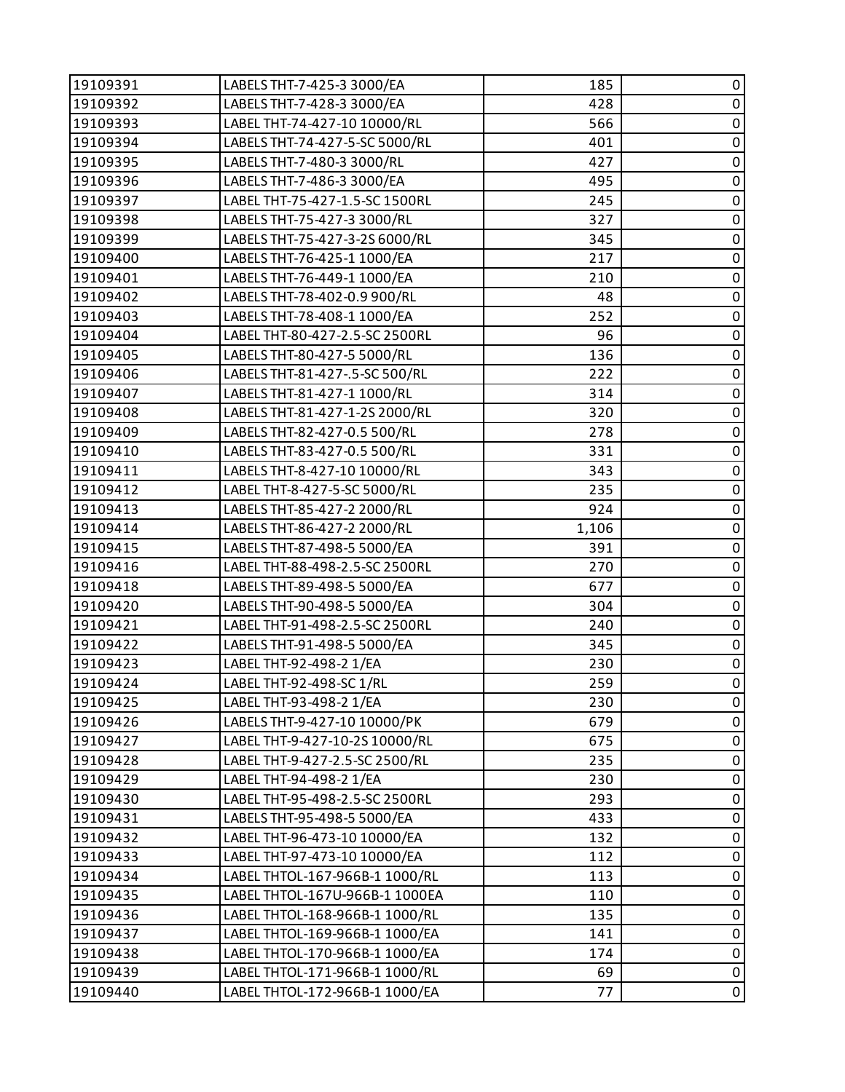| 19109391 | LABELS THT-7-425-3 3000/EA     | 185   | $\pmb{0}$      |
|----------|--------------------------------|-------|----------------|
| 19109392 | LABELS THT-7-428-3 3000/EA     | 428   | $\pmb{0}$      |
| 19109393 | LABEL THT-74-427-10 10000/RL   | 566   | $\pmb{0}$      |
| 19109394 | LABELS THT-74-427-5-SC 5000/RL | 401   | $\pmb{0}$      |
| 19109395 | LABELS THT-7-480-3 3000/RL     | 427   | $\pmb{0}$      |
| 19109396 | LABELS THT-7-486-3 3000/EA     | 495   | $\pmb{0}$      |
| 19109397 | LABEL THT-75-427-1.5-SC 1500RL | 245   | $\pmb{0}$      |
| 19109398 | LABELS THT-75-427-3 3000/RL    | 327   | $\pmb{0}$      |
| 19109399 | LABELS THT-75-427-3-2S 6000/RL | 345   | $\pmb{0}$      |
| 19109400 | LABELS THT-76-425-1 1000/EA    | 217   | $\pmb{0}$      |
| 19109401 | LABELS THT-76-449-1 1000/EA    | 210   | $\pmb{0}$      |
| 19109402 | LABELS THT-78-402-0.9 900/RL   | 48    | $\pmb{0}$      |
| 19109403 | LABELS THT-78-408-1 1000/EA    | 252   | $\pmb{0}$      |
| 19109404 | LABEL THT-80-427-2.5-SC 2500RL | 96    | $\pmb{0}$      |
| 19109405 | LABELS THT-80-427-5 5000/RL    | 136   | $\pmb{0}$      |
| 19109406 | LABELS THT-81-427-.5-SC 500/RL | 222   | $\pmb{0}$      |
| 19109407 | LABELS THT-81-427-1 1000/RL    | 314   | $\pmb{0}$      |
| 19109408 | LABELS THT-81-427-1-2S 2000/RL | 320   | $\pmb{0}$      |
| 19109409 | LABELS THT-82-427-0.5 500/RL   | 278   | $\overline{0}$ |
| 19109410 | LABELS THT-83-427-0.5 500/RL   | 331   | $\pmb{0}$      |
| 19109411 | LABELS THT-8-427-10 10000/RL   | 343   | $\pmb{0}$      |
| 19109412 | LABEL THT-8-427-5-SC 5000/RL   | 235   | $\pmb{0}$      |
| 19109413 | LABELS THT-85-427-2 2000/RL    | 924   | $\pmb{0}$      |
| 19109414 | LABELS THT-86-427-2 2000/RL    | 1,106 | $\pmb{0}$      |
| 19109415 | LABELS THT-87-498-5 5000/EA    | 391   | $\overline{0}$ |
| 19109416 | LABEL THT-88-498-2.5-SC 2500RL | 270   | $\pmb{0}$      |
| 19109418 | LABELS THT-89-498-5 5000/EA    | 677   | $\pmb{0}$      |
| 19109420 | LABELS THT-90-498-5 5000/EA    | 304   | $\pmb{0}$      |
| 19109421 | LABEL THT-91-498-2.5-SC 2500RL | 240   | $\pmb{0}$      |
| 19109422 | LABELS THT-91-498-5 5000/EA    | 345   | $\pmb{0}$      |
| 19109423 | LABEL THT-92-498-2 1/EA        | 230   | $\overline{0}$ |
| 19109424 | LABEL THT-92-498-SC 1/RL       | 259   | $\pmb{0}$      |
| 19109425 | LABEL THT-93-498-2 1/EA        | 230   | 0              |
| 19109426 | LABELS THT-9-427-10 10000/PK   | 679   | 0              |
| 19109427 | LABEL THT-9-427-10-2S 10000/RL | 675   | 0              |
| 19109428 | LABEL THT-9-427-2.5-SC 2500/RL | 235   | 0              |
| 19109429 | LABEL THT-94-498-2 1/EA        | 230   | $\pmb{0}$      |
| 19109430 | LABEL THT-95-498-2.5-SC 2500RL | 293   | 0              |
| 19109431 | LABELS THT-95-498-5 5000/EA    | 433   | $\pmb{0}$      |
| 19109432 | LABEL THT-96-473-10 10000/EA   | 132   | $\pmb{0}$      |
| 19109433 | LABEL THT-97-473-10 10000/EA   | 112   | $\pmb{0}$      |
| 19109434 | LABEL THTOL-167-966B-1 1000/RL | 113   | 0              |
| 19109435 | LABEL THTOL-167U-966B-1 1000EA | 110   | $\pmb{0}$      |
| 19109436 | LABEL THTOL-168-966B-1 1000/RL | 135   | 0              |
| 19109437 | LABEL THTOL-169-966B-1 1000/EA | 141   | $\pmb{0}$      |
| 19109438 | LABEL THTOL-170-966B-1 1000/EA | 174   | $\pmb{0}$      |
| 19109439 | LABEL THTOL-171-966B-1 1000/RL | 69    | 0              |
| 19109440 | LABEL THTOL-172-966B-1 1000/EA | 77    | $\pmb{0}$      |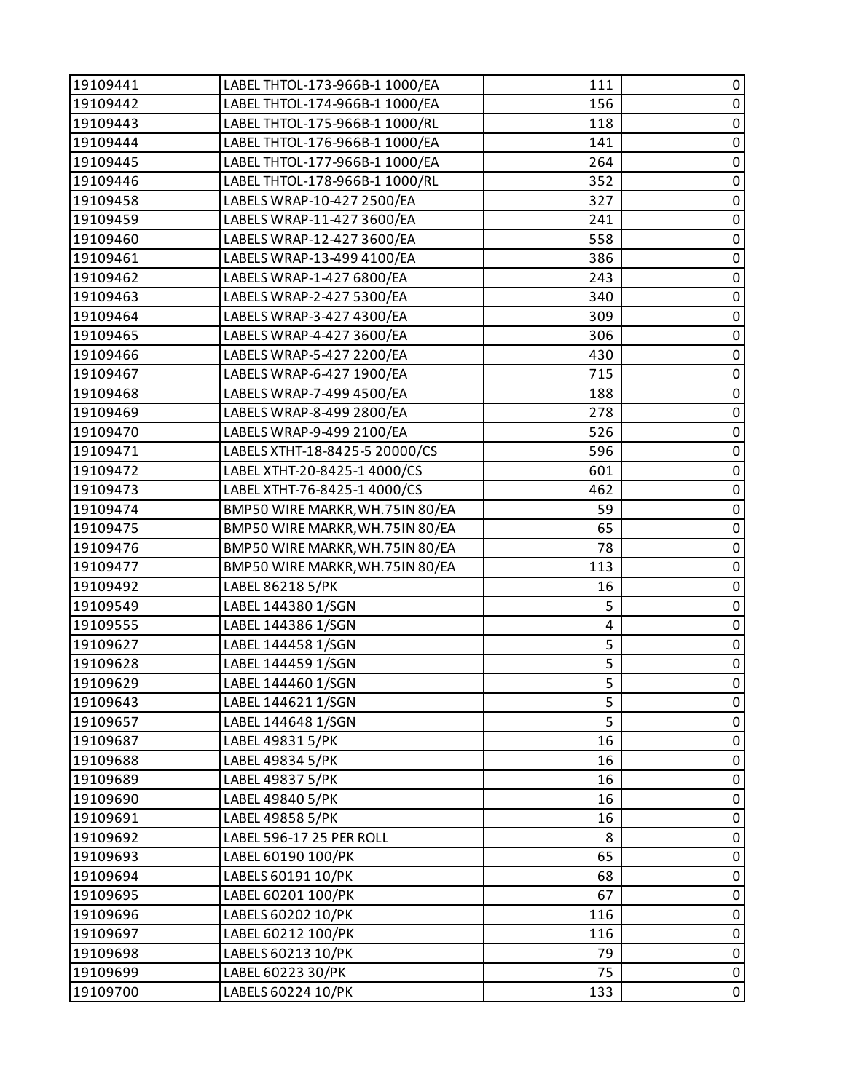| 19109441 | LABEL THTOL-173-966B-1 1000/EA  | 111 | 0           |
|----------|---------------------------------|-----|-------------|
| 19109442 | LABEL THTOL-174-966B-1 1000/EA  | 156 | $\pmb{0}$   |
| 19109443 | LABEL THTOL-175-966B-1 1000/RL  | 118 | $\pmb{0}$   |
| 19109444 | LABEL THTOL-176-966B-1 1000/EA  | 141 | $\pmb{0}$   |
| 19109445 | LABEL THTOL-177-966B-1 1000/EA  | 264 | $\pmb{0}$   |
| 19109446 | LABEL THTOL-178-966B-1 1000/RL  | 352 | $\pmb{0}$   |
| 19109458 | LABELS WRAP-10-427 2500/EA      | 327 | $\pmb{0}$   |
| 19109459 | LABELS WRAP-11-427 3600/EA      | 241 | $\mathbf 0$ |
| 19109460 | LABELS WRAP-12-427 3600/EA      | 558 | $\pmb{0}$   |
| 19109461 | LABELS WRAP-13-499 4100/EA      | 386 | $\pmb{0}$   |
| 19109462 | LABELS WRAP-1-427 6800/EA       | 243 | $\pmb{0}$   |
| 19109463 | LABELS WRAP-2-427 5300/EA       | 340 | $\pmb{0}$   |
| 19109464 | LABELS WRAP-3-427 4300/EA       | 309 | $\pmb{0}$   |
| 19109465 | LABELS WRAP-4-427 3600/EA       | 306 | $\mathbf 0$ |
| 19109466 | LABELS WRAP-5-427 2200/EA       | 430 | $\pmb{0}$   |
| 19109467 | LABELS WRAP-6-427 1900/EA       | 715 | $\pmb{0}$   |
| 19109468 | LABELS WRAP-7-499 4500/EA       | 188 | $\pmb{0}$   |
| 19109469 | LABELS WRAP-8-499 2800/EA       | 278 | $\pmb{0}$   |
| 19109470 | LABELS WRAP-9-499 2100/EA       | 526 | $\pmb{0}$   |
| 19109471 | LABELS XTHT-18-8425-5 20000/CS  | 596 | $\mathbf 0$ |
| 19109472 | LABEL XTHT-20-8425-1 4000/CS    | 601 | $\pmb{0}$   |
| 19109473 | LABEL XTHT-76-8425-1 4000/CS    | 462 | $\pmb{0}$   |
| 19109474 | BMP50 WIRE MARKR, WH.75IN 80/EA | 59  | $\pmb{0}$   |
| 19109475 | BMP50 WIRE MARKR, WH.75IN 80/EA | 65  | $\pmb{0}$   |
| 19109476 | BMP50 WIRE MARKR, WH.75IN 80/EA | 78  | $\pmb{0}$   |
| 19109477 | BMP50 WIRE MARKR, WH.75IN 80/EA | 113 | $\pmb{0}$   |
| 19109492 | LABEL 86218 5/PK                | 16  | $\pmb{0}$   |
| 19109549 | LABEL 144380 1/SGN              | 5   | $\mathbf 0$ |
| 19109555 | LABEL 144386 1/SGN              | 4   | $\pmb{0}$   |
| 19109627 | LABEL 144458 1/SGN              | 5   | $\pmb{0}$   |
| 19109628 | LABEL 144459 1/SGN              | 5   | $\pmb{0}$   |
| 19109629 | LABEL 144460 1/SGN              | 5   | $\mathbf 0$ |
| 19109643 | LABEL 144621 1/SGN              | 5   | 0           |
| 19109657 | LABEL 144648 1/SGN              | 5   | 0           |
| 19109687 | LABEL 49831 5/PK                | 16  | $\pmb{0}$   |
| 19109688 | LABEL 49834 5/PK                | 16  | $\pmb{0}$   |
| 19109689 | LABEL 49837 5/PK                | 16  | 0           |
| 19109690 | LABEL 49840 5/PK                | 16  | $\pmb{0}$   |
| 19109691 | LABEL 49858 5/PK                | 16  | 0           |
| 19109692 | LABEL 596-17 25 PER ROLL        | 8   | $\pmb{0}$   |
| 19109693 | LABEL 60190 100/PK              | 65  | $\pmb{0}$   |
| 19109694 | LABELS 60191 10/PK              | 68  | 0           |
| 19109695 | LABEL 60201 100/PK              | 67  | $\mathbf 0$ |
| 19109696 | LABELS 60202 10/PK              | 116 | $\pmb{0}$   |
| 19109697 | LABEL 60212 100/PK              | 116 | $\pmb{0}$   |
| 19109698 | LABELS 60213 10/PK              | 79  | $\pmb{0}$   |
| 19109699 | LABEL 60223 30/PK               | 75  | $\pmb{0}$   |
| 19109700 | LABELS 60224 10/PK              | 133 | $\pmb{0}$   |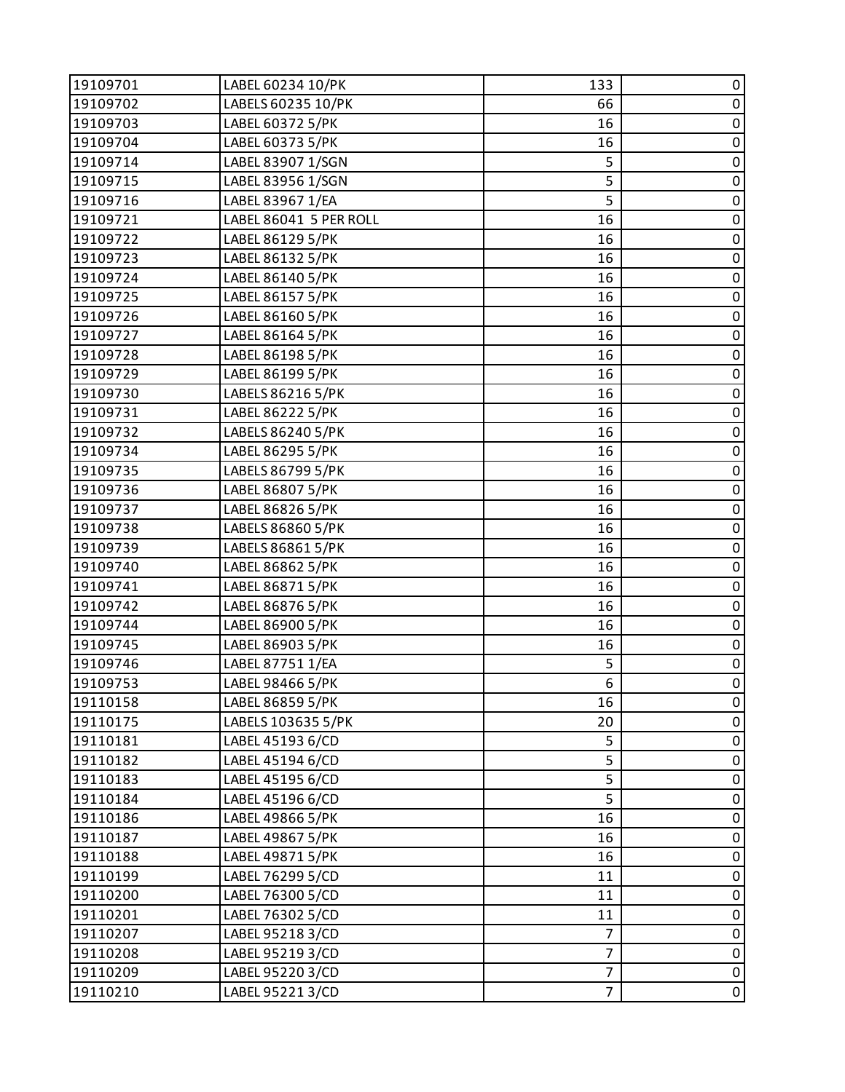| 19109701 | LABEL 60234 10/PK      | 133            | 0         |
|----------|------------------------|----------------|-----------|
| 19109702 | LABELS 60235 10/PK     | 66             | $\pmb{0}$ |
| 19109703 | LABEL 60372 5/PK       | 16             | $\pmb{0}$ |
| 19109704 | LABEL 60373 5/PK       | 16             | $\pmb{0}$ |
| 19109714 | LABEL 83907 1/SGN      | 5              | $\pmb{0}$ |
| 19109715 | LABEL 83956 1/SGN      | 5              | $\pmb{0}$ |
| 19109716 | LABEL 83967 1/EA       | 5              | $\pmb{0}$ |
| 19109721 | LABEL 86041 5 PER ROLL | 16             | $\pmb{0}$ |
| 19109722 | LABEL 86129 5/PK       | 16             | $\pmb{0}$ |
| 19109723 | LABEL 86132 5/PK       | 16             | $\pmb{0}$ |
| 19109724 | LABEL 86140 5/PK       | 16             | $\pmb{0}$ |
| 19109725 | LABEL 86157 5/PK       | 16             | $\pmb{0}$ |
| 19109726 | LABEL 86160 5/PK       | 16             | $\pmb{0}$ |
| 19109727 | LABEL 86164 5/PK       | 16             | $\pmb{0}$ |
| 19109728 | LABEL 86198 5/PK       | 16             | $\pmb{0}$ |
| 19109729 | LABEL 86199 5/PK       | 16             | $\pmb{0}$ |
| 19109730 | LABELS 86216 5/PK      | 16             | $\pmb{0}$ |
| 19109731 | LABEL 86222 5/PK       | 16             | $\pmb{0}$ |
| 19109732 | LABELS 86240 5/PK      | 16             | $\pmb{0}$ |
| 19109734 | LABEL 86295 5/PK       | 16             | $\pmb{0}$ |
| 19109735 | LABELS 86799 5/PK      | 16             | $\pmb{0}$ |
| 19109736 | LABEL 86807 5/PK       | 16             | $\pmb{0}$ |
| 19109737 | LABEL 86826 5/PK       | 16             | $\pmb{0}$ |
| 19109738 | LABELS 86860 5/PK      | 16             | $\pmb{0}$ |
| 19109739 | LABELS 86861 5/PK      | 16             | $\pmb{0}$ |
| 19109740 | LABEL 86862 5/PK       | 16             | $\pmb{0}$ |
| 19109741 | LABEL 86871 5/PK       | 16             | $\pmb{0}$ |
| 19109742 | LABEL 86876 5/PK       | 16             | $\pmb{0}$ |
| 19109744 | LABEL 86900 5/PK       | 16             | $\pmb{0}$ |
| 19109745 | LABEL 86903 5/PK       | 16             | $\pmb{0}$ |
| 19109746 | LABEL 87751 1/EA       | 5              | $\pmb{0}$ |
| 19109753 | LABEL 98466 5/PK       | 6              | $\pmb{0}$ |
| 19110158 | LABEL 86859 5/PK       | 16             | 0         |
| 19110175 | LABELS 103635 5/PK     | 20             | 0         |
| 19110181 | LABEL 45193 6/CD       | 5              | $\pmb{0}$ |
| 19110182 | LABEL 45194 6/CD       | 5              | $\pmb{0}$ |
| 19110183 | LABEL 45195 6/CD       | 5              | $\pmb{0}$ |
| 19110184 | LABEL 45196 6/CD       | 5              | $\pmb{0}$ |
| 19110186 | LABEL 49866 5/PK       | 16             | 0         |
| 19110187 | LABEL 49867 5/PK       | 16             | $\pmb{0}$ |
| 19110188 | LABEL 49871 5/PK       | 16             | $\pmb{0}$ |
| 19110199 | LABEL 76299 5/CD       | 11             | 0         |
| 19110200 | LABEL 76300 5/CD       | 11             | $\pmb{0}$ |
| 19110201 | LABEL 76302 5/CD       | 11             | $\pmb{0}$ |
| 19110207 | LABEL 952183/CD        | 7              | $\pmb{0}$ |
| 19110208 | LABEL 952193/CD        | 7              | $\pmb{0}$ |
| 19110209 | LABEL 952203/CD        | $\overline{7}$ | $\pmb{0}$ |
| 19110210 | LABEL 952213/CD        | $\overline{7}$ | $\pmb{0}$ |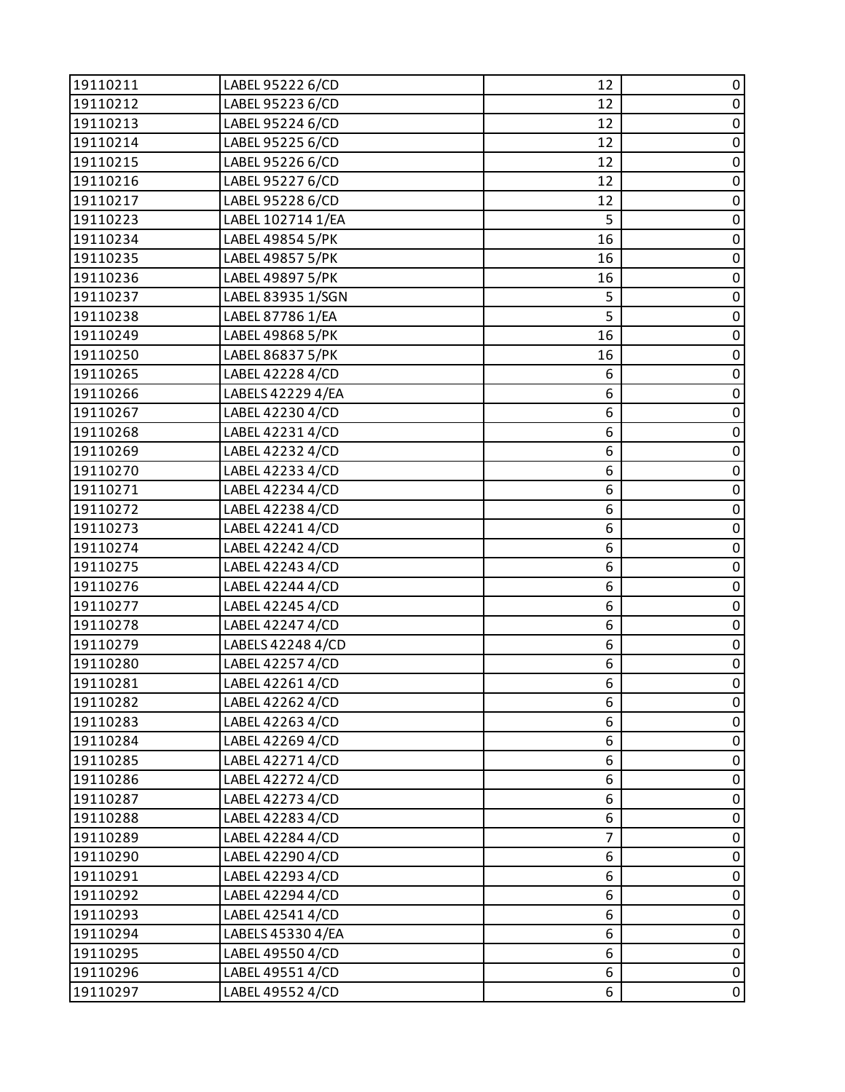| 19110211 | LABEL 95222 6/CD  | 12 | 0           |
|----------|-------------------|----|-------------|
| 19110212 | LABEL 95223 6/CD  | 12 | $\pmb{0}$   |
| 19110213 | LABEL 95224 6/CD  | 12 | 0           |
| 19110214 | LABEL 95225 6/CD  | 12 | $\pmb{0}$   |
| 19110215 | LABEL 95226 6/CD  | 12 | $\mathbf 0$ |
| 19110216 | LABEL 95227 6/CD  | 12 | 0           |
| 19110217 | LABEL 95228 6/CD  | 12 | $\pmb{0}$   |
| 19110223 | LABEL 102714 1/EA | 5  | $\pmb{0}$   |
| 19110234 | LABEL 49854 5/PK  | 16 | $\pmb{0}$   |
| 19110235 | LABEL 49857 5/PK  | 16 | $\pmb{0}$   |
| 19110236 | LABEL 49897 5/PK  | 16 | $\pmb{0}$   |
| 19110237 | LABEL 83935 1/SGN | 5  | $\pmb{0}$   |
| 19110238 | LABEL 87786 1/EA  | 5  | $\pmb{0}$   |
| 19110249 | LABEL 49868 5/PK  | 16 | $\pmb{0}$   |
| 19110250 | LABEL 86837 5/PK  | 16 | 0           |
| 19110265 | LABEL 42228 4/CD  | 6  | $\pmb{0}$   |
| 19110266 | LABELS 42229 4/EA | 6  | $\pmb{0}$   |
| 19110267 | LABEL 42230 4/CD  | 6  | 0           |
| 19110268 | LABEL 422314/CD   | 6  | $\pmb{0}$   |
| 19110269 | LABEL 42232 4/CD  | 6  | $\pmb{0}$   |
| 19110270 | LABEL 42233 4/CD  | 6  | 0           |
| 19110271 | LABEL 42234 4/CD  | 6  | $\pmb{0}$   |
| 19110272 | LABEL 42238 4/CD  | 6  | $\pmb{0}$   |
| 19110273 | LABEL 42241 4/CD  | 6  | $\pmb{0}$   |
| 19110274 | LABEL 42242 4/CD  | 6  | $\pmb{0}$   |
| 19110275 | LABEL 42243 4/CD  | 6  | $\pmb{0}$   |
| 19110276 | LABEL 42244 4/CD  | 6  | $\pmb{0}$   |
| 19110277 | LABEL 42245 4/CD  | 6  | $\pmb{0}$   |
| 19110278 | LABEL 42247 4/CD  | 6  | $\mathbf 0$ |
| 19110279 | LABELS 42248 4/CD | 6  | $\pmb{0}$   |
| 19110280 | LABEL 42257 4/CD  | 6  | $\pmb{0}$   |
| 19110281 | LABEL 42261 4/CD  | 6  | $\mathbf 0$ |
| 19110282 | LABEL 42262 4/CD  | 6  | 0           |
| 19110283 | LABEL 42263 4/CD  | 6  | 0           |
| 19110284 | LABEL 42269 4/CD  | 6  | $\pmb{0}$   |
| 19110285 | LABEL 42271 4/CD  | 6  | 0           |
| 19110286 | LABEL 42272 4/CD  | 6  | $\pmb{0}$   |
| 19110287 | LABEL 42273 4/CD  | 6  | $\pmb{0}$   |
| 19110288 | LABEL 42283 4/CD  | 6  | 0           |
| 19110289 | LABEL 42284 4/CD  | 7  | $\pmb{0}$   |
| 19110290 | LABEL 42290 4/CD  | 6  | $\pmb{0}$   |
| 19110291 | LABEL 42293 4/CD  | 6  | 0           |
| 19110292 | LABEL 42294 4/CD  | 6  | $\pmb{0}$   |
| 19110293 | LABEL 42541 4/CD  | 6  | $\pmb{0}$   |
| 19110294 | LABELS 45330 4/EA | 6  | $\pmb{0}$   |
| 19110295 | LABEL 49550 4/CD  | 6  | $\pmb{0}$   |
| 19110296 | LABEL 49551 4/CD  | 6  | $\pmb{0}$   |
| 19110297 | LABEL 49552 4/CD  | 6  | 0           |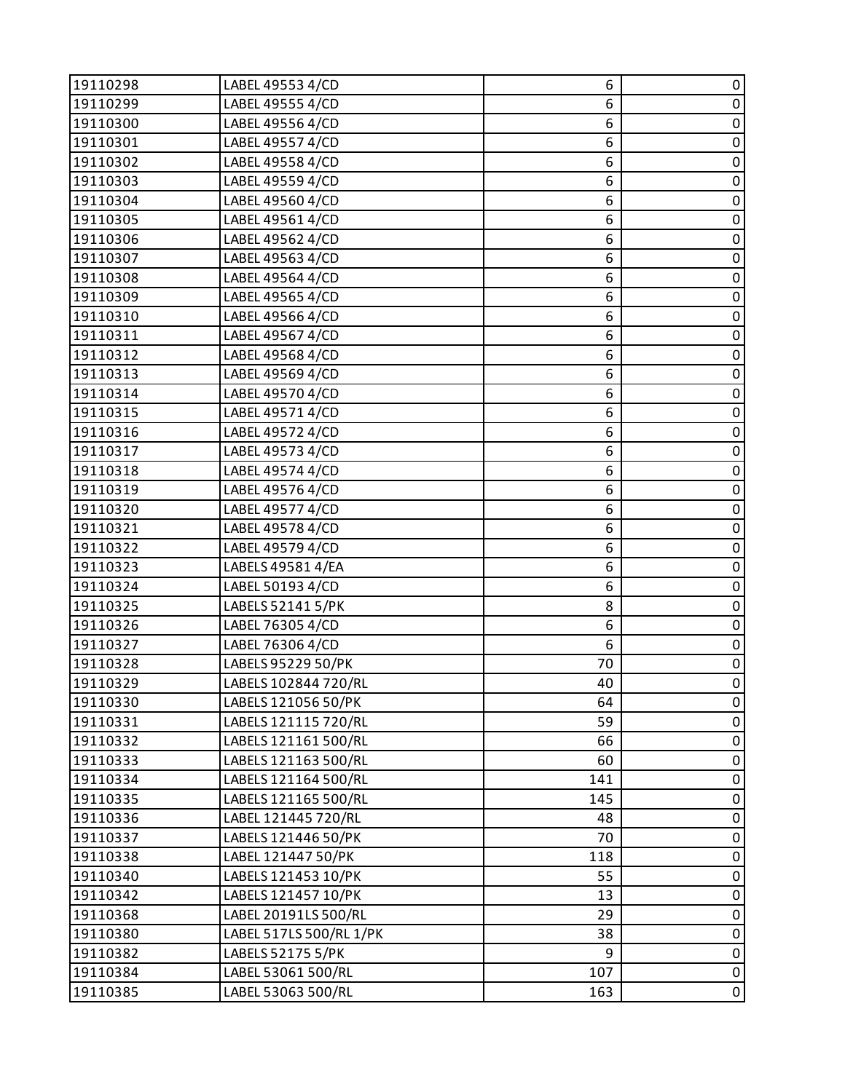| 19110298 | LABEL 49553 4/CD        | 6   | 0           |
|----------|-------------------------|-----|-------------|
| 19110299 | LABEL 49555 4/CD        | 6   | $\pmb{0}$   |
| 19110300 | LABEL 49556 4/CD        | 6   | 0           |
| 19110301 | LABEL 49557 4/CD        | 6   | $\pmb{0}$   |
| 19110302 | LABEL 49558 4/CD        | 6   | $\pmb{0}$   |
| 19110303 | LABEL 49559 4/CD        | 6   | 0           |
| 19110304 | LABEL 49560 4/CD        | 6   | $\mathbf 0$ |
| 19110305 | LABEL 49561 4/CD        | 6   | $\pmb{0}$   |
| 19110306 | LABEL 49562 4/CD        | 6   | 0           |
| 19110307 | LABEL 49563 4/CD        | 6   | $\pmb{0}$   |
| 19110308 | LABEL 49564 4/CD        | 6   | $\mathsf 0$ |
| 19110309 | LABEL 49565 4/CD        | 6   | 0           |
| 19110310 | LABEL 49566 4/CD        | 6   | $\pmb{0}$   |
| 19110311 | LABEL 49567 4/CD        | 6   | $\pmb{0}$   |
| 19110312 | LABEL 49568 4/CD        | 6   | 0           |
| 19110313 | LABEL 49569 4/CD        | 6   | $\pmb{0}$   |
| 19110314 | LABEL 49570 4/CD        | 6   | $\pmb{0}$   |
| 19110315 | LABEL 49571 4/CD        | 6   | 0           |
| 19110316 | LABEL 49572 4/CD        | 6   | $\pmb{0}$   |
| 19110317 | LABEL 49573 4/CD        | 6   | $\pmb{0}$   |
| 19110318 | LABEL 49574 4/CD        | 6   | 0           |
| 19110319 | LABEL 49576 4/CD        | 6   | $\mathbf 0$ |
| 19110320 | LABEL 49577 4/CD        | 6   | $\mathsf 0$ |
| 19110321 | LABEL 49578 4/CD        | 6   | 0           |
| 19110322 | LABEL 49579 4/CD        | 6   | $\pmb{0}$   |
| 19110323 | LABELS 49581 4/EA       | 6   | $\mathbf 0$ |
| 19110324 | LABEL 50193 4/CD        | 6   | $\pmb{0}$   |
| 19110325 | LABELS 52141 5/PK       | 8   | $\pmb{0}$   |
| 19110326 | LABEL 76305 4/CD        | 6   | $\mathbf 0$ |
| 19110327 | LABEL 76306 4/CD        | 6   | $\pmb{0}$   |
| 19110328 | LABELS 95229 50/PK      | 70  | $\pmb{0}$   |
| 19110329 | LABELS 102844 720/RL    | 40  | $\mathbf 0$ |
| 19110330 | LABELS 121056 50/PK     | 64  | 0           |
| 19110331 | LABELS 121115 720/RL    | 59  | 0           |
| 19110332 | LABELS 121161 500/RL    | 66  | $\pmb{0}$   |
| 19110333 | LABELS 121163 500/RL    | 60  | 0           |
| 19110334 | LABELS 121164 500/RL    | 141 | $\pmb{0}$   |
| 19110335 | LABELS 121165 500/RL    | 145 | $\pmb{0}$   |
| 19110336 | LABEL 121445 720/RL     | 48  | 0           |
| 19110337 | LABELS 121446 50/PK     | 70  | $\pmb{0}$   |
| 19110338 | LABEL 121447 50/PK      | 118 | $\mathsf 0$ |
| 19110340 | LABELS 121453 10/PK     | 55  | 0           |
| 19110342 | LABELS 121457 10/PK     | 13  | $\pmb{0}$   |
| 19110368 | LABEL 20191LS 500/RL    | 29  | $\pmb{0}$   |
| 19110380 | LABEL 517LS 500/RL 1/PK | 38  | 0           |
| 19110382 | LABELS 52175 5/PK       | 9   | $\pmb{0}$   |
| 19110384 | LABEL 53061 500/RL      | 107 | $\pmb{0}$   |
| 19110385 | LABEL 53063 500/RL      | 163 | 0           |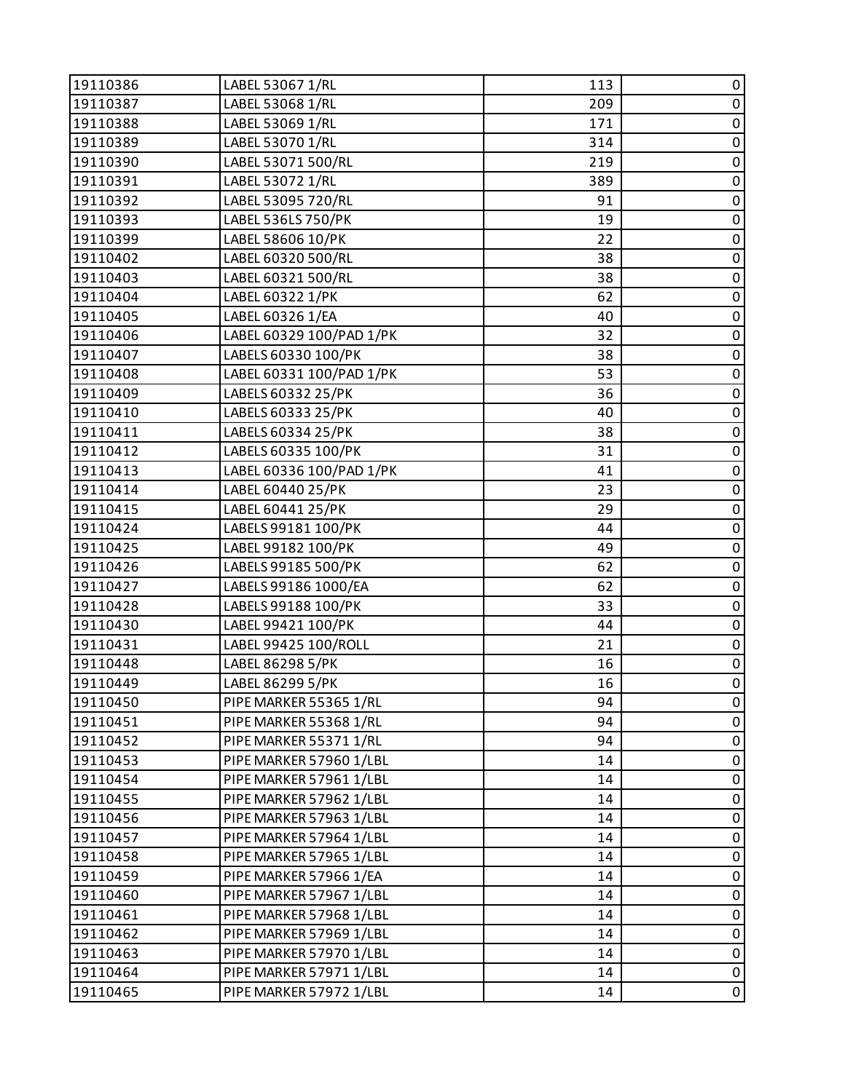| 19110386 | LABEL 53067 1/RL         | 113 | 0         |
|----------|--------------------------|-----|-----------|
| 19110387 | LABEL 53068 1/RL         | 209 | $\pmb{0}$ |
| 19110388 | LABEL 53069 1/RL         | 171 | $\pmb{0}$ |
| 19110389 | LABEL 53070 1/RL         | 314 | $\pmb{0}$ |
| 19110390 | LABEL 53071 500/RL       | 219 | $\pmb{0}$ |
| 19110391 | LABEL 53072 1/RL         | 389 | $\pmb{0}$ |
| 19110392 | LABEL 53095 720/RL       | 91  | $\pmb{0}$ |
| 19110393 | LABEL 536LS 750/PK       | 19  | $\pmb{0}$ |
| 19110399 | LABEL 58606 10/PK        | 22  | $\pmb{0}$ |
| 19110402 | LABEL 60320 500/RL       | 38  | $\pmb{0}$ |
| 19110403 | LABEL 60321 500/RL       | 38  | $\pmb{0}$ |
| 19110404 | LABEL 60322 1/PK         | 62  | $\pmb{0}$ |
| 19110405 | LABEL 60326 1/EA         | 40  | $\pmb{0}$ |
| 19110406 | LABEL 60329 100/PAD 1/PK | 32  | $\pmb{0}$ |
| 19110407 | LABELS 60330 100/PK      | 38  | $\pmb{0}$ |
| 19110408 | LABEL 60331 100/PAD 1/PK | 53  | $\pmb{0}$ |
| 19110409 | LABELS 60332 25/PK       | 36  | $\pmb{0}$ |
| 19110410 | LABELS 60333 25/PK       | 40  | $\pmb{0}$ |
| 19110411 | LABELS 60334 25/PK       | 38  | $\pmb{0}$ |
| 19110412 | LABELS 60335 100/PK      | 31  | $\pmb{0}$ |
| 19110413 | LABEL 60336 100/PAD 1/PK | 41  | 0         |
| 19110414 | LABEL 60440 25/PK        | 23  | $\pmb{0}$ |
| 19110415 | LABEL 60441 25/PK        | 29  | $\pmb{0}$ |
| 19110424 | LABELS 99181 100/PK      | 44  | $\pmb{0}$ |
| 19110425 | LABEL 99182 100/PK       | 49  | $\pmb{0}$ |
| 19110426 | LABELS 99185 500/PK      | 62  | $\pmb{0}$ |
| 19110427 | LABELS 99186 1000/EA     | 62  | $\pmb{0}$ |
| 19110428 | LABELS 99188 100/PK      | 33  | $\pmb{0}$ |
| 19110430 | LABEL 99421 100/PK       | 44  | $\pmb{0}$ |
| 19110431 | LABEL 99425 100/ROLL     | 21  | $\pmb{0}$ |
| 19110448 | LABEL 86298 5/PK         | 16  | $\pmb{0}$ |
| 19110449 | LABEL 86299 5/PK         | 16  | $\pmb{0}$ |
| 19110450 | PIPE MARKER 55365 1/RL   | 94  | 0         |
| 19110451 | PIPE MARKER 55368 1/RL   | 94  | 0         |
| 19110452 | PIPE MARKER 55371 1/RL   | 94  | $\pmb{0}$ |
| 19110453 | PIPE MARKER 57960 1/LBL  | 14  | 0         |
| 19110454 | PIPE MARKER 57961 1/LBL  | 14  | 0         |
| 19110455 | PIPE MARKER 57962 1/LBL  | 14  | 0         |
| 19110456 | PIPE MARKER 57963 1/LBL  | 14  | 0         |
| 19110457 | PIPE MARKER 57964 1/LBL  | 14  | 0         |
| 19110458 | PIPE MARKER 57965 1/LBL  | 14  | $\pmb{0}$ |
| 19110459 | PIPE MARKER 57966 1/EA   | 14  | 0         |
| 19110460 | PIPE MARKER 57967 1/LBL  | 14  | 0         |
| 19110461 | PIPE MARKER 57968 1/LBL  | 14  | $\pmb{0}$ |
| 19110462 | PIPE MARKER 57969 1/LBL  | 14  | 0         |
| 19110463 | PIPE MARKER 57970 1/LBL  | 14  | $\pmb{0}$ |
| 19110464 | PIPE MARKER 57971 1/LBL  | 14  | $\pmb{0}$ |
| 19110465 | PIPE MARKER 57972 1/LBL  | 14  | 0         |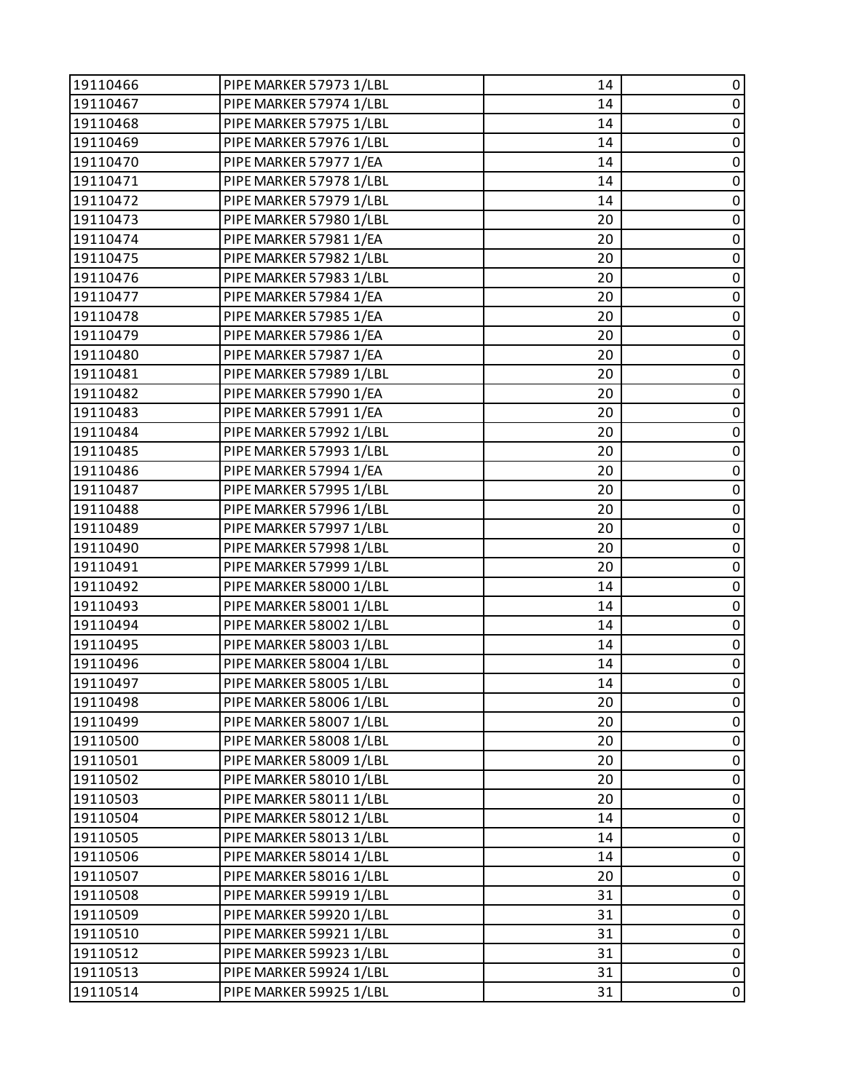| 19110466 | PIPE MARKER 57973 1/LBL | 14 | 0           |
|----------|-------------------------|----|-------------|
| 19110467 | PIPE MARKER 57974 1/LBL | 14 | $\pmb{0}$   |
| 19110468 | PIPE MARKER 57975 1/LBL | 14 | 0           |
| 19110469 | PIPE MARKER 57976 1/LBL | 14 | $\pmb{0}$   |
| 19110470 | PIPE MARKER 57977 1/EA  | 14 | $\pmb{0}$   |
| 19110471 | PIPE MARKER 57978 1/LBL | 14 | 0           |
| 19110472 | PIPE MARKER 57979 1/LBL | 14 | $\pmb{0}$   |
| 19110473 | PIPE MARKER 57980 1/LBL | 20 | $\pmb{0}$   |
| 19110474 | PIPE MARKER 57981 1/EA  | 20 | 0           |
| 19110475 | PIPE MARKER 57982 1/LBL | 20 | $\pmb{0}$   |
| 19110476 | PIPE MARKER 57983 1/LBL | 20 | $\pmb{0}$   |
| 19110477 | PIPE MARKER 57984 1/EA  | 20 | 0           |
| 19110478 | PIPE MARKER 57985 1/EA  | 20 | $\pmb{0}$   |
| 19110479 | PIPE MARKER 57986 1/EA  | 20 | $\pmb{0}$   |
| 19110480 | PIPE MARKER 57987 1/EA  | 20 | 0           |
| 19110481 | PIPE MARKER 57989 1/LBL | 20 | $\pmb{0}$   |
| 19110482 | PIPE MARKER 57990 1/EA  | 20 | $\pmb{0}$   |
| 19110483 | PIPE MARKER 57991 1/EA  | 20 | 0           |
| 19110484 | PIPE MARKER 57992 1/LBL | 20 | $\pmb{0}$   |
| 19110485 | PIPE MARKER 57993 1/LBL | 20 | $\pmb{0}$   |
| 19110486 | PIPE MARKER 57994 1/EA  | 20 | 0           |
| 19110487 | PIPE MARKER 57995 1/LBL | 20 | $\pmb{0}$   |
| 19110488 | PIPE MARKER 57996 1/LBL | 20 | $\pmb{0}$   |
| 19110489 | PIPE MARKER 57997 1/LBL | 20 | 0           |
| 19110490 | PIPE MARKER 57998 1/LBL | 20 | $\pmb{0}$   |
| 19110491 | PIPE MARKER 57999 1/LBL | 20 | $\pmb{0}$   |
| 19110492 | PIPE MARKER 58000 1/LBL | 14 | 0           |
| 19110493 | PIPE MARKER 58001 1/LBL | 14 | $\pmb{0}$   |
| 19110494 | PIPE MARKER 58002 1/LBL | 14 | $\pmb{0}$   |
| 19110495 | PIPE MARKER 58003 1/LBL | 14 | 0           |
| 19110496 | PIPE MARKER 58004 1/LBL | 14 | $\pmb{0}$   |
| 19110497 | PIPE MARKER 58005 1/LBL | 14 | $\pmb{0}$   |
| 19110498 | PIPE MARKER 58006 1/LBL | 20 | 0           |
| 19110499 | PIPE MARKER 58007 1/LBL | 20 | 0           |
| 19110500 | PIPE MARKER 58008 1/LBL | 20 | $\pmb{0}$   |
| 19110501 | PIPE MARKER 58009 1/LBL | 20 | 0           |
| 19110502 | PIPE MARKER 58010 1/LBL | 20 | 0           |
| 19110503 | PIPE MARKER 58011 1/LBL | 20 | 0           |
| 19110504 | PIPE MARKER 58012 1/LBL | 14 | 0           |
| 19110505 | PIPE MARKER 58013 1/LBL | 14 | 0           |
| 19110506 | PIPE MARKER 58014 1/LBL | 14 | $\pmb{0}$   |
| 19110507 | PIPE MARKER 58016 1/LBL | 20 | 0           |
| 19110508 | PIPE MARKER 59919 1/LBL | 31 | 0           |
| 19110509 | PIPE MARKER 59920 1/LBL | 31 | $\pmb{0}$   |
| 19110510 | PIPE MARKER 59921 1/LBL | 31 | 0           |
| 19110512 | PIPE MARKER 59923 1/LBL | 31 | $\pmb{0}$   |
| 19110513 | PIPE MARKER 59924 1/LBL | 31 | $\pmb{0}$   |
| 19110514 | PIPE MARKER 59925 1/LBL | 31 | $\mathbf 0$ |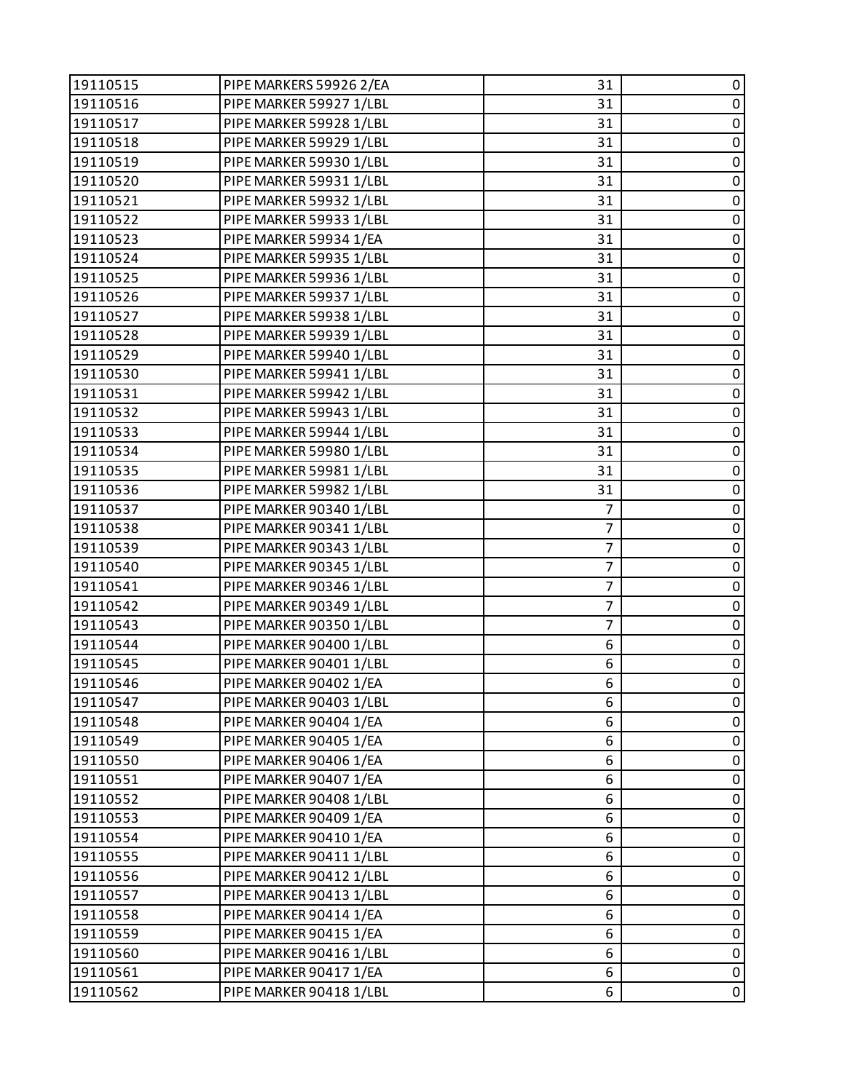| 19110515 | PIPE MARKERS 59926 2/EA | 31             | 0           |
|----------|-------------------------|----------------|-------------|
| 19110516 | PIPE MARKER 59927 1/LBL | 31             | $\pmb{0}$   |
| 19110517 | PIPE MARKER 59928 1/LBL | 31             | 0           |
| 19110518 | PIPE MARKER 59929 1/LBL | 31             | $\pmb{0}$   |
| 19110519 | PIPE MARKER 59930 1/LBL | 31             | $\mathbf 0$ |
| 19110520 | PIPE MARKER 59931 1/LBL | 31             | 0           |
| 19110521 | PIPE MARKER 59932 1/LBL | 31             | $\pmb{0}$   |
| 19110522 | PIPE MARKER 59933 1/LBL | 31             | $\mathsf 0$ |
| 19110523 | PIPE MARKER 59934 1/EA  | 31             | 0           |
| 19110524 | PIPE MARKER 59935 1/LBL | 31             | $\pmb{0}$   |
| 19110525 | PIPE MARKER 59936 1/LBL | 31             | $\pmb{0}$   |
| 19110526 | PIPE MARKER 59937 1/LBL | 31             | 0           |
| 19110527 | PIPE MARKER 59938 1/LBL | 31             | $\pmb{0}$   |
| 19110528 | PIPE MARKER 59939 1/LBL | 31             | $\mathbf 0$ |
| 19110529 | PIPE MARKER 59940 1/LBL | 31             | 0           |
| 19110530 | PIPE MARKER 59941 1/LBL | 31             | $\pmb{0}$   |
| 19110531 | PIPE MARKER 59942 1/LBL | 31             | $\pmb{0}$   |
| 19110532 | PIPE MARKER 59943 1/LBL | 31             | 0           |
| 19110533 | PIPE MARKER 59944 1/LBL | 31             | $\pmb{0}$   |
| 19110534 | PIPE MARKER 59980 1/LBL | 31             | $\mathsf 0$ |
| 19110535 | PIPE MARKER 59981 1/LBL | 31             | 0           |
| 19110536 | PIPE MARKER 59982 1/LBL | 31             | $\pmb{0}$   |
| 19110537 | PIPE MARKER 90340 1/LBL | $\overline{7}$ | $\pmb{0}$   |
| 19110538 | PIPE MARKER 90341 1/LBL | $\overline{7}$ | 0           |
| 19110539 | PIPE MARKER 90343 1/LBL | 7              | $\pmb{0}$   |
| 19110540 | PIPE MARKER 90345 1/LBL | 7              | $\mathbf 0$ |
| 19110541 | PIPE MARKER 90346 1/LBL | $\overline{7}$ | 0           |
| 19110542 | PIPE MARKER 90349 1/LBL | $\overline{7}$ | $\pmb{0}$   |
| 19110543 | PIPE MARKER 90350 1/LBL | 7              | $\pmb{0}$   |
| 19110544 | PIPE MARKER 90400 1/LBL | 6              | 0           |
| 19110545 | PIPE MARKER 90401 1/LBL | 6              | $\pmb{0}$   |
| 19110546 | PIPE MARKER 90402 1/EA  | 6              | $\pmb{0}$   |
| 19110547 | PIPE MARKER 90403 1/LBL | 6              | 0           |
| 19110548 | PIPE MARKER 90404 1/EA  | 6              | 0           |
| 19110549 | PIPE MARKER 90405 1/EA  | 6              | $\pmb{0}$   |
| 19110550 | PIPE MARKER 90406 1/EA  | 6              | 0           |
| 19110551 | PIPE MARKER 90407 1/EA  | 6              | 0           |
| 19110552 | PIPE MARKER 90408 1/LBL | 6              | $\pmb{0}$   |
| 19110553 | PIPE MARKER 90409 1/EA  | 6              | 0           |
| 19110554 | PIPE MARKER 90410 1/EA  | 6              | 0           |
| 19110555 | PIPE MARKER 90411 1/LBL | 6              | $\pmb{0}$   |
| 19110556 | PIPE MARKER 90412 1/LBL | 6              | 0           |
| 19110557 | PIPE MARKER 90413 1/LBL | 6              | 0           |
| 19110558 | PIPE MARKER 90414 1/EA  | 6              | $\pmb{0}$   |
| 19110559 | PIPE MARKER 90415 1/EA  | 6              | 0           |
| 19110560 | PIPE MARKER 90416 1/LBL | 6              | $\pmb{0}$   |
| 19110561 | PIPE MARKER 90417 1/EA  | 6              | $\pmb{0}$   |
| 19110562 | PIPE MARKER 90418 1/LBL | 6              | $\mathbf 0$ |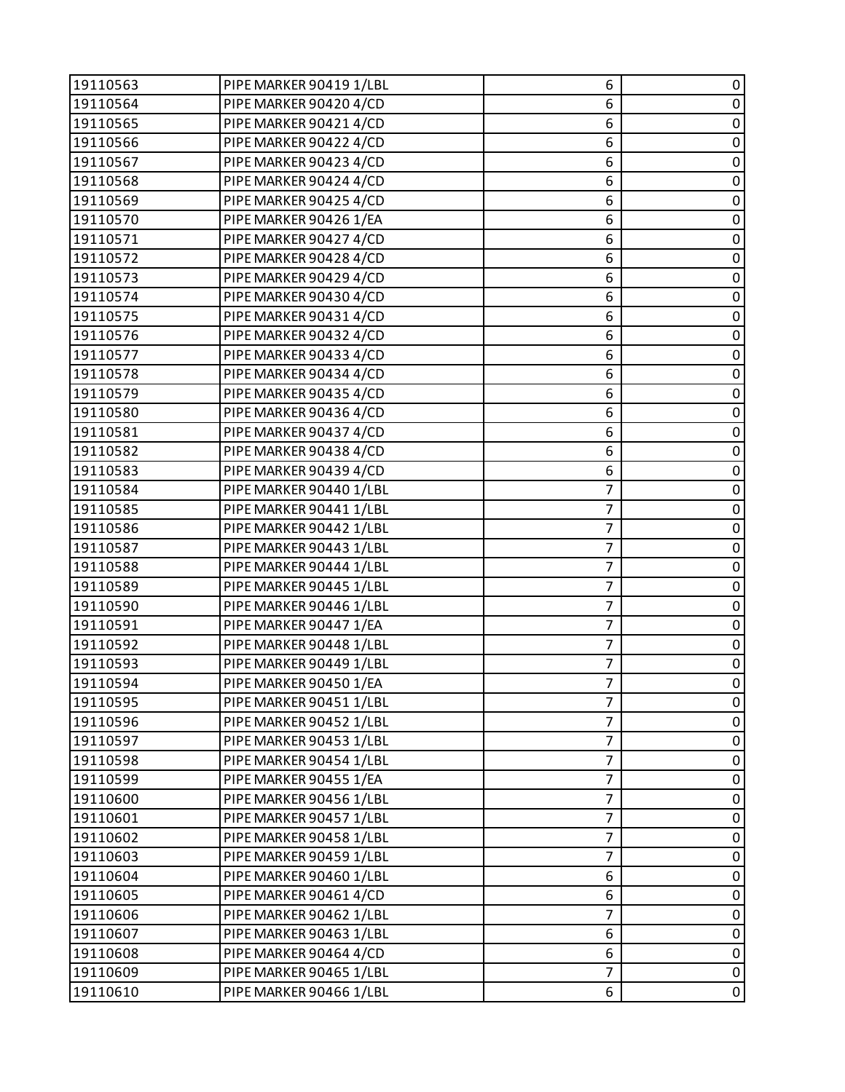| 19110563 | PIPE MARKER 90419 1/LBL | 6              | 0           |
|----------|-------------------------|----------------|-------------|
| 19110564 | PIPE MARKER 90420 4/CD  | 6              | $\pmb{0}$   |
| 19110565 | PIPE MARKER 90421 4/CD  | 6              | 0           |
| 19110566 | PIPE MARKER 90422 4/CD  | 6              | $\pmb{0}$   |
| 19110567 | PIPE MARKER 90423 4/CD  | 6              | $\mathbf 0$ |
| 19110568 | PIPE MARKER 90424 4/CD  | 6              | 0           |
| 19110569 | PIPE MARKER 90425 4/CD  | 6              | $\pmb{0}$   |
| 19110570 | PIPE MARKER 90426 1/EA  | 6              | $\mathbf 0$ |
| 19110571 | PIPE MARKER 90427 4/CD  | 6              | 0           |
| 19110572 | PIPE MARKER 90428 4/CD  | 6              | $\pmb{0}$   |
| 19110573 | PIPE MARKER 90429 4/CD  | 6              | $\mathbf 0$ |
| 19110574 | PIPE MARKER 90430 4/CD  | 6              | 0           |
| 19110575 | PIPE MARKER 90431 4/CD  | 6              | $\pmb{0}$   |
| 19110576 | PIPE MARKER 90432 4/CD  | 6              | $\mathbf 0$ |
| 19110577 | PIPE MARKER 90433 4/CD  | 6              | 0           |
| 19110578 | PIPE MARKER 90434 4/CD  | 6              | $\pmb{0}$   |
| 19110579 | PIPE MARKER 90435 4/CD  | 6              | $\mathbf 0$ |
| 19110580 | PIPE MARKER 90436 4/CD  | 6              | 0           |
| 19110581 | PIPE MARKER 90437 4/CD  | 6              | $\pmb{0}$   |
| 19110582 | PIPE MARKER 90438 4/CD  | 6              | $\pmb{0}$   |
| 19110583 | PIPE MARKER 90439 4/CD  | 6              | 0           |
| 19110584 | PIPE MARKER 90440 1/LBL | 7              | $\mathbf 0$ |
| 19110585 | PIPE MARKER 90441 1/LBL | 7              | $\mathbf 0$ |
| 19110586 | PIPE MARKER 90442 1/LBL | $\overline{7}$ | 0           |
| 19110587 | PIPE MARKER 90443 1/LBL | 7              | $\pmb{0}$   |
| 19110588 | PIPE MARKER 90444 1/LBL | $\overline{7}$ | $\mathbf 0$ |
| 19110589 | PIPE MARKER 90445 1/LBL | $\overline{7}$ | 0           |
| 19110590 | PIPE MARKER 90446 1/LBL | $\overline{7}$ | $\pmb{0}$   |
| 19110591 | PIPE MARKER 90447 1/EA  | $\overline{7}$ | $\mathbf 0$ |
| 19110592 | PIPE MARKER 90448 1/LBL | $\overline{7}$ | 0           |
| 19110593 | PIPE MARKER 90449 1/LBL | $\overline{7}$ | $\pmb{0}$   |
| 19110594 | PIPE MARKER 90450 1/EA  | $\overline{7}$ | $\mathbf 0$ |
| 19110595 | PIPE MARKER 90451 1/LBL | 7              | 0           |
| 19110596 | PIPE MARKER 90452 1/LBL | 7              | 0           |
| 19110597 | PIPE MARKER 90453 1/LBL | $\overline{7}$ | $\pmb{0}$   |
| 19110598 | PIPE MARKER 90454 1/LBL | 7              | 0           |
| 19110599 | PIPE MARKER 90455 1/EA  | 7              | 0           |
| 19110600 | PIPE MARKER 90456 1/LBL | $\overline{7}$ | $\pmb{0}$   |
| 19110601 | PIPE MARKER 90457 1/LBL | $\overline{7}$ | 0           |
| 19110602 | PIPE MARKER 90458 1/LBL | 7              | 0           |
| 19110603 | PIPE MARKER 90459 1/LBL | $\overline{7}$ | $\pmb{0}$   |
| 19110604 | PIPE MARKER 90460 1/LBL | 6              | 0           |
| 19110605 | PIPE MARKER 90461 4/CD  | 6              | 0           |
| 19110606 | PIPE MARKER 90462 1/LBL | 7              | $\pmb{0}$   |
| 19110607 | PIPE MARKER 90463 1/LBL | 6              | 0           |
| 19110608 | PIPE MARKER 90464 4/CD  | 6              | $\pmb{0}$   |
| 19110609 | PIPE MARKER 90465 1/LBL | $\overline{7}$ | $\pmb{0}$   |
| 19110610 | PIPE MARKER 90466 1/LBL | 6              | $\pmb{0}$   |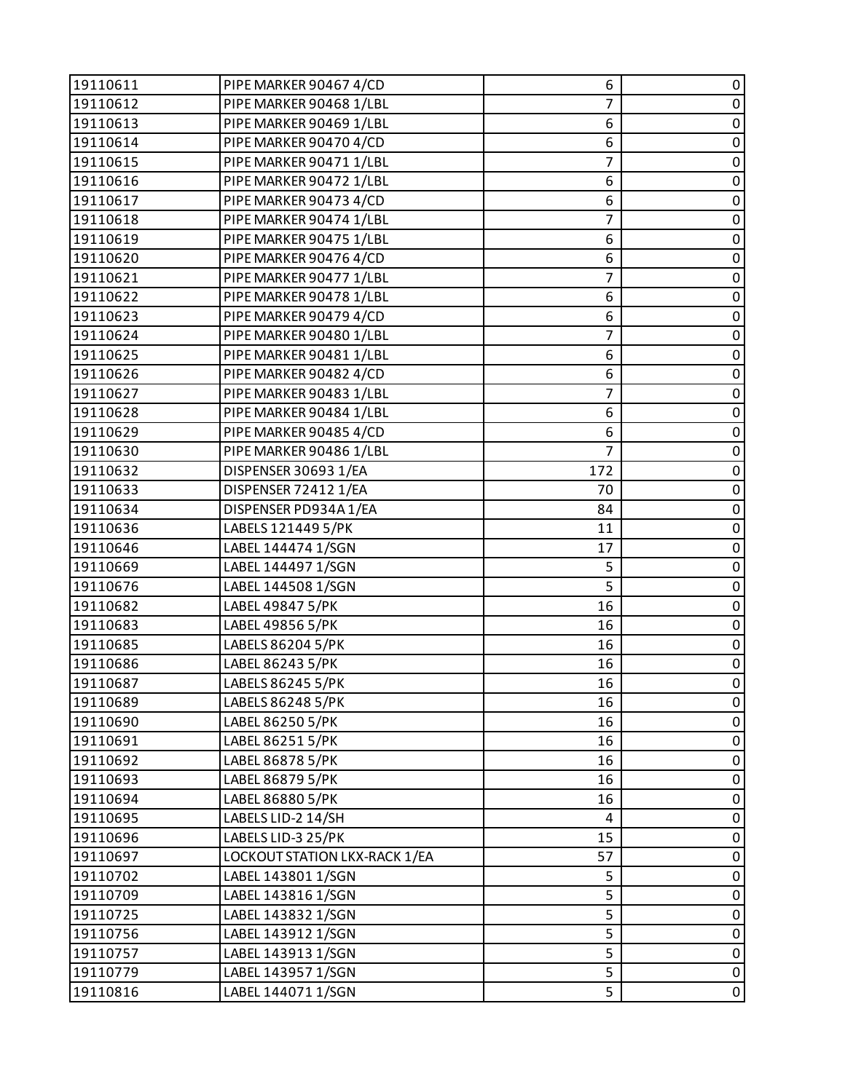| 19110611 | PIPE MARKER 90467 4/CD        | 6              | 0           |
|----------|-------------------------------|----------------|-------------|
| 19110612 | PIPE MARKER 90468 1/LBL       | $\overline{7}$ | $\pmb{0}$   |
| 19110613 | PIPE MARKER 90469 1/LBL       | 6              | 0           |
| 19110614 | PIPE MARKER 90470 4/CD        | 6              | $\pmb{0}$   |
| 19110615 | PIPE MARKER 90471 1/LBL       | $\overline{7}$ | $\mathbf 0$ |
| 19110616 | PIPE MARKER 90472 1/LBL       | 6              | 0           |
| 19110617 | PIPE MARKER 90473 4/CD        | 6              | $\pmb{0}$   |
| 19110618 | PIPE MARKER 90474 1/LBL       | $\overline{7}$ | $\mathsf 0$ |
| 19110619 | PIPE MARKER 90475 1/LBL       | 6              | 0           |
| 19110620 | PIPE MARKER 90476 4/CD        | 6              | $\pmb{0}$   |
| 19110621 | PIPE MARKER 90477 1/LBL       | $\overline{7}$ | $\mathsf 0$ |
| 19110622 | PIPE MARKER 90478 1/LBL       | 6              | 0           |
| 19110623 | PIPE MARKER 90479 4/CD        | 6              | $\pmb{0}$   |
| 19110624 | PIPE MARKER 90480 1/LBL       | $\overline{7}$ | $\pmb{0}$   |
| 19110625 | PIPE MARKER 90481 1/LBL       | 6              | 0           |
| 19110626 | PIPE MARKER 90482 4/CD        | 6              | $\pmb{0}$   |
| 19110627 | PIPE MARKER 90483 1/LBL       | $\overline{7}$ | $\mathbf 0$ |
| 19110628 | PIPE MARKER 90484 1/LBL       | 6              | 0           |
| 19110629 | PIPE MARKER 90485 4/CD        | 6              | $\pmb{0}$   |
| 19110630 | PIPE MARKER 90486 1/LBL       | $\overline{7}$ | $\pmb{0}$   |
| 19110632 | DISPENSER 30693 1/EA          | 172            | 0           |
| 19110633 | DISPENSER 72412 1/EA          | 70             | $\mathbf 0$ |
| 19110634 | DISPENSER PD934A1/EA          | 84             | $\pmb{0}$   |
| 19110636 | LABELS 121449 5/PK            | 11             | 0           |
| 19110646 | LABEL 144474 1/SGN            | 17             | $\pmb{0}$   |
| 19110669 | LABEL 144497 1/SGN            | 5              | $\mathbf 0$ |
| 19110676 | LABEL 144508 1/SGN            | 5              | 0           |
| 19110682 | LABEL 49847 5/PK              | 16             | $\pmb{0}$   |
| 19110683 | LABEL 49856 5/PK              | 16             | $\mathsf 0$ |
| 19110685 | LABELS 86204 5/PK             | 16             | 0           |
| 19110686 | LABEL 86243 5/PK              | 16             | $\pmb{0}$   |
| 19110687 | LABELS 86245 5/PK             | 16             | $\mathbf 0$ |
| 19110689 | LABELS 86248 5/PK             | 16             | 0           |
| 19110690 | LABEL 86250 5/PK              | 16             | 0           |
| 19110691 | LABEL 86251 5/PK              | 16             | $\pmb{0}$   |
| 19110692 | LABEL 86878 5/PK              | 16             | 0           |
| 19110693 | LABEL 86879 5/PK              | 16             | $\pmb{0}$   |
| 19110694 | LABEL 86880 5/PK              | 16             | $\pmb{0}$   |
| 19110695 | LABELS LID-2 14/SH            | 4              | $\pmb{0}$   |
| 19110696 | LABELS LID-3 25/PK            | 15             | $\pmb{0}$   |
| 19110697 | LOCKOUT STATION LKX-RACK 1/EA | 57             | $\pmb{0}$   |
| 19110702 | LABEL 143801 1/SGN            | 5              | 0           |
| 19110709 | LABEL 143816 1/SGN            | 5              | $\pmb{0}$   |
| 19110725 | LABEL 143832 1/SGN            | 5              | $\pmb{0}$   |
| 19110756 | LABEL 143912 1/SGN            | 5              | $\pmb{0}$   |
| 19110757 | LABEL 143913 1/SGN            | 5              | $\pmb{0}$   |
| 19110779 | LABEL 143957 1/SGN            | 5              | $\pmb{0}$   |
| 19110816 | LABEL 144071 1/SGN            | 5              | 0           |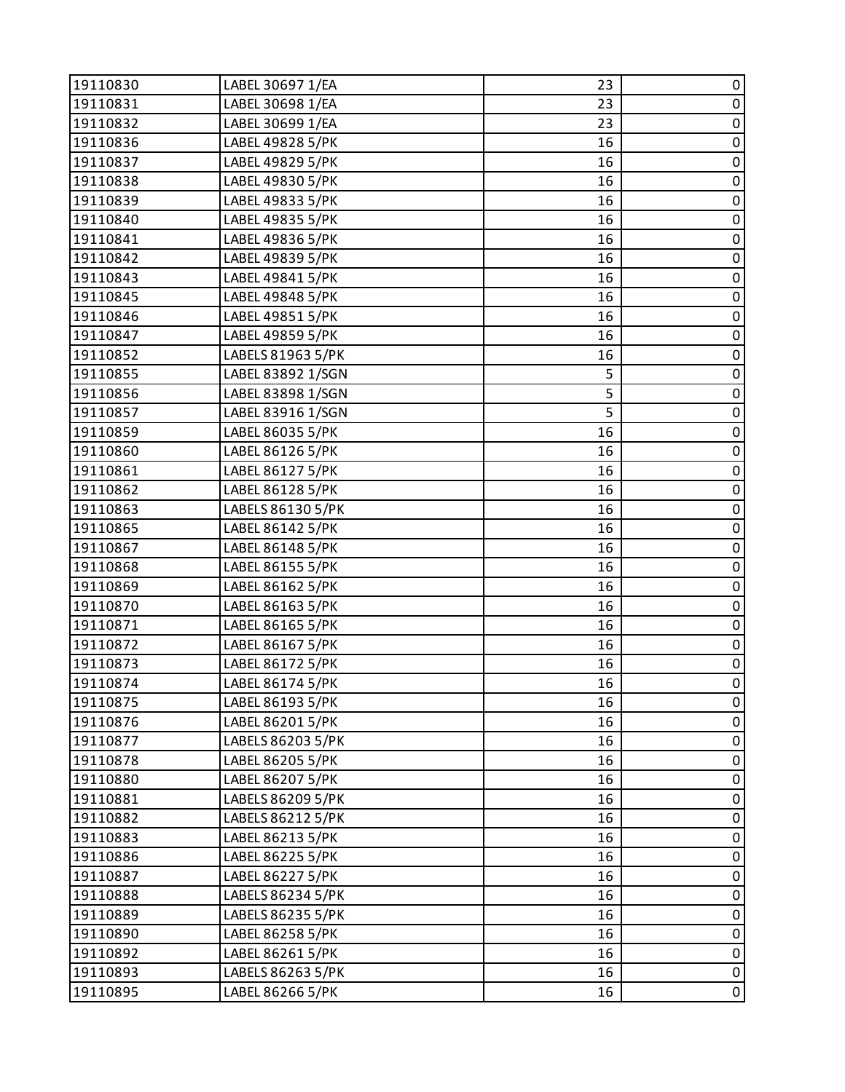| 19110830 | LABEL 30697 1/EA  | 23 | 0           |
|----------|-------------------|----|-------------|
| 19110831 | LABEL 30698 1/EA  | 23 | $\pmb{0}$   |
| 19110832 | LABEL 30699 1/EA  | 23 | 0           |
| 19110836 | LABEL 49828 5/PK  | 16 | $\pmb{0}$   |
| 19110837 | LABEL 49829 5/PK  | 16 | $\pmb{0}$   |
| 19110838 | LABEL 49830 5/PK  | 16 | 0           |
| 19110839 | LABEL 49833 5/PK  | 16 | $\pmb{0}$   |
| 19110840 | LABEL 49835 5/PK  | 16 | $\pmb{0}$   |
| 19110841 | LABEL 49836 5/PK  | 16 | 0           |
| 19110842 | LABEL 49839 5/PK  | 16 | $\pmb{0}$   |
| 19110843 | LABEL 49841 5/PK  | 16 | $\pmb{0}$   |
| 19110845 | LABEL 49848 5/PK  | 16 | 0           |
| 19110846 | LABEL 49851 5/PK  | 16 | $\pmb{0}$   |
| 19110847 | LABEL 49859 5/PK  | 16 | $\pmb{0}$   |
| 19110852 | LABELS 81963 5/PK | 16 | $\pmb{0}$   |
| 19110855 | LABEL 83892 1/SGN | 5  | $\pmb{0}$   |
| 19110856 | LABEL 83898 1/SGN | 5  | $\pmb{0}$   |
| 19110857 | LABEL 83916 1/SGN | 5  | $\pmb{0}$   |
| 19110859 | LABEL 86035 5/PK  | 16 | $\pmb{0}$   |
| 19110860 | LABEL 86126 5/PK  | 16 | $\pmb{0}$   |
| 19110861 | LABEL 86127 5/PK  | 16 | 0           |
| 19110862 | LABEL 86128 5/PK  | 16 | $\pmb{0}$   |
| 19110863 | LABELS 86130 5/PK | 16 | $\pmb{0}$   |
| 19110865 | LABEL 86142 5/PK  | 16 | 0           |
| 19110867 | LABEL 86148 5/PK  | 16 | $\pmb{0}$   |
| 19110868 | LABEL 86155 5/PK  | 16 | $\pmb{0}$   |
| 19110869 | LABEL 86162 5/PK  | 16 | $\pmb{0}$   |
| 19110870 | LABEL 86163 5/PK  | 16 | $\pmb{0}$   |
| 19110871 | LABEL 86165 5/PK  | 16 | $\pmb{0}$   |
| 19110872 | LABEL 86167 5/PK  | 16 | $\pmb{0}$   |
| 19110873 | LABEL 86172 5/PK  | 16 | $\pmb{0}$   |
| 19110874 | LABEL 86174 5/PK  | 16 | $\pmb{0}$   |
| 19110875 | LABEL 86193 5/PK  | 16 | 0           |
| 19110876 | LABEL 86201 5/PK  | 16 | 0           |
| 19110877 | LABELS 86203 5/PK | 16 | $\pmb{0}$   |
| 19110878 | LABEL 86205 5/PK  | 16 | $\pmb{0}$   |
| 19110880 | LABEL 86207 5/PK  | 16 | $\pmb{0}$   |
| 19110881 | LABELS 86209 5/PK | 16 | $\pmb{0}$   |
| 19110882 | LABELS 86212 5/PK | 16 | 0           |
| 19110883 | LABEL 86213 5/PK  | 16 | $\pmb{0}$   |
| 19110886 | LABEL 86225 5/PK  | 16 | $\pmb{0}$   |
| 19110887 | LABEL 86227 5/PK  | 16 | 0           |
| 19110888 | LABELS 86234 5/PK | 16 | $\pmb{0}$   |
| 19110889 | LABELS 86235 5/PK | 16 | $\pmb{0}$   |
| 19110890 | LABEL 86258 5/PK  | 16 | 0           |
| 19110892 | LABEL 86261 5/PK  | 16 | $\pmb{0}$   |
| 19110893 | LABELS 86263 5/PK | 16 | $\pmb{0}$   |
| 19110895 | LABEL 86266 5/PK  | 16 | $\mathbf 0$ |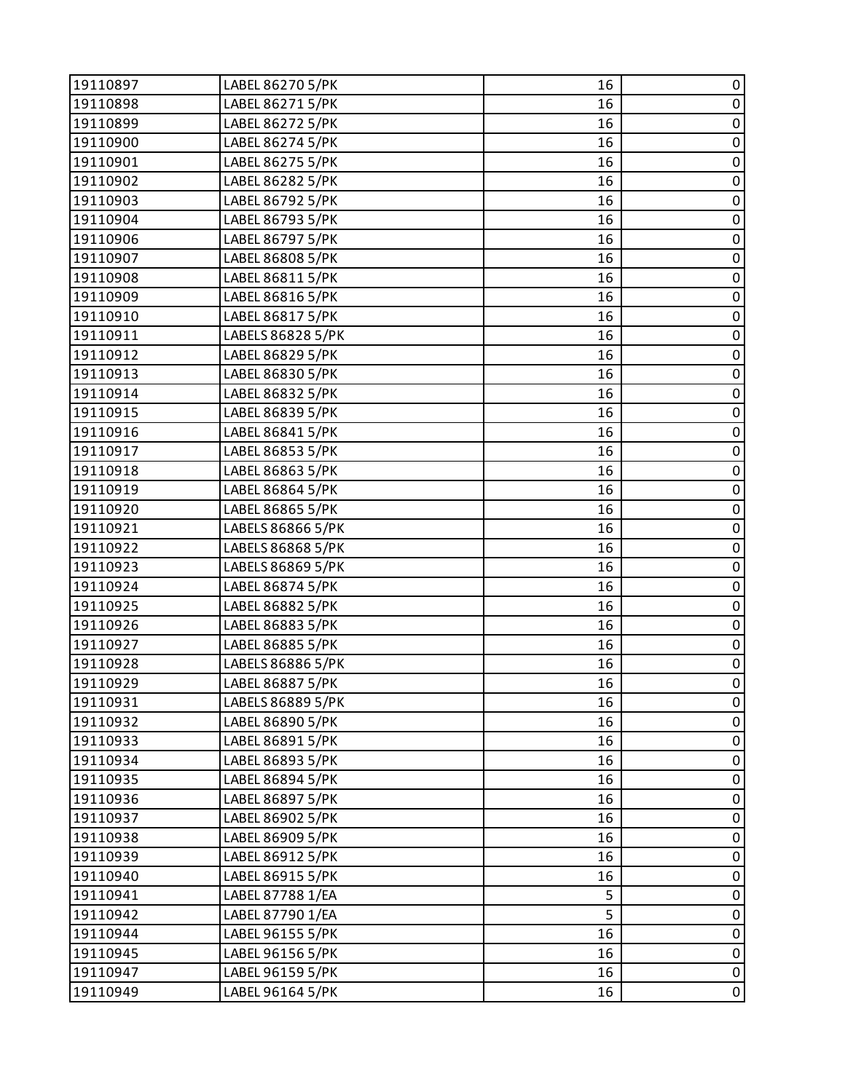| 19110897 | LABEL 86270 5/PK  | 16 | 0         |
|----------|-------------------|----|-----------|
| 19110898 | LABEL 86271 5/PK  | 16 | $\pmb{0}$ |
| 19110899 | LABEL 86272 5/PK  | 16 | $\pmb{0}$ |
| 19110900 | LABEL 86274 5/PK  | 16 | $\pmb{0}$ |
| 19110901 | LABEL 86275 5/PK  | 16 | $\pmb{0}$ |
| 19110902 | LABEL 86282 5/PK  | 16 | $\pmb{0}$ |
| 19110903 | LABEL 86792 5/PK  | 16 | $\pmb{0}$ |
| 19110904 | LABEL 86793 5/PK  | 16 | $\pmb{0}$ |
| 19110906 | LABEL 86797 5/PK  | 16 | $\pmb{0}$ |
| 19110907 | LABEL 86808 5/PK  | 16 | $\pmb{0}$ |
| 19110908 | LABEL 86811 5/PK  | 16 | $\pmb{0}$ |
| 19110909 | LABEL 86816 5/PK  | 16 | $\pmb{0}$ |
| 19110910 | LABEL 86817 5/PK  | 16 | $\pmb{0}$ |
| 19110911 | LABELS 86828 5/PK | 16 | $\pmb{0}$ |
| 19110912 | LABEL 86829 5/PK  | 16 | $\pmb{0}$ |
| 19110913 | LABEL 86830 5/PK  | 16 | $\pmb{0}$ |
| 19110914 | LABEL 86832 5/PK  | 16 | $\pmb{0}$ |
| 19110915 | LABEL 86839 5/PK  | 16 | $\pmb{0}$ |
| 19110916 | LABEL 86841 5/PK  | 16 | $\pmb{0}$ |
| 19110917 | LABEL 86853 5/PK  | 16 | $\pmb{0}$ |
| 19110918 | LABEL 86863 5/PK  | 16 | $\pmb{0}$ |
| 19110919 | LABEL 86864 5/PK  | 16 | $\pmb{0}$ |
| 19110920 | LABEL 86865 5/PK  | 16 | $\pmb{0}$ |
| 19110921 | LABELS 86866 5/PK | 16 | $\pmb{0}$ |
| 19110922 | LABELS 86868 5/PK | 16 | $\pmb{0}$ |
| 19110923 | LABELS 86869 5/PK | 16 | $\pmb{0}$ |
| 19110924 | LABEL 86874 5/PK  | 16 | $\pmb{0}$ |
| 19110925 | LABEL 86882 5/PK  | 16 | $\pmb{0}$ |
| 19110926 | LABEL 86883 5/PK  | 16 | $\pmb{0}$ |
| 19110927 | LABEL 86885 5/PK  | 16 | $\pmb{0}$ |
| 19110928 | LABELS 86886 5/PK | 16 | $\pmb{0}$ |
| 19110929 | LABEL 86887 5/PK  | 16 | 0         |
| 19110931 | LABELS 86889 5/PK | 16 | 0         |
| 19110932 | LABEL 86890 5/PK  | 16 | 0         |
| 19110933 | LABEL 86891 5/PK  | 16 | $\pmb{0}$ |
| 19110934 | LABEL 86893 5/PK  | 16 | $\pmb{0}$ |
| 19110935 | LABEL 86894 5/PK  | 16 | $\pmb{0}$ |
| 19110936 | LABEL 86897 5/PK  | 16 | $\pmb{0}$ |
| 19110937 | LABEL 86902 5/PK  | 16 | 0         |
| 19110938 | LABEL 86909 5/PK  | 16 | $\pmb{0}$ |
| 19110939 | LABEL 86912 5/PK  | 16 | $\pmb{0}$ |
| 19110940 | LABEL 86915 5/PK  | 16 | $\pmb{0}$ |
| 19110941 | LABEL 87788 1/EA  | 5  | $\pmb{0}$ |
| 19110942 | LABEL 87790 1/EA  | 5  | $\pmb{0}$ |
| 19110944 | LABEL 96155 5/PK  | 16 | $\pmb{0}$ |
| 19110945 | LABEL 96156 5/PK  | 16 | $\pmb{0}$ |
| 19110947 | LABEL 96159 5/PK  | 16 | $\pmb{0}$ |
| 19110949 | LABEL 96164 5/PK  | 16 | 0         |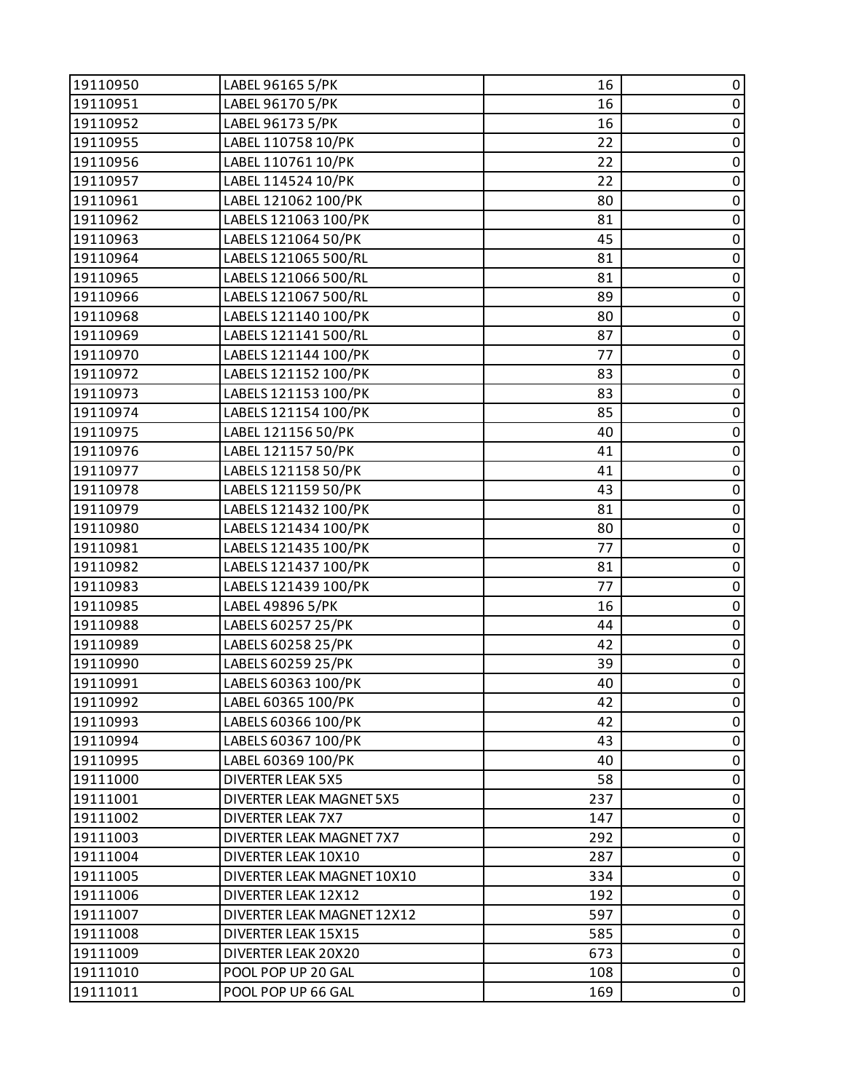| 19110950 | LABEL 96165 5/PK                | 16  | 0           |
|----------|---------------------------------|-----|-------------|
| 19110951 | LABEL 96170 5/PK                | 16  | $\pmb{0}$   |
| 19110952 | LABEL 96173 5/PK                | 16  | 0           |
| 19110955 | LABEL 110758 10/PK              | 22  | $\pmb{0}$   |
| 19110956 | LABEL 110761 10/PK              | 22  | $\pmb{0}$   |
| 19110957 | LABEL 114524 10/PK              | 22  | $\pmb{0}$   |
| 19110961 | LABEL 121062 100/PK             | 80  | $\pmb{0}$   |
| 19110962 | LABELS 121063 100/PK            | 81  | $\mathbf 0$ |
| 19110963 | LABELS 121064 50/PK             | 45  | $\pmb{0}$   |
| 19110964 | LABELS 121065 500/RL            | 81  | $\pmb{0}$   |
| 19110965 | LABELS 121066 500/RL            | 81  | $\pmb{0}$   |
| 19110966 | LABELS 121067 500/RL            | 89  | 0           |
| 19110968 | LABELS 121140 100/PK            | 80  | $\pmb{0}$   |
| 19110969 | LABELS 121141 500/RL            | 87  | $\pmb{0}$   |
| 19110970 | LABELS 121144 100/PK            | 77  | $\pmb{0}$   |
| 19110972 | LABELS 121152 100/PK            | 83  | $\pmb{0}$   |
| 19110973 | LABELS 121153 100/PK            | 83  | $\pmb{0}$   |
| 19110974 | LABELS 121154 100/PK            | 85  | $\pmb{0}$   |
| 19110975 | LABEL 121156 50/PK              | 40  | $\pmb{0}$   |
| 19110976 | LABEL 121157 50/PK              | 41  | $\pmb{0}$   |
| 19110977 | LABELS 121158 50/PK             | 41  | $\pmb{0}$   |
| 19110978 | LABELS 121159 50/PK             | 43  | $\pmb{0}$   |
| 19110979 | LABELS 121432 100/PK            | 81  | $\pmb{0}$   |
| 19110980 | LABELS 121434 100/PK            | 80  | $\pmb{0}$   |
| 19110981 | LABELS 121435 100/PK            | 77  | $\pmb{0}$   |
| 19110982 | LABELS 121437 100/PK            | 81  | $\pmb{0}$   |
| 19110983 | LABELS 121439 100/PK            | 77  | $\pmb{0}$   |
| 19110985 | LABEL 49896 5/PK                | 16  | $\pmb{0}$   |
| 19110988 | LABELS 60257 25/PK              | 44  | $\pmb{0}$   |
| 19110989 | LABELS 60258 25/PK              | 42  | $\pmb{0}$   |
| 19110990 | LABELS 60259 25/PK              | 39  | $\pmb{0}$   |
| 19110991 | LABELS 60363 100/PK             | 40  | $\mathsf 0$ |
| 19110992 | LABEL 60365 100/PK              | 42  | 0           |
| 19110993 | LABELS 60366 100/PK             | 42  | 0           |
| 19110994 | LABELS 60367 100/PK             | 43  | $\pmb{0}$   |
| 19110995 | LABEL 60369 100/PK              | 40  | 0           |
| 19111000 | <b>DIVERTER LEAK 5X5</b>        | 58  | $\pmb{0}$   |
| 19111001 | <b>DIVERTER LEAK MAGNET 5X5</b> | 237 | $\pmb{0}$   |
| 19111002 | <b>DIVERTER LEAK 7X7</b>        | 147 | 0           |
| 19111003 | DIVERTER LEAK MAGNET 7X7        | 292 | 0           |
| 19111004 | DIVERTER LEAK 10X10             | 287 | $\pmb{0}$   |
| 19111005 | DIVERTER LEAK MAGNET 10X10      | 334 | 0           |
| 19111006 | DIVERTER LEAK 12X12             | 192 | $\pmb{0}$   |
| 19111007 | DIVERTER LEAK MAGNET 12X12      | 597 | $\pmb{0}$   |
| 19111008 | DIVERTER LEAK 15X15             | 585 | 0           |
| 19111009 | DIVERTER LEAK 20X20             | 673 | $\pmb{0}$   |
| 19111010 | POOL POP UP 20 GAL              | 108 | $\pmb{0}$   |
| 19111011 | POOL POP UP 66 GAL              | 169 | $\mathbf 0$ |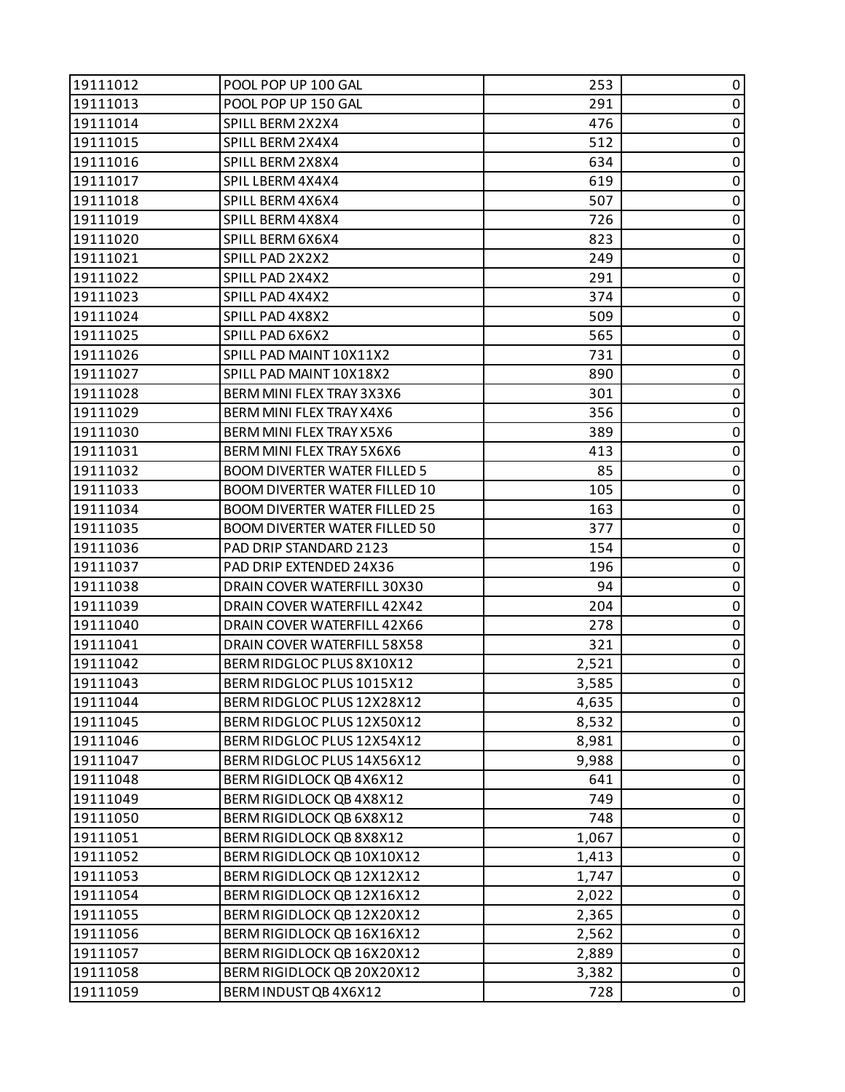| 19111012 | POOL POP UP 100 GAL                  | 253   | 0         |
|----------|--------------------------------------|-------|-----------|
| 19111013 | POOL POP UP 150 GAL                  | 291   | 0         |
| 19111014 | SPILL BERM 2X2X4                     | 476   | 0         |
| 19111015 | SPILL BERM 2X4X4                     | 512   | $\pmb{0}$ |
| 19111016 | SPILL BERM 2X8X4                     | 634   | 0         |
| 19111017 | SPIL LBERM 4X4X4                     | 619   | 0         |
| 19111018 | SPILL BERM 4X6X4                     | 507   | $\pmb{0}$ |
| 19111019 | SPILL BERM 4X8X4                     | 726   | $\pmb{0}$ |
| 19111020 | SPILL BERM 6X6X4                     | 823   | 0         |
| 19111021 | SPILL PAD 2X2X2                      | 249   | $\pmb{0}$ |
| 19111022 | SPILL PAD 2X4X2                      | 291   | 0         |
| 19111023 | SPILL PAD 4X4X2                      | 374   | 0         |
| 19111024 | SPILL PAD 4X8X2                      | 509   | 0         |
| 19111025 | SPILL PAD 6X6X2                      | 565   | 0         |
| 19111026 | SPILL PAD MAINT 10X11X2              | 731   | 0         |
| 19111027 | SPILL PAD MAINT 10X18X2              | 890   | $\pmb{0}$ |
| 19111028 | BERM MINI FLEX TRAY 3X3X6            | 301   | 0         |
| 19111029 | BERM MINI FLEX TRAY X4X6             | 356   | 0         |
| 19111030 | BERM MINI FLEX TRAY X5X6             | 389   | $\pmb{0}$ |
| 19111031 | BERM MINI FLEX TRAY 5X6X6            | 413   | $\pmb{0}$ |
| 19111032 | <b>BOOM DIVERTER WATER FILLED 5</b>  | 85    | 0         |
| 19111033 | <b>BOOM DIVERTER WATER FILLED 10</b> | 105   | $\pmb{0}$ |
| 19111034 | <b>BOOM DIVERTER WATER FILLED 25</b> | 163   | 0         |
| 19111035 | <b>BOOM DIVERTER WATER FILLED 50</b> | 377   | 0         |
| 19111036 | PAD DRIP STANDARD 2123               | 154   | $\pmb{0}$ |
| 19111037 | PAD DRIP EXTENDED 24X36              | 196   | 0         |
| 19111038 | DRAIN COVER WATERFILL 30X30          | 94    | 0         |
| 19111039 | DRAIN COVER WATERFILL 42X42          | 204   | $\pmb{0}$ |
| 19111040 | DRAIN COVER WATERFILL 42X66          | 278   | 0         |
| 19111041 | DRAIN COVER WATERFILL 58X58          | 321   | 0         |
| 19111042 | BERM RIDGLOC PLUS 8X10X12            | 2,521 | $\pmb{0}$ |
| 19111043 | BERM RIDGLOC PLUS 1015X12            | 3,585 | 0         |
| 19111044 | BERM RIDGLOC PLUS 12X28X12           | 4,635 | 0         |
| 19111045 | BERM RIDGLOC PLUS 12X50X12           | 8,532 | 0         |
| 19111046 | BERM RIDGLOC PLUS 12X54X12           | 8,981 | $\pmb{0}$ |
| 19111047 | BERM RIDGLOC PLUS 14X56X12           | 9,988 | 0         |
| 19111048 | BERM RIGIDLOCK QB 4X6X12             | 641   | 0         |
| 19111049 | BERM RIGIDLOCK QB 4X8X12             | 749   | $\pmb{0}$ |
| 19111050 | BERM RIGIDLOCK QB 6X8X12             | 748   | 0         |
| 19111051 | BERM RIGIDLOCK QB 8X8X12             | 1,067 | 0         |
| 19111052 | BERM RIGIDLOCK QB 10X10X12           | 1,413 | $\pmb{0}$ |
| 19111053 | BERM RIGIDLOCK QB 12X12X12           | 1,747 | 0         |
| 19111054 | BERM RIGIDLOCK QB 12X16X12           | 2,022 | $\pmb{0}$ |
| 19111055 | BERM RIGIDLOCK QB 12X20X12           | 2,365 | 0         |
| 19111056 | BERM RIGIDLOCK QB 16X16X12           | 2,562 | 0         |
| 19111057 | BERM RIGIDLOCK QB 16X20X12           | 2,889 | $\pmb{0}$ |
| 19111058 | BERM RIGIDLOCK QB 20X20X12           | 3,382 | $\pmb{0}$ |
| 19111059 | BERM INDUST QB 4X6X12                | 728   | 0         |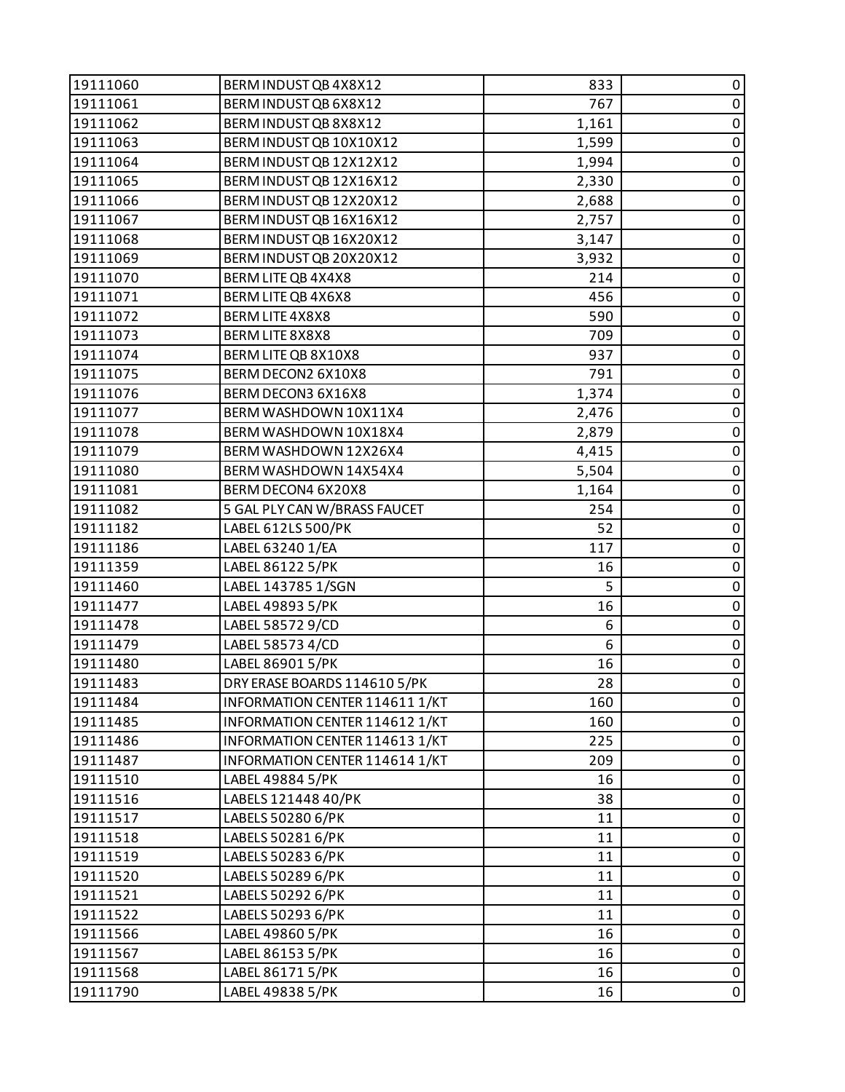| 19111060 | BERM INDUST QB 4X8X12          | 833   | 0           |
|----------|--------------------------------|-------|-------------|
| 19111061 | BERM INDUST QB 6X8X12          | 767   | 0           |
| 19111062 | BERM INDUST QB 8X8X12          | 1,161 | 0           |
| 19111063 | BERM INDUST QB 10X10X12        | 1,599 | $\pmb{0}$   |
| 19111064 | BERM INDUST QB 12X12X12        | 1,994 | $\pmb{0}$   |
| 19111065 | BERM INDUST QB 12X16X12        | 2,330 | 0           |
| 19111066 | BERM INDUST QB 12X20X12        | 2,688 | $\pmb{0}$   |
| 19111067 | BERM INDUST QB 16X16X12        | 2,757 | $\pmb{0}$   |
| 19111068 | BERM INDUST QB 16X20X12        | 3,147 | 0           |
| 19111069 | BERM INDUST QB 20X20X12        | 3,932 | $\pmb{0}$   |
| 19111070 | BERM LITE QB 4X4X8             | 214   | $\pmb{0}$   |
| 19111071 | BERM LITE QB 4X6X8             | 456   | 0           |
| 19111072 | BERM LITE 4X8X8                | 590   | $\pmb{0}$   |
| 19111073 | BERM LITE 8X8X8                | 709   | $\pmb{0}$   |
| 19111074 | BERM LITE QB 8X10X8            | 937   | 0           |
| 19111075 | BERM DECON2 6X10X8             | 791   | $\pmb{0}$   |
| 19111076 | BERM DECON3 6X16X8             | 1,374 | $\pmb{0}$   |
| 19111077 | BERM WASHDOWN 10X11X4          | 2,476 | 0           |
| 19111078 | BERM WASHDOWN 10X18X4          | 2,879 | $\pmb{0}$   |
| 19111079 | BERM WASHDOWN 12X26X4          | 4,415 | $\pmb{0}$   |
| 19111080 | BERM WASHDOWN 14X54X4          | 5,504 | 0           |
| 19111081 | BERM DECON4 6X20X8             | 1,164 | $\pmb{0}$   |
| 19111082 | 5 GAL PLY CAN W/BRASS FAUCET   | 254   | $\pmb{0}$   |
| 19111182 | LABEL 612LS 500/PK             | 52    | $\pmb{0}$   |
| 19111186 | LABEL 63240 1/EA               | 117   | $\pmb{0}$   |
| 19111359 | LABEL 86122 5/PK               | 16    | $\pmb{0}$   |
| 19111460 | LABEL 143785 1/SGN             | 5     | 0           |
| 19111477 | LABEL 49893 5/PK               | 16    | $\pmb{0}$   |
| 19111478 | LABEL 58572 9/CD               | 6     | $\pmb{0}$   |
| 19111479 | LABEL 58573 4/CD               | 6     | $\pmb{0}$   |
| 19111480 | LABEL 86901 5/PK               | 16    | $\pmb{0}$   |
| 19111483 | DRY ERASE BOARDS 114610 5/PK   | 28    | $\pmb{0}$   |
| 19111484 | INFORMATION CENTER 114611 1/KT | 160   | 0           |
| 19111485 | INFORMATION CENTER 114612 1/KT | 160   | 0           |
| 19111486 | INFORMATION CENTER 114613 1/KT | 225   | $\pmb{0}$   |
| 19111487 | INFORMATION CENTER 114614 1/KT | 209   | $\pmb{0}$   |
| 19111510 | LABEL 49884 5/PK               | 16    | $\mathbf 0$ |
| 19111516 | LABELS 121448 40/PK            | 38    | $\pmb{0}$   |
| 19111517 | LABELS 50280 6/PK              | 11    | $\pmb{0}$   |
| 19111518 | LABELS 50281 6/PK              | 11    | $\pmb{0}$   |
| 19111519 | LABELS 50283 6/PK              | 11    | $\pmb{0}$   |
| 19111520 | LABELS 50289 6/PK              | 11    | 0           |
| 19111521 | LABELS 50292 6/PK              | 11    | 0           |
| 19111522 | LABELS 50293 6/PK              | 11    | $\pmb{0}$   |
| 19111566 | LABEL 49860 5/PK               | 16    | $\pmb{0}$   |
| 19111567 | LABEL 86153 5/PK               | 16    | $\pmb{0}$   |
| 19111568 | LABEL 86171 5/PK               | 16    | $\pmb{0}$   |
| 19111790 | LABEL 49838 5/PK               | 16    | 0           |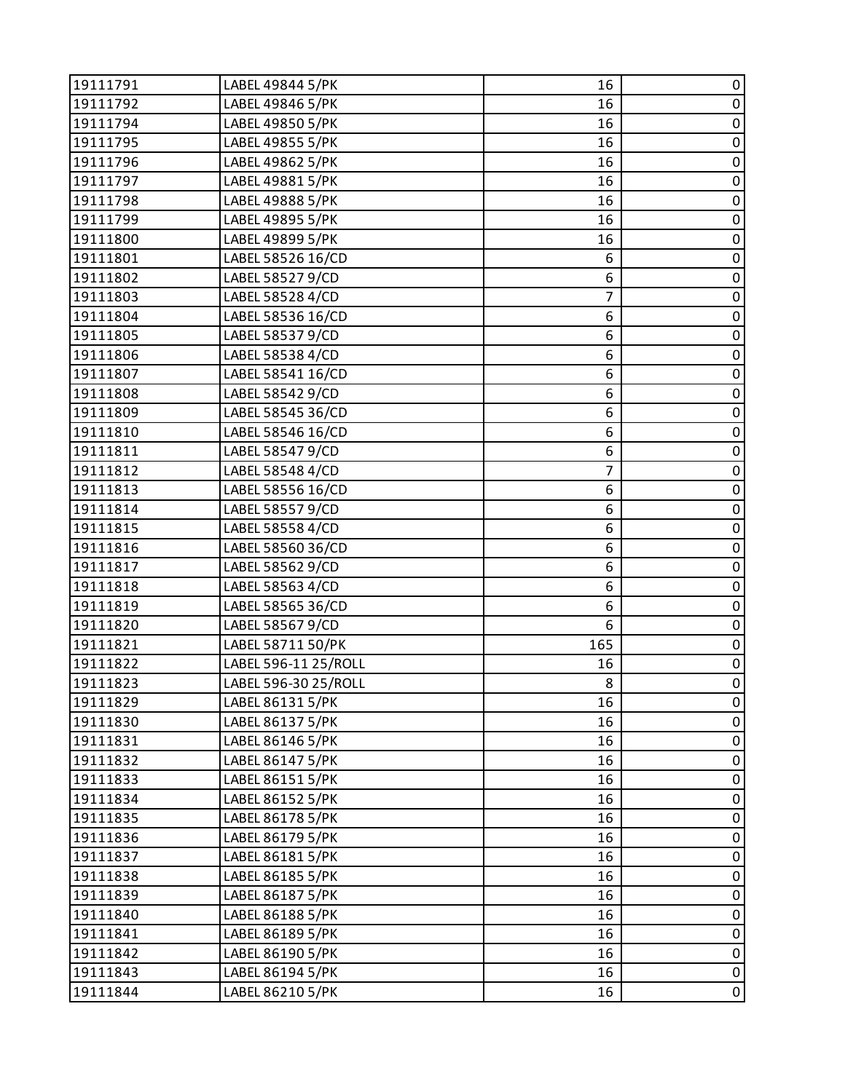| 19111791 | LABEL 49844 5/PK     | 16             | 0                   |
|----------|----------------------|----------------|---------------------|
| 19111792 | LABEL 49846 5/PK     | 16             | $\pmb{0}$           |
| 19111794 | LABEL 49850 5/PK     | 16             | 0                   |
| 19111795 | LABEL 49855 5/PK     | 16             | $\pmb{0}$           |
| 19111796 | LABEL 49862 5/PK     | 16             | $\pmb{0}$           |
| 19111797 | LABEL 49881 5/PK     | 16             | 0                   |
| 19111798 | LABEL 49888 5/PK     | 16             | $\pmb{0}$           |
| 19111799 | LABEL 49895 5/PK     | 16             | $\pmb{0}$           |
| 19111800 | LABEL 49899 5/PK     | 16             | 0                   |
| 19111801 | LABEL 58526 16/CD    | 6              | $\pmb{0}$           |
| 19111802 | LABEL 58527 9/CD     | 6              | $\mathsf 0$         |
| 19111803 | LABEL 58528 4/CD     | $\overline{7}$ | $\pmb{0}$           |
| 19111804 | LABEL 58536 16/CD    | 6              | $\pmb{0}$           |
| 19111805 | LABEL 585379/CD      | 6              | $\pmb{0}$           |
| 19111806 | LABEL 58538 4/CD     | 6              | 0                   |
| 19111807 | LABEL 58541 16/CD    | 6              | $\pmb{0}$           |
| 19111808 | LABEL 58542 9/CD     | 6              | $\pmb{0}$           |
| 19111809 | LABEL 58545 36/CD    | 6              | 0                   |
| 19111810 | LABEL 58546 16/CD    | 6              | $\pmb{0}$           |
| 19111811 | LABEL 58547 9/CD     | 6              | $\overline{0}$      |
| 19111812 | LABEL 58548 4/CD     | 7              | 0                   |
| 19111813 | LABEL 58556 16/CD    | 6              | $\mathbf 0$         |
| 19111814 | LABEL 58557 9/CD     | 6              | $\mathsf 0$         |
| 19111815 | LABEL 58558 4/CD     | 6              | 0                   |
| 19111816 | LABEL 58560 36/CD    | 6              | $\pmb{0}$           |
| 19111817 | LABEL 58562 9/CD     | 6              | $\mathsf{O}\xspace$ |
| 19111818 | LABEL 58563 4/CD     | 6              | $\pmb{0}$           |
| 19111819 | LABEL 58565 36/CD    | 6              | $\pmb{0}$           |
| 19111820 | LABEL 58567 9/CD     | 6              | $\mathbf 0$         |
| 19111821 | LABEL 58711 50/PK    | 165            | $\pmb{0}$           |
| 19111822 | LABEL 596-11 25/ROLL | 16             | $\pmb{0}$           |
| 19111823 | LABEL 596-30 25/ROLL | 8              | $\overline{0}$      |
| 19111829 | LABEL 86131 5/PK     | 16             | 0                   |
| 19111830 | LABEL 86137 5/PK     | 16             | 0                   |
| 19111831 | LABEL 86146 5/PK     | 16             | $\pmb{0}$           |
| 19111832 | LABEL 86147 5/PK     | 16             | 0                   |
| 19111833 | LABEL 86151 5/PK     | 16             | $\pmb{0}$           |
| 19111834 | LABEL 86152 5/PK     | 16             | $\pmb{0}$           |
| 19111835 | LABEL 86178 5/PK     | 16             | $\pmb{0}$           |
| 19111836 | LABEL 86179 5/PK     | 16             | $\pmb{0}$           |
| 19111837 | LABEL 86181 5/PK     | 16             | $\pmb{0}$           |
| 19111838 | LABEL 86185 5/PK     | 16             | 0                   |
| 19111839 | LABEL 86187 5/PK     | 16             | $\pmb{0}$           |
| 19111840 | LABEL 86188 5/PK     | 16             | $\pmb{0}$           |
| 19111841 | LABEL 86189 5/PK     | 16             | $\pmb{0}$           |
| 19111842 | LABEL 86190 5/PK     | 16             | $\pmb{0}$           |
| 19111843 | LABEL 86194 5/PK     | 16             | $\pmb{0}$           |
| 19111844 | LABEL 86210 5/PK     | 16             | $\pmb{0}$           |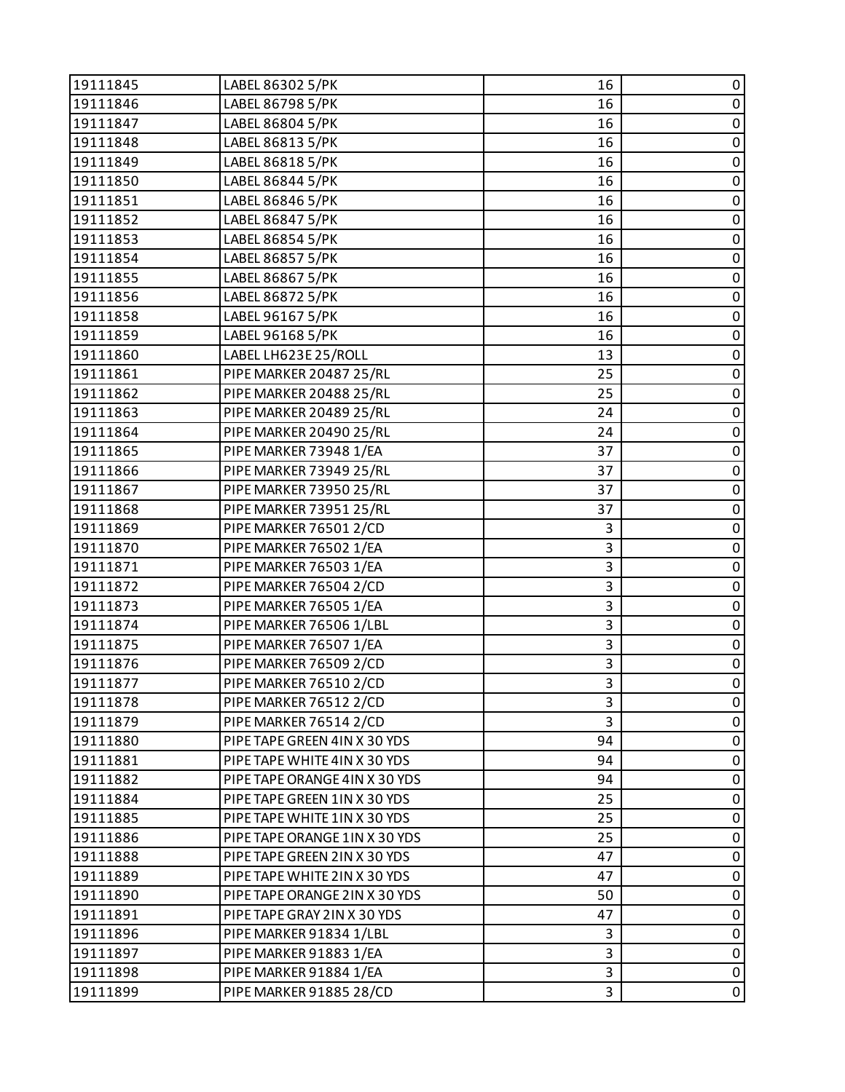| $\pmb{0}$<br>19111846<br>LABEL 86798 5/PK<br>16<br>0<br>LABEL 86804 5/PK<br>16<br>$\pmb{0}$<br>LABEL 86813 5/PK<br>19111848<br>16<br>$\mathbf 0$<br>19111849<br>LABEL 86818 5/PK<br>16<br>0<br>LABEL 86844 5/PK<br>16<br>$\pmb{0}$<br>LABEL 86846 5/PK<br>16<br>$\mathsf 0$<br>LABEL 86847 5/PK<br>16<br>LABEL 86854 5/PK<br>0<br>16<br>$\pmb{0}$<br>19111854<br>LABEL 86857 5/PK<br>16<br>$\pmb{0}$<br>19111855<br>LABEL 86867 5/PK<br>16<br>0<br>LABEL 86872 5/PK<br>16<br>$\pmb{0}$<br>LABEL 96167 5/PK<br>16<br>$\mathsf 0$<br>LABEL 96168 5/PK<br>16<br>LABEL LH623E 25/ROLL<br>0<br>19111860<br>13<br>$\pmb{0}$<br>PIPE MARKER 20487 25/RL<br>19111861<br>25<br>$\mathsf 0$<br>PIPE MARKER 20488 25/RL<br>25<br>19111862<br>0<br>PIPE MARKER 20489 25/RL<br>24<br>$\pmb{0}$<br>PIPE MARKER 20490 25/RL<br>24<br>$\pmb{0}$<br>PIPE MARKER 73948 1/EA<br>37<br>PIPE MARKER 73949 25/RL<br>0<br>19111866<br>37<br>$\pmb{0}$<br>PIPE MARKER 73950 25/RL<br>37<br>19111867<br>$\pmb{0}$<br>PIPE MARKER 73951 25/RL<br>37<br>19111868<br>0<br>PIPE MARKER 76501 2/CD<br>3<br>$\pmb{0}$<br>PIPE MARKER 76502 1/EA<br>3<br>$\mathsf 0$<br>3<br>PIPE MARKER 76503 1/EA<br>PIPE MARKER 76504 2/CD<br>3<br>0<br>19111872<br>3<br>$\pmb{0}$<br>PIPE MARKER 76505 1/EA<br>19111873<br>$\mathsf 0$<br>3<br>19111874<br>PIPE MARKER 76506 1/LBL<br>3<br>$\pmb{0}$<br>PIPE MARKER 76507 1/EA<br>$\pmb{0}$<br>PIPE MARKER 76509 2/CD<br>3<br>19111876<br>3<br>$\mathsf 0$<br>19111877<br>PIPE MARKER 76510 2/CD<br>PIPE MARKER 76512 2/CD<br>3<br>0<br>PIPE MARKER 76514 2/CD<br>3<br>0<br>$\pmb{0}$<br>94<br>PIPE TAPE GREEN 4IN X 30 YDS<br>PIPE TAPE WHITE 4IN X 30 YDS<br>94<br>0<br>0<br>19111882<br>PIPE TAPE ORANGE 4IN X 30 YDS<br>94<br>$\pmb{0}$<br>PIPE TAPE GREEN 1IN X 30 YDS<br>25<br>19111884<br>PIPE TAPE WHITE 1IN X 30 YDS<br>25<br>0<br>19111885<br>25<br>0<br>PIPE TAPE ORANGE 1IN X 30 YDS<br>$\pmb{0}$<br>19111888<br>PIPE TAPE GREEN 2IN X 30 YDS<br>47<br>0<br>PIPE TAPE WHITE 2IN X 30 YDS<br>47<br>19111889<br>0<br>PIPE TAPE ORANGE 2IN X 30 YDS<br>19111890<br>50<br>$\pmb{0}$<br>19111891<br>PIPE TAPE GRAY 2IN X 30 YDS<br>47<br>0<br>19111896<br>PIPE MARKER 91834 1/LBL<br>3<br>$\pmb{0}$<br>3<br>PIPE MARKER 91883 1/EA<br>$\pmb{0}$<br>3<br>19111898<br>PIPE MARKER 91884 1/EA<br>$\pmb{0}$<br>19111899<br>PIPE MARKER 91885 28/CD<br>3 | 19111845 | LABEL 86302 5/PK | 16 | 0 |
|----------------------------------------------------------------------------------------------------------------------------------------------------------------------------------------------------------------------------------------------------------------------------------------------------------------------------------------------------------------------------------------------------------------------------------------------------------------------------------------------------------------------------------------------------------------------------------------------------------------------------------------------------------------------------------------------------------------------------------------------------------------------------------------------------------------------------------------------------------------------------------------------------------------------------------------------------------------------------------------------------------------------------------------------------------------------------------------------------------------------------------------------------------------------------------------------------------------------------------------------------------------------------------------------------------------------------------------------------------------------------------------------------------------------------------------------------------------------------------------------------------------------------------------------------------------------------------------------------------------------------------------------------------------------------------------------------------------------------------------------------------------------------------------------------------------------------------------------------------------------------------------------------------------------------------------------------------------------------------------------------------------------------------------------------------------------------------------------------------------------------------------------------------------------------------------------------------------------------------------------------------------------------------------------------------------------------------------------------------------|----------|------------------|----|---|
|                                                                                                                                                                                                                                                                                                                                                                                                                                                                                                                                                                                                                                                                                                                                                                                                                                                                                                                                                                                                                                                                                                                                                                                                                                                                                                                                                                                                                                                                                                                                                                                                                                                                                                                                                                                                                                                                                                                                                                                                                                                                                                                                                                                                                                                                                                                                                                |          |                  |    |   |
|                                                                                                                                                                                                                                                                                                                                                                                                                                                                                                                                                                                                                                                                                                                                                                                                                                                                                                                                                                                                                                                                                                                                                                                                                                                                                                                                                                                                                                                                                                                                                                                                                                                                                                                                                                                                                                                                                                                                                                                                                                                                                                                                                                                                                                                                                                                                                                | 19111847 |                  |    |   |
|                                                                                                                                                                                                                                                                                                                                                                                                                                                                                                                                                                                                                                                                                                                                                                                                                                                                                                                                                                                                                                                                                                                                                                                                                                                                                                                                                                                                                                                                                                                                                                                                                                                                                                                                                                                                                                                                                                                                                                                                                                                                                                                                                                                                                                                                                                                                                                |          |                  |    |   |
|                                                                                                                                                                                                                                                                                                                                                                                                                                                                                                                                                                                                                                                                                                                                                                                                                                                                                                                                                                                                                                                                                                                                                                                                                                                                                                                                                                                                                                                                                                                                                                                                                                                                                                                                                                                                                                                                                                                                                                                                                                                                                                                                                                                                                                                                                                                                                                |          |                  |    |   |
|                                                                                                                                                                                                                                                                                                                                                                                                                                                                                                                                                                                                                                                                                                                                                                                                                                                                                                                                                                                                                                                                                                                                                                                                                                                                                                                                                                                                                                                                                                                                                                                                                                                                                                                                                                                                                                                                                                                                                                                                                                                                                                                                                                                                                                                                                                                                                                | 19111850 |                  |    |   |
|                                                                                                                                                                                                                                                                                                                                                                                                                                                                                                                                                                                                                                                                                                                                                                                                                                                                                                                                                                                                                                                                                                                                                                                                                                                                                                                                                                                                                                                                                                                                                                                                                                                                                                                                                                                                                                                                                                                                                                                                                                                                                                                                                                                                                                                                                                                                                                | 19111851 |                  |    |   |
|                                                                                                                                                                                                                                                                                                                                                                                                                                                                                                                                                                                                                                                                                                                                                                                                                                                                                                                                                                                                                                                                                                                                                                                                                                                                                                                                                                                                                                                                                                                                                                                                                                                                                                                                                                                                                                                                                                                                                                                                                                                                                                                                                                                                                                                                                                                                                                | 19111852 |                  |    |   |
|                                                                                                                                                                                                                                                                                                                                                                                                                                                                                                                                                                                                                                                                                                                                                                                                                                                                                                                                                                                                                                                                                                                                                                                                                                                                                                                                                                                                                                                                                                                                                                                                                                                                                                                                                                                                                                                                                                                                                                                                                                                                                                                                                                                                                                                                                                                                                                | 19111853 |                  |    |   |
|                                                                                                                                                                                                                                                                                                                                                                                                                                                                                                                                                                                                                                                                                                                                                                                                                                                                                                                                                                                                                                                                                                                                                                                                                                                                                                                                                                                                                                                                                                                                                                                                                                                                                                                                                                                                                                                                                                                                                                                                                                                                                                                                                                                                                                                                                                                                                                |          |                  |    |   |
|                                                                                                                                                                                                                                                                                                                                                                                                                                                                                                                                                                                                                                                                                                                                                                                                                                                                                                                                                                                                                                                                                                                                                                                                                                                                                                                                                                                                                                                                                                                                                                                                                                                                                                                                                                                                                                                                                                                                                                                                                                                                                                                                                                                                                                                                                                                                                                |          |                  |    |   |
|                                                                                                                                                                                                                                                                                                                                                                                                                                                                                                                                                                                                                                                                                                                                                                                                                                                                                                                                                                                                                                                                                                                                                                                                                                                                                                                                                                                                                                                                                                                                                                                                                                                                                                                                                                                                                                                                                                                                                                                                                                                                                                                                                                                                                                                                                                                                                                | 19111856 |                  |    |   |
|                                                                                                                                                                                                                                                                                                                                                                                                                                                                                                                                                                                                                                                                                                                                                                                                                                                                                                                                                                                                                                                                                                                                                                                                                                                                                                                                                                                                                                                                                                                                                                                                                                                                                                                                                                                                                                                                                                                                                                                                                                                                                                                                                                                                                                                                                                                                                                | 19111858 |                  |    |   |
|                                                                                                                                                                                                                                                                                                                                                                                                                                                                                                                                                                                                                                                                                                                                                                                                                                                                                                                                                                                                                                                                                                                                                                                                                                                                                                                                                                                                                                                                                                                                                                                                                                                                                                                                                                                                                                                                                                                                                                                                                                                                                                                                                                                                                                                                                                                                                                | 19111859 |                  |    |   |
|                                                                                                                                                                                                                                                                                                                                                                                                                                                                                                                                                                                                                                                                                                                                                                                                                                                                                                                                                                                                                                                                                                                                                                                                                                                                                                                                                                                                                                                                                                                                                                                                                                                                                                                                                                                                                                                                                                                                                                                                                                                                                                                                                                                                                                                                                                                                                                |          |                  |    |   |
|                                                                                                                                                                                                                                                                                                                                                                                                                                                                                                                                                                                                                                                                                                                                                                                                                                                                                                                                                                                                                                                                                                                                                                                                                                                                                                                                                                                                                                                                                                                                                                                                                                                                                                                                                                                                                                                                                                                                                                                                                                                                                                                                                                                                                                                                                                                                                                |          |                  |    |   |
|                                                                                                                                                                                                                                                                                                                                                                                                                                                                                                                                                                                                                                                                                                                                                                                                                                                                                                                                                                                                                                                                                                                                                                                                                                                                                                                                                                                                                                                                                                                                                                                                                                                                                                                                                                                                                                                                                                                                                                                                                                                                                                                                                                                                                                                                                                                                                                |          |                  |    |   |
|                                                                                                                                                                                                                                                                                                                                                                                                                                                                                                                                                                                                                                                                                                                                                                                                                                                                                                                                                                                                                                                                                                                                                                                                                                                                                                                                                                                                                                                                                                                                                                                                                                                                                                                                                                                                                                                                                                                                                                                                                                                                                                                                                                                                                                                                                                                                                                | 19111863 |                  |    |   |
|                                                                                                                                                                                                                                                                                                                                                                                                                                                                                                                                                                                                                                                                                                                                                                                                                                                                                                                                                                                                                                                                                                                                                                                                                                                                                                                                                                                                                                                                                                                                                                                                                                                                                                                                                                                                                                                                                                                                                                                                                                                                                                                                                                                                                                                                                                                                                                | 19111864 |                  |    |   |
|                                                                                                                                                                                                                                                                                                                                                                                                                                                                                                                                                                                                                                                                                                                                                                                                                                                                                                                                                                                                                                                                                                                                                                                                                                                                                                                                                                                                                                                                                                                                                                                                                                                                                                                                                                                                                                                                                                                                                                                                                                                                                                                                                                                                                                                                                                                                                                | 19111865 |                  |    |   |
|                                                                                                                                                                                                                                                                                                                                                                                                                                                                                                                                                                                                                                                                                                                                                                                                                                                                                                                                                                                                                                                                                                                                                                                                                                                                                                                                                                                                                                                                                                                                                                                                                                                                                                                                                                                                                                                                                                                                                                                                                                                                                                                                                                                                                                                                                                                                                                |          |                  |    |   |
|                                                                                                                                                                                                                                                                                                                                                                                                                                                                                                                                                                                                                                                                                                                                                                                                                                                                                                                                                                                                                                                                                                                                                                                                                                                                                                                                                                                                                                                                                                                                                                                                                                                                                                                                                                                                                                                                                                                                                                                                                                                                                                                                                                                                                                                                                                                                                                |          |                  |    |   |
|                                                                                                                                                                                                                                                                                                                                                                                                                                                                                                                                                                                                                                                                                                                                                                                                                                                                                                                                                                                                                                                                                                                                                                                                                                                                                                                                                                                                                                                                                                                                                                                                                                                                                                                                                                                                                                                                                                                                                                                                                                                                                                                                                                                                                                                                                                                                                                |          |                  |    |   |
|                                                                                                                                                                                                                                                                                                                                                                                                                                                                                                                                                                                                                                                                                                                                                                                                                                                                                                                                                                                                                                                                                                                                                                                                                                                                                                                                                                                                                                                                                                                                                                                                                                                                                                                                                                                                                                                                                                                                                                                                                                                                                                                                                                                                                                                                                                                                                                | 19111869 |                  |    |   |
|                                                                                                                                                                                                                                                                                                                                                                                                                                                                                                                                                                                                                                                                                                                                                                                                                                                                                                                                                                                                                                                                                                                                                                                                                                                                                                                                                                                                                                                                                                                                                                                                                                                                                                                                                                                                                                                                                                                                                                                                                                                                                                                                                                                                                                                                                                                                                                | 19111870 |                  |    |   |
|                                                                                                                                                                                                                                                                                                                                                                                                                                                                                                                                                                                                                                                                                                                                                                                                                                                                                                                                                                                                                                                                                                                                                                                                                                                                                                                                                                                                                                                                                                                                                                                                                                                                                                                                                                                                                                                                                                                                                                                                                                                                                                                                                                                                                                                                                                                                                                | 19111871 |                  |    |   |
|                                                                                                                                                                                                                                                                                                                                                                                                                                                                                                                                                                                                                                                                                                                                                                                                                                                                                                                                                                                                                                                                                                                                                                                                                                                                                                                                                                                                                                                                                                                                                                                                                                                                                                                                                                                                                                                                                                                                                                                                                                                                                                                                                                                                                                                                                                                                                                |          |                  |    |   |
|                                                                                                                                                                                                                                                                                                                                                                                                                                                                                                                                                                                                                                                                                                                                                                                                                                                                                                                                                                                                                                                                                                                                                                                                                                                                                                                                                                                                                                                                                                                                                                                                                                                                                                                                                                                                                                                                                                                                                                                                                                                                                                                                                                                                                                                                                                                                                                |          |                  |    |   |
|                                                                                                                                                                                                                                                                                                                                                                                                                                                                                                                                                                                                                                                                                                                                                                                                                                                                                                                                                                                                                                                                                                                                                                                                                                                                                                                                                                                                                                                                                                                                                                                                                                                                                                                                                                                                                                                                                                                                                                                                                                                                                                                                                                                                                                                                                                                                                                |          |                  |    |   |
|                                                                                                                                                                                                                                                                                                                                                                                                                                                                                                                                                                                                                                                                                                                                                                                                                                                                                                                                                                                                                                                                                                                                                                                                                                                                                                                                                                                                                                                                                                                                                                                                                                                                                                                                                                                                                                                                                                                                                                                                                                                                                                                                                                                                                                                                                                                                                                | 19111875 |                  |    |   |
|                                                                                                                                                                                                                                                                                                                                                                                                                                                                                                                                                                                                                                                                                                                                                                                                                                                                                                                                                                                                                                                                                                                                                                                                                                                                                                                                                                                                                                                                                                                                                                                                                                                                                                                                                                                                                                                                                                                                                                                                                                                                                                                                                                                                                                                                                                                                                                |          |                  |    |   |
|                                                                                                                                                                                                                                                                                                                                                                                                                                                                                                                                                                                                                                                                                                                                                                                                                                                                                                                                                                                                                                                                                                                                                                                                                                                                                                                                                                                                                                                                                                                                                                                                                                                                                                                                                                                                                                                                                                                                                                                                                                                                                                                                                                                                                                                                                                                                                                |          |                  |    |   |
|                                                                                                                                                                                                                                                                                                                                                                                                                                                                                                                                                                                                                                                                                                                                                                                                                                                                                                                                                                                                                                                                                                                                                                                                                                                                                                                                                                                                                                                                                                                                                                                                                                                                                                                                                                                                                                                                                                                                                                                                                                                                                                                                                                                                                                                                                                                                                                | 19111878 |                  |    |   |
|                                                                                                                                                                                                                                                                                                                                                                                                                                                                                                                                                                                                                                                                                                                                                                                                                                                                                                                                                                                                                                                                                                                                                                                                                                                                                                                                                                                                                                                                                                                                                                                                                                                                                                                                                                                                                                                                                                                                                                                                                                                                                                                                                                                                                                                                                                                                                                | 19111879 |                  |    |   |
|                                                                                                                                                                                                                                                                                                                                                                                                                                                                                                                                                                                                                                                                                                                                                                                                                                                                                                                                                                                                                                                                                                                                                                                                                                                                                                                                                                                                                                                                                                                                                                                                                                                                                                                                                                                                                                                                                                                                                                                                                                                                                                                                                                                                                                                                                                                                                                | 19111880 |                  |    |   |
|                                                                                                                                                                                                                                                                                                                                                                                                                                                                                                                                                                                                                                                                                                                                                                                                                                                                                                                                                                                                                                                                                                                                                                                                                                                                                                                                                                                                                                                                                                                                                                                                                                                                                                                                                                                                                                                                                                                                                                                                                                                                                                                                                                                                                                                                                                                                                                | 19111881 |                  |    |   |
|                                                                                                                                                                                                                                                                                                                                                                                                                                                                                                                                                                                                                                                                                                                                                                                                                                                                                                                                                                                                                                                                                                                                                                                                                                                                                                                                                                                                                                                                                                                                                                                                                                                                                                                                                                                                                                                                                                                                                                                                                                                                                                                                                                                                                                                                                                                                                                |          |                  |    |   |
|                                                                                                                                                                                                                                                                                                                                                                                                                                                                                                                                                                                                                                                                                                                                                                                                                                                                                                                                                                                                                                                                                                                                                                                                                                                                                                                                                                                                                                                                                                                                                                                                                                                                                                                                                                                                                                                                                                                                                                                                                                                                                                                                                                                                                                                                                                                                                                |          |                  |    |   |
|                                                                                                                                                                                                                                                                                                                                                                                                                                                                                                                                                                                                                                                                                                                                                                                                                                                                                                                                                                                                                                                                                                                                                                                                                                                                                                                                                                                                                                                                                                                                                                                                                                                                                                                                                                                                                                                                                                                                                                                                                                                                                                                                                                                                                                                                                                                                                                |          |                  |    |   |
|                                                                                                                                                                                                                                                                                                                                                                                                                                                                                                                                                                                                                                                                                                                                                                                                                                                                                                                                                                                                                                                                                                                                                                                                                                                                                                                                                                                                                                                                                                                                                                                                                                                                                                                                                                                                                                                                                                                                                                                                                                                                                                                                                                                                                                                                                                                                                                | 19111886 |                  |    |   |
|                                                                                                                                                                                                                                                                                                                                                                                                                                                                                                                                                                                                                                                                                                                                                                                                                                                                                                                                                                                                                                                                                                                                                                                                                                                                                                                                                                                                                                                                                                                                                                                                                                                                                                                                                                                                                                                                                                                                                                                                                                                                                                                                                                                                                                                                                                                                                                |          |                  |    |   |
|                                                                                                                                                                                                                                                                                                                                                                                                                                                                                                                                                                                                                                                                                                                                                                                                                                                                                                                                                                                                                                                                                                                                                                                                                                                                                                                                                                                                                                                                                                                                                                                                                                                                                                                                                                                                                                                                                                                                                                                                                                                                                                                                                                                                                                                                                                                                                                |          |                  |    |   |
|                                                                                                                                                                                                                                                                                                                                                                                                                                                                                                                                                                                                                                                                                                                                                                                                                                                                                                                                                                                                                                                                                                                                                                                                                                                                                                                                                                                                                                                                                                                                                                                                                                                                                                                                                                                                                                                                                                                                                                                                                                                                                                                                                                                                                                                                                                                                                                |          |                  |    |   |
|                                                                                                                                                                                                                                                                                                                                                                                                                                                                                                                                                                                                                                                                                                                                                                                                                                                                                                                                                                                                                                                                                                                                                                                                                                                                                                                                                                                                                                                                                                                                                                                                                                                                                                                                                                                                                                                                                                                                                                                                                                                                                                                                                                                                                                                                                                                                                                |          |                  |    |   |
|                                                                                                                                                                                                                                                                                                                                                                                                                                                                                                                                                                                                                                                                                                                                                                                                                                                                                                                                                                                                                                                                                                                                                                                                                                                                                                                                                                                                                                                                                                                                                                                                                                                                                                                                                                                                                                                                                                                                                                                                                                                                                                                                                                                                                                                                                                                                                                |          |                  |    |   |
|                                                                                                                                                                                                                                                                                                                                                                                                                                                                                                                                                                                                                                                                                                                                                                                                                                                                                                                                                                                                                                                                                                                                                                                                                                                                                                                                                                                                                                                                                                                                                                                                                                                                                                                                                                                                                                                                                                                                                                                                                                                                                                                                                                                                                                                                                                                                                                | 19111897 |                  |    |   |
|                                                                                                                                                                                                                                                                                                                                                                                                                                                                                                                                                                                                                                                                                                                                                                                                                                                                                                                                                                                                                                                                                                                                                                                                                                                                                                                                                                                                                                                                                                                                                                                                                                                                                                                                                                                                                                                                                                                                                                                                                                                                                                                                                                                                                                                                                                                                                                |          |                  |    |   |
|                                                                                                                                                                                                                                                                                                                                                                                                                                                                                                                                                                                                                                                                                                                                                                                                                                                                                                                                                                                                                                                                                                                                                                                                                                                                                                                                                                                                                                                                                                                                                                                                                                                                                                                                                                                                                                                                                                                                                                                                                                                                                                                                                                                                                                                                                                                                                                |          |                  |    |   |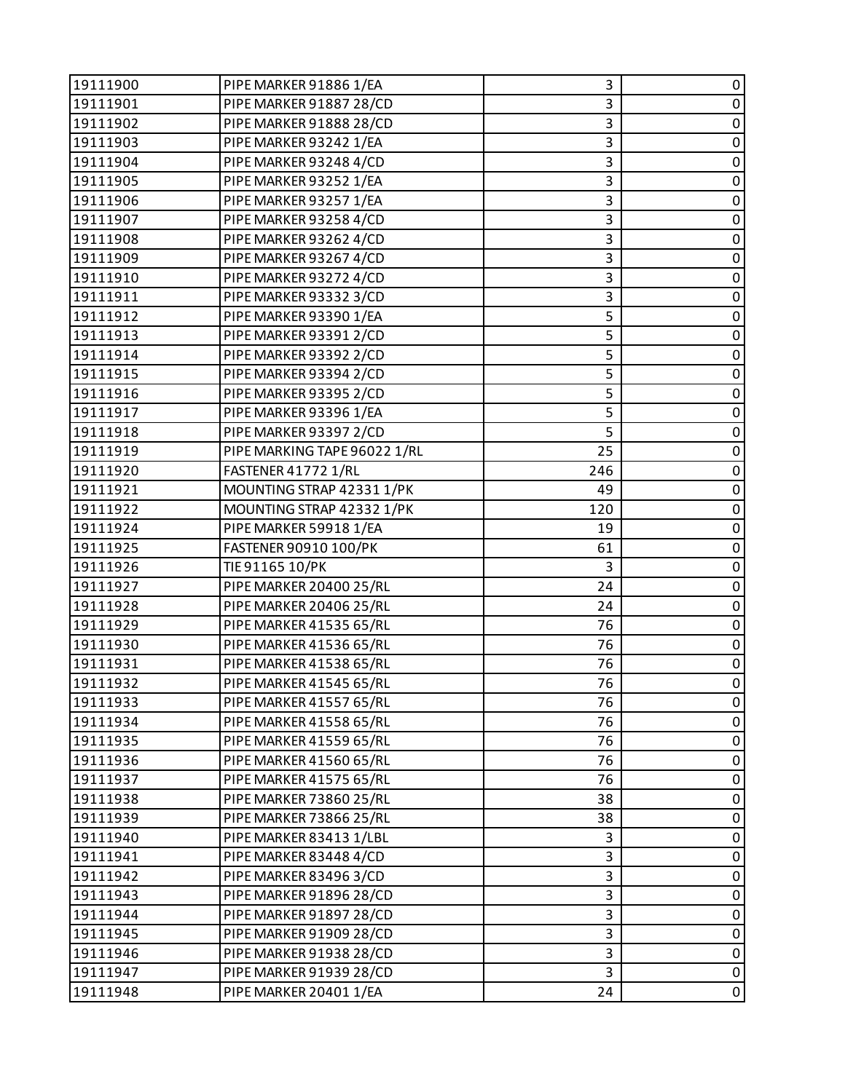| 19111900 | PIPE MARKER 91886 1/EA       | 3   | 0           |
|----------|------------------------------|-----|-------------|
| 19111901 | PIPE MARKER 91887 28/CD      | 3   | $\pmb{0}$   |
| 19111902 | PIPE MARKER 91888 28/CD      | 3   | 0           |
| 19111903 | PIPE MARKER 93242 1/EA       | 3   | $\pmb{0}$   |
| 19111904 | PIPE MARKER 93248 4/CD       | 3   | $\mathbf 0$ |
| 19111905 | PIPE MARKER 93252 1/EA       | 3   | 0           |
| 19111906 | PIPE MARKER 93257 1/EA       | 3   | $\pmb{0}$   |
| 19111907 | PIPE MARKER 93258 4/CD       | 3   | $\mathbf 0$ |
| 19111908 | PIPE MARKER 93262 4/CD       | 3   | 0           |
| 19111909 | PIPE MARKER 93267 4/CD       | 3   | $\pmb{0}$   |
| 19111910 | PIPE MARKER 93272 4/CD       | 3   | $\mathbf 0$ |
| 19111911 | PIPE MARKER 93332 3/CD       | 3   | 0           |
| 19111912 | PIPE MARKER 93390 1/EA       | 5   | $\pmb{0}$   |
| 19111913 | PIPE MARKER 93391 2/CD       | 5   | $\mathbf 0$ |
| 19111914 | PIPE MARKER 93392 2/CD       | 5   | 0           |
| 19111915 | PIPE MARKER 93394 2/CD       | 5   | $\pmb{0}$   |
| 19111916 | PIPE MARKER 93395 2/CD       | 5   | $\mathbf 0$ |
| 19111917 | PIPE MARKER 93396 1/EA       | 5   | 0           |
| 19111918 | PIPE MARKER 93397 2/CD       | 5   | $\pmb{0}$   |
| 19111919 | PIPE MARKING TAPE 96022 1/RL | 25  | $\mathbf 0$ |
| 19111920 | FASTENER 41772 1/RL          | 246 | $\pmb{0}$   |
| 19111921 | MOUNTING STRAP 42331 1/PK    | 49  | $\mathbf 0$ |
| 19111922 | MOUNTING STRAP 42332 1/PK    | 120 | $\mathbf 0$ |
| 19111924 | PIPE MARKER 59918 1/EA       | 19  | 0           |
| 19111925 | <b>FASTENER 90910 100/PK</b> | 61  | $\pmb{0}$   |
| 19111926 | TIE 91165 10/PK              | 3   | $\mathbf 0$ |
| 19111927 | PIPE MARKER 20400 25/RL      | 24  | 0           |
| 19111928 | PIPE MARKER 20406 25/RL      | 24  | $\pmb{0}$   |
| 19111929 | PIPE MARKER 41535 65/RL      | 76  | $\mathbf 0$ |
| 19111930 | PIPE MARKER 41536 65/RL      | 76  | 0           |
| 19111931 | PIPE MARKER 41538 65/RL      | 76  | $\pmb{0}$   |
| 19111932 | PIPE MARKER 41545 65/RL      | 76  | $\mathbf 0$ |
| 19111933 | PIPE MARKER 41557 65/RL      | 76  | 0           |
| 19111934 | PIPE MARKER 41558 65/RL      | 76  | 0           |
| 19111935 | PIPE MARKER 41559 65/RL      | 76  | $\pmb{0}$   |
| 19111936 | PIPE MARKER 41560 65/RL      | 76  | 0           |
| 19111937 | PIPE MARKER 41575 65/RL      | 76  | 0           |
| 19111938 | PIPE MARKER 73860 25/RL      | 38  | $\pmb{0}$   |
| 19111939 | PIPE MARKER 73866 25/RL      | 38  | 0           |
| 19111940 | PIPE MARKER 83413 1/LBL      | 3   | 0           |
| 19111941 | PIPE MARKER 83448 4/CD       | 3   | $\pmb{0}$   |
| 19111942 | PIPE MARKER 834963/CD        | 3   | 0           |
| 19111943 | PIPE MARKER 91896 28/CD      | 3   | 0           |
| 19111944 | PIPE MARKER 91897 28/CD      | 3   | $\pmb{0}$   |
| 19111945 | PIPE MARKER 91909 28/CD      | 3   | 0           |
| 19111946 | PIPE MARKER 91938 28/CD      | 3   | $\pmb{0}$   |
| 19111947 | PIPE MARKER 91939 28/CD      | 3   | $\pmb{0}$   |
| 19111948 | PIPE MARKER 20401 1/EA       | 24  | 0           |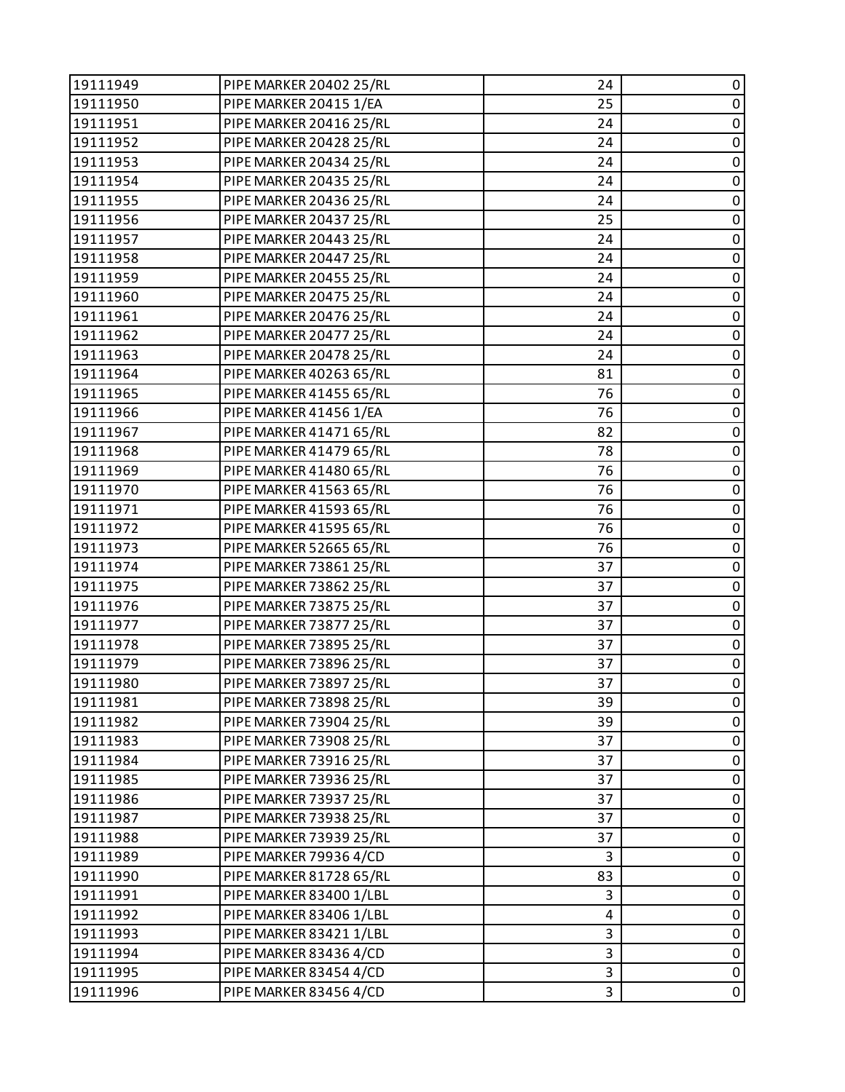| 19111949 | PIPE MARKER 20402 25/RL        | 24 | 0           |
|----------|--------------------------------|----|-------------|
| 19111950 | PIPE MARKER 20415 1/EA         | 25 | $\pmb{0}$   |
| 19111951 | PIPE MARKER 20416 25/RL        | 24 | 0           |
| 19111952 | PIPE MARKER 20428 25/RL        | 24 | $\mathbf 0$ |
| 19111953 | PIPE MARKER 20434 25/RL        | 24 | $\pmb{0}$   |
| 19111954 | PIPE MARKER 20435 25/RL        | 24 | 0           |
| 19111955 | PIPE MARKER 20436 25/RL        | 24 | 0           |
| 19111956 | PIPE MARKER 20437 25/RL        | 25 | $\pmb{0}$   |
| 19111957 | PIPE MARKER 20443 25/RL        | 24 | 0           |
| 19111958 | PIPE MARKER 20447 25/RL        | 24 | 0           |
| 19111959 | PIPE MARKER 20455 25/RL        | 24 | $\pmb{0}$   |
| 19111960 | <b>PIPE MARKER 20475 25/RL</b> | 24 | 0           |
| 19111961 | PIPE MARKER 20476 25/RL        | 24 | $\pmb{0}$   |
| 19111962 | PIPE MARKER 20477 25/RL        | 24 | $\pmb{0}$   |
| 19111963 | PIPE MARKER 20478 25/RL        | 24 | 0           |
| 19111964 | PIPE MARKER 40263 65/RL        | 81 | $\mathbf 0$ |
| 19111965 | PIPE MARKER 41455 65/RL        | 76 | $\pmb{0}$   |
| 19111966 | PIPE MARKER 41456 1/EA         | 76 | 0           |
| 19111967 | PIPE MARKER 41471 65/RL        | 82 | 0           |
| 19111968 | PIPE MARKER 41479 65/RL        | 78 | $\pmb{0}$   |
| 19111969 | PIPE MARKER 41480 65/RL        | 76 | 0           |
| 19111970 | PIPE MARKER 41563 65/RL        | 76 | 0           |
| 19111971 | PIPE MARKER 41593 65/RL        | 76 | $\pmb{0}$   |
| 19111972 | PIPE MARKER 41595 65/RL        | 76 | 0           |
| 19111973 | PIPE MARKER 52665 65/RL        | 76 | $\pmb{0}$   |
| 19111974 | PIPE MARKER 73861 25/RL        | 37 | $\pmb{0}$   |
| 19111975 | PIPE MARKER 73862 25/RL        | 37 | 0           |
| 19111976 | PIPE MARKER 73875 25/RL        | 37 | $\mathbf 0$ |
| 19111977 | PIPE MARKER 73877 25/RL        | 37 | $\pmb{0}$   |
| 19111978 | PIPE MARKER 73895 25/RL        | 37 | 0           |
| 19111979 | PIPE MARKER 73896 25/RL        | 37 | 0           |
| 19111980 | PIPE MARKER 73897 25/RL        | 37 | $\pmb{0}$   |
| 19111981 | PIPE MARKER 73898 25/RL        | 39 | 0           |
| 19111982 | PIPE MARKER 73904 25/RL        | 39 | 0           |
| 19111983 | PIPE MARKER 73908 25/RL        | 37 | $\pmb{0}$   |
| 19111984 | PIPE MARKER 73916 25/RL        | 37 | 0           |
| 19111985 | PIPE MARKER 73936 25/RL        | 37 | 0           |
| 19111986 | PIPE MARKER 73937 25/RL        | 37 | 0           |
| 19111987 | PIPE MARKER 73938 25/RL        | 37 | 0           |
| 19111988 | PIPE MARKER 73939 25/RL        | 37 | 0           |
| 19111989 | PIPE MARKER 79936 4/CD         | 3  | $\pmb{0}$   |
| 19111990 | PIPE MARKER 81728 65/RL        | 83 | 0           |
| 19111991 | PIPE MARKER 83400 1/LBL        | 3  | 0           |
| 19111992 | PIPE MARKER 83406 1/LBL        | 4  | 0           |
| 19111993 | PIPE MARKER 834211/LBL         | 3  | 0           |
| 19111994 | PIPE MARKER 83436 4/CD         | 3  | 0           |
| 19111995 | PIPE MARKER 83454 4/CD         | 3  | $\pmb{0}$   |
| 19111996 | PIPE MARKER 83456 4/CD         | 3  | $\mathbf 0$ |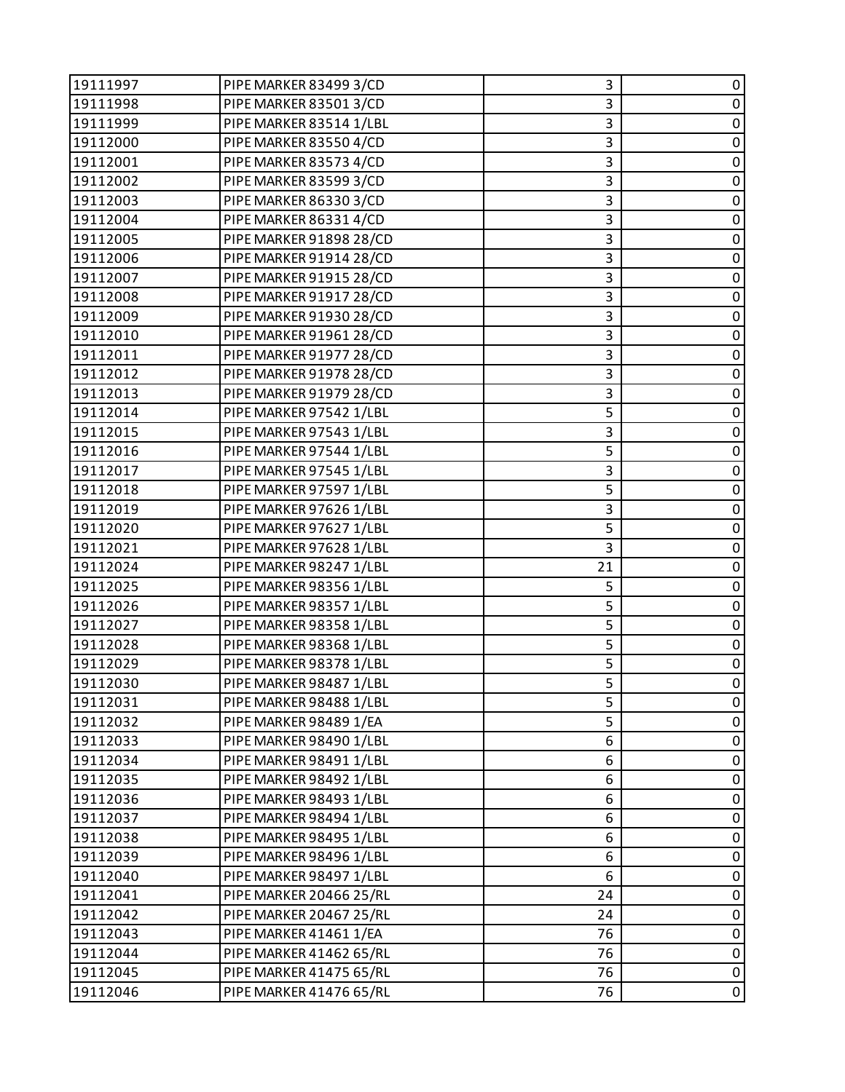| 19111997 | PIPE MARKER 83499 3/CD  | 3  | 0           |
|----------|-------------------------|----|-------------|
| 19111998 | PIPE MARKER 835013/CD   | 3  | $\pmb{0}$   |
| 19111999 | PIPE MARKER 83514 1/LBL | 3  | 0           |
| 19112000 | PIPE MARKER 83550 4/CD  | 3  | $\pmb{0}$   |
| 19112001 | PIPE MARKER 83573 4/CD  | 3  | $\mathbf 0$ |
| 19112002 | PIPE MARKER 83599 3/CD  | 3  | 0           |
| 19112003 | PIPE MARKER 863303/CD   | 3  | $\pmb{0}$   |
| 19112004 | PIPE MARKER 86331 4/CD  | 3  | $\mathbf 0$ |
| 19112005 | PIPE MARKER 91898 28/CD | 3  | $\pmb{0}$   |
| 19112006 | PIPE MARKER 91914 28/CD | 3  | $\mathbf 0$ |
| 19112007 | PIPE MARKER 91915 28/CD | 3  | $\mathbf 0$ |
| 19112008 | PIPE MARKER 91917 28/CD | 3  | 0           |
| 19112009 | PIPE MARKER 91930 28/CD | 3  | $\mathbf 0$ |
| 19112010 | PIPE MARKER 91961 28/CD | 3  | $\mathbf 0$ |
| 19112011 | PIPE MARKER 91977 28/CD | 3  | $\pmb{0}$   |
| 19112012 | PIPE MARKER 91978 28/CD | 3  | $\pmb{0}$   |
| 19112013 | PIPE MARKER 91979 28/CD | 3  | $\mathbf 0$ |
| 19112014 | PIPE MARKER 97542 1/LBL | 5  | 0           |
| 19112015 | PIPE MARKER 97543 1/LBL | 3  | $\pmb{0}$   |
| 19112016 | PIPE MARKER 97544 1/LBL | 5  | $\mathbf 0$ |
| 19112017 | PIPE MARKER 97545 1/LBL | 3  | 0           |
| 19112018 | PIPE MARKER 97597 1/LBL | 5  | $\pmb{0}$   |
| 19112019 | PIPE MARKER 97626 1/LBL | 3  | $\mathbf 0$ |
| 19112020 | PIPE MARKER 97627 1/LBL | 5  | 0           |
| 19112021 | PIPE MARKER 97628 1/LBL | 3  | $\pmb{0}$   |
| 19112024 | PIPE MARKER 98247 1/LBL | 21 | $\mathbf 0$ |
| 19112025 | PIPE MARKER 98356 1/LBL | 5  | $\pmb{0}$   |
| 19112026 | PIPE MARKER 98357 1/LBL | 5  | $\pmb{0}$   |
| 19112027 | PIPE MARKER 98358 1/LBL | 5  | $\mathbf 0$ |
| 19112028 | PIPE MARKER 98368 1/LBL | 5  | 0           |
| 19112029 | PIPE MARKER 98378 1/LBL | 5  | $\pmb{0}$   |
| 19112030 | PIPE MARKER 98487 1/LBL | 5  | $\pmb{0}$   |
| 19112031 | PIPE MARKER 98488 1/LBL | 5  | 0           |
| 19112032 | PIPE MARKER 98489 1/EA  | 5  | 0           |
| 19112033 | PIPE MARKER 98490 1/LBL | 6  | $\pmb{0}$   |
| 19112034 | PIPE MARKER 98491 1/LBL | 6  | 0           |
| 19112035 | PIPE MARKER 98492 1/LBL | 6  | 0           |
| 19112036 | PIPE MARKER 98493 1/LBL | 6  | $\pmb{0}$   |
| 19112037 | PIPE MARKER 98494 1/LBL | 6  | 0           |
| 19112038 | PIPE MARKER 98495 1/LBL | 6  | 0           |
| 19112039 | PIPE MARKER 98496 1/LBL | 6  | $\pmb{0}$   |
| 19112040 | PIPE MARKER 98497 1/LBL | 6  | 0           |
| 19112041 | PIPE MARKER 20466 25/RL | 24 | 0           |
| 19112042 | PIPE MARKER 20467 25/RL | 24 | $\pmb{0}$   |
| 19112043 | PIPE MARKER 41461 1/EA  | 76 | 0           |
| 19112044 | PIPE MARKER 41462 65/RL | 76 | $\pmb{0}$   |
| 19112045 | PIPE MARKER 41475 65/RL | 76 | $\pmb{0}$   |
| 19112046 | PIPE MARKER 41476 65/RL | 76 | 0           |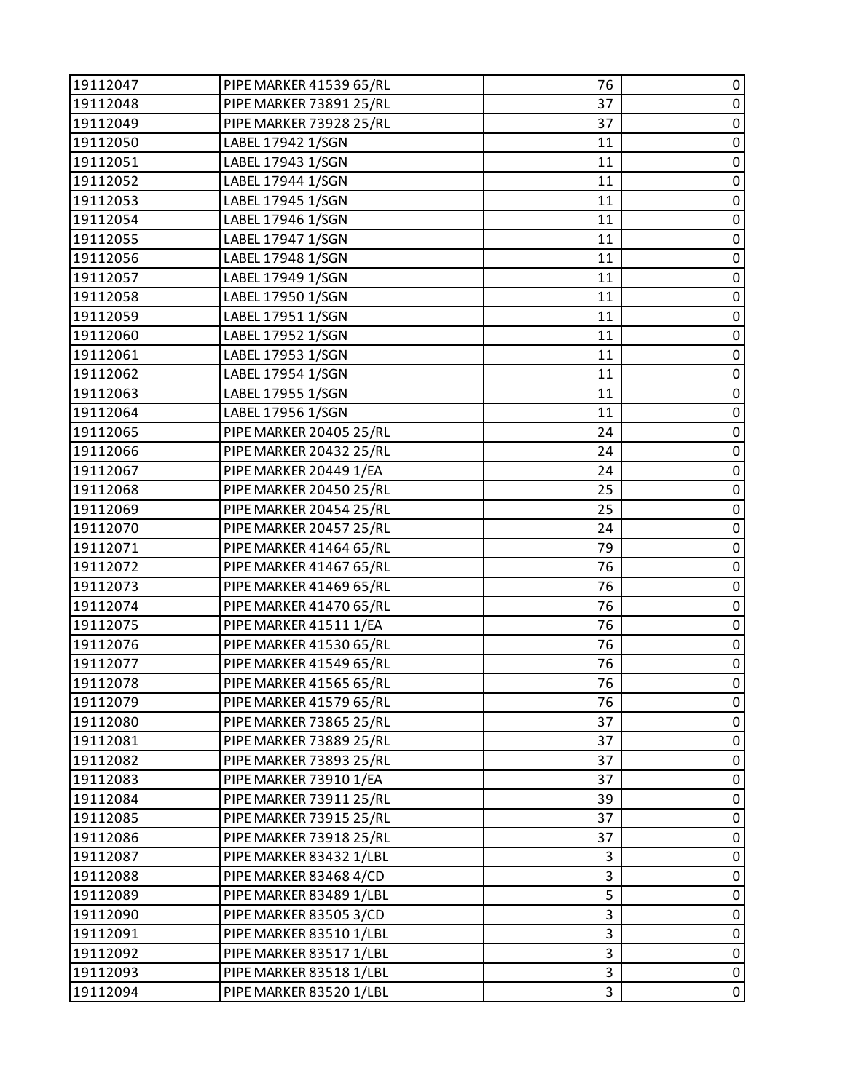| 19112047 | PIPE MARKER 41539 65/RL        | 76 | 0           |
|----------|--------------------------------|----|-------------|
| 19112048 | PIPE MARKER 73891 25/RL        | 37 | $\pmb{0}$   |
| 19112049 | PIPE MARKER 73928 25/RL        | 37 | 0           |
| 19112050 | LABEL 17942 1/SGN              | 11 | $\pmb{0}$   |
| 19112051 | LABEL 17943 1/SGN              | 11 | $\pmb{0}$   |
| 19112052 | LABEL 17944 1/SGN              | 11 | 0           |
| 19112053 | LABEL 17945 1/SGN              | 11 | $\pmb{0}$   |
| 19112054 | LABEL 17946 1/SGN              | 11 | $\pmb{0}$   |
| 19112055 | LABEL 17947 1/SGN              | 11 | 0           |
| 19112056 | LABEL 17948 1/SGN              | 11 | $\pmb{0}$   |
| 19112057 | LABEL 17949 1/SGN              | 11 | $\pmb{0}$   |
| 19112058 | LABEL 17950 1/SGN              | 11 | 0           |
| 19112059 | LABEL 17951 1/SGN              | 11 | $\pmb{0}$   |
| 19112060 | LABEL 17952 1/SGN              | 11 | $\pmb{0}$   |
| 19112061 | LABEL 17953 1/SGN              | 11 | 0           |
| 19112062 | LABEL 17954 1/SGN              | 11 | $\pmb{0}$   |
| 19112063 | LABEL 17955 1/SGN              | 11 | $\pmb{0}$   |
| 19112064 | LABEL 17956 1/SGN              | 11 | 0           |
| 19112065 | <b>PIPE MARKER 20405 25/RL</b> | 24 | $\pmb{0}$   |
| 19112066 | PIPE MARKER 20432 25/RL        | 24 | $\pmb{0}$   |
| 19112067 | PIPE MARKER 20449 1/EA         | 24 | 0           |
| 19112068 | PIPE MARKER 20450 25/RL        | 25 | $\pmb{0}$   |
| 19112069 | PIPE MARKER 20454 25/RL        | 25 | $\pmb{0}$   |
| 19112070 | PIPE MARKER 20457 25/RL        | 24 | 0           |
| 19112071 | PIPE MARKER 41464 65/RL        | 79 | $\pmb{0}$   |
| 19112072 | PIPE MARKER 41467 65/RL        | 76 | $\pmb{0}$   |
| 19112073 | PIPE MARKER 41469 65/RL        | 76 | 0           |
| 19112074 | PIPE MARKER 41470 65/RL        | 76 | $\pmb{0}$   |
| 19112075 | PIPE MARKER 41511 1/EA         | 76 | $\pmb{0}$   |
| 19112076 | PIPE MARKER 41530 65/RL        | 76 | 0           |
| 19112077 | PIPE MARKER 41549 65/RL        | 76 | $\pmb{0}$   |
| 19112078 | PIPE MARKER 41565 65/RL        | 76 | $\pmb{0}$   |
| 19112079 | PIPE MARKER 41579 65/RL        | 76 | 0           |
| 19112080 | PIPE MARKER 73865 25/RL        | 37 | 0           |
| 19112081 | PIPE MARKER 73889 25/RL        | 37 | $\pmb{0}$   |
| 19112082 | PIPE MARKER 73893 25/RL        | 37 | 0           |
| 19112083 | PIPE MARKER 73910 1/EA         | 37 | 0           |
| 19112084 | PIPE MARKER 73911 25/RL        | 39 | 0           |
| 19112085 | PIPE MARKER 73915 25/RL        | 37 | 0           |
| 19112086 | PIPE MARKER 73918 25/RL        | 37 | 0           |
| 19112087 | PIPE MARKER 83432 1/LBL        | 3  | $\pmb{0}$   |
| 19112088 | PIPE MARKER 83468 4/CD         | 3  | 0           |
| 19112089 | PIPE MARKER 83489 1/LBL        | 5  | 0           |
| 19112090 | PIPE MARKER 83505 3/CD         | 3  | 0           |
| 19112091 | PIPE MARKER 83510 1/LBL        | 3  | 0           |
| 19112092 | PIPE MARKER 83517 1/LBL        | 3  | 0           |
| 19112093 | PIPE MARKER 83518 1/LBL        | 3  | $\pmb{0}$   |
| 19112094 | PIPE MARKER 83520 1/LBL        | 3  | $\mathbf 0$ |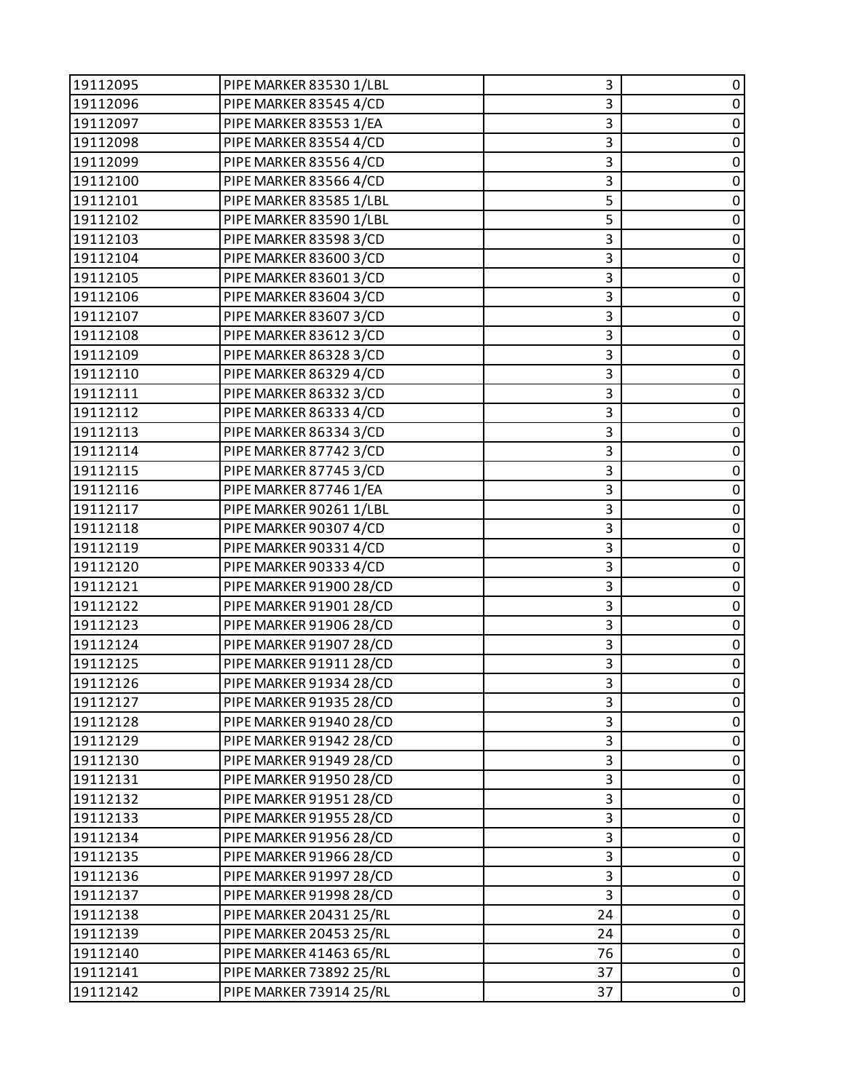| 19112095 | PIPE MARKER 83530 1/LBL | 3  | 0           |
|----------|-------------------------|----|-------------|
| 19112096 | PIPE MARKER 83545 4/CD  | 3  | 0           |
| 19112097 | PIPE MARKER 83553 1/EA  | 3  | $\pmb{0}$   |
| 19112098 | PIPE MARKER 83554 4/CD  | 3  | $\pmb{0}$   |
| 19112099 | PIPE MARKER 83556 4/CD  | 3  | $\pmb{0}$   |
| 19112100 | PIPE MARKER 83566 4/CD  | 3  | $\pmb{0}$   |
| 19112101 | PIPE MARKER 83585 1/LBL | 5  | $\pmb{0}$   |
| 19112102 | PIPE MARKER 83590 1/LBL | 5  | $\pmb{0}$   |
| 19112103 | PIPE MARKER 83598 3/CD  | 3  | $\pmb{0}$   |
| 19112104 | PIPE MARKER 83600 3/CD  | 3  | $\pmb{0}$   |
| 19112105 | PIPE MARKER 836013/CD   | 3  | $\pmb{0}$   |
| 19112106 | PIPE MARKER 83604 3/CD  | 3  | 0           |
| 19112107 | PIPE MARKER 836073/CD   | 3  | $\pmb{0}$   |
| 19112108 | PIPE MARKER 83612 3/CD  | 3  | $\pmb{0}$   |
| 19112109 | PIPE MARKER 86328 3/CD  | 3  | 0           |
| 19112110 | PIPE MARKER 86329 4/CD  | 3  | $\pmb{0}$   |
| 19112111 | PIPE MARKER 86332 3/CD  | 3  | $\pmb{0}$   |
| 19112112 | PIPE MARKER 86333 4/CD  | 3  | 0           |
| 19112113 | PIPE MARKER 86334 3/CD  | 3  | $\pmb{0}$   |
| 19112114 | PIPE MARKER 87742 3/CD  | 3  | $\pmb{0}$   |
| 19112115 | PIPE MARKER 87745 3/CD  | 3  | 0           |
| 19112116 | PIPE MARKER 87746 1/EA  | 3  | $\mathbf 0$ |
| 19112117 | PIPE MARKER 90261 1/LBL | 3  | 0           |
| 19112118 | PIPE MARKER 90307 4/CD  | 3  | 0           |
| 19112119 | PIPE MARKER 90331 4/CD  | 3  | $\mathbf 0$ |
| 19112120 | PIPE MARKER 90333 4/CD  | 3  | $\pmb{0}$   |
| 19112121 | PIPE MARKER 91900 28/CD | 3  | $\pmb{0}$   |
| 19112122 | PIPE MARKER 91901 28/CD | 3  | $\pmb{0}$   |
| 19112123 | PIPE MARKER 91906 28/CD | 3  | $\pmb{0}$   |
| 19112124 | PIPE MARKER 91907 28/CD | 3  | $\pmb{0}$   |
| 19112125 | PIPE MARKER 91911 28/CD | 3  | $\pmb{0}$   |
| 19112126 | PIPE MARKER 91934 28/CD | 3  | $\pmb{0}$   |
| 19112127 | PIPE MARKER 91935 28/CD | 3  | 0           |
| 19112128 | PIPE MARKER 91940 28/CD | 3  | 0           |
| 19112129 | PIPE MARKER 91942 28/CD | 3  | $\pmb{0}$   |
| 19112130 | PIPE MARKER 91949 28/CD | 3  | 0           |
| 19112131 | PIPE MARKER 91950 28/CD | 3  | $\pmb{0}$   |
| 19112132 | PIPE MARKER 91951 28/CD | 3  | 0           |
| 19112133 | PIPE MARKER 91955 28/CD | 3  | 0           |
| 19112134 | PIPE MARKER 91956 28/CD | 3  | $\pmb{0}$   |
| 19112135 | PIPE MARKER 91966 28/CD | 3  | $\pmb{0}$   |
| 19112136 | PIPE MARKER 91997 28/CD | 3  | 0           |
| 19112137 | PIPE MARKER 91998 28/CD | 3  | $\pmb{0}$   |
| 19112138 | PIPE MARKER 20431 25/RL | 24 | 0           |
| 19112139 | PIPE MARKER 20453 25/RL | 24 | 0           |
| 19112140 | PIPE MARKER 41463 65/RL | 76 | $\pmb{0}$   |
| 19112141 | PIPE MARKER 73892 25/RL | 37 | 0           |
| 19112142 | PIPE MARKER 73914 25/RL | 37 | 0           |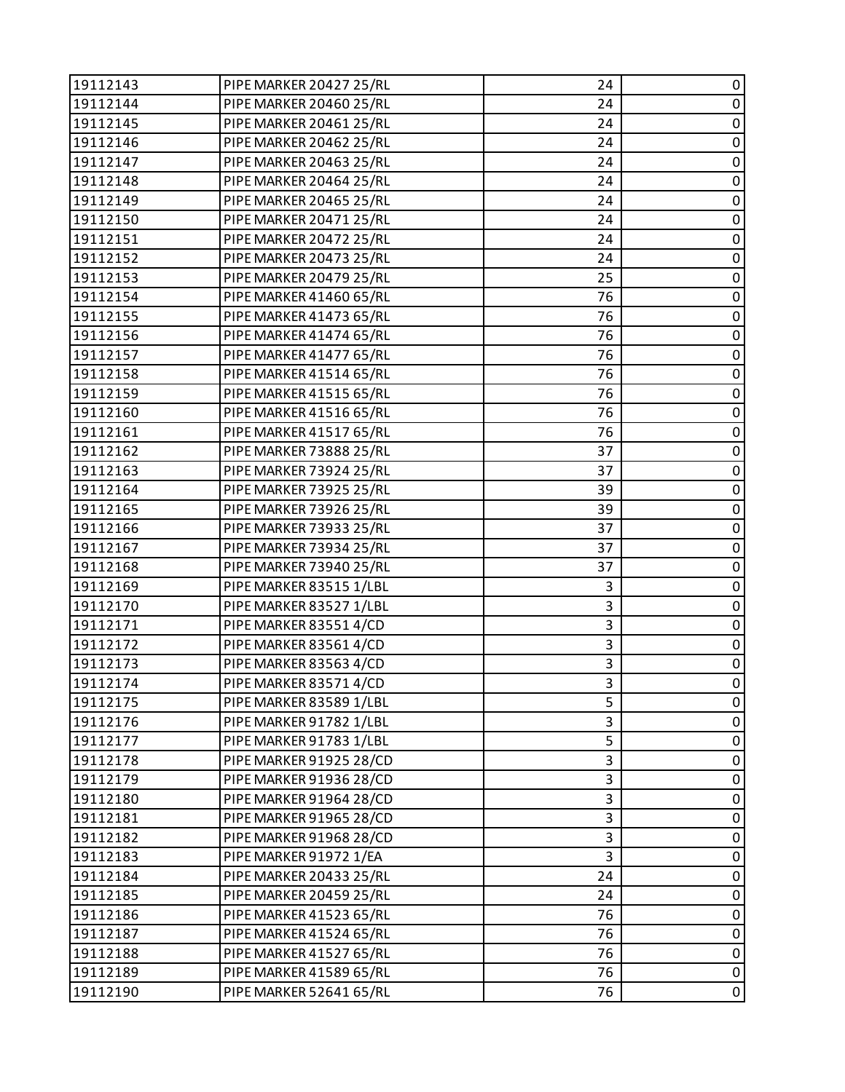| 19112143 | PIPE MARKER 20427 25/RL        | 24 | 0           |
|----------|--------------------------------|----|-------------|
| 19112144 | PIPE MARKER 20460 25/RL        | 24 | $\pmb{0}$   |
| 19112145 | PIPE MARKER 20461 25/RL        | 24 | 0           |
| 19112146 | PIPE MARKER 20462 25/RL        | 24 | $\mathbf 0$ |
| 19112147 | PIPE MARKER 20463 25/RL        | 24 | $\pmb{0}$   |
| 19112148 | PIPE MARKER 20464 25/RL        | 24 | 0           |
| 19112149 | <b>PIPE MARKER 20465 25/RL</b> | 24 | 0           |
| 19112150 | PIPE MARKER 20471 25/RL        | 24 | $\pmb{0}$   |
| 19112151 | PIPE MARKER 20472 25/RL        | 24 | 0           |
| 19112152 | PIPE MARKER 20473 25/RL        | 24 | $\mathbf 0$ |
| 19112153 | PIPE MARKER 20479 25/RL        | 25 | $\pmb{0}$   |
| 19112154 | PIPE MARKER 41460 65/RL        | 76 | 0           |
| 19112155 | PIPE MARKER 41473 65/RL        | 76 | $\pmb{0}$   |
| 19112156 | PIPE MARKER 41474 65/RL        | 76 | $\pmb{0}$   |
| 19112157 | PIPE MARKER 41477 65/RL        | 76 | 0           |
| 19112158 | PIPE MARKER 41514 65/RL        | 76 | $\mathbf 0$ |
| 19112159 | PIPE MARKER 41515 65/RL        | 76 | $\pmb{0}$   |
| 19112160 | PIPE MARKER 41516 65/RL        | 76 | 0           |
| 19112161 | PIPE MARKER 41517 65/RL        | 76 | 0           |
| 19112162 | PIPE MARKER 73888 25/RL        | 37 | $\pmb{0}$   |
| 19112163 | PIPE MARKER 73924 25/RL        | 37 | 0           |
| 19112164 | PIPE MARKER 73925 25/RL        | 39 | $\mathbf 0$ |
| 19112165 | PIPE MARKER 73926 25/RL        | 39 | $\pmb{0}$   |
| 19112166 | PIPE MARKER 73933 25/RL        | 37 | 0           |
| 19112167 | PIPE MARKER 73934 25/RL        | 37 | $\pmb{0}$   |
| 19112168 | PIPE MARKER 73940 25/RL        | 37 | $\pmb{0}$   |
| 19112169 | PIPE MARKER 83515 1/LBL        | 3  | 0           |
| 19112170 | PIPE MARKER 83527 1/LBL        | 3  | $\mathbf 0$ |
| 19112171 | PIPE MARKER 83551 4/CD         | 3  | $\pmb{0}$   |
| 19112172 | PIPE MARKER 83561 4/CD         | 3  | 0           |
| 19112173 | PIPE MARKER 83563 4/CD         | 3  | 0           |
| 19112174 | PIPE MARKER 83571 4/CD         | 3  | $\pmb{0}$   |
| 19112175 | PIPE MARKER 83589 1/LBL        | 5  | 0           |
| 19112176 | PIPE MARKER 91782 1/LBL        | 3  | 0           |
| 19112177 | PIPE MARKER 91783 1/LBL        | 5  | $\pmb{0}$   |
| 19112178 | PIPE MARKER 91925 28/CD        | 3  | 0           |
| 19112179 | PIPE MARKER 91936 28/CD        | 3  | 0           |
| 19112180 | PIPE MARKER 91964 28/CD        | 3  | 0           |
| 19112181 | PIPE MARKER 91965 28/CD        | 3  | 0           |
| 19112182 | PIPE MARKER 91968 28/CD        | 3  | 0           |
| 19112183 | PIPE MARKER 91972 1/EA         | 3  | $\pmb{0}$   |
| 19112184 | PIPE MARKER 20433 25/RL        | 24 | 0           |
| 19112185 | PIPE MARKER 20459 25/RL        | 24 | 0           |
| 19112186 | PIPE MARKER 41523 65/RL        | 76 | $\pmb{0}$   |
| 19112187 | PIPE MARKER 41524 65/RL        | 76 | 0           |
| 19112188 | PIPE MARKER 41527 65/RL        | 76 | $\pmb{0}$   |
| 19112189 | PIPE MARKER 41589 65/RL        | 76 | $\pmb{0}$   |
| 19112190 | PIPE MARKER 52641 65/RL        | 76 | $\mathbf 0$ |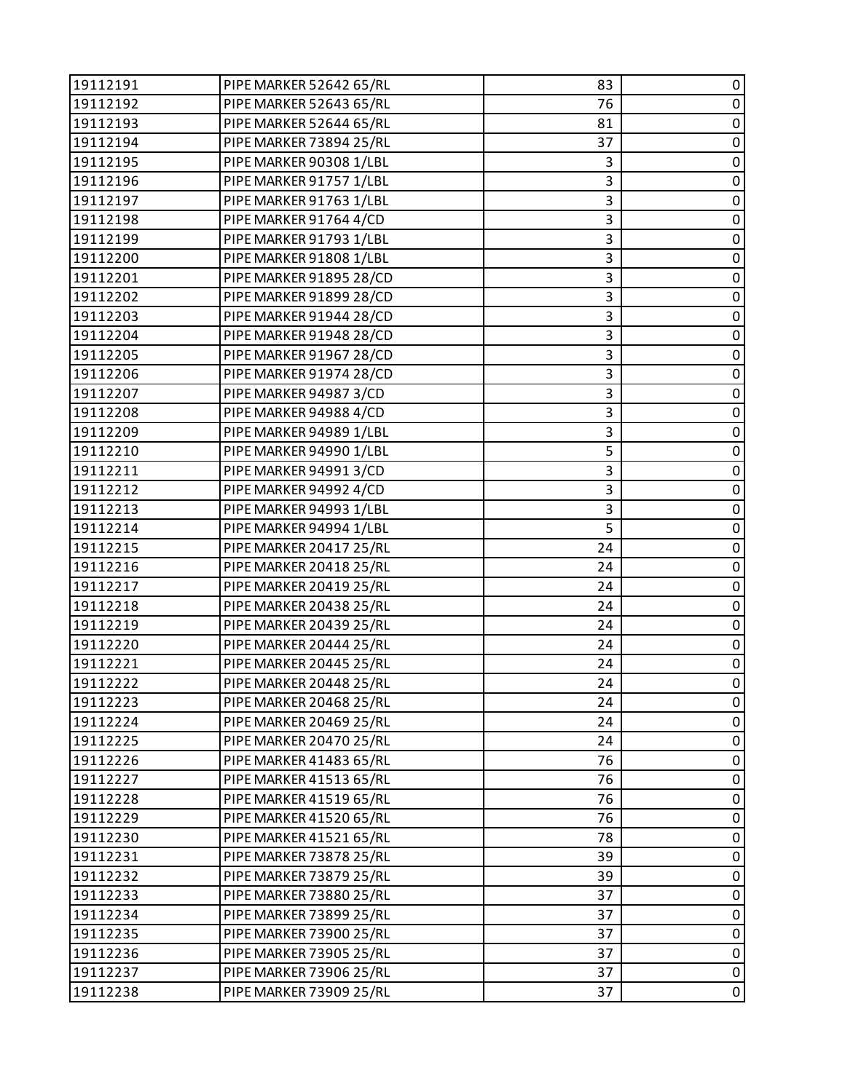| 19112191 | PIPE MARKER 52642 65/RL | 83 | 0           |
|----------|-------------------------|----|-------------|
| 19112192 | PIPE MARKER 52643 65/RL | 76 | $\pmb{0}$   |
| 19112193 | PIPE MARKER 52644 65/RL | 81 | 0           |
| 19112194 | PIPE MARKER 73894 25/RL | 37 | $\pmb{0}$   |
| 19112195 | PIPE MARKER 90308 1/LBL | 3  | $\mathbf 0$ |
| 19112196 | PIPE MARKER 91757 1/LBL | 3  | 0           |
| 19112197 | PIPE MARKER 91763 1/LBL | 3  | $\mathbf 0$ |
| 19112198 | PIPE MARKER 91764 4/CD  | 3  | $\mathbf 0$ |
| 19112199 | PIPE MARKER 91793 1/LBL | 3  | 0           |
| 19112200 | PIPE MARKER 91808 1/LBL | 3  | $\pmb{0}$   |
| 19112201 | PIPE MARKER 91895 28/CD | 3  | $\mathbf 0$ |
| 19112202 | PIPE MARKER 91899 28/CD | 3  | 0           |
| 19112203 | PIPE MARKER 91944 28/CD | 3  | $\pmb{0}$   |
| 19112204 | PIPE MARKER 91948 28/CD | 3  | $\mathbf 0$ |
| 19112205 | PIPE MARKER 91967 28/CD | 3  | 0           |
| 19112206 | PIPE MARKER 91974 28/CD | 3  | $\pmb{0}$   |
| 19112207 | PIPE MARKER 94987 3/CD  | 3  | $\mathbf 0$ |
| 19112208 | PIPE MARKER 94988 4/CD  | 3  | 0           |
| 19112209 | PIPE MARKER 94989 1/LBL | 3  | $\pmb{0}$   |
| 19112210 | PIPE MARKER 94990 1/LBL | 5  | $\mathbf 0$ |
| 19112211 | PIPE MARKER 949913/CD   | 3  | 0           |
| 19112212 | PIPE MARKER 94992 4/CD  | 3  | $\mathbf 0$ |
| 19112213 | PIPE MARKER 94993 1/LBL | 3  | $\mathbf 0$ |
| 19112214 | PIPE MARKER 94994 1/LBL | 5  | 0           |
| 19112215 | PIPE MARKER 20417 25/RL | 24 | $\pmb{0}$   |
| 19112216 | PIPE MARKER 20418 25/RL | 24 | $\mathbf 0$ |
| 19112217 | PIPE MARKER 20419 25/RL | 24 | 0           |
| 19112218 | PIPE MARKER 20438 25/RL | 24 | $\pmb{0}$   |
| 19112219 | PIPE MARKER 20439 25/RL | 24 | $\mathbf 0$ |
| 19112220 | PIPE MARKER 20444 25/RL | 24 | 0           |
| 19112221 | PIPE MARKER 20445 25/RL | 24 | $\pmb{0}$   |
| 19112222 | PIPE MARKER 20448 25/RL | 24 | $\pmb{0}$   |
| 19112223 | PIPE MARKER 20468 25/RL | 24 | 0           |
| 19112224 | PIPE MARKER 20469 25/RL | 24 | 0           |
| 19112225 | PIPE MARKER 20470 25/RL | 24 | $\pmb{0}$   |
| 19112226 | PIPE MARKER 41483 65/RL | 76 | 0           |
| 19112227 | PIPE MARKER 41513 65/RL | 76 | $\pmb{0}$   |
| 19112228 | PIPE MARKER 41519 65/RL | 76 | $\pmb{0}$   |
| 19112229 | PIPE MARKER 41520 65/RL | 76 | 0           |
| 19112230 | PIPE MARKER 41521 65/RL | 78 | $\pmb{0}$   |
| 19112231 | PIPE MARKER 73878 25/RL | 39 | $\pmb{0}$   |
| 19112232 | PIPE MARKER 73879 25/RL | 39 | 0           |
| 19112233 | PIPE MARKER 73880 25/RL | 37 | $\pmb{0}$   |
| 19112234 | PIPE MARKER 73899 25/RL | 37 | $\pmb{0}$   |
| 19112235 | PIPE MARKER 73900 25/RL | 37 | 0           |
| 19112236 | PIPE MARKER 73905 25/RL | 37 | $\pmb{0}$   |
| 19112237 | PIPE MARKER 73906 25/RL | 37 | $\pmb{0}$   |
| 19112238 | PIPE MARKER 73909 25/RL | 37 | $\mathbf 0$ |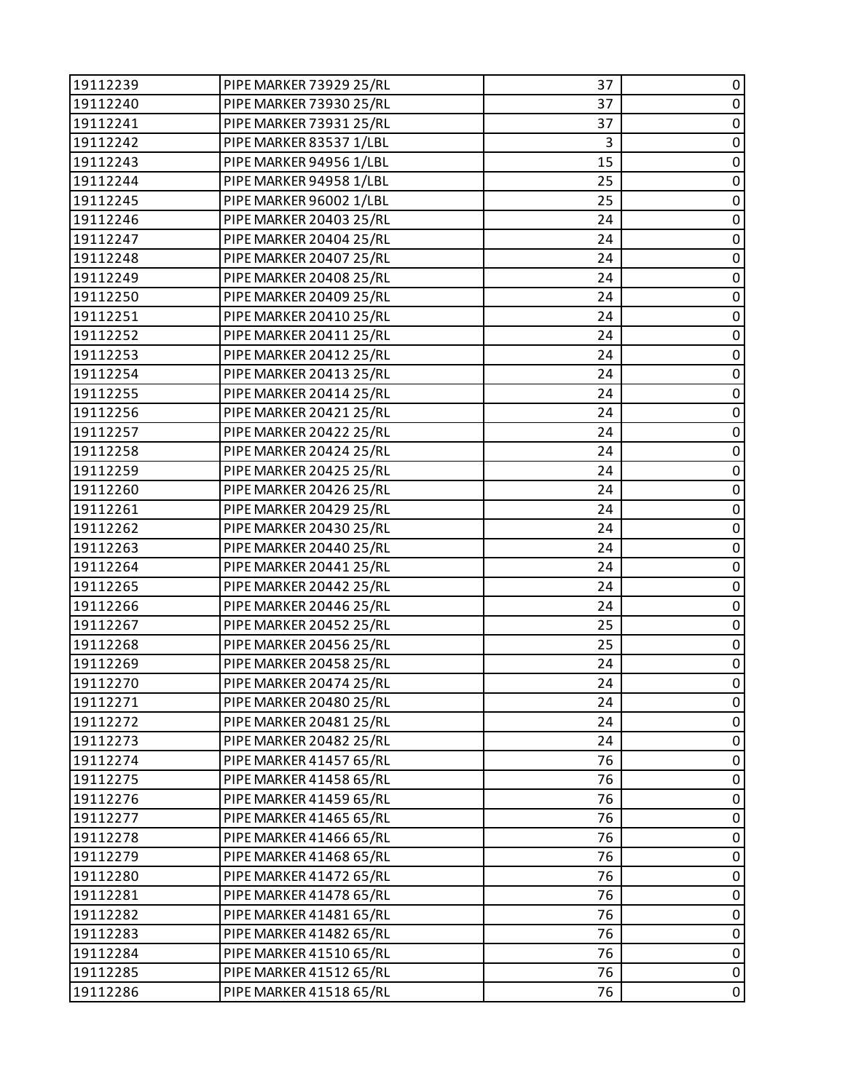| 19112239 | PIPE MARKER 73929 25/RL | 37 | 0           |
|----------|-------------------------|----|-------------|
| 19112240 | PIPE MARKER 73930 25/RL | 37 | $\pmb{0}$   |
| 19112241 | PIPE MARKER 73931 25/RL | 37 | 0           |
| 19112242 | PIPE MARKER 83537 1/LBL | 3  | $\pmb{0}$   |
| 19112243 | PIPE MARKER 94956 1/LBL | 15 | $\pmb{0}$   |
| 19112244 | PIPE MARKER 94958 1/LBL | 25 | 0           |
| 19112245 | PIPE MARKER 96002 1/LBL | 25 | $\pmb{0}$   |
| 19112246 | PIPE MARKER 20403 25/RL | 24 | $\pmb{0}$   |
| 19112247 | PIPE MARKER 20404 25/RL | 24 | 0           |
| 19112248 | PIPE MARKER 20407 25/RL | 24 | $\pmb{0}$   |
| 19112249 | PIPE MARKER 20408 25/RL | 24 | $\pmb{0}$   |
| 19112250 | PIPE MARKER 20409 25/RL | 24 | 0           |
| 19112251 | PIPE MARKER 20410 25/RL | 24 | $\pmb{0}$   |
| 19112252 | PIPE MARKER 20411 25/RL | 24 | $\pmb{0}$   |
| 19112253 | PIPE MARKER 20412 25/RL | 24 | 0           |
| 19112254 | PIPE MARKER 20413 25/RL | 24 | $\pmb{0}$   |
| 19112255 | PIPE MARKER 20414 25/RL | 24 | $\pmb{0}$   |
| 19112256 | PIPE MARKER 20421 25/RL | 24 | 0           |
| 19112257 | PIPE MARKER 20422 25/RL | 24 | $\pmb{0}$   |
| 19112258 | PIPE MARKER 20424 25/RL | 24 | $\pmb{0}$   |
| 19112259 | PIPE MARKER 20425 25/RL | 24 | $\pmb{0}$   |
| 19112260 | PIPE MARKER 20426 25/RL | 24 | $\pmb{0}$   |
| 19112261 | PIPE MARKER 20429 25/RL | 24 | $\pmb{0}$   |
| 19112262 | PIPE MARKER 20430 25/RL | 24 | 0           |
| 19112263 | PIPE MARKER 20440 25/RL | 24 | $\pmb{0}$   |
| 19112264 | PIPE MARKER 20441 25/RL | 24 | $\pmb{0}$   |
| 19112265 | PIPE MARKER 20442 25/RL | 24 | 0           |
| 19112266 | PIPE MARKER 20446 25/RL | 24 | $\pmb{0}$   |
| 19112267 | PIPE MARKER 20452 25/RL | 25 | $\pmb{0}$   |
| 19112268 | PIPE MARKER 20456 25/RL | 25 | $\pmb{0}$   |
| 19112269 | PIPE MARKER 20458 25/RL | 24 | $\pmb{0}$   |
| 19112270 | PIPE MARKER 20474 25/RL | 24 | $\pmb{0}$   |
| 19112271 | PIPE MARKER 20480 25/RL | 24 | 0           |
| 19112272 | PIPE MARKER 20481 25/RL | 24 | 0           |
| 19112273 | PIPE MARKER 20482 25/RL | 24 | $\pmb{0}$   |
| 19112274 | PIPE MARKER 41457 65/RL | 76 | 0           |
| 19112275 | PIPE MARKER 41458 65/RL | 76 | 0           |
| 19112276 | PIPE MARKER 41459 65/RL | 76 | $\mathbf 0$ |
| 19112277 | PIPE MARKER 41465 65/RL | 76 | 0           |
| 19112278 | PIPE MARKER 41466 65/RL | 76 | $\pmb{0}$   |
| 19112279 | PIPE MARKER 41468 65/RL | 76 | $\mathbf 0$ |
| 19112280 | PIPE MARKER 41472 65/RL | 76 | 0           |
| 19112281 | PIPE MARKER 41478 65/RL | 76 | 0           |
| 19112282 | PIPE MARKER 41481 65/RL | 76 | $\pmb{0}$   |
| 19112283 | PIPE MARKER 41482 65/RL | 76 | $\pmb{0}$   |
| 19112284 | PIPE MARKER 41510 65/RL | 76 | $\pmb{0}$   |
| 19112285 | PIPE MARKER 41512 65/RL | 76 | $\pmb{0}$   |
| 19112286 | PIPE MARKER 41518 65/RL | 76 | $\pmb{0}$   |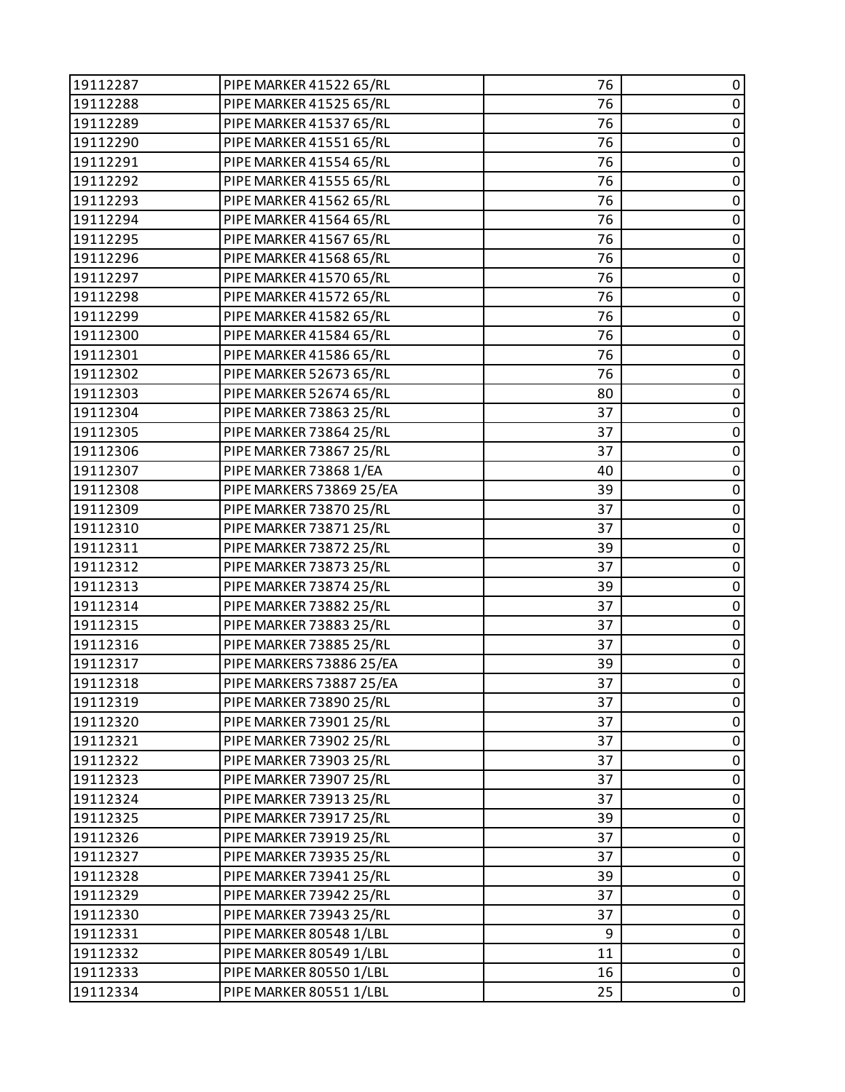| 19112287 | PIPE MARKER 41522 65/RL  | 76 | 0           |
|----------|--------------------------|----|-------------|
| 19112288 | PIPE MARKER 41525 65/RL  | 76 | $\pmb{0}$   |
| 19112289 | PIPE MARKER 41537 65/RL  | 76 | 0           |
| 19112290 | PIPE MARKER 41551 65/RL  | 76 | $\pmb{0}$   |
| 19112291 | PIPE MARKER 41554 65/RL  | 76 | $\pmb{0}$   |
| 19112292 | PIPE MARKER 41555 65/RL  | 76 | 0           |
| 19112293 | PIPE MARKER 41562 65/RL  | 76 | $\pmb{0}$   |
| 19112294 | PIPE MARKER 41564 65/RL  | 76 | $\pmb{0}$   |
| 19112295 | PIPE MARKER 41567 65/RL  | 76 | 0           |
| 19112296 | PIPE MARKER 41568 65/RL  | 76 | $\pmb{0}$   |
| 19112297 | PIPE MARKER 41570 65/RL  | 76 | $\pmb{0}$   |
| 19112298 | PIPE MARKER 41572 65/RL  | 76 | 0           |
| 19112299 | PIPE MARKER 41582 65/RL  | 76 | $\pmb{0}$   |
| 19112300 | PIPE MARKER 41584 65/RL  | 76 | $\pmb{0}$   |
| 19112301 | PIPE MARKER 41586 65/RL  | 76 | 0           |
| 19112302 | PIPE MARKER 52673 65/RL  | 76 | $\pmb{0}$   |
| 19112303 | PIPE MARKER 52674 65/RL  | 80 | $\pmb{0}$   |
| 19112304 | PIPE MARKER 73863 25/RL  | 37 | 0           |
| 19112305 | PIPE MARKER 73864 25/RL  | 37 | $\pmb{0}$   |
| 19112306 | PIPE MARKER 73867 25/RL  | 37 | $\pmb{0}$   |
| 19112307 | PIPE MARKER 73868 1/EA   | 40 | 0           |
| 19112308 | PIPE MARKERS 73869 25/EA | 39 | $\pmb{0}$   |
| 19112309 | PIPE MARKER 73870 25/RL  | 37 | $\pmb{0}$   |
| 19112310 | PIPE MARKER 73871 25/RL  | 37 | 0           |
| 19112311 | PIPE MARKER 73872 25/RL  | 39 | $\pmb{0}$   |
| 19112312 | PIPE MARKER 73873 25/RL  | 37 | $\pmb{0}$   |
| 19112313 | PIPE MARKER 73874 25/RL  | 39 | 0           |
| 19112314 | PIPE MARKER 73882 25/RL  | 37 | $\pmb{0}$   |
| 19112315 | PIPE MARKER 73883 25/RL  | 37 | $\pmb{0}$   |
| 19112316 | PIPE MARKER 73885 25/RL  | 37 | $\pmb{0}$   |
| 19112317 | PIPE MARKERS 73886 25/EA | 39 | $\pmb{0}$   |
| 19112318 | PIPE MARKERS 73887 25/EA | 37 | $\pmb{0}$   |
| 19112319 | PIPE MARKER 73890 25/RL  | 37 | 0           |
| 19112320 | PIPE MARKER 73901 25/RL  | 37 | 0           |
| 19112321 | PIPE MARKER 73902 25/RL  | 37 | $\pmb{0}$   |
| 19112322 | PIPE MARKER 73903 25/RL  | 37 | 0           |
| 19112323 | PIPE MARKER 73907 25/RL  | 37 | $\pmb{0}$   |
| 19112324 | PIPE MARKER 73913 25/RL  | 37 | $\pmb{0}$   |
| 19112325 | PIPE MARKER 73917 25/RL  | 39 | 0           |
| 19112326 | PIPE MARKER 73919 25/RL  | 37 | $\pmb{0}$   |
| 19112327 | PIPE MARKER 73935 25/RL  | 37 | $\mathbf 0$ |
| 19112328 | PIPE MARKER 73941 25/RL  | 39 | 0           |
| 19112329 | PIPE MARKER 73942 25/RL  | 37 | 0           |
| 19112330 | PIPE MARKER 73943 25/RL  | 37 | $\pmb{0}$   |
| 19112331 | PIPE MARKER 80548 1/LBL  | 9  | 0           |
| 19112332 | PIPE MARKER 80549 1/LBL  | 11 | $\pmb{0}$   |
| 19112333 | PIPE MARKER 80550 1/LBL  | 16 | $\pmb{0}$   |
| 19112334 | PIPE MARKER 80551 1/LBL  | 25 | $\pmb{0}$   |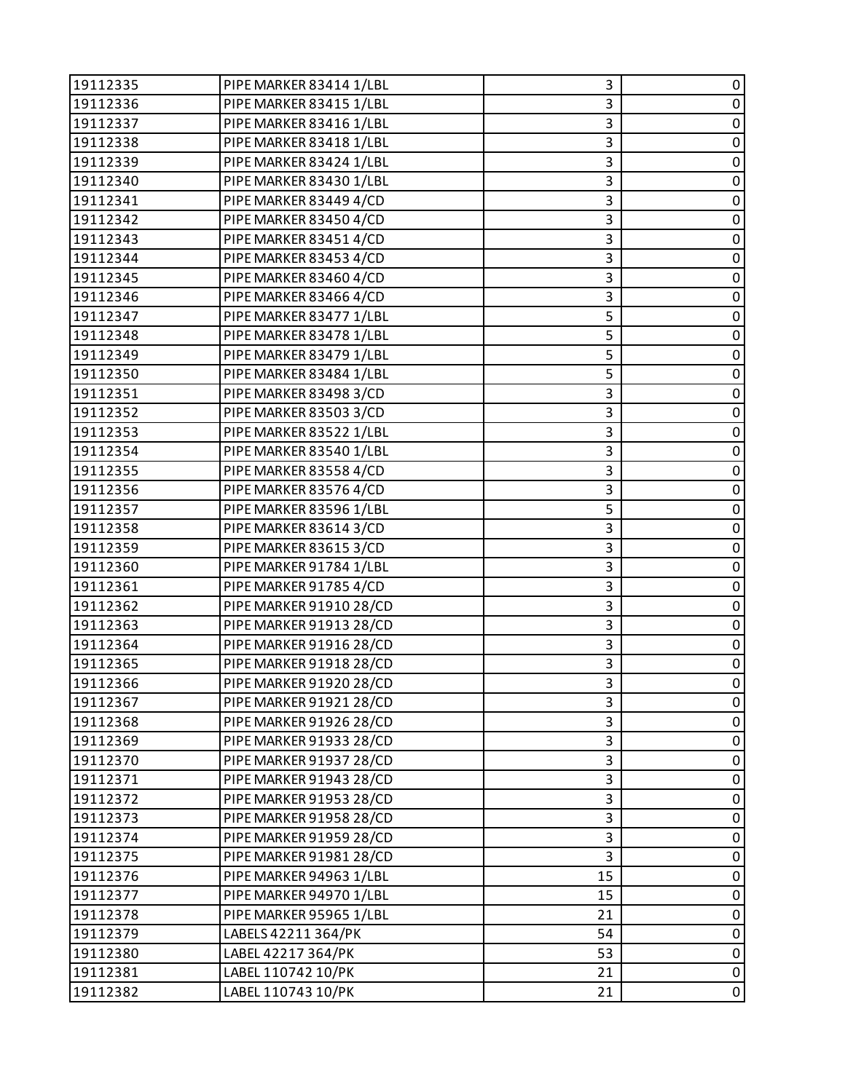| 19112335 | PIPE MARKER 83414 1/LBL | 3  | 0           |
|----------|-------------------------|----|-------------|
| 19112336 | PIPE MARKER 83415 1/LBL | 3  | $\pmb{0}$   |
| 19112337 | PIPE MARKER 83416 1/LBL | 3  | 0           |
| 19112338 | PIPE MARKER 83418 1/LBL | 3  | $\pmb{0}$   |
| 19112339 | PIPE MARKER 83424 1/LBL | 3  | $\mathbf 0$ |
| 19112340 | PIPE MARKER 83430 1/LBL | 3  | 0           |
| 19112341 | PIPE MARKER 83449 4/CD  | 3  | $\pmb{0}$   |
| 19112342 | PIPE MARKER 83450 4/CD  | 3  | $\mathbf 0$ |
| 19112343 | PIPE MARKER 83451 4/CD  | 3  | 0           |
| 19112344 | PIPE MARKER 83453 4/CD  | 3  | $\pmb{0}$   |
| 19112345 | PIPE MARKER 83460 4/CD  | 3  | $\mathbf 0$ |
| 19112346 | PIPE MARKER 83466 4/CD  | 3  | 0           |
| 19112347 | PIPE MARKER 83477 1/LBL | 5  | $\pmb{0}$   |
| 19112348 | PIPE MARKER 83478 1/LBL | 5  | $\mathbf 0$ |
| 19112349 | PIPE MARKER 83479 1/LBL | 5  | 0           |
| 19112350 | PIPE MARKER 83484 1/LBL | 5  | $\pmb{0}$   |
| 19112351 | PIPE MARKER 83498 3/CD  | 3  | $\mathbf 0$ |
| 19112352 | PIPE MARKER 835033/CD   | 3  | 0           |
| 19112353 | PIPE MARKER 83522 1/LBL | 3  | $\pmb{0}$   |
| 19112354 | PIPE MARKER 83540 1/LBL | 3  | $\mathbf 0$ |
| 19112355 | PIPE MARKER 83558 4/CD  | 3  | 0           |
| 19112356 | PIPE MARKER 83576 4/CD  | 3  | $\pmb{0}$   |
| 19112357 | PIPE MARKER 83596 1/LBL | 5  | $\mathbf 0$ |
| 19112358 | PIPE MARKER 83614 3/CD  | 3  | 0           |
| 19112359 | PIPE MARKER 836153/CD   | 3  | $\pmb{0}$   |
| 19112360 | PIPE MARKER 91784 1/LBL | 3  | $\mathbf 0$ |
| 19112361 | PIPE MARKER 91785 4/CD  | 3  | 0           |
| 19112362 | PIPE MARKER 91910 28/CD | 3  | $\pmb{0}$   |
| 19112363 | PIPE MARKER 91913 28/CD | 3  | $\mathbf 0$ |
| 19112364 | PIPE MARKER 91916 28/CD | 3  | 0           |
| 19112365 | PIPE MARKER 91918 28/CD | 3  | $\pmb{0}$   |
| 19112366 | PIPE MARKER 91920 28/CD | 3  | $\pmb{0}$   |
| 19112367 | PIPE MARKER 91921 28/CD | 3  | 0           |
| 19112368 | PIPE MARKER 91926 28/CD | 3  | 0           |
| 19112369 | PIPE MARKER 91933 28/CD | 3  | $\pmb{0}$   |
| 19112370 | PIPE MARKER 91937 28/CD | 3  | 0           |
| 19112371 | PIPE MARKER 91943 28/CD | 3  | 0           |
| 19112372 | PIPE MARKER 91953 28/CD | 3  | $\pmb{0}$   |
| 19112373 | PIPE MARKER 91958 28/CD | 3  | 0           |
| 19112374 | PIPE MARKER 91959 28/CD | 3  | 0           |
| 19112375 | PIPE MARKER 91981 28/CD | 3  | $\pmb{0}$   |
| 19112376 | PIPE MARKER 94963 1/LBL | 15 | 0           |
| 19112377 | PIPE MARKER 94970 1/LBL | 15 | $\pmb{0}$   |
| 19112378 | PIPE MARKER 95965 1/LBL | 21 | $\pmb{0}$   |
| 19112379 | LABELS 42211 364/PK     | 54 | 0           |
| 19112380 | LABEL 42217 364/PK      | 53 | $\pmb{0}$   |
| 19112381 | LABEL 110742 10/PK      | 21 | $\pmb{0}$   |
| 19112382 | LABEL 110743 10/PK      | 21 | 0           |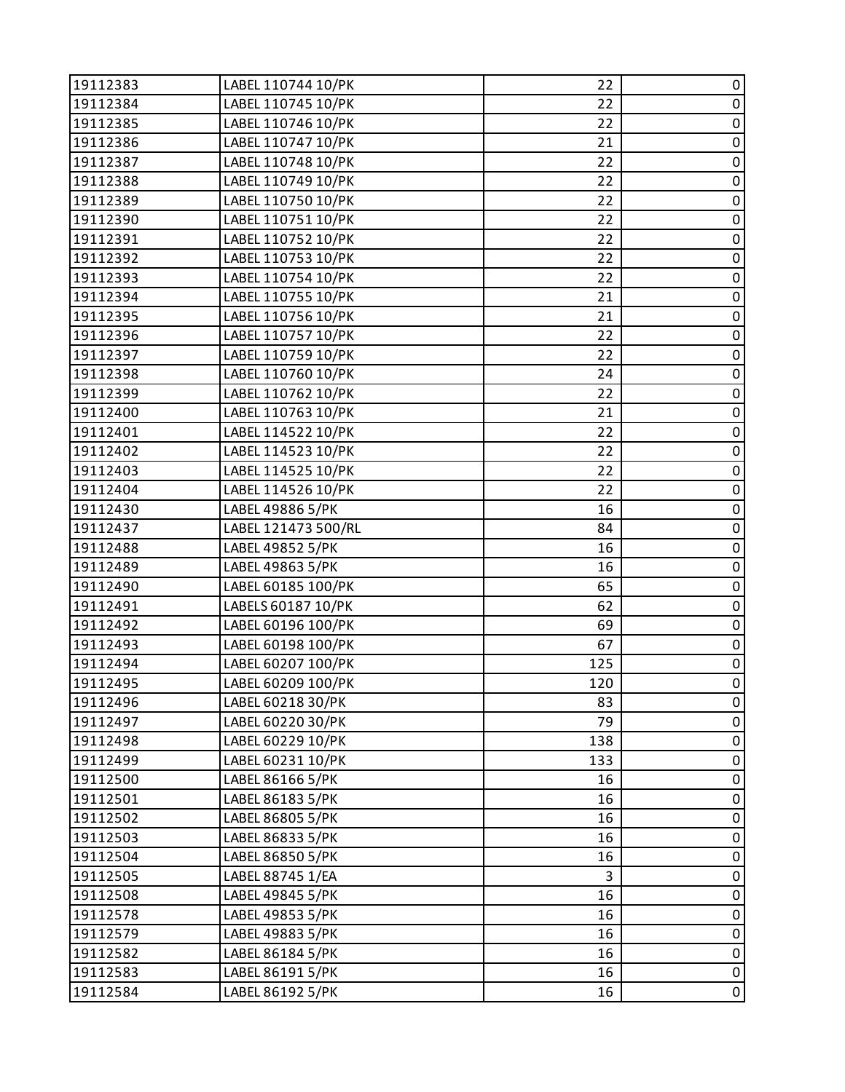| 19112383 | LABEL 110744 10/PK  | 22  | 0           |
|----------|---------------------|-----|-------------|
| 19112384 | LABEL 110745 10/PK  | 22  | $\pmb{0}$   |
| 19112385 | LABEL 110746 10/PK  | 22  | $\pmb{0}$   |
| 19112386 | LABEL 110747 10/PK  | 21  | $\pmb{0}$   |
| 19112387 | LABEL 110748 10/PK  | 22  | $\pmb{0}$   |
| 19112388 | LABEL 110749 10/PK  | 22  | $\pmb{0}$   |
| 19112389 | LABEL 110750 10/PK  | 22  | $\pmb{0}$   |
| 19112390 | LABEL 110751 10/PK  | 22  | $\mathbf 0$ |
| 19112391 | LABEL 110752 10/PK  | 22  | $\pmb{0}$   |
| 19112392 | LABEL 110753 10/PK  | 22  | $\pmb{0}$   |
| 19112393 | LABEL 110754 10/PK  | 22  | $\pmb{0}$   |
| 19112394 | LABEL 110755 10/PK  | 21  | $\pmb{0}$   |
| 19112395 | LABEL 110756 10/PK  | 21  | $\pmb{0}$   |
| 19112396 | LABEL 110757 10/PK  | 22  | $\mathbf 0$ |
| 19112397 | LABEL 110759 10/PK  | 22  | $\pmb{0}$   |
| 19112398 | LABEL 110760 10/PK  | 24  | $\pmb{0}$   |
| 19112399 | LABEL 110762 10/PK  | 22  | $\pmb{0}$   |
| 19112400 | LABEL 110763 10/PK  | 21  | $\pmb{0}$   |
| 19112401 | LABEL 114522 10/PK  | 22  | $\pmb{0}$   |
| 19112402 | LABEL 114523 10/PK  | 22  | $\mathbf 0$ |
| 19112403 | LABEL 114525 10/PK  | 22  | $\pmb{0}$   |
| 19112404 | LABEL 114526 10/PK  | 22  | $\pmb{0}$   |
| 19112430 | LABEL 49886 5/PK    | 16  | $\pmb{0}$   |
| 19112437 | LABEL 121473 500/RL | 84  | $\pmb{0}$   |
| 19112488 | LABEL 49852 5/PK    | 16  | $\pmb{0}$   |
| 19112489 | LABEL 49863 5/PK    | 16  | $\mathbf 0$ |
| 19112490 | LABEL 60185 100/PK  | 65  | $\pmb{0}$   |
| 19112491 | LABELS 60187 10/PK  | 62  | $\pmb{0}$   |
| 19112492 | LABEL 60196 100/PK  | 69  | $\pmb{0}$   |
| 19112493 | LABEL 60198 100/PK  | 67  | $\pmb{0}$   |
| 19112494 | LABEL 60207 100/PK  | 125 | $\pmb{0}$   |
| 19112495 | LABEL 60209 100/PK  | 120 | $\mathsf 0$ |
| 19112496 | LABEL 60218 30/PK   | 83  | 0           |
| 19112497 | LABEL 60220 30/PK   | 79  | 0           |
| 19112498 | LABEL 60229 10/PK   | 138 | $\pmb{0}$   |
| 19112499 | LABEL 60231 10/PK   | 133 | $\pmb{0}$   |
| 19112500 | LABEL 86166 5/PK    | 16  | $\pmb{0}$   |
| 19112501 | LABEL 86183 5/PK    | 16  | $\pmb{0}$   |
| 19112502 | LABEL 86805 5/PK    | 16  | $\pmb{0}$   |
| 19112503 | LABEL 86833 5/PK    | 16  | $\pmb{0}$   |
| 19112504 | LABEL 86850 5/PK    | 16  | $\pmb{0}$   |
| 19112505 | LABEL 88745 1/EA    | 3   | 0           |
| 19112508 | LABEL 49845 5/PK    | 16  | $\mathbf 0$ |
| 19112578 | LABEL 49853 5/PK    | 16  | $\pmb{0}$   |
| 19112579 | LABEL 49883 5/PK    | 16  | $\pmb{0}$   |
| 19112582 | LABEL 86184 5/PK    | 16  | $\pmb{0}$   |
| 19112583 | LABEL 86191 5/PK    | 16  | $\pmb{0}$   |
| 19112584 | LABEL 86192 5/PK    | 16  | $\pmb{0}$   |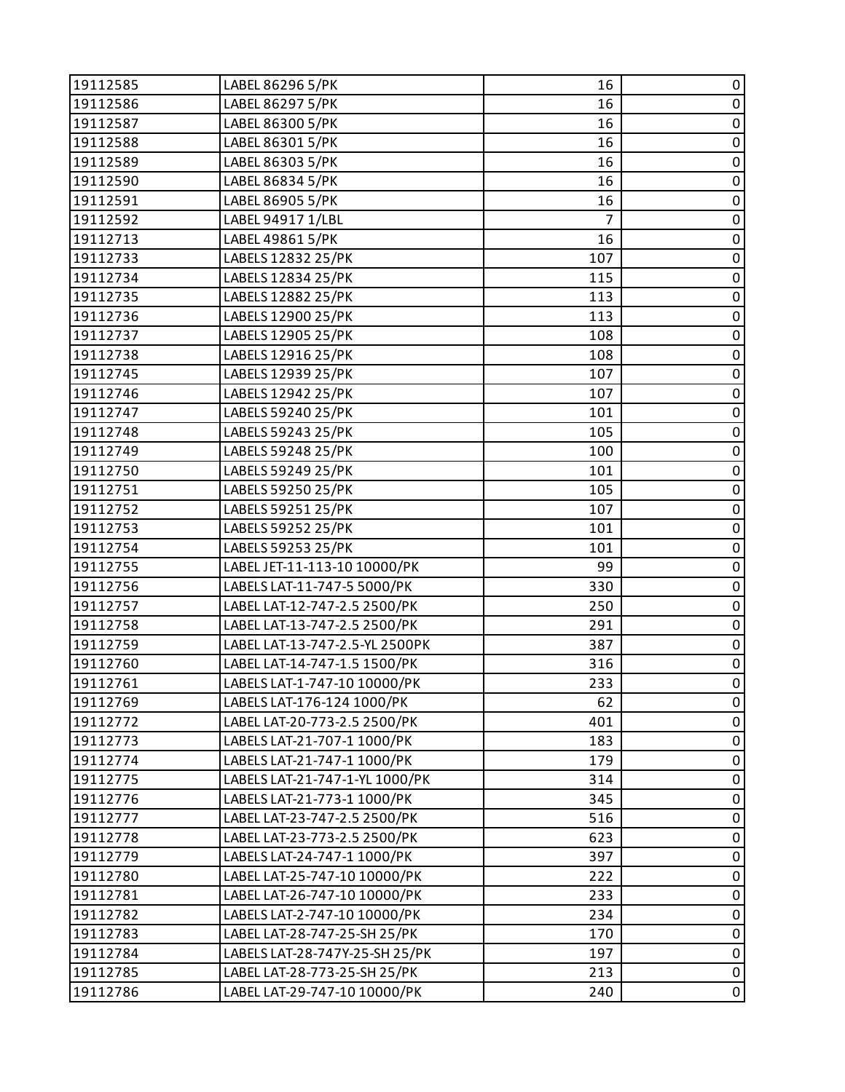| 19112585 | LABEL 86296 5/PK               | 16             | 0              |
|----------|--------------------------------|----------------|----------------|
| 19112586 | LABEL 86297 5/PK               | 16             | $\pmb{0}$      |
| 19112587 | LABEL 86300 5/PK               | 16             | $\pmb{0}$      |
| 19112588 | LABEL 86301 5/PK               | 16             | $\pmb{0}$      |
| 19112589 | LABEL 86303 5/PK               | 16             | $\pmb{0}$      |
| 19112590 | LABEL 86834 5/PK               | 16             | $\pmb{0}$      |
| 19112591 | LABEL 86905 5/PK               | 16             | $\pmb{0}$      |
| 19112592 | LABEL 94917 1/LBL              | $\overline{7}$ | $\pmb{0}$      |
| 19112713 | LABEL 49861 5/PK               | 16             | $\pmb{0}$      |
| 19112733 | LABELS 12832 25/PK             | 107            | $\pmb{0}$      |
| 19112734 | LABELS 12834 25/PK             | 115            | $\pmb{0}$      |
| 19112735 | LABELS 12882 25/PK             | 113            | $\pmb{0}$      |
| 19112736 | LABELS 12900 25/PK             | 113            | $\pmb{0}$      |
| 19112737 | LABELS 12905 25/PK             | 108            | $\pmb{0}$      |
| 19112738 | LABELS 12916 25/PK             | 108            | $\pmb{0}$      |
| 19112745 | LABELS 12939 25/PK             | 107            | $\mathbf 0$    |
| 19112746 | LABELS 12942 25/PK             | 107            | $\pmb{0}$      |
| 19112747 | LABELS 59240 25/PK             | 101            | $\pmb{0}$      |
| 19112748 | LABELS 59243 25/PK             | 105            | $\pmb{0}$      |
| 19112749 | LABELS 59248 25/PK             | 100            | $\pmb{0}$      |
| 19112750 | LABELS 59249 25/PK             | 101            | $\pmb{0}$      |
| 19112751 | LABELS 59250 25/PK             | 105            | $\pmb{0}$      |
| 19112752 | LABELS 59251 25/PK             | 107            | $\pmb{0}$      |
| 19112753 | LABELS 59252 25/PK             | 101            | $\pmb{0}$      |
| 19112754 | LABELS 59253 25/PK             | 101            | $\overline{0}$ |
| 19112755 | LABEL JET-11-113-10 10000/PK   | 99             | $\pmb{0}$      |
| 19112756 | LABELS LAT-11-747-5 5000/PK    | 330            | $\pmb{0}$      |
| 19112757 | LABEL LAT-12-747-2.5 2500/PK   | 250            | $\pmb{0}$      |
| 19112758 | LABEL LAT-13-747-2.5 2500/PK   | 291            | $\pmb{0}$      |
| 19112759 | LABEL LAT-13-747-2.5-YL 2500PK | 387            | $\pmb{0}$      |
| 19112760 | LABEL LAT-14-747-1.5 1500/PK   | 316            | $\pmb{0}$      |
| 19112761 | LABELS LAT-1-747-10 10000/PK   | 233            | $\mathbf 0$    |
| 19112769 | LABELS LAT-176-124 1000/PK     | 62             | 0              |
| 19112772 | LABEL LAT-20-773-2.5 2500/PK   | 401            | 0              |
| 19112773 | LABELS LAT-21-707-1 1000/PK    | 183            | $\pmb{0}$      |
| 19112774 | LABELS LAT-21-747-1 1000/PK    | 179            | $\pmb{0}$      |
| 19112775 | LABELS LAT-21-747-1-YL 1000/PK | 314            | $\pmb{0}$      |
| 19112776 | LABELS LAT-21-773-1 1000/PK    | 345            | $\pmb{0}$      |
| 19112777 | LABEL LAT-23-747-2.5 2500/PK   | 516            | $\pmb{0}$      |
| 19112778 | LABEL LAT-23-773-2.5 2500/PK   | 623            | $\pmb{0}$      |
| 19112779 | LABELS LAT-24-747-1 1000/PK    | 397            | $\pmb{0}$      |
| 19112780 | LABEL LAT-25-747-10 10000/PK   | 222            | $\pmb{0}$      |
| 19112781 | LABEL LAT-26-747-10 10000/PK   | 233            | $\pmb{0}$      |
| 19112782 | LABELS LAT-2-747-10 10000/PK   | 234            | $\pmb{0}$      |
| 19112783 | LABEL LAT-28-747-25-SH 25/PK   | 170            | $\pmb{0}$      |
| 19112784 | LABELS LAT-28-747Y-25-SH 25/PK | 197            | $\pmb{0}$      |
| 19112785 | LABEL LAT-28-773-25-SH 25/PK   | 213            | $\pmb{0}$      |
| 19112786 | LABEL LAT-29-747-10 10000/PK   | 240            | $\pmb{0}$      |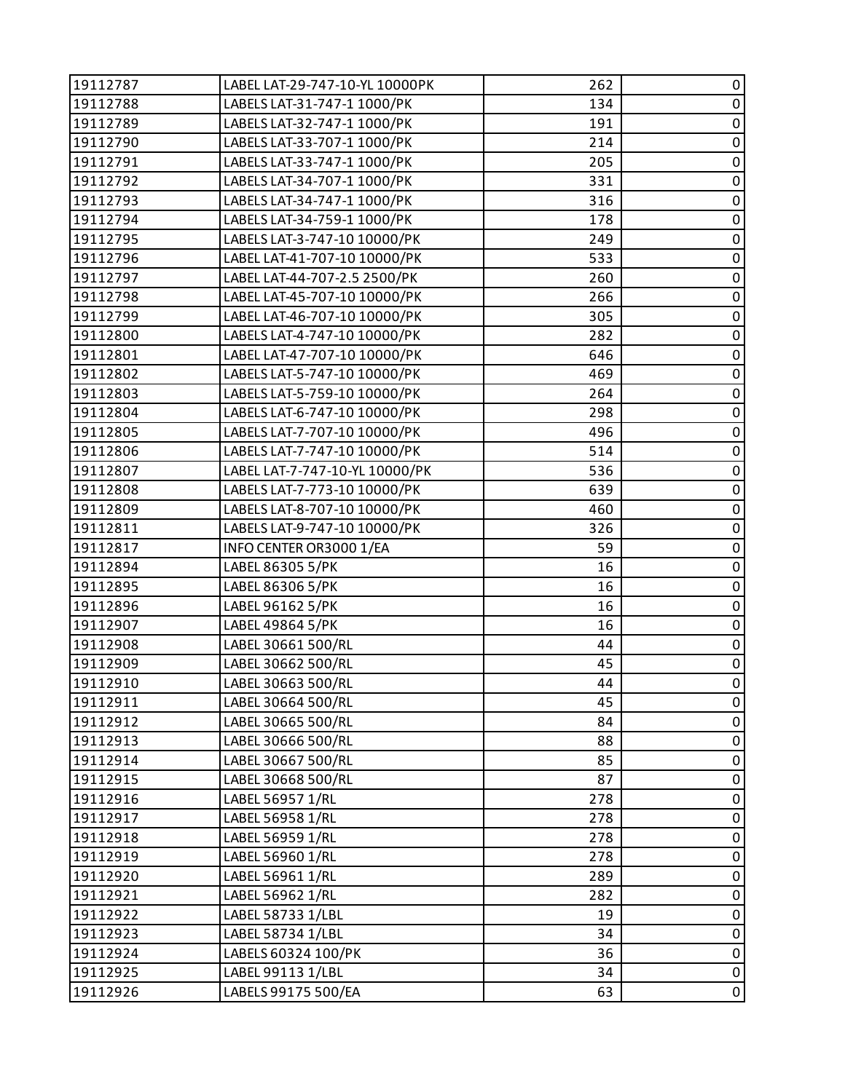| 19112787 | LABEL LAT-29-747-10-YL 10000PK | 262 | 0           |
|----------|--------------------------------|-----|-------------|
| 19112788 | LABELS LAT-31-747-1 1000/PK    | 134 | $\pmb{0}$   |
| 19112789 | LABELS LAT-32-747-1 1000/PK    | 191 | $\pmb{0}$   |
| 19112790 | LABELS LAT-33-707-1 1000/PK    | 214 | $\pmb{0}$   |
| 19112791 | LABELS LAT-33-747-1 1000/PK    | 205 | $\pmb{0}$   |
| 19112792 | LABELS LAT-34-707-1 1000/PK    | 331 | $\pmb{0}$   |
| 19112793 | LABELS LAT-34-747-1 1000/PK    | 316 | $\pmb{0}$   |
| 19112794 | LABELS LAT-34-759-1 1000/PK    | 178 | $\mathbf 0$ |
| 19112795 | LABELS LAT-3-747-10 10000/PK   | 249 | $\pmb{0}$   |
| 19112796 | LABEL LAT-41-707-10 10000/PK   | 533 | $\pmb{0}$   |
| 19112797 | LABEL LAT-44-707-2.5 2500/PK   | 260 | $\pmb{0}$   |
| 19112798 | LABEL LAT-45-707-10 10000/PK   | 266 | $\pmb{0}$   |
| 19112799 | LABEL LAT-46-707-10 10000/PK   | 305 | $\pmb{0}$   |
| 19112800 | LABELS LAT-4-747-10 10000/PK   | 282 | $\pmb{0}$   |
| 19112801 | LABEL LAT-47-707-10 10000/PK   | 646 | $\pmb{0}$   |
| 19112802 | LABELS LAT-5-747-10 10000/PK   | 469 | $\pmb{0}$   |
| 19112803 | LABELS LAT-5-759-10 10000/PK   | 264 | $\pmb{0}$   |
| 19112804 | LABELS LAT-6-747-10 10000/PK   | 298 | $\pmb{0}$   |
| 19112805 | LABELS LAT-7-707-10 10000/PK   | 496 | $\pmb{0}$   |
| 19112806 | LABELS LAT-7-747-10 10000/PK   | 514 | $\mathbf 0$ |
| 19112807 | LABEL LAT-7-747-10-YL 10000/PK | 536 | $\pmb{0}$   |
| 19112808 | LABELS LAT-7-773-10 10000/PK   | 639 | $\pmb{0}$   |
| 19112809 | LABELS LAT-8-707-10 10000/PK   | 460 | $\pmb{0}$   |
| 19112811 | LABELS LAT-9-747-10 10000/PK   | 326 | $\pmb{0}$   |
| 19112817 | INFO CENTER OR3000 1/EA        | 59  | $\pmb{0}$   |
| 19112894 | LABEL 86305 5/PK               | 16  | $\pmb{0}$   |
| 19112895 | LABEL 86306 5/PK               | 16  | $\pmb{0}$   |
| 19112896 | LABEL 96162 5/PK               | 16  | $\pmb{0}$   |
| 19112907 | LABEL 49864 5/PK               | 16  | $\pmb{0}$   |
| 19112908 | LABEL 30661 500/RL             | 44  | $\pmb{0}$   |
| 19112909 | LABEL 30662 500/RL             | 45  | $\pmb{0}$   |
| 19112910 | LABEL 30663 500/RL             | 44  | $\mathbf 0$ |
| 19112911 | LABEL 30664 500/RL             | 45  | 0           |
| 19112912 | LABEL 30665 500/RL             | 84  | 0           |
| 19112913 | LABEL 30666 500/RL             | 88  | $\pmb{0}$   |
| 19112914 | LABEL 30667 500/RL             | 85  | $\pmb{0}$   |
| 19112915 | LABEL 30668 500/RL             | 87  | $\pmb{0}$   |
| 19112916 | LABEL 56957 1/RL               | 278 | $\pmb{0}$   |
| 19112917 | LABEL 56958 1/RL               | 278 | $\pmb{0}$   |
| 19112918 | LABEL 56959 1/RL               | 278 | $\pmb{0}$   |
| 19112919 | LABEL 56960 1/RL               | 278 | $\pmb{0}$   |
| 19112920 | LABEL 56961 1/RL               | 289 | 0           |
| 19112921 | LABEL 56962 1/RL               | 282 | $\pmb{0}$   |
| 19112922 | LABEL 58733 1/LBL              | 19  | $\pmb{0}$   |
| 19112923 | LABEL 58734 1/LBL              | 34  | $\pmb{0}$   |
| 19112924 | LABELS 60324 100/PK            | 36  | $\pmb{0}$   |
| 19112925 | LABEL 99113 1/LBL              | 34  | $\pmb{0}$   |
| 19112926 | LABELS 99175 500/EA            | 63  | $\pmb{0}$   |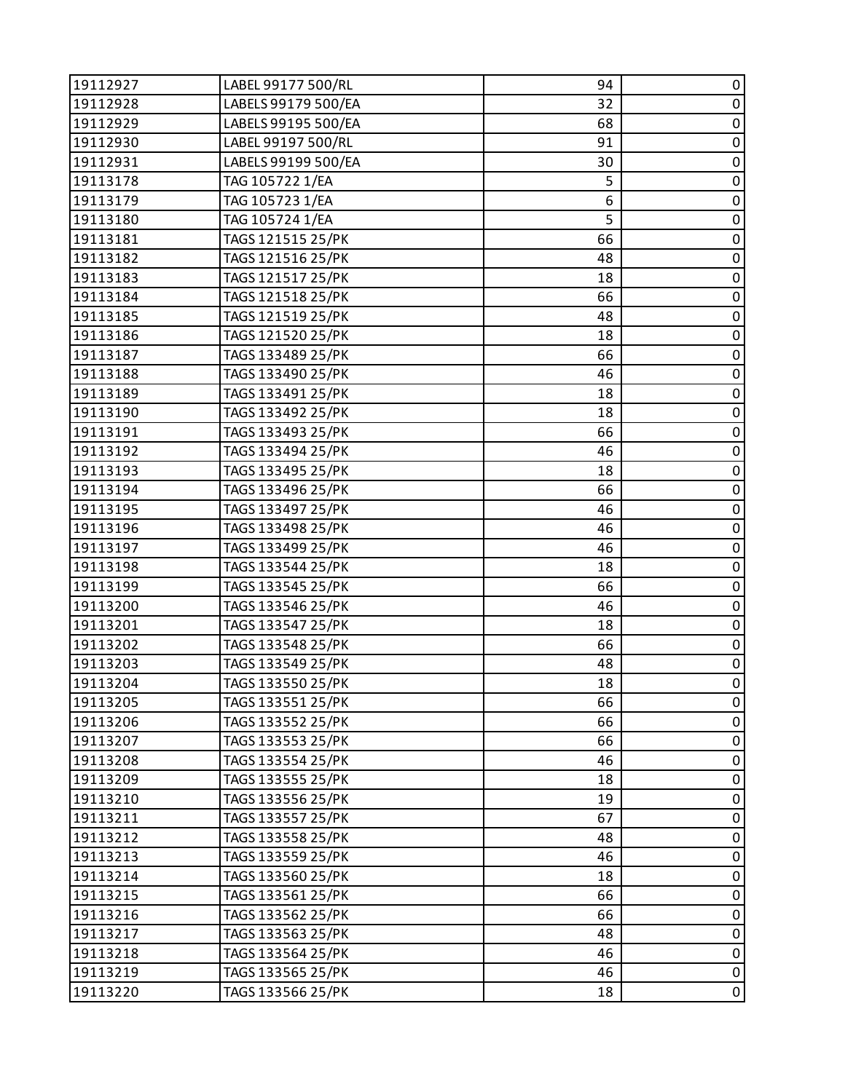| 19112927 | LABEL 99177 500/RL  | 94 | 0           |
|----------|---------------------|----|-------------|
| 19112928 | LABELS 99179 500/EA | 32 | $\pmb{0}$   |
| 19112929 | LABELS 99195 500/EA | 68 | $\pmb{0}$   |
| 19112930 | LABEL 99197 500/RL  | 91 | $\pmb{0}$   |
| 19112931 | LABELS 99199 500/EA | 30 | $\pmb{0}$   |
| 19113178 | TAG 105722 1/EA     | 5  | 0           |
| 19113179 | TAG 105723 1/EA     | 6  | $\pmb{0}$   |
| 19113180 | TAG 105724 1/EA     | 5  | $\pmb{0}$   |
| 19113181 | TAGS 121515 25/PK   | 66 | $\pmb{0}$   |
| 19113182 | TAGS 121516 25/PK   | 48 | $\pmb{0}$   |
| 19113183 | TAGS 121517 25/PK   | 18 | $\pmb{0}$   |
| 19113184 | TAGS 121518 25/PK   | 66 | 0           |
| 19113185 | TAGS 121519 25/PK   | 48 | $\pmb{0}$   |
| 19113186 | TAGS 121520 25/PK   | 18 | $\pmb{0}$   |
| 19113187 | TAGS 133489 25/PK   | 66 | 0           |
| 19113188 | TAGS 133490 25/PK   | 46 | $\pmb{0}$   |
| 19113189 | TAGS 133491 25/PK   | 18 | $\pmb{0}$   |
| 19113190 | TAGS 133492 25/PK   | 18 | 0           |
| 19113191 | TAGS 133493 25/PK   | 66 | $\pmb{0}$   |
| 19113192 | TAGS 133494 25/PK   | 46 | $\pmb{0}$   |
| 19113193 | TAGS 133495 25/PK   | 18 | 0           |
| 19113194 | TAGS 133496 25/PK   | 66 | $\pmb{0}$   |
| 19113195 | TAGS 133497 25/PK   | 46 | $\pmb{0}$   |
| 19113196 | TAGS 133498 25/PK   | 46 | $\pmb{0}$   |
| 19113197 | TAGS 133499 25/PK   | 46 | $\pmb{0}$   |
| 19113198 | TAGS 133544 25/PK   | 18 | $\pmb{0}$   |
| 19113199 | TAGS 133545 25/PK   | 66 | 0           |
| 19113200 | TAGS 133546 25/PK   | 46 | $\pmb{0}$   |
| 19113201 | TAGS 133547 25/PK   | 18 | $\pmb{0}$   |
| 19113202 | TAGS 133548 25/PK   | 66 | $\pmb{0}$   |
| 19113203 | TAGS 133549 25/PK   | 48 | $\pmb{0}$   |
| 19113204 | TAGS 133550 25/PK   | 18 | $\pmb{0}$   |
| 19113205 | TAGS 133551 25/PK   | 66 | 0           |
| 19113206 | TAGS 133552 25/PK   | 66 | 0           |
| 19113207 | TAGS 133553 25/PK   | 66 | $\pmb{0}$   |
| 19113208 | TAGS 133554 25/PK   | 46 | $\pmb{0}$   |
| 19113209 | TAGS 133555 25/PK   | 18 | $\mathbf 0$ |
| 19113210 | TAGS 133556 25/PK   | 19 | $\pmb{0}$   |
| 19113211 | TAGS 133557 25/PK   | 67 | $\pmb{0}$   |
| 19113212 | TAGS 133558 25/PK   | 48 | $\pmb{0}$   |
| 19113213 | TAGS 133559 25/PK   | 46 | $\pmb{0}$   |
| 19113214 | TAGS 133560 25/PK   | 18 | 0           |
| 19113215 | TAGS 133561 25/PK   | 66 | 0           |
| 19113216 | TAGS 133562 25/PK   | 66 | $\pmb{0}$   |
| 19113217 | TAGS 133563 25/PK   | 48 | $\pmb{0}$   |
| 19113218 | TAGS 133564 25/PK   | 46 | $\pmb{0}$   |
| 19113219 | TAGS 133565 25/PK   | 46 | $\pmb{0}$   |
| 19113220 | TAGS 133566 25/PK   | 18 | 0           |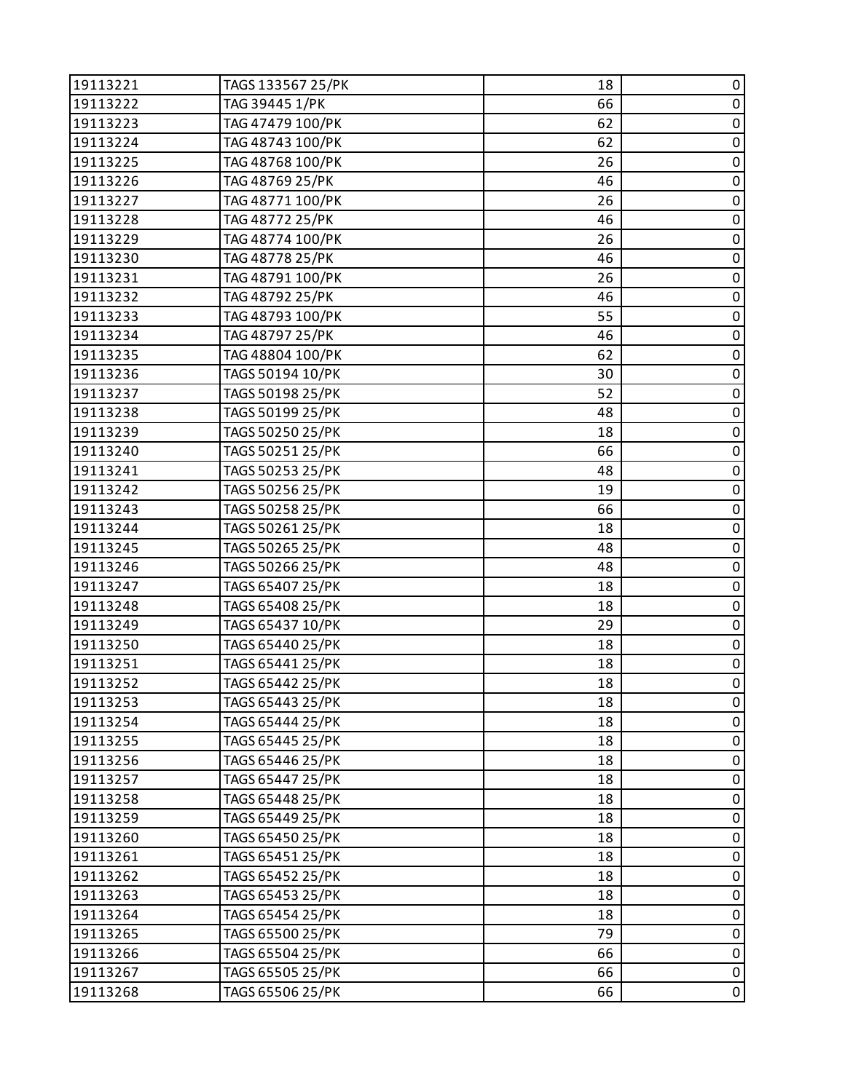| 19113221 | TAGS 133567 25/PK | 18 | 0           |
|----------|-------------------|----|-------------|
| 19113222 | TAG 39445 1/PK    | 66 | $\pmb{0}$   |
| 19113223 | TAG 47479 100/PK  | 62 | $\pmb{0}$   |
| 19113224 | TAG 48743 100/PK  | 62 | $\pmb{0}$   |
| 19113225 | TAG 48768 100/PK  | 26 | $\pmb{0}$   |
| 19113226 | TAG 48769 25/PK   | 46 | $\pmb{0}$   |
| 19113227 | TAG 48771 100/PK  | 26 | $\pmb{0}$   |
| 19113228 | TAG 48772 25/PK   | 46 | $\pmb{0}$   |
| 19113229 | TAG 48774 100/PK  | 26 | $\pmb{0}$   |
| 19113230 | TAG 48778 25/PK   | 46 | $\pmb{0}$   |
| 19113231 | TAG 48791 100/PK  | 26 | $\pmb{0}$   |
| 19113232 | TAG 48792 25/PK   | 46 | $\pmb{0}$   |
| 19113233 | TAG 48793 100/PK  | 55 | $\pmb{0}$   |
| 19113234 | TAG 48797 25/PK   | 46 | $\pmb{0}$   |
| 19113235 | TAG 48804 100/PK  | 62 | $\pmb{0}$   |
| 19113236 | TAGS 50194 10/PK  | 30 | $\pmb{0}$   |
| 19113237 | TAGS 50198 25/PK  | 52 | $\pmb{0}$   |
| 19113238 | TAGS 50199 25/PK  | 48 | $\pmb{0}$   |
| 19113239 | TAGS 50250 25/PK  | 18 | $\pmb{0}$   |
| 19113240 | TAGS 50251 25/PK  | 66 | $\pmb{0}$   |
| 19113241 | TAGS 50253 25/PK  | 48 | $\pmb{0}$   |
| 19113242 | TAGS 50256 25/PK  | 19 | $\pmb{0}$   |
| 19113243 | TAGS 50258 25/PK  | 66 | $\pmb{0}$   |
| 19113244 | TAGS 50261 25/PK  | 18 | $\pmb{0}$   |
| 19113245 | TAGS 50265 25/PK  | 48 | $\pmb{0}$   |
| 19113246 | TAGS 50266 25/PK  | 48 | $\pmb{0}$   |
| 19113247 | TAGS 65407 25/PK  | 18 | $\pmb{0}$   |
| 19113248 | TAGS 65408 25/PK  | 18 | $\pmb{0}$   |
| 19113249 | TAGS 65437 10/PK  | 29 | $\pmb{0}$   |
| 19113250 | TAGS 65440 25/PK  | 18 | $\pmb{0}$   |
| 19113251 | TAGS 65441 25/PK  | 18 | $\pmb{0}$   |
| 19113252 | TAGS 65442 25/PK  | 18 | $\pmb{0}$   |
| 19113253 | TAGS 65443 25/PK  | 18 | 0           |
| 19113254 | TAGS 65444 25/PK  | 18 | 0           |
| 19113255 | TAGS 65445 25/PK  | 18 | $\pmb{0}$   |
| 19113256 | TAGS 65446 25/PK  | 18 | $\pmb{0}$   |
| 19113257 | TAGS 65447 25/PK  | 18 | $\mathbf 0$ |
| 19113258 | TAGS 65448 25/PK  | 18 | $\pmb{0}$   |
| 19113259 | TAGS 65449 25/PK  | 18 | $\pmb{0}$   |
| 19113260 | TAGS 65450 25/PK  | 18 | $\pmb{0}$   |
| 19113261 | TAGS 65451 25/PK  | 18 | $\pmb{0}$   |
| 19113262 | TAGS 65452 25/PK  | 18 | $\pmb{0}$   |
| 19113263 | TAGS 65453 25/PK  | 18 | $\mathbf 0$ |
| 19113264 | TAGS 65454 25/PK  | 18 | $\pmb{0}$   |
| 19113265 | TAGS 65500 25/PK  | 79 | $\pmb{0}$   |
| 19113266 | TAGS 65504 25/PK  | 66 | $\pmb{0}$   |
| 19113267 | TAGS 65505 25/PK  | 66 | $\pmb{0}$   |
| 19113268 | TAGS 65506 25/PK  | 66 | 0           |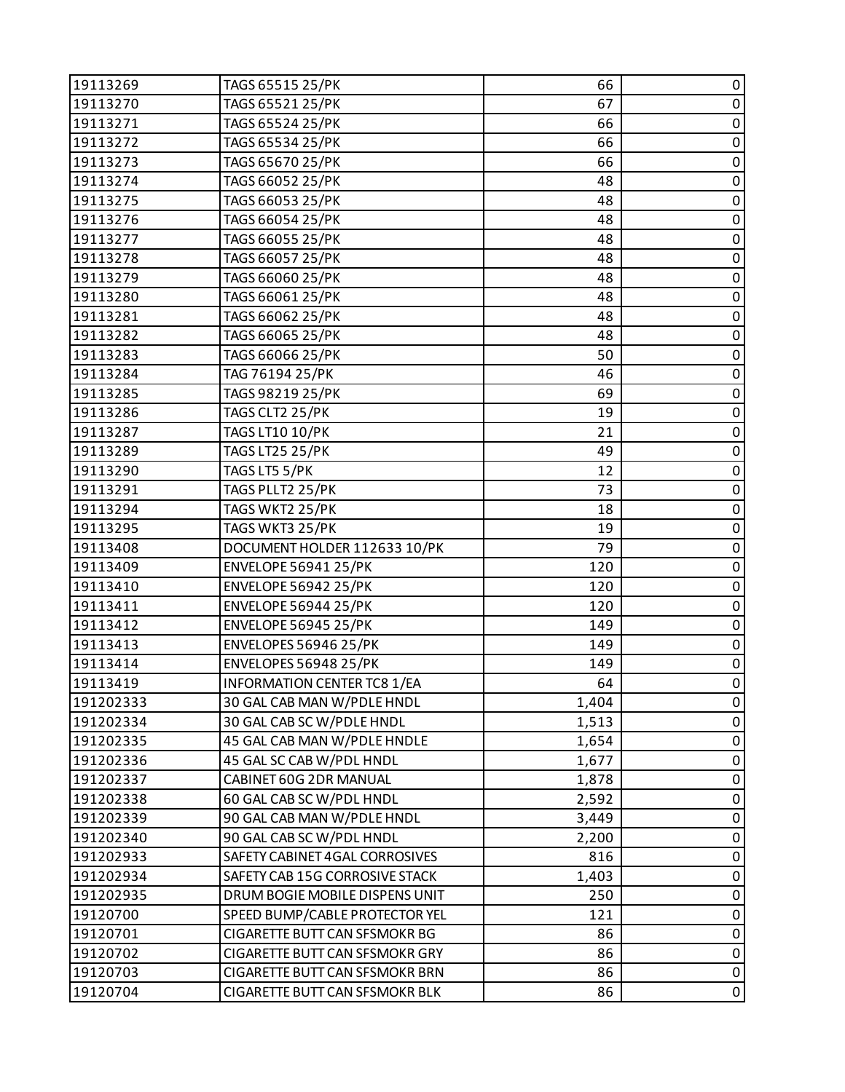| 19113269  | TAGS 65515 25/PK                   | 66    | 0           |
|-----------|------------------------------------|-------|-------------|
| 19113270  | TAGS 65521 25/PK                   | 67    | $\pmb{0}$   |
| 19113271  | TAGS 65524 25/PK                   | 66    | $\pmb{0}$   |
| 19113272  | TAGS 65534 25/PK                   | 66    | $\pmb{0}$   |
| 19113273  | TAGS 65670 25/PK                   | 66    | $\pmb{0}$   |
| 19113274  | TAGS 66052 25/PK                   | 48    | $\pmb{0}$   |
| 19113275  | TAGS 66053 25/PK                   | 48    | $\pmb{0}$   |
| 19113276  | TAGS 66054 25/PK                   | 48    | $\pmb{0}$   |
| 19113277  | TAGS 66055 25/PK                   | 48    | $\pmb{0}$   |
| 19113278  | TAGS 66057 25/PK                   | 48    | $\pmb{0}$   |
| 19113279  | TAGS 66060 25/PK                   | 48    | $\pmb{0}$   |
| 19113280  | TAGS 66061 25/PK                   | 48    | $\pmb{0}$   |
| 19113281  | TAGS 66062 25/PK                   | 48    | $\pmb{0}$   |
| 19113282  | TAGS 66065 25/PK                   | 48    | $\pmb{0}$   |
| 19113283  | TAGS 66066 25/PK                   | 50    | $\pmb{0}$   |
| 19113284  | TAG 76194 25/PK                    | 46    | $\mathbf 0$ |
| 19113285  | TAGS 98219 25/PK                   | 69    | $\pmb{0}$   |
| 19113286  | TAGS CLT2 25/PK                    | 19    | $\pmb{0}$   |
| 19113287  | TAGS LT10 10/PK                    | 21    | $\pmb{0}$   |
| 19113289  | <b>TAGS LT25 25/PK</b>             | 49    | $\pmb{0}$   |
| 19113290  | TAGS LT5 5/PK                      | 12    | $\pmb{0}$   |
| 19113291  | TAGS PLLT2 25/PK                   | 73    | $\pmb{0}$   |
| 19113294  | TAGS WKT2 25/PK                    | 18    | $\pmb{0}$   |
| 19113295  | TAGS WKT3 25/PK                    | 19    | $\pmb{0}$   |
| 19113408  | DOCUMENT HOLDER 112633 10/PK       | 79    | $\pmb{0}$   |
| 19113409  | <b>ENVELOPE 56941 25/PK</b>        | 120   | $\pmb{0}$   |
| 19113410  | <b>ENVELOPE 56942 25/PK</b>        | 120   | $\pmb{0}$   |
| 19113411  | <b>ENVELOPE 56944 25/PK</b>        | 120   | $\pmb{0}$   |
| 19113412  | <b>ENVELOPE 56945 25/PK</b>        | 149   | $\pmb{0}$   |
| 19113413  | <b>ENVELOPES 56946 25/PK</b>       | 149   | $\pmb{0}$   |
| 19113414  | <b>ENVELOPES 56948 25/PK</b>       | 149   | $\pmb{0}$   |
| 19113419  | <b>INFORMATION CENTER TC8 1/EA</b> | 64    | $\mathbf 0$ |
| 191202333 | 30 GAL CAB MAN W/PDLE HNDL         | 1,404 | 0           |
| 191202334 | 30 GAL CAB SC W/PDLE HNDL          | 1,513 | 0           |
| 191202335 | 45 GAL CAB MAN W/PDLE HNDLE        | 1,654 | $\pmb{0}$   |
| 191202336 | 45 GAL SC CAB W/PDL HNDL           | 1,677 | 0           |
| 191202337 | CABINET 60G 2DR MANUAL             | 1,878 | $\mathbf 0$ |
| 191202338 | 60 GAL CAB SC W/PDL HNDL           | 2,592 | $\pmb{0}$   |
| 191202339 | 90 GAL CAB MAN W/PDLE HNDL         | 3,449 | 0           |
| 191202340 | 90 GAL CAB SC W/PDL HNDL           | 2,200 | 0           |
| 191202933 | SAFETY CABINET 4GAL CORROSIVES     | 816   | $\pmb{0}$   |
| 191202934 | SAFETY CAB 15G CORROSIVE STACK     | 1,403 | 0           |
| 191202935 | DRUM BOGIE MOBILE DISPENS UNIT     | 250   | $\pmb{0}$   |
| 19120700  | SPEED BUMP/CABLE PROTECTOR YEL     | 121   | $\pmb{0}$   |
| 19120701  | CIGARETTE BUTT CAN SFSMOKR BG      | 86    | 0           |
| 19120702  | CIGARETTE BUTT CAN SFSMOKR GRY     | 86    | $\pmb{0}$   |
| 19120703  | CIGARETTE BUTT CAN SFSMOKR BRN     | 86    | $\pmb{0}$   |
| 19120704  | CIGARETTE BUTT CAN SFSMOKR BLK     | 86    | $\pmb{0}$   |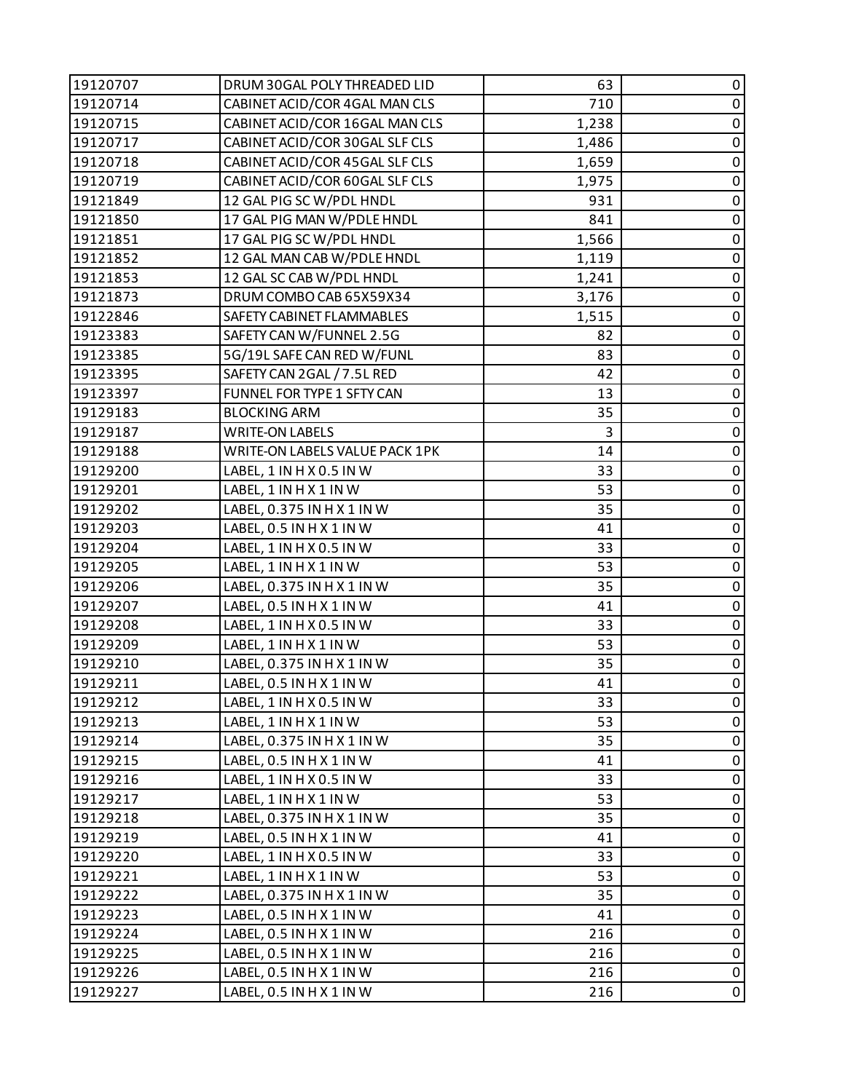| 19120707 | DRUM 30GAL POLY THREADED LID   | 63    | 0           |
|----------|--------------------------------|-------|-------------|
| 19120714 | CABINET ACID/COR 4GAL MAN CLS  | 710   | $\pmb{0}$   |
| 19120715 | CABINET ACID/COR 16GAL MAN CLS | 1,238 | $\pmb{0}$   |
| 19120717 | CABINET ACID/COR 30GAL SLF CLS | 1,486 | $\pmb{0}$   |
| 19120718 | CABINET ACID/COR 45GAL SLF CLS | 1,659 | $\pmb{0}$   |
| 19120719 | CABINET ACID/COR 60GAL SLF CLS | 1,975 | $\pmb{0}$   |
| 19121849 | 12 GAL PIG SC W/PDL HNDL       | 931   | $\pmb{0}$   |
| 19121850 | 17 GAL PIG MAN W/PDLE HNDL     | 841   | $\pmb{0}$   |
| 19121851 | 17 GAL PIG SC W/PDL HNDL       | 1,566 | 0           |
| 19121852 | 12 GAL MAN CAB W/PDLE HNDL     | 1,119 | $\pmb{0}$   |
| 19121853 | 12 GAL SC CAB W/PDL HNDL       | 1,241 | $\pmb{0}$   |
| 19121873 | DRUM COMBO CAB 65X59X34        | 3,176 | $\pmb{0}$   |
| 19122846 | SAFETY CABINET FLAMMABLES      | 1,515 | $\pmb{0}$   |
| 19123383 | SAFETY CAN W/FUNNEL 2.5G       | 82    | $\pmb{0}$   |
| 19123385 | 5G/19L SAFE CAN RED W/FUNL     | 83    | $\pmb{0}$   |
| 19123395 | SAFETY CAN 2GAL / 7.5L RED     | 42    | $\pmb{0}$   |
| 19123397 | FUNNEL FOR TYPE 1 SFTY CAN     | 13    | $\pmb{0}$   |
| 19129183 | <b>BLOCKING ARM</b>            | 35    | $\pmb{0}$   |
| 19129187 | <b>WRITE-ON LABELS</b>         | 3     | $\pmb{0}$   |
| 19129188 | WRITE-ON LABELS VALUE PACK 1PK | 14    | $\pmb{0}$   |
| 19129200 | LABEL, 1 IN H X 0.5 IN W       | 33    | $\pmb{0}$   |
| 19129201 | LABEL, 1 IN H X 1 IN W         | 53    | $\pmb{0}$   |
| 19129202 | LABEL, 0.375 IN H X 1 IN W     | 35    | $\pmb{0}$   |
| 19129203 | LABEL, 0.5 IN H X 1 IN W       | 41    | $\pmb{0}$   |
| 19129204 | LABEL, 1 IN H X 0.5 IN W       | 33    | $\pmb{0}$   |
| 19129205 | LABEL, 1 IN H X 1 IN W         | 53    | $\pmb{0}$   |
| 19129206 | LABEL, 0.375 IN H X 1 IN W     | 35    | $\pmb{0}$   |
| 19129207 | LABEL, 0.5 IN H X 1 IN W       | 41    | $\pmb{0}$   |
| 19129208 | LABEL, 1 IN H X 0.5 IN W       | 33    | $\pmb{0}$   |
| 19129209 | LABEL, 1 IN H X 1 IN W         | 53    | $\pmb{0}$   |
| 19129210 | LABEL, 0.375 IN H X 1 IN W     | 35    | $\pmb{0}$   |
| 19129211 | LABEL, 0.5 IN H X 1 IN W       | 41    | $\mathsf 0$ |
| 19129212 | LABEL, 1 IN H X 0.5 IN W       | 33    | 0           |
| 19129213 | LABEL, 1 IN H X 1 IN W         | 53    | 0           |
| 19129214 | LABEL, 0.375 IN H X 1 IN W     | 35    | $\pmb{0}$   |
| 19129215 | LABEL, 0.5 IN H X 1 IN W       | 41    | $\pmb{0}$   |
| 19129216 | LABEL, 1 IN H X 0.5 IN W       | 33    | $\mathbf 0$ |
| 19129217 | LABEL, 1 IN H X 1 IN W         | 53    | $\pmb{0}$   |
| 19129218 | LABEL, 0.375 IN H X 1 IN W     | 35    | $\pmb{0}$   |
| 19129219 | LABEL, 0.5 IN H X 1 IN W       | 41    | $\pmb{0}$   |
| 19129220 | LABEL, 1 IN H X 0.5 IN W       | 33    | $\pmb{0}$   |
| 19129221 | LABEL, 1 IN H X 1 IN W         | 53    | $\pmb{0}$   |
| 19129222 | LABEL, 0.375 IN H X 1 IN W     | 35    | $\pmb{0}$   |
| 19129223 | LABEL, 0.5 IN H X 1 IN W       | 41    | $\pmb{0}$   |
| 19129224 | LABEL, 0.5 IN H X 1 IN W       | 216   | $\pmb{0}$   |
| 19129225 | LABEL, 0.5 IN H X 1 IN W       | 216   | $\pmb{0}$   |
| 19129226 | LABEL, 0.5 IN H X 1 IN W       | 216   | $\pmb{0}$   |
| 19129227 | LABEL, 0.5 IN H X 1 IN W       | 216   | $\pmb{0}$   |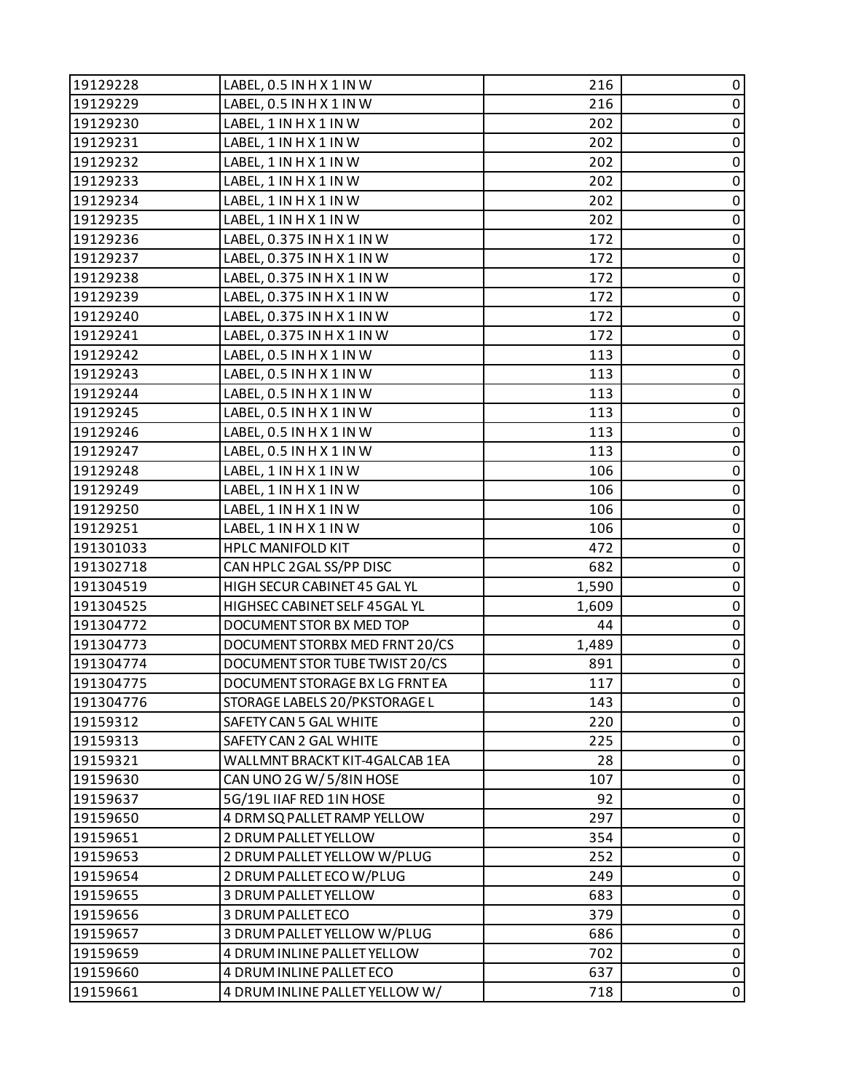| 19129228  | LABEL, 0.5 IN H X 1 IN W       | 216   | 0           |
|-----------|--------------------------------|-------|-------------|
| 19129229  | LABEL, 0.5 IN H X 1 IN W       | 216   | $\pmb{0}$   |
| 19129230  | LABEL, 1 IN H X 1 IN W         | 202   | $\pmb{0}$   |
| 19129231  | LABEL, 1 IN H X 1 IN W         | 202   | $\pmb{0}$   |
| 19129232  | LABEL, 1 IN H X 1 IN W         | 202   | $\pmb{0}$   |
| 19129233  | LABEL, 1 IN H X 1 IN W         | 202   | $\pmb{0}$   |
| 19129234  | LABEL, 1 IN H X 1 IN W         | 202   | $\pmb{0}$   |
| 19129235  | LABEL, 1 IN H X 1 IN W         | 202   | $\pmb{0}$   |
| 19129236  | LABEL, 0.375 IN H X 1 IN W     | 172   | $\pmb{0}$   |
| 19129237  | LABEL, 0.375 IN H X 1 IN W     | 172   | $\pmb{0}$   |
| 19129238  | LABEL, 0.375 IN H X 1 IN W     | 172   | $\pmb{0}$   |
| 19129239  | LABEL, 0.375 IN H X 1 IN W     | 172   | $\pmb{0}$   |
| 19129240  | LABEL, 0.375 IN H X 1 IN W     | 172   | $\pmb{0}$   |
| 19129241  | LABEL, 0.375 IN H X 1 IN W     | 172   | $\pmb{0}$   |
| 19129242  | LABEL, 0.5 IN H X 1 IN W       | 113   | $\pmb{0}$   |
| 19129243  | LABEL, 0.5 IN H X 1 IN W       | 113   | $\pmb{0}$   |
| 19129244  | LABEL, 0.5 IN H X 1 IN W       | 113   | $\pmb{0}$   |
| 19129245  | LABEL, 0.5 IN H X 1 IN W       | 113   | $\pmb{0}$   |
| 19129246  | LABEL, 0.5 IN H X 1 IN W       | 113   | $\pmb{0}$   |
| 19129247  | LABEL, 0.5 IN H X 1 IN W       | 113   | $\pmb{0}$   |
| 19129248  | LABEL, 1 IN H X 1 IN W         | 106   | $\pmb{0}$   |
| 19129249  | LABEL, 1 IN H X 1 IN W         | 106   | $\pmb{0}$   |
| 19129250  | LABEL, 1 IN H X 1 IN W         | 106   | $\pmb{0}$   |
| 19129251  | LABEL, 1 IN H X 1 IN W         | 106   | $\pmb{0}$   |
| 191301033 | <b>HPLC MANIFOLD KIT</b>       | 472   | $\mathbf 0$ |
| 191302718 | CAN HPLC 2GAL SS/PP DISC       | 682   | $\pmb{0}$   |
| 191304519 | HIGH SECUR CABINET 45 GAL YL   | 1,590 | $\pmb{0}$   |
| 191304525 | HIGHSEC CABINET SELF 45GAL YL  | 1,609 | $\pmb{0}$   |
| 191304772 | DOCUMENT STOR BX MED TOP       | 44    | $\pmb{0}$   |
| 191304773 | DOCUMENT STORBX MED FRNT 20/CS | 1,489 | $\pmb{0}$   |
| 191304774 | DOCUMENT STOR TUBE TWIST 20/CS | 891   | $\pmb{0}$   |
| 191304775 | DOCUMENT STORAGE BX LG FRNT EA | 117   | $\mathbf 0$ |
| 191304776 | STORAGE LABELS 20/PKSTORAGE L  | 143   | 0           |
| 19159312  | SAFETY CAN 5 GAL WHITE         | 220   | 0           |
| 19159313  | SAFETY CAN 2 GAL WHITE         | 225   | $\pmb{0}$   |
| 19159321  | WALLMNT BRACKT KIT-4GALCAB 1EA | 28    | 0           |
| 19159630  | CAN UNO 2G W/5/8IN HOSE        | 107   | 0           |
| 19159637  | 5G/19L IIAF RED 1IN HOSE       | 92    | 0           |
| 19159650  | 4 DRM SQ PALLET RAMP YELLOW    | 297   | 0           |
| 19159651  | 2 DRUM PALLET YELLOW           | 354   | 0           |
| 19159653  | 2 DRUM PALLET YELLOW W/PLUG    | 252   | $\pmb{0}$   |
| 19159654  | 2 DRUM PALLET ECO W/PLUG       | 249   | 0           |
| 19159655  | 3 DRUM PALLET YELLOW           | 683   | 0           |
| 19159656  | 3 DRUM PALLET ECO              | 379   | $\pmb{0}$   |
| 19159657  | 3 DRUM PALLET YELLOW W/PLUG    | 686   | 0           |
| 19159659  | 4 DRUM INLINE PALLET YELLOW    | 702   | $\pmb{0}$   |
| 19159660  | 4 DRUM INLINE PALLET ECO       | 637   | $\pmb{0}$   |
| 19159661  | 4 DRUM INLINE PALLET YELLOW W/ | 718   | $\pmb{0}$   |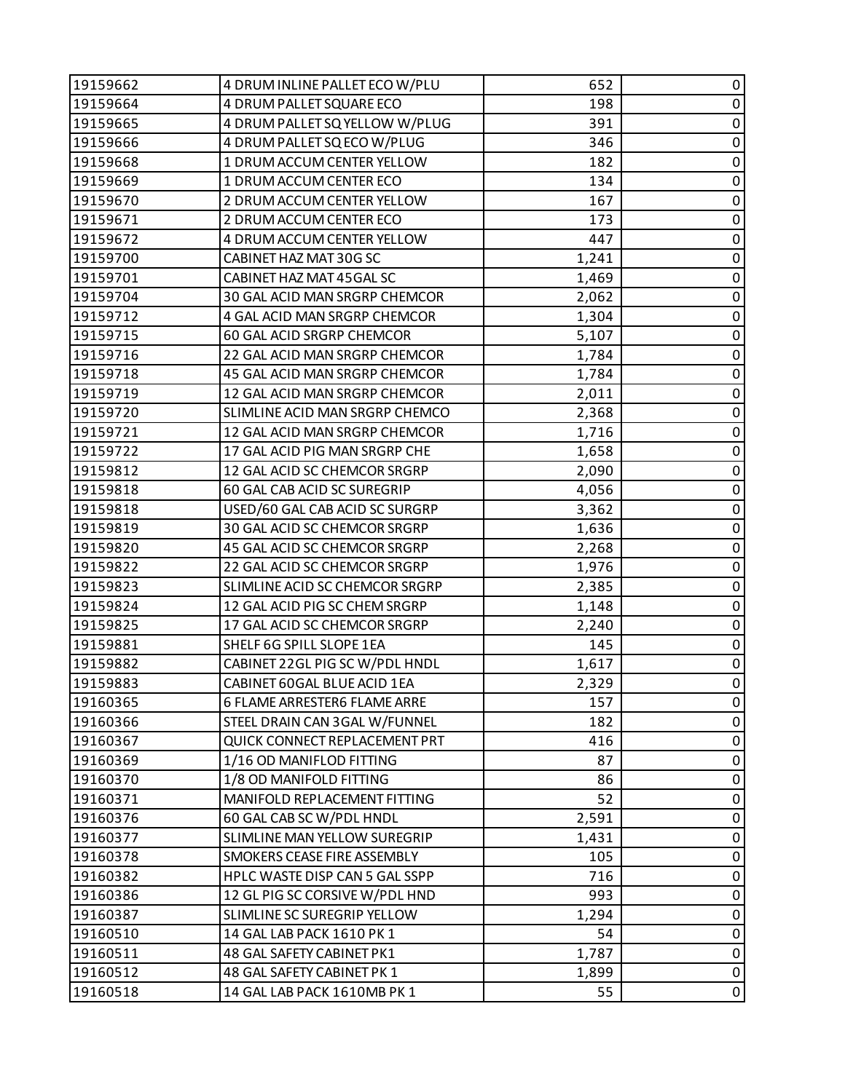| 19159662 | 4 DRUM INLINE PALLET ECO W/PLU | 652   | 0           |
|----------|--------------------------------|-------|-------------|
| 19159664 | 4 DRUM PALLET SQUARE ECO       | 198   | $\pmb{0}$   |
| 19159665 | 4 DRUM PALLET SQ YELLOW W/PLUG | 391   | 0           |
| 19159666 | 4 DRUM PALLET SQ ECO W/PLUG    | 346   | $\pmb{0}$   |
| 19159668 | 1 DRUM ACCUM CENTER YELLOW     | 182   | $\pmb{0}$   |
| 19159669 | 1 DRUM ACCUM CENTER ECO        | 134   | 0           |
| 19159670 | 2 DRUM ACCUM CENTER YELLOW     | 167   | $\pmb{0}$   |
| 19159671 | 2 DRUM ACCUM CENTER ECO        | 173   | $\pmb{0}$   |
| 19159672 | 4 DRUM ACCUM CENTER YELLOW     | 447   | 0           |
| 19159700 | CABINET HAZ MAT 30G SC         | 1,241 | $\pmb{0}$   |
| 19159701 | CABINET HAZ MAT 45 GAL SC      | 1,469 | $\pmb{0}$   |
| 19159704 | 30 GAL ACID MAN SRGRP CHEMCOR  | 2,062 | 0           |
| 19159712 | 4 GAL ACID MAN SRGRP CHEMCOR   | 1,304 | $\pmb{0}$   |
| 19159715 | 60 GAL ACID SRGRP CHEMCOR      | 5,107 | $\pmb{0}$   |
| 19159716 | 22 GAL ACID MAN SRGRP CHEMCOR  | 1,784 | 0           |
| 19159718 | 45 GAL ACID MAN SRGRP CHEMCOR  | 1,784 | $\pmb{0}$   |
| 19159719 | 12 GAL ACID MAN SRGRP CHEMCOR  | 2,011 | $\pmb{0}$   |
| 19159720 | SLIMLINE ACID MAN SRGRP CHEMCO | 2,368 | 0           |
| 19159721 | 12 GAL ACID MAN SRGRP CHEMCOR  | 1,716 | $\pmb{0}$   |
| 19159722 | 17 GAL ACID PIG MAN SRGRP CHE  | 1,658 | $\pmb{0}$   |
| 19159812 | 12 GAL ACID SC CHEMCOR SRGRP   | 2,090 | 0           |
| 19159818 | 60 GAL CAB ACID SC SUREGRIP    | 4,056 | $\pmb{0}$   |
| 19159818 | USED/60 GAL CAB ACID SC SURGRP | 3,362 | 0           |
| 19159819 | 30 GAL ACID SC CHEMCOR SRGRP   | 1,636 | 0           |
| 19159820 | 45 GAL ACID SC CHEMCOR SRGRP   | 2,268 | $\pmb{0}$   |
| 19159822 | 22 GAL ACID SC CHEMCOR SRGRP   | 1,976 | $\pmb{0}$   |
| 19159823 | SLIMLINE ACID SC CHEMCOR SRGRP | 2,385 | 0           |
| 19159824 | 12 GAL ACID PIG SC CHEM SRGRP  | 1,148 | $\pmb{0}$   |
| 19159825 | 17 GAL ACID SC CHEMCOR SRGRP   | 2,240 | $\pmb{0}$   |
| 19159881 | SHELF 6G SPILL SLOPE 1EA       | 145   | $\pmb{0}$   |
| 19159882 | CABINET 22GL PIG SC W/PDL HNDL | 1,617 | $\pmb{0}$   |
| 19159883 | CABINET 60GAL BLUE ACID 1EA    | 2,329 | $\pmb{0}$   |
| 19160365 | 6 FLAME ARRESTER6 FLAME ARRE   | 157   | 0           |
| 19160366 | STEEL DRAIN CAN 3GAL W/FUNNEL  | 182   | 0           |
| 19160367 | QUICK CONNECT REPLACEMENT PRT  | 416   | $\pmb{0}$   |
| 19160369 | 1/16 OD MANIFLOD FITTING       | 87    | 0           |
| 19160370 | 1/8 OD MANIFOLD FITTING        | 86    | 0           |
| 19160371 | MANIFOLD REPLACEMENT FITTING   | 52    | 0           |
| 19160376 | 60 GAL CAB SC W/PDL HNDL       | 2,591 | 0           |
| 19160377 | SLIMLINE MAN YELLOW SUREGRIP   | 1,431 | 0           |
| 19160378 | SMOKERS CEASE FIRE ASSEMBLY    | 105   | $\pmb{0}$   |
| 19160382 | HPLC WASTE DISP CAN 5 GAL SSPP | 716   | 0           |
| 19160386 | 12 GL PIG SC CORSIVE W/PDL HND | 993   | 0           |
| 19160387 | SLIMLINE SC SUREGRIP YELLOW    | 1,294 | 0           |
| 19160510 | 14 GAL LAB PACK 1610 PK 1      | 54    | 0           |
| 19160511 | 48 GAL SAFETY CABINET PK1      | 1,787 | $\pmb{0}$   |
| 19160512 | 48 GAL SAFETY CABINET PK 1     | 1,899 | $\pmb{0}$   |
| 19160518 | 14 GAL LAB PACK 1610MB PK 1    | 55    | $\mathbf 0$ |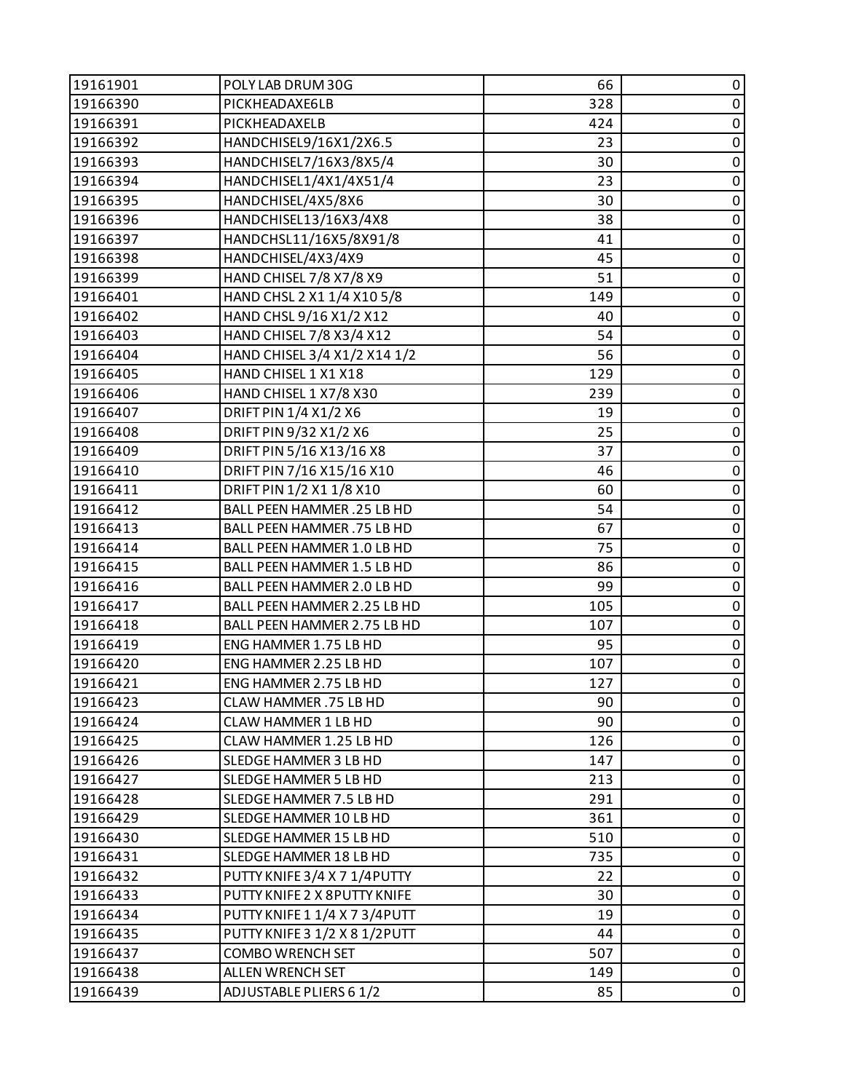| 19161901 | POLY LAB DRUM 30G                 | 66  | 0         |
|----------|-----------------------------------|-----|-----------|
| 19166390 | PICKHEADAXE6LB                    | 328 | $\pmb{0}$ |
| 19166391 | PICKHEADAXELB                     | 424 | 0         |
| 19166392 | HANDCHISEL9/16X1/2X6.5            | 23  | $\pmb{0}$ |
| 19166393 | HANDCHISEL7/16X3/8X5/4            | 30  | $\pmb{0}$ |
| 19166394 | HANDCHISEL1/4X1/4X51/4            | 23  | 0         |
| 19166395 | HANDCHISEL/4X5/8X6                | 30  | $\pmb{0}$ |
| 19166396 | HANDCHISEL13/16X3/4X8             | 38  | $\pmb{0}$ |
| 19166397 | HANDCHSL11/16X5/8X91/8            | 41  | 0         |
| 19166398 | HANDCHISEL/4X3/4X9                | 45  | $\pmb{0}$ |
| 19166399 | HAND CHISEL 7/8 X7/8 X9           | 51  | $\pmb{0}$ |
| 19166401 | HAND CHSL 2 X1 1/4 X10 5/8        | 149 | 0         |
| 19166402 | HAND CHSL 9/16 X1/2 X12           | 40  | $\pmb{0}$ |
| 19166403 | HAND CHISEL 7/8 X3/4 X12          | 54  | $\pmb{0}$ |
| 19166404 | HAND CHISEL 3/4 X1/2 X14 1/2      | 56  | 0         |
| 19166405 | HAND CHISEL 1 X1 X18              | 129 | $\pmb{0}$ |
| 19166406 | HAND CHISEL 1 X7/8 X30            | 239 | $\pmb{0}$ |
| 19166407 | DRIFT PIN 1/4 X1/2 X6             | 19  | 0         |
| 19166408 | DRIFT PIN 9/32 X1/2 X6            | 25  | $\pmb{0}$ |
| 19166409 | DRIFT PIN 5/16 X13/16 X8          | 37  | $\pmb{0}$ |
| 19166410 | DRIFT PIN 7/16 X15/16 X10         | 46  | 0         |
| 19166411 | DRIFT PIN 1/2 X1 1/8 X10          | 60  | $\pmb{0}$ |
| 19166412 | <b>BALL PEEN HAMMER .25 LB HD</b> | 54  | $\pmb{0}$ |
| 19166413 | BALL PEEN HAMMER .75 LB HD        | 67  | 0         |
| 19166414 | BALL PEEN HAMMER 1.0 LB HD        | 75  | $\pmb{0}$ |
| 19166415 | <b>BALL PEEN HAMMER 1.5 LB HD</b> | 86  | $\pmb{0}$ |
| 19166416 | BALL PEEN HAMMER 2.0 LB HD        | 99  | 0         |
| 19166417 | BALL PEEN HAMMER 2.25 LB HD       | 105 | $\pmb{0}$ |
| 19166418 | BALL PEEN HAMMER 2.75 LB HD       | 107 | $\pmb{0}$ |
| 19166419 | ENG HAMMER 1.75 LB HD             | 95  | $\pmb{0}$ |
| 19166420 | ENG HAMMER 2.25 LB HD             | 107 | $\pmb{0}$ |
| 19166421 | ENG HAMMER 2.75 LB HD             | 127 | $\pmb{0}$ |
| 19166423 | CLAW HAMMER .75 LB HD             | 90  | 0         |
| 19166424 | CLAW HAMMER 1 LB HD               | 90  | 0         |
| 19166425 | CLAW HAMMER 1.25 LB HD            | 126 | $\pmb{0}$ |
| 19166426 | SLEDGE HAMMER 3 LB HD             | 147 | 0         |
| 19166427 | SLEDGE HAMMER 5 LB HD             | 213 | 0         |
| 19166428 | SLEDGE HAMMER 7.5 LB HD           | 291 | $\pmb{0}$ |
| 19166429 | SLEDGE HAMMER 10 LB HD            | 361 | 0         |
| 19166430 | SLEDGE HAMMER 15 LB HD            | 510 | 0         |
| 19166431 | SLEDGE HAMMER 18 LB HD            | 735 | 0         |
| 19166432 | PUTTY KNIFE 3/4 X 7 1/4 PUTTY     | 22  | 0         |
| 19166433 | PUTTY KNIFE 2 X 8PUTTY KNIFE      | 30  | 0         |
| 19166434 | PUTTY KNIFE 1 1/4 X 7 3/4PUTT     | 19  | 0         |
| 19166435 | PUTTY KNIFE 3 1/2 X 8 1/2 PUTT    | 44  | 0         |
| 19166437 | <b>COMBO WRENCH SET</b>           | 507 | $\pmb{0}$ |
| 19166438 | ALLEN WRENCH SET                  | 149 | 0         |
| 19166439 | ADJUSTABLE PLIERS 6 1/2           | 85  | 0         |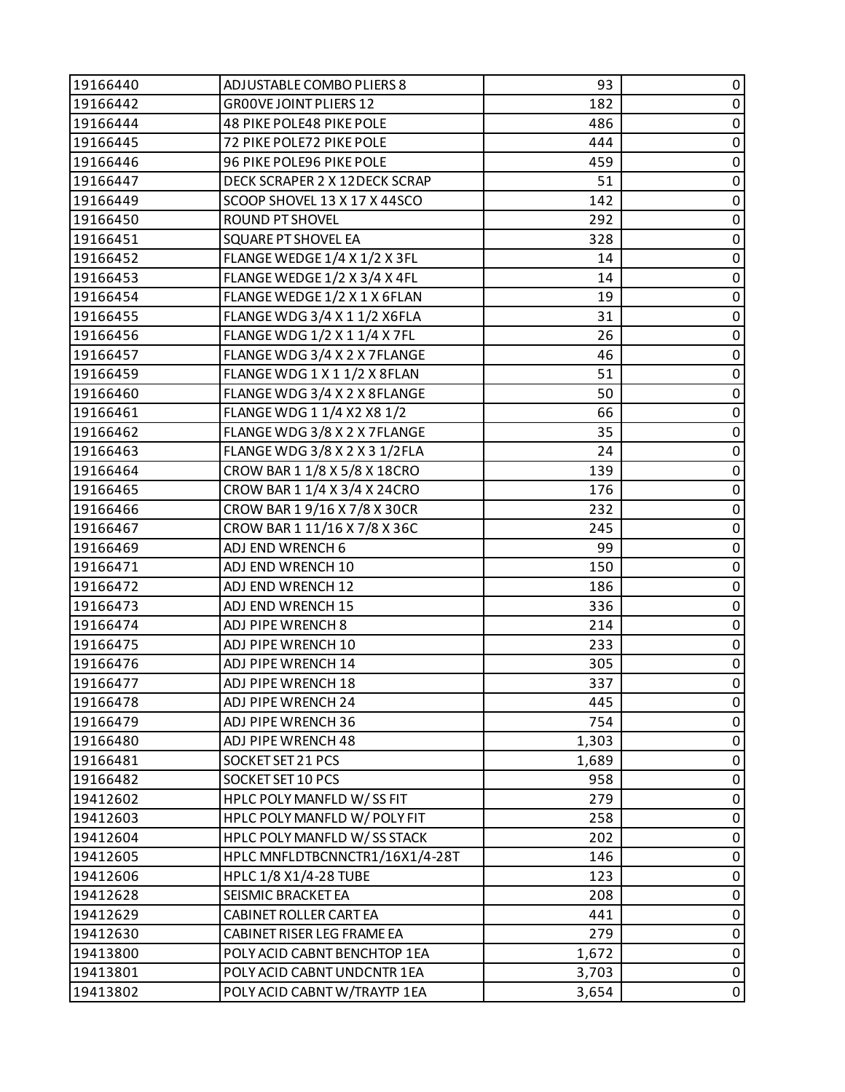| 19166440 | ADJUSTABLE COMBO PLIERS 8      | 93    | 0         |
|----------|--------------------------------|-------|-----------|
| 19166442 | <b>GROOVE JOINT PLIERS 12</b>  | 182   | $\pmb{0}$ |
| 19166444 | 48 PIKE POLE48 PIKE POLE       | 486   | $\pmb{0}$ |
| 19166445 | 72 PIKE POLE72 PIKE POLE       | 444   | $\pmb{0}$ |
| 19166446 | 96 PIKE POLE96 PIKE POLE       | 459   | $\pmb{0}$ |
| 19166447 | DECK SCRAPER 2 X 12DECK SCRAP  | 51    | $\pmb{0}$ |
| 19166449 | SCOOP SHOVEL 13 X 17 X 44SCO   | 142   | $\pmb{0}$ |
| 19166450 | ROUND PT SHOVEL                | 292   | $\pmb{0}$ |
| 19166451 | SQUARE PT SHOVEL EA            | 328   | $\pmb{0}$ |
| 19166452 | FLANGE WEDGE 1/4 X 1/2 X 3FL   | 14    | $\pmb{0}$ |
| 19166453 | FLANGE WEDGE 1/2 X 3/4 X 4FL   | 14    | $\pmb{0}$ |
| 19166454 | FLANGE WEDGE 1/2 X 1 X 6FLAN   | 19    | $\pmb{0}$ |
| 19166455 | FLANGE WDG 3/4 X 1 1/2 X6FLA   | 31    | $\pmb{0}$ |
| 19166456 | FLANGE WDG 1/2 X 1 1/4 X 7FL   | 26    | $\pmb{0}$ |
| 19166457 | FLANGE WDG 3/4 X 2 X 7FLANGE   | 46    | $\pmb{0}$ |
| 19166459 | FLANGE WDG 1 X 1 1/2 X 8FLAN   | 51    | $\pmb{0}$ |
| 19166460 | FLANGE WDG 3/4 X 2 X 8FLANGE   | 50    | $\pmb{0}$ |
| 19166461 | FLANGE WDG 1 1/4 X2 X8 1/2     | 66    | $\pmb{0}$ |
| 19166462 | FLANGE WDG 3/8 X 2 X 7FLANGE   | 35    | $\pmb{0}$ |
| 19166463 | FLANGE WDG 3/8 X 2 X 3 1/2 FLA | 24    | $\pmb{0}$ |
| 19166464 | CROW BAR 1 1/8 X 5/8 X 18CRO   | 139   | $\pmb{0}$ |
| 19166465 | CROW BAR 1 1/4 X 3/4 X 24CRO   | 176   | $\pmb{0}$ |
| 19166466 | CROW BAR 19/16 X 7/8 X 30CR    | 232   | $\pmb{0}$ |
| 19166467 | CROW BAR 1 11/16 X 7/8 X 36C   | 245   | $\pmb{0}$ |
| 19166469 | ADJ END WRENCH 6               | 99    | $\pmb{0}$ |
| 19166471 | ADJ END WRENCH 10              | 150   | $\pmb{0}$ |
| 19166472 | ADJ END WRENCH 12              | 186   | $\pmb{0}$ |
| 19166473 | ADJ END WRENCH 15              | 336   | $\pmb{0}$ |
| 19166474 | ADJ PIPE WRENCH 8              | 214   | $\pmb{0}$ |
| 19166475 | ADJ PIPE WRENCH 10             | 233   | $\pmb{0}$ |
| 19166476 | ADJ PIPE WRENCH 14             | 305   | $\pmb{0}$ |
| 19166477 | ADJ PIPE WRENCH 18             | 337   | $\pmb{0}$ |
| 19166478 | ADJ PIPE WRENCH 24             | 445   | 0         |
| 19166479 | ADJ PIPE WRENCH 36             | 754   | 0         |
| 19166480 | ADJ PIPE WRENCH 48             | 1,303 | $\pmb{0}$ |
| 19166481 | SOCKET SET 21 PCS              | 1,689 | 0         |
| 19166482 | SOCKET SET 10 PCS              | 958   | 0         |
| 19412602 | HPLC POLY MANFLD W/SS FIT      | 279   | $\pmb{0}$ |
| 19412603 | HPLC POLY MANFLD W/ POLY FIT   | 258   | 0         |
| 19412604 | HPLC POLY MANFLD W/SS STACK    | 202   | 0         |
| 19412605 | HPLC MNFLDTBCNNCTR1/16X1/4-28T | 146   | $\pmb{0}$ |
| 19412606 | HPLC 1/8 X1/4-28 TUBE          | 123   | 0         |
| 19412628 | SEISMIC BRACKET EA             | 208   | 0         |
| 19412629 | CABINET ROLLER CART EA         | 441   | 0         |
| 19412630 | CABINET RISER LEG FRAME EA     | 279   | $\pmb{0}$ |
| 19413800 | POLY ACID CABNT BENCHTOP 1EA   | 1,672 | $\pmb{0}$ |
| 19413801 | POLY ACID CABNT UNDCNTR 1EA    | 3,703 | $\pmb{0}$ |
| 19413802 | POLY ACID CABNT W/TRAYTP 1EA   | 3,654 | $\pmb{0}$ |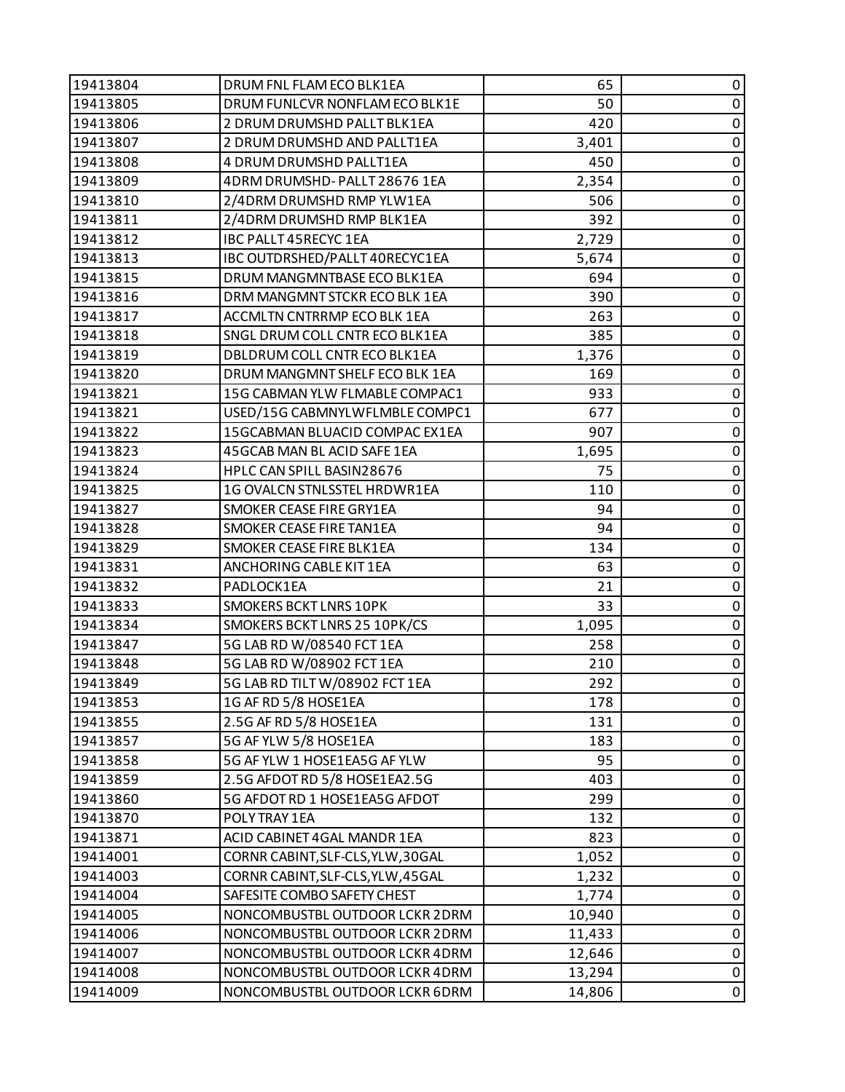| 19413804 | DRUM FNL FLAM ECO BLK1EA          | 65     | 0           |
|----------|-----------------------------------|--------|-------------|
| 19413805 | DRUM FUNLCVR NONFLAM ECO BLK1E    | 50     | $\pmb{0}$   |
| 19413806 | 2 DRUM DRUMSHD PALLT BLK1EA       | 420    | 0           |
| 19413807 | 2 DRUM DRUMSHD AND PALLT1EA       | 3,401  | $\pmb{0}$   |
| 19413808 | 4 DRUM DRUMSHD PALLT1EA           | 450    | $\pmb{0}$   |
| 19413809 | 4DRM DRUMSHD-PALLT 28676 1EA      | 2,354  | 0           |
| 19413810 | 2/4DRM DRUMSHD RMP YLW1EA         | 506    | $\pmb{0}$   |
| 19413811 | 2/4DRM DRUMSHD RMP BLK1EA         | 392    | $\pmb{0}$   |
| 19413812 | <b>IBC PALLT 45RECYC 1EA</b>      | 2,729  | 0           |
| 19413813 | IBC OUTDRSHED/PALLT 40RECYC1EA    | 5,674  | $\pmb{0}$   |
| 19413815 | DRUM MANGMNTBASE ECO BLK1EA       | 694    | $\pmb{0}$   |
| 19413816 | DRM MANGMNT STCKR ECO BLK 1EA     | 390    | 0           |
| 19413817 | ACCMLTN CNTRRMP ECO BLK 1EA       | 263    | $\pmb{0}$   |
| 19413818 | SNGL DRUM COLL CNTR ECO BLK1EA    | 385    | $\pmb{0}$   |
| 19413819 | DBLDRUM COLL CNTR ECO BLK1EA      | 1,376  | 0           |
| 19413820 | DRUM MANGMNT SHELF ECO BLK 1EA    | 169    | $\pmb{0}$   |
| 19413821 | 15G CABMAN YLW FLMABLE COMPAC1    | 933    | $\pmb{0}$   |
| 19413821 | USED/15G CABMNYLWFLMBLE COMPC1    | 677    | 0           |
| 19413822 | 15GCABMAN BLUACID COMPAC EX1EA    | 907    | $\pmb{0}$   |
| 19413823 | 45GCAB MAN BL ACID SAFE 1EA       | 1,695  | $\pmb{0}$   |
| 19413824 | HPLC CAN SPILL BASIN28676         | 75     | 0           |
| 19413825 | 1G OVALCN STNLSSTEL HRDWR1EA      | 110    | $\pmb{0}$   |
| 19413827 | SMOKER CEASE FIRE GRY1EA          | 94     | 0           |
| 19413828 | SMOKER CEASE FIRE TAN1EA          | 94     | 0           |
| 19413829 | SMOKER CEASE FIRE BLK1EA          | 134    | $\pmb{0}$   |
| 19413831 | ANCHORING CABLE KIT 1EA           | 63     | $\pmb{0}$   |
| 19413832 | PADLOCK1EA                        | 21     | 0           |
| 19413833 | <b>SMOKERS BCKT LNRS 10PK</b>     | 33     | $\pmb{0}$   |
| 19413834 | SMOKERS BCKT LNRS 25 10PK/CS      | 1,095  | $\pmb{0}$   |
| 19413847 | 5G LAB RD W/08540 FCT 1EA         | 258    | $\pmb{0}$   |
| 19413848 | 5G LAB RD W/08902 FCT 1EA         | 210    | $\pmb{0}$   |
| 19413849 | 5G LAB RD TILT W/08902 FCT 1EA    | 292    | $\pmb{0}$   |
| 19413853 | 1G AF RD 5/8 HOSE1EA              | 178    | 0           |
| 19413855 | 2.5G AF RD 5/8 HOSE1EA            | 131    | 0           |
| 19413857 | 5G AF YLW 5/8 HOSE1EA             | 183    | $\pmb{0}$   |
| 19413858 | 5G AF YLW 1 HOSE1EA5G AF YLW      | 95     | $\pmb{0}$   |
| 19413859 | 2.5G AFDOT RD 5/8 HOSE1EA2.5G     | 403    | $\mathbf 0$ |
| 19413860 | 5G AFDOT RD 1 HOSE1EA5G AFDOT     | 299    | $\pmb{0}$   |
| 19413870 | POLY TRAY 1EA                     | 132    | 0           |
| 19413871 | ACID CABINET 4GAL MANDR 1EA       | 823    | 0           |
| 19414001 | CORNR CABINT, SLF-CLS, YLW, 30GAL | 1,052  | $\pmb{0}$   |
| 19414003 | CORNR CABINT, SLF-CLS, YLW, 45GAL | 1,232  | 0           |
| 19414004 | SAFESITE COMBO SAFETY CHEST       | 1,774  | $\mathbf 0$ |
| 19414005 | NONCOMBUSTBL OUTDOOR LCKR 2DRM    | 10,940 | $\pmb{0}$   |
| 19414006 | NONCOMBUSTBL OUTDOOR LCKR 2DRM    | 11,433 | $\pmb{0}$   |
| 19414007 | NONCOMBUSTBL OUTDOOR LCKR 4DRM    | 12,646 | $\pmb{0}$   |
| 19414008 | NONCOMBUSTBL OUTDOOR LCKR 4DRM    | 13,294 | $\pmb{0}$   |
| 19414009 | NONCOMBUSTBL OUTDOOR LCKR 6DRM    | 14,806 | $\mathbf 0$ |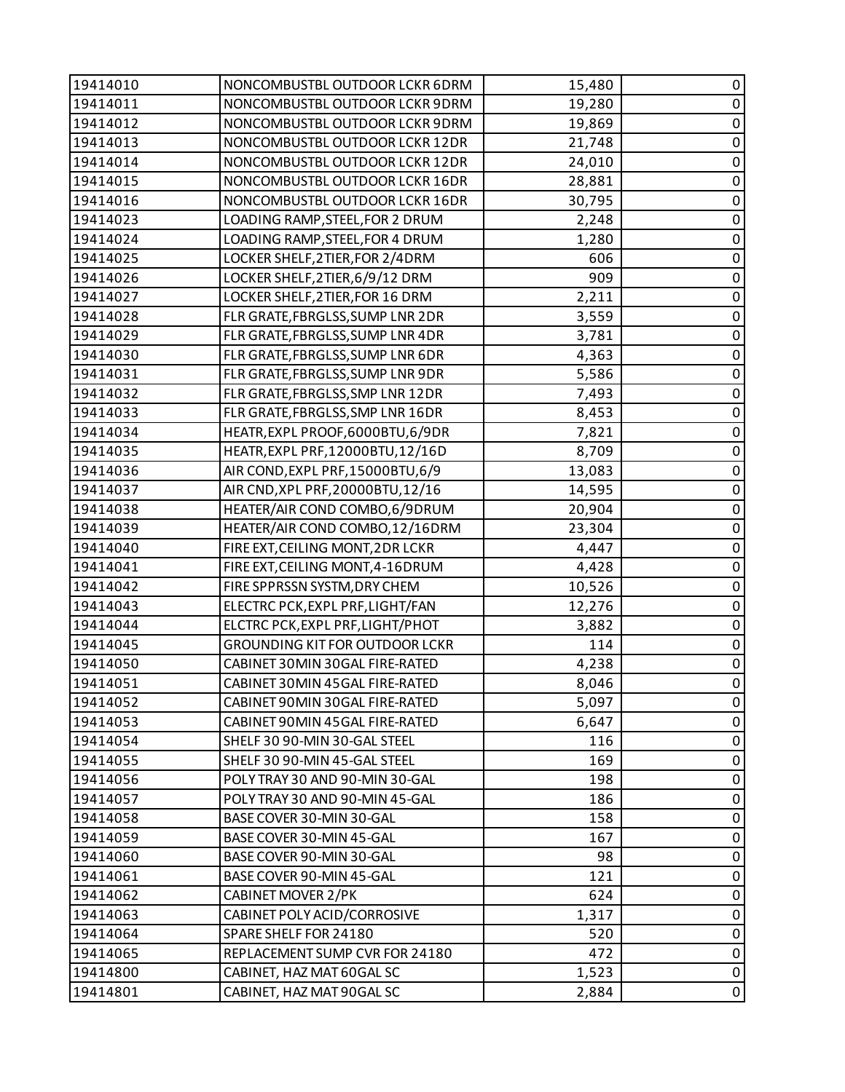| 19414010 | NONCOMBUSTBL OUTDOOR LCKR 6DRM        | 15,480 | 0           |
|----------|---------------------------------------|--------|-------------|
| 19414011 | NONCOMBUSTBL OUTDOOR LCKR 9DRM        | 19,280 | $\pmb{0}$   |
| 19414012 | NONCOMBUSTBL OUTDOOR LCKR 9DRM        | 19,869 | 0           |
| 19414013 | NONCOMBUSTBL OUTDOOR LCKR 12DR        | 21,748 | $\pmb{0}$   |
| 19414014 | NONCOMBUSTBL OUTDOOR LCKR 12DR        | 24,010 | $\pmb{0}$   |
| 19414015 | NONCOMBUSTBL OUTDOOR LCKR 16DR        | 28,881 | 0           |
| 19414016 | NONCOMBUSTBL OUTDOOR LCKR 16DR        | 30,795 | $\pmb{0}$   |
| 19414023 | LOADING RAMP, STEEL, FOR 2 DRUM       | 2,248  | $\mathbf 0$ |
| 19414024 | LOADING RAMP, STEEL, FOR 4 DRUM       | 1,280  | 0           |
| 19414025 | LOCKER SHELF, 2TIER, FOR 2/4DRM       | 606    | $\pmb{0}$   |
| 19414026 | LOCKER SHELF, 2TIER, 6/9/12 DRM       | 909    | $\pmb{0}$   |
| 19414027 | LOCKER SHELF, 2TIER, FOR 16 DRM       | 2,211  | 0           |
| 19414028 | FLR GRATE, FBRGLSS, SUMP LNR 2DR      | 3,559  | $\pmb{0}$   |
| 19414029 | FLR GRATE, FBRGLSS, SUMP LNR 4DR      | 3,781  | $\mathbf 0$ |
| 19414030 | FLR GRATE, FBRGLSS, SUMP LNR 6DR      | 4,363  | $\pmb{0}$   |
| 19414031 | FLR GRATE, FBRGLSS, SUMP LNR 9DR      | 5,586  | $\pmb{0}$   |
| 19414032 | FLR GRATE, FBRGLSS, SMP LNR 12DR      | 7,493  | $\pmb{0}$   |
| 19414033 | FLR GRATE, FBRGLSS, SMP LNR 16DR      | 8,453  | 0           |
| 19414034 | HEATR, EXPL PROOF, 6000BTU, 6/9DR     | 7,821  | $\pmb{0}$   |
| 19414035 | HEATR, EXPL PRF, 12000BTU, 12/16D     | 8,709  | $\pmb{0}$   |
| 19414036 | AIR COND, EXPL PRF, 15000BTU, 6/9     | 13,083 | $\pmb{0}$   |
| 19414037 | AIR CND, XPL PRF, 20000BTU, 12/16     | 14,595 | $\pmb{0}$   |
| 19414038 | HEATER/AIR COND COMBO, 6/9DRUM        | 20,904 | $\pmb{0}$   |
| 19414039 | HEATER/AIR COND COMBO, 12/16DRM       | 23,304 | 0           |
| 19414040 | FIRE EXT, CEILING MONT, 2DR LCKR      | 4,447  | $\pmb{0}$   |
| 19414041 | FIRE EXT, CEILING MONT, 4-16DRUM      | 4,428  | $\mathbf 0$ |
| 19414042 | FIRE SPPRSSN SYSTM, DRY CHEM          | 10,526 | $\pmb{0}$   |
| 19414043 | ELECTRC PCK, EXPL PRF, LIGHT/FAN      | 12,276 | $\pmb{0}$   |
| 19414044 | ELCTRC PCK, EXPL PRF, LIGHT/PHOT      | 3,882  | $\pmb{0}$   |
| 19414045 | <b>GROUNDING KIT FOR OUTDOOR LCKR</b> | 114    | $\pmb{0}$   |
| 19414050 | CABINET 30MIN 30GAL FIRE-RATED        | 4,238  | $\pmb{0}$   |
| 19414051 | CABINET 30MIN 45GAL FIRE-RATED        | 8,046  | $\mathbf 0$ |
| 19414052 | CABINET 90MIN 30GAL FIRE-RATED        | 5,097  | 0           |
| 19414053 | CABINET 90MIN 45GAL FIRE-RATED        | 6,647  | 0           |
| 19414054 | SHELF 30 90-MIN 30-GAL STEEL          | 116    | $\pmb{0}$   |
| 19414055 | SHELF 30 90-MIN 45-GAL STEEL          | 169    | 0           |
| 19414056 | POLY TRAY 30 AND 90-MIN 30-GAL        | 198    | 0           |
| 19414057 | POLY TRAY 30 AND 90-MIN 45-GAL        | 186    | 0           |
| 19414058 | BASE COVER 30-MIN 30-GAL              | 158    | 0           |
| 19414059 | BASE COVER 30-MIN 45-GAL              | 167    | 0           |
| 19414060 | BASE COVER 90-MIN 30-GAL              | 98     | $\mathbf 0$ |
| 19414061 | BASE COVER 90-MIN 45-GAL              | 121    | 0           |
| 19414062 | CABINET MOVER 2/PK                    | 624    | 0           |
| 19414063 | CABINET POLY ACID/CORROSIVE           | 1,317  | 0           |
| 19414064 | SPARE SHELF FOR 24180                 | 520    | 0           |
| 19414065 | REPLACEMENT SUMP CVR FOR 24180        | 472    | $\pmb{0}$   |
| 19414800 | CABINET, HAZ MAT 60GAL SC             | 1,523  | $\pmb{0}$   |
| 19414801 | CABINET, HAZ MAT 90GAL SC             | 2,884  | $\mathbf 0$ |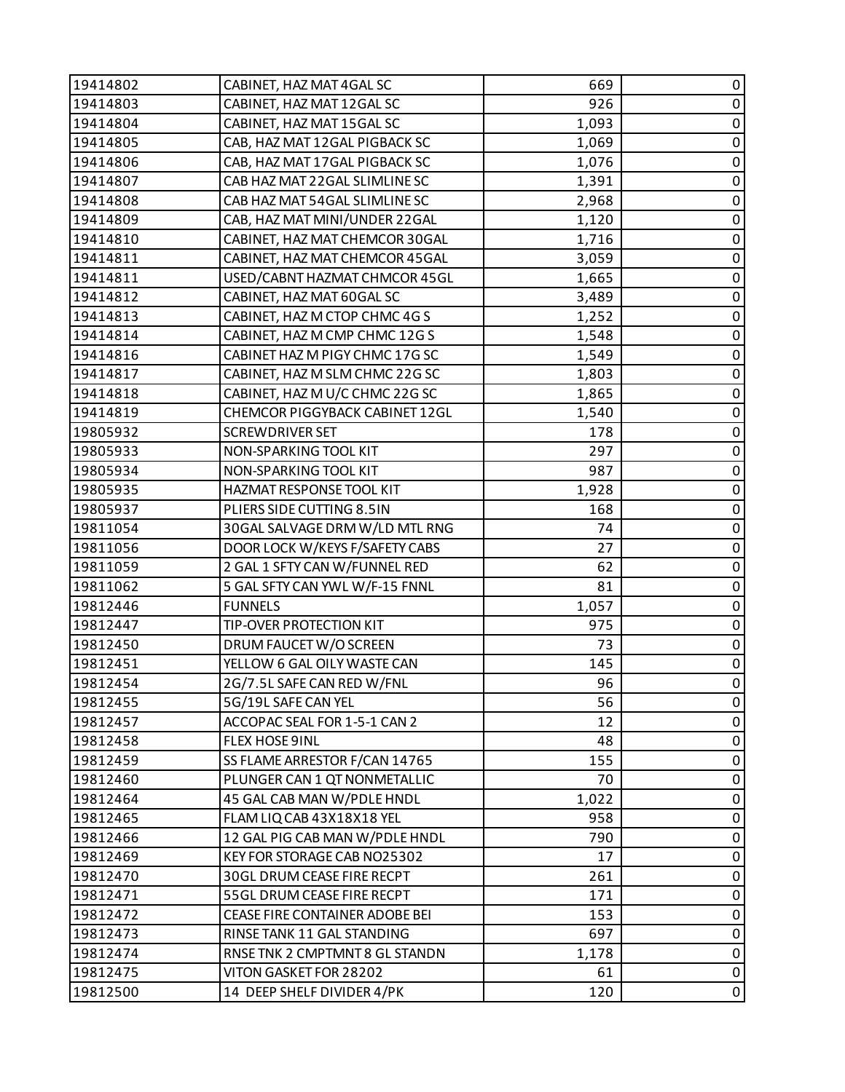| 19414802 | CABINET, HAZ MAT 4GAL SC       | 669   | 0           |
|----------|--------------------------------|-------|-------------|
| 19414803 | CABINET, HAZ MAT 12GAL SC      | 926   | $\pmb{0}$   |
| 19414804 | CABINET, HAZ MAT 15GAL SC      | 1,093 | 0           |
| 19414805 | CAB, HAZ MAT 12GAL PIGBACK SC  | 1,069 | $\mathbf 0$ |
| 19414806 | CAB, HAZ MAT 17GAL PIGBACK SC  | 1,076 | $\pmb{0}$   |
| 19414807 | CAB HAZ MAT 22 GAL SLIMLINE SC | 1,391 | 0           |
| 19414808 | CAB HAZ MAT 54GAL SLIMLINE SC  | 2,968 | 0           |
| 19414809 | CAB, HAZ MAT MINI/UNDER 22GAL  | 1,120 | $\pmb{0}$   |
| 19414810 | CABINET, HAZ MAT CHEMCOR 30GAL | 1,716 | 0           |
| 19414811 | CABINET, HAZ MAT CHEMCOR 45GAL | 3,059 | 0           |
| 19414811 | USED/CABNT HAZMAT CHMCOR 45GL  | 1,665 | $\pmb{0}$   |
| 19414812 | CABINET, HAZ MAT 60GAL SC      | 3,489 | 0           |
| 19414813 | CABINET, HAZ M CTOP CHMC 4G S  | 1,252 | $\pmb{0}$   |
| 19414814 | CABINET, HAZ M CMP CHMC 12G S  | 1,548 | $\pmb{0}$   |
| 19414816 | CABINET HAZ M PIGY CHMC 17G SC | 1,549 | 0           |
| 19414817 | CABINET, HAZ M SLM CHMC 22G SC | 1,803 | 0           |
| 19414818 | CABINET, HAZ M U/C CHMC 22G SC | 1,865 | 0           |
| 19414819 | CHEMCOR PIGGYBACK CABINET 12GL | 1,540 | 0           |
| 19805932 | <b>SCREWDRIVER SET</b>         | 178   | 0           |
| 19805933 | NON-SPARKING TOOL KIT          | 297   | $\pmb{0}$   |
| 19805934 | NON-SPARKING TOOL KIT          | 987   | 0           |
| 19805935 | HAZMAT RESPONSE TOOL KIT       | 1,928 | $\mathbf 0$ |
| 19805937 | PLIERS SIDE CUTTING 8.5IN      | 168   | $\pmb{0}$   |
| 19811054 | 30GAL SALVAGE DRM W/LD MTL RNG | 74    | 0           |
| 19811056 | DOOR LOCK W/KEYS F/SAFETY CABS | 27    | $\pmb{0}$   |
| 19811059 | 2 GAL 1 SFTY CAN W/FUNNEL RED  | 62    | $\pmb{0}$   |
| 19811062 | 5 GAL SFTY CAN YWL W/F-15 FNNL | 81    | 0           |
| 19812446 | <b>FUNNELS</b>                 | 1,057 | 0           |
| 19812447 | TIP-OVER PROTECTION KIT        | 975   | $\pmb{0}$   |
| 19812450 | DRUM FAUCET W/O SCREEN         | 73    | $\pmb{0}$   |
| 19812451 | YELLOW 6 GAL OILY WASTE CAN    | 145   | $\pmb{0}$   |
| 19812454 | 2G/7.5L SAFE CAN RED W/FNL     | 96    | $\pmb{0}$   |
| 19812455 | 5G/19L SAFE CAN YEL            | 56    | $\mathbf 0$ |
| 19812457 | ACCOPAC SEAL FOR 1-5-1 CAN 2   | 12    | 0           |
| 19812458 | FLEX HOSE 9INL                 | 48    | $\pmb{0}$   |
| 19812459 | SS FLAME ARRESTOR F/CAN 14765  | 155   | 0           |
| 19812460 | PLUNGER CAN 1 QT NONMETALLIC   | 70    | $\pmb{0}$   |
| 19812464 | 45 GAL CAB MAN W/PDLE HNDL     | 1,022 | $\pmb{0}$   |
| 19812465 | FLAM LIQ CAB 43X18X18 YEL      | 958   | 0           |
| 19812466 | 12 GAL PIG CAB MAN W/PDLE HNDL | 790   | $\pmb{0}$   |
| 19812469 | KEY FOR STORAGE CAB NO25302    | 17    | $\pmb{0}$   |
| 19812470 | 30GL DRUM CEASE FIRE RECPT     | 261   | 0           |
| 19812471 | 55GL DRUM CEASE FIRE RECPT     | 171   | $\pmb{0}$   |
| 19812472 | CEASE FIRE CONTAINER ADOBE BEI | 153   | $\pmb{0}$   |
| 19812473 | RINSE TANK 11 GAL STANDING     | 697   | 0           |
| 19812474 | RNSE TNK 2 CMPTMNT 8 GL STANDN | 1,178 | $\pmb{0}$   |
| 19812475 | VITON GASKET FOR 28202         | 61    | $\pmb{0}$   |
| 19812500 | 14 DEEP SHELF DIVIDER 4/PK     | 120   | $\pmb{0}$   |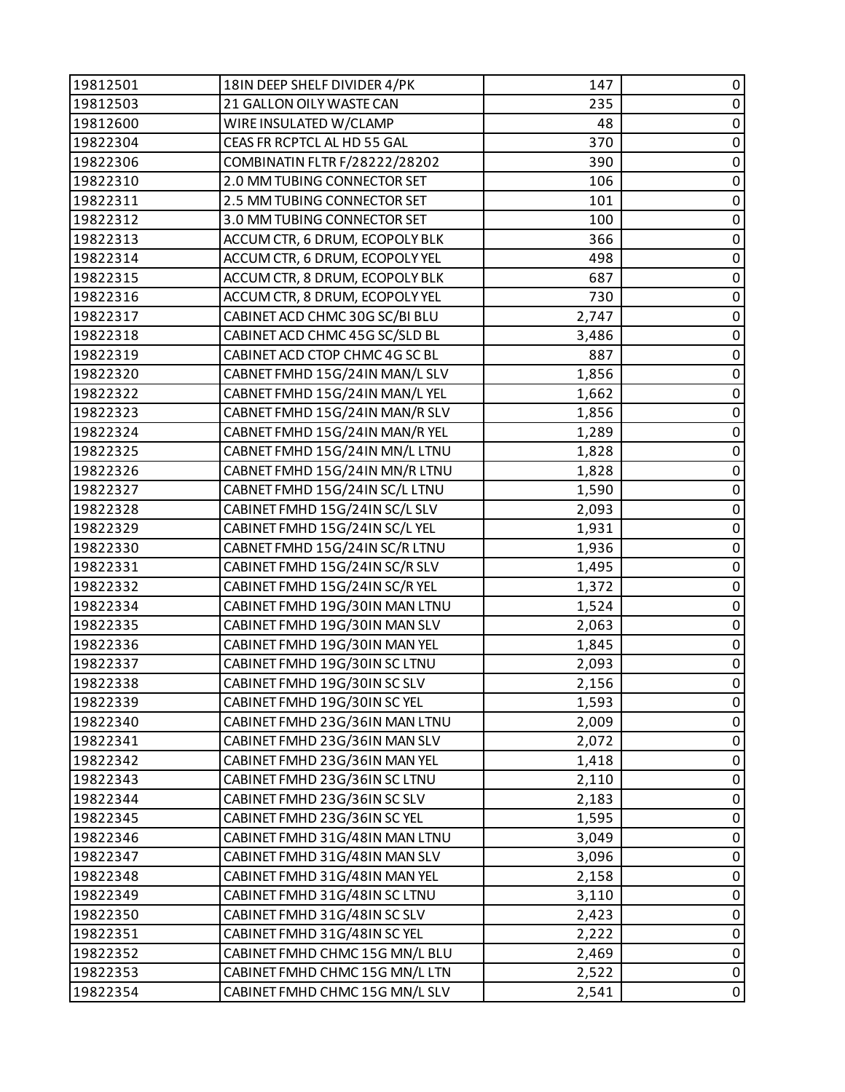| 19812501 | 18IN DEEP SHELF DIVIDER 4/PK   | 147   | 0           |
|----------|--------------------------------|-------|-------------|
| 19812503 | 21 GALLON OILY WASTE CAN       | 235   | $\pmb{0}$   |
| 19812600 | WIRE INSULATED W/CLAMP         | 48    | $\pmb{0}$   |
| 19822304 | CEAS FR RCPTCL AL HD 55 GAL    | 370   | $\pmb{0}$   |
| 19822306 | COMBINATIN FLTR F/28222/28202  | 390   | $\pmb{0}$   |
| 19822310 | 2.0 MM TUBING CONNECTOR SET    | 106   | $\pmb{0}$   |
| 19822311 | 2.5 MM TUBING CONNECTOR SET    | 101   | $\pmb{0}$   |
| 19822312 | 3.0 MM TUBING CONNECTOR SET    | 100   | $\pmb{0}$   |
| 19822313 | ACCUM CTR, 6 DRUM, ECOPOLY BLK | 366   | $\pmb{0}$   |
| 19822314 | ACCUM CTR, 6 DRUM, ECOPOLY YEL | 498   | $\pmb{0}$   |
| 19822315 | ACCUM CTR, 8 DRUM, ECOPOLY BLK | 687   | $\pmb{0}$   |
| 19822316 | ACCUM CTR, 8 DRUM, ECOPOLY YEL | 730   | 0           |
| 19822317 | CABINET ACD CHMC 30G SC/BI BLU | 2,747 | $\pmb{0}$   |
| 19822318 | CABINET ACD CHMC 45G SC/SLD BL | 3,486 | $\pmb{0}$   |
| 19822319 | CABINET ACD CTOP CHMC 4G SC BL | 887   | 0           |
| 19822320 | CABNET FMHD 15G/24IN MAN/L SLV | 1,856 | $\pmb{0}$   |
| 19822322 | CABNET FMHD 15G/24IN MAN/L YEL | 1,662 | $\pmb{0}$   |
| 19822323 | CABNET FMHD 15G/24IN MAN/R SLV | 1,856 | $\pmb{0}$   |
| 19822324 | CABNET FMHD 15G/24IN MAN/R YEL | 1,289 | $\pmb{0}$   |
| 19822325 | CABNET FMHD 15G/24IN MN/L LTNU | 1,828 | $\pmb{0}$   |
| 19822326 | CABNET FMHD 15G/24IN MN/R LTNU | 1,828 | 0           |
| 19822327 | CABNET FMHD 15G/24IN SC/L LTNU | 1,590 | $\pmb{0}$   |
| 19822328 | CABINET FMHD 15G/24IN SC/L SLV | 2,093 | $\pmb{0}$   |
| 19822329 | CABINET FMHD 15G/24IN SC/L YEL | 1,931 | 0           |
| 19822330 | CABNET FMHD 15G/24IN SC/R LTNU | 1,936 | $\pmb{0}$   |
| 19822331 | CABINET FMHD 15G/24IN SC/R SLV | 1,495 | $\pmb{0}$   |
| 19822332 | CABINET FMHD 15G/24IN SC/R YEL | 1,372 | 0           |
| 19822334 | CABINET FMHD 19G/30IN MAN LTNU | 1,524 | $\pmb{0}$   |
| 19822335 | CABINET FMHD 19G/30IN MAN SLV  | 2,063 | $\pmb{0}$   |
| 19822336 | CABINET FMHD 19G/30IN MAN YEL  | 1,845 | $\pmb{0}$   |
| 19822337 | CABINET FMHD 19G/30IN SC LTNU  | 2,093 | $\pmb{0}$   |
| 19822338 | CABINET FMHD 19G/30IN SC SLV   | 2,156 | $\pmb{0}$   |
| 19822339 | CABINET FMHD 19G/30IN SC YEL   | 1,593 | 0           |
| 19822340 | CABINET FMHD 23G/36IN MAN LTNU | 2,009 | 0           |
| 19822341 | CABINET FMHD 23G/36IN MAN SLV  | 2,072 | $\pmb{0}$   |
| 19822342 | CABINET FMHD 23G/36IN MAN YEL  | 1,418 | 0           |
| 19822343 | CABINET FMHD 23G/36IN SC LTNU  | 2,110 | $\mathbf 0$ |
| 19822344 | CABINET FMHD 23G/36IN SC SLV   | 2,183 | $\pmb{0}$   |
| 19822345 | CABINET FMHD 23G/36IN SC YEL   | 1,595 | 0           |
| 19822346 | CABINET FMHD 31G/48IN MAN LTNU | 3,049 | 0           |
| 19822347 | CABINET FMHD 31G/48IN MAN SLV  | 3,096 | $\pmb{0}$   |
| 19822348 | CABINET FMHD 31G/48IN MAN YEL  | 2,158 | 0           |
| 19822349 | CABINET FMHD 31G/48IN SC LTNU  | 3,110 | $\pmb{0}$   |
| 19822350 | CABINET FMHD 31G/48IN SC SLV   | 2,423 | $\pmb{0}$   |
| 19822351 | CABINET FMHD 31G/48IN SC YEL   | 2,222 | 0           |
| 19822352 | CABINET FMHD CHMC 15G MN/L BLU | 2,469 | $\pmb{0}$   |
| 19822353 | CABINET FMHD CHMC 15G MN/L LTN | 2,522 | $\pmb{0}$   |
| 19822354 | CABINET FMHD CHMC 15G MN/L SLV | 2,541 | $\pmb{0}$   |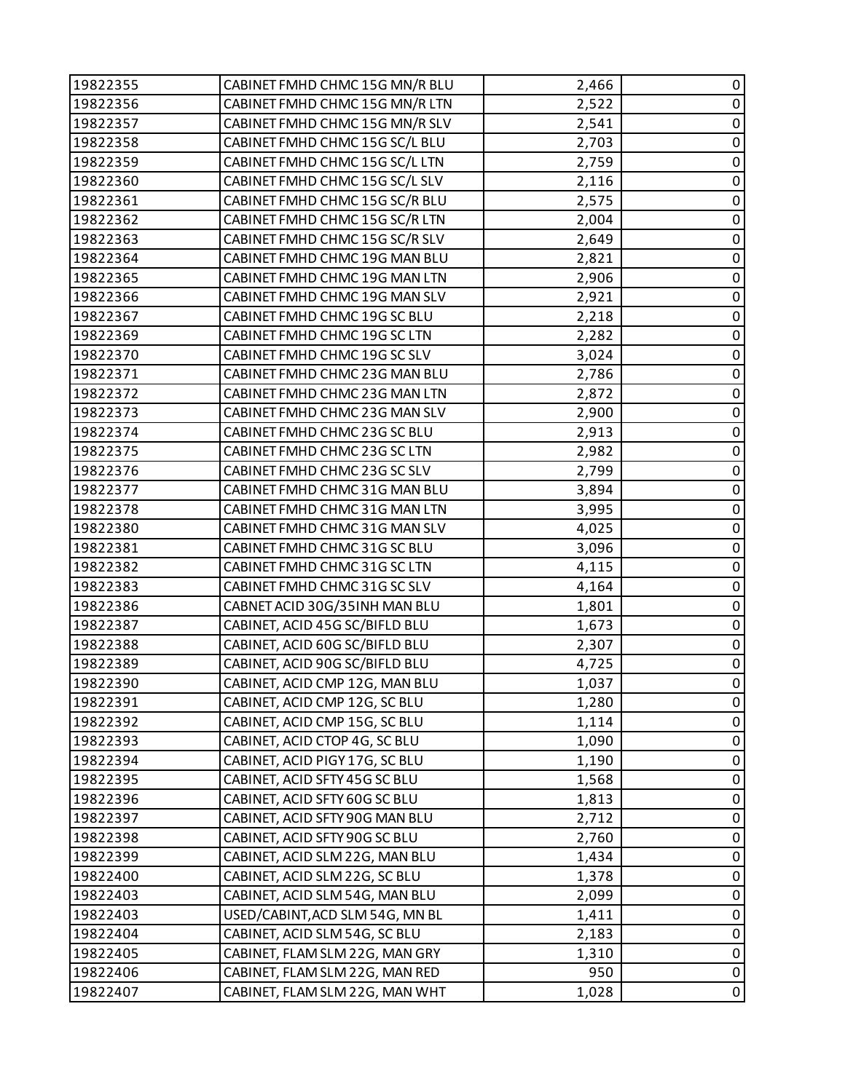| 19822355 | CABINET FMHD CHMC 15G MN/R BLU  | 2,466 | 0           |
|----------|---------------------------------|-------|-------------|
| 19822356 | CABINET FMHD CHMC 15G MN/R LTN  | 2,522 | 0           |
| 19822357 | CABINET FMHD CHMC 15G MN/R SLV  | 2,541 | 0           |
| 19822358 | CABINET FMHD CHMC 15G SC/L BLU  | 2,703 | $\pmb{0}$   |
| 19822359 | CABINET FMHD CHMC 15G SC/L LTN  | 2,759 | $\pmb{0}$   |
| 19822360 | CABINET FMHD CHMC 15G SC/L SLV  | 2,116 | 0           |
| 19822361 | CABINET FMHD CHMC 15G SC/R BLU  | 2,575 | $\pmb{0}$   |
| 19822362 | CABINET FMHD CHMC 15G SC/R LTN  | 2,004 | $\pmb{0}$   |
| 19822363 | CABINET FMHD CHMC 15G SC/R SLV  | 2,649 | 0           |
| 19822364 | CABINET FMHD CHMC 19G MAN BLU   | 2,821 | $\pmb{0}$   |
| 19822365 | CABINET FMHD CHMC 19G MAN LTN   | 2,906 | $\pmb{0}$   |
| 19822366 | CABINET FMHD CHMC 19G MAN SLV   | 2,921 | 0           |
| 19822367 | CABINET FMHD CHMC 19G SC BLU    | 2,218 | $\pmb{0}$   |
| 19822369 | CABINET FMHD CHMC 19G SC LTN    | 2,282 | $\pmb{0}$   |
| 19822370 | CABINET FMHD CHMC 19G SC SLV    | 3,024 | 0           |
| 19822371 | CABINET FMHD CHMC 23G MAN BLU   | 2,786 | $\pmb{0}$   |
| 19822372 | CABINET FMHD CHMC 23G MAN LTN   | 2,872 | $\pmb{0}$   |
| 19822373 | CABINET FMHD CHMC 23G MAN SLV   | 2,900 | 0           |
| 19822374 | CABINET FMHD CHMC 23G SC BLU    | 2,913 | $\pmb{0}$   |
| 19822375 | CABINET FMHD CHMC 23G SC LTN    | 2,982 | $\pmb{0}$   |
| 19822376 | CABINET FMHD CHMC 23G SC SLV    | 2,799 | 0           |
| 19822377 | CABINET FMHD CHMC 31G MAN BLU   | 3,894 | $\pmb{0}$   |
| 19822378 | CABINET FMHD CHMC 31G MAN LTN   | 3,995 | $\pmb{0}$   |
| 19822380 | CABINET FMHD CHMC 31G MAN SLV   | 4,025 | 0           |
| 19822381 | CABINET FMHD CHMC 31G SC BLU    | 3,096 | $\pmb{0}$   |
| 19822382 | CABINET FMHD CHMC 31G SC LTN    | 4,115 | $\pmb{0}$   |
| 19822383 | CABINET FMHD CHMC 31G SC SLV    | 4,164 | 0           |
| 19822386 | CABNET ACID 30G/35INH MAN BLU   | 1,801 | $\pmb{0}$   |
| 19822387 | CABINET, ACID 45G SC/BIFLD BLU  | 1,673 | $\pmb{0}$   |
| 19822388 | CABINET, ACID 60G SC/BIFLD BLU  | 2,307 | $\pmb{0}$   |
| 19822389 | CABINET, ACID 90G SC/BIFLD BLU  | 4,725 | $\pmb{0}$   |
| 19822390 | CABINET, ACID CMP 12G, MAN BLU  | 1,037 | $\pmb{0}$   |
| 19822391 | CABINET, ACID CMP 12G, SC BLU   | 1,280 | 0           |
| 19822392 | CABINET, ACID CMP 15G, SC BLU   | 1,114 | 0           |
| 19822393 | CABINET, ACID CTOP 4G, SC BLU   | 1,090 | $\pmb{0}$   |
| 19822394 | CABINET, ACID PIGY 17G, SC BLU  | 1,190 | 0           |
| 19822395 | CABINET, ACID SFTY 45G SC BLU   | 1,568 | 0           |
| 19822396 | CABINET, ACID SFTY 60G SC BLU   | 1,813 | 0           |
| 19822397 | CABINET, ACID SFTY 90G MAN BLU  | 2,712 | 0           |
| 19822398 | CABINET, ACID SFTY 90G SC BLU   | 2,760 | 0           |
| 19822399 | CABINET, ACID SLM 22G, MAN BLU  | 1,434 | $\pmb{0}$   |
| 19822400 | CABINET, ACID SLM 22G, SC BLU   | 1,378 | 0           |
| 19822403 | CABINET, ACID SLM 54G, MAN BLU  | 2,099 | $\pmb{0}$   |
| 19822403 | USED/CABINT, ACD SLM 54G, MN BL | 1,411 | $\mathbf 0$ |
| 19822404 | CABINET, ACID SLM 54G, SC BLU   | 2,183 | 0           |
| 19822405 | CABINET, FLAM SLM 22G, MAN GRY  | 1,310 | $\pmb{0}$   |
| 19822406 | CABINET, FLAM SLM 22G, MAN RED  | 950   | $\pmb{0}$   |
| 19822407 | CABINET, FLAM SLM 22G, MAN WHT  | 1,028 | $\pmb{0}$   |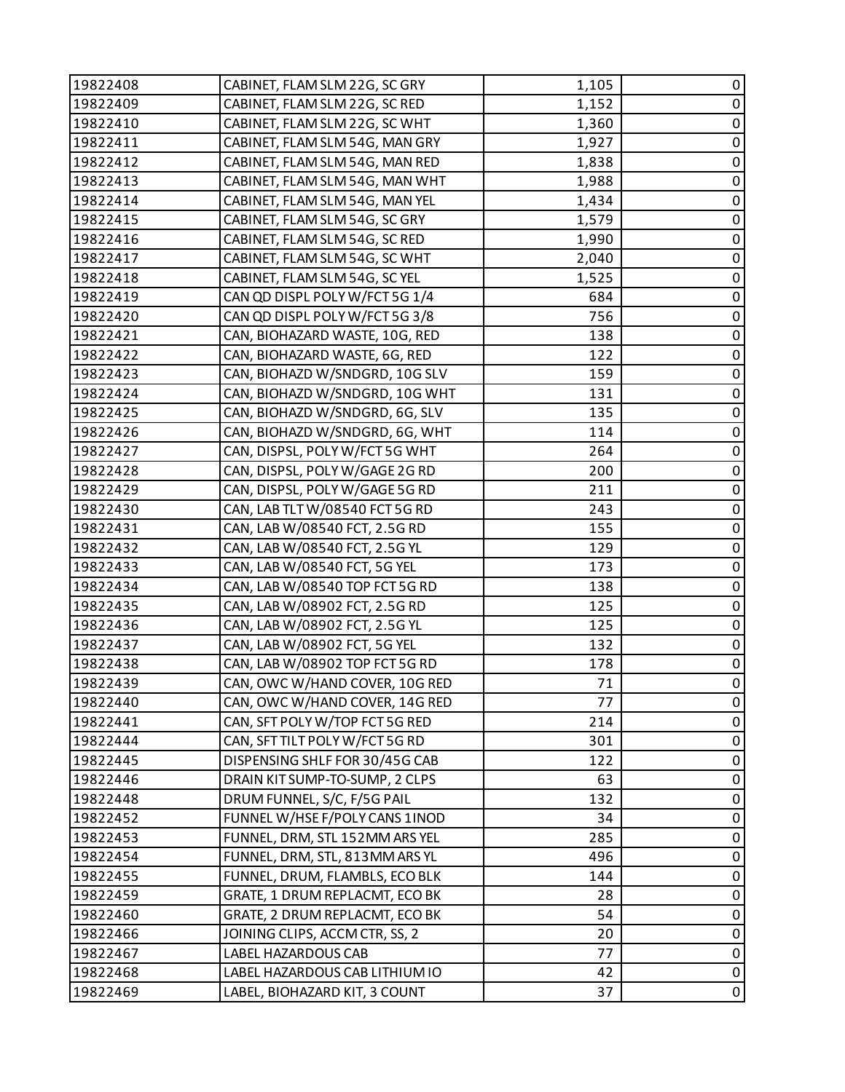| 19822408 | CABINET, FLAM SLM 22G, SC GRY  | 1,105 | 0           |
|----------|--------------------------------|-------|-------------|
| 19822409 | CABINET, FLAM SLM 22G, SC RED  | 1,152 | 0           |
| 19822410 | CABINET, FLAM SLM 22G, SC WHT  | 1,360 | 0           |
| 19822411 | CABINET, FLAM SLM 54G, MAN GRY | 1,927 | $\pmb{0}$   |
| 19822412 | CABINET, FLAM SLM 54G, MAN RED | 1,838 | 0           |
| 19822413 | CABINET, FLAM SLM 54G, MAN WHT | 1,988 | $\pmb{0}$   |
| 19822414 | CABINET, FLAM SLM 54G, MAN YEL | 1,434 | $\pmb{0}$   |
| 19822415 | CABINET, FLAM SLM 54G, SC GRY  | 1,579 | 0           |
| 19822416 | CABINET, FLAM SLM 54G, SC RED  | 1,990 | $\pmb{0}$   |
| 19822417 | CABINET, FLAM SLM 54G, SC WHT  | 2,040 | $\pmb{0}$   |
| 19822418 | CABINET, FLAM SLM 54G, SC YEL  | 1,525 | 0           |
| 19822419 | CAN QD DISPL POLY W/FCT 5G 1/4 | 684   | $\pmb{0}$   |
| 19822420 | CAN QD DISPL POLY W/FCT 5G 3/8 | 756   | $\pmb{0}$   |
| 19822421 | CAN, BIOHAZARD WASTE, 10G, RED | 138   | $\mathbf 0$ |
| 19822422 | CAN, BIOHAZARD WASTE, 6G, RED  | 122   | $\pmb{0}$   |
| 19822423 | CAN, BIOHAZD W/SNDGRD, 10G SLV | 159   | $\pmb{0}$   |
| 19822424 | CAN, BIOHAZD W/SNDGRD, 10G WHT | 131   | 0           |
| 19822425 | CAN, BIOHAZD W/SNDGRD, 6G, SLV | 135   | $\pmb{0}$   |
| 19822426 | CAN, BIOHAZD W/SNDGRD, 6G, WHT | 114   | $\pmb{0}$   |
| 19822427 | CAN, DISPSL, POLY W/FCT 5G WHT | 264   | 0           |
| 19822428 | CAN, DISPSL, POLY W/GAGE 2G RD | 200   | $\pmb{0}$   |
| 19822429 | CAN, DISPSL, POLY W/GAGE 5G RD | 211   | $\pmb{0}$   |
| 19822430 | CAN, LAB TLT W/08540 FCT 5G RD | 243   | 0           |
| 19822431 | CAN, LAB W/08540 FCT, 2.5G RD  | 155   | $\pmb{0}$   |
| 19822432 | CAN, LAB W/08540 FCT, 2.5G YL  | 129   | $\pmb{0}$   |
| 19822433 | CAN, LAB W/08540 FCT, 5G YEL   | 173   | $\mathbf 0$ |
| 19822434 | CAN, LAB W/08540 TOP FCT 5G RD | 138   | $\pmb{0}$   |
| 19822435 | CAN, LAB W/08902 FCT, 2.5G RD  | 125   | $\pmb{0}$   |
| 19822436 | CAN, LAB W/08902 FCT, 2.5G YL  | 125   | $\pmb{0}$   |
| 19822437 | CAN, LAB W/08902 FCT, 5G YEL   | 132   | $\pmb{0}$   |
| 19822438 | CAN, LAB W/08902 TOP FCT 5G RD | 178   | $\pmb{0}$   |
| 19822439 | CAN, OWC W/HAND COVER, 10G RED | 71    | $\pmb{0}$   |
| 19822440 | CAN, OWC W/HAND COVER, 14G RED | 77    | 0           |
| 19822441 | CAN, SFT POLY W/TOP FCT 5G RED | 214   | 0           |
| 19822444 | CAN, SFT TILT POLY W/FCT 5G RD | 301   | $\pmb{0}$   |
| 19822445 | DISPENSING SHLF FOR 30/45G CAB | 122   | $\pmb{0}$   |
| 19822446 | DRAIN KIT SUMP-TO-SUMP, 2 CLPS | 63    | $\pmb{0}$   |
| 19822448 | DRUM FUNNEL, S/C, F/5G PAIL    | 132   | 0           |
| 19822452 | FUNNEL W/HSE F/POLY CANS 1INOD | 34    | $\pmb{0}$   |
| 19822453 | FUNNEL, DRM, STL 152MM ARS YEL | 285   | $\pmb{0}$   |
| 19822454 | FUNNEL, DRM, STL, 813MM ARS YL | 496   | 0           |
| 19822455 | FUNNEL, DRUM, FLAMBLS, ECO BLK | 144   | $\pmb{0}$   |
| 19822459 | GRATE, 1 DRUM REPLACMT, ECO BK | 28    | $\pmb{0}$   |
| 19822460 | GRATE, 2 DRUM REPLACMT, ECO BK | 54    | 0           |
| 19822466 | JOINING CLIPS, ACCM CTR, SS, 2 | 20    | 0           |
| 19822467 | LABEL HAZARDOUS CAB            | 77    | $\pmb{0}$   |
| 19822468 | LABEL HAZARDOUS CAB LITHIUM IO | 42    | 0           |
| 19822469 | LABEL, BIOHAZARD KIT, 3 COUNT  | 37    | $\pmb{0}$   |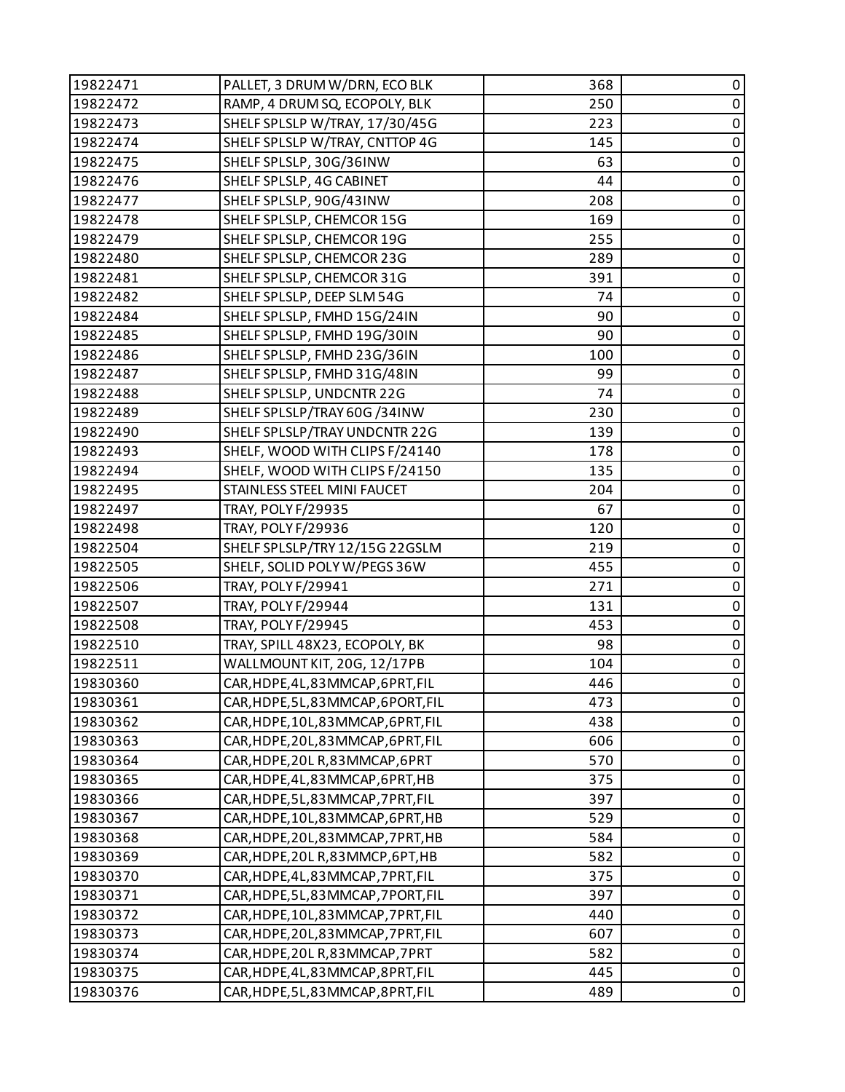| 19822471 | PALLET, 3 DRUM W/DRN, ECO BLK       | 368 | 0           |
|----------|-------------------------------------|-----|-------------|
| 19822472 | RAMP, 4 DRUM SQ, ECOPOLY, BLK       | 250 | $\pmb{0}$   |
| 19822473 | SHELF SPLSLP W/TRAY, 17/30/45G      | 223 | $\pmb{0}$   |
| 19822474 | SHELF SPLSLP W/TRAY, CNTTOP 4G      | 145 | $\pmb{0}$   |
| 19822475 | SHELF SPLSLP, 30G/36INW             | 63  | $\pmb{0}$   |
| 19822476 | SHELF SPLSLP, 4G CABINET            | 44  | $\pmb{0}$   |
| 19822477 | SHELF SPLSLP, 90G/43INW             | 208 | $\pmb{0}$   |
| 19822478 | SHELF SPLSLP, CHEMCOR 15G           | 169 | $\pmb{0}$   |
| 19822479 | SHELF SPLSLP, CHEMCOR 19G           | 255 | $\pmb{0}$   |
| 19822480 | SHELF SPLSLP, CHEMCOR 23G           | 289 | $\pmb{0}$   |
| 19822481 | SHELF SPLSLP, CHEMCOR 31G           | 391 | $\pmb{0}$   |
| 19822482 | SHELF SPLSLP, DEEP SLM 54G          | 74  | $\pmb{0}$   |
| 19822484 | SHELF SPLSLP, FMHD 15G/24IN         | 90  | $\pmb{0}$   |
| 19822485 | SHELF SPLSLP, FMHD 19G/30IN         | 90  | $\pmb{0}$   |
| 19822486 | SHELF SPLSLP, FMHD 23G/36IN         | 100 | 0           |
| 19822487 | SHELF SPLSLP, FMHD 31G/48IN         | 99  | $\pmb{0}$   |
| 19822488 | SHELF SPLSLP, UNDCNTR 22G           | 74  | $\pmb{0}$   |
| 19822489 | SHELF SPLSLP/TRAY 60G /34INW        | 230 | $\pmb{0}$   |
| 19822490 | SHELF SPLSLP/TRAY UNDCNTR 22G       | 139 | $\pmb{0}$   |
| 19822493 | SHELF, WOOD WITH CLIPS F/24140      | 178 | $\pmb{0}$   |
| 19822494 | SHELF, WOOD WITH CLIPS F/24150      | 135 | $\pmb{0}$   |
| 19822495 | STAINLESS STEEL MINI FAUCET         | 204 | $\pmb{0}$   |
| 19822497 | TRAY, POLY F/29935                  | 67  | $\pmb{0}$   |
| 19822498 | TRAY, POLY F/29936                  | 120 | $\pmb{0}$   |
| 19822504 | SHELF SPLSLP/TRY 12/15G 22GSLM      | 219 | $\pmb{0}$   |
| 19822505 | SHELF, SOLID POLY W/PEGS 36W        | 455 | $\pmb{0}$   |
| 19822506 | TRAY, POLY F/29941                  | 271 | $\pmb{0}$   |
| 19822507 | TRAY, POLY F/29944                  | 131 | $\pmb{0}$   |
| 19822508 | TRAY, POLY F/29945                  | 453 | $\pmb{0}$   |
| 19822510 | TRAY, SPILL 48X23, ECOPOLY, BK      | 98  | $\pmb{0}$   |
| 19822511 | WALLMOUNT KIT, 20G, 12/17PB         | 104 | $\pmb{0}$   |
| 19830360 | CAR, HDPE, 4L, 83 MMCAP, 6PRT, FIL  | 446 | $\mathsf 0$ |
| 19830361 | CAR, HDPE, 5L, 83 MMCAP, 6PORT, FIL | 473 | 0           |
| 19830362 | CAR,HDPE,10L,83MMCAP,6PRT,FIL       | 438 | 0           |
| 19830363 | CAR, HDPE, 20L, 83 MMCAP, 6PRT, FIL | 606 | $\mathbf 0$ |
| 19830364 | CAR, HDPE, 20LR, 83MMCAP, 6PRT      | 570 | 0           |
| 19830365 | CAR, HDPE, 4L, 83 MMCAP, 6PRT, HB   | 375 | $\mathbf 0$ |
| 19830366 | CAR, HDPE, 5L, 83 MMCAP, 7PRT, FIL  | 397 | 0           |
| 19830367 | CAR, HDPE, 10L, 83 MMCAP, 6PRT, HB  | 529 | 0           |
| 19830368 | CAR, HDPE, 20L, 83 MMCAP, 7PRT, HB  | 584 | $\pmb{0}$   |
| 19830369 | CAR, HDPE, 20LR, 83MMCP, 6PT, HB    | 582 | $\mathbf 0$ |
| 19830370 | CAR, HDPE, 4L, 83 MMCAP, 7PRT, FIL  | 375 | 0           |
| 19830371 | CAR, HDPE, 5L, 83 MMCAP, 7PORT, FIL | 397 | $\mathbf 0$ |
| 19830372 | CAR, HDPE, 10L, 83 MMCAP, 7PRT, FIL | 440 | $\mathbf 0$ |
| 19830373 | CAR,HDPE,20L,83MMCAP,7PRT,FIL       | 607 | 0           |
| 19830374 | CAR, HDPE, 20LR, 83MMCAP, 7PRT      | 582 | $\pmb{0}$   |
| 19830375 | CAR, HDPE, 4L, 83 MMCAP, 8PRT, FIL  | 445 | $\pmb{0}$   |
| 19830376 | CAR, HDPE, 5L, 83MMCAP, 8PRT, FIL   | 489 | 0           |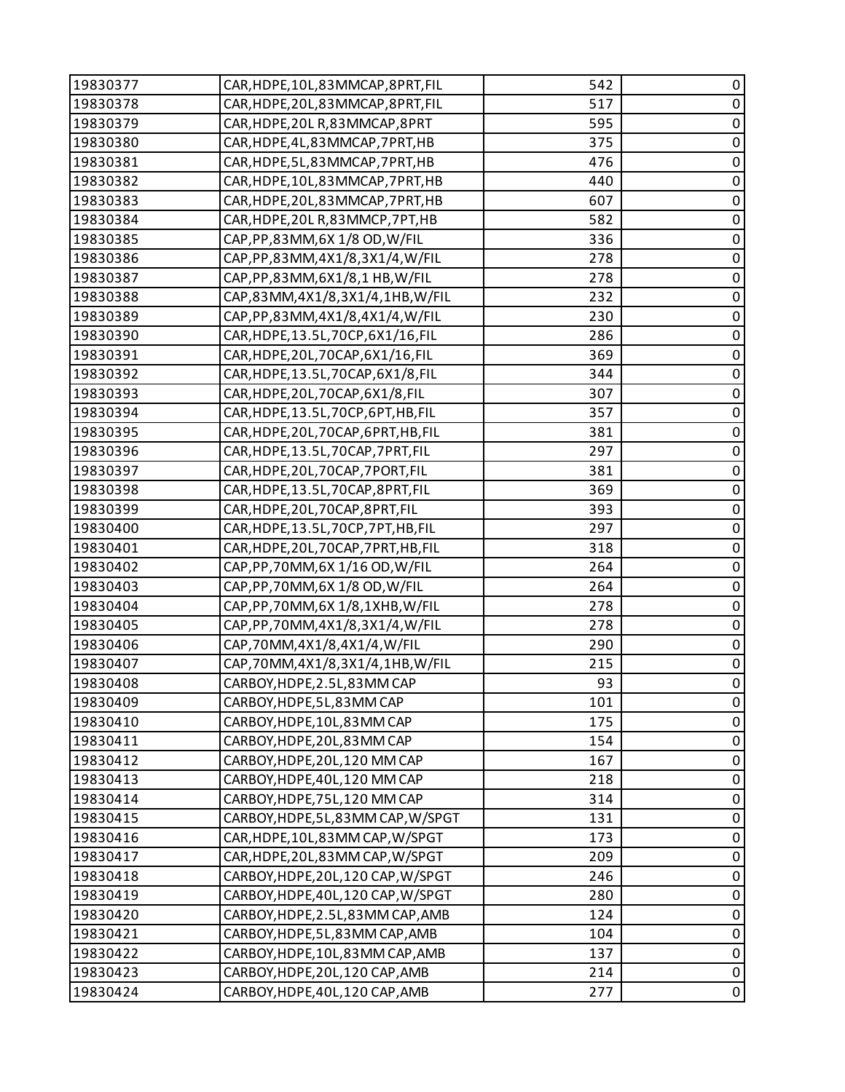| 19830377 | CAR, HDPE, 10L, 83 MMCAP, 8PRT, FIL  | 542 | 0           |
|----------|--------------------------------------|-----|-------------|
| 19830378 | CAR, HDPE, 20L, 83 MMCAP, 8PRT, FIL  | 517 | $\pmb{0}$   |
| 19830379 | CAR, HDPE, 20L R, 83 MMCAP, 8PRT     | 595 | 0           |
| 19830380 | CAR, HDPE, 4L, 83MMCAP, 7PRT, HB     | 375 | $\mathbf 0$ |
| 19830381 | CAR, HDPE, 5L, 83MMCAP, 7PRT, HB     | 476 | $\pmb{0}$   |
| 19830382 | CAR, HDPE, 10L, 83 MMCAP, 7PRT, HB   | 440 | 0           |
| 19830383 | CAR, HDPE, 20L, 83 MMCAP, 7PRT, HB   | 607 | $\pmb{0}$   |
| 19830384 | CAR, HDPE, 20LR, 83MMCP, 7PT, HB     | 582 | $\mathbf 0$ |
| 19830385 | CAP, PP, 83MM, 6X 1/8 OD, W/FIL      | 336 | $\pmb{0}$   |
| 19830386 | CAP, PP, 83MM, 4X1/8, 3X1/4, W/FIL   | 278 | $\pmb{0}$   |
| 19830387 | CAP, PP, 83MM, 6X1/8, 1 HB, W/FIL    | 278 | $\pmb{0}$   |
| 19830388 | CAP,83MM,4X1/8,3X1/4,1HB,W/FIL       | 232 | 0           |
| 19830389 | CAP, PP, 83MM, 4X1/8, 4X1/4, W/FIL   | 230 | $\pmb{0}$   |
| 19830390 | CAR, HDPE, 13.5L, 70CP, 6X1/16, FIL  | 286 | $\mathbf 0$ |
| 19830391 | CAR, HDPE, 20L, 70CAP, 6X1/16, FIL   | 369 | $\pmb{0}$   |
| 19830392 | CAR, HDPE, 13.5L, 70CAP, 6X1/8, FIL  | 344 | $\pmb{0}$   |
| 19830393 | CAR, HDPE, 20L, 70CAP, 6X1/8, FIL    | 307 | $\pmb{0}$   |
| 19830394 | CAR, HDPE, 13.5L, 70CP, 6PT, HB, FIL | 357 | 0           |
| 19830395 | CAR, HDPE, 20L, 70CAP, 6PRT, HB, FIL | 381 | $\pmb{0}$   |
| 19830396 | CAR, HDPE, 13.5L, 70CAP, 7PRT, FIL   | 297 | $\mathbf 0$ |
| 19830397 | CAR, HDPE, 20L, 70CAP, 7PORT, FIL    | 381 | $\pmb{0}$   |
| 19830398 | CAR, HDPE, 13.5L, 70CAP, 8PRT, FIL   | 369 | 0           |
| 19830399 | CAR, HDPE, 20L, 70CAP, 8PRT, FIL     | 393 | $\pmb{0}$   |
| 19830400 | CAR, HDPE, 13.5L, 70CP, 7PT, HB, FIL | 297 | $\pmb{0}$   |
| 19830401 | CAR, HDPE, 20L, 70CAP, 7PRT, HB, FIL | 318 | $\pmb{0}$   |
| 19830402 | CAP, PP, 70MM, 6X 1/16 OD, W/FIL     | 264 | $\mathbf 0$ |
| 19830403 | CAP, PP, 70MM, 6X 1/8 OD, W/FIL      | 264 | $\pmb{0}$   |
| 19830404 | CAP, PP, 70MM, 6X 1/8, 1XHB, W/FIL   | 278 | $\mathbf 0$ |
| 19830405 | CAP, PP, 70MM, 4X1/8, 3X1/4, W/FIL   | 278 | $\pmb{0}$   |
| 19830406 | CAP,70MM,4X1/8,4X1/4,W/FIL           | 290 | $\pmb{0}$   |
| 19830407 | CAP,70MM,4X1/8,3X1/4,1HB,W/FIL       | 215 | $\pmb{0}$   |
| 19830408 | CARBOY, HDPE, 2.5L, 83MM CAP         | 93  | $\mathbf 0$ |
| 19830409 | CARBOY, HDPE, 5L, 83MM CAP           | 101 | 0           |
| 19830410 | CARBOY, HDPE, 10L, 83 MM CAP         | 175 | $\pmb{0}$   |
| 19830411 | CARBOY, HDPE, 20L, 83MM CAP          | 154 | $\pmb{0}$   |
| 19830412 | CARBOY, HDPE, 20L, 120 MM CAP        | 167 | $\pmb{0}$   |
| 19830413 | CARBOY, HDPE, 40L, 120 MM CAP        | 218 | $\mathbf 0$ |
| 19830414 | CARBOY, HDPE, 75L, 120 MM CAP        | 314 | $\mathbf 0$ |
| 19830415 | CARBOY, HDPE, 5L, 83MM CAP, W/SPGT   | 131 | 0           |
| 19830416 | CAR, HDPE, 10L, 83MM CAP, W/SPGT     | 173 | $\pmb{0}$   |
| 19830417 | CAR, HDPE, 20L, 83MM CAP, W/SPGT     | 209 | $\mathbf 0$ |
| 19830418 | CARBOY, HDPE, 20L, 120 CAP, W/SPGT   | 246 | 0           |
| 19830419 | CARBOY, HDPE, 40L, 120 CAP, W/SPGT   | 280 | $\mathbf 0$ |
| 19830420 | CARBOY, HDPE, 2.5L, 83MM CAP, AMB    | 124 | $\mathbf 0$ |
| 19830421 | CARBOY, HDPE, 5L, 83MM CAP, AMB      | 104 | $\pmb{0}$   |
| 19830422 | CARBOY, HDPE, 10L, 83MM CAP, AMB     | 137 | $\pmb{0}$   |
| 19830423 | CARBOY, HDPE, 20L, 120 CAP, AMB      | 214 | $\pmb{0}$   |
| 19830424 | CARBOY, HDPE, 40L, 120 CAP, AMB      | 277 | 0           |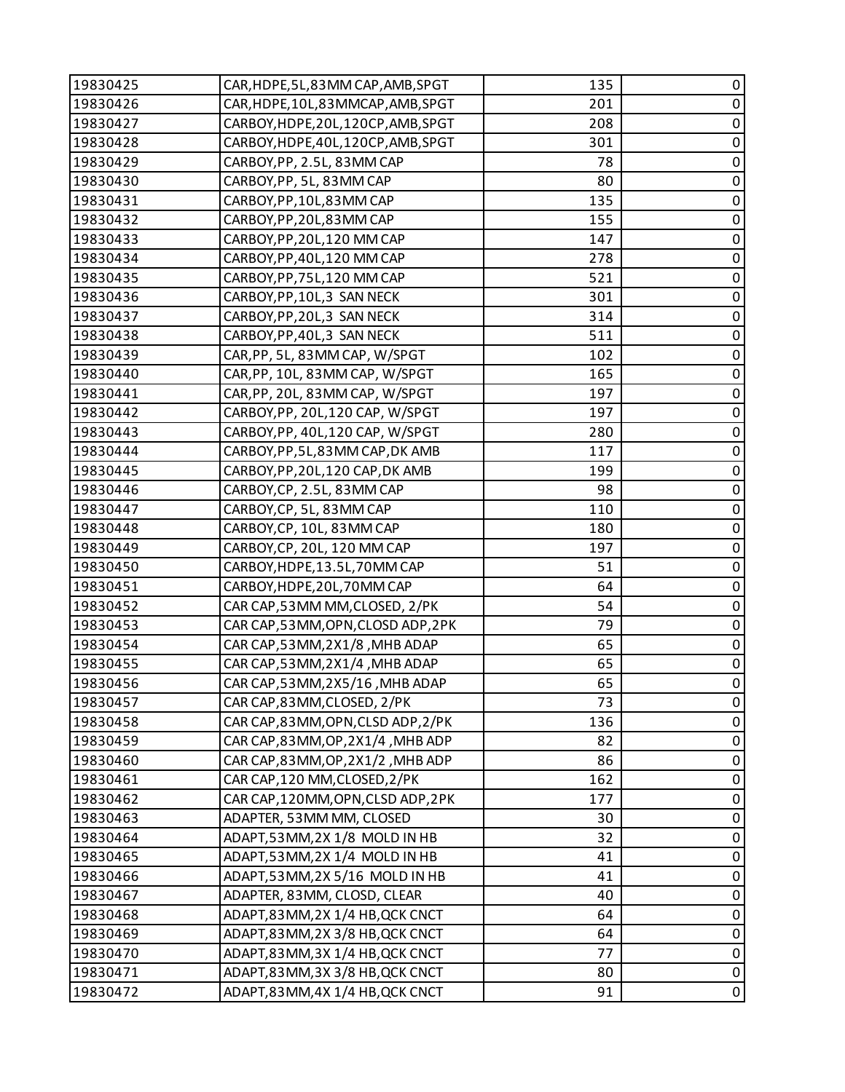| 19830425 | CAR, HDPE, 5L, 83MM CAP, AMB, SPGT  | 135 | 0           |
|----------|-------------------------------------|-----|-------------|
| 19830426 | CAR, HDPE, 10L, 83 MMCAP, AMB, SPGT | 201 | 0           |
| 19830427 | CARBOY, HDPE, 20L, 120CP, AMB, SPGT | 208 | 0           |
| 19830428 | CARBOY, HDPE, 40L, 120CP, AMB, SPGT | 301 | $\pmb{0}$   |
| 19830429 | CARBOY, PP, 2.5L, 83MM CAP          | 78  | $\pmb{0}$   |
| 19830430 | CARBOY, PP, 5L, 83MM CAP            | 80  | 0           |
| 19830431 | CARBOY, PP, 10L, 83MM CAP           | 135 | $\pmb{0}$   |
| 19830432 | CARBOY, PP, 20L, 83MM CAP           | 155 | $\mathbf 0$ |
| 19830433 | CARBOY, PP, 20L, 120 MM CAP         | 147 | $\pmb{0}$   |
| 19830434 | CARBOY, PP, 40L, 120 MM CAP         | 278 | $\pmb{0}$   |
| 19830435 | CARBOY, PP, 75L, 120 MM CAP         | 521 | 0           |
| 19830436 | CARBOY, PP, 10L, 3 SAN NECK         | 301 | 0           |
| 19830437 | CARBOY, PP, 20L, 3 SAN NECK         | 314 | $\pmb{0}$   |
| 19830438 | CARBOY, PP, 40L, 3 SAN NECK         | 511 | $\pmb{0}$   |
| 19830439 | CAR, PP, 5L, 83MM CAP, W/SPGT       | 102 | $\pmb{0}$   |
| 19830440 | CAR, PP, 10L, 83MM CAP, W/SPGT      | 165 | $\pmb{0}$   |
| 19830441 | CAR, PP, 20L, 83MM CAP, W/SPGT      | 197 | 0           |
| 19830442 | CARBOY, PP, 20L, 120 CAP, W/SPGT    | 197 | 0           |
| 19830443 | CARBOY, PP, 40L, 120 CAP, W/SPGT    | 280 | $\pmb{0}$   |
| 19830444 | CARBOY, PP, 5L, 83MM CAP, DK AMB    | 117 | $\mathbf 0$ |
| 19830445 | CARBOY, PP, 20L, 120 CAP, DK AMB    | 199 | $\pmb{0}$   |
| 19830446 | CARBOY, CP, 2.5L, 83MM CAP          | 98  | $\pmb{0}$   |
| 19830447 | CARBOY, CP, 5L, 83MM CAP            | 110 | $\pmb{0}$   |
| 19830448 | CARBOY, CP, 10L, 83MM CAP           | 180 | $\pmb{0}$   |
| 19830449 | CARBOY, CP, 20L, 120 MM CAP         | 197 | $\pmb{0}$   |
| 19830450 | CARBOY, HDPE, 13.5L, 70MM CAP       | 51  | $\mathbf 0$ |
| 19830451 | CARBOY, HDPE, 20L, 70MM CAP         | 64  | $\pmb{0}$   |
| 19830452 | CAR CAP, 53 MM MM, CLOSED, 2/PK     | 54  | $\pmb{0}$   |
| 19830453 | CAR CAP, 53 MM, OPN, CLOSD ADP, 2PK | 79  | $\pmb{0}$   |
| 19830454 | CAR CAP, 53 MM, 2X1/8, MHB ADAP     | 65  | $\pmb{0}$   |
| 19830455 | CAR CAP, 53 MM, 2X1/4, MHB ADAP     | 65  | $\pmb{0}$   |
| 19830456 | CAR CAP, 53 MM, 2X5/16, MHB ADAP    | 65  | $\pmb{0}$   |
| 19830457 | CAR CAP, 83 MM, CLOSED, 2/PK        | 73  | 0           |
| 19830458 | CAR CAP,83MM,OPN,CLSD ADP,2/PK      | 136 | 0           |
| 19830459 | CAR CAP, 83 MM, OP, 2X1/4, MHB ADP  | 82  | $\pmb{0}$   |
| 19830460 | CAR CAP, 83 MM, OP, 2X1/2, MHB ADP  | 86  | $\pmb{0}$   |
| 19830461 | CAR CAP, 120 MM, CLOSED, 2/PK       | 162 | $\pmb{0}$   |
| 19830462 | CAR CAP, 120MM, OPN, CLSD ADP, 2PK  | 177 | $\pmb{0}$   |
| 19830463 | ADAPTER, 53MM MM, CLOSED            | 30  | $\pmb{0}$   |
| 19830464 | ADAPT,53MM,2X 1/8 MOLD IN HB        | 32  | $\pmb{0}$   |
| 19830465 | ADAPT,53MM,2X 1/4 MOLD IN HB        | 41  | 0           |
| 19830466 | ADAPT,53MM,2X5/16 MOLD IN HB        | 41  | 0           |
| 19830467 | ADAPTER, 83MM, CLOSD, CLEAR         | 40  | $\pmb{0}$   |
| 19830468 | ADAPT,83MM,2X 1/4 HB, QCK CNCT      | 64  | $\pmb{0}$   |
| 19830469 | ADAPT,83MM,2X3/8 HB,QCK CNCT        | 64  | $\pmb{0}$   |
| 19830470 | ADAPT,83MM,3X 1/4 HB, QCK CNCT      | 77  | $\pmb{0}$   |
| 19830471 | ADAPT,83MM,3X 3/8 HB, QCK CNCT      | 80  | $\pmb{0}$   |
| 19830472 | ADAPT,83MM,4X 1/4 HB, QCK CNCT      | 91  | $\pmb{0}$   |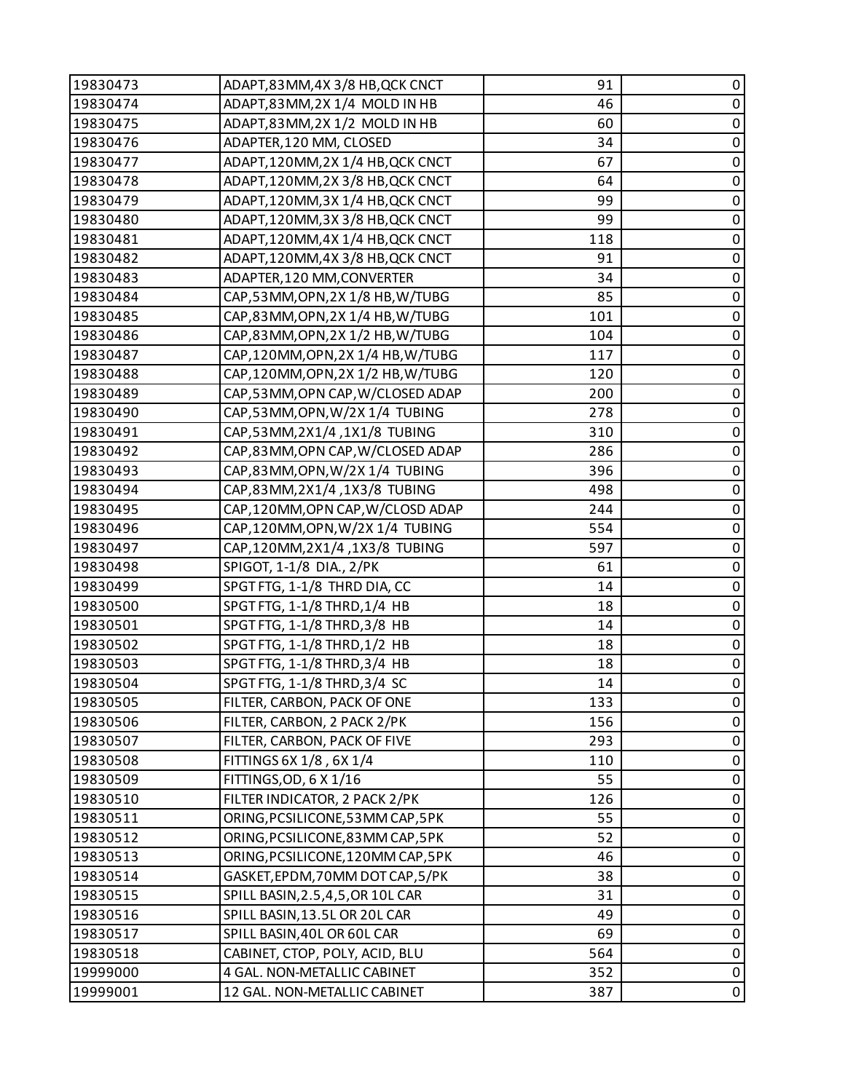| 19830473 | ADAPT,83MM,4X3/8 HB, QCK CNCT      | 91  | 0           |
|----------|------------------------------------|-----|-------------|
| 19830474 | ADAPT,83MM,2X 1/4 MOLD IN HB       | 46  | $\pmb{0}$   |
| 19830475 | ADAPT,83MM,2X 1/2 MOLD IN HB       | 60  | 0           |
| 19830476 | ADAPTER, 120 MM, CLOSED            | 34  | $\mathbf 0$ |
| 19830477 | ADAPT,120MM,2X 1/4 HB, QCK CNCT    | 67  | $\pmb{0}$   |
| 19830478 | ADAPT, 120MM, 2X 3/8 HB, QCK CNCT  | 64  | 0           |
| 19830479 | ADAPT, 120MM, 3X 1/4 HB, QCK CNCT  | 99  | 0           |
| 19830480 | ADAPT, 120MM, 3X 3/8 HB, QCK CNCT  | 99  | $\pmb{0}$   |
| 19830481 | ADAPT, 120MM, 4X 1/4 HB, QCK CNCT  | 118 | 0           |
| 19830482 | ADAPT, 120MM, 4X 3/8 HB, QCK CNCT  | 91  | 0           |
| 19830483 | ADAPTER, 120 MM, CONVERTER         | 34  | $\pmb{0}$   |
| 19830484 | CAP,53MM,OPN,2X 1/8 HB,W/TUBG      | 85  | 0           |
| 19830485 | CAP,83MM,OPN,2X 1/4 HB,W/TUBG      | 101 | $\mathbf 0$ |
| 19830486 | CAP,83MM,OPN,2X 1/2 HB,W/TUBG      | 104 | $\pmb{0}$   |
| 19830487 | CAP,120MM,OPN,2X 1/4 HB,W/TUBG     | 117 | 0           |
| 19830488 | CAP,120MM,OPN,2X 1/2 HB,W/TUBG     | 120 | 0           |
| 19830489 | CAP,53MM, OPN CAP, W/CLOSED ADAP   | 200 | $\pmb{0}$   |
| 19830490 | CAP,53MM,OPN,W/2X 1/4 TUBING       | 278 | 0           |
| 19830491 | CAP,53MM,2X1/4,1X1/8 TUBING        | 310 | 0           |
| 19830492 | CAP,83MM, OPN CAP, W/CLOSED ADAP   | 286 | $\pmb{0}$   |
| 19830493 | CAP,83MM,OPN,W/2X 1/4 TUBING       | 396 | 0           |
| 19830494 | CAP,83MM,2X1/4,1X3/8 TUBING        | 498 | 0           |
| 19830495 | CAP,120MM, OPN CAP, W/CLOSD ADAP   | 244 | $\pmb{0}$   |
| 19830496 | CAP,120MM,OPN,W/2X 1/4 TUBING      | 554 | 0           |
| 19830497 | CAP,120MM,2X1/4,1X3/8 TUBING       | 597 | $\mathbf 0$ |
| 19830498 | SPIGOT, 1-1/8 DIA., 2/PK           | 61  | $\pmb{0}$   |
| 19830499 | SPGT FTG, 1-1/8 THRD DIA, CC       | 14  | 0           |
| 19830500 | SPGT FTG, 1-1/8 THRD, 1/4 HB       | 18  | 0           |
| 19830501 | SPGT FTG, 1-1/8 THRD, 3/8 HB       | 14  | $\pmb{0}$   |
| 19830502 | SPGT FTG, 1-1/8 THRD, 1/2 HB       | 18  | $\pmb{0}$   |
| 19830503 | SPGT FTG, 1-1/8 THRD, 3/4 HB       | 18  | $\pmb{0}$   |
| 19830504 | SPGT FTG, 1-1/8 THRD, 3/4 SC       | 14  | $\mathbf 0$ |
| 19830505 | FILTER, CARBON, PACK OF ONE        | 133 | 0           |
| 19830506 | FILTER, CARBON, 2 PACK 2/PK        | 156 | 0           |
| 19830507 | FILTER, CARBON, PACK OF FIVE       | 293 | $\pmb{0}$   |
| 19830508 | FITTINGS 6X 1/8, 6X 1/4            | 110 | 0           |
| 19830509 | FITTINGS, OD, 6 X 1/16             | 55  | $\mathbf 0$ |
| 19830510 | FILTER INDICATOR, 2 PACK 2/PK      | 126 | $\pmb{0}$   |
| 19830511 | ORING, PCSILICONE, 53 MM CAP, 5PK  | 55  | 0           |
| 19830512 | ORING, PCSILICONE, 83MM CAP, 5PK   | 52  | $\pmb{0}$   |
| 19830513 | ORING, PCSILICONE, 120MM CAP, 5PK  | 46  | $\pmb{0}$   |
| 19830514 | GASKET, EPDM, 70MM DOT CAP, 5/PK   | 38  | 0           |
| 19830515 | SPILL BASIN, 2.5, 4, 5, OR 10L CAR | 31  | $\pmb{0}$   |
| 19830516 | SPILL BASIN, 13.5L OR 20L CAR      | 49  | $\pmb{0}$   |
| 19830517 | SPILL BASIN, 40L OR 60L CAR        | 69  | 0           |
| 19830518 | CABINET, CTOP, POLY, ACID, BLU     | 564 | $\pmb{0}$   |
| 19999000 | 4 GAL. NON-METALLIC CABINET        | 352 | $\pmb{0}$   |
| 19999001 | 12 GAL. NON-METALLIC CABINET       | 387 | 0           |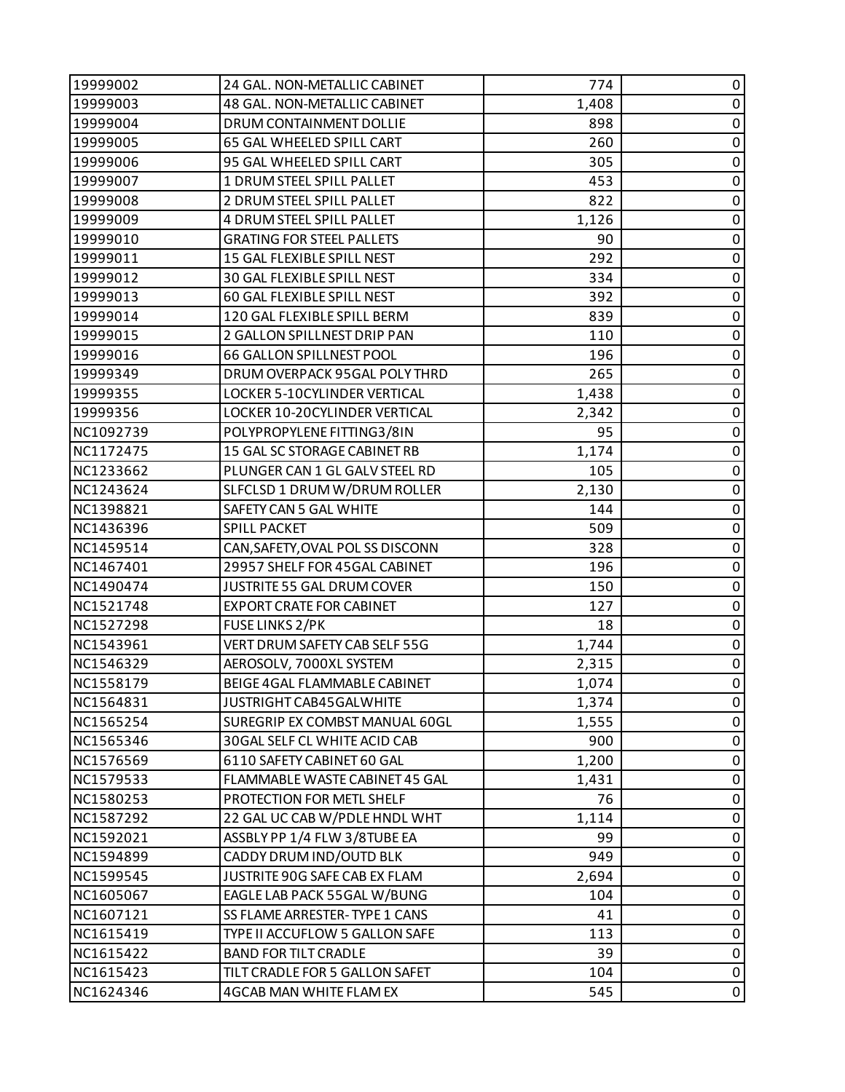| 19999002  | 24 GAL. NON-METALLIC CABINET     | 774   | 0           |
|-----------|----------------------------------|-------|-------------|
| 19999003  | 48 GAL. NON-METALLIC CABINET     | 1,408 | $\pmb{0}$   |
| 19999004  | DRUM CONTAINMENT DOLLIE          | 898   | 0           |
| 19999005  | 65 GAL WHEELED SPILL CART        | 260   | $\pmb{0}$   |
| 19999006  | 95 GAL WHEELED SPILL CART        | 305   | $\pmb{0}$   |
| 19999007  | 1 DRUM STEEL SPILL PALLET        | 453   | 0           |
| 19999008  | 2 DRUM STEEL SPILL PALLET        | 822   | $\pmb{0}$   |
| 19999009  | 4 DRUM STEEL SPILL PALLET        | 1,126 | $\pmb{0}$   |
| 19999010  | <b>GRATING FOR STEEL PALLETS</b> | 90    | 0           |
| 19999011  | 15 GAL FLEXIBLE SPILL NEST       | 292   | $\pmb{0}$   |
| 19999012  | 30 GAL FLEXIBLE SPILL NEST       | 334   | $\pmb{0}$   |
| 19999013  | 60 GAL FLEXIBLE SPILL NEST       | 392   | 0           |
| 19999014  | 120 GAL FLEXIBLE SPILL BERM      | 839   | $\pmb{0}$   |
| 19999015  | 2 GALLON SPILLNEST DRIP PAN      | 110   | $\mathbf 0$ |
| 19999016  | 66 GALLON SPILLNEST POOL         | 196   | 0           |
| 19999349  | DRUM OVERPACK 95GAL POLY THRD    | 265   | $\pmb{0}$   |
| 19999355  | LOCKER 5-10CYLINDER VERTICAL     | 1,438 | $\pmb{0}$   |
| 19999356  | LOCKER 10-20CYLINDER VERTICAL    | 2,342 | 0           |
| NC1092739 | POLYPROPYLENE FITTING3/8IN       | 95    | $\pmb{0}$   |
| NC1172475 | 15 GAL SC STORAGE CABINET RB     | 1,174 | $\pmb{0}$   |
| NC1233662 | PLUNGER CAN 1 GL GALV STEEL RD   | 105   | 0           |
| NC1243624 | SLFCLSD 1 DRUM W/DRUM ROLLER     | 2,130 | $\pmb{0}$   |
| NC1398821 | SAFETY CAN 5 GAL WHITE           | 144   | $\pmb{0}$   |
| NC1436396 | SPILL PACKET                     | 509   | 0           |
| NC1459514 | CAN, SAFETY, OVAL POL SS DISCONN | 328   | $\pmb{0}$   |
| NC1467401 | 29957 SHELF FOR 45GAL CABINET    | 196   | $\pmb{0}$   |
| NC1490474 | JUSTRITE 55 GAL DRUM COVER       | 150   | 0           |
| NC1521748 | <b>EXPORT CRATE FOR CABINET</b>  | 127   | $\pmb{0}$   |
| NC1527298 | <b>FUSE LINKS 2/PK</b>           | 18    | $\pmb{0}$   |
| NC1543961 | VERT DRUM SAFETY CAB SELF 55G    | 1,744 | $\pmb{0}$   |
| NC1546329 | AEROSOLV, 7000XL SYSTEM          | 2,315 | $\pmb{0}$   |
| NC1558179 | BEIGE 4GAL FLAMMABLE CABINET     | 1,074 | $\pmb{0}$   |
| NC1564831 | JUSTRIGHT CAB45GALWHITE          | 1,374 | 0           |
| NC1565254 | SUREGRIP EX COMBST MANUAL 60GL   | 1,555 | 0           |
| NC1565346 | 30GAL SELF CL WHITE ACID CAB     | 900   | $\pmb{0}$   |
| NC1576569 | 6110 SAFETY CABINET 60 GAL       | 1,200 | 0           |
| NC1579533 | FLAMMABLE WASTE CABINET 45 GAL   | 1,431 | 0           |
| NC1580253 | PROTECTION FOR METL SHELF        | 76    | 0           |
| NC1587292 | 22 GAL UC CAB W/PDLE HNDL WHT    | 1,114 | 0           |
| NC1592021 | ASSBLY PP 1/4 FLW 3/8TUBE EA     | 99    | 0           |
| NC1594899 | CADDY DRUM IND/OUTD BLK          | 949   | $\pmb{0}$   |
| NC1599545 | JUSTRITE 90G SAFE CAB EX FLAM    | 2,694 | 0           |
| NC1605067 | EAGLE LAB PACK 55GAL W/BUNG      | 104   | 0           |
| NC1607121 | SS FLAME ARRESTER-TYPE 1 CANS    | 41    | $\pmb{0}$   |
| NC1615419 | TYPE II ACCUFLOW 5 GALLON SAFE   | 113   | 0           |
| NC1615422 | <b>BAND FOR TILT CRADLE</b>      | 39    | $\pmb{0}$   |
| NC1615423 | TILT CRADLE FOR 5 GALLON SAFET   | 104   | $\pmb{0}$   |
| NC1624346 | 4GCAB MAN WHITE FLAM EX          | 545   | $\pmb{0}$   |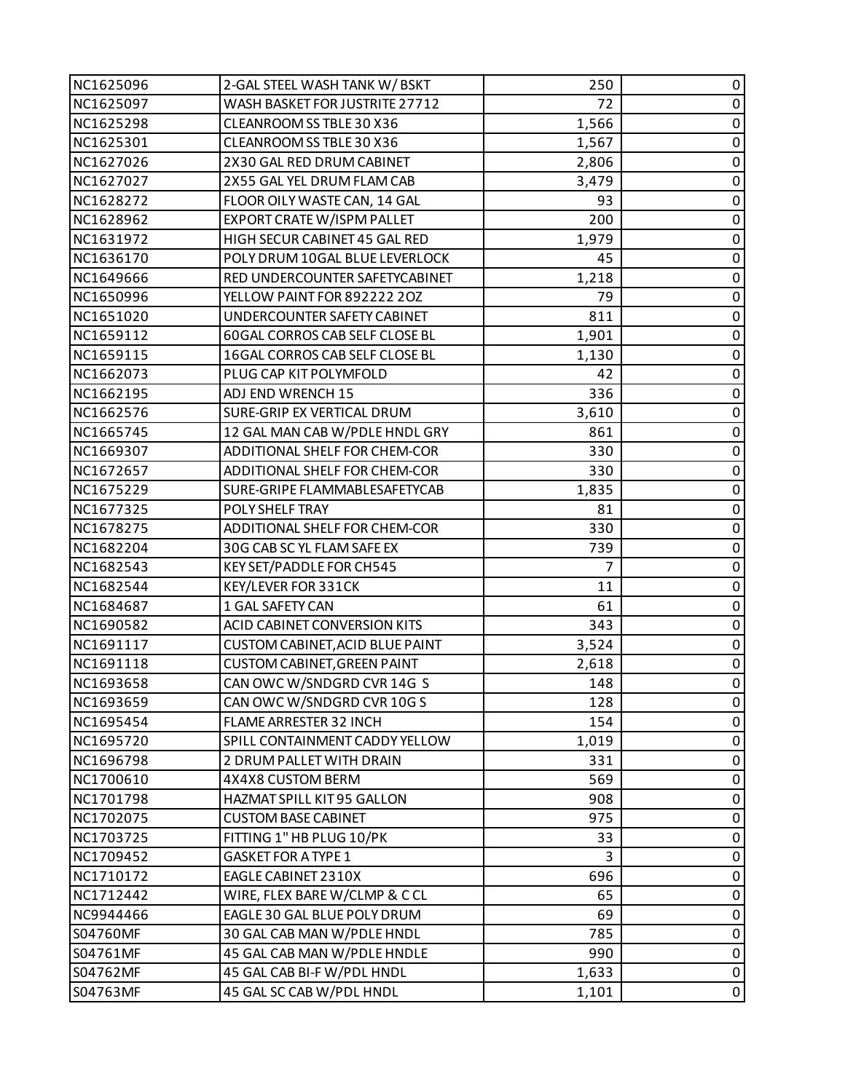| NC1625096 | 2-GAL STEEL WASH TANK W/BSKT       | 250            | 0         |
|-----------|------------------------------------|----------------|-----------|
| NC1625097 | WASH BASKET FOR JUSTRITE 27712     | 72             | 0         |
| NC1625298 | CLEANROOM SS TBLE 30 X36           | 1,566          | $\pmb{0}$ |
| NC1625301 | CLEANROOM SS TBLE 30 X36           | 1,567          | 0         |
| NC1627026 | 2X30 GAL RED DRUM CABINET          | 2,806          | $\pmb{0}$ |
| NC1627027 | 2X55 GAL YEL DRUM FLAM CAB         | 3,479          | 0         |
| NC1628272 | FLOOR OILY WASTE CAN, 14 GAL       | 93             | $\pmb{0}$ |
| NC1628962 | EXPORT CRATE W/ISPM PALLET         | 200            | $\pmb{0}$ |
| NC1631972 | HIGH SECUR CABINET 45 GAL RED      | 1,979          | $\pmb{0}$ |
| NC1636170 | POLY DRUM 10GAL BLUE LEVERLOCK     | 45             | $\pmb{0}$ |
| NC1649666 | RED UNDERCOUNTER SAFETYCABINET     | 1,218          | $\pmb{0}$ |
| NC1650996 | YELLOW PAINT FOR 892222 20Z        | 79             | $\pmb{0}$ |
| NC1651020 | UNDERCOUNTER SAFETY CABINET        | 811            | $\pmb{0}$ |
| NC1659112 | 60GAL CORROS CAB SELF CLOSE BL     | 1,901          | $\pmb{0}$ |
| NC1659115 | 16GAL CORROS CAB SELF CLOSE BL     | 1,130          | $\pmb{0}$ |
| NC1662073 | PLUG CAP KIT POLYMFOLD             | 42             | 0         |
| NC1662195 | ADJ END WRENCH 15                  | 336            | $\pmb{0}$ |
| NC1662576 | SURE-GRIP EX VERTICAL DRUM         | 3,610          | 0         |
| NC1665745 | 12 GAL MAN CAB W/PDLE HNDL GRY     | 861            | $\pmb{0}$ |
| NC1669307 | ADDITIONAL SHELF FOR CHEM-COR      | 330            | 0         |
| NC1672657 | ADDITIONAL SHELF FOR CHEM-COR      | 330            | $\pmb{0}$ |
| NC1675229 | SURE-GRIPE FLAMMABLESAFETYCAB      | 1,835          | 0         |
| NC1677325 | POLY SHELF TRAY                    | 81             | $\pmb{0}$ |
| NC1678275 | ADDITIONAL SHELF FOR CHEM-COR      | 330            | $\pmb{0}$ |
| NC1682204 | 30G CAB SC YL FLAM SAFE EX         | 739            | $\pmb{0}$ |
| NC1682543 | KEY SET/PADDLE FOR CH545           | $\overline{7}$ | $\pmb{0}$ |
| NC1682544 | KEY/LEVER FOR 331CK                | 11             | $\pmb{0}$ |
| NC1684687 | 1 GAL SAFETY CAN                   | 61             | 0         |
| NC1690582 | ACID CABINET CONVERSION KITS       | 343            | $\pmb{0}$ |
| NC1691117 | CUSTOM CABINET, ACID BLUE PAINT    | 3,524          | 0         |
| NC1691118 | <b>CUSTOM CABINET, GREEN PAINT</b> | 2,618          | $\pmb{0}$ |
| NC1693658 | CAN OWC W/SNDGRD CVR 14G S         | 148            | $\pmb{0}$ |
| NC1693659 | CAN OWC W/SNDGRD CVR 10G S         | 128            | 0         |
| NC1695454 | FLAME ARRESTER 32 INCH             | 154            | 0         |
| NC1695720 | SPILL CONTAINMENT CADDY YELLOW     | 1,019          | 0         |
| NC1696798 | 2 DRUM PALLET WITH DRAIN           | 331            | 0         |
| NC1700610 | 4X4X8 CUSTOM BERM                  | 569            | 0         |
| NC1701798 | HAZMAT SPILL KIT 95 GALLON         | 908            | 0         |
| NC1702075 | <b>CUSTOM BASE CABINET</b>         | 975            | 0         |
| NC1703725 | FITTING 1" HB PLUG 10/PK           | 33             | 0         |
| NC1709452 | <b>GASKET FOR A TYPE 1</b>         | 3              | 0         |
| NC1710172 | EAGLE CABINET 2310X                | 696            | 0         |
| NC1712442 | WIRE, FLEX BARE W/CLMP & CCL       | 65             | 0         |
| NC9944466 | EAGLE 30 GAL BLUE POLY DRUM        | 69             | 0         |
| S04760MF  | 30 GAL CAB MAN W/PDLE HNDL         | 785            | 0         |
| S04761MF  | 45 GAL CAB MAN W/PDLE HNDLE        | 990            | 0         |
| S04762MF  | 45 GAL CAB BI-F W/PDL HNDL         | 1,633          | 0         |
| S04763MF  | 45 GAL SC CAB W/PDL HNDL           | 1,101          | 0         |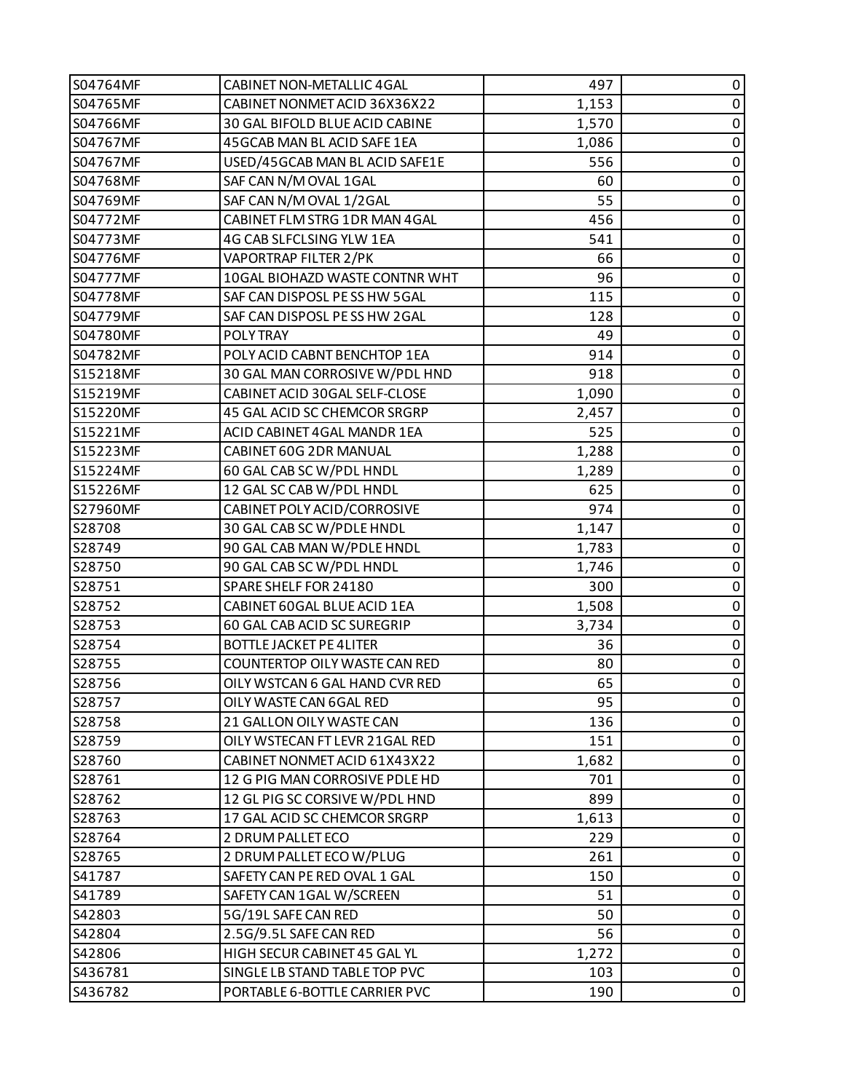| S04764MF | <b>CABINET NON-METALLIC 4GAL</b> | 497   | 0           |
|----------|----------------------------------|-------|-------------|
| S04765MF | CABINET NONMET ACID 36X36X22     | 1,153 | $\pmb{0}$   |
| S04766MF | 30 GAL BIFOLD BLUE ACID CABINE   | 1,570 | 0           |
| S04767MF | 45 GCAB MAN BL ACID SAFE 1EA     | 1,086 | $\pmb{0}$   |
| S04767MF | USED/45GCAB MAN BL ACID SAFE1E   | 556   | $\pmb{0}$   |
| S04768MF | SAF CAN N/M OVAL 1GAL            | 60    | 0           |
| S04769MF | SAF CAN N/M OVAL 1/2GAL          | 55    | $\pmb{0}$   |
| S04772MF | CABINET FLM STRG 1DR MAN 4GAL    | 456   | $\pmb{0}$   |
| S04773MF | 4G CAB SLFCLSING YLW 1EA         | 541   | 0           |
| S04776MF | VAPORTRAP FILTER 2/PK            | 66    | $\pmb{0}$   |
| S04777MF | 10GAL BIOHAZD WASTE CONTNR WHT   | 96    | $\pmb{0}$   |
| S04778MF | SAF CAN DISPOSL PE SS HW 5GAL    | 115   | 0           |
| S04779MF | SAF CAN DISPOSL PE SS HW 2GAL    | 128   | $\pmb{0}$   |
| S04780MF | <b>POLYTRAY</b>                  | 49    | $\mathbf 0$ |
| S04782MF | POLY ACID CABNT BENCHTOP 1EA     | 914   | 0           |
| S15218MF | 30 GAL MAN CORROSIVE W/PDL HND   | 918   | $\pmb{0}$   |
| S15219MF | CABINET ACID 30GAL SELF-CLOSE    | 1,090 | $\pmb{0}$   |
| S15220MF | 45 GAL ACID SC CHEMCOR SRGRP     | 2,457 | 0           |
| S15221MF | ACID CABINET 4GAL MANDR 1EA      | 525   | $\pmb{0}$   |
| S15223MF | CABINET 60G 2DR MANUAL           | 1,288 | $\pmb{0}$   |
| S15224MF | 60 GAL CAB SC W/PDL HNDL         | 1,289 | 0           |
| S15226MF | 12 GAL SC CAB W/PDL HNDL         | 625   | $\pmb{0}$   |
| S27960MF | CABINET POLY ACID/CORROSIVE      | 974   | $\pmb{0}$   |
| S28708   | 30 GAL CAB SC W/PDLE HNDL        | 1,147 | 0           |
| S28749   | 90 GAL CAB MAN W/PDLE HNDL       | 1,783 | $\pmb{0}$   |
| S28750   | 90 GAL CAB SC W/PDL HNDL         | 1,746 | $\pmb{0}$   |
| S28751   | SPARE SHELF FOR 24180            | 300   | 0           |
| S28752   | CABINET 60GAL BLUE ACID 1EA      | 1,508 | $\pmb{0}$   |
| S28753   | 60 GAL CAB ACID SC SUREGRIP      | 3,734 | $\pmb{0}$   |
| S28754   | <b>BOTTLE JACKET PE 4LITER</b>   | 36    | $\pmb{0}$   |
| S28755   | COUNTERTOP OILY WASTE CAN RED    | 80    | $\pmb{0}$   |
| S28756   | OILY WSTCAN 6 GAL HAND CVR RED   | 65    | $\pmb{0}$   |
| S28757   | OILY WASTE CAN 6GAL RED          | 95    | 0           |
| S28758   | 21 GALLON OILY WASTE CAN         | 136   | 0           |
| S28759   | OILY WSTECAN FT LEVR 21GAL RED   | 151   | $\pmb{0}$   |
| S28760   | CABINET NONMET ACID 61X43X22     | 1,682 | 0           |
| S28761   | 12 G PIG MAN CORROSIVE PDLE HD   | 701   | 0           |
| S28762   | 12 GL PIG SC CORSIVE W/PDL HND   | 899   | 0           |
| S28763   | 17 GAL ACID SC CHEMCOR SRGRP     | 1,613 | 0           |
| S28764   | 2 DRUM PALLET ECO                | 229   | 0           |
| S28765   | 2 DRUM PALLET ECO W/PLUG         | 261   | $\mathbf 0$ |
| S41787   | SAFETY CAN PE RED OVAL 1 GAL     | 150   | 0           |
| S41789   | SAFETY CAN 1GAL W/SCREEN         | 51    | 0           |
| S42803   | 5G/19L SAFE CAN RED              | 50    | 0           |
| S42804   | 2.5G/9.5L SAFE CAN RED           | 56    | 0           |
| S42806   | HIGH SECUR CABINET 45 GAL YL     | 1,272 | 0           |
| S436781  | SINGLE LB STAND TABLE TOP PVC    | 103   | $\pmb{0}$   |
| S436782  | PORTABLE 6-BOTTLE CARRIER PVC    | 190   | $\mathbf 0$ |